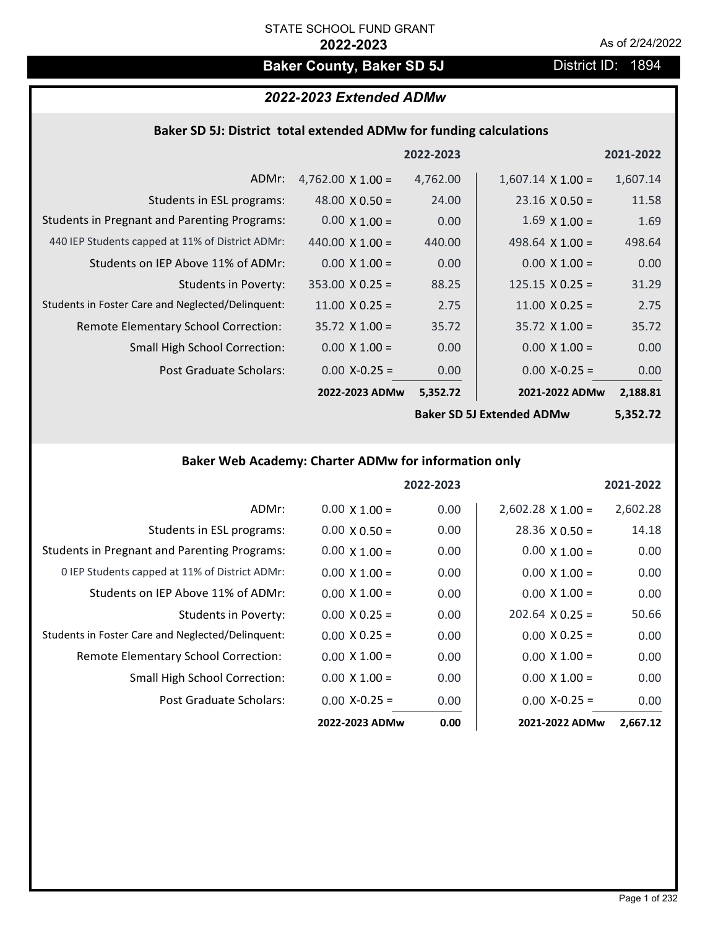## **Baker County, Baker SD 5J** District ID: 1894

## *2022-2023 Extended ADMw*

#### **Baker SD 5J: District total extended ADMw for funding calculations**

|                                                     |                          | 2022-2023 |                          | 2021-2022 |
|-----------------------------------------------------|--------------------------|-----------|--------------------------|-----------|
| ADMr:                                               | 4,762.00 $\times$ 1.00 = | 4,762.00  | $1,607.14 \times 1.00 =$ | 1,607.14  |
| Students in ESL programs:                           | 48.00 $\times$ 0.50 =    | 24.00     | $23.16 \times 0.50 =$    | 11.58     |
| <b>Students in Pregnant and Parenting Programs:</b> | $0.00 \times 1.00 =$     | 0.00      | $1.69 \times 1.00 =$     | 1.69      |
| 440 IEP Students capped at 11% of District ADMr:    | 440.00 $\times$ 1.00 =   | 440.00    | 498.64 $\times$ 1.00 =   | 498.64    |
| Students on IEP Above 11% of ADMr:                  | $0.00 \times 1.00 =$     | 0.00      | $0.00 \times 1.00 =$     | 0.00      |
| <b>Students in Poverty:</b>                         | $353.00 \times 0.25 =$   | 88.25     | $125.15 \times 0.25 =$   | 31.29     |
| Students in Foster Care and Neglected/Delinquent:   | $11.00 \times 0.25 =$    | 2.75      | $11.00 \times 0.25 =$    | 2.75      |
| Remote Elementary School Correction:                | $35.72 \times 1.00 =$    | 35.72     | $35.72 \times 1.00 =$    | 35.72     |
| <b>Small High School Correction:</b>                | $0.00 \times 1.00 =$     | 0.00      | $0.00 \times 1.00 =$     | 0.00      |
| Post Graduate Scholars:                             | $0.00 X - 0.25 =$        | 0.00      | $0.00$ X-0.25 =          | 0.00      |
|                                                     | 2022-2023 ADMw           | 5,352.72  | 2021-2022 ADMw           | 2,188.81  |

**Baker SD 5J Extended ADMw**

**5,352.72**

## **Baker Web Academy: Charter ADMw for information only**

|                                                     |                      | 2022-2023 |                          | 2021-2022 |
|-----------------------------------------------------|----------------------|-----------|--------------------------|-----------|
| ADMr:                                               | $0.00 \times 1.00 =$ | 0.00      | $2,602.28 \times 1.00 =$ | 2,602.28  |
| Students in ESL programs:                           | $0.00 \times 0.50 =$ | 0.00      | $28.36 \times 0.50 =$    | 14.18     |
| <b>Students in Pregnant and Parenting Programs:</b> | $0.00 \times 1.00 =$ | 0.00      | $0.00 \times 1.00 =$     | 0.00      |
| 0 IEP Students capped at 11% of District ADMr:      | $0.00 \times 1.00 =$ | 0.00      | $0.00 \times 1.00 =$     | 0.00      |
| Students on IEP Above 11% of ADMr:                  | $0.00 \times 1.00 =$ | 0.00      | $0.00 \times 1.00 =$     | 0.00      |
| <b>Students in Poverty:</b>                         | $0.00 \times 0.25 =$ | 0.00      | $202.64 \times 0.25 =$   | 50.66     |
| Students in Foster Care and Neglected/Delinquent:   | $0.00 \times 0.25 =$ | 0.00      | $0.00 \times 0.25 =$     | 0.00      |
| Remote Elementary School Correction:                | $0.00 \times 1.00 =$ | 0.00      | $0.00 \times 1.00 =$     | 0.00      |
| Small High School Correction:                       | $0.00 \times 1.00 =$ | 0.00      | $0.00 \times 1.00 =$     | 0.00      |
| Post Graduate Scholars:                             | $0.00$ X-0.25 =      | 0.00      | $0.00 X - 0.25 =$        | 0.00      |
|                                                     | 2022-2023 ADMw       | 0.00      | 2021-2022 ADMw           | 2,667.12  |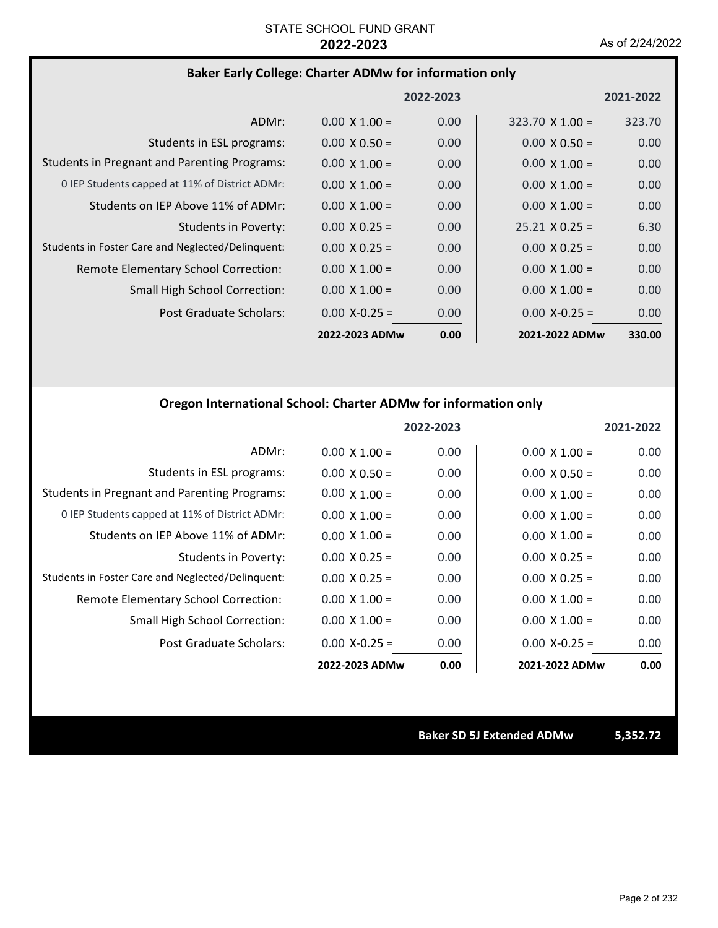#### **Baker Early College: Charter ADMw for information only**

|                                                     |                      | 2022-2023 |                        | 2021-2022 |
|-----------------------------------------------------|----------------------|-----------|------------------------|-----------|
| ADMr:                                               | $0.00 \times 1.00 =$ | 0.00      | $323.70 \times 1.00 =$ | 323.70    |
| Students in ESL programs:                           | $0.00 \times 0.50 =$ | 0.00      | $0.00 \times 0.50 =$   | 0.00      |
| <b>Students in Pregnant and Parenting Programs:</b> | $0.00 \times 1.00 =$ | 0.00      | $0.00 \times 1.00 =$   | 0.00      |
| 0 IEP Students capped at 11% of District ADMr:      | $0.00 \times 1.00 =$ | 0.00      | $0.00 \times 1.00 =$   | 0.00      |
| Students on IEP Above 11% of ADMr:                  | $0.00 \times 1.00 =$ | 0.00      | $0.00 \times 1.00 =$   | 0.00      |
| Students in Poverty:                                | $0.00 \times 0.25 =$ | 0.00      | $25.21 \times 0.25 =$  | 6.30      |
| Students in Foster Care and Neglected/Delinguent:   | $0.00 \times 0.25 =$ | 0.00      | $0.00 \times 0.25 =$   | 0.00      |
| Remote Elementary School Correction:                | $0.00 \times 1.00 =$ | 0.00      | $0.00 \times 1.00 =$   | 0.00      |
| <b>Small High School Correction:</b>                | $0.00 \times 1.00 =$ | 0.00      | $0.00 \times 1.00 =$   | 0.00      |
| Post Graduate Scholars:                             | $0.00 X - 0.25 =$    | 0.00      | $0.00 X - 0.25 =$      | 0.00      |
|                                                     | 2022-2023 ADMw       | 0.00      | 2021-2022 ADMw         | 330.00    |

#### **Oregon International School: Charter ADMw for information only**

|                                                     |                      | 2022-2023 |                      | 2021-2022 |
|-----------------------------------------------------|----------------------|-----------|----------------------|-----------|
| ADMr:                                               | $0.00 \times 1.00 =$ | 0.00      | $0.00 \times 1.00 =$ | 0.00      |
| Students in ESL programs:                           | $0.00 \times 0.50 =$ | 0.00      | $0.00 \times 0.50 =$ | 0.00      |
| <b>Students in Pregnant and Parenting Programs:</b> | $0.00 \times 1.00 =$ | 0.00      | $0.00 \times 1.00 =$ | 0.00      |
| 0 IEP Students capped at 11% of District ADMr:      | $0.00 \times 1.00 =$ | 0.00      | $0.00 \times 1.00 =$ | 0.00      |
| Students on IEP Above 11% of ADMr:                  | $0.00 \times 1.00 =$ | 0.00      | $0.00 \times 1.00 =$ | 0.00      |
| Students in Poverty:                                | $0.00 \times 0.25 =$ | 0.00      | $0.00 \times 0.25 =$ | 0.00      |
| Students in Foster Care and Neglected/Delinquent:   | $0.00 \times 0.25 =$ | 0.00      | $0.00 \times 0.25 =$ | 0.00      |
| Remote Elementary School Correction:                | $0.00 \times 1.00 =$ | 0.00      | $0.00 \times 1.00 =$ | 0.00      |
| Small High School Correction:                       | $0.00 \times 1.00 =$ | 0.00      | $0.00 \times 1.00 =$ | 0.00      |
| Post Graduate Scholars:                             | $0.00 X - 0.25 =$    | 0.00      | $0.00$ X-0.25 =      | 0.00      |
|                                                     | 2022-2023 ADMw       | 0.00      | 2021-2022 ADMw       | 0.00      |

**Baker SD 5J Extended ADMw 5,352.72**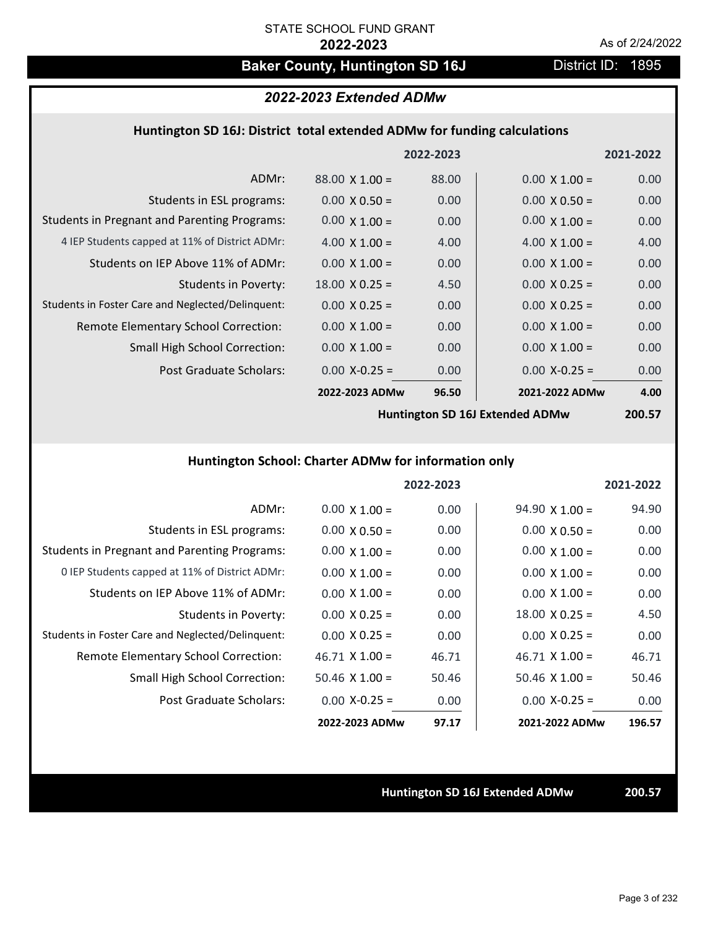## Baker County, Huntington SD 16J **District ID: 1895**

## *2022-2023 Extended ADMw*

#### **Huntington SD 16J: District total extended ADMw for funding calculations**

|                                                     |                       | 2022-2023 |                      | 2021-2022 |
|-----------------------------------------------------|-----------------------|-----------|----------------------|-----------|
| ADMr:                                               | $88.00 \times 1.00 =$ | 88.00     | $0.00 \times 1.00 =$ | 0.00      |
| Students in ESL programs:                           | $0.00 \times 0.50 =$  | 0.00      | $0.00 \times 0.50 =$ | 0.00      |
| <b>Students in Pregnant and Parenting Programs:</b> | $0.00 \times 1.00 =$  | 0.00      | $0.00 \times 1.00 =$ | 0.00      |
| 4 IEP Students capped at 11% of District ADMr:      | $4.00 \times 1.00 =$  | 4.00      | 4.00 $\times$ 1.00 = | 4.00      |
| Students on IEP Above 11% of ADMr:                  | $0.00 \times 1.00 =$  | 0.00      | $0.00 \times 1.00 =$ | 0.00      |
| <b>Students in Poverty:</b>                         | $18.00 \times 0.25 =$ | 4.50      | $0.00 \times 0.25 =$ | 0.00      |
| Students in Foster Care and Neglected/Delinquent:   | $0.00 \times 0.25 =$  | 0.00      | $0.00 \times 0.25 =$ | 0.00      |
| Remote Elementary School Correction:                | $0.00 \times 1.00 =$  | 0.00      | $0.00 \times 1.00 =$ | 0.00      |
| <b>Small High School Correction:</b>                | $0.00 \times 1.00 =$  | 0.00      | $0.00 \times 1.00 =$ | 0.00      |
| Post Graduate Scholars:                             | $0.00$ X-0.25 =       | 0.00      | $0.00$ X-0.25 =      | 0.00      |
|                                                     | 2022-2023 ADMw        | 96.50     | 2021-2022 ADMw       | 4.00      |

**Huntington SD 16J Extended ADMw**

**200.57**

## **Huntington School: Charter ADMw for information only**

|                                                     |                       | 2022-2023 |                       | 2021-2022 |
|-----------------------------------------------------|-----------------------|-----------|-----------------------|-----------|
| ADMr:                                               | $0.00 \times 1.00 =$  | 0.00      | $94.90 \times 1.00 =$ | 94.90     |
| Students in ESL programs:                           | $0.00 \times 0.50 =$  | 0.00      | $0.00 \times 0.50 =$  | 0.00      |
| <b>Students in Pregnant and Parenting Programs:</b> | $0.00 \times 1.00 =$  | 0.00      | $0.00 \times 1.00 =$  | 0.00      |
| 0 IEP Students capped at 11% of District ADMr:      | $0.00 \times 1.00 =$  | 0.00      | $0.00 \times 1.00 =$  | 0.00      |
| Students on IEP Above 11% of ADMr:                  | $0.00 \times 1.00 =$  | 0.00      | $0.00 \times 1.00 =$  | 0.00      |
| <b>Students in Poverty:</b>                         | $0.00 \times 0.25 =$  | 0.00      | $18.00 \times 0.25 =$ | 4.50      |
| Students in Foster Care and Neglected/Delinquent:   | $0.00 \times 0.25 =$  | 0.00      | $0.00 \times 0.25 =$  | 0.00      |
| Remote Elementary School Correction:                | $46.71 \times 1.00 =$ | 46.71     | $46.71 \times 1.00 =$ | 46.71     |
| <b>Small High School Correction:</b>                | $50.46$ X 1.00 =      | 50.46     | $50.46 \times 1.00 =$ | 50.46     |
| Post Graduate Scholars:                             | $0.00$ X-0.25 =       | 0.00      | $0.00 X-0.25 =$       | 0.00      |
|                                                     | 2022-2023 ADMw        | 97.17     | 2021-2022 ADMw        | 196.57    |

#### **Huntington SD 16J Extended ADMw 200.57**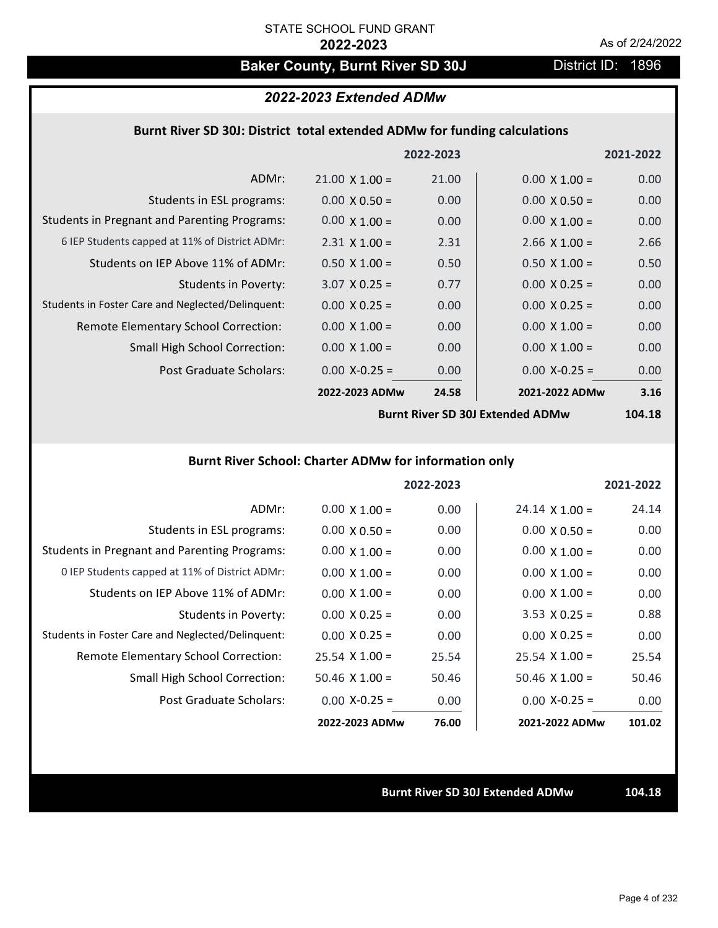## Baker County, Burnt River SD 30J District ID: 1896

### *2022-2023 Extended ADMw*

#### **Burnt River SD 30J: District total extended ADMw for funding calculations**

|                                                     |                       | 2022-2023 |                      | 2021-2022 |
|-----------------------------------------------------|-----------------------|-----------|----------------------|-----------|
| ADMr:                                               | $21.00 \times 1.00 =$ | 21.00     | $0.00 \times 1.00 =$ | 0.00      |
| Students in ESL programs:                           | $0.00 \times 0.50 =$  | 0.00      | $0.00 \times 0.50 =$ | 0.00      |
| <b>Students in Pregnant and Parenting Programs:</b> | $0.00 \times 1.00 =$  | 0.00      | $0.00 \times 1.00 =$ | 0.00      |
| 6 IEP Students capped at 11% of District ADMr:      | $2.31 \times 1.00 =$  | 2.31      | $2.66 \times 1.00 =$ | 2.66      |
| Students on IEP Above 11% of ADMr:                  | $0.50 \times 1.00 =$  | 0.50      | $0.50 \times 1.00 =$ | 0.50      |
| <b>Students in Poverty:</b>                         | $3.07$ X 0.25 =       | 0.77      | $0.00 \times 0.25 =$ | 0.00      |
| Students in Foster Care and Neglected/Delinquent:   | $0.00 \times 0.25 =$  | 0.00      | $0.00 \times 0.25 =$ | 0.00      |
| Remote Elementary School Correction:                | $0.00 \times 1.00 =$  | 0.00      | $0.00 \times 1.00 =$ | 0.00      |
| <b>Small High School Correction:</b>                | $0.00 \times 1.00 =$  | 0.00      | $0.00 \times 1.00 =$ | 0.00      |
| Post Graduate Scholars:                             | $0.00$ X-0.25 =       | 0.00      | $0.00 X - 0.25 =$    | 0.00      |
|                                                     | 2022-2023 ADMw        | 24.58     | 2021-2022 ADMw       | 3.16      |
|                                                     |                       |           |                      |           |

**Burnt River SD 30J Extended ADMw**

**104.18**

## **Burnt River School: Charter ADMw for information only**

|                                                     |                       | 2022-2023 |                       | 2021-2022 |
|-----------------------------------------------------|-----------------------|-----------|-----------------------|-----------|
| ADMr:                                               | $0.00 \times 1.00 =$  | 0.00      | $24.14 \times 1.00 =$ | 24.14     |
| Students in ESL programs:                           | $0.00 \times 0.50 =$  | 0.00      | $0.00 \times 0.50 =$  | 0.00      |
| <b>Students in Pregnant and Parenting Programs:</b> | $0.00 \times 1.00 =$  | 0.00      | $0.00 \times 1.00 =$  | 0.00      |
| 0 IEP Students capped at 11% of District ADMr:      | $0.00 \times 1.00 =$  | 0.00      | $0.00 \times 1.00 =$  | 0.00      |
| Students on IEP Above 11% of ADMr:                  | $0.00 \times 1.00 =$  | 0.00      | $0.00 \times 1.00 =$  | 0.00      |
| Students in Poverty:                                | $0.00 \times 0.25 =$  | 0.00      | $3.53 \times 0.25 =$  | 0.88      |
| Students in Foster Care and Neglected/Delinquent:   | $0.00 \times 0.25 =$  | 0.00      | $0.00 \times 0.25 =$  | 0.00      |
| Remote Elementary School Correction:                | $25.54 \times 1.00 =$ | 25.54     | $25.54 \times 1.00 =$ | 25.54     |
| <b>Small High School Correction:</b>                | $50.46$ X 1.00 =      | 50.46     | $50.46 \times 1.00 =$ | 50.46     |
| Post Graduate Scholars:                             | $0.00$ X-0.25 =       | 0.00      | $0.00 X-0.25 =$       | 0.00      |
|                                                     | 2022-2023 ADMw        | 76.00     | 2021-2022 ADMw        | 101.02    |

**Burnt River SD 30J Extended ADMw 104.18**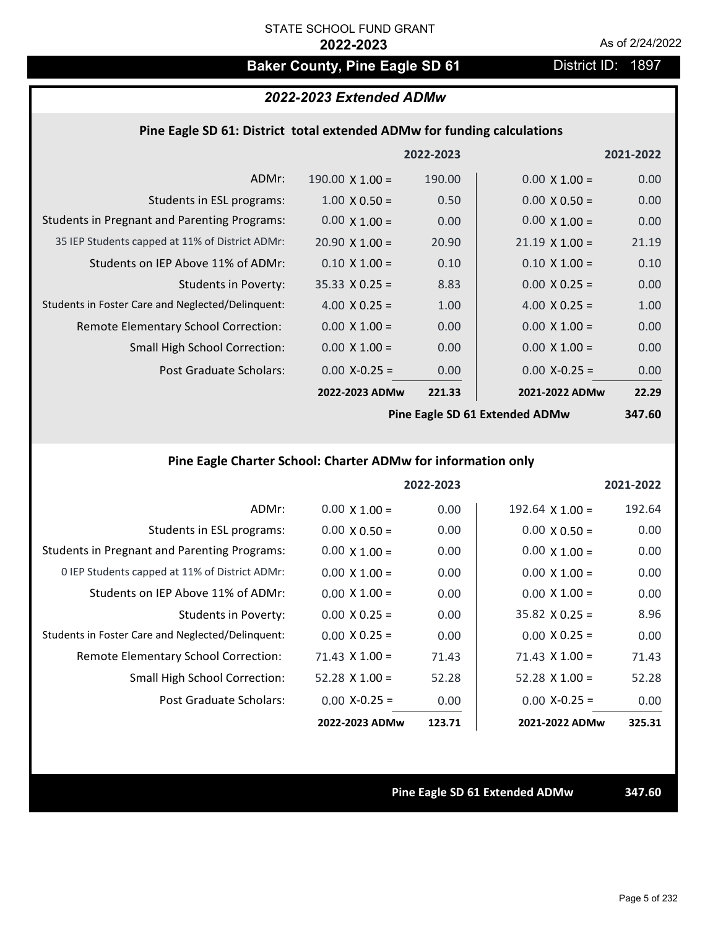# **Baker County, Pine Eagle SD 61** District ID: 1897

## *2022-2023 Extended ADMw*

#### **Pine Eagle SD 61: District total extended ADMw for funding calculations**

|                                                     |                        | 2022-2023      |                       | 2021-2022 |
|-----------------------------------------------------|------------------------|----------------|-----------------------|-----------|
| ADMr:                                               | $190.00 \times 1.00 =$ | 190.00         | $0.00 \times 1.00 =$  | 0.00      |
| Students in ESL programs:                           | $1.00 \times 0.50 =$   | 0.50           | $0.00 \times 0.50 =$  | 0.00      |
| <b>Students in Pregnant and Parenting Programs:</b> | $0.00 \times 1.00 =$   | 0.00           | $0.00 \times 1.00 =$  | 0.00      |
| 35 IEP Students capped at 11% of District ADMr:     | $20.90 \times 1.00 =$  | 20.90          | $21.19 \times 1.00 =$ | 21.19     |
| Students on IEP Above 11% of ADMr:                  | $0.10 \times 1.00 =$   | 0.10           | $0.10 \times 1.00 =$  | 0.10      |
| <b>Students in Poverty:</b>                         | $35.33 \times 0.25 =$  | 8.83           | $0.00 \times 0.25 =$  | 0.00      |
| Students in Foster Care and Neglected/Delinquent:   | 4.00 $X$ 0.25 =        | 1.00           | 4.00 $X$ 0.25 =       | 1.00      |
| Remote Elementary School Correction:                | $0.00 \times 1.00 =$   | 0.00           | $0.00 \times 1.00 =$  | 0.00      |
| <b>Small High School Correction:</b>                | $0.00 \times 1.00 =$   | 0.00           | $0.00 \times 1.00 =$  | 0.00      |
| Post Graduate Scholars:                             | $0.00 X - 0.25 =$      | 0.00           | $0.00$ X-0.25 =       | 0.00      |
|                                                     | 2022-2023 ADMw         | 221.33         | 2021-2022 ADMw        | 22.29     |
|                                                     |                        | $\blacksquare$ |                       | --- --    |

**Pine Eagle SD 61 Extended ADMw**

**347.60**

## **Pine Eagle Charter School: Charter ADMw for information only**

|                                                     |                       | 2022-2023 |                        | 2021-2022 |
|-----------------------------------------------------|-----------------------|-----------|------------------------|-----------|
| ADMr:                                               | $0.00 \times 1.00 =$  | 0.00      | $192.64 \times 1.00 =$ | 192.64    |
| Students in ESL programs:                           | $0.00 \times 0.50 =$  | 0.00      | $0.00 \times 0.50 =$   | 0.00      |
| <b>Students in Pregnant and Parenting Programs:</b> | $0.00 \times 1.00 =$  | 0.00      | $0.00 \times 1.00 =$   | 0.00      |
| 0 IEP Students capped at 11% of District ADMr:      | $0.00 \times 1.00 =$  | 0.00      | $0.00 \times 1.00 =$   | 0.00      |
| Students on IEP Above 11% of ADMr:                  | $0.00 \times 1.00 =$  | 0.00      | $0.00 \times 1.00 =$   | 0.00      |
| Students in Poverty:                                | $0.00 \times 0.25 =$  | 0.00      | $35.82 \times 0.25 =$  | 8.96      |
| Students in Foster Care and Neglected/Delinquent:   | $0.00 \times 0.25 =$  | 0.00      | $0.00 \times 0.25 =$   | 0.00      |
| Remote Elementary School Correction:                | $71.43 \times 1.00 =$ | 71.43     | $71.43 \times 1.00 =$  | 71.43     |
| <b>Small High School Correction:</b>                | $52.28 \times 1.00 =$ | 52.28     | $52.28 \times 1.00 =$  | 52.28     |
| Post Graduate Scholars:                             | $0.00 X-0.25 =$       | 0.00      | $0.00 X-0.25 =$        | 0.00      |
|                                                     | 2022-2023 ADMw        | 123.71    | 2021-2022 ADMw         | 325.31    |

**Pine Eagle SD 61 Extended ADMw 347.60**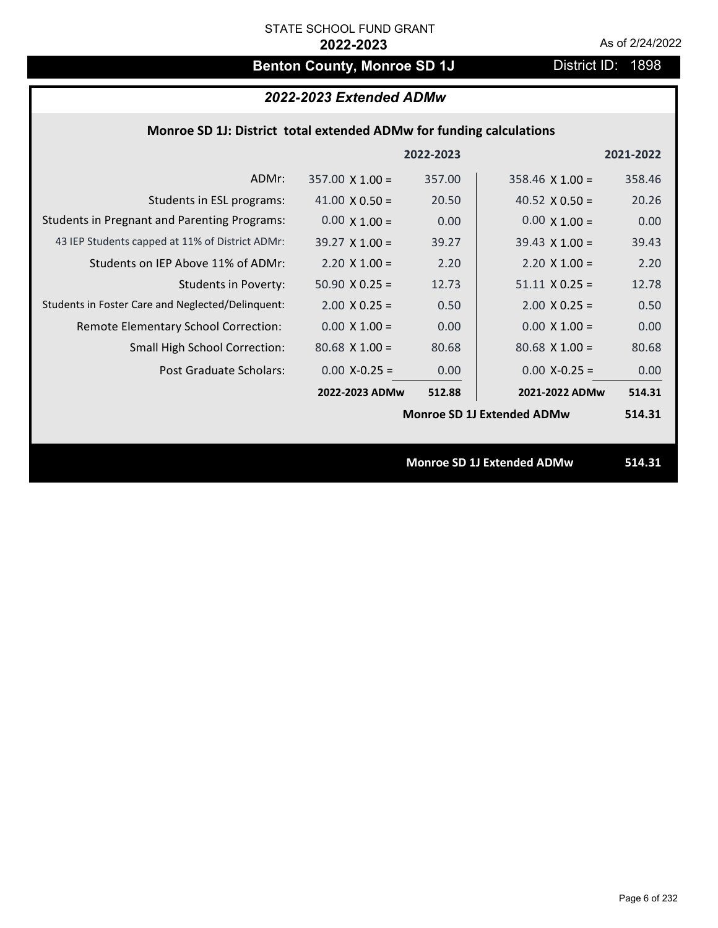# **Benton County, Monroe SD 1J** District ID: 1898

## *2022-2023 Extended ADMw*

## **Monroe SD 1J: District total extended ADMw for funding calculations**

|                                                     |                        | 2022-2023 |                                   | 2021-2022 |
|-----------------------------------------------------|------------------------|-----------|-----------------------------------|-----------|
| ADMr:                                               | $357.00 \times 1.00 =$ | 357.00    | $358.46 \times 1.00 =$            | 358.46    |
| Students in ESL programs:                           | 41.00 $\times$ 0.50 =  | 20.50     | 40.52 $\times$ 0.50 =             | 20.26     |
| <b>Students in Pregnant and Parenting Programs:</b> | $0.00 \times 1.00 =$   | 0.00      | $0.00 \times 1.00 =$              | 0.00      |
| 43 IEP Students capped at 11% of District ADMr:     | $39.27 \times 1.00 =$  | 39.27     | $39.43 \times 1.00 =$             | 39.43     |
| Students on IEP Above 11% of ADMr:                  | $2.20 \times 1.00 =$   | 2.20      | $2.20 \times 1.00 =$              | 2.20      |
| <b>Students in Poverty:</b>                         | $50.90 \times 0.25 =$  | 12.73     | $51.11 \times 0.25 =$             | 12.78     |
| Students in Foster Care and Neglected/Delinquent:   | $2.00 \times 0.25 =$   | 0.50      | $2.00 \times 0.25 =$              | 0.50      |
| Remote Elementary School Correction:                | $0.00 \times 1.00 =$   | 0.00      | $0.00 \times 1.00 =$              | 0.00      |
| <b>Small High School Correction:</b>                | $80.68$ X 1.00 =       | 80.68     | $80.68$ X $1.00 =$                | 80.68     |
| Post Graduate Scholars:                             | $0.00$ X-0.25 =        | 0.00      | $0.00$ X-0.25 =                   | 0.00      |
|                                                     | 2022-2023 ADMw         | 512.88    | 2021-2022 ADMw                    | 514.31    |
|                                                     |                        |           | <b>Monroe SD 1J Extended ADMw</b> | 514.31    |
|                                                     |                        |           |                                   |           |
|                                                     |                        |           | <b>Monroe SD 1J Extended ADMw</b> | 514.31    |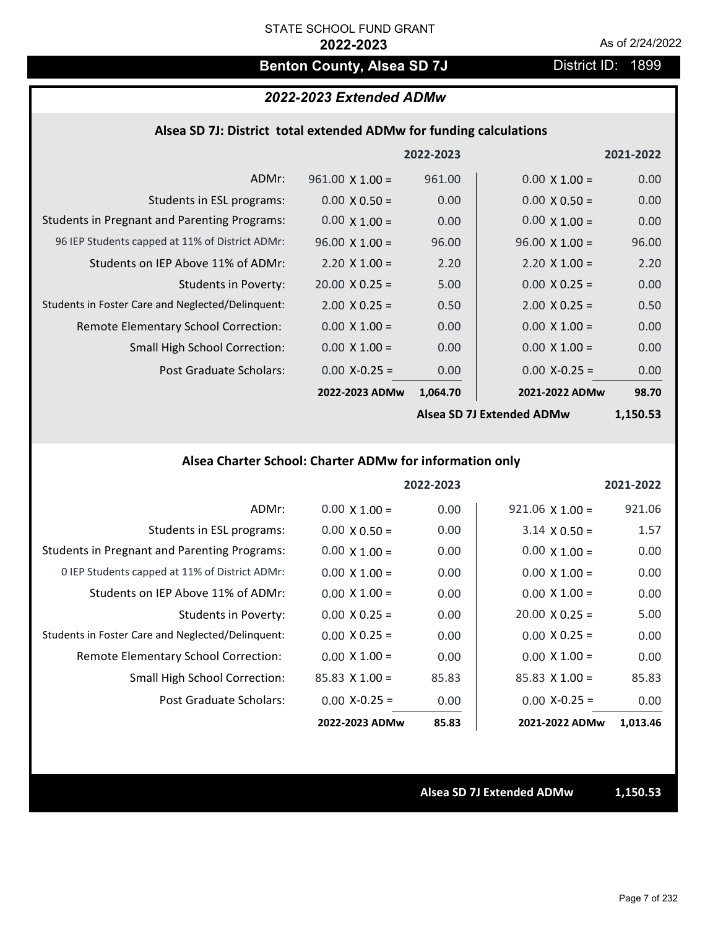## **Benton County, Alsea SD 7J** District ID: 1899

## *2022-2023 Extended ADMw*

#### **Alsea SD 7J: District total extended ADMw for funding calculations**

|                                                     |                        | 2022-2023 |                           | 2021-2022 |
|-----------------------------------------------------|------------------------|-----------|---------------------------|-----------|
| ADMr:                                               | $961.00 \times 1.00 =$ | 961.00    | $0.00 \times 1.00 =$      | 0.00      |
| Students in ESL programs:                           | $0.00 \times 0.50 =$   | 0.00      | $0.00 \times 0.50 =$      | 0.00      |
| <b>Students in Pregnant and Parenting Programs:</b> | $0.00 \times 1.00 =$   | 0.00      | $0.00 \times 1.00 =$      | 0.00      |
| 96 IEP Students capped at 11% of District ADMr:     | $96.00 \times 1.00 =$  | 96.00     | $96.00 \times 1.00 =$     | 96.00     |
| Students on IEP Above 11% of ADMr:                  | $2.20 \times 1.00 =$   | 2.20      | $2.20 \times 1.00 =$      | 2.20      |
| <b>Students in Poverty:</b>                         | $20.00 \times 0.25 =$  | 5.00      | $0.00 \times 0.25 =$      | 0.00      |
| Students in Foster Care and Neglected/Delinquent:   | $2.00 \times 0.25 =$   | 0.50      | $2.00 \times 0.25 =$      | 0.50      |
| Remote Elementary School Correction:                | $0.00 \times 1.00 =$   | 0.00      | $0.00 \times 1.00 =$      | 0.00      |
| <b>Small High School Correction:</b>                | $0.00 \times 1.00 =$   | 0.00      | $0.00 \times 1.00 =$      | 0.00      |
| Post Graduate Scholars:                             | $0.00$ X-0.25 =        | 0.00      | $0.00 X - 0.25 =$         | 0.00      |
|                                                     | 2022-2023 ADMw         | 1,064.70  | 2021-2022 ADMw            | 98.70     |
|                                                     |                        |           | Alcon CD 71 Extended ADMu | 1.150E2   |

**Alsea SD 7J Extended ADMw**

**1,150.53**

## **Alsea Charter School: Charter ADMw for information only**

|                                                     |                       | 2022-2023 |                        | 2021-2022 |
|-----------------------------------------------------|-----------------------|-----------|------------------------|-----------|
| ADMr:                                               | $0.00 \times 1.00 =$  | 0.00      | $921.06 \times 1.00 =$ | 921.06    |
| Students in ESL programs:                           | $0.00 \times 0.50 =$  | 0.00      | $3.14 \times 0.50 =$   | 1.57      |
| <b>Students in Pregnant and Parenting Programs:</b> | $0.00 \times 1.00 =$  | 0.00      | $0.00 \times 1.00 =$   | 0.00      |
| 0 IEP Students capped at 11% of District ADMr:      | $0.00 \times 1.00 =$  | 0.00      | $0.00 \times 1.00 =$   | 0.00      |
| Students on IEP Above 11% of ADMr:                  | $0.00 \times 1.00 =$  | 0.00      | $0.00 \times 1.00 =$   | 0.00      |
| Students in Poverty:                                | $0.00 \times 0.25 =$  | 0.00      | $20.00 \times 0.25 =$  | 5.00      |
| Students in Foster Care and Neglected/Delinquent:   | $0.00 \times 0.25 =$  | 0.00      | $0.00 \times 0.25 =$   | 0.00      |
| Remote Elementary School Correction:                | $0.00 \times 1.00 =$  | 0.00      | $0.00 \times 1.00 =$   | 0.00      |
| <b>Small High School Correction:</b>                | $85.83 \times 1.00 =$ | 85.83     | $85.83 \times 1.00 =$  | 85.83     |
| Post Graduate Scholars:                             | $0.00$ X-0.25 =       | 0.00      | $0.00 X-0.25 =$        | 0.00      |
|                                                     | 2022-2023 ADMw        | 85.83     | 2021-2022 ADMw         | 1,013.46  |

**Alsea SD 7J Extended ADMw 1,150.53**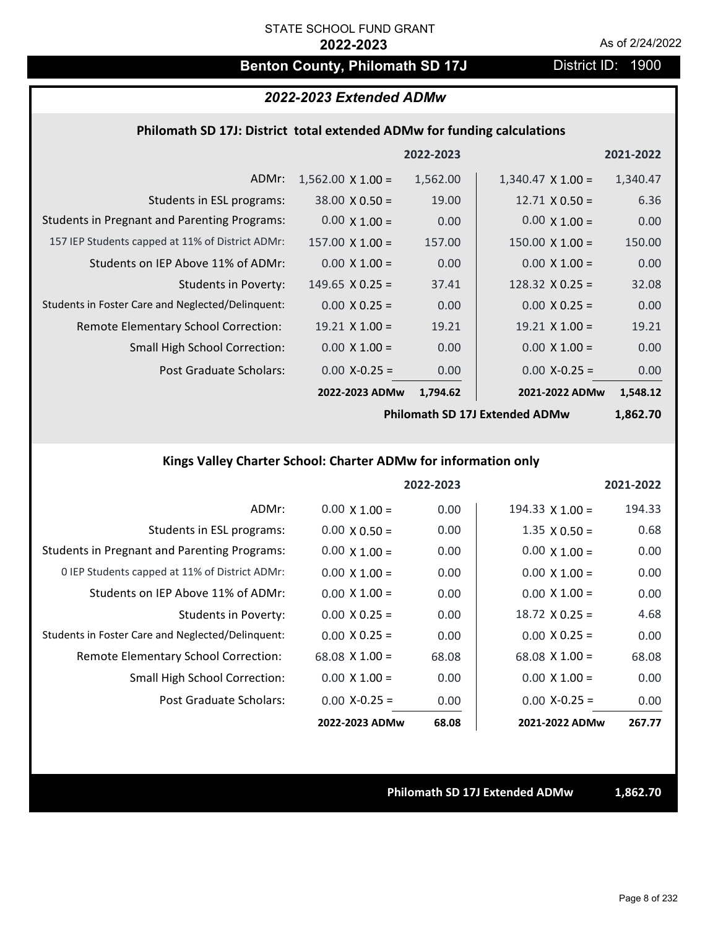# **Benton County, Philomath SD 17J** District ID: 1900

### *2022-2023 Extended ADMw*

#### **Philomath SD 17J: District total extended ADMw for funding calculations**

|                                                     |                          | 2022-2023 |                          | 2021-2022 |
|-----------------------------------------------------|--------------------------|-----------|--------------------------|-----------|
| ADMr:                                               | $1,562.00 \times 1.00 =$ | 1,562.00  | $1,340.47 \times 1.00 =$ | 1,340.47  |
| Students in ESL programs:                           | $38.00 \times 0.50 =$    | 19.00     | $12.71 \times 0.50 =$    | 6.36      |
| <b>Students in Pregnant and Parenting Programs:</b> | $0.00 \times 1.00 =$     | 0.00      | $0.00 \times 1.00 =$     | 0.00      |
| 157 IEP Students capped at 11% of District ADMr:    | $157.00 \times 1.00 =$   | 157.00    | $150.00 \times 1.00 =$   | 150.00    |
| Students on IEP Above 11% of ADMr:                  | $0.00 \times 1.00 =$     | 0.00      | $0.00 \times 1.00 =$     | 0.00      |
| <b>Students in Poverty:</b>                         | $149.65 \times 0.25 =$   | 37.41     | 128.32 $X$ 0.25 =        | 32.08     |
| Students in Foster Care and Neglected/Delinquent:   | $0.00 \times 0.25 =$     | 0.00      | $0.00 \times 0.25 =$     | 0.00      |
| Remote Elementary School Correction:                | $19.21 \times 1.00 =$    | 19.21     | $19.21$ X $1.00 =$       | 19.21     |
| <b>Small High School Correction:</b>                | $0.00 \times 1.00 =$     | 0.00      | $0.00 \times 1.00 =$     | 0.00      |
| Post Graduate Scholars:                             | $0.00$ X-0.25 =          | 0.00      | $0.00$ X-0.25 =          | 0.00      |
|                                                     | 2022-2023 ADMw           | 1,794.62  | 2021-2022 ADMw           | 1,548.12  |

**Philomath SD 17J Extended ADMw**

**1,862.70**

## **Kings Valley Charter School: Charter ADMw for information only**

|                                                     |                       | 2022-2023 |                        | 2021-2022 |
|-----------------------------------------------------|-----------------------|-----------|------------------------|-----------|
| ADMr:                                               | $0.00 \times 1.00 =$  | 0.00      | $194.33 \times 1.00 =$ | 194.33    |
| Students in ESL programs:                           | $0.00 \times 0.50 =$  | 0.00      | $1.35 \times 0.50 =$   | 0.68      |
| <b>Students in Pregnant and Parenting Programs:</b> | $0.00 \times 1.00 =$  | 0.00      | $0.00 \times 1.00 =$   | 0.00      |
| 0 IEP Students capped at 11% of District ADMr:      | $0.00 \times 1.00 =$  | 0.00      | $0.00 \times 1.00 =$   | 0.00      |
| Students on IEP Above 11% of ADMr:                  | $0.00 \times 1.00 =$  | 0.00      | $0.00 \times 1.00 =$   | 0.00      |
| Students in Poverty:                                | $0.00 \times 0.25 =$  | 0.00      | $18.72 \times 0.25 =$  | 4.68      |
| Students in Foster Care and Neglected/Delinquent:   | $0.00 \times 0.25 =$  | 0.00      | $0.00 \times 0.25 =$   | 0.00      |
| Remote Elementary School Correction:                | $68.08 \times 1.00 =$ | 68.08     | $68.08 \times 1.00 =$  | 68.08     |
| <b>Small High School Correction:</b>                | $0.00 \times 1.00 =$  | 0.00      | $0.00 \times 1.00 =$   | 0.00      |
| Post Graduate Scholars:                             | $0.00$ X-0.25 =       | 0.00      | $0.00$ X-0.25 =        | 0.00      |
|                                                     | 2022-2023 ADMw        | 68.08     | 2021-2022 ADMw         | 267.77    |

#### **Philomath SD 17J Extended ADMw 1,862.70**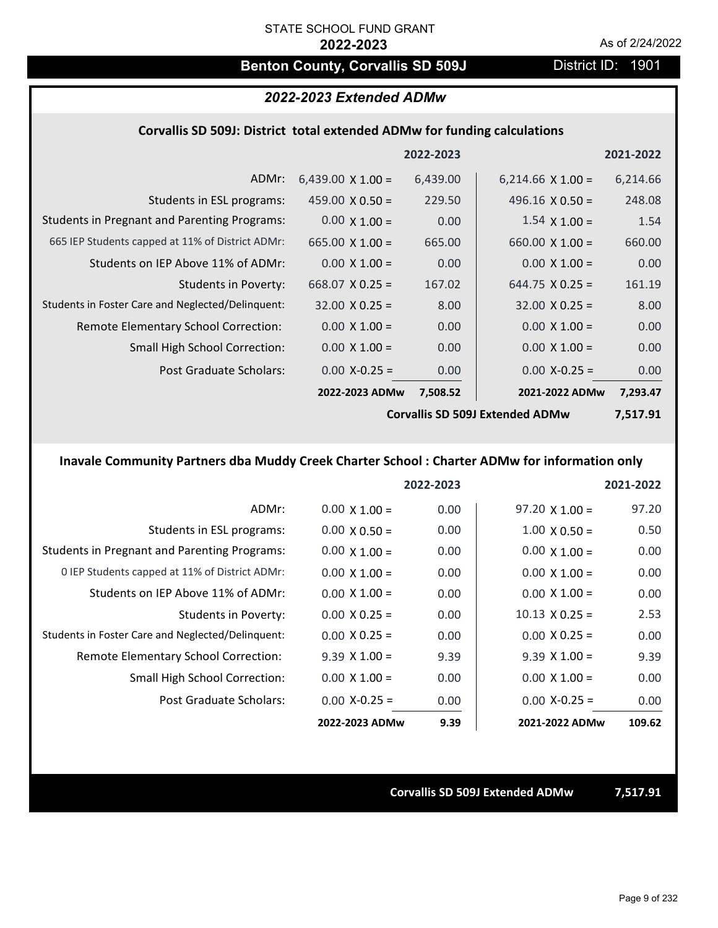## **Benton County, Corvallis SD 509J** District ID: 1901

## *2022-2023 Extended ADMw*

#### **Corvallis SD 509J: District total extended ADMw for funding calculations**

|                                                     |                          | 2022-2023 |                                        | 2021-2022 |
|-----------------------------------------------------|--------------------------|-----------|----------------------------------------|-----------|
| ADMr:                                               | $6,439.00 \times 1.00 =$ | 6,439.00  | $6,214.66 \times 1.00 =$               | 6,214.66  |
| Students in ESL programs:                           | 459.00 $\times$ 0.50 =   | 229.50    | 496.16 $\times$ 0.50 =                 | 248.08    |
| <b>Students in Pregnant and Parenting Programs:</b> | $0.00 \times 1.00 =$     | 0.00      | $1.54 \times 1.00 =$                   | 1.54      |
| 665 IEP Students capped at 11% of District ADMr:    | 665.00 $\times$ 1.00 =   | 665.00    | 660.00 $\times$ 1.00 =                 | 660.00    |
| Students on IEP Above 11% of ADMr:                  | $0.00 \times 1.00 =$     | 0.00      | $0.00 \times 1.00 =$                   | 0.00      |
| <b>Students in Poverty:</b>                         | $668.07$ X 0.25 =        | 167.02    | $644.75 \times 0.25 =$                 | 161.19    |
| Students in Foster Care and Neglected/Delinquent:   | $32.00 \times 0.25 =$    | 8.00      | $32.00 \times 0.25 =$                  | 8.00      |
| Remote Elementary School Correction:                | $0.00 \times 1.00 =$     | 0.00      | $0.00 \times 1.00 =$                   | 0.00      |
| <b>Small High School Correction:</b>                | $0.00 \times 1.00 =$     | 0.00      | $0.00 \times 1.00 =$                   | 0.00      |
| Post Graduate Scholars:                             | $0.00 X - 0.25 =$        | 0.00      | $0.00$ X-0.25 =                        | 0.00      |
|                                                     | 2022-2023 ADMw           | 7,508.52  | 2021-2022 ADMw                         | 7,293.47  |
|                                                     |                          |           | <b>Corvallis SD 509J Extended ADMw</b> | 7,517.91  |

## **Inavale Community Partners dba Muddy Creek Charter School : Charter ADMw for information only**

|                                                     |                      | 2022-2023 |                       | 2021-2022 |
|-----------------------------------------------------|----------------------|-----------|-----------------------|-----------|
| ADMr:                                               | $0.00 \times 1.00 =$ | 0.00      | $97.20 \times 1.00 =$ | 97.20     |
| Students in ESL programs:                           | $0.00 \times 0.50 =$ | 0.00      | $1.00 \times 0.50 =$  | 0.50      |
| <b>Students in Pregnant and Parenting Programs:</b> | $0.00 \times 1.00 =$ | 0.00      | $0.00 \times 1.00 =$  | 0.00      |
| 0 IEP Students capped at 11% of District ADMr:      | $0.00 \times 1.00 =$ | 0.00      | $0.00 \times 1.00 =$  | 0.00      |
| Students on IEP Above 11% of ADMr:                  | $0.00 \times 1.00 =$ | 0.00      | $0.00 \times 1.00 =$  | 0.00      |
| Students in Poverty:                                | $0.00 \times 0.25 =$ | 0.00      | $10.13 \times 0.25 =$ | 2.53      |
| Students in Foster Care and Neglected/Delinquent:   | $0.00 \times 0.25 =$ | 0.00      | $0.00 \times 0.25 =$  | 0.00      |
| <b>Remote Elementary School Correction:</b>         | $9.39 \times 1.00 =$ | 9.39      | $9.39 \times 1.00 =$  | 9.39      |
| <b>Small High School Correction:</b>                | $0.00 \times 1.00 =$ | 0.00      | $0.00 \times 1.00 =$  | 0.00      |
| Post Graduate Scholars:                             | $0.00$ X-0.25 =      | 0.00      | $0.00 X-0.25 =$       | 0.00      |
|                                                     | 2022-2023 ADMw       | 9.39      | 2021-2022 ADMw        | 109.62    |

**Corvallis SD 509J Extended ADMw 7,517.91**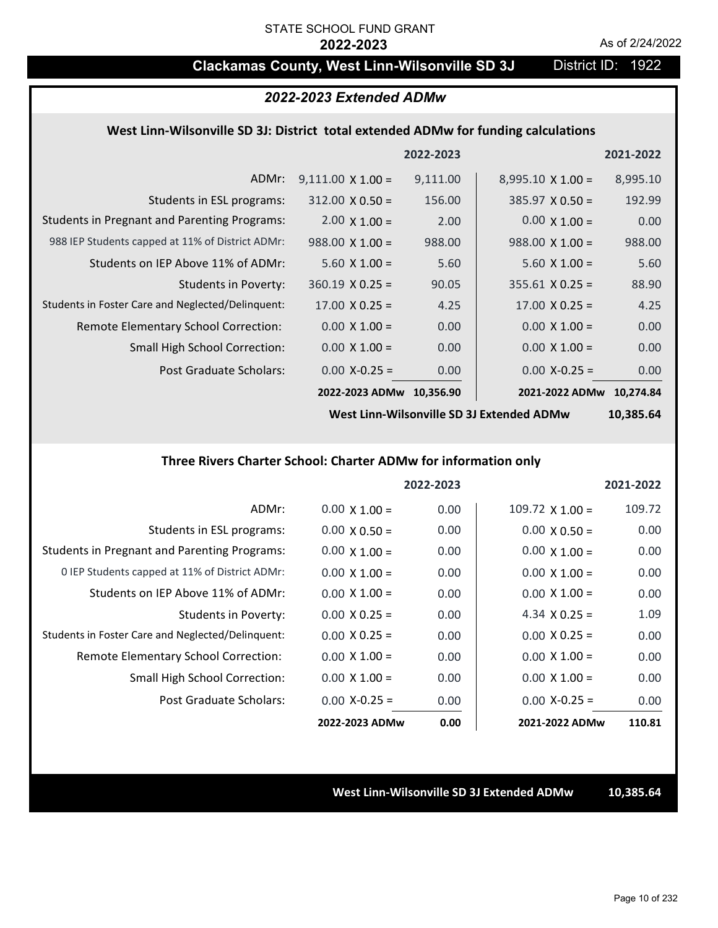#### **Clackamas County, West Linn-Wilsonville SD 3J** District ID: 1922

#### *2022-2023 Extended ADMw*

#### **West Linn‐Wilsonville SD 3J: District total extended ADMw for funding calculations**

|                                                     |                          | 2022-2023 |                          | 2021-2022 |
|-----------------------------------------------------|--------------------------|-----------|--------------------------|-----------|
| ADMr:                                               | $9,111.00 \times 1.00 =$ | 9,111.00  | $8,995.10 \times 1.00 =$ | 8,995.10  |
| Students in ESL programs:                           | $312.00 \times 0.50 =$   | 156.00    | $385.97 \times 0.50 =$   | 192.99    |
| <b>Students in Pregnant and Parenting Programs:</b> | $2.00 \times 1.00 =$     | 2.00      | $0.00 \times 1.00 =$     | 0.00      |
| 988 IEP Students capped at 11% of District ADMr:    | $988.00 \times 1.00 =$   | 988.00    | $988.00 \times 1.00 =$   | 988.00    |
| Students on IEP Above 11% of ADMr:                  | $5.60 \times 1.00 =$     | 5.60      | $5.60 \times 1.00 =$     | 5.60      |
| <b>Students in Poverty:</b>                         | $360.19 \times 0.25 =$   | 90.05     | $355.61$ X 0.25 =        | 88.90     |
| Students in Foster Care and Neglected/Delinquent:   | $17.00 \times 0.25 =$    | 4.25      | $17.00 \times 0.25 =$    | 4.25      |
| Remote Elementary School Correction:                | $0.00 \times 1.00 =$     | 0.00      | $0.00 \times 1.00 =$     | 0.00      |
| <b>Small High School Correction:</b>                | $0.00 \times 1.00 =$     | 0.00      | $0.00 \times 1.00 =$     | 0.00      |
| Post Graduate Scholars:                             | $0.00 X - 0.25 =$        | 0.00      | $0.00$ X-0.25 =          | 0.00      |
|                                                     | 2022-2023 ADMw           | 10.356.90 | 2021-2022 ADMw           | 10.274.84 |

**West Linn‐Wilsonville SD 3J Extended ADMw**

**10,385.64**

#### **Three Rivers Charter School: Charter ADMw for information only**

|                                                     |                      | 2022-2023 |                        | 2021-2022 |
|-----------------------------------------------------|----------------------|-----------|------------------------|-----------|
| ADMr:                                               | $0.00 \times 1.00 =$ | 0.00      | $109.72 \times 1.00 =$ | 109.72    |
| Students in ESL programs:                           | $0.00 \times 0.50 =$ | 0.00      | $0.00 \times 0.50 =$   | 0.00      |
| <b>Students in Pregnant and Parenting Programs:</b> | $0.00 \times 1.00 =$ | 0.00      | $0.00 \times 1.00 =$   | 0.00      |
| 0 IEP Students capped at 11% of District ADMr:      | $0.00 \times 1.00 =$ | 0.00      | $0.00 \times 1.00 =$   | 0.00      |
| Students on IEP Above 11% of ADMr:                  | $0.00 \times 1.00 =$ | 0.00      | $0.00 \times 1.00 =$   | 0.00      |
| Students in Poverty:                                | $0.00 \times 0.25 =$ | 0.00      | 4.34 $X$ 0.25 =        | 1.09      |
| Students in Foster Care and Neglected/Delinquent:   | $0.00 \times 0.25 =$ | 0.00      | $0.00 \times 0.25 =$   | 0.00      |
| Remote Elementary School Correction:                | $0.00 \times 1.00 =$ | 0.00      | $0.00 \times 1.00 =$   | 0.00      |
| <b>Small High School Correction:</b>                | $0.00 \times 1.00 =$ | 0.00      | $0.00 \times 1.00 =$   | 0.00      |
| Post Graduate Scholars:                             | $0.00$ X-0.25 =      | 0.00      | $0.00 X-0.25 =$        | 0.00      |
|                                                     | 2022-2023 ADMw       | 0.00      | 2021-2022 ADMw         | 110.81    |

**West Linn‐Wilsonville SD 3J Extended ADMw 10,385.64**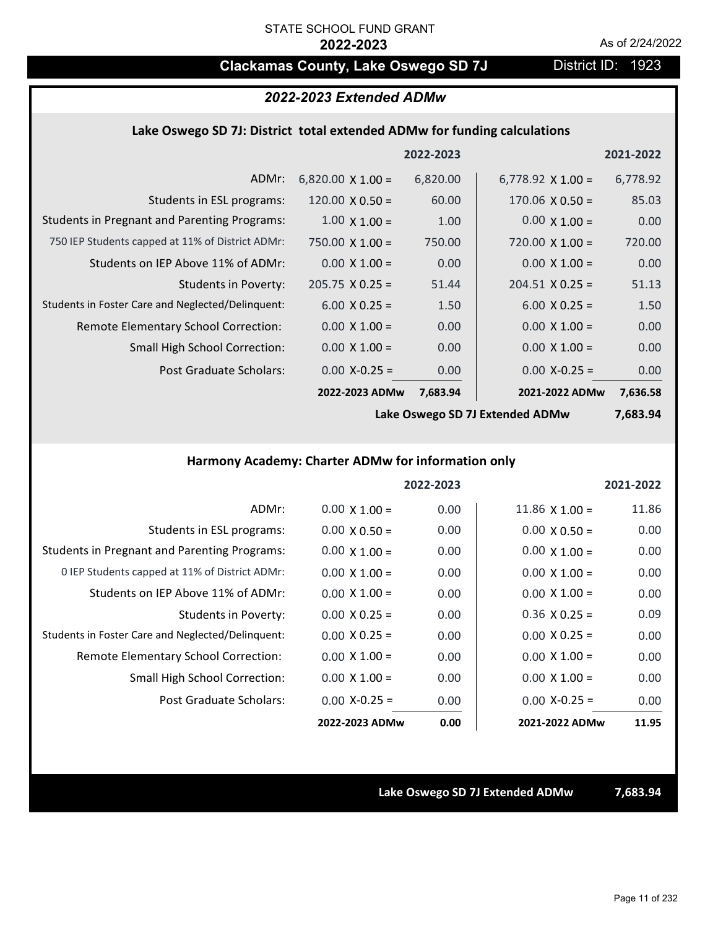## **Clackamas County, Lake Oswego SD 7J District ID: 1923**

## *2022-2023 Extended ADMw*

#### **Lake Oswego SD 7J: District total extended ADMw for funding calculations**

|                                                     |                          | 2022-2023 |                          | 2021-2022 |
|-----------------------------------------------------|--------------------------|-----------|--------------------------|-----------|
| ADMr:                                               | $6,820.00 \times 1.00 =$ | 6,820.00  | 6,778.92 $\times$ 1.00 = | 6,778.92  |
| Students in ESL programs:                           | $120.00 \times 0.50 =$   | 60.00     | $170.06 \times 0.50 =$   | 85.03     |
| <b>Students in Pregnant and Parenting Programs:</b> | $1.00 \times 1.00 =$     | 1.00      | $0.00 \times 1.00 =$     | 0.00      |
| 750 IEP Students capped at 11% of District ADMr:    | $750.00 \times 1.00 =$   | 750.00    | $720.00 \times 1.00 =$   | 720.00    |
| Students on IEP Above 11% of ADMr:                  | $0.00 \times 1.00 =$     | 0.00      | $0.00 \times 1.00 =$     | 0.00      |
| Students in Poverty:                                | $205.75 \times 0.25 =$   | 51.44     | $204.51$ X 0.25 =        | 51.13     |
| Students in Foster Care and Neglected/Delinquent:   | $6.00 \times 0.25 =$     | 1.50      | $6.00 \times 0.25 =$     | 1.50      |
| Remote Elementary School Correction:                | $0.00 \times 1.00 =$     | 0.00      | $0.00 \times 1.00 =$     | 0.00      |
| <b>Small High School Correction:</b>                | $0.00 \times 1.00 =$     | 0.00      | $0.00 \times 1.00 =$     | 0.00      |
| Post Graduate Scholars:                             | $0.00$ X-0.25 =          | 0.00      | $0.00$ X-0.25 =          | 0.00      |
|                                                     | 2022-2023 ADMw           | 7,683.94  | 2021-2022 ADMw           | 7,636.58  |

**Lake Oswego SD 7J Extended ADMw**

**7,683.94**

#### **Harmony Academy: Charter ADMw for information only**

|                                                     |                      | 2022-2023 |                       | 2021-2022 |
|-----------------------------------------------------|----------------------|-----------|-----------------------|-----------|
| ADMr:                                               | $0.00 \times 1.00 =$ | 0.00      | $11.86 \times 1.00 =$ | 11.86     |
| Students in ESL programs:                           | $0.00 \times 0.50 =$ | 0.00      | $0.00 \times 0.50 =$  | 0.00      |
| <b>Students in Pregnant and Parenting Programs:</b> | $0.00 \times 1.00 =$ | 0.00      | $0.00 \times 1.00 =$  | 0.00      |
| 0 IEP Students capped at 11% of District ADMr:      | $0.00 \times 1.00 =$ | 0.00      | $0.00 \times 1.00 =$  | 0.00      |
| Students on IEP Above 11% of ADMr:                  | $0.00 \times 1.00 =$ | 0.00      | $0.00 \times 1.00 =$  | 0.00      |
| Students in Poverty:                                | $0.00 \times 0.25 =$ | 0.00      | $0.36 \times 0.25 =$  | 0.09      |
| Students in Foster Care and Neglected/Delinquent:   | $0.00 \times 0.25 =$ | 0.00      | $0.00 \times 0.25 =$  | 0.00      |
| Remote Elementary School Correction:                | $0.00 \times 1.00 =$ | 0.00      | $0.00 \times 1.00 =$  | 0.00      |
| <b>Small High School Correction:</b>                | $0.00 \times 1.00 =$ | 0.00      | $0.00 \times 1.00 =$  | 0.00      |
| Post Graduate Scholars:                             | $0.00 X-0.25 =$      | 0.00      | $0.00 X-0.25 =$       | 0.00      |
|                                                     | 2022-2023 ADMw       | 0.00      | 2021-2022 ADMw        | 11.95     |

**Lake Oswego SD 7J Extended ADMw 7,683.94**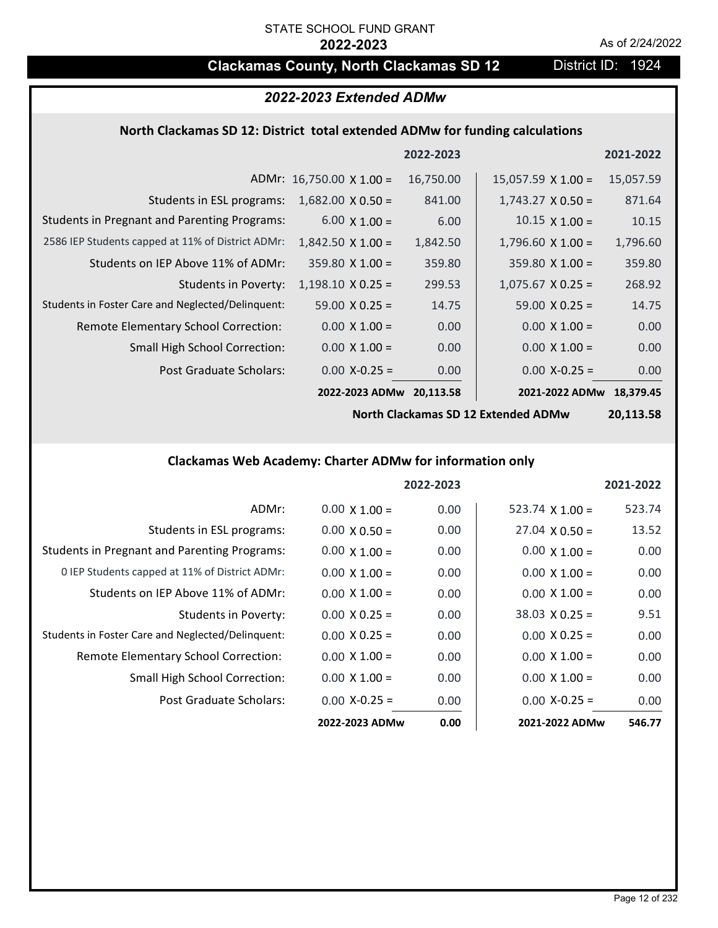## **Clackamas County, North Clackamas SD 12** District ID: 1924

## *2022-2023 Extended ADMw*

## **North Clackamas SD 12: District total extended ADMw for funding calculations**

|                                                     |                                 | 2022-2023 |                           | 2021-2022 |
|-----------------------------------------------------|---------------------------------|-----------|---------------------------|-----------|
|                                                     | ADMr: $16,750.00 \times 1.00 =$ | 16,750.00 | $15,057.59 \times 1.00 =$ | 15,057.59 |
| Students in ESL programs:                           | $1,682.00 \times 0.50 =$        | 841.00    | $1,743.27 \times 0.50 =$  | 871.64    |
| <b>Students in Pregnant and Parenting Programs:</b> | $6.00 \times 1.00 =$            | 6.00      | $10.15 \times 1.00 =$     | 10.15     |
| 2586 IEP Students capped at 11% of District ADMr:   | $1,842.50 \times 1.00 =$        | 1,842.50  | $1,796.60 \times 1.00 =$  | 1,796.60  |
| Students on IEP Above 11% of ADMr:                  | $359.80 \times 1.00 =$          | 359.80    | $359.80 \times 1.00 =$    | 359.80    |
| <b>Students in Poverty:</b>                         | $1,198.10 \times 0.25 =$        | 299.53    | $1,075.67$ X 0.25 =       | 268.92    |
| Students in Foster Care and Neglected/Delinquent:   | $59.00 \times 0.25 =$           | 14.75     | $59.00 \times 0.25 =$     | 14.75     |
| Remote Elementary School Correction:                | $0.00 \times 1.00 =$            | 0.00      | $0.00 \times 1.00 =$      | 0.00      |
| <b>Small High School Correction:</b>                | $0.00 \times 1.00 =$            | 0.00      | $0.00 \times 1.00 =$      | 0.00      |
| Post Graduate Scholars:                             | $0.00$ X-0.25 =                 | 0.00      | $0.00$ X-0.25 =           | 0.00      |
|                                                     | 2022-2023 ADMw                  | 20,113.58 | 2021-2022 ADMw            | 18,379.45 |

**North Clackamas SD 12 Extended ADMw**

**20,113.58**

### **Clackamas Web Academy: Charter ADMw for information only**

|                                                     |                      | 2022-2023 |                        | 2021-2022 |
|-----------------------------------------------------|----------------------|-----------|------------------------|-----------|
| ADMr:                                               | $0.00 \times 1.00 =$ | 0.00      | $523.74 \times 1.00 =$ | 523.74    |
| Students in ESL programs:                           | $0.00 \times 0.50 =$ | 0.00      | $27.04 \times 0.50 =$  | 13.52     |
| <b>Students in Pregnant and Parenting Programs:</b> | $0.00 \times 1.00 =$ | 0.00      | $0.00 \times 1.00 =$   | 0.00      |
| 0 IEP Students capped at 11% of District ADMr:      | $0.00 \times 1.00 =$ | 0.00      | $0.00 \times 1.00 =$   | 0.00      |
| Students on IEP Above 11% of ADMr:                  | $0.00 \times 1.00 =$ | 0.00      | $0.00 \times 1.00 =$   | 0.00      |
| Students in Poverty:                                | $0.00 \times 0.25 =$ | 0.00      | $38.03 \times 0.25 =$  | 9.51      |
| Students in Foster Care and Neglected/Delinquent:   | $0.00 \times 0.25 =$ | 0.00      | $0.00 \times 0.25 =$   | 0.00      |
| Remote Elementary School Correction:                | $0.00 \times 1.00 =$ | 0.00      | $0.00 \times 1.00 =$   | 0.00      |
| <b>Small High School Correction:</b>                | $0.00 \times 1.00 =$ | 0.00      | $0.00 \times 1.00 =$   | 0.00      |
| Post Graduate Scholars:                             | $0.00 X-0.25 =$      | 0.00      | $0.00 X-0.25 =$        | 0.00      |
|                                                     | 2022-2023 ADMw       | 0.00      | 2021-2022 ADMw         | 546.77    |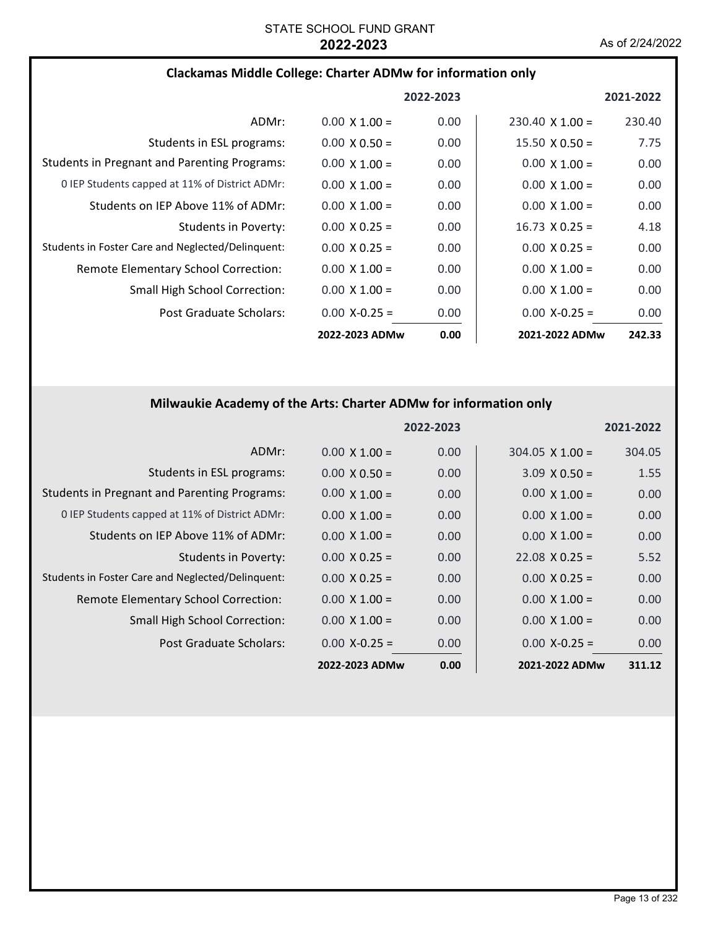### **Clackamas Middle College: Charter ADMw for information only**

|                                                     |                      | 2022-2023 |                        | 2021-2022 |
|-----------------------------------------------------|----------------------|-----------|------------------------|-----------|
| ADMr:                                               | $0.00 \times 1.00 =$ | 0.00      | $230.40 \times 1.00 =$ | 230.40    |
| Students in ESL programs:                           | $0.00 \times 0.50 =$ | 0.00      | $15.50 \times 0.50 =$  | 7.75      |
| <b>Students in Pregnant and Parenting Programs:</b> | $0.00 \times 1.00 =$ | 0.00      | $0.00 \times 1.00 =$   | 0.00      |
| 0 IEP Students capped at 11% of District ADMr:      | $0.00 \times 1.00 =$ | 0.00      | $0.00 \times 1.00 =$   | 0.00      |
| Students on IEP Above 11% of ADMr:                  | $0.00 \times 1.00 =$ | 0.00      | $0.00 \times 1.00 =$   | 0.00      |
| Students in Poverty:                                | $0.00 \times 0.25 =$ | 0.00      | $16.73 \times 0.25 =$  | 4.18      |
| Students in Foster Care and Neglected/Delinquent:   | $0.00 \times 0.25 =$ | 0.00      | $0.00 \times 0.25 =$   | 0.00      |
| Remote Elementary School Correction:                | $0.00 \times 1.00 =$ | 0.00      | $0.00 \times 1.00 =$   | 0.00      |
| <b>Small High School Correction:</b>                | $0.00 \times 1.00 =$ | 0.00      | $0.00 \times 1.00 =$   | 0.00      |
| Post Graduate Scholars:                             | $0.00 X - 0.25 =$    | 0.00      | $0.00 X - 0.25 =$      | 0.00      |
|                                                     | 2022-2023 ADMw       | 0.00      | 2021-2022 ADMw         | 242.33    |

## **Milwaukie Academy of the Arts: Charter ADMw for information only**

|                                                     |                      | 2022-2023 |                       | 2021-2022 |
|-----------------------------------------------------|----------------------|-----------|-----------------------|-----------|
| ADMr:                                               | $0.00 \times 1.00 =$ | 0.00      | $304.05$ X 1.00 =     | 304.05    |
| Students in ESL programs:                           | $0.00 \times 0.50 =$ | 0.00      | $3.09 \times 0.50 =$  | 1.55      |
| <b>Students in Pregnant and Parenting Programs:</b> | $0.00 \times 1.00 =$ | 0.00      | $0.00 \times 1.00 =$  | 0.00      |
| 0 IEP Students capped at 11% of District ADMr:      | $0.00 \times 1.00 =$ | 0.00      | $0.00 \times 1.00 =$  | 0.00      |
| Students on IEP Above 11% of ADMr:                  | $0.00 \times 1.00 =$ | 0.00      | $0.00 \times 1.00 =$  | 0.00      |
| <b>Students in Poverty:</b>                         | $0.00 \times 0.25 =$ | 0.00      | $22.08 \times 0.25 =$ | 5.52      |
| Students in Foster Care and Neglected/Delinquent:   | $0.00 \times 0.25 =$ | 0.00      | $0.00 \times 0.25 =$  | 0.00      |
| Remote Elementary School Correction:                | $0.00 \times 1.00 =$ | 0.00      | $0.00 \times 1.00 =$  | 0.00      |
| <b>Small High School Correction:</b>                | $0.00 \times 1.00 =$ | 0.00      | $0.00 \times 1.00 =$  | 0.00      |
| Post Graduate Scholars:                             | $0.00$ X-0.25 =      | 0.00      | $0.00$ X-0.25 =       | 0.00      |
|                                                     | 2022-2023 ADMw       | 0.00      | 2021-2022 ADMw        | 311.12    |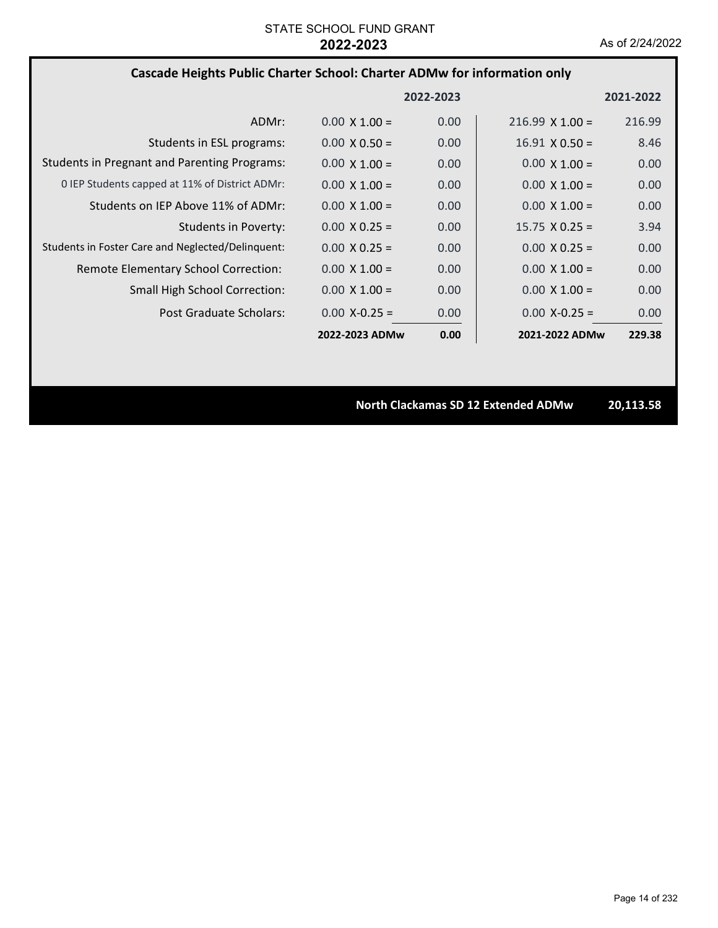### **Cascade Heights Public Charter School: Charter ADMw for information only**

|                                                     |                      | 2022-2023 |                        | 2021-2022 |
|-----------------------------------------------------|----------------------|-----------|------------------------|-----------|
| ADMr:                                               | $0.00 \times 1.00 =$ | 0.00      | $216.99 \times 1.00 =$ | 216.99    |
| Students in ESL programs:                           | $0.00 \times 0.50 =$ | 0.00      | $16.91 \times 0.50 =$  | 8.46      |
| <b>Students in Pregnant and Parenting Programs:</b> | $0.00 \times 1.00 =$ | 0.00      | $0.00 \times 1.00 =$   | 0.00      |
| 0 IEP Students capped at 11% of District ADMr:      | $0.00 \times 1.00 =$ | 0.00      | $0.00 \times 1.00 =$   | 0.00      |
| Students on IEP Above 11% of ADMr:                  | $0.00 \times 1.00 =$ | 0.00      | $0.00 \times 1.00 =$   | 0.00      |
| Students in Poverty:                                | $0.00 \times 0.25 =$ | 0.00      | $15.75 \times 0.25 =$  | 3.94      |
| Students in Foster Care and Neglected/Delinquent:   | $0.00 \times 0.25 =$ | 0.00      | $0.00 \times 0.25 =$   | 0.00      |
| Remote Elementary School Correction:                | $0.00 \times 1.00 =$ | 0.00      | $0.00 \times 1.00 =$   | 0.00      |
| <b>Small High School Correction:</b>                | $0.00 \times 1.00 =$ | 0.00      | $0.00 \times 1.00 =$   | 0.00      |
| Post Graduate Scholars:                             | $0.00 X - 0.25 =$    | 0.00      | $0.00 X - 0.25 =$      | 0.00      |
|                                                     | 2022-2023 ADMw       | 0.00      | 2021-2022 ADMw         | 229.38    |

**North Clackamas SD 12 Extended ADMw 20,113.58**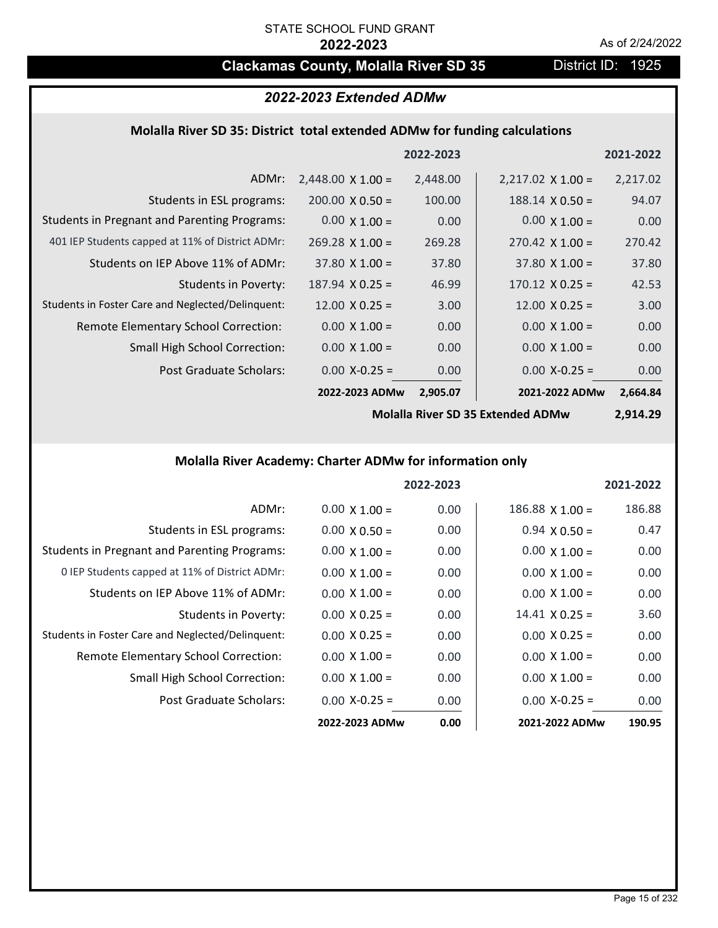## **Clackamas County, Molalla River SD 35** District ID: 1925

## *2022-2023 Extended ADMw*

## **Molalla River SD 35: District total extended ADMw for funding calculations**

|                                                     |                          | 2022-2023 |                          | 2021-2022 |
|-----------------------------------------------------|--------------------------|-----------|--------------------------|-----------|
| ADMr:                                               | $2,448.00 \times 1.00 =$ | 2,448.00  | $2,217.02 \times 1.00 =$ | 2,217.02  |
| Students in ESL programs:                           | $200.00 \times 0.50 =$   | 100.00    | $188.14 \times 0.50 =$   | 94.07     |
| <b>Students in Pregnant and Parenting Programs:</b> | $0.00 \times 1.00 =$     | 0.00      | $0.00 \times 1.00 =$     | 0.00      |
| 401 IEP Students capped at 11% of District ADMr:    | $269.28 \times 1.00 =$   | 269.28    | $270.42 \times 1.00 =$   | 270.42    |
| Students on IEP Above 11% of ADMr:                  | $37.80 \times 1.00 =$    | 37.80     | $37.80 \times 1.00 =$    | 37.80     |
| Students in Poverty:                                | $187.94 \times 0.25 =$   | 46.99     | $170.12 \times 0.25 =$   | 42.53     |
| Students in Foster Care and Neglected/Delinquent:   | $12.00 \times 0.25 =$    | 3.00      | $12.00 \times 0.25 =$    | 3.00      |
| Remote Elementary School Correction:                | $0.00 \times 1.00 =$     | 0.00      | $0.00 \times 1.00 =$     | 0.00      |
| <b>Small High School Correction:</b>                | $0.00 \times 1.00 =$     | 0.00      | $0.00 \times 1.00 =$     | 0.00      |
| Post Graduate Scholars:                             | $0.00$ X-0.25 =          | 0.00      | $0.00$ X-0.25 =          | 0.00      |
|                                                     | 2022-2023 ADMw           | 2,905.07  | 2021-2022 ADMw           | 2,664.84  |

**Molalla River SD 35 Extended ADMw**

**2,914.29**

## **Molalla River Academy: Charter ADMw for information only**

|                                                     |                      | 2022-2023 |                        | 2021-2022 |
|-----------------------------------------------------|----------------------|-----------|------------------------|-----------|
| ADMr:                                               | $0.00 \times 1.00 =$ | 0.00      | $186.88 \times 1.00 =$ | 186.88    |
| Students in ESL programs:                           | $0.00 \times 0.50 =$ | 0.00      | $0.94 \times 0.50 =$   | 0.47      |
| <b>Students in Pregnant and Parenting Programs:</b> | $0.00 \times 1.00 =$ | 0.00      | $0.00 \times 1.00 =$   | 0.00      |
| 0 IEP Students capped at 11% of District ADMr:      | $0.00 \times 1.00 =$ | 0.00      | $0.00 \times 1.00 =$   | 0.00      |
| Students on IEP Above 11% of ADMr:                  | $0.00 \times 1.00 =$ | 0.00      | $0.00 \times 1.00 =$   | 0.00      |
| Students in Poverty:                                | $0.00 \times 0.25 =$ | 0.00      | $14.41 \times 0.25 =$  | 3.60      |
| Students in Foster Care and Neglected/Delinquent:   | $0.00 \times 0.25 =$ | 0.00      | $0.00 \times 0.25 =$   | 0.00      |
| Remote Elementary School Correction:                | $0.00 \times 1.00 =$ | 0.00      | $0.00 \times 1.00 =$   | 0.00      |
| <b>Small High School Correction:</b>                | $0.00 \times 1.00 =$ | 0.00      | $0.00 \times 1.00 =$   | 0.00      |
| Post Graduate Scholars:                             | $0.00 X-0.25 =$      | 0.00      | $0.00 X-0.25 =$        | 0.00      |
|                                                     | 2022-2023 ADMw       | 0.00      | 2021-2022 ADMw         | 190.95    |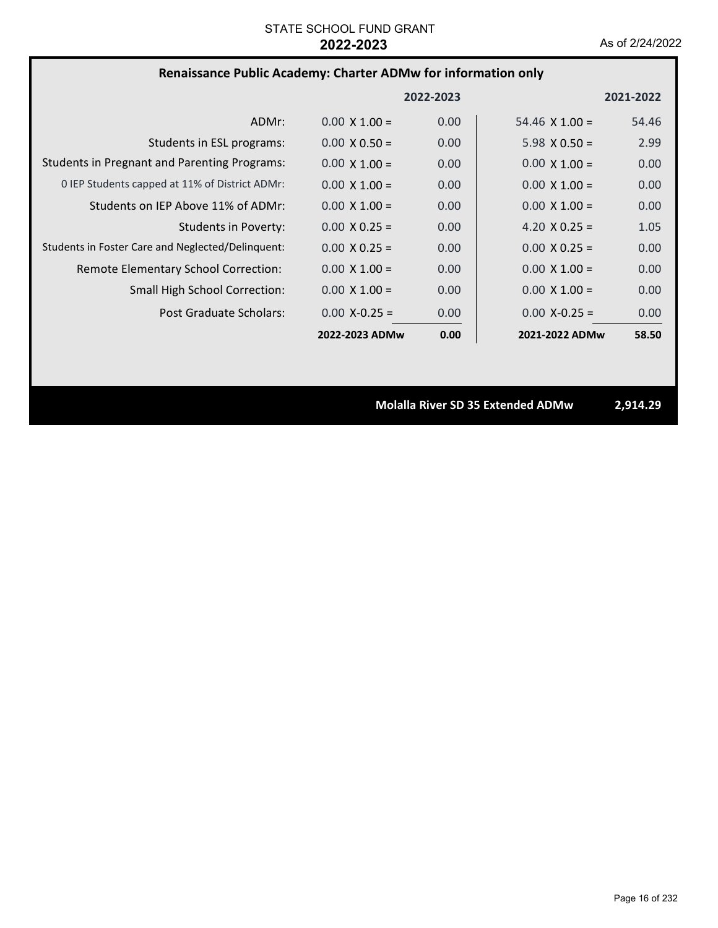### **Renaissance Public Academy: Charter ADMw for information only**

|                                                     |                      | 2022-2023 |                       | 2021-2022 |
|-----------------------------------------------------|----------------------|-----------|-----------------------|-----------|
| ADMr:                                               | $0.00 \times 1.00 =$ | 0.00      | 54.46 $\times$ 1.00 = | 54.46     |
| Students in ESL programs:                           | $0.00 \times 0.50 =$ | 0.00      | $5.98 \times 0.50 =$  | 2.99      |
| <b>Students in Pregnant and Parenting Programs:</b> | $0.00 \times 1.00 =$ | 0.00      | $0.00 \times 1.00 =$  | 0.00      |
| 0 IEP Students capped at 11% of District ADMr:      | $0.00 \times 1.00 =$ | 0.00      | $0.00 \times 1.00 =$  | 0.00      |
| Students on IEP Above 11% of ADMr:                  | $0.00 \times 1.00 =$ | 0.00      | $0.00 \times 1.00 =$  | 0.00      |
| Students in Poverty:                                | $0.00 \times 0.25 =$ | 0.00      | 4.20 $X$ 0.25 =       | 1.05      |
| Students in Foster Care and Neglected/Delinquent:   | $0.00 \times 0.25 =$ | 0.00      | $0.00 \times 0.25 =$  | 0.00      |
| Remote Elementary School Correction:                | $0.00 \times 1.00 =$ | 0.00      | $0.00 \times 1.00 =$  | 0.00      |
| <b>Small High School Correction:</b>                | $0.00 \times 1.00 =$ | 0.00      | $0.00 \times 1.00 =$  | 0.00      |
| Post Graduate Scholars:                             | $0.00 X - 0.25 =$    | 0.00      | $0.00 X - 0.25 =$     | 0.00      |
|                                                     | 2022-2023 ADMw       | 0.00      | 2021-2022 ADMw        | 58.50     |

**Molalla River SD 35 Extended ADMw 2,914.29**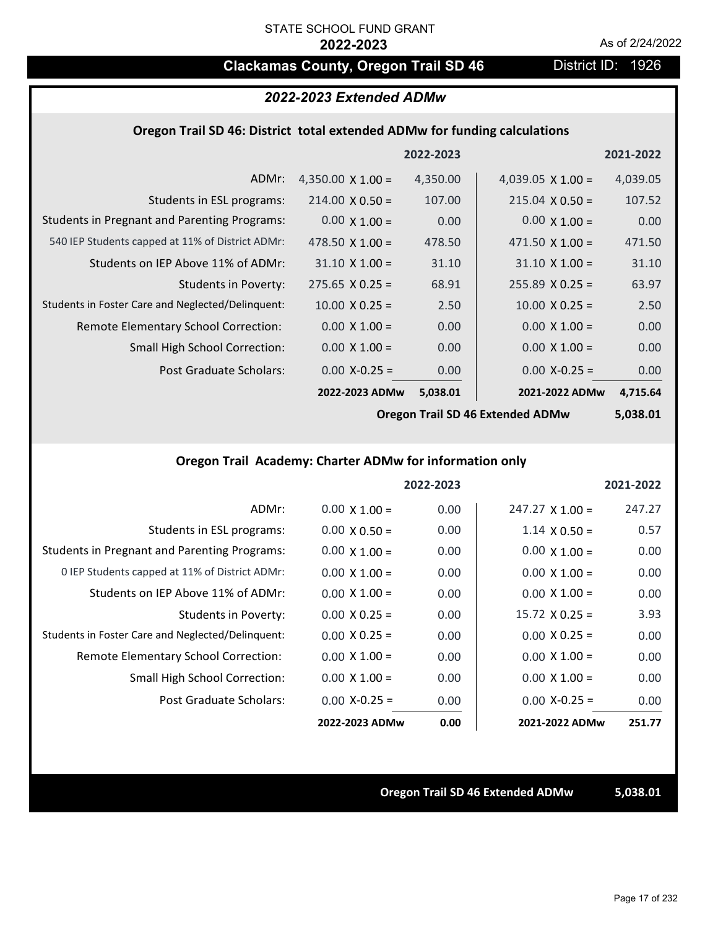## **Clackamas County, Oregon Trail SD 46** District ID: 1926

## *2022-2023 Extended ADMw*

#### **Oregon Trail SD 46: District total extended ADMw for funding calculations**

|                                                     |                          | 2022-2023 |                          | 2021-2022 |
|-----------------------------------------------------|--------------------------|-----------|--------------------------|-----------|
| ADMr:                                               | 4,350.00 $\times$ 1.00 = | 4,350.00  | $4,039.05 \times 1.00 =$ | 4,039.05  |
| Students in ESL programs:                           | $214.00 \times 0.50 =$   | 107.00    | $215.04 \times 0.50 =$   | 107.52    |
| <b>Students in Pregnant and Parenting Programs:</b> | $0.00 \times 1.00 =$     | 0.00      | $0.00 \times 1.00 =$     | 0.00      |
| 540 IEP Students capped at 11% of District ADMr:    | $478.50 \times 1.00 =$   | 478.50    | $471.50 \times 1.00 =$   | 471.50    |
| Students on IEP Above 11% of ADMr:                  | $31.10 \times 1.00 =$    | 31.10     | $31.10 \times 1.00 =$    | 31.10     |
| Students in Poverty:                                | $275.65 \times 0.25 =$   | 68.91     | $255.89 \times 0.25 =$   | 63.97     |
| Students in Foster Care and Neglected/Delinquent:   | $10.00 \times 0.25 =$    | 2.50      | $10.00 \times 0.25 =$    | 2.50      |
| Remote Elementary School Correction:                | $0.00 \times 1.00 =$     | 0.00      | $0.00 \times 1.00 =$     | 0.00      |
| <b>Small High School Correction:</b>                | $0.00 \times 1.00 =$     | 0.00      | $0.00 \times 1.00 =$     | 0.00      |
| Post Graduate Scholars:                             | $0.00 X - 0.25 =$        | 0.00      | $0.00$ X-0.25 =          | 0.00      |
|                                                     | 2022-2023 ADMw           | 5,038.01  | 2021-2022 ADMw           | 4,715.64  |

**Oregon Trail SD 46 Extended ADMw**

**5,038.01**

## **Oregon Trail Academy: Charter ADMw for information only**

|                                                     |                      | 2022-2023 |                        | 2021-2022 |
|-----------------------------------------------------|----------------------|-----------|------------------------|-----------|
| ADMr:                                               | $0.00 \times 1.00 =$ | 0.00      | $247.27 \times 1.00 =$ | 247.27    |
| Students in ESL programs:                           | $0.00 \times 0.50 =$ | 0.00      | $1.14 \times 0.50 =$   | 0.57      |
| <b>Students in Pregnant and Parenting Programs:</b> | $0.00 \times 1.00 =$ | 0.00      | $0.00 \times 1.00 =$   | 0.00      |
| 0 IEP Students capped at 11% of District ADMr:      | $0.00 \times 1.00 =$ | 0.00      | $0.00 \times 1.00 =$   | 0.00      |
| Students on IEP Above 11% of ADMr:                  | $0.00 \times 1.00 =$ | 0.00      | $0.00 \times 1.00 =$   | 0.00      |
| Students in Poverty:                                | $0.00 \times 0.25 =$ | 0.00      | $15.72 \times 0.25 =$  | 3.93      |
| Students in Foster Care and Neglected/Delinquent:   | $0.00 \times 0.25 =$ | 0.00      | $0.00 \times 0.25 =$   | 0.00      |
| Remote Elementary School Correction:                | $0.00 \times 1.00 =$ | 0.00      | $0.00 \times 1.00 =$   | 0.00      |
| <b>Small High School Correction:</b>                | $0.00 \times 1.00 =$ | 0.00      | $0.00 \times 1.00 =$   | 0.00      |
| Post Graduate Scholars:                             | $0.00$ X-0.25 =      | 0.00      | $0.00$ X-0.25 =        | 0.00      |
|                                                     | 2022-2023 ADMw       | 0.00      | 2021-2022 ADMw         | 251.77    |

**Oregon Trail SD 46 Extended ADMw 5,038.01**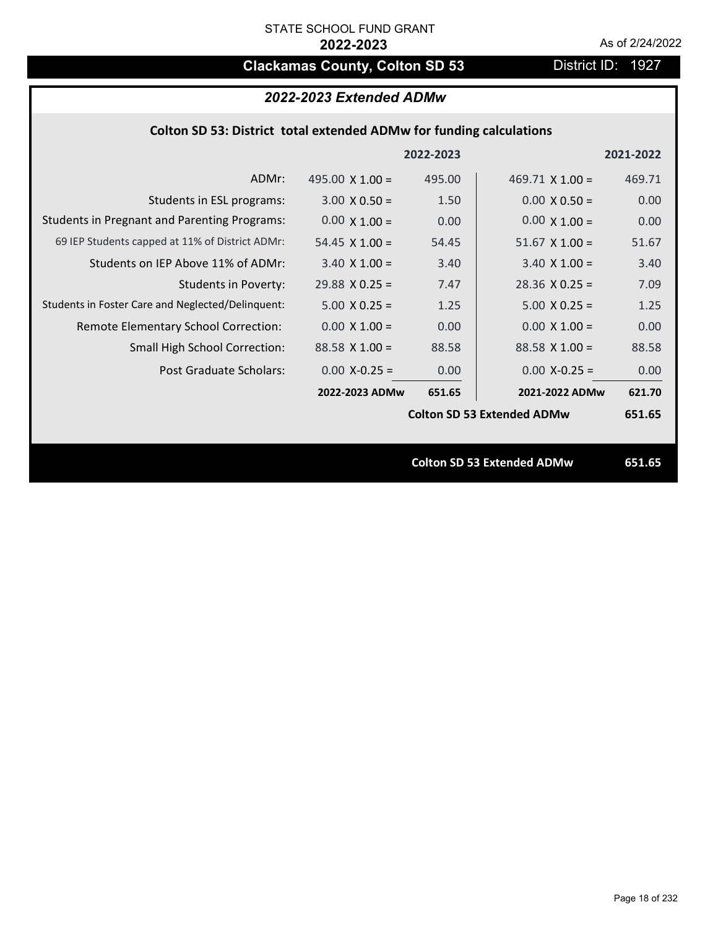# **Clackamas County, Colton SD 53** District ID: 1927

## *2022-2023 Extended ADMw*

## **Colton SD 53: District total extended ADMw for funding calculations**

|                                                     |                        | 2022-2023 |                                   | 2021-2022 |
|-----------------------------------------------------|------------------------|-----------|-----------------------------------|-----------|
| ADMr:                                               | 495.00 $\times$ 1.00 = | 495.00    | $469.71 \times 1.00 =$            | 469.71    |
| Students in ESL programs:                           | $3.00 \times 0.50 =$   | 1.50      | $0.00 \times 0.50 =$              | 0.00      |
| <b>Students in Pregnant and Parenting Programs:</b> | $0.00 \times 1.00 =$   | 0.00      | $0.00 \times 1.00 =$              | 0.00      |
| 69 IEP Students capped at 11% of District ADMr:     | 54.45 $\times$ 1.00 =  | 54.45     | $51.67 \times 1.00 =$             | 51.67     |
| Students on IEP Above 11% of ADMr:                  | $3.40 \times 1.00 =$   | 3.40      | $3.40 \times 1.00 =$              | 3.40      |
| <b>Students in Poverty:</b>                         | $29.88$ X 0.25 =       | 7.47      | $28.36$ X 0.25 =                  | 7.09      |
| Students in Foster Care and Neglected/Delinquent:   | $5.00 \times 0.25 =$   | 1.25      | $5.00 \times 0.25 =$              | 1.25      |
| Remote Elementary School Correction:                | $0.00 \times 1.00 =$   | 0.00      | $0.00 \times 1.00 =$              | 0.00      |
| <b>Small High School Correction:</b>                | $88.58$ X 1.00 =       | 88.58     | $88.58 \times 1.00 =$             | 88.58     |
| Post Graduate Scholars:                             | $0.00$ X-0.25 =        | 0.00      | $0.00 X - 0.25 =$                 | 0.00      |
|                                                     | 2022-2023 ADMw         | 651.65    | 2021-2022 ADMw                    | 621.70    |
|                                                     |                        |           | <b>Colton SD 53 Extended ADMw</b> | 651.65    |
|                                                     |                        |           |                                   |           |
|                                                     |                        |           | <b>Colton SD 53 Extended ADMw</b> | 651.65    |

Page 18 of 232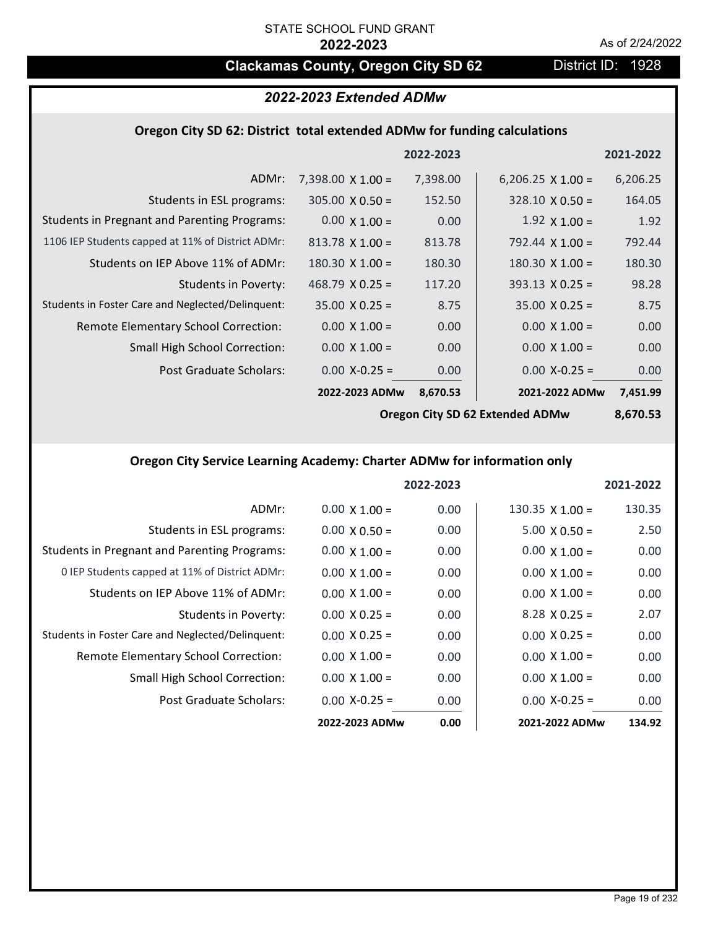## **Clackamas County, Oregon City SD 62** District ID: 1928

## *2022-2023 Extended ADMw*

## **Oregon City SD 62: District total extended ADMw for funding calculations**

|                                                     |                          | 2022-2023 |                          | 2021-2022 |
|-----------------------------------------------------|--------------------------|-----------|--------------------------|-----------|
| ADMr:                                               | $7,398.00 \times 1.00 =$ | 7,398.00  | $6,206.25 \times 1.00 =$ | 6,206.25  |
| Students in ESL programs:                           | $305.00 \times 0.50 =$   | 152.50    | $328.10 \times 0.50 =$   | 164.05    |
| <b>Students in Pregnant and Parenting Programs:</b> | $0.00 \times 1.00 =$     | 0.00      | $1.92 \times 1.00 =$     | 1.92      |
| 1106 IEP Students capped at 11% of District ADMr:   | $813.78 \times 1.00 =$   | 813.78    | $792.44 \times 1.00 =$   | 792.44    |
| Students on IEP Above 11% of ADMr:                  | $180.30 \times 1.00 =$   | 180.30    | $180.30 \times 1.00 =$   | 180.30    |
| <b>Students in Poverty:</b>                         | $468.79 \times 0.25 =$   | 117.20    | $393.13 \times 0.25 =$   | 98.28     |
| Students in Foster Care and Neglected/Delinquent:   | $35.00 \times 0.25 =$    | 8.75      | $35.00 \times 0.25 =$    | 8.75      |
| Remote Elementary School Correction:                | $0.00 \times 1.00 =$     | 0.00      | $0.00 \times 1.00 =$     | 0.00      |
| <b>Small High School Correction:</b>                | $0.00 \times 1.00 =$     | 0.00      | $0.00 \times 1.00 =$     | 0.00      |
| Post Graduate Scholars:                             | $0.00 X - 0.25 =$        | 0.00      | $0.00$ X-0.25 =          | 0.00      |
|                                                     | 2022-2023 ADMw           | 8,670.53  | 2021-2022 ADMw           | 7,451.99  |

**Oregon City SD 62 Extended ADMw**

**8,670.53**

## **Oregon City Service Learning Academy: Charter ADMw for information only**

|                                                     |                      | 2022-2023 |                        | 2021-2022 |
|-----------------------------------------------------|----------------------|-----------|------------------------|-----------|
| ADMr:                                               | $0.00 \times 1.00 =$ | 0.00      | $130.35 \times 1.00 =$ | 130.35    |
| Students in ESL programs:                           | $0.00 \times 0.50 =$ | 0.00      | $5.00 \times 0.50 =$   | 2.50      |
| <b>Students in Pregnant and Parenting Programs:</b> | $0.00 \times 1.00 =$ | 0.00      | $0.00 \times 1.00 =$   | 0.00      |
| 0 IEP Students capped at 11% of District ADMr:      | $0.00 \times 1.00 =$ | 0.00      | $0.00 \times 1.00 =$   | 0.00      |
| Students on IEP Above 11% of ADMr:                  | $0.00 \times 1.00 =$ | 0.00      | $0.00 \times 1.00 =$   | 0.00      |
| Students in Poverty:                                | $0.00 \times 0.25 =$ | 0.00      | $8.28 \times 0.25 =$   | 2.07      |
| Students in Foster Care and Neglected/Delinquent:   | $0.00 \times 0.25 =$ | 0.00      | $0.00 \times 0.25 =$   | 0.00      |
| Remote Elementary School Correction:                | $0.00 \times 1.00 =$ | 0.00      | $0.00 \times 1.00 =$   | 0.00      |
| <b>Small High School Correction:</b>                | $0.00 \times 1.00 =$ | 0.00      | $0.00 \times 1.00 =$   | 0.00      |
| Post Graduate Scholars:                             | $0.00 X - 0.25 =$    | 0.00      | $0.00 X-0.25 =$        | 0.00      |
|                                                     | 2022-2023 ADMw       | 0.00      | 2021-2022 ADMw         | 134.92    |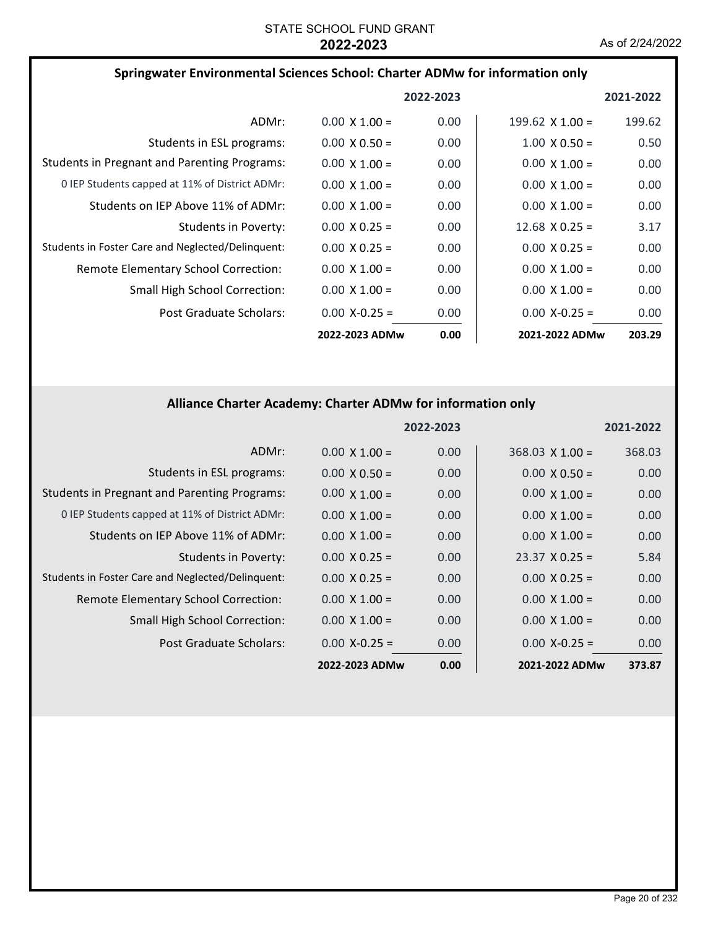| Springwater Environmental Sciences School: Charter ADMw for information only |                      |           |                        |           |
|------------------------------------------------------------------------------|----------------------|-----------|------------------------|-----------|
|                                                                              |                      | 2022-2023 |                        | 2021-2022 |
| ADMr:                                                                        | $0.00 \times 1.00 =$ | 0.00      | 199.62 $\times$ 1.00 = | 199.62    |
| Students in ESL programs:                                                    | $0.00 \times 0.50 =$ | 0.00      | $1.00 \times 0.50 =$   | 0.50      |
| <b>Students in Pregnant and Parenting Programs:</b>                          | $0.00 \times 1.00 =$ | 0.00      | $0.00 \times 1.00 =$   | 0.00      |
| 0 IEP Students capped at 11% of District ADMr:                               | $0.00 \times 1.00 =$ | 0.00      | $0.00 \times 1.00 =$   | 0.00      |
| Students on IEP Above 11% of ADMr:                                           | $0.00 \times 1.00 =$ | 0.00      | $0.00 \times 1.00 =$   | 0.00      |
| Students in Poverty:                                                         | $0.00 \times 0.25 =$ | 0.00      | $12.68 \times 0.25 =$  | 3.17      |
| Students in Foster Care and Neglected/Delinguent:                            | $0.00 \times 0.25 =$ | 0.00      | $0.00 \times 0.25 =$   | 0.00      |
| Remote Elementary School Correction:                                         | $0.00 \times 1.00 =$ | 0.00      | $0.00 \times 1.00 =$   | 0.00      |
| <b>Small High School Correction:</b>                                         | $0.00 \times 1.00 =$ | 0.00      | $0.00 \times 1.00 =$   | 0.00      |
| Post Graduate Scholars:                                                      | $0.00 X - 0.25 =$    | 0.00      | $0.00 X - 0.25 =$      | 0.00      |
|                                                                              | 2022-2023 ADMw       | 0.00      | 2021-2022 ADMw         | 203.29    |

## **Alliance Charter Academy: Charter ADMw for information only**

|                                                     |                      | 2022-2023 |                       | 2021-2022 |
|-----------------------------------------------------|----------------------|-----------|-----------------------|-----------|
| ADMr:                                               | $0.00 \times 1.00 =$ | 0.00      | $368.03$ X 1.00 =     | 368.03    |
| Students in ESL programs:                           | $0.00 \times 0.50 =$ | 0.00      | $0.00 \times 0.50 =$  | 0.00      |
| <b>Students in Pregnant and Parenting Programs:</b> | $0.00 \times 1.00 =$ | 0.00      | $0.00 \times 1.00 =$  | 0.00      |
| 0 IEP Students capped at 11% of District ADMr:      | $0.00 \times 1.00 =$ | 0.00      | $0.00 \times 1.00 =$  | 0.00      |
| Students on IEP Above 11% of ADMr:                  | $0.00 \times 1.00 =$ | 0.00      | $0.00 \times 1.00 =$  | 0.00      |
| <b>Students in Poverty:</b>                         | $0.00 \times 0.25 =$ | 0.00      | $23.37 \times 0.25 =$ | 5.84      |
| Students in Foster Care and Neglected/Delinquent:   | $0.00 \times 0.25 =$ | 0.00      | $0.00 \times 0.25 =$  | 0.00      |
| Remote Elementary School Correction:                | $0.00 \times 1.00 =$ | 0.00      | $0.00 \times 1.00 =$  | 0.00      |
| <b>Small High School Correction:</b>                | $0.00 \times 1.00 =$ | 0.00      | $0.00 \times 1.00 =$  | 0.00      |
| Post Graduate Scholars:                             | $0.00$ X-0.25 =      | 0.00      | $0.00 X - 0.25 =$     | 0.00      |
|                                                     | 2022-2023 ADMw       | 0.00      | 2021-2022 ADMw        | 373.87    |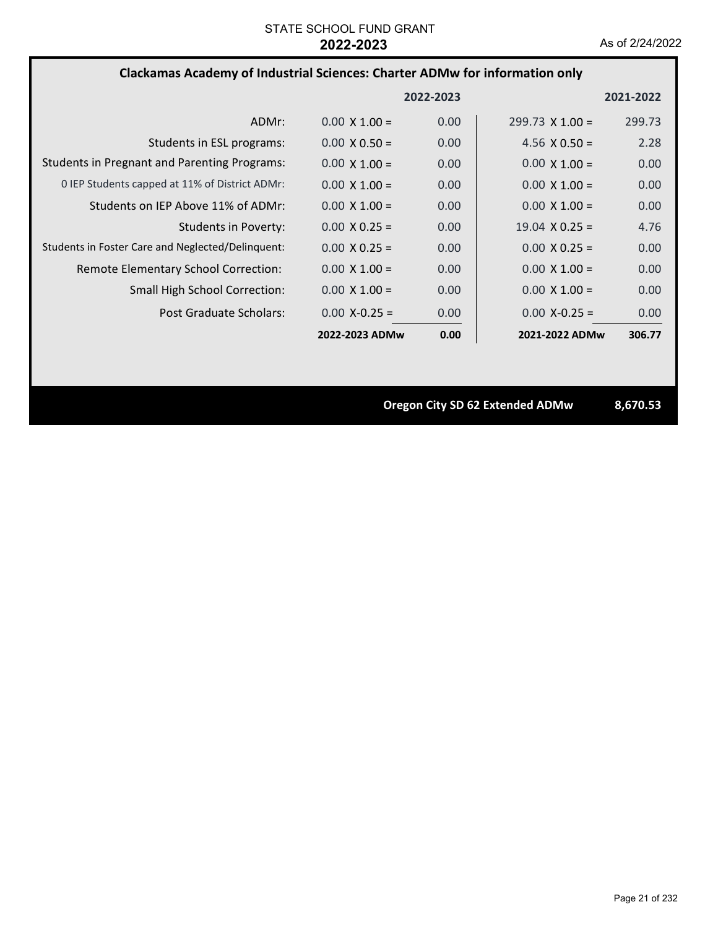### **Clackamas Academy of Industrial Sciences: Charter ADMw for information only**

|                                                     |                      | 2022-2023 |                        | 2021-2022 |
|-----------------------------------------------------|----------------------|-----------|------------------------|-----------|
| ADMr:                                               | $0.00 \times 1.00 =$ | 0.00      | $299.73 \times 1.00 =$ | 299.73    |
| Students in ESL programs:                           | $0.00 \times 0.50 =$ | 0.00      | 4.56 $\times$ 0.50 =   | 2.28      |
| <b>Students in Pregnant and Parenting Programs:</b> | $0.00 \times 1.00 =$ | 0.00      | $0.00 \times 1.00 =$   | 0.00      |
| 0 IEP Students capped at 11% of District ADMr:      | $0.00 \times 1.00 =$ | 0.00      | $0.00 \times 1.00 =$   | 0.00      |
| Students on IEP Above 11% of ADMr:                  | $0.00 \times 1.00 =$ | 0.00      | $0.00 \times 1.00 =$   | 0.00      |
| Students in Poverty:                                | $0.00 \times 0.25 =$ | 0.00      | $19.04 \times 0.25 =$  | 4.76      |
| Students in Foster Care and Neglected/Delinquent:   | $0.00 \times 0.25 =$ | 0.00      | $0.00 \times 0.25 =$   | 0.00      |
| Remote Elementary School Correction:                | $0.00 \times 1.00 =$ | 0.00      | $0.00 \times 1.00 =$   | 0.00      |
| <b>Small High School Correction:</b>                | $0.00 \times 1.00 =$ | 0.00      | $0.00 \times 1.00 =$   | 0.00      |
| Post Graduate Scholars:                             | $0.00 X - 0.25 =$    | 0.00      | $0.00 X - 0.25 =$      | 0.00      |
|                                                     | 2022-2023 ADMw       | 0.00      | 2021-2022 ADMw         | 306.77    |

**Oregon City SD 62 Extended ADMw 8,670.53**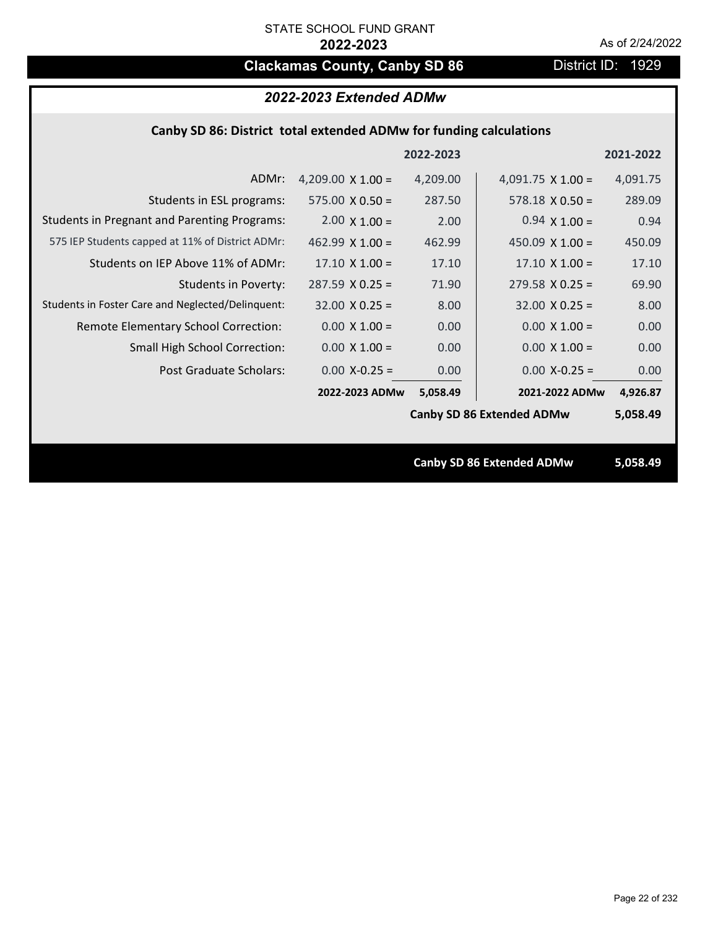# **Clackamas County, Canby SD 86** District ID: 1929

## *2022-2023 Extended ADMw*

### **Canby SD 86: District total extended ADMw for funding calculations**

|                                                     |                          | 2022-2023                        |                                  | 2021-2022 |  |
|-----------------------------------------------------|--------------------------|----------------------------------|----------------------------------|-----------|--|
| ADMr:                                               | 4,209.00 $\times$ 1.00 = | 4,209.00                         | 4,091.75 $\times$ 1.00 =         | 4,091.75  |  |
| Students in ESL programs:                           | $575.00 \times 0.50 =$   | 287.50                           | $578.18 \times 0.50 =$           | 289.09    |  |
| <b>Students in Pregnant and Parenting Programs:</b> | $2.00 \times 1.00 =$     | 2.00                             | $0.94 \times 1.00 =$             | 0.94      |  |
| 575 IEP Students capped at 11% of District ADMr:    | 462.99 $\times$ 1.00 =   | 462.99                           | 450.09 $\times$ 1.00 =           | 450.09    |  |
| Students on IEP Above 11% of ADMr:                  | $17.10 \times 1.00 =$    | 17.10                            | $17.10 \times 1.00 =$            | 17.10     |  |
| <b>Students in Poverty:</b>                         | $287.59 \times 0.25 =$   | 71.90                            | $279.58 \times 0.25 =$           | 69.90     |  |
| Students in Foster Care and Neglected/Delinquent:   | $32.00 \times 0.25 =$    | 8.00                             | $32.00 \times 0.25 =$            | 8.00      |  |
| Remote Elementary School Correction:                | $0.00 \times 1.00 =$     | 0.00                             | $0.00 \times 1.00 =$             | 0.00      |  |
| <b>Small High School Correction:</b>                | $0.00 \times 1.00 =$     | 0.00                             | $0.00 \times 1.00 =$             | 0.00      |  |
| Post Graduate Scholars:                             | $0.00$ X-0.25 =          | 0.00                             | $0.00$ X-0.25 =                  | 0.00      |  |
|                                                     | 2022-2023 ADMw           | 5,058.49                         | 2021-2022 ADMw                   | 4,926.87  |  |
|                                                     |                          |                                  | <b>Canby SD 86 Extended ADMw</b> | 5,058.49  |  |
|                                                     |                          |                                  |                                  |           |  |
|                                                     |                          | <b>Canby SD 86 Extended ADMw</b> |                                  |           |  |
|                                                     |                          |                                  |                                  | 5,058.49  |  |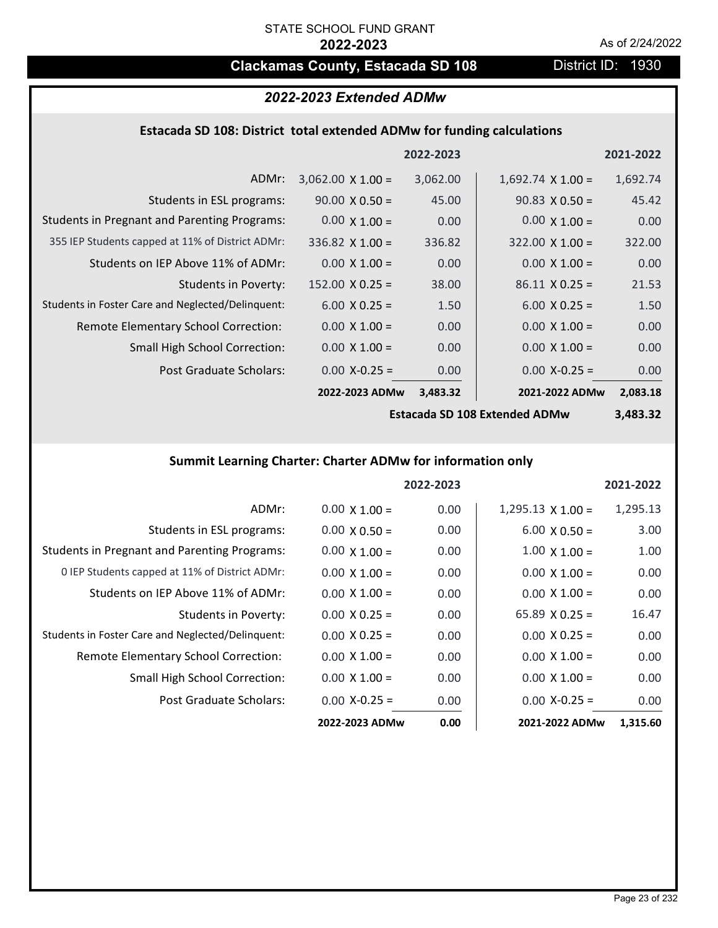## **Clackamas County, Estacada SD 108** District ID: 1930

## *2022-2023 Extended ADMw*

#### **Estacada SD 108: District total extended ADMw for funding calculations**

|                                                     |                          | 2022-2023 |                          | 2021-2022 |
|-----------------------------------------------------|--------------------------|-----------|--------------------------|-----------|
| ADMr:                                               | $3,062.00 \times 1.00 =$ | 3,062.00  | $1,692.74 \times 1.00 =$ | 1,692.74  |
| Students in ESL programs:                           | $90.00 \times 0.50 =$    | 45.00     | $90.83 \times 0.50 =$    | 45.42     |
| <b>Students in Pregnant and Parenting Programs:</b> | $0.00 \times 1.00 =$     | 0.00      | $0.00 \times 1.00 =$     | 0.00      |
| 355 IEP Students capped at 11% of District ADMr:    | $336.82 \times 1.00 =$   | 336.82    | $322.00 \times 1.00 =$   | 322.00    |
| Students on IEP Above 11% of ADMr:                  | $0.00 \times 1.00 =$     | 0.00      | $0.00 \times 1.00 =$     | 0.00      |
| Students in Poverty:                                | $152.00 \times 0.25 =$   | 38.00     | $86.11 \times 0.25 =$    | 21.53     |
| Students in Foster Care and Neglected/Delinquent:   | $6.00 \times 0.25 =$     | 1.50      | $6.00 \times 0.25 =$     | 1.50      |
| Remote Elementary School Correction:                | $0.00 \times 1.00 =$     | 0.00      | $0.00 \times 1.00 =$     | 0.00      |
| <b>Small High School Correction:</b>                | $0.00 \times 1.00 =$     | 0.00      | $0.00 \times 1.00 =$     | 0.00      |
| Post Graduate Scholars:                             | $0.00$ X-0.25 =          | 0.00      | $0.00$ X-0.25 =          | 0.00      |
|                                                     | 2022-2023 ADMw           | 3,483.32  | 2021-2022 ADMw           | 2,083.18  |

**Estacada SD 108 Extended ADMw**

**3,483.32**

## **Summit Learning Charter: Charter ADMw for information only**

|                                                     |                      | 2022-2023 |                          | 2021-2022 |
|-----------------------------------------------------|----------------------|-----------|--------------------------|-----------|
| ADMr:                                               | $0.00 \times 1.00 =$ | 0.00      | $1,295.13 \times 1.00 =$ | 1,295.13  |
| Students in ESL programs:                           | $0.00 \times 0.50 =$ | 0.00      | $6.00 \times 0.50 =$     | 3.00      |
| <b>Students in Pregnant and Parenting Programs:</b> | $0.00 \times 1.00 =$ | 0.00      | $1.00 \times 1.00 =$     | 1.00      |
| 0 IEP Students capped at 11% of District ADMr:      | $0.00 \times 1.00 =$ | 0.00      | $0.00 \times 1.00 =$     | 0.00      |
| Students on IEP Above 11% of ADMr:                  | $0.00 \times 1.00 =$ | 0.00      | $0.00 \times 1.00 =$     | 0.00      |
| <b>Students in Poverty:</b>                         | $0.00 \times 0.25 =$ | 0.00      | 65.89 $X$ 0.25 =         | 16.47     |
| Students in Foster Care and Neglected/Delinquent:   | $0.00 \times 0.25 =$ | 0.00      | $0.00 \times 0.25 =$     | 0.00      |
| Remote Elementary School Correction:                | $0.00 \times 1.00 =$ | 0.00      | $0.00 \times 1.00 =$     | 0.00      |
| <b>Small High School Correction:</b>                | $0.00 \times 1.00 =$ | 0.00      | $0.00 \times 1.00 =$     | 0.00      |
| Post Graduate Scholars:                             | $0.00$ X-0.25 =      | 0.00      | $0.00 X-0.25 =$          | 0.00      |
|                                                     | 2022-2023 ADMw       | 0.00      | 2021-2022 ADMw           | 1,315.60  |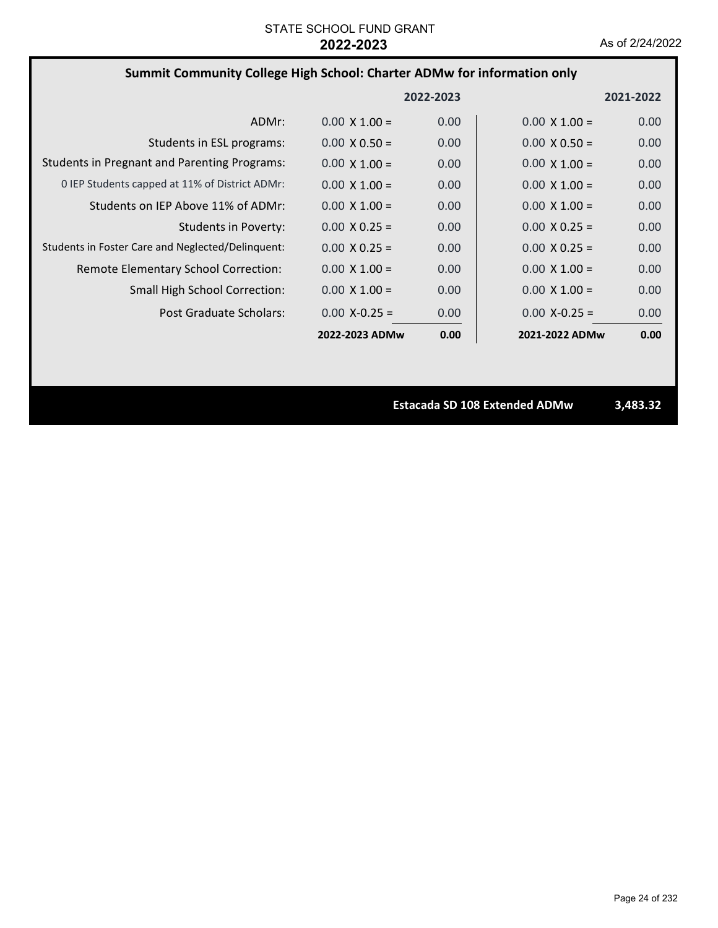#### **Summit Community College High School: Charter ADMw for information only 0.00 0.00 2022‐2023 ADMw 2021‐2022 ADMw** ADMr: 0 IEP Students capped at 11% of District ADMr:  $0.00 \times 1.00 = 0.00$ Students in ESL programs:  $0.00 \times 0.50 = 0.00$ Students in Pregnant and Parenting Programs:  $0.00 \times 1.00 = 0.00$ Students in Foster Care and Neglected/Delinquent:  $0.00 \times 0.25 = 0.00$ Students in Poverty:  $0.00 \times 0.25 = 0.00$ Remote Elementary School Correction: Small High School Correction: **2022‐2023 2021‐2022** Students on IEP Above 11% of ADMr:  $0.00 \times 1.00 = 0.00$  $0.00 \times 0.50 =$  $0.00 \times 1.00 =$  $0.00 \times 1.00 =$  $0.00 \times 1.00 = 0.00$  $0.00 \times 0.25 =$  $0.00 \times 0.25 =$  $0.00 \times 1.00 = 0.00$  $0.00 \times 1.00 = 0.00$  $0.00 \times 1.00 = 0.00$ 0.00  $0.00 \times 0.50 = 0.00$  $0.00 \times 1.00 = 0.00$  $0.00 \times 0.25 = 0.00$  $0.00 \times 0.25 = 0.00$  $0.00 \times 1.00 = 0.00$  $0.00 \times 1.00 = 0.00$  $0.00 \times 1.00 = 0.00$  $0.00 \times 1.00 =$ Post Graduate Scholars:  $0.00 \text{ X} - 0.25 = 0.00 \text{ X} - 0.25 = 0.00 \text{ X} - 0.25 = 0.00 \text{ X} - 0.00 \text{ X} - 0.00 \text{ X} - 0.00 \text{ X} - 0.00 \text{ X} - 0.00 \text{ X} - 0.00 \text{ X} - 0.00 \text{ X} - 0.00 \text{ X} - 0.00 \text{ X} - 0.00 \text{ X} - 0.00 \text{ X} - 0.00 \text{ X} - 0.$

**Estacada SD 108 Extended ADMw 3,483.32**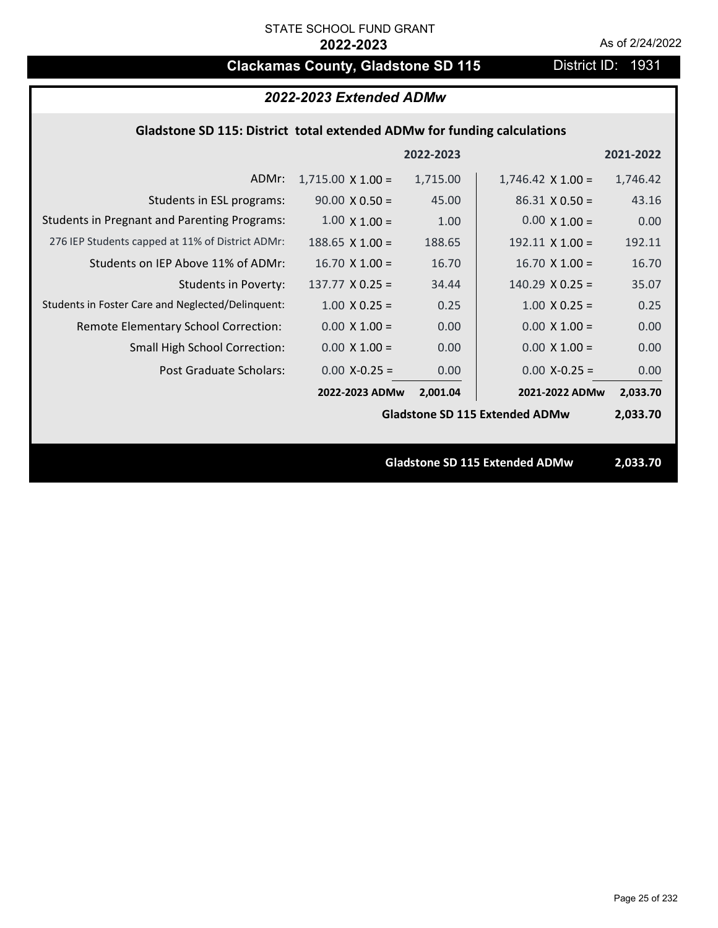## **Clackamas County, Gladstone SD 115** District ID: 1931

## *2022-2023 Extended ADMw*

### **Gladstone SD 115: District total extended ADMw for funding calculations**

|                                                     |                                       | 2022-2023 |                                       | 2021-2022 |
|-----------------------------------------------------|---------------------------------------|-----------|---------------------------------------|-----------|
| ADMr:                                               | $1,715.00 \times 1.00 =$              | 1,715.00  | $1,746.42 \times 1.00 =$              | 1,746.42  |
| Students in ESL programs:                           | $90.00 \times 0.50 =$                 | 45.00     | $86.31 \times 0.50 =$                 | 43.16     |
| <b>Students in Pregnant and Parenting Programs:</b> | $1.00 \times 1.00 =$                  | 1.00      | $0.00 \times 1.00 =$                  | 0.00      |
| 276 IEP Students capped at 11% of District ADMr:    | $188.65$ X $1.00 =$                   | 188.65    | $192.11 \times 1.00 =$                | 192.11    |
| Students on IEP Above 11% of ADMr:                  | $16.70 \times 1.00 =$                 | 16.70     | $16.70$ X $1.00 =$                    | 16.70     |
| <b>Students in Poverty:</b>                         | $137.77 \times 0.25 =$                | 34.44     | $140.29$ X 0.25 =                     | 35.07     |
| Students in Foster Care and Neglected/Delinquent:   | $1.00 \times 0.25 =$                  | 0.25      | $1.00 \times 0.25 =$                  | 0.25      |
| Remote Elementary School Correction:                | $0.00 \times 1.00 =$                  | 0.00      | $0.00 \times 1.00 =$                  | 0.00      |
| <b>Small High School Correction:</b>                | $0.00 \times 1.00 =$                  | 0.00      | $0.00 \times 1.00 =$                  | 0.00      |
| Post Graduate Scholars:                             | $0.00$ X-0.25 =                       | 0.00      | $0.00$ X-0.25 =                       | 0.00      |
|                                                     | 2022-2023 ADMw                        | 2,001.04  | 2021-2022 ADMw                        | 2,033.70  |
|                                                     | <b>Gladstone SD 115 Extended ADMw</b> |           |                                       |           |
|                                                     |                                       |           |                                       |           |
|                                                     |                                       |           | <b>Gladstone SD 115 Extended ADMw</b> | 2,033.70  |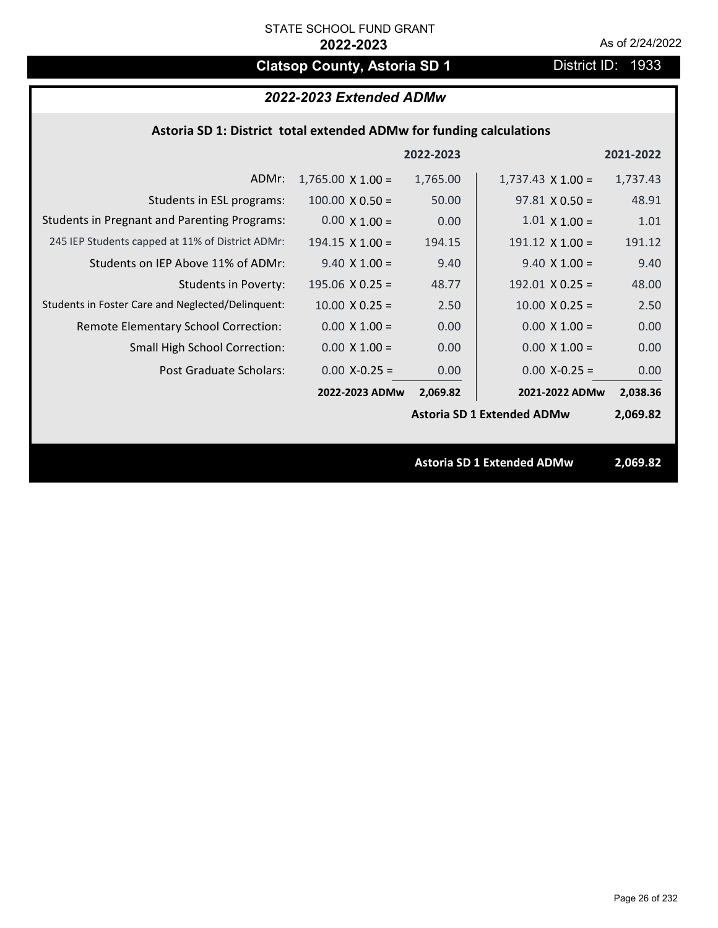## **Clatsop County, Astoria SD 1** District ID: 1933

## *2022-2023 Extended ADMw*

## **Astoria SD 1: District total extended ADMw for funding calculations**

|                                                     |                          | 2022-2023 |                                   | 2021-2022 |
|-----------------------------------------------------|--------------------------|-----------|-----------------------------------|-----------|
| ADMr:                                               | $1,765.00 \times 1.00 =$ | 1,765.00  | $1,737.43 \times 1.00 =$          | 1,737.43  |
| Students in ESL programs:                           | $100.00 \times 0.50 =$   | 50.00     | $97.81 \times 0.50 =$             | 48.91     |
| <b>Students in Pregnant and Parenting Programs:</b> | $0.00 \times 1.00 =$     | 0.00      | $1.01 \times 1.00 =$              | 1.01      |
| 245 IEP Students capped at 11% of District ADMr:    | $194.15 \times 1.00 =$   | 194.15    | $191.12 \times 1.00 =$            | 191.12    |
| Students on IEP Above 11% of ADMr:                  | $9.40 \times 1.00 =$     | 9.40      | $9.40 \times 1.00 =$              | 9.40      |
| Students in Poverty:                                | 195.06 $X$ 0.25 =        | 48.77     | $192.01$ X 0.25 =                 | 48.00     |
| Students in Foster Care and Neglected/Delinquent:   | $10.00 \times 0.25 =$    | 2.50      | $10.00 \times 0.25 =$             | 2.50      |
| Remote Elementary School Correction:                | $0.00 \times 1.00 =$     | 0.00      | $0.00 \times 1.00 =$              | 0.00      |
| <b>Small High School Correction:</b>                | $0.00 \times 1.00 =$     | 0.00      | $0.00 \times 1.00 =$              | 0.00      |
| Post Graduate Scholars:                             | $0.00$ X-0.25 =          | 0.00      | $0.00 X - 0.25 =$                 | 0.00      |
|                                                     | 2022-2023 ADMw           | 2,069.82  | 2021-2022 ADMw                    | 2,038.36  |
|                                                     |                          |           | <b>Astoria SD 1 Extended ADMw</b> | 2,069.82  |
|                                                     |                          |           |                                   |           |
|                                                     |                          |           | <b>Astoria SD 1 Extended ADMw</b> | 2,069.82  |
|                                                     |                          |           |                                   |           |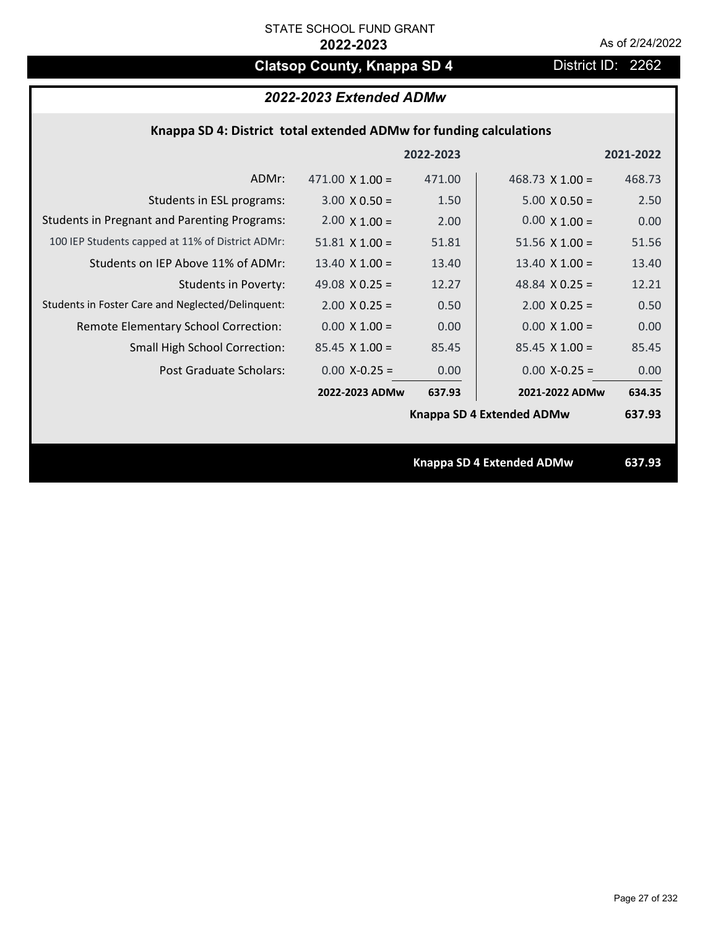# **Clatsop County, Knappa SD 4** District ID: 2262

## *2022-2023 Extended ADMw*

## **Knappa SD 4: District total extended ADMw for funding calculations**

|                                                     |                           | 2022-2023 |                        | 2021-2022 |
|-----------------------------------------------------|---------------------------|-----------|------------------------|-----------|
| ADMr:                                               | $471.00 \times 1.00 =$    | 471.00    | $468.73 \times 1.00 =$ | 468.73    |
| Students in ESL programs:                           | $3.00 \times 0.50 =$      | 1.50      | $5.00 \times 0.50 =$   | 2.50      |
| <b>Students in Pregnant and Parenting Programs:</b> | $2.00 \times 1.00 =$      | 2.00      | $0.00 \times 1.00 =$   | 0.00      |
| 100 IEP Students capped at 11% of District ADMr:    | $51.81 \times 1.00 =$     | 51.81     | $51.56 \times 1.00 =$  | 51.56     |
| Students on IEP Above 11% of ADMr:                  | $13.40 \times 1.00 =$     | 13.40     | 13.40 $X$ 1.00 =       | 13.40     |
| <b>Students in Poverty:</b>                         | 49.08 $X$ 0.25 =          | 12.27     | 48.84 $X$ 0.25 =       | 12.21     |
| Students in Foster Care and Neglected/Delinquent:   | $2.00 \times 0.25 =$      | 0.50      | $2.00 \times 0.25 =$   | 0.50      |
| Remote Elementary School Correction:                | $0.00 \times 1.00 =$      | 0.00      | $0.00 \times 1.00 =$   | 0.00      |
| <b>Small High School Correction:</b>                | $85.45 \times 1.00 =$     | 85.45     | $85.45 \times 1.00 =$  | 85.45     |
| Post Graduate Scholars:                             | $0.00$ X-0.25 =           | 0.00      | $0.00$ X-0.25 =        | 0.00      |
|                                                     | 2022-2023 ADMw            | 637.93    | 2021-2022 ADMw         | 634.35    |
|                                                     | Knappa SD 4 Extended ADMw |           |                        | 637.93    |
|                                                     |                           |           |                        |           |
|                                                     | Knappa SD 4 Extended ADMw |           |                        | 637.93    |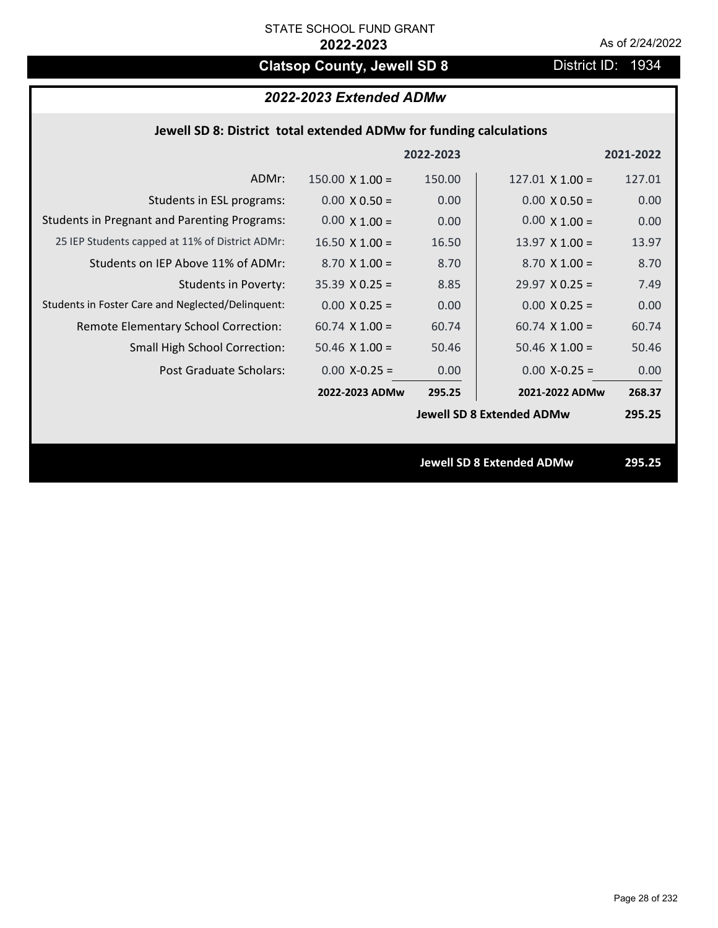# **Clatsop County, Jewell SD 8** District ID: 1934

## *2022-2023 Extended ADMw*

| Jewell SD 8: District total extended ADMw for funding calculations |  |  |  |
|--------------------------------------------------------------------|--|--|--|
|--------------------------------------------------------------------|--|--|--|

|                                                     |                                  | 2022-2023 |                        | 2021-2022 |
|-----------------------------------------------------|----------------------------------|-----------|------------------------|-----------|
| ADMr:                                               | $150.00 \times 1.00 =$           | 150.00    | $127.01 \times 1.00 =$ | 127.01    |
| Students in ESL programs:                           | $0.00 \times 0.50 =$             | 0.00      | $0.00 \times 0.50 =$   | 0.00      |
| <b>Students in Pregnant and Parenting Programs:</b> | $0.00 \times 1.00 =$             | 0.00      | $0.00 \times 1.00 =$   | 0.00      |
| 25 IEP Students capped at 11% of District ADMr:     | $16.50 \times 1.00 =$            | 16.50     | $13.97 \times 1.00 =$  | 13.97     |
| Students on IEP Above 11% of ADMr:                  | $8.70 \times 1.00 =$             | 8.70      | $8.70 \times 1.00 =$   | 8.70      |
| <b>Students in Poverty:</b>                         | $35.39 \times 0.25 =$            | 8.85      | $29.97$ X 0.25 =       | 7.49      |
| Students in Foster Care and Neglected/Delinquent:   | $0.00 \times 0.25 =$             | 0.00      | $0.00 \times 0.25 =$   | 0.00      |
| Remote Elementary School Correction:                | $60.74$ X 1.00 =                 | 60.74     | $60.74 \times 1.00 =$  | 60.74     |
| <b>Small High School Correction:</b>                | $50.46 \times 1.00 =$            | 50.46     | $50.46$ X $1.00 =$     | 50.46     |
| Post Graduate Scholars:                             | $0.00$ X-0.25 =                  | 0.00      | $0.00$ X-0.25 =        | 0.00      |
|                                                     | 2022-2023 ADMw                   | 295.25    | 2021-2022 ADMw         | 268.37    |
|                                                     | <b>Jewell SD 8 Extended ADMw</b> |           | 295.25                 |           |
|                                                     |                                  |           |                        |           |
|                                                     | <b>Jewell SD 8 Extended ADMw</b> |           |                        | 295.25    |
|                                                     |                                  |           |                        |           |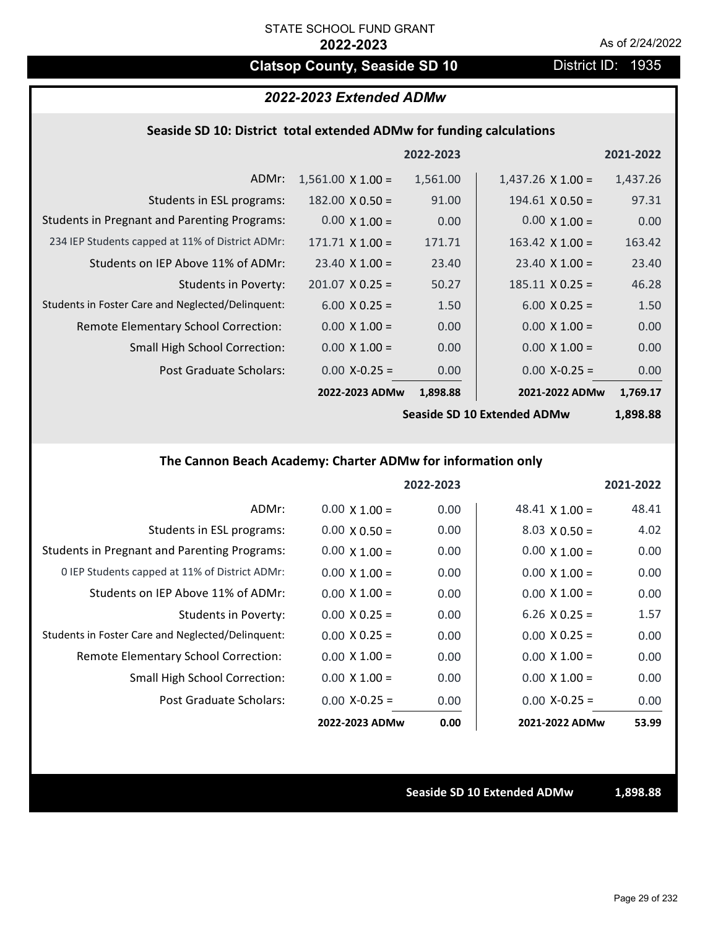# **Clatsop County, Seaside SD 10** District ID: 1935

### *2022-2023 Extended ADMw*

#### **Seaside SD 10: District total extended ADMw for funding calculations**

|                                                     |                          | 2022-2023 |                                                          | 2021-2022             |
|-----------------------------------------------------|--------------------------|-----------|----------------------------------------------------------|-----------------------|
| ADMr:                                               | $1,561.00 \times 1.00 =$ | 1,561.00  | $1,437.26 \times 1.00 =$                                 | 1,437.26              |
| Students in ESL programs:                           | $182.00 \times 0.50 =$   | 91.00     | $194.61 \times 0.50 =$                                   | 97.31                 |
| <b>Students in Pregnant and Parenting Programs:</b> | $0.00 \times 1.00 =$     | 0.00      | $0.00 \times 1.00 =$                                     | 0.00                  |
| 234 IEP Students capped at 11% of District ADMr:    | $171.71 \times 1.00 =$   | 171.71    | $163.42 \times 1.00 =$                                   | 163.42                |
| Students on IEP Above 11% of ADMr:                  | $23.40 \times 1.00 =$    | 23.40     | $23.40 \times 1.00 =$                                    | 23.40                 |
| <b>Students in Poverty:</b>                         | $201.07 \times 0.25 =$   | 50.27     | $185.11 \times 0.25 =$                                   | 46.28                 |
| Students in Foster Care and Neglected/Delinquent:   | $6.00 \times 0.25 =$     | 1.50      | $6.00 \times 0.25 =$                                     | 1.50                  |
| Remote Elementary School Correction:                | $0.00 \times 1.00 =$     | 0.00      | $0.00 \times 1.00 =$                                     | 0.00                  |
| <b>Small High School Correction:</b>                | $0.00 \times 1.00 =$     | 0.00      | $0.00 \times 1.00 =$                                     | 0.00                  |
| Post Graduate Scholars:                             | $0.00 X - 0.25 =$        | 0.00      | $0.00$ X-0.25 =                                          | 0.00                  |
|                                                     | 2022-2023 ADMw           | 1,898.88  | 2021-2022 ADMw                                           | 1,769.17              |
|                                                     |                          |           | $\mathcal{L}$ . The contract is the set of $\mathcal{L}$ | $\overline{a}$ and an |

**Seaside SD 10 Extended ADMw**

**1,898.88**

## **The Cannon Beach Academy: Charter ADMw for information only**

|                                                     |                      | 2022-2023 |                       | 2021-2022 |
|-----------------------------------------------------|----------------------|-----------|-----------------------|-----------|
| ADMr:                                               | $0.00 \times 1.00 =$ | 0.00      | $48.41 \times 1.00 =$ | 48.41     |
| Students in ESL programs:                           | $0.00 \times 0.50 =$ | 0.00      | $8.03 \times 0.50 =$  | 4.02      |
| <b>Students in Pregnant and Parenting Programs:</b> | $0.00 \times 1.00 =$ | 0.00      | $0.00 \times 1.00 =$  | 0.00      |
| 0 IEP Students capped at 11% of District ADMr:      | $0.00 \times 1.00 =$ | 0.00      | $0.00 \times 1.00 =$  | 0.00      |
| Students on IEP Above 11% of ADMr:                  | $0.00 \times 1.00 =$ | 0.00      | $0.00 \times 1.00 =$  | 0.00      |
| Students in Poverty:                                | $0.00 \times 0.25 =$ | 0.00      | 6.26 $X$ 0.25 =       | 1.57      |
| Students in Foster Care and Neglected/Delinquent:   | $0.00 \times 0.25 =$ | 0.00      | $0.00 \times 0.25 =$  | 0.00      |
| Remote Elementary School Correction:                | $0.00 \times 1.00 =$ | 0.00      | $0.00 \times 1.00 =$  | 0.00      |
| <b>Small High School Correction:</b>                | $0.00 \times 1.00 =$ | 0.00      | $0.00 \times 1.00 =$  | 0.00      |
| Post Graduate Scholars:                             | $0.00 X-0.25 =$      | 0.00      | $0.00$ X-0.25 =       | 0.00      |
|                                                     | 2022-2023 ADMw       | 0.00      | 2021-2022 ADMw        | 53.99     |

**Seaside SD 10 Extended ADMw 1,898.88**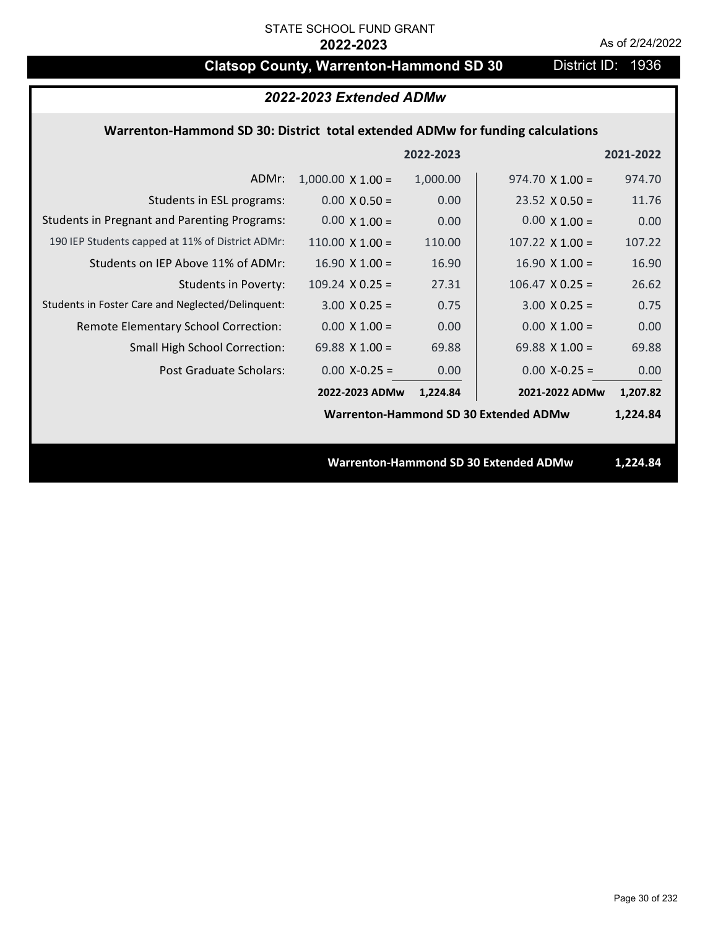# **Clatsop County, Warrenton-Hammond SD 30** District ID: 1936

| 2022-2023 Extended ADMw                                                        |                          |           |                                              |           |  |  |
|--------------------------------------------------------------------------------|--------------------------|-----------|----------------------------------------------|-----------|--|--|
| Warrenton-Hammond SD 30: District total extended ADMw for funding calculations |                          |           |                                              |           |  |  |
|                                                                                |                          | 2022-2023 |                                              | 2021-2022 |  |  |
| ADMr:                                                                          | $1,000.00 \times 1.00 =$ | 1,000.00  | $974.70 \times 1.00 =$                       | 974.70    |  |  |
| Students in ESL programs:                                                      | $0.00 \times 0.50 =$     | 0.00      | $23.52 \times 0.50 =$                        | 11.76     |  |  |
| <b>Students in Pregnant and Parenting Programs:</b>                            | $0.00 \times 1.00 =$     | 0.00      | $0.00 \times 1.00 =$                         | 0.00      |  |  |
| 190 IEP Students capped at 11% of District ADMr:                               | $110.00 \times 1.00 =$   | 110.00    | $107.22 \times 1.00 =$                       | 107.22    |  |  |
| Students on IEP Above 11% of ADMr:                                             | $16.90 \times 1.00 =$    | 16.90     | $16.90 \times 1.00 =$                        | 16.90     |  |  |
| <b>Students in Poverty:</b>                                                    | $109.24$ X 0.25 =        | 27.31     | $106.47 \times 0.25 =$                       | 26.62     |  |  |
| Students in Foster Care and Neglected/Delinquent:                              | $3.00 \times 0.25 =$     | 0.75      | $3.00 \times 0.25 =$                         | 0.75      |  |  |
| Remote Elementary School Correction:                                           | $0.00 \times 1.00 =$     | 0.00      | $0.00 \times 1.00 =$                         | 0.00      |  |  |
| Small High School Correction:                                                  | 69.88 $X$ 1.00 =         | 69.88     | 69.88 $X$ 1.00 =                             | 69.88     |  |  |
| <b>Post Graduate Scholars:</b>                                                 | $0.00$ X-0.25 =          | 0.00      | $0.00$ X-0.25 =                              | 0.00      |  |  |
|                                                                                | 2022-2023 ADMw           | 1,224.84  | 2021-2022 ADMw                               | 1,207.82  |  |  |
| Warrenton-Hammond SD 30 Extended ADMw                                          |                          |           |                                              |           |  |  |
|                                                                                |                          |           |                                              |           |  |  |
|                                                                                |                          |           | <b>Warrenton-Hammond SD 30 Extended ADMw</b> | 1,224.84  |  |  |
|                                                                                |                          |           |                                              |           |  |  |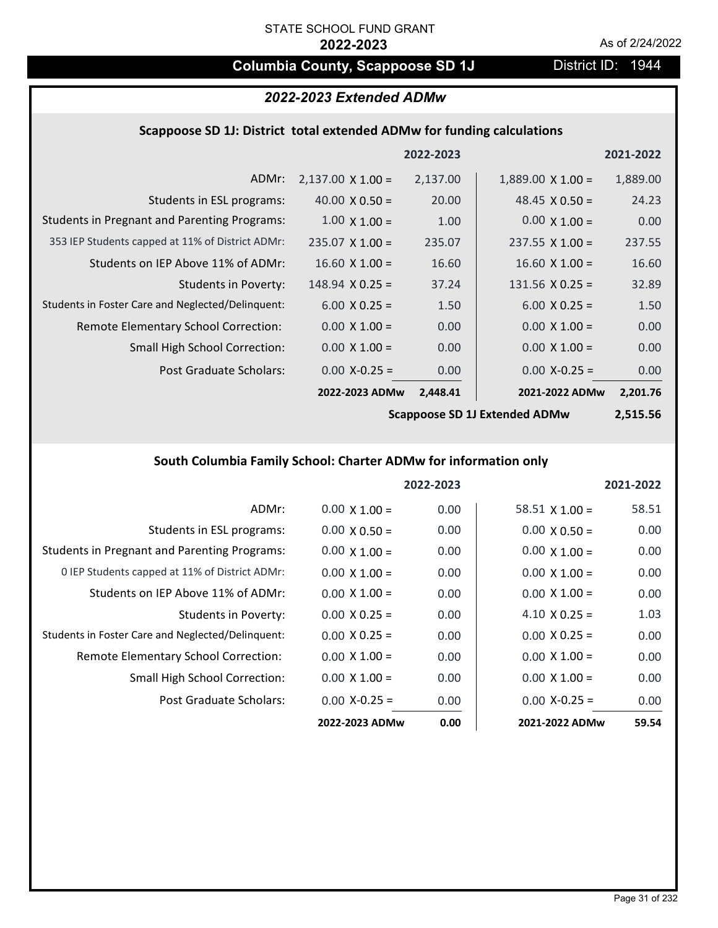## **Columbia County, Scappoose SD 1J** District ID: 1944

## *2022-2023 Extended ADMw*

## **Scappoose SD 1J: District total extended ADMw for funding calculations**

|                                                     |                          | 2022-2023 |                          | 2021-2022 |
|-----------------------------------------------------|--------------------------|-----------|--------------------------|-----------|
| ADMr:                                               | $2,137.00 \times 1.00 =$ | 2,137.00  | $1,889.00 \times 1.00 =$ | 1,889.00  |
| Students in ESL programs:                           | 40.00 $\times$ 0.50 =    | 20.00     | 48.45 $\times$ 0.50 =    | 24.23     |
| <b>Students in Pregnant and Parenting Programs:</b> | $1.00 \times 1.00 =$     | 1.00      | $0.00 \times 1.00 =$     | 0.00      |
| 353 IEP Students capped at 11% of District ADMr:    | $235.07 \times 1.00 =$   | 235.07    | $237.55 \times 1.00 =$   | 237.55    |
| Students on IEP Above 11% of ADMr:                  | $16.60 \times 1.00 =$    | 16.60     | $16.60$ X $1.00 =$       | 16.60     |
| <b>Students in Poverty:</b>                         | $148.94 \times 0.25 =$   | 37.24     | $131.56$ X 0.25 =        | 32.89     |
| Students in Foster Care and Neglected/Delinquent:   | $6.00 \times 0.25 =$     | 1.50      | $6.00 \times 0.25 =$     | 1.50      |
| Remote Elementary School Correction:                | $0.00 \times 1.00 =$     | 0.00      | $0.00 \times 1.00 =$     | 0.00      |
| <b>Small High School Correction:</b>                | $0.00 \times 1.00 =$     | 0.00      | $0.00 \times 1.00 =$     | 0.00      |
| Post Graduate Scholars:                             | $0.00 X - 0.25 =$        | 0.00      | $0.00$ X-0.25 =          | 0.00      |
|                                                     | 2022-2023 ADMw           | 2,448.41  | 2021-2022 ADMw           | 2,201.76  |
|                                                     |                          |           |                          |           |

**Scappoose SD 1J Extended ADMw**

**2,515.56**

## **South Columbia Family School: Charter ADMw for information only**

|                                                     |                      | 2022-2023 |                       | 2021-2022 |
|-----------------------------------------------------|----------------------|-----------|-----------------------|-----------|
| ADMr:                                               | $0.00 \times 1.00 =$ | 0.00      | $58.51 \times 1.00 =$ | 58.51     |
| Students in ESL programs:                           | $0.00 \times 0.50 =$ | 0.00      | $0.00 \times 0.50 =$  | 0.00      |
| <b>Students in Pregnant and Parenting Programs:</b> | $0.00 \times 1.00 =$ | 0.00      | $0.00 \times 1.00 =$  | 0.00      |
| 0 IEP Students capped at 11% of District ADMr:      | $0.00 \times 1.00 =$ | 0.00      | $0.00 \times 1.00 =$  | 0.00      |
| Students on IEP Above 11% of ADMr:                  | $0.00 \times 1.00 =$ | 0.00      | $0.00 \times 1.00 =$  | 0.00      |
| Students in Poverty:                                | $0.00 \times 0.25 =$ | 0.00      | 4.10 $X$ 0.25 =       | 1.03      |
| Students in Foster Care and Neglected/Delinquent:   | $0.00 \times 0.25 =$ | 0.00      | $0.00 \times 0.25 =$  | 0.00      |
| Remote Elementary School Correction:                | $0.00 \times 1.00 =$ | 0.00      | $0.00 \times 1.00 =$  | 0.00      |
| <b>Small High School Correction:</b>                | $0.00 \times 1.00 =$ | 0.00      | $0.00 \times 1.00 =$  | 0.00      |
| Post Graduate Scholars:                             | $0.00$ X-0.25 =      | 0.00      | $0.00$ X-0.25 =       | 0.00      |
|                                                     | 2022-2023 ADMw       | 0.00      | 2021-2022 ADMw        | 59.54     |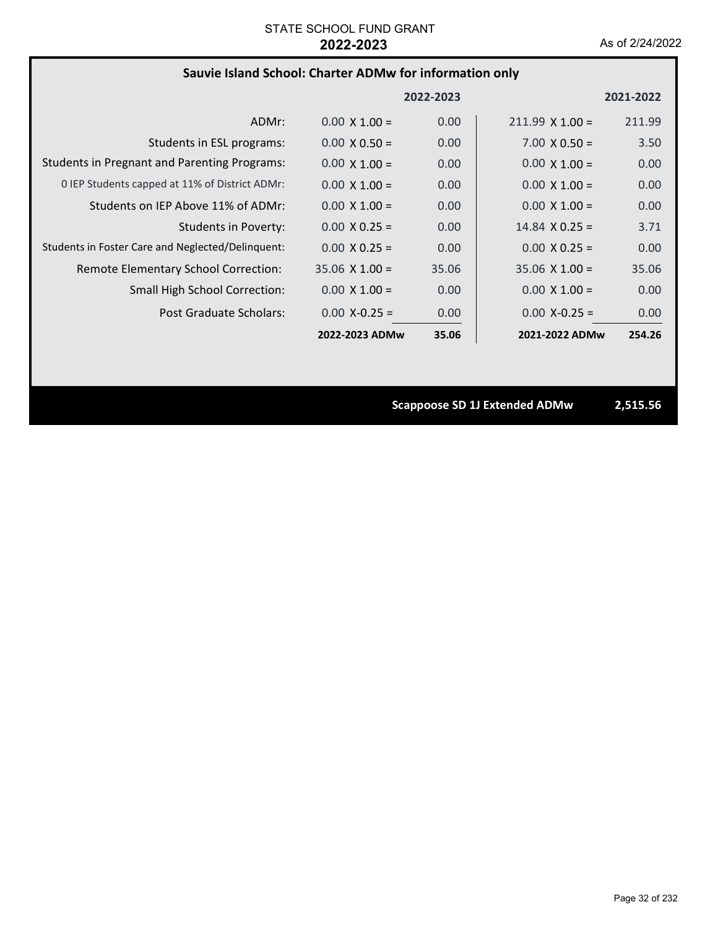#### **Sauvie Island School: Charter ADMw for information only**

|                                                     |                       | 2022-2023 |                        | 2021-2022 |
|-----------------------------------------------------|-----------------------|-----------|------------------------|-----------|
| ADMr:                                               | $0.00 \times 1.00 =$  | 0.00      | $211.99 \times 1.00 =$ | 211.99    |
| Students in ESL programs:                           | $0.00 \times 0.50 =$  | 0.00      | $7.00 \times 0.50 =$   | 3.50      |
| <b>Students in Pregnant and Parenting Programs:</b> | $0.00 \times 1.00 =$  | 0.00      | $0.00 \times 1.00 =$   | 0.00      |
| 0 IEP Students capped at 11% of District ADMr:      | $0.00 \times 1.00 =$  | 0.00      | $0.00 \times 1.00 =$   | 0.00      |
| Students on IEP Above 11% of ADMr:                  | $0.00 \times 1.00 =$  | 0.00      | $0.00 \times 1.00 =$   | 0.00      |
| <b>Students in Poverty:</b>                         | $0.00 \times 0.25 =$  | 0.00      | $14.84 \times 0.25 =$  | 3.71      |
| Students in Foster Care and Neglected/Delinquent:   | $0.00 \times 0.25 =$  | 0.00      | $0.00 \times 0.25 =$   | 0.00      |
| Remote Elementary School Correction:                | $35.06 \times 1.00 =$ | 35.06     | $35.06 \times 1.00 =$  | 35.06     |
| <b>Small High School Correction:</b>                | $0.00 \times 1.00 =$  | 0.00      | $0.00 \times 1.00 =$   | 0.00      |
| Post Graduate Scholars:                             | $0.00 X - 0.25 =$     | 0.00      | $0.00$ X-0.25 =        | 0.00      |
|                                                     | 2022-2023 ADMw        | 35.06     | 2021-2022 ADMw         | 254.26    |

**Scappoose SD 1J Extended ADMw 2,515.56**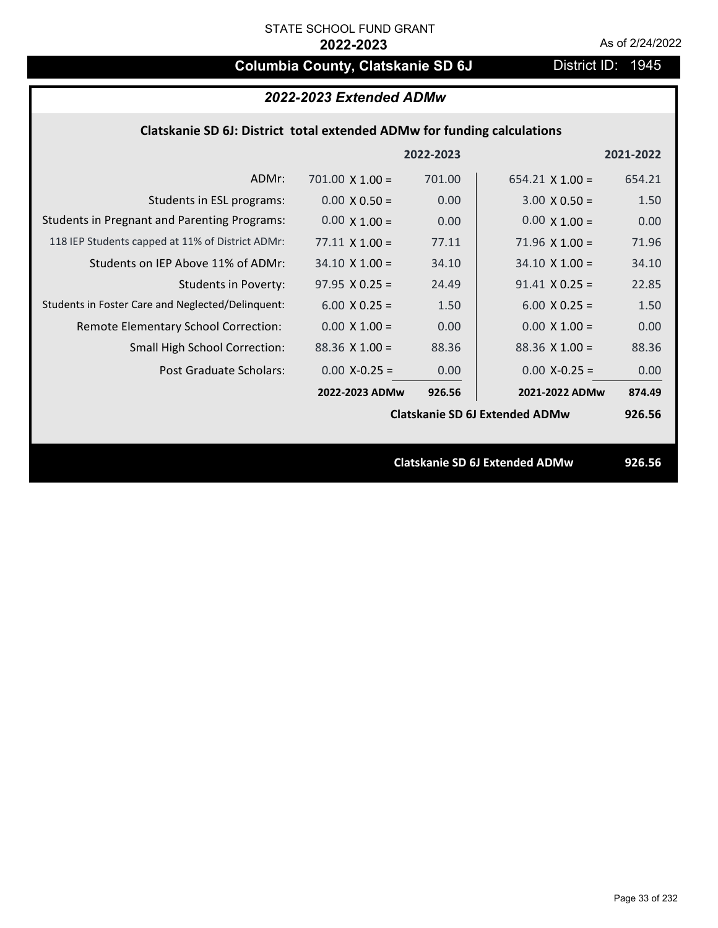# **Columbia County, Clatskanie SD 6J** District ID: 1945

## *2022-2023 Extended ADMw*

## **Clatskanie SD 6J: District total extended ADMw for funding calculations**

|                                                     |                        | 2022-2023 |                                       | 2021-2022 |
|-----------------------------------------------------|------------------------|-----------|---------------------------------------|-----------|
| ADMr:                                               | $701.00 \times 1.00 =$ | 701.00    | $654.21$ X 1.00 =                     | 654.21    |
| Students in ESL programs:                           | $0.00 \times 0.50 =$   | 0.00      | $3.00 \times 0.50 =$                  | 1.50      |
| <b>Students in Pregnant and Parenting Programs:</b> | $0.00 \times 1.00 =$   | 0.00      | $0.00 \times 1.00 =$                  | 0.00      |
| 118 IEP Students capped at 11% of District ADMr:    | $77.11 \times 1.00 =$  | 77.11     | $71.96 \times 1.00 =$                 | 71.96     |
| Students on IEP Above 11% of ADMr:                  | $34.10 \times 1.00 =$  | 34.10     | $34.10 \times 1.00 =$                 | 34.10     |
| <b>Students in Poverty:</b>                         | $97.95 \times 0.25 =$  | 24.49     | $91.41 \times 0.25 =$                 | 22.85     |
| Students in Foster Care and Neglected/Delinquent:   | $6.00 \times 0.25 =$   | 1.50      | $6.00 \times 0.25 =$                  | 1.50      |
| Remote Elementary School Correction:                | $0.00 \times 1.00 =$   | 0.00      | $0.00 \times 1.00 =$                  | 0.00      |
| <b>Small High School Correction:</b>                | $88.36 \times 1.00 =$  | 88.36     | $88.36 \times 1.00 =$                 | 88.36     |
| Post Graduate Scholars:                             | $0.00$ X-0.25 =        | 0.00      | $0.00$ X-0.25 =                       | 0.00      |
|                                                     | 2022-2023 ADMw         | 926.56    | 2021-2022 ADMw                        | 874.49    |
|                                                     |                        |           | <b>Clatskanie SD 6J Extended ADMw</b> | 926.56    |
|                                                     |                        |           |                                       |           |
|                                                     |                        |           | <b>Clatskanie SD 6J Extended ADMw</b> | 926.56    |
|                                                     |                        |           |                                       |           |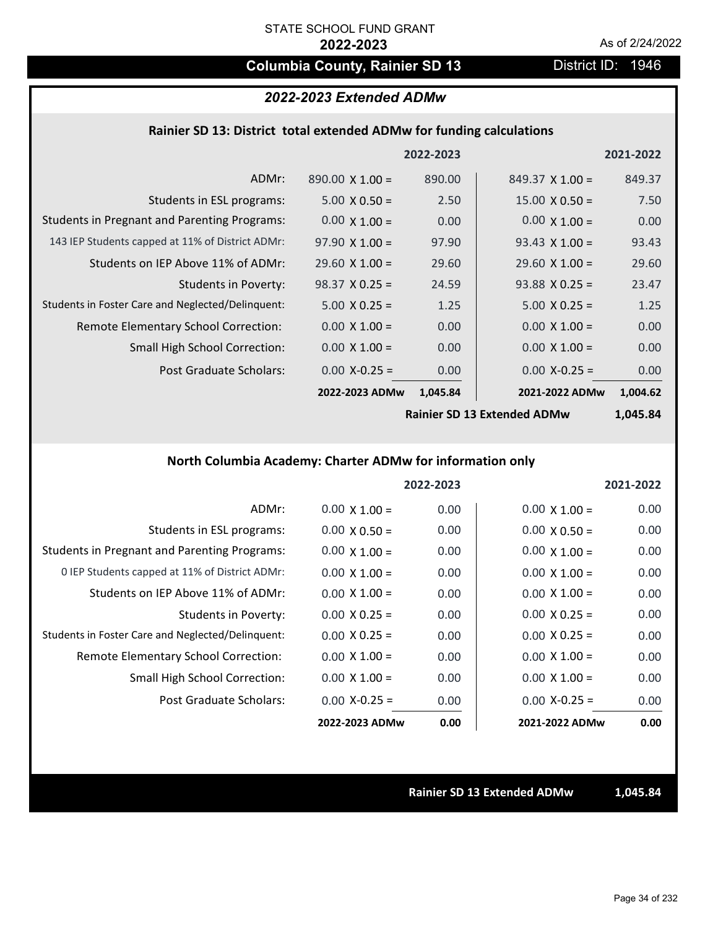## **Columbia County, Rainier SD 13** District ID: 1946

## *2022-2023 Extended ADMw*

#### **Rainier SD 13: District total extended ADMw for funding calculations**

|                                                     |                        | 2022-2023 |                        | 2021-2022 |
|-----------------------------------------------------|------------------------|-----------|------------------------|-----------|
| ADMr:                                               | $890.00 \times 1.00 =$ | 890.00    | $849.37 \times 1.00 =$ | 849.37    |
| Students in ESL programs:                           | $5.00 \times 0.50 =$   | 2.50      | $15.00 \times 0.50 =$  | 7.50      |
| <b>Students in Pregnant and Parenting Programs:</b> | $0.00 \times 1.00 =$   | 0.00      | $0.00 \times 1.00 =$   | 0.00      |
| 143 IEP Students capped at 11% of District ADMr:    | $97.90 \times 1.00 =$  | 97.90     | $93.43 \times 1.00 =$  | 93.43     |
| Students on IEP Above 11% of ADMr:                  | $29.60 \times 1.00 =$  | 29.60     | $29.60 \times 1.00 =$  | 29.60     |
| <b>Students in Poverty:</b>                         | $98.37 \times 0.25 =$  | 24.59     | $93.88$ X 0.25 =       | 23.47     |
| Students in Foster Care and Neglected/Delinquent:   | $5.00 \times 0.25 =$   | 1.25      | $5.00 \times 0.25 =$   | 1.25      |
| Remote Elementary School Correction:                | $0.00 \times 1.00 =$   | 0.00      | $0.00 \times 1.00 =$   | 0.00      |
| <b>Small High School Correction:</b>                | $0.00 \times 1.00 =$   | 0.00      | $0.00 \times 1.00 =$   | 0.00      |
| Post Graduate Scholars:                             | $0.00$ X-0.25 =        | 0.00      | $0.00$ X-0.25 =        | 0.00      |
|                                                     | 2022-2023 ADMw         | 1,045.84  | 2021-2022 ADMw         | 1,004.62  |

**Rainier SD 13 Extended ADMw**

**1,045.84**

## **North Columbia Academy: Charter ADMw for information only**

|                                                     |                      | 2022-2023 |                      | 2021-2022 |
|-----------------------------------------------------|----------------------|-----------|----------------------|-----------|
| ADMr:                                               | $0.00 \times 1.00 =$ | 0.00      | $0.00 \times 1.00 =$ | 0.00      |
| Students in ESL programs:                           | $0.00 \times 0.50 =$ | 0.00      | $0.00 \times 0.50 =$ | 0.00      |
| <b>Students in Pregnant and Parenting Programs:</b> | $0.00 \times 1.00 =$ | 0.00      | $0.00 \times 1.00 =$ | 0.00      |
| 0 IEP Students capped at 11% of District ADMr:      | $0.00 \times 1.00 =$ | 0.00      | $0.00 \times 1.00 =$ | 0.00      |
| Students on IEP Above 11% of ADMr:                  | $0.00 \times 1.00 =$ | 0.00      | $0.00 \times 1.00 =$ | 0.00      |
| Students in Poverty:                                | $0.00 \times 0.25 =$ | 0.00      | $0.00 \times 0.25 =$ | 0.00      |
| Students in Foster Care and Neglected/Delinquent:   | $0.00 \times 0.25 =$ | 0.00      | $0.00 \times 0.25 =$ | 0.00      |
| Remote Elementary School Correction:                | $0.00 \times 1.00 =$ | 0.00      | $0.00 \times 1.00 =$ | 0.00      |
| <b>Small High School Correction:</b>                | $0.00 \times 1.00 =$ | 0.00      | $0.00 \times 1.00 =$ | 0.00      |
| Post Graduate Scholars:                             | $0.00$ X-0.25 =      | 0.00      | $0.00$ X-0.25 =      | 0.00      |
|                                                     | 2022-2023 ADMw       | 0.00      | 2021-2022 ADMw       | 0.00      |

**Rainier SD 13 Extended ADMw 1,045.84**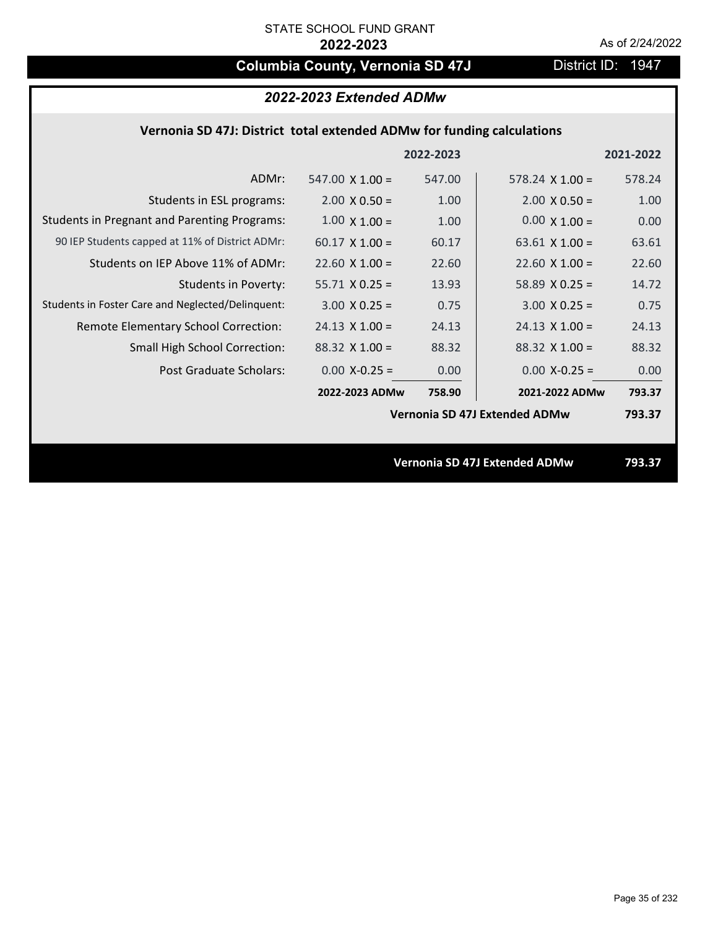# **Columbia County, Vernonia SD 47J District ID: 1947**

## *2022-2023 Extended ADMw*

## **Vernonia SD 47J: District total extended ADMw for funding calculations**

|                                                     |                        | 2022-2023 |                                      | 2021-2022 |
|-----------------------------------------------------|------------------------|-----------|--------------------------------------|-----------|
| ADMr:                                               | $547.00 \times 1.00 =$ | 547.00    | $578.24$ X 1.00 =                    | 578.24    |
| Students in ESL programs:                           | $2.00 \times 0.50 =$   | 1.00      | $2.00 \times 0.50 =$                 | 1.00      |
| <b>Students in Pregnant and Parenting Programs:</b> | $1.00 \times 1.00 =$   | 1.00      | $0.00 \times 1.00 =$                 | 0.00      |
| 90 IEP Students capped at 11% of District ADMr:     | $60.17 \times 1.00 =$  | 60.17     | 63.61 $\times$ 1.00 =                | 63.61     |
| Students on IEP Above 11% of ADMr:                  | $22.60 \times 1.00 =$  | 22.60     | $22.60$ X $1.00 =$                   | 22.60     |
| <b>Students in Poverty:</b>                         | $55.71$ X 0.25 =       | 13.93     | 58.89 $X$ 0.25 =                     | 14.72     |
| Students in Foster Care and Neglected/Delinquent:   | $3.00 \times 0.25 =$   | 0.75      | $3.00 X 0.25 =$                      | 0.75      |
| Remote Elementary School Correction:                | $24.13 \times 1.00 =$  | 24.13     | $24.13 \times 1.00 =$                | 24.13     |
| <b>Small High School Correction:</b>                | $88.32 \times 1.00 =$  | 88.32     | $88.32 \times 1.00 =$                | 88.32     |
| Post Graduate Scholars:                             | $0.00$ X-0.25 =        | 0.00      | $0.00$ X-0.25 =                      | 0.00      |
|                                                     | 2022-2023 ADMw         | 758.90    | 2021-2022 ADMw                       | 793.37    |
|                                                     |                        |           | Vernonia SD 47J Extended ADMw        | 793.37    |
|                                                     |                        |           |                                      |           |
|                                                     |                        |           | <b>Vernonia SD 47J Extended ADMw</b> | 793.37    |
|                                                     |                        |           |                                      |           |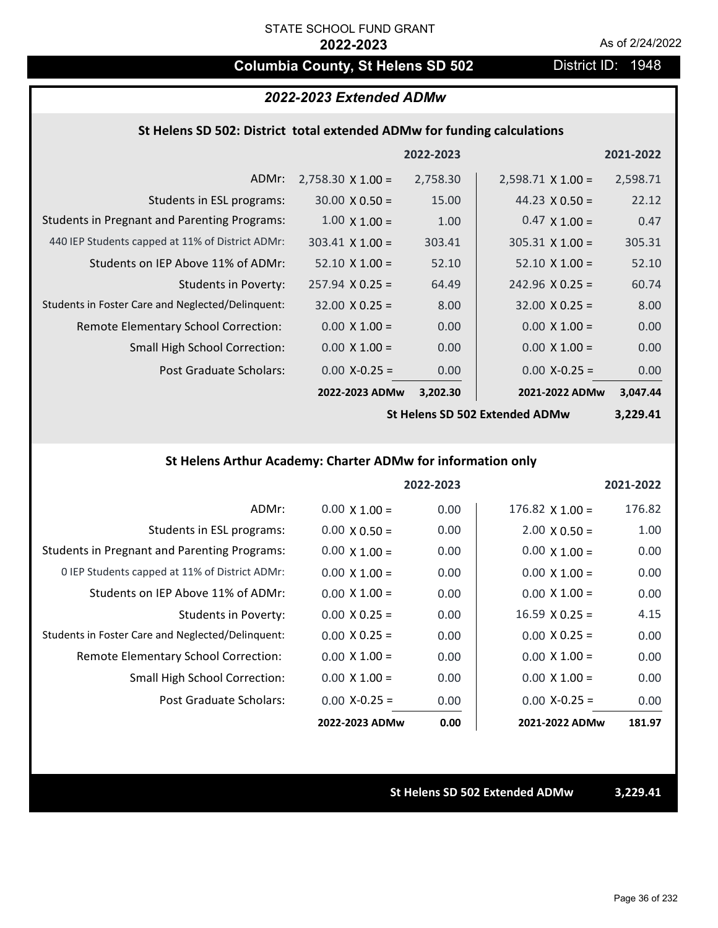## **Columbia County, St Helens SD 502** District ID: 1948

### *2022-2023 Extended ADMw*

#### **St Helens SD 502: District total extended ADMw for funding calculations**

|                                                     |                          | 2022-2023 |                          | 2021-2022 |
|-----------------------------------------------------|--------------------------|-----------|--------------------------|-----------|
| ADMr:                                               | $2,758.30 \times 1.00 =$ | 2,758.30  | $2,598.71 \times 1.00 =$ | 2,598.71  |
| Students in ESL programs:                           | $30.00 \times 0.50 =$    | 15.00     | 44.23 $\times$ 0.50 =    | 22.12     |
| <b>Students in Pregnant and Parenting Programs:</b> | $1.00 \times 1.00 =$     | 1.00      | $0.47 \times 1.00 =$     | 0.47      |
| 440 IEP Students capped at 11% of District ADMr:    | $303.41$ X 1.00 =        | 303.41    | $305.31 \times 1.00 =$   | 305.31    |
| Students on IEP Above 11% of ADMr:                  | $52.10 \times 1.00 =$    | 52.10     | $52.10 \times 1.00 =$    | 52.10     |
| <b>Students in Poverty:</b>                         | $257.94 \times 0.25 =$   | 64.49     | $242.96 \times 0.25 =$   | 60.74     |
| Students in Foster Care and Neglected/Delinquent:   | $32.00 \times 0.25 =$    | 8.00      | $32.00 \times 0.25 =$    | 8.00      |
| Remote Elementary School Correction:                | $0.00 \times 1.00 =$     | 0.00      | $0.00 \times 1.00 =$     | 0.00      |
| <b>Small High School Correction:</b>                | $0.00 \times 1.00 =$     | 0.00      | $0.00 \times 1.00 =$     | 0.00      |
| Post Graduate Scholars:                             | $0.00$ X-0.25 =          | 0.00      | $0.00$ X-0.25 =          | 0.00      |
|                                                     | 2022-2023 ADMw           | 3,202.30  | 2021-2022 ADMw           | 3,047.44  |

**St Helens SD 502 Extended ADMw**

**3,229.41**

#### **St Helens Arthur Academy: Charter ADMw for information only**

|                                                     |                      | 2022-2023 |                        | 2021-2022 |
|-----------------------------------------------------|----------------------|-----------|------------------------|-----------|
| ADMr:                                               | $0.00 \times 1.00 =$ | 0.00      | $176.82 \times 1.00 =$ | 176.82    |
| Students in ESL programs:                           | $0.00 \times 0.50 =$ | 0.00      | $2.00 \times 0.50 =$   | 1.00      |
| <b>Students in Pregnant and Parenting Programs:</b> | $0.00 \times 1.00 =$ | 0.00      | $0.00 \times 1.00 =$   | 0.00      |
| 0 IEP Students capped at 11% of District ADMr:      | $0.00 \times 1.00 =$ | 0.00      | $0.00 \times 1.00 =$   | 0.00      |
| Students on IEP Above 11% of ADMr:                  | $0.00 \times 1.00 =$ | 0.00      | $0.00 \times 1.00 =$   | 0.00      |
| Students in Poverty:                                | $0.00 \times 0.25 =$ | 0.00      | $16.59 \times 0.25 =$  | 4.15      |
| Students in Foster Care and Neglected/Delinquent:   | $0.00 \times 0.25 =$ | 0.00      | $0.00 \times 0.25 =$   | 0.00      |
| Remote Elementary School Correction:                | $0.00 \times 1.00 =$ | 0.00      | $0.00 \times 1.00 =$   | 0.00      |
| <b>Small High School Correction:</b>                | $0.00 \times 1.00 =$ | 0.00      | $0.00 \times 1.00 =$   | 0.00      |
| Post Graduate Scholars:                             | $0.00$ X-0.25 =      | 0.00      | $0.00$ X-0.25 =        | 0.00      |
|                                                     | 2022-2023 ADMw       | 0.00      | 2021-2022 ADMw         | 181.97    |

**St Helens SD 502 Extended ADMw 3,229.41**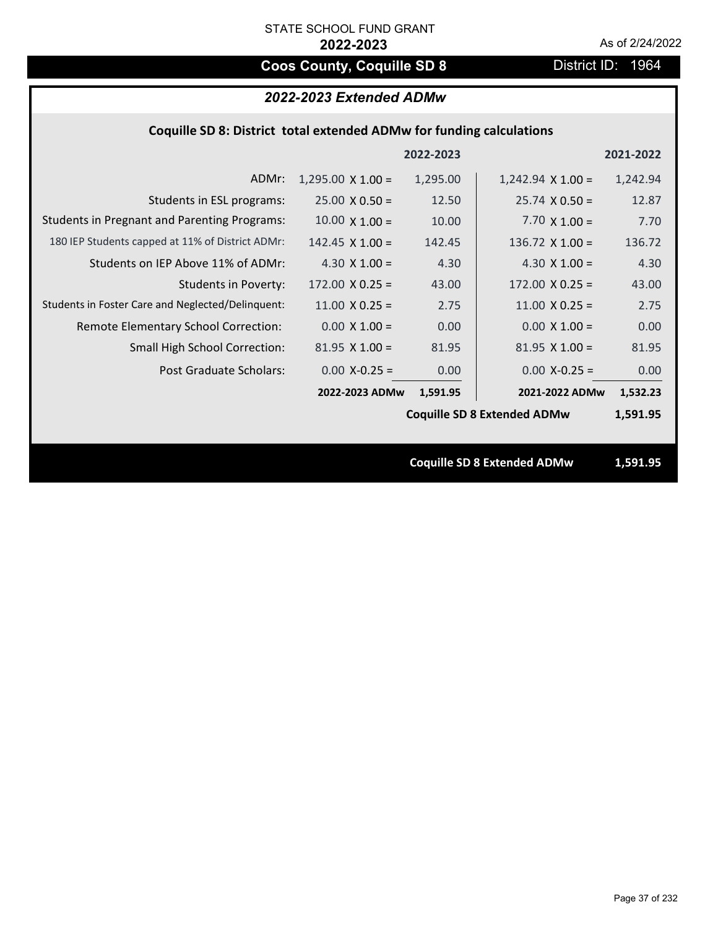# **Coos County, Coquille SD 8** District ID: 1964

# *2022-2023 Extended ADMw*

## **Coquille SD 8: District total extended ADMw for funding calculations**

|                                                     |                          | 2022-2023 |                                    | 2021-2022 |
|-----------------------------------------------------|--------------------------|-----------|------------------------------------|-----------|
| ADMr:                                               | $1,295.00 \times 1.00 =$ | 1,295.00  | $1,242.94 \times 1.00 =$           | 1,242.94  |
| Students in ESL programs:                           | $25.00 \times 0.50 =$    | 12.50     | $25.74 \times 0.50 =$              | 12.87     |
| <b>Students in Pregnant and Parenting Programs:</b> | $10.00 \times 1.00 =$    | 10.00     | 7.70 $\times$ 1.00 =               | 7.70      |
| 180 IEP Students capped at 11% of District ADMr:    | $142.45 \times 1.00 =$   | 142.45    | $136.72 \times 1.00 =$             | 136.72    |
| Students on IEP Above 11% of ADMr:                  | 4.30 $X$ 1.00 =          | 4.30      | 4.30 $X$ 1.00 =                    | 4.30      |
| <b>Students in Poverty:</b>                         | $172.00 \times 0.25 =$   | 43.00     | $172.00 \times 0.25 =$             | 43.00     |
| Students in Foster Care and Neglected/Delinquent:   | $11.00 \times 0.25 =$    | 2.75      | $11.00 \times 0.25 =$              | 2.75      |
| Remote Elementary School Correction:                | $0.00 \times 1.00 =$     | 0.00      | $0.00 \times 1.00 =$               | 0.00      |
| <b>Small High School Correction:</b>                | $81.95 \times 1.00 =$    | 81.95     | $81.95$ X $1.00 =$                 | 81.95     |
| Post Graduate Scholars:                             | $0.00$ X-0.25 =          | 0.00      | $0.00$ X-0.25 =                    | 0.00      |
|                                                     | 2022-2023 ADMw           | 1,591.95  | 2021-2022 ADMw                     | 1,532.23  |
|                                                     |                          |           | <b>Coquille SD 8 Extended ADMw</b> | 1,591.95  |
|                                                     |                          |           |                                    |           |
|                                                     |                          |           | <b>Coquille SD 8 Extended ADMw</b> | 1,591.95  |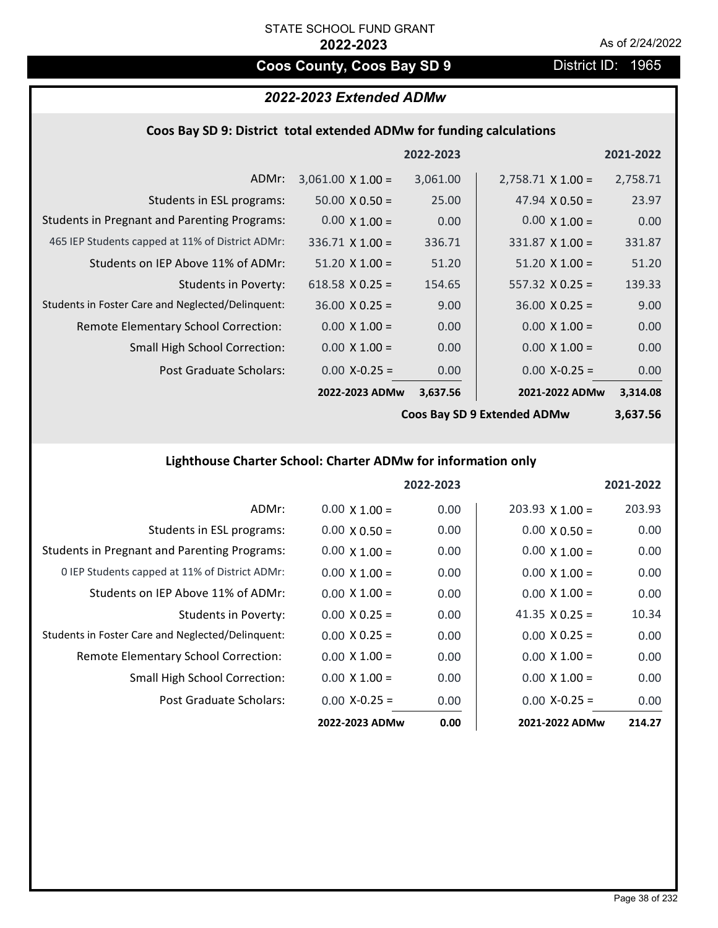# **Coos County, Coos Bay SD 9** District ID: 1965

# *2022-2023 Extended ADMw*

#### **Coos Bay SD 9: District total extended ADMw for funding calculations**

|                                                     |                          | 2022-2023 |                          | 2021-2022 |
|-----------------------------------------------------|--------------------------|-----------|--------------------------|-----------|
| ADMr:                                               | $3,061.00 \times 1.00 =$ | 3,061.00  | $2,758.71 \times 1.00 =$ | 2,758.71  |
| Students in ESL programs:                           | $50.00 \times 0.50 =$    | 25.00     | 47.94 $\times$ 0.50 =    | 23.97     |
| <b>Students in Pregnant and Parenting Programs:</b> | $0.00 \times 1.00 =$     | 0.00      | $0.00 \times 1.00 =$     | 0.00      |
| 465 IEP Students capped at 11% of District ADMr:    | $336.71 \times 1.00 =$   | 336.71    | $331.87 \times 1.00 =$   | 331.87    |
| Students on IEP Above 11% of ADMr:                  | $51.20 \times 1.00 =$    | 51.20     | $51.20 \times 1.00 =$    | 51.20     |
| <b>Students in Poverty:</b>                         | 618.58 $X$ 0.25 =        | 154.65    | $557.32 \times 0.25 =$   | 139.33    |
| Students in Foster Care and Neglected/Delinquent:   | $36.00 \times 0.25 =$    | 9.00      | $36.00 \times 0.25 =$    | 9.00      |
| Remote Elementary School Correction:                | $0.00 \times 1.00 =$     | 0.00      | $0.00 \times 1.00 =$     | 0.00      |
| <b>Small High School Correction:</b>                | $0.00 \times 1.00 =$     | 0.00      | $0.00 \times 1.00 =$     | 0.00      |
| Post Graduate Scholars:                             | $0.00 X - 0.25 =$        | 0.00      | $0.00$ X-0.25 =          | 0.00      |
|                                                     | 2022-2023 ADMw           | 3,637.56  | 2021-2022 ADMw           | 3,314.08  |

**Coos Bay SD 9 Extended ADMw**

**3,637.56**

## **Lighthouse Charter School: Charter ADMw for information only**

|                                                     |                      | 2022-2023 |                        | 2021-2022 |
|-----------------------------------------------------|----------------------|-----------|------------------------|-----------|
| ADMr:                                               | $0.00 \times 1.00 =$ | 0.00      | $203.93 \times 1.00 =$ | 203.93    |
| Students in ESL programs:                           | $0.00 \times 0.50 =$ | 0.00      | $0.00 \times 0.50 =$   | 0.00      |
| <b>Students in Pregnant and Parenting Programs:</b> | $0.00 \times 1.00 =$ | 0.00      | $0.00 \times 1.00 =$   | 0.00      |
| 0 IEP Students capped at 11% of District ADMr:      | $0.00 \times 1.00 =$ | 0.00      | $0.00 \times 1.00 =$   | 0.00      |
| Students on IEP Above 11% of ADMr:                  | $0.00 \times 1.00 =$ | 0.00      | $0.00 \times 1.00 =$   | 0.00      |
| Students in Poverty:                                | $0.00 \times 0.25 =$ | 0.00      | 41.35 $\times$ 0.25 =  | 10.34     |
| Students in Foster Care and Neglected/Delinquent:   | $0.00 \times 0.25 =$ | 0.00      | $0.00 \times 0.25 =$   | 0.00      |
| Remote Elementary School Correction:                | $0.00 \times 1.00 =$ | 0.00      | $0.00 \times 1.00 =$   | 0.00      |
| <b>Small High School Correction:</b>                | $0.00 \times 1.00 =$ | 0.00      | $0.00 \times 1.00 =$   | 0.00      |
| Post Graduate Scholars:                             | $0.00 X-0.25 =$      | 0.00      | $0.00 X-0.25 =$        | 0.00      |
|                                                     | 2022-2023 ADMw       | 0.00      | 2021-2022 ADMw         | 214.27    |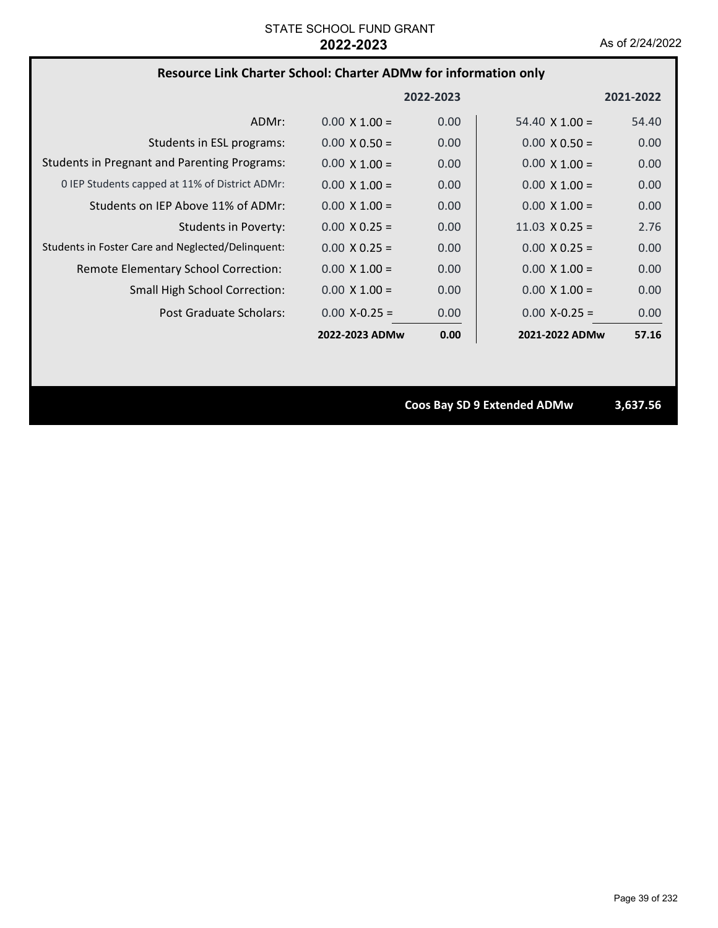### **Resource Link Charter School: Charter ADMw for information only**

|                                                     |                      | 2022-2023         |                       | 2021-2022 |
|-----------------------------------------------------|----------------------|-------------------|-----------------------|-----------|
| ADMr:                                               | $0.00 \times 1.00 =$ | 0.00              | $54.40 \times 1.00 =$ | 54.40     |
| Students in ESL programs:                           | $0.00 \times 0.50 =$ | 0.00              | $0.00 \times 0.50 =$  | 0.00      |
| <b>Students in Pregnant and Parenting Programs:</b> | $0.00 \times 1.00 =$ | 0.00              | $0.00 \times 1.00 =$  | 0.00      |
| 0 IEP Students capped at 11% of District ADMr:      | $0.00 \times 1.00 =$ | 0.00              | $0.00 \times 1.00 =$  | 0.00      |
| Students on IEP Above 11% of ADMr:                  | $0.00 \times 1.00 =$ | 0.00              | $0.00 \times 1.00 =$  | 0.00      |
| Students in Poverty:                                | $0.00 \times 0.25 =$ | 0.00              | $11.03 \times 0.25 =$ | 2.76      |
| Students in Foster Care and Neglected/Delinguent:   | $0.00 \times 0.25 =$ | 0.00              | $0.00 \times 0.25 =$  | 0.00      |
| Remote Elementary School Correction:                | $0.00 \times 1.00 =$ | 0.00              | $0.00 \times 1.00 =$  | 0.00      |
| <b>Small High School Correction:</b>                | $0.00 \times 1.00 =$ | 0.00              | $0.00 \times 1.00 =$  | 0.00      |
| Post Graduate Scholars:                             | $0.00 X - 0.25 =$    | 0.00 <sub>1</sub> | $0.00 X - 0.25 =$     | 0.00      |
|                                                     | 2022-2023 ADMw       | 0.00              | 2021-2022 ADMw        | 57.16     |

**Coos Bay SD 9 Extended ADMw 3,637.56**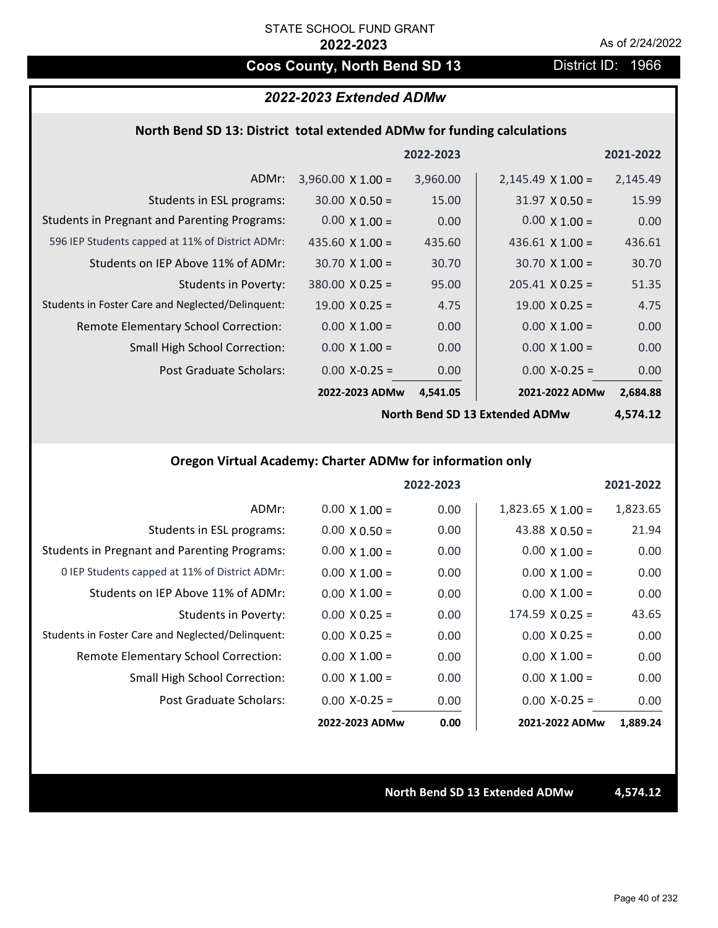# **Coos County, North Bend SD 13** District ID: 1966

## *2022-2023 Extended ADMw*

#### **North Bend SD 13: District total extended ADMw for funding calculations**

|                                                     |                          | 2022-2023 |                          | 2021-2022 |
|-----------------------------------------------------|--------------------------|-----------|--------------------------|-----------|
| ADMr:                                               | $3,960.00 \times 1.00 =$ | 3,960.00  | $2,145.49 \times 1.00 =$ | 2,145.49  |
| Students in ESL programs:                           | $30.00 \times 0.50 =$    | 15.00     | $31.97 \times 0.50 =$    | 15.99     |
| <b>Students in Pregnant and Parenting Programs:</b> | $0.00 \times 1.00 =$     | 0.00      | $0.00 \times 1.00 =$     | 0.00      |
| 596 IEP Students capped at 11% of District ADMr:    | 435.60 $\times$ 1.00 =   | 435.60    | 436.61 $\times$ 1.00 =   | 436.61    |
| Students on IEP Above 11% of ADMr:                  | $30.70 \times 1.00 =$    | 30.70     | $30.70 \times 1.00 =$    | 30.70     |
| <b>Students in Poverty:</b>                         | $380.00 \times 0.25 =$   | 95.00     | $205.41 \times 0.25 =$   | 51.35     |
| Students in Foster Care and Neglected/Delinquent:   | $19.00 \times 0.25 =$    | 4.75      | $19.00 \times 0.25 =$    | 4.75      |
| Remote Elementary School Correction:                | $0.00 \times 1.00 =$     | 0.00      | $0.00 \times 1.00 =$     | 0.00      |
| <b>Small High School Correction:</b>                | $0.00 \times 1.00 =$     | 0.00      | $0.00 \times 1.00 =$     | 0.00      |
| Post Graduate Scholars:                             | $0.00 X - 0.25 =$        | 0.00      | $0.00$ X-0.25 =          | 0.00      |
|                                                     | 2022-2023 ADMw           | 4,541.05  | 2021-2022 ADMw           | 2,684.88  |

**North Bend SD 13 Extended ADMw**

**4,574.12**

### **Oregon Virtual Academy: Charter ADMw for information only**

|                                                     |                      | 2022-2023 |                        | 2021-2022 |
|-----------------------------------------------------|----------------------|-----------|------------------------|-----------|
| ADMr:                                               | $0.00 \times 1.00 =$ | 0.00      | $1,823.65$ X $1.00 =$  | 1,823.65  |
| Students in ESL programs:                           | $0.00 \times 0.50 =$ | 0.00      | 43.88 $X$ 0.50 =       | 21.94     |
| <b>Students in Pregnant and Parenting Programs:</b> | $0.00 \times 1.00 =$ | 0.00      | $0.00 \times 1.00 =$   | 0.00      |
| 0 IEP Students capped at 11% of District ADMr:      | $0.00 \times 1.00 =$ | 0.00      | $0.00 \times 1.00 =$   | 0.00      |
| Students on IEP Above 11% of ADMr:                  | $0.00 \times 1.00 =$ | 0.00      | $0.00 \times 1.00 =$   | 0.00      |
| Students in Poverty:                                | $0.00 \times 0.25 =$ | 0.00      | $174.59 \times 0.25 =$ | 43.65     |
| Students in Foster Care and Neglected/Delinquent:   | $0.00 \times 0.25 =$ | 0.00      | $0.00 \times 0.25 =$   | 0.00      |
| Remote Elementary School Correction:                | $0.00 \times 1.00 =$ | 0.00      | $0.00 \times 1.00 =$   | 0.00      |
| <b>Small High School Correction:</b>                | $0.00 \times 1.00 =$ | 0.00      | $0.00 \times 1.00 =$   | 0.00      |
| Post Graduate Scholars:                             | $0.00 X-0.25 =$      | 0.00      | $0.00 X-0.25 =$        | 0.00      |
|                                                     | 2022-2023 ADMw       | 0.00      | 2021-2022 ADMw         | 1,889.24  |

**North Bend SD 13 Extended ADMw 4,574.12**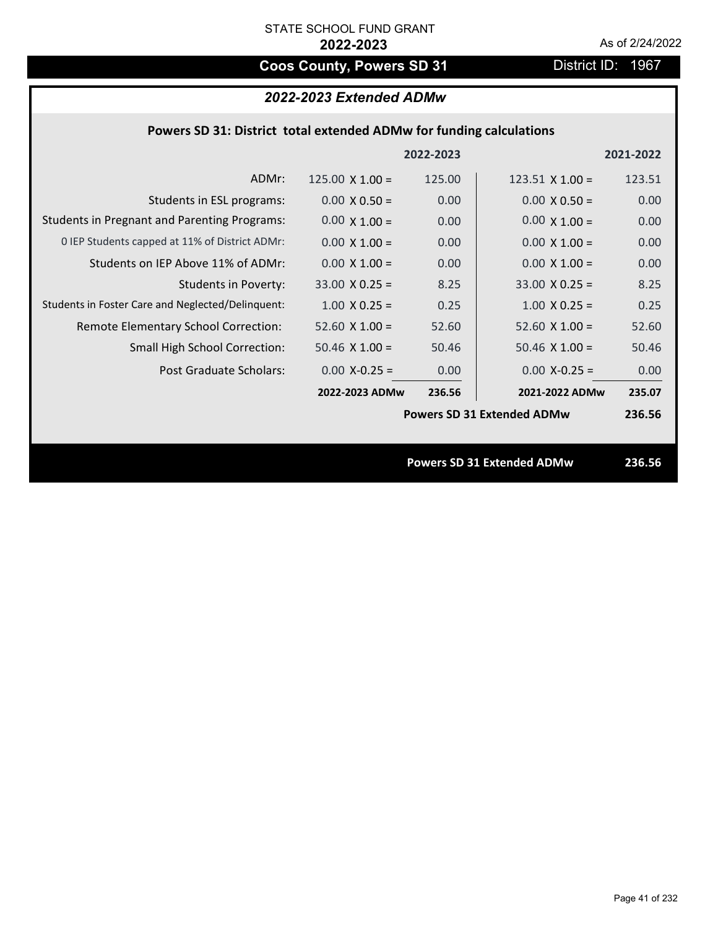# Coos County, Powers SD 31 District ID: 1967

# *2022-2023 Extended ADMw*

## **Powers SD 31: District total extended ADMw for funding calculations**

|                                                     |                        | 2022-2023 |                                   | 2021-2022 |
|-----------------------------------------------------|------------------------|-----------|-----------------------------------|-----------|
| ADMr:                                               | $125.00 \times 1.00 =$ | 125.00    | $123.51 \times 1.00 =$            | 123.51    |
| Students in ESL programs:                           | $0.00 \times 0.50 =$   | 0.00      | $0.00 \times 0.50 =$              | 0.00      |
| <b>Students in Pregnant and Parenting Programs:</b> | $0.00 \times 1.00 =$   | 0.00      | $0.00 \times 1.00 =$              | 0.00      |
| 0 IEP Students capped at 11% of District ADMr:      | $0.00 \times 1.00 =$   | 0.00      | $0.00 \times 1.00 =$              | 0.00      |
| Students on IEP Above 11% of ADMr:                  | $0.00 \times 1.00 =$   | 0.00      | $0.00 \times 1.00 =$              | 0.00      |
| <b>Students in Poverty:</b>                         | $33.00 \times 0.25 =$  | 8.25      | $33.00 \times 0.25 =$             | 8.25      |
| Students in Foster Care and Neglected/Delinquent:   | $1.00 \times 0.25 =$   | 0.25      | $1.00 \times 0.25 =$              | 0.25      |
| Remote Elementary School Correction:                | $52.60 \times 1.00 =$  | 52.60     | $52.60$ X $1.00 =$                | 52.60     |
| <b>Small High School Correction:</b>                | $50.46 \times 1.00 =$  | 50.46     | $50.46$ X $1.00 =$                | 50.46     |
| Post Graduate Scholars:                             | $0.00$ X-0.25 =        | 0.00      | $0.00 X - 0.25 =$                 | 0.00      |
|                                                     | 2022-2023 ADMw         | 236.56    | 2021-2022 ADMw                    | 235.07    |
|                                                     |                        |           | <b>Powers SD 31 Extended ADMw</b> | 236.56    |
|                                                     |                        |           |                                   |           |
|                                                     |                        |           | <b>Powers SD 31 Extended ADMw</b> | 236.56    |
|                                                     |                        |           |                                   |           |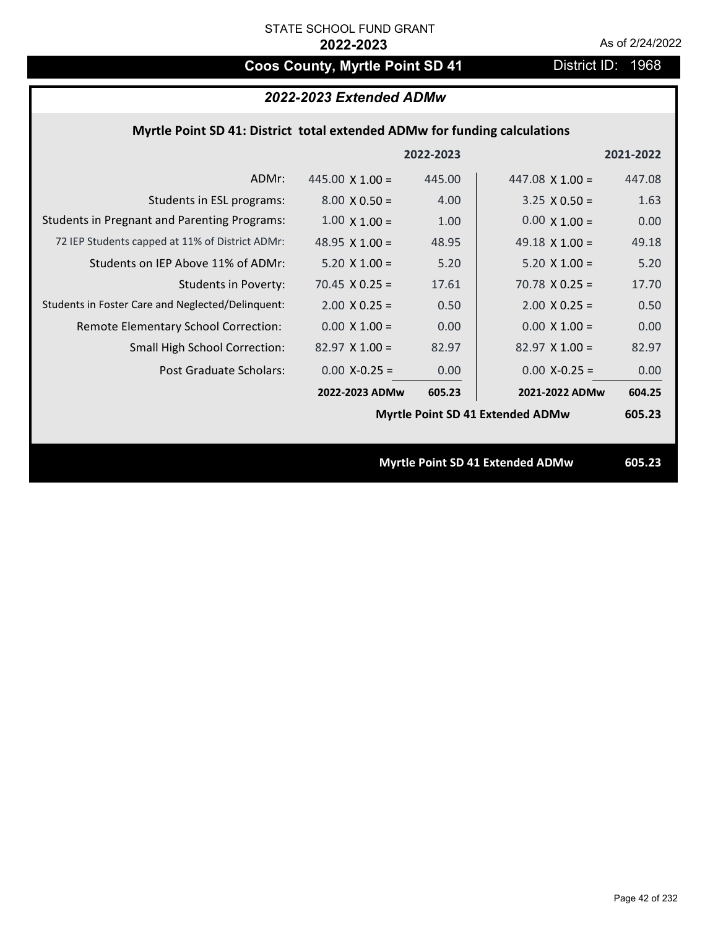# **Coos County, Myrtle Point SD 41** District ID: 1968

# *2022-2023 Extended ADMw*

## **Myrtle Point SD 41: District total extended ADMw for funding calculations**

|                                                     |                        | 2022-2023 |                                         | 2021-2022 |
|-----------------------------------------------------|------------------------|-----------|-----------------------------------------|-----------|
| ADMr:                                               | 445.00 $\times$ 1.00 = | 445.00    | 447.08 $\times$ 1.00 =                  | 447.08    |
| Students in ESL programs:                           | $8.00 \times 0.50 =$   | 4.00      | $3.25 \times 0.50 =$                    | 1.63      |
| <b>Students in Pregnant and Parenting Programs:</b> | $1.00 \times 1.00 =$   | 1.00      | $0.00 \times 1.00 =$                    | 0.00      |
| 72 IEP Students capped at 11% of District ADMr:     | 48.95 $\times$ 1.00 =  | 48.95     | 49.18 $\times$ 1.00 =                   | 49.18     |
| Students on IEP Above 11% of ADMr:                  | $5.20 \times 1.00 =$   | 5.20      | $5.20$ X $1.00 =$                       | 5.20      |
| <b>Students in Poverty:</b>                         | $70.45 \times 0.25 =$  | 17.61     | $70.78 \times 0.25 =$                   | 17.70     |
| Students in Foster Care and Neglected/Delinquent:   | $2.00 \times 0.25 =$   | 0.50      | $2.00 \times 0.25 =$                    | 0.50      |
| Remote Elementary School Correction:                | $0.00 \times 1.00 =$   | 0.00      | $0.00 \times 1.00 =$                    | 0.00      |
| <b>Small High School Correction:</b>                | $82.97 \times 1.00 =$  | 82.97     | $82.97$ X 1.00 =                        | 82.97     |
| Post Graduate Scholars:                             | $0.00$ X-0.25 =        | 0.00      | $0.00 X - 0.25 =$                       | 0.00      |
|                                                     | 2022-2023 ADMw         | 605.23    | 2021-2022 ADMw                          | 604.25    |
|                                                     |                        |           | Myrtle Point SD 41 Extended ADMw        | 605.23    |
|                                                     |                        |           |                                         |           |
|                                                     |                        |           | <b>Myrtle Point SD 41 Extended ADMw</b> | 605.23    |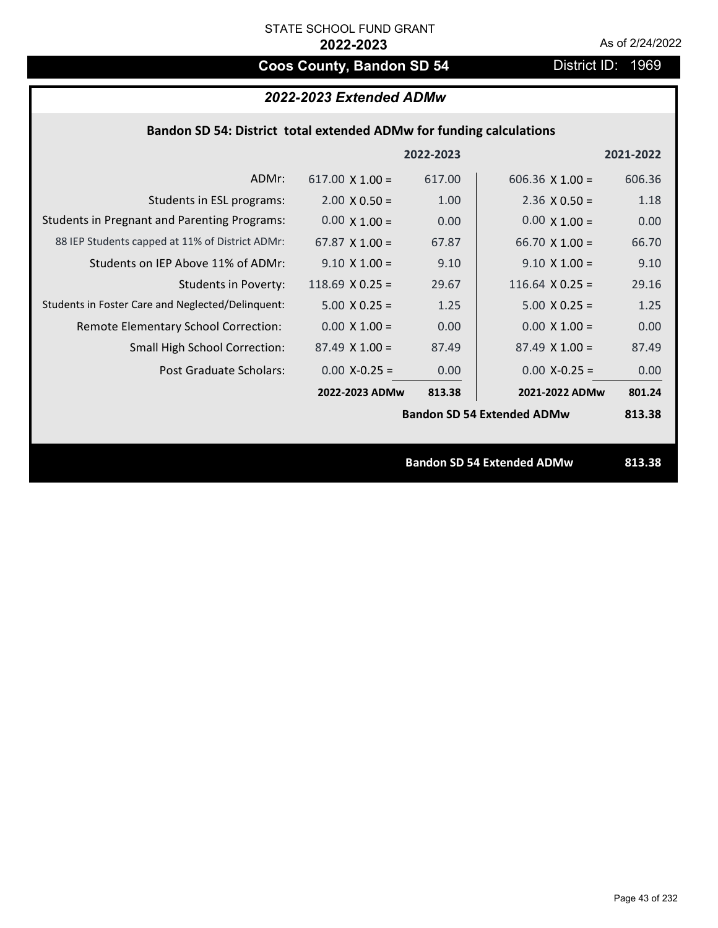# **Coos County, Bandon SD 54** District ID: 1969

### *2022-2023 Extended ADMw*

| Bandon SD 54: District total extended ADMw for funding calculations |  |  |  |
|---------------------------------------------------------------------|--|--|--|
|---------------------------------------------------------------------|--|--|--|

|                                                     |                        | 2022-2023 |                                   | 2021-2022 |  |
|-----------------------------------------------------|------------------------|-----------|-----------------------------------|-----------|--|
| ADMr:                                               | 617.00 $\times$ 1.00 = | 617.00    | 606.36 $\times$ 1.00 =            | 606.36    |  |
| Students in ESL programs:                           | $2.00 \times 0.50 =$   | 1.00      | $2.36 \times 0.50 =$              | 1.18      |  |
| <b>Students in Pregnant and Parenting Programs:</b> | $0.00 \times 1.00 =$   | 0.00      | $0.00 \times 1.00 =$              | 0.00      |  |
| 88 IEP Students capped at 11% of District ADMr:     | $67.87 \times 1.00 =$  | 67.87     | $66.70 \times 1.00 =$             | 66.70     |  |
| Students on IEP Above 11% of ADMr:                  | $9.10 \times 1.00 =$   | 9.10      | $9.10 \times 1.00 =$              | 9.10      |  |
| <b>Students in Poverty:</b>                         | $118.69$ X 0.25 =      | 29.67     | $116.64$ X 0.25 =                 | 29.16     |  |
| Students in Foster Care and Neglected/Delinquent:   | $5.00 \times 0.25 =$   | 1.25      | $5.00 \times 0.25 =$              | 1.25      |  |
| Remote Elementary School Correction:                | $0.00 \times 1.00 =$   | 0.00      | $0.00 \times 1.00 =$              | 0.00      |  |
| <b>Small High School Correction:</b>                | $87.49 \times 1.00 =$  | 87.49     | $87.49 \times 1.00 =$             | 87.49     |  |
| Post Graduate Scholars:                             | $0.00$ X-0.25 =        | 0.00      | $0.00 X - 0.25 =$                 | 0.00      |  |
|                                                     | 2022-2023 ADMw         | 813.38    | 2021-2022 ADMw                    | 801.24    |  |
|                                                     |                        |           | <b>Bandon SD 54 Extended ADMw</b> | 813.38    |  |
|                                                     |                        |           |                                   |           |  |
|                                                     |                        |           | <b>Bandon SD 54 Extended ADMw</b> | 813.38    |  |
|                                                     |                        |           |                                   |           |  |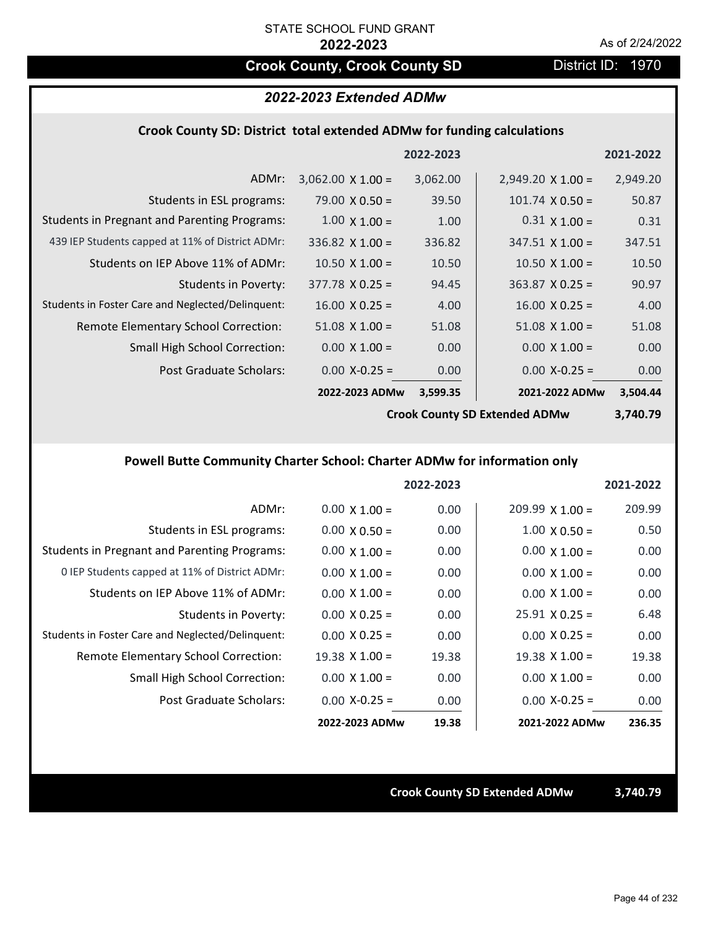# **Crook County, Crook County SD District ID: 1970**

## *2022-2023 Extended ADMw*

#### **Crook County SD: District total extended ADMw for funding calculations**

|                                                     |                          | 2022-2023 |                          | 2021-2022 |
|-----------------------------------------------------|--------------------------|-----------|--------------------------|-----------|
| ADMr:                                               | $3,062.00 \times 1.00 =$ | 3,062.00  | $2,949.20 \times 1.00 =$ | 2,949.20  |
| Students in ESL programs:                           | $79.00 \times 0.50 =$    | 39.50     | $101.74 \times 0.50 =$   | 50.87     |
| <b>Students in Pregnant and Parenting Programs:</b> | $1.00 \times 1.00 =$     | 1.00      | $0.31 \times 1.00 =$     | 0.31      |
| 439 IEP Students capped at 11% of District ADMr:    | $336.82 \times 1.00 =$   | 336.82    | $347.51 \times 1.00 =$   | 347.51    |
| Students on IEP Above 11% of ADMr:                  | $10.50 \times 1.00 =$    | 10.50     | $10.50 \times 1.00 =$    | 10.50     |
| <b>Students in Poverty:</b>                         | $377.78$ X 0.25 =        | 94.45     | $363.87$ X 0.25 =        | 90.97     |
| Students in Foster Care and Neglected/Delinquent:   | $16.00 \times 0.25 =$    | 4.00      | $16.00 \times 0.25 =$    | 4.00      |
| Remote Elementary School Correction:                | $51.08 \times 1.00 =$    | 51.08     | $51.08 \times 1.00 =$    | 51.08     |
| <b>Small High School Correction:</b>                | $0.00 \times 1.00 =$     | 0.00      | $0.00 \times 1.00 =$     | 0.00      |
| Post Graduate Scholars:                             | $0.00$ X-0.25 =          | 0.00      | $0.00$ X-0.25 =          | 0.00      |
|                                                     | 2022-2023 ADMw           | 3,599.35  | 2021-2022 ADMw           | 3,504.44  |
|                                                     |                          |           |                          |           |

**Crook County SD Extended ADMw**

**3,740.79**

## **Powell Butte Community Charter School: Charter ADMw for information only**

|                                                     |                       | 2022-2023 |                        | 2021-2022 |
|-----------------------------------------------------|-----------------------|-----------|------------------------|-----------|
| ADMr:                                               | $0.00 \times 1.00 =$  | 0.00      | $209.99 \times 1.00 =$ | 209.99    |
| Students in ESL programs:                           | $0.00 \times 0.50 =$  | 0.00      | $1.00 \times 0.50 =$   | 0.50      |
| <b>Students in Pregnant and Parenting Programs:</b> | $0.00 \times 1.00 =$  | 0.00      | $0.00 \times 1.00 =$   | 0.00      |
| 0 IEP Students capped at 11% of District ADMr:      | $0.00 \times 1.00 =$  | 0.00      | $0.00 \times 1.00 =$   | 0.00      |
| Students on IEP Above 11% of ADMr:                  | $0.00 \times 1.00 =$  | 0.00      | $0.00 \times 1.00 =$   | 0.00      |
| Students in Poverty:                                | $0.00 \times 0.25 =$  | 0.00      | $25.91 \times 0.25 =$  | 6.48      |
| Students in Foster Care and Neglected/Delinquent:   | $0.00 \times 0.25 =$  | 0.00      | $0.00 \times 0.25 =$   | 0.00      |
| Remote Elementary School Correction:                | $19.38 \times 1.00 =$ | 19.38     | $19.38 \times 1.00 =$  | 19.38     |
| <b>Small High School Correction:</b>                | $0.00 \times 1.00 =$  | 0.00      | $0.00 \times 1.00 =$   | 0.00      |
| Post Graduate Scholars:                             | $0.00$ X-0.25 =       | 0.00      | $0.00$ X-0.25 =        | 0.00      |
|                                                     | 2022-2023 ADMw        | 19.38     | 2021-2022 ADMw         | 236.35    |

**Crook County SD Extended ADMw 3,740.79**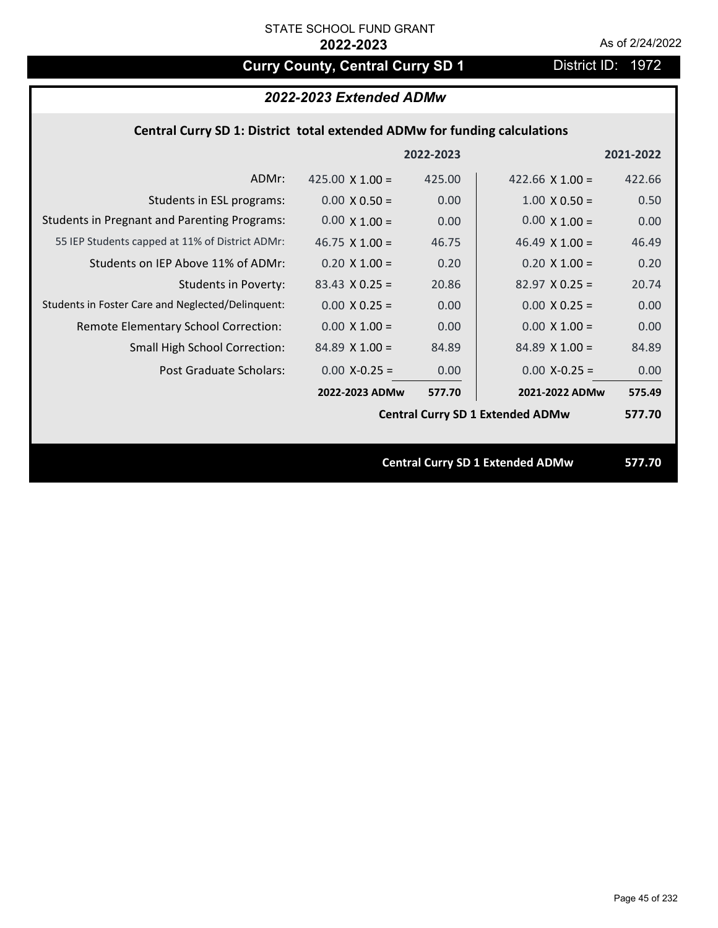# **Curry County, Central Curry SD 1** District ID: 1972

# *2022-2023 Extended ADMw*

## **Central Curry SD 1: District total extended ADMw for funding calculations**

|                                                     |                        | 2022-2023 |                                         | 2021-2022 |
|-----------------------------------------------------|------------------------|-----------|-----------------------------------------|-----------|
| ADMr:                                               | 425.00 $\times$ 1.00 = | 425.00    | 422.66 $X$ 1.00 =                       | 422.66    |
| Students in ESL programs:                           | $0.00 \times 0.50 =$   | 0.00      | $1.00 \times 0.50 =$                    | 0.50      |
| <b>Students in Pregnant and Parenting Programs:</b> | $0.00 \times 1.00 =$   | 0.00      | $0.00 \times 1.00 =$                    | 0.00      |
| 55 IEP Students capped at 11% of District ADMr:     | 46.75 $\times$ 1.00 =  | 46.75     | 46.49 $\times$ 1.00 =                   | 46.49     |
| Students on IEP Above 11% of ADMr:                  | $0.20 X 1.00 =$        | 0.20      | $0.20$ X $1.00 =$                       | 0.20      |
| <b>Students in Poverty:</b>                         | $83.43 \times 0.25 =$  | 20.86     | $82.97 \times 0.25 =$                   | 20.74     |
| Students in Foster Care and Neglected/Delinquent:   | $0.00 \times 0.25 =$   | 0.00      | $0.00 \times 0.25 =$                    | 0.00      |
| Remote Elementary School Correction:                | $0.00 \times 1.00 =$   | 0.00      | $0.00 \times 1.00 =$                    | 0.00      |
| <b>Small High School Correction:</b>                | $84.89 \times 1.00 =$  | 84.89     | $84.89 \times 1.00 =$                   | 84.89     |
| Post Graduate Scholars:                             | $0.00$ X-0.25 =        | 0.00      | $0.00$ X-0.25 =                         | 0.00      |
|                                                     | 2022-2023 ADMw         | 577.70    | 2021-2022 ADMw                          | 575.49    |
|                                                     |                        |           | <b>Central Curry SD 1 Extended ADMw</b> | 577.70    |
|                                                     |                        |           |                                         |           |
|                                                     |                        |           | <b>Central Curry SD 1 Extended ADMw</b> | 577.70    |
|                                                     |                        |           |                                         |           |

Page 45 of 232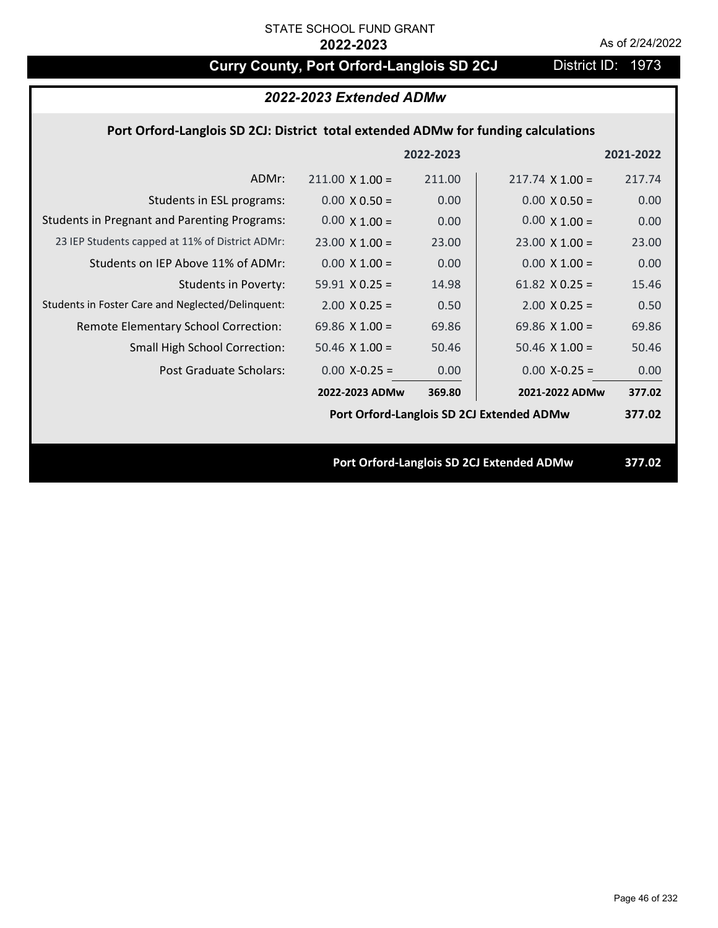# **Curry County, Port Orford-Langlois SD 2CJ** District ID: 1973

## *2022-2023 Extended ADMw*

### **Port Orford‐Langlois SD 2CJ: District total extended ADMw for funding calculations**

|                                                     |                        | 2022-2023 |                                           | 2021-2022 |
|-----------------------------------------------------|------------------------|-----------|-------------------------------------------|-----------|
| ADMr:                                               | $211.00 \times 1.00 =$ | 211.00    | $217.74 \times 1.00 =$                    | 217.74    |
| Students in ESL programs:                           | $0.00 \times 0.50 =$   | 0.00      | $0.00 \times 0.50 =$                      | 0.00      |
| <b>Students in Pregnant and Parenting Programs:</b> | $0.00 \times 1.00 =$   | 0.00      | $0.00 \times 1.00 =$                      | 0.00      |
| 23 IEP Students capped at 11% of District ADMr:     | $23.00 \times 1.00 =$  | 23.00     | $23.00 \times 1.00 =$                     | 23.00     |
| Students on IEP Above 11% of ADMr:                  | $0.00 \times 1.00 =$   | 0.00      | $0.00$ X $1.00 =$                         | 0.00      |
| <b>Students in Poverty:</b>                         | $59.91$ X 0.25 =       | 14.98     | 61.82 $X$ 0.25 =                          | 15.46     |
| Students in Foster Care and Neglected/Delinquent:   | $2.00 \times 0.25 =$   | 0.50      | $2.00 X 0.25 =$                           | 0.50      |
| Remote Elementary School Correction:                | 69.86 $\times$ 1.00 =  | 69.86     | 69.86 $X$ 1.00 =                          | 69.86     |
| <b>Small High School Correction:</b>                | $50.46$ X $1.00 =$     | 50.46     | $50.46$ X $1.00 =$                        | 50.46     |
| Post Graduate Scholars:                             | $0.00$ X-0.25 =        | 0.00      | $0.00 X - 0.25 =$                         | 0.00      |
|                                                     | 2022-2023 ADMw         | 369.80    | 2021-2022 ADMw                            | 377.02    |
|                                                     |                        |           | Port Orford-Langlois SD 2CJ Extended ADMw | 377.02    |
|                                                     |                        |           |                                           |           |
|                                                     |                        |           | Port Orford-Langlois SD 2CJ Extended ADMw | 377.02    |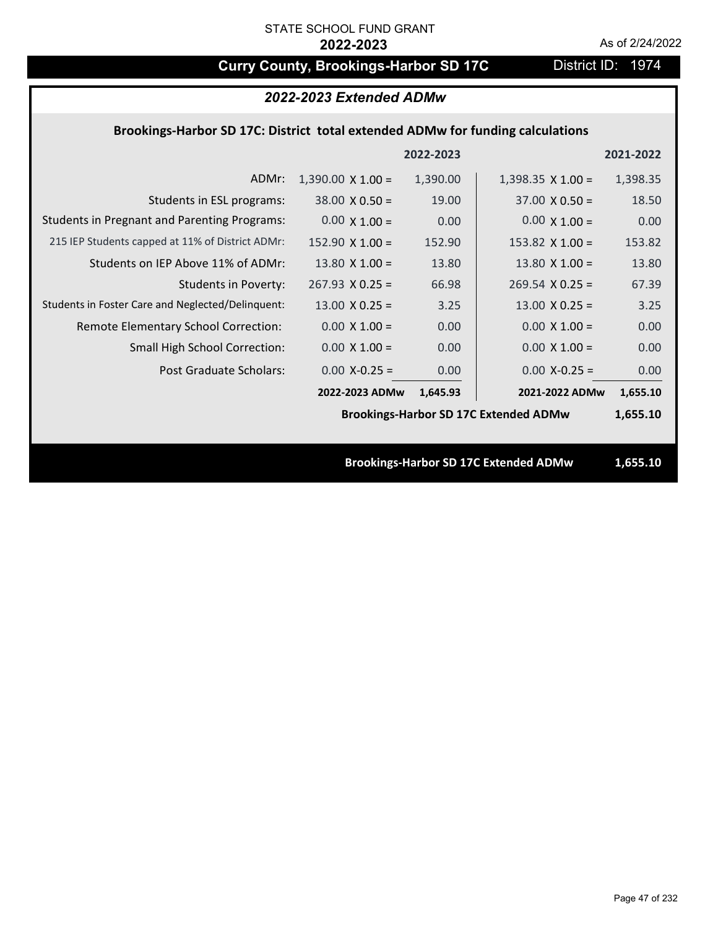# **Curry County, Brookings-Harbor SD 17C** District ID: 1974

*2022-2023 Extended ADMw*

| Brookings-Harbor SD 17C: District total extended ADMw for funding calculations |                          |           |                                              |           |  |
|--------------------------------------------------------------------------------|--------------------------|-----------|----------------------------------------------|-----------|--|
|                                                                                |                          | 2022-2023 |                                              | 2021-2022 |  |
| ADMr:                                                                          | $1,390.00 \times 1.00 =$ | 1,390.00  | $1,398.35 \times 1.00 =$                     | 1,398.35  |  |
| Students in ESL programs:                                                      | $38.00 \times 0.50 =$    | 19.00     | $37.00 \times 0.50 =$                        | 18.50     |  |
| <b>Students in Pregnant and Parenting Programs:</b>                            | $0.00 \times 1.00 =$     | 0.00      | $0.00 \times 1.00 =$                         | 0.00      |  |
| 215 IEP Students capped at 11% of District ADMr:                               | $152.90 \times 1.00 =$   | 152.90    | 153.82 $X$ 1.00 =                            | 153.82    |  |
| Students on IEP Above 11% of ADMr:                                             | 13.80 $X$ 1.00 =         | 13.80     | $13.80$ X $1.00 =$                           | 13.80     |  |
| <b>Students in Poverty:</b>                                                    | $267.93 \times 0.25 =$   | 66.98     | $269.54$ X 0.25 =                            | 67.39     |  |
| Students in Foster Care and Neglected/Delinquent:                              | $13.00 \times 0.25 =$    | 3.25      | $13.00 \times 0.25 =$                        | 3.25      |  |
| Remote Elementary School Correction:                                           | $0.00 \times 1.00 =$     | 0.00      | $0.00 \times 1.00 =$                         | 0.00      |  |
| <b>Small High School Correction:</b>                                           | $0.00 X 1.00 =$          | 0.00      | $0.00 \times 1.00 =$                         | 0.00      |  |
| Post Graduate Scholars:                                                        | $0.00$ X-0.25 =          | 0.00      | $0.00$ X-0.25 =                              | 0.00      |  |
|                                                                                | 2022-2023 ADMw           | 1,645.93  | 2021-2022 ADMw                               | 1,655.10  |  |
|                                                                                |                          |           | <b>Brookings-Harbor SD 17C Extended ADMw</b> | 1,655.10  |  |
|                                                                                |                          |           |                                              |           |  |
|                                                                                |                          |           | <b>Brookings-Harbor SD 17C Extended ADMw</b> | 1,655.10  |  |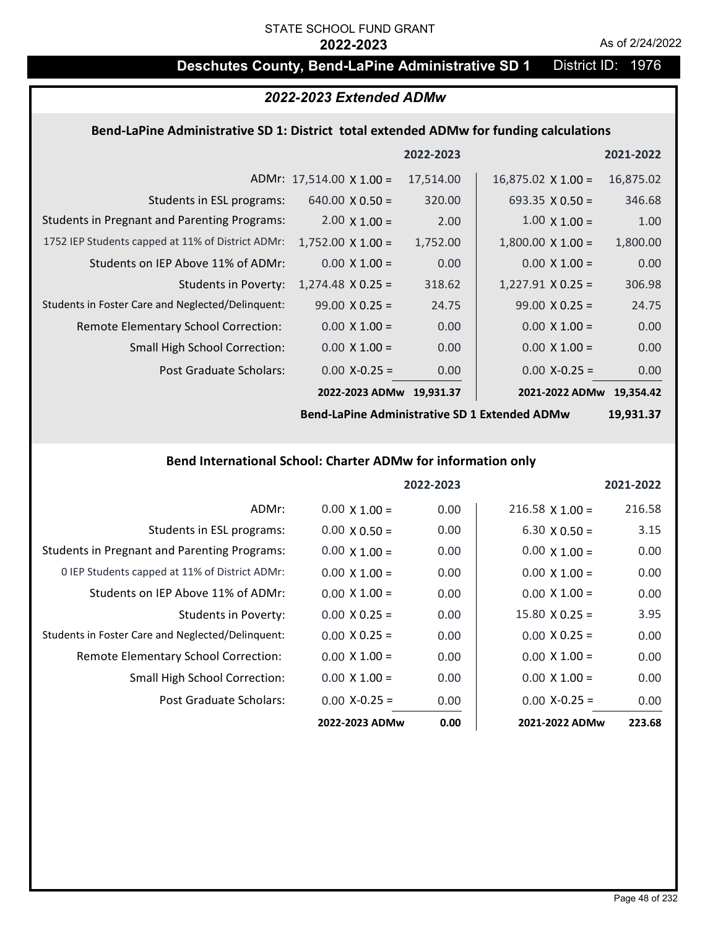# STATE SCHOOL FUND GRANT

# **Deschutes County, Bend-LaPine Administrative SD 1** District ID: 1976

#### *2022-2023 Extended ADMw*

### **Bend‐LaPine Administrative SD 1: District total extended ADMw for funding calculations**

|                                                     |                                 | 2022-2023 |                           | 2021-2022 |
|-----------------------------------------------------|---------------------------------|-----------|---------------------------|-----------|
|                                                     | ADMr: $17,514.00 \times 1.00 =$ | 17,514.00 | $16,875.02 \times 1.00 =$ | 16,875.02 |
| Students in ESL programs:                           | $640.00 \times 0.50 =$          | 320.00    | 693.35 $X$ 0.50 =         | 346.68    |
| <b>Students in Pregnant and Parenting Programs:</b> | 2.00 $\times$ 1.00 =            | 2.00      | $1.00 \times 1.00 =$      | 1.00      |
| 1752 IEP Students capped at 11% of District ADMr:   | $1,752.00 \times 1.00 =$        | 1,752.00  | $1,800.00 \times 1.00 =$  | 1,800.00  |
| Students on IEP Above 11% of ADMr:                  | $0.00 \times 1.00 =$            | 0.00      | $0.00 \times 1.00 =$      | 0.00      |
| <b>Students in Poverty:</b>                         | $1,274.48 \times 0.25 =$        | 318.62    | $1,227.91$ X 0.25 =       | 306.98    |
| Students in Foster Care and Neglected/Delinquent:   | $99.00 \times 0.25 =$           | 24.75     | $99.00 \times 0.25 =$     | 24.75     |
| Remote Elementary School Correction:                | $0.00 \times 1.00 =$            | 0.00      | $0.00 \times 1.00 =$      | 0.00      |
| <b>Small High School Correction:</b>                | $0.00 \times 1.00 =$            | 0.00      | $0.00 \times 1.00 =$      | 0.00      |
| Post Graduate Scholars:                             | $0.00 X - 0.25 =$               | 0.00      | $0.00$ X-0.25 =           | 0.00      |
|                                                     | 2022-2023 ADMw                  | 19,931.37 | 2021-2022 ADMw            | 19.354.42 |

**Bend‐LaPine Administrative SD 1 Extended ADMw**

**19,931.37**

## **Bend International School: Charter ADMw for information only**

|                                                     |                      | 2022-2023 |                        | 2021-2022 |
|-----------------------------------------------------|----------------------|-----------|------------------------|-----------|
| ADMr:                                               | $0.00 \times 1.00 =$ | 0.00      | $216.58 \times 1.00 =$ | 216.58    |
| Students in ESL programs:                           | $0.00 \times 0.50 =$ | 0.00      | $6.30 \times 0.50 =$   | 3.15      |
| <b>Students in Pregnant and Parenting Programs:</b> | $0.00 \times 1.00 =$ | 0.00      | $0.00 \times 1.00 =$   | 0.00      |
| 0 IEP Students capped at 11% of District ADMr:      | $0.00 \times 1.00 =$ | 0.00      | $0.00 \times 1.00 =$   | 0.00      |
| Students on IEP Above 11% of ADMr:                  | $0.00 \times 1.00 =$ | 0.00      | $0.00 \times 1.00 =$   | 0.00      |
| Students in Poverty:                                | $0.00 \times 0.25 =$ | 0.00      | $15.80 \times 0.25 =$  | 3.95      |
| Students in Foster Care and Neglected/Delinquent:   | $0.00 \times 0.25 =$ | 0.00      | $0.00 \times 0.25 =$   | 0.00      |
| Remote Elementary School Correction:                | $0.00 \times 1.00 =$ | 0.00      | $0.00 \times 1.00 =$   | 0.00      |
| <b>Small High School Correction:</b>                | $0.00 \times 1.00 =$ | 0.00      | $0.00 \times 1.00 =$   | 0.00      |
| Post Graduate Scholars:                             | $0.00 X-0.25 =$      | 0.00      | $0.00 X-0.25 =$        | 0.00      |
|                                                     | 2022-2023 ADMw       | 0.00      | 2021-2022 ADMw         | 223.68    |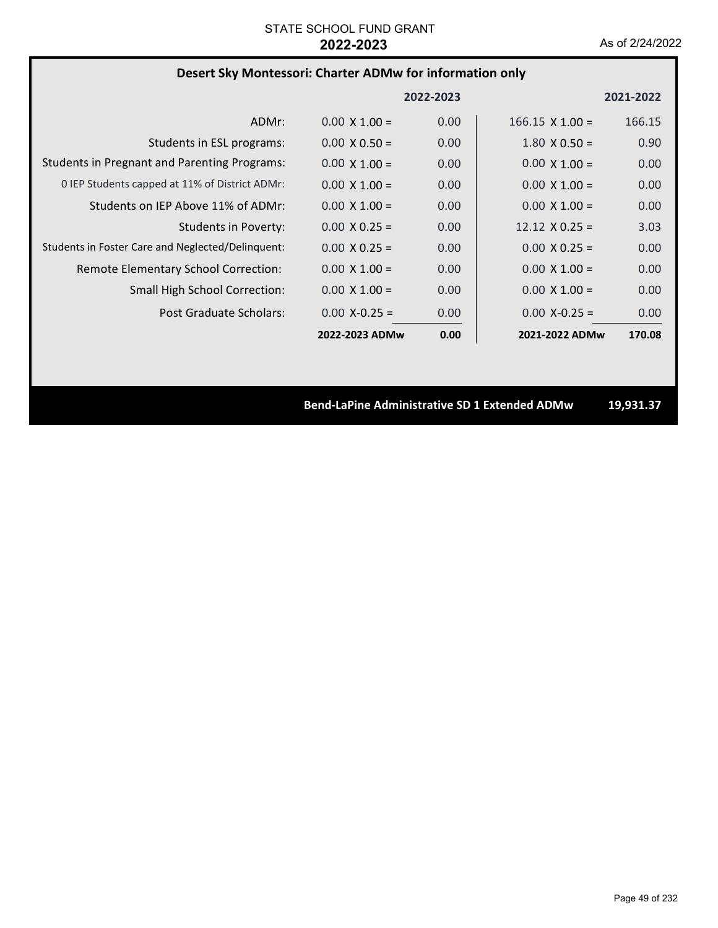### **Desert Sky Montessori: Charter ADMw for information only**

|                                                     |                      | 2022-2023         |                        | 2021-2022 |
|-----------------------------------------------------|----------------------|-------------------|------------------------|-----------|
| ADMr:                                               | $0.00 \times 1.00 =$ | 0.00              | $166.15 \times 1.00 =$ | 166.15    |
| Students in ESL programs:                           | $0.00 \times 0.50 =$ | 0.00              | $1.80 \times 0.50 =$   | 0.90      |
| <b>Students in Pregnant and Parenting Programs:</b> | $0.00 \times 1.00 =$ | 0.00              | $0.00 \times 1.00 =$   | 0.00      |
| 0 IEP Students capped at 11% of District ADMr:      | $0.00 \times 1.00 =$ | 0.00              | $0.00 \times 1.00 =$   | 0.00      |
| Students on IEP Above 11% of ADMr:                  | $0.00 \times 1.00 =$ | 0.00              | $0.00 \times 1.00 =$   | 0.00      |
| Students in Poverty:                                | $0.00 \times 0.25 =$ | 0.00              | $12.12 \times 0.25 =$  | 3.03      |
| Students in Foster Care and Neglected/Delinguent:   | $0.00 \times 0.25 =$ | 0.00              | $0.00 \times 0.25 =$   | 0.00      |
| Remote Elementary School Correction:                | $0.00 \times 1.00 =$ | 0.00              | $0.00 \times 1.00 =$   | 0.00      |
| <b>Small High School Correction:</b>                | $0.00 \times 1.00 =$ | 0.00              | $0.00 \times 1.00 =$   | 0.00      |
| Post Graduate Scholars:                             | $0.00 X - 0.25 =$    | 0.00 <sub>1</sub> | $0.00 X - 0.25 =$      | 0.00      |
|                                                     | 2022-2023 ADMw       | 0.00              | 2021-2022 ADMw         | 170.08    |

**Bend‐LaPine Administrative SD 1 Extended ADMw 19,931.37**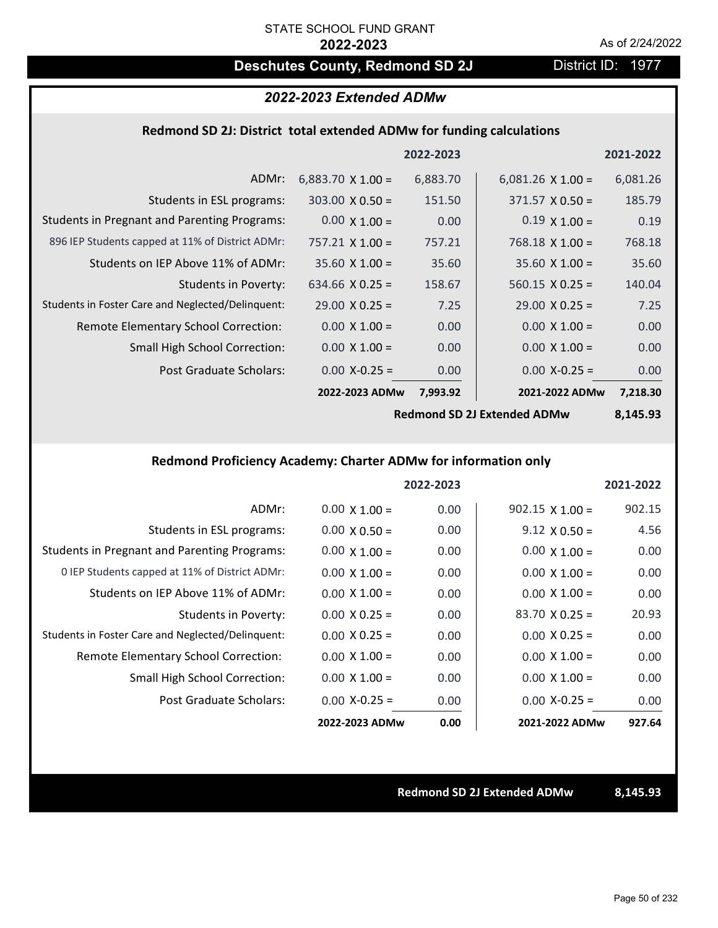# **Deschutes County, Redmond SD 2J District ID: 1977**

## *2022-2023 Extended ADMw*

#### **Redmond SD 2J: District total extended ADMw for funding calculations**

|                                                     |                          | 2022-2023 |                          | 2021-2022 |
|-----------------------------------------------------|--------------------------|-----------|--------------------------|-----------|
| ADMr:                                               | 6,883.70 $\times$ 1.00 = | 6,883.70  | $6,081.26 \times 1.00 =$ | 6,081.26  |
| Students in ESL programs:                           | $303.00 \times 0.50 =$   | 151.50    | $371.57 \times 0.50 =$   | 185.79    |
| <b>Students in Pregnant and Parenting Programs:</b> | $0.00 \times 1.00 =$     | 0.00      | $0.19 \times 1.00 =$     | 0.19      |
| 896 IEP Students capped at 11% of District ADMr:    | $757.21 \times 1.00 =$   | 757.21    | $768.18 \times 1.00 =$   | 768.18    |
| Students on IEP Above 11% of ADMr:                  | $35.60 \times 1.00 =$    | 35.60     | $35.60 \times 1.00 =$    | 35.60     |
| <b>Students in Poverty:</b>                         | 634.66 $X$ 0.25 =        | 158.67    | $560.15 \times 0.25 =$   | 140.04    |
| Students in Foster Care and Neglected/Delinquent:   | $29.00 \times 0.25 =$    | 7.25      | $29.00 \times 0.25 =$    | 7.25      |
| Remote Elementary School Correction:                | $0.00 \times 1.00 =$     | 0.00      | $0.00 \times 1.00 =$     | 0.00      |
| <b>Small High School Correction:</b>                | $0.00 \times 1.00 =$     | 0.00      | $0.00 \times 1.00 =$     | 0.00      |
| Post Graduate Scholars:                             | $0.00 X - 0.25 =$        | 0.00      | $0.00$ X-0.25 =          | 0.00      |
|                                                     | 2022-2023 ADMw           | 7,993.92  | 2021-2022 ADMw           | 7,218.30  |

**Redmond SD 2J Extended ADMw**

**8,145.93**

## **Redmond Proficiency Academy: Charter ADMw for information only**

|                                                     |                      | 2022-2023 |                        | 2021-2022 |
|-----------------------------------------------------|----------------------|-----------|------------------------|-----------|
| ADMr:                                               | $0.00 \times 1.00 =$ | 0.00      | $902.15 \times 1.00 =$ | 902.15    |
| Students in ESL programs:                           | $0.00 \times 0.50 =$ | 0.00      | $9.12 \times 0.50 =$   | 4.56      |
| <b>Students in Pregnant and Parenting Programs:</b> | $0.00 \times 1.00 =$ | 0.00      | $0.00 \times 1.00 =$   | 0.00      |
| 0 IEP Students capped at 11% of District ADMr:      | $0.00 \times 1.00 =$ | 0.00      | $0.00 \times 1.00 =$   | 0.00      |
| Students on IEP Above 11% of ADMr:                  | $0.00 \times 1.00 =$ | 0.00      | $0.00 \times 1.00 =$   | 0.00      |
| Students in Poverty:                                | $0.00 \times 0.25 =$ | 0.00      | $83.70 \times 0.25 =$  | 20.93     |
| Students in Foster Care and Neglected/Delinquent:   | $0.00 \times 0.25 =$ | 0.00      | $0.00 \times 0.25 =$   | 0.00      |
| Remote Elementary School Correction:                | $0.00 \times 1.00 =$ | 0.00      | $0.00 \times 1.00 =$   | 0.00      |
| <b>Small High School Correction:</b>                | $0.00 \times 1.00 =$ | 0.00      | $0.00 \times 1.00 =$   | 0.00      |
| Post Graduate Scholars:                             | $0.00$ X-0.25 =      | 0.00      | $0.00 X-0.25 =$        | 0.00      |
|                                                     | 2022-2023 ADMw       | 0.00      | 2021-2022 ADMw         | 927.64    |

**Redmond SD 2J Extended ADMw 8,145.93**

Page 50 of 232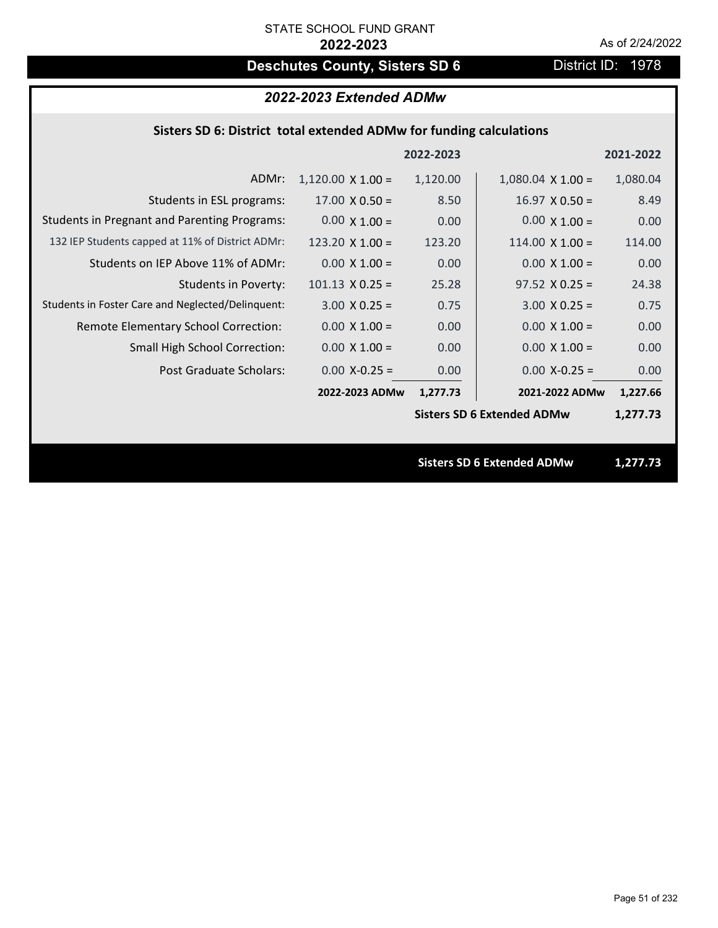# **Deschutes County, Sisters SD 6** District ID: 1978

# *2022-2023 Extended ADMw*

## **Sisters SD 6: District total extended ADMw for funding calculations**

|                                                     |                          | 2022-2023 |                                   | 2021-2022 |
|-----------------------------------------------------|--------------------------|-----------|-----------------------------------|-----------|
| ADMr:                                               | $1,120.00 \times 1.00 =$ | 1,120.00  | $1,080.04 \times 1.00 =$          | 1,080.04  |
| Students in ESL programs:                           | $17.00 \times 0.50 =$    | 8.50      | $16.97 \times 0.50 =$             | 8.49      |
| <b>Students in Pregnant and Parenting Programs:</b> | $0.00 \times 1.00 =$     | 0.00      | $0.00 \times 1.00 =$              | 0.00      |
| 132 IEP Students capped at 11% of District ADMr:    | 123.20 $\times$ 1.00 =   | 123.20    | $114.00 \times 1.00 =$            | 114.00    |
| Students on IEP Above 11% of ADMr:                  | $0.00 \times 1.00 =$     | 0.00      | $0.00 \times 1.00 =$              | 0.00      |
| <b>Students in Poverty:</b>                         | $101.13 \times 0.25 =$   | 25.28     | $97.52 \times 0.25 =$             | 24.38     |
| Students in Foster Care and Neglected/Delinquent:   | $3.00 \times 0.25 =$     | 0.75      | $3.00 \times 0.25 =$              | 0.75      |
| Remote Elementary School Correction:                | $0.00 \times 1.00 =$     | 0.00      | $0.00 \times 1.00 =$              | 0.00      |
| <b>Small High School Correction:</b>                | $0.00 \times 1.00 =$     | 0.00      | $0.00 \times 1.00 =$              | 0.00      |
| Post Graduate Scholars:                             | $0.00$ X-0.25 =          | 0.00      | $0.00$ X-0.25 =                   | 0.00      |
|                                                     | 2022-2023 ADMw           | 1,277.73  | 2021-2022 ADMw                    | 1,227.66  |
|                                                     |                          |           | <b>Sisters SD 6 Extended ADMw</b> | 1,277.73  |
|                                                     |                          |           |                                   |           |
|                                                     |                          |           | <b>Sisters SD 6 Extended ADMw</b> | 1,277.73  |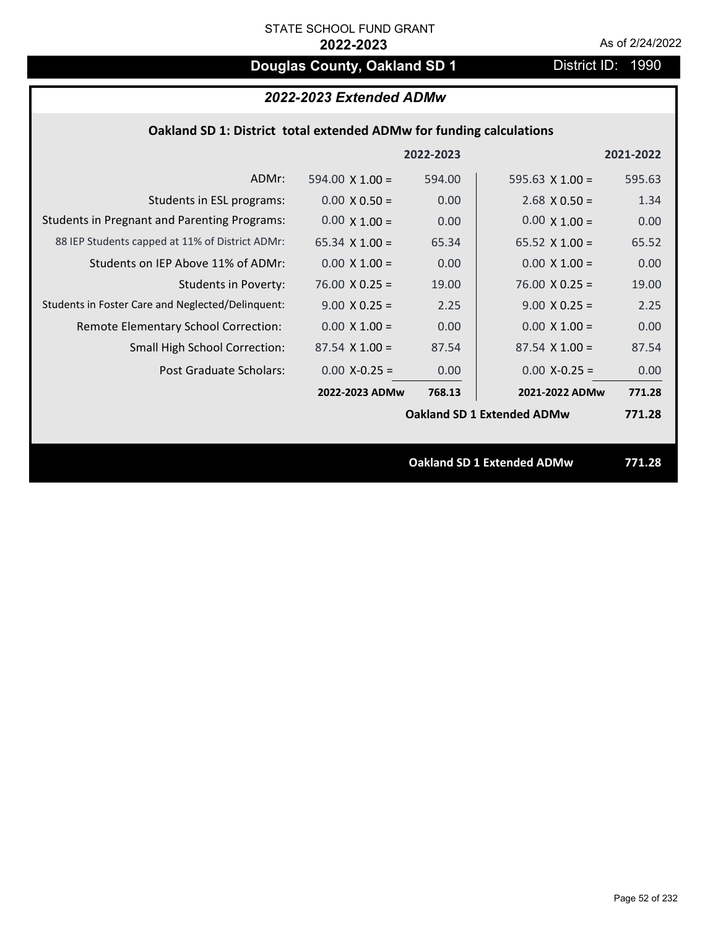# **Douglas County, Oakland SD 1** District ID: 1990

# *2022-2023 Extended ADMw*

## **Oakland SD 1: District total extended ADMw for funding calculations**

|                                                     |                        | 2022-2023 |                                   | 2021-2022 |
|-----------------------------------------------------|------------------------|-----------|-----------------------------------|-----------|
| ADMr:                                               | 594.00 $\times$ 1.00 = | 594.00    | 595.63 $X$ 1.00 =                 | 595.63    |
| Students in ESL programs:                           | $0.00 \times 0.50 =$   | 0.00      | $2.68 \times 0.50 =$              | 1.34      |
| <b>Students in Pregnant and Parenting Programs:</b> | $0.00 \times 1.00 =$   | 0.00      | $0.00 \times 1.00 =$              | 0.00      |
| 88 IEP Students capped at 11% of District ADMr:     | 65.34 $X$ 1.00 =       | 65.34     | 65.52 $X$ 1.00 =                  | 65.52     |
| Students on IEP Above 11% of ADMr:                  | $0.00 \times 1.00 =$   | 0.00      | $0.00 \times 1.00 =$              | 0.00      |
| <b>Students in Poverty:</b>                         | $76.00 \times 0.25 =$  | 19.00     | $76.00 \times 0.25 =$             | 19.00     |
| Students in Foster Care and Neglected/Delinquent:   | $9.00 \times 0.25 =$   | 2.25      | $9.00 \times 0.25 =$              | 2.25      |
| Remote Elementary School Correction:                | $0.00 \times 1.00 =$   | 0.00      | $0.00 \times 1.00 =$              | 0.00      |
| <b>Small High School Correction:</b>                | $87.54 \times 1.00 =$  | 87.54     | $87.54 \times 1.00 =$             | 87.54     |
| Post Graduate Scholars:                             | $0.00$ X-0.25 =        | 0.00      | $0.00$ X-0.25 =                   | 0.00      |
|                                                     | 2022-2023 ADMw         | 768.13    | 2021-2022 ADMw                    | 771.28    |
|                                                     |                        |           | <b>Oakland SD 1 Extended ADMw</b> | 771.28    |
|                                                     |                        |           |                                   |           |
|                                                     |                        |           | <b>Oakland SD 1 Extended ADMw</b> | 771.28    |
|                                                     |                        |           |                                   |           |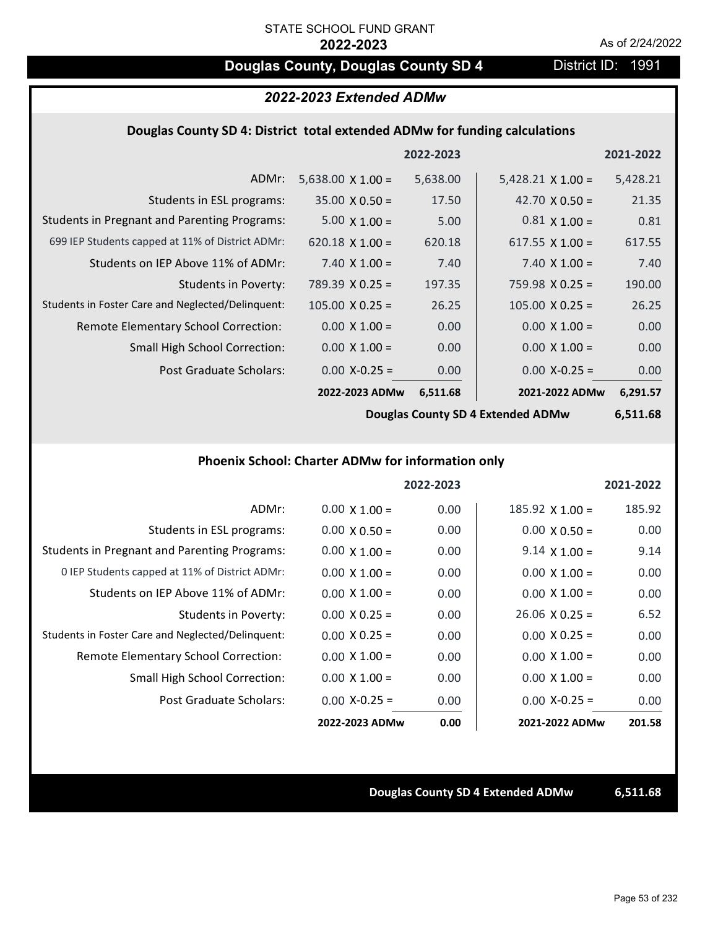# **Douglas County, Douglas County SD 4** District ID: 1991

# *2022-2023 Extended ADMw*

#### **Douglas County SD 4: District total extended ADMw for funding calculations**

|                                                     |                          | 2022-2023 |                          | 2021-2022 |
|-----------------------------------------------------|--------------------------|-----------|--------------------------|-----------|
| ADMr:                                               | $5,638.00 \times 1.00 =$ | 5,638.00  | $5,428.21 \times 1.00 =$ | 5,428.21  |
| Students in ESL programs:                           | $35.00 \times 0.50 =$    | 17.50     | 42.70 $\times$ 0.50 =    | 21.35     |
| <b>Students in Pregnant and Parenting Programs:</b> | $5.00 \times 1.00 =$     | 5.00      | $0.81 \times 1.00 =$     | 0.81      |
| 699 IEP Students capped at 11% of District ADMr:    | $620.18 \times 1.00 =$   | 620.18    | 617.55 $\times$ 1.00 =   | 617.55    |
| Students on IEP Above 11% of ADMr:                  | $7.40 \times 1.00 =$     | 7.40      | $7.40 \times 1.00 =$     | 7.40      |
| Students in Poverty:                                | $789.39 \times 0.25 =$   | 197.35    | $759.98 \times 0.25 =$   | 190.00    |
| Students in Foster Care and Neglected/Delinquent:   | $105.00 \times 0.25 =$   | 26.25     | $105.00 \times 0.25 =$   | 26.25     |
| Remote Elementary School Correction:                | $0.00 \times 1.00 =$     | 0.00      | $0.00 \times 1.00 =$     | 0.00      |
| <b>Small High School Correction:</b>                | $0.00 \times 1.00 =$     | 0.00      | $0.00 \times 1.00 =$     | 0.00      |
| Post Graduate Scholars:                             | $0.00$ X-0.25 =          | 0.00      | $0.00$ X-0.25 =          | 0.00      |
|                                                     | 2022-2023 ADMw           | 6,511.68  | 2021-2022 ADMw           | 6,291.57  |

**Douglas County SD 4 Extended ADMw**

**6,511.68**

## **Phoenix School: Charter ADMw for information only**

|                                                     |                      | 2022-2023 |                        | 2021-2022 |
|-----------------------------------------------------|----------------------|-----------|------------------------|-----------|
| ADMr:                                               | $0.00 \times 1.00 =$ | 0.00      | $185.92 \times 1.00 =$ | 185.92    |
| Students in ESL programs:                           | $0.00 \times 0.50 =$ | 0.00      | $0.00 \times 0.50 =$   | 0.00      |
| <b>Students in Pregnant and Parenting Programs:</b> | $0.00 \times 1.00 =$ | 0.00      | $9.14 \times 1.00 =$   | 9.14      |
| 0 IEP Students capped at 11% of District ADMr:      | $0.00 \times 1.00 =$ | 0.00      | $0.00 \times 1.00 =$   | 0.00      |
| Students on IEP Above 11% of ADMr:                  | $0.00 \times 1.00 =$ | 0.00      | $0.00 \times 1.00 =$   | 0.00      |
| Students in Poverty:                                | $0.00 \times 0.25 =$ | 0.00      | $26.06 \times 0.25 =$  | 6.52      |
| Students in Foster Care and Neglected/Delinquent:   | $0.00 \times 0.25 =$ | 0.00      | $0.00 \times 0.25 =$   | 0.00      |
| Remote Elementary School Correction:                | $0.00 \times 1.00 =$ | 0.00      | $0.00 \times 1.00 =$   | 0.00      |
| <b>Small High School Correction:</b>                | $0.00 \times 1.00 =$ | 0.00      | $0.00 \times 1.00 =$   | 0.00      |
| Post Graduate Scholars:                             | $0.00 X-0.25 =$      | 0.00      | $0.00 X-0.25 =$        | 0.00      |
|                                                     | 2022-2023 ADMw       | 0.00      | 2021-2022 ADMw         | 201.58    |

### **Douglas County SD 4 Extended ADMw 6,511.68**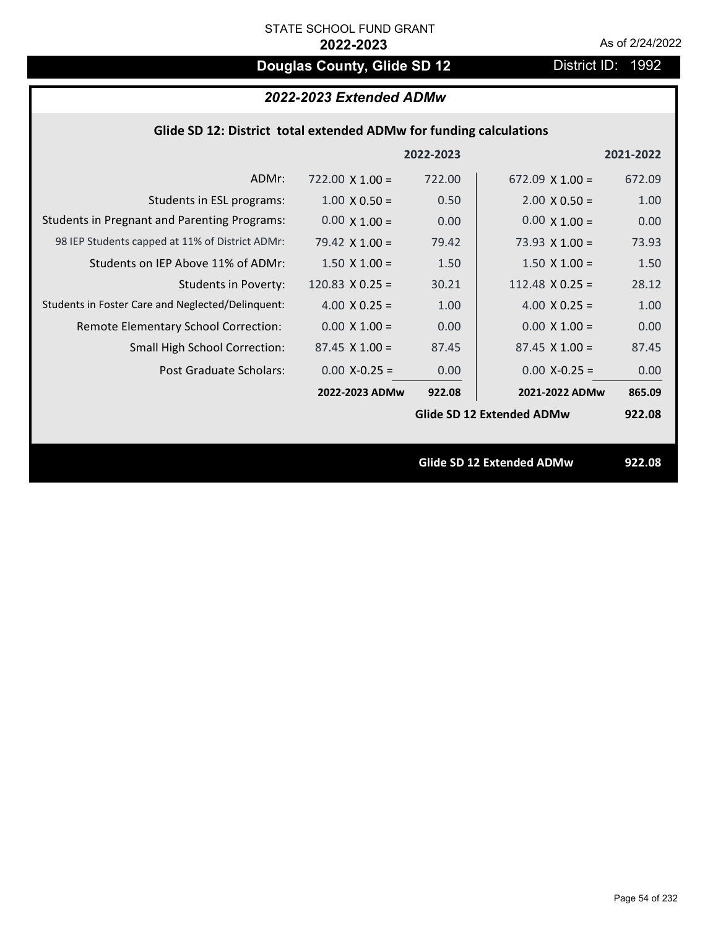# **Douglas County, Glide SD 12** District ID: 1992

# *2022-2023 Extended ADMw*

## **Glide SD 12: District total extended ADMw for funding calculations**

|                                                     |                        | 2022-2023 |                                  | 2021-2022 |
|-----------------------------------------------------|------------------------|-----------|----------------------------------|-----------|
| ADMr:                                               | $722.00 \times 1.00 =$ | 722.00    | $672.09 \times 1.00 =$           | 672.09    |
| Students in ESL programs:                           | $1.00 \times 0.50 =$   | 0.50      | $2.00 \times 0.50 =$             | 1.00      |
| <b>Students in Pregnant and Parenting Programs:</b> | $0.00 \times 1.00 =$   | 0.00      | $0.00 \times 1.00 =$             | 0.00      |
| 98 IEP Students capped at 11% of District ADMr:     | 79.42 $\times$ 1.00 =  | 79.42     | 73.93 $\times$ 1.00 =            | 73.93     |
| Students on IEP Above 11% of ADMr:                  | $1.50 \times 1.00 =$   | 1.50      | $1.50 \times 1.00 =$             | 1.50      |
| <b>Students in Poverty:</b>                         | 120.83 $X$ 0.25 =      | 30.21     | 112.48 $X$ 0.25 =                | 28.12     |
| Students in Foster Care and Neglected/Delinquent:   | 4.00 $X$ 0.25 =        | 1.00      | 4.00 $X$ 0.25 =                  | 1.00      |
| Remote Elementary School Correction:                | $0.00 \times 1.00 =$   | 0.00      | $0.00 \times 1.00 =$             | 0.00      |
| <b>Small High School Correction:</b>                | $87.45$ X 1.00 =       | 87.45     | $87.45 \times 1.00 =$            | 87.45     |
| Post Graduate Scholars:                             | $0.00$ X-0.25 =        | 0.00      | $0.00$ X-0.25 =                  | 0.00      |
|                                                     | 2022-2023 ADMw         | 922.08    | 2021-2022 ADMw                   | 865.09    |
|                                                     |                        |           | Glide SD 12 Extended ADMw        | 922.08    |
|                                                     |                        |           |                                  |           |
|                                                     |                        |           | <b>Glide SD 12 Extended ADMw</b> | 922.08    |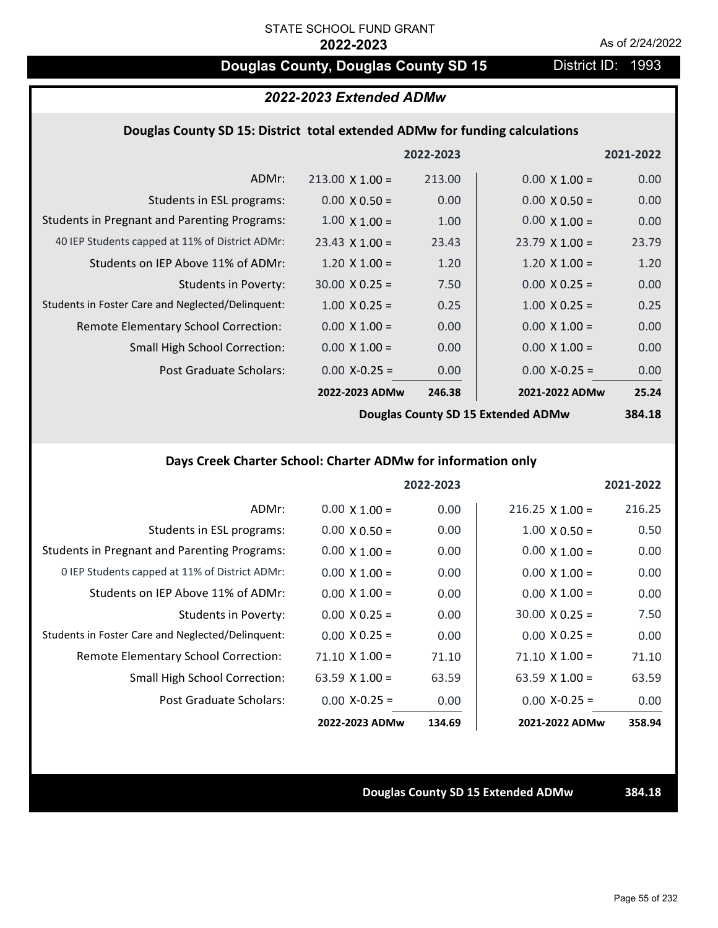# **Douglas County, Douglas County SD 15** District ID: 1993

### *2022-2023 Extended ADMw*

#### **Douglas County SD 15: District total extended ADMw for funding calculations**

|                                                     |                        | 2022-2023 |                       | 2021-2022 |
|-----------------------------------------------------|------------------------|-----------|-----------------------|-----------|
| ADMr:                                               | $213.00 \times 1.00 =$ | 213.00    | $0.00 \times 1.00 =$  | 0.00      |
| Students in ESL programs:                           | $0.00 \times 0.50 =$   | 0.00      | $0.00 \times 0.50 =$  | 0.00      |
| <b>Students in Pregnant and Parenting Programs:</b> | $1.00 \times 1.00 =$   | 1.00      | $0.00 \times 1.00 =$  | 0.00      |
| 40 IEP Students capped at 11% of District ADMr:     | $23.43 \times 1.00 =$  | 23.43     | $23.79 \times 1.00 =$ | 23.79     |
| Students on IEP Above 11% of ADMr:                  | $1.20 \times 1.00 =$   | 1.20      | $1.20 \times 1.00 =$  | 1.20      |
| <b>Students in Poverty:</b>                         | $30.00 \times 0.25 =$  | 7.50      | $0.00 \times 0.25 =$  | 0.00      |
| Students in Foster Care and Neglected/Delinquent:   | $1.00 \times 0.25 =$   | 0.25      | $1.00 \times 0.25 =$  | 0.25      |
| Remote Elementary School Correction:                | $0.00 \times 1.00 =$   | 0.00      | $0.00 \times 1.00 =$  | 0.00      |
| <b>Small High School Correction:</b>                | $0.00 \times 1.00 =$   | 0.00      | $0.00 \times 1.00 =$  | 0.00      |
| Post Graduate Scholars:                             | $0.00 X - 0.25 =$      | 0.00      | $0.00$ X-0.25 =       | 0.00      |
|                                                     | 2022-2023 ADMw         | 246.38    | 2021-2022 ADMw        | 25.24     |
|                                                     |                        |           |                       |           |

**Douglas County SD 15 Extended ADMw**

**384.18**

## **Days Creek Charter School: Charter ADMw for information only**

|                                                     |                       | 2022-2023 |                        | 2021-2022 |
|-----------------------------------------------------|-----------------------|-----------|------------------------|-----------|
| ADMr:                                               | $0.00 \times 1.00 =$  | 0.00      | $216.25 \times 1.00 =$ | 216.25    |
| Students in ESL programs:                           | $0.00 \times 0.50 =$  | 0.00      | $1.00 \times 0.50 =$   | 0.50      |
| <b>Students in Pregnant and Parenting Programs:</b> | $0.00 \times 1.00 =$  | 0.00      | $0.00 \times 1.00 =$   | 0.00      |
| 0 IEP Students capped at 11% of District ADMr:      | $0.00 \times 1.00 =$  | 0.00      | $0.00 \times 1.00 =$   | 0.00      |
| Students on IEP Above 11% of ADMr:                  | $0.00 \times 1.00 =$  | 0.00      | $0.00 \times 1.00 =$   | 0.00      |
| Students in Poverty:                                | $0.00 \times 0.25 =$  | 0.00      | $30.00 \times 0.25 =$  | 7.50      |
| Students in Foster Care and Neglected/Delinquent:   | $0.00 \times 0.25 =$  | 0.00      | $0.00 \times 0.25 =$   | 0.00      |
| Remote Elementary School Correction:                | $71.10 \times 1.00 =$ | 71.10     | $71.10 \times 1.00 =$  | 71.10     |
| <b>Small High School Correction:</b>                | 63.59 $\times$ 1.00 = | 63.59     | 63.59 $\times$ 1.00 =  | 63.59     |
| Post Graduate Scholars:                             | $0.00$ X-0.25 =       | 0.00      | $0.00 X - 0.25 =$      | 0.00      |
|                                                     | 2022-2023 ADMw        | 134.69    | 2021-2022 ADMw         | 358.94    |

#### **Douglas County SD 15 Extended ADMw 384.18**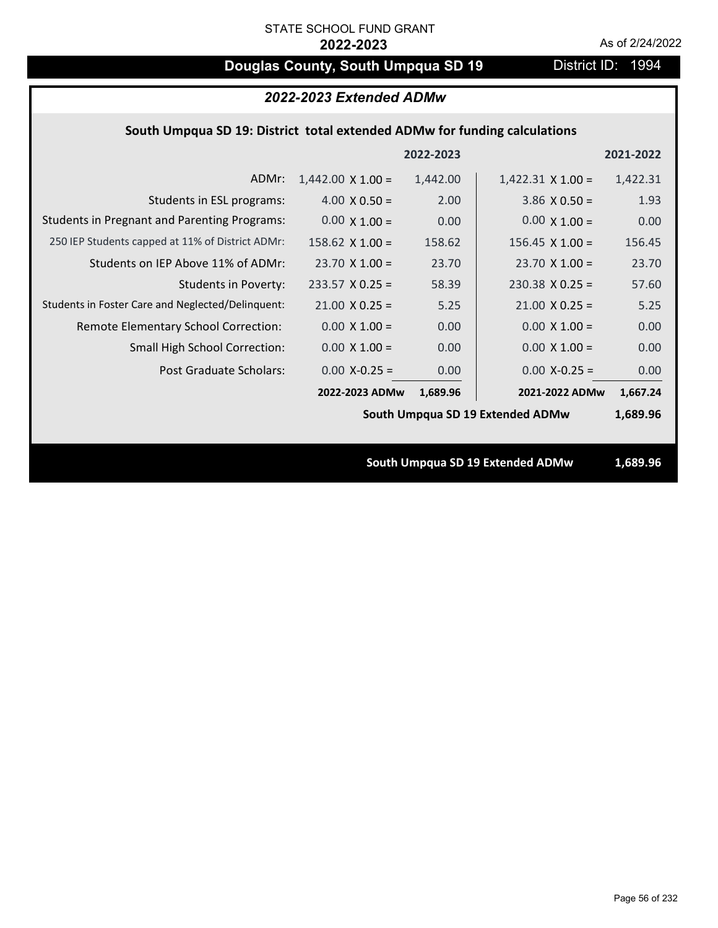# **Douglas County, South Umpqua SD 19** District ID: 1994

## *2022-2023 Extended ADMw*

### **South Umpqua SD 19: District total extended ADMw for funding calculations**

| 2022-2023<br>2021-2022                                                                                                   |
|--------------------------------------------------------------------------------------------------------------------------|
| ADMr:<br>$1,442.00 \times 1.00 =$<br>1,442.00<br>$1,422.31 \times 1.00 =$<br>1,422.31                                    |
| 2.00<br>1.93<br>Students in ESL programs:<br>$4.00 \times 0.50 =$<br>$3.86 \times 0.50 =$                                |
| <b>Students in Pregnant and Parenting Programs:</b><br>$0.00 \times 1.00 =$<br>$0.00 \times 1.00 =$<br>0.00<br>0.00      |
| 250 IEP Students capped at 11% of District ADMr:<br>158.62<br>156.45<br>$158.62 \times 1.00 =$<br>$156.45 \times 1.00 =$ |
| Students on IEP Above 11% of ADMr:<br>$23.70 \times 1.00 =$<br>$23.70$ X 1.00 =<br>23.70<br>23.70                        |
| <b>Students in Poverty:</b><br>$233.57$ X 0.25 =<br>58.39<br>$230.38$ X 0.25 =<br>57.60                                  |
| Students in Foster Care and Neglected/Delinquent:<br>$21.00 \times 0.25 =$<br>$21.00 \times 0.25 =$<br>5.25<br>5.25      |
| 0.00<br>Remote Elementary School Correction:<br>$0.00 \times 1.00 =$<br>$0.00 \times 1.00 =$<br>0.00                     |
| <b>Small High School Correction:</b><br>$0.00 \times 1.00 =$<br>0.00<br>$0.00 \times 1.00 =$<br>0.00                     |
| Post Graduate Scholars:<br>$0.00$ X-0.25 =<br>0.00<br>$0.00$ X-0.25 =<br>0.00                                            |
| 2022-2023 ADMw<br>2021-2022 ADMw<br>1,689.96<br>1,667.24                                                                 |
| South Umpqua SD 19 Extended ADMw<br>1,689.96                                                                             |
|                                                                                                                          |
| South Umpqua SD 19 Extended ADMw<br>1,689.96                                                                             |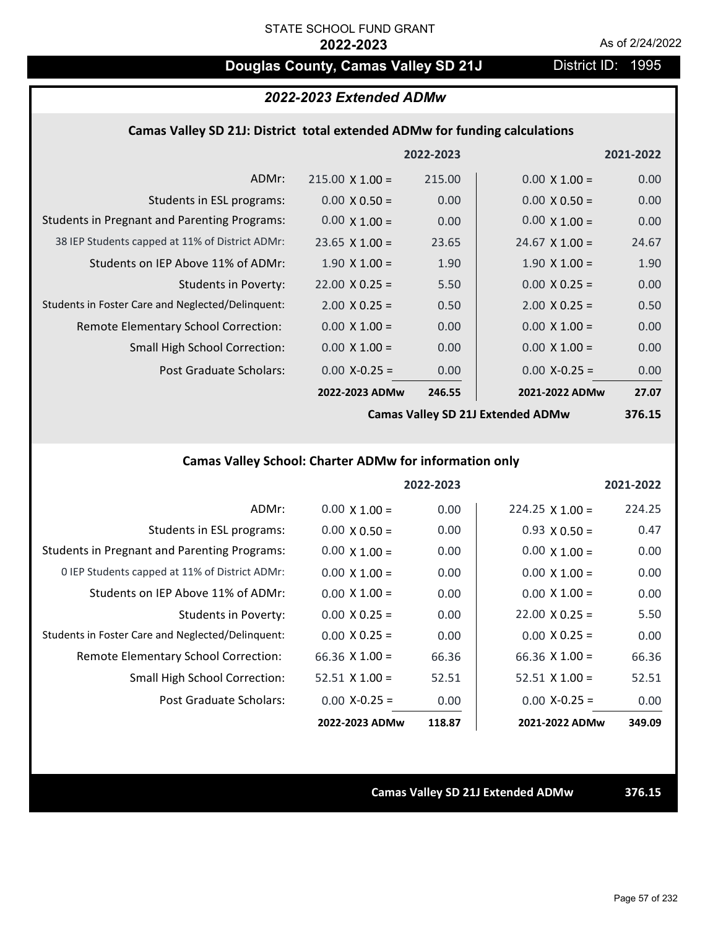**Douglas County, Camas Valley SD 21J** District ID: 1995

### *2022-2023 Extended ADMw*

#### **Camas Valley SD 21J: District total extended ADMw for funding calculations**

|                                                     |                        | 2022-2023 |                       | 2021-2022 |
|-----------------------------------------------------|------------------------|-----------|-----------------------|-----------|
| ADMr:                                               | $215.00 \times 1.00 =$ | 215.00    | $0.00 \times 1.00 =$  | 0.00      |
| Students in ESL programs:                           | $0.00 \times 0.50 =$   | 0.00      | $0.00 \times 0.50 =$  | 0.00      |
| <b>Students in Pregnant and Parenting Programs:</b> | $0.00 \times 1.00 =$   | 0.00      | $0.00 \times 1.00 =$  | 0.00      |
| 38 IEP Students capped at 11% of District ADMr:     | $23.65 \times 1.00 =$  | 23.65     | $24.67 \times 1.00 =$ | 24.67     |
| Students on IEP Above 11% of ADMr:                  | $1.90 \times 1.00 =$   | 1.90      | $1.90 \times 1.00 =$  | 1.90      |
| Students in Poverty:                                | $22.00 \times 0.25 =$  | 5.50      | $0.00 \times 0.25 =$  | 0.00      |
| Students in Foster Care and Neglected/Delinquent:   | $2.00 \times 0.25 =$   | 0.50      | $2.00 \times 0.25 =$  | 0.50      |
| Remote Elementary School Correction:                | $0.00 \times 1.00 =$   | 0.00      | $0.00 \times 1.00 =$  | 0.00      |
| <b>Small High School Correction:</b>                | $0.00 \times 1.00 =$   | 0.00      | $0.00 \times 1.00 =$  | 0.00      |
| Post Graduate Scholars:                             | $0.00$ X-0.25 =        | 0.00      | $0.00 X - 0.25 =$     | 0.00      |
|                                                     | 2022-2023 ADMw         | 246.55    | 2021-2022 ADMw        | 27.07     |

**Camas Valley SD 21J Extended ADMw**

**376.15**

## **Camas Valley School: Charter ADMw for information only**

|                                                     |                       | 2022-2023 |                       | 2021-2022 |
|-----------------------------------------------------|-----------------------|-----------|-----------------------|-----------|
| ADMr:                                               | $0.00 \times 1.00 =$  | 0.00      | $224.25$ X 1.00 =     | 224.25    |
| Students in ESL programs:                           | $0.00 \times 0.50 =$  | 0.00      | $0.93 \times 0.50 =$  | 0.47      |
| <b>Students in Pregnant and Parenting Programs:</b> | $0.00 \times 1.00 =$  | 0.00      | $0.00 \times 1.00 =$  | 0.00      |
| 0 IEP Students capped at 11% of District ADMr:      | $0.00 \times 1.00 =$  | 0.00      | $0.00 \times 1.00 =$  | 0.00      |
| Students on IEP Above 11% of ADMr:                  | $0.00 \times 1.00 =$  | 0.00      | $0.00 \times 1.00 =$  | 0.00      |
| Students in Poverty:                                | $0.00 \times 0.25 =$  | 0.00      | $22.00 \times 0.25 =$ | 5.50      |
| Students in Foster Care and Neglected/Delinquent:   | $0.00 \times 0.25 =$  | 0.00      | $0.00 \times 0.25 =$  | 0.00      |
| Remote Elementary School Correction:                | $66.36 \times 1.00 =$ | 66.36     | $66.36 \times 1.00 =$ | 66.36     |
| <b>Small High School Correction:</b>                | $52.51$ X 1.00 =      | 52.51     | $52.51 \times 1.00 =$ | 52.51     |
| Post Graduate Scholars:                             | $0.00$ X-0.25 =       | 0.00      | $0.00 X-0.25 =$       | 0.00      |
|                                                     | 2022-2023 ADMw        | 118.87    | 2021-2022 ADMw        | 349.09    |

**Camas Valley SD 21J Extended ADMw 376.15**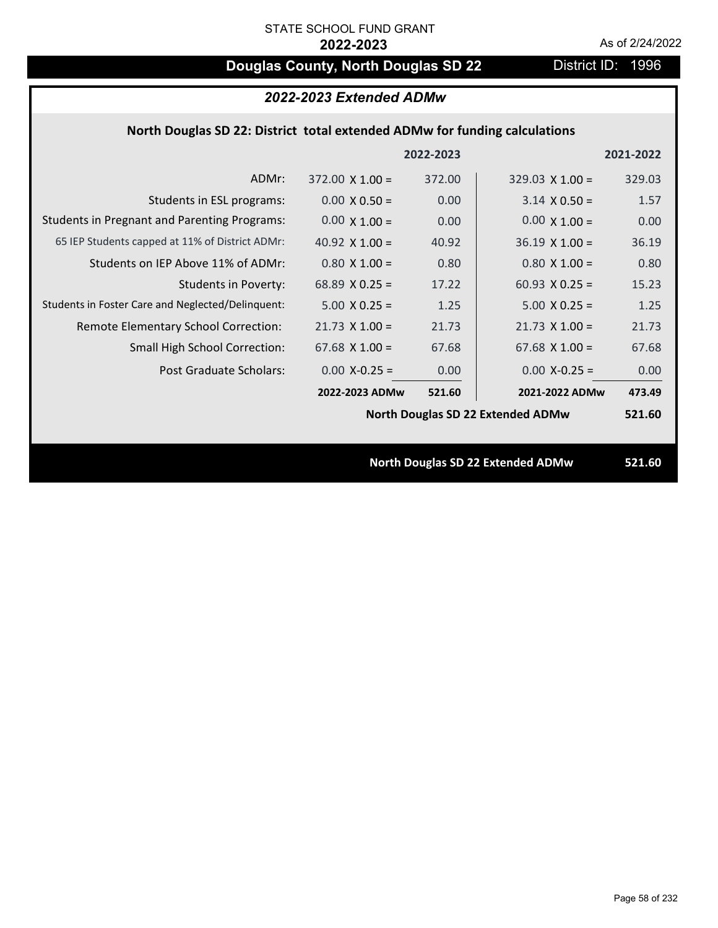# **Douglas County, North Douglas SD 22** District ID: 1996

# *2022-2023 Extended ADMw*

## **North Douglas SD 22: District total extended ADMw for funding calculations**

|                                                     |                        | 2022-2023 |                                          | 2021-2022 |
|-----------------------------------------------------|------------------------|-----------|------------------------------------------|-----------|
| ADMr:                                               | $372.00 \times 1.00 =$ | 372.00    | $329.03 \times 1.00 =$                   | 329.03    |
| Students in ESL programs:                           | $0.00 \times 0.50 =$   | 0.00      | $3.14 \times 0.50 =$                     | 1.57      |
| <b>Students in Pregnant and Parenting Programs:</b> | $0.00 \times 1.00 =$   | 0.00      | $0.00 \times 1.00 =$                     | 0.00      |
| 65 IEP Students capped at 11% of District ADMr:     | 40.92 $\times$ 1.00 =  | 40.92     | $36.19 \times 1.00 =$                    | 36.19     |
| Students on IEP Above 11% of ADMr:                  | $0.80$ X $1.00 =$      | 0.80      | $0.80$ X 1.00 =                          | 0.80      |
| <b>Students in Poverty:</b>                         | 68.89 $X$ 0.25 =       | 17.22     | 60.93 $X$ 0.25 =                         | 15.23     |
| Students in Foster Care and Neglected/Delinquent:   | $5.00 \times 0.25 =$   | 1.25      | $5.00 \times 0.25 =$                     | 1.25      |
| Remote Elementary School Correction:                | $21.73$ X $1.00 =$     | 21.73     | $21.73$ X $1.00 =$                       | 21.73     |
| <b>Small High School Correction:</b>                | $67.68 \times 1.00 =$  | 67.68     | $67.68 \times 1.00 =$                    | 67.68     |
| Post Graduate Scholars:                             | $0.00$ X-0.25 =        | 0.00      | $0.00$ X-0.25 =                          | 0.00      |
|                                                     | 2022-2023 ADMw         | 521.60    | 2021-2022 ADMw                           | 473.49    |
|                                                     |                        |           | <b>North Douglas SD 22 Extended ADMw</b> | 521.60    |
|                                                     |                        |           |                                          |           |
|                                                     |                        |           | <b>North Douglas SD 22 Extended ADMw</b> | 521.60    |
|                                                     |                        |           |                                          |           |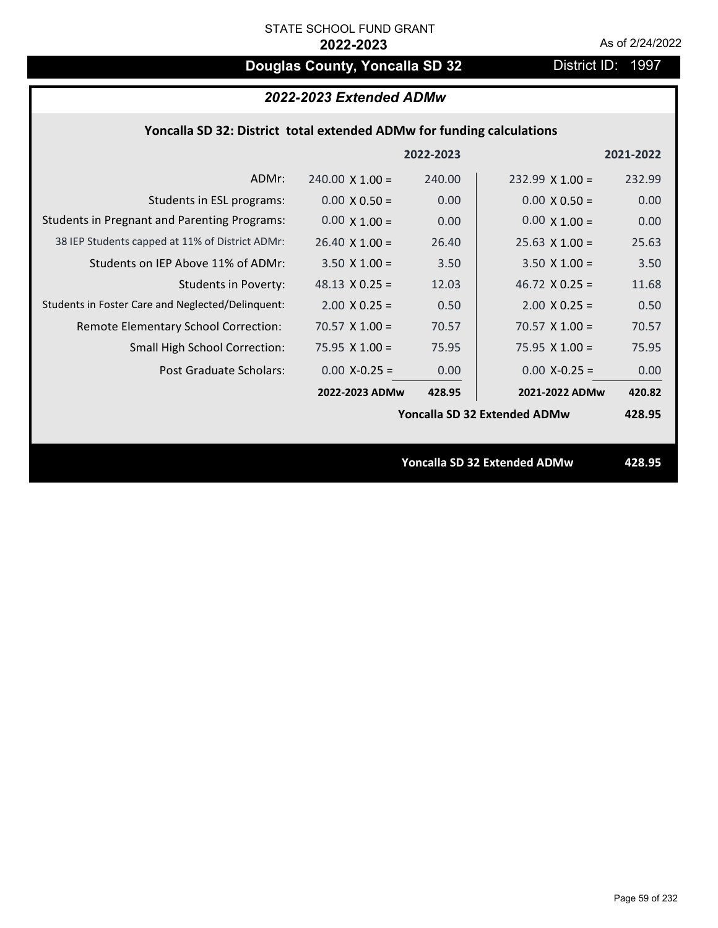# **Douglas County, Yoncalla SD 32** District ID: 1997

|  | 2022-2023 Extended ADMw |
|--|-------------------------|
|--|-------------------------|

### **Yoncalla SD 32: District total extended ADMw for funding calculations**

|                                                     |                        | 2022-2023 |                                     | 2021-2022 |
|-----------------------------------------------------|------------------------|-----------|-------------------------------------|-----------|
| ADMr:                                               | $240.00 \times 1.00 =$ | 240.00    | $232.99 \times 1.00 =$              | 232.99    |
| Students in ESL programs:                           | $0.00 \times 0.50 =$   | 0.00      | $0.00 \times 0.50 =$                | 0.00      |
| <b>Students in Pregnant and Parenting Programs:</b> | $0.00 \times 1.00 =$   | 0.00      | $0.00 \times 1.00 =$                | 0.00      |
| 38 IEP Students capped at 11% of District ADMr:     | $26.40 \times 1.00 =$  | 26.40     | $25.63 \times 1.00 =$               | 25.63     |
| Students on IEP Above 11% of ADMr:                  | $3.50 \times 1.00 =$   | 3.50      | $3.50 \times 1.00 =$                | 3.50      |
| <b>Students in Poverty:</b>                         | 48.13 $X$ 0.25 =       | 12.03     | 46.72 $X$ 0.25 =                    | 11.68     |
| Students in Foster Care and Neglected/Delinquent:   | $2.00 \times 0.25 =$   | 0.50      | $2.00 \times 0.25 =$                | 0.50      |
| Remote Elementary School Correction:                | 70.57 $X$ 1.00 =       | 70.57     | $70.57$ X 1.00 =                    | 70.57     |
| <b>Small High School Correction:</b>                | $75.95 \times 1.00 =$  | 75.95     | $75.95 \times 1.00 =$               | 75.95     |
| Post Graduate Scholars:                             | $0.00 X - 0.25 =$      | 0.00      | $0.00$ X-0.25 =                     | 0.00      |
|                                                     | 2022-2023 ADMw         | 428.95    | 2021-2022 ADMw                      | 420.82    |
|                                                     |                        |           | Yoncalla SD 32 Extended ADMw        | 428.95    |
|                                                     |                        |           |                                     |           |
|                                                     |                        |           | <b>Yoncalla SD 32 Extended ADMw</b> | 428.95    |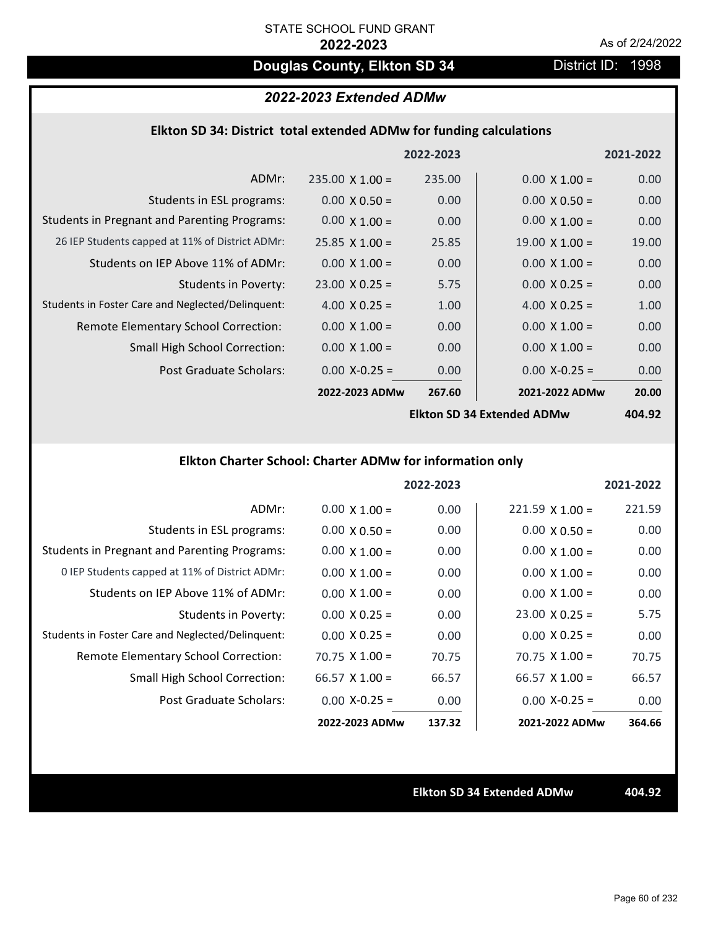# **Douglas County, Elkton SD 34** District ID: 1998

### *2022-2023 Extended ADMw*

#### **Elkton SD 34: District total extended ADMw for funding calculations**

|                                                     |                        | 2022-2023 |                       | 2021-2022         |
|-----------------------------------------------------|------------------------|-----------|-----------------------|-------------------|
| ADMr:                                               | $235.00 \times 1.00 =$ | 235.00    | $0.00 \times 1.00 =$  | 0.00              |
| Students in ESL programs:                           | $0.00 \times 0.50 =$   | 0.00      | $0.00 \times 0.50 =$  | 0.00              |
| <b>Students in Pregnant and Parenting Programs:</b> | $0.00 \times 1.00 =$   | 0.00      | $0.00 \times 1.00 =$  | 0.00              |
| 26 IEP Students capped at 11% of District ADMr:     | $25.85 \times 1.00 =$  | 25.85     | $19.00 \times 1.00 =$ | 19.00             |
| Students on IEP Above 11% of ADMr:                  | $0.00 \times 1.00 =$   | 0.00      | $0.00 \times 1.00 =$  | 0.00              |
| <b>Students in Poverty:</b>                         | $23.00 \times 0.25 =$  | 5.75      | $0.00 \times 0.25 =$  | 0.00              |
| Students in Foster Care and Neglected/Delinquent:   | 4.00 $X$ 0.25 =        | 1.00      | 4.00 $X$ 0.25 =       | 1.00              |
| Remote Elementary School Correction:                | $0.00 \times 1.00 =$   | 0.00      | $0.00 \times 1.00 =$  | 0.00              |
| <b>Small High School Correction:</b>                | $0.00 \times 1.00 =$   | 0.00      | $0.00 \times 1.00 =$  | 0.00              |
| Post Graduate Scholars:                             | $0.00$ X-0.25 =        | 0.00      | $0.00 X - 0.25 =$     | 0.00              |
|                                                     | 2022-2023 ADMw         | 267.60    | 2021-2022 ADMw        | 20.00             |
|                                                     |                        |           |                       | $\overline{1010}$ |

**Elkton SD 34 Extended ADMw**

**404.92**

## **Elkton Charter School: Charter ADMw for information only**

|                                                     |                       | 2022-2023 |                       | 2021-2022 |
|-----------------------------------------------------|-----------------------|-----------|-----------------------|-----------|
| ADMr:                                               | $0.00 \times 1.00 =$  | 0.00      | $221.59$ X 1.00 =     | 221.59    |
| Students in ESL programs:                           | $0.00 \times 0.50 =$  | 0.00      | $0.00 \times 0.50 =$  | 0.00      |
| <b>Students in Pregnant and Parenting Programs:</b> | $0.00 \times 1.00 =$  | 0.00      | $0.00 \times 1.00 =$  | 0.00      |
| 0 IEP Students capped at 11% of District ADMr:      | $0.00 \times 1.00 =$  | 0.00      | $0.00 \times 1.00 =$  | 0.00      |
| Students on IEP Above 11% of ADMr:                  | $0.00 \times 1.00 =$  | 0.00      | $0.00 \times 1.00 =$  | 0.00      |
| Students in Poverty:                                | $0.00 \times 0.25 =$  | 0.00      | $23.00 \times 0.25 =$ | 5.75      |
| Students in Foster Care and Neglected/Delinquent:   | $0.00 \times 0.25 =$  | 0.00      | $0.00 \times 0.25 =$  | 0.00      |
| Remote Elementary School Correction:                | $70.75 \times 1.00 =$ | 70.75     | $70.75 \times 1.00 =$ | 70.75     |
| Small High School Correction:                       | 66.57 $X$ 1.00 =      | 66.57     | $66.57 \times 1.00 =$ | 66.57     |
| Post Graduate Scholars:                             | $0.00$ X-0.25 =       | 0.00      | $0.00 X-0.25 =$       | 0.00      |
|                                                     | 2022-2023 ADMw        | 137.32    | 2021-2022 ADMw        | 364.66    |

**Elkton SD 34 Extended ADMw 404.92**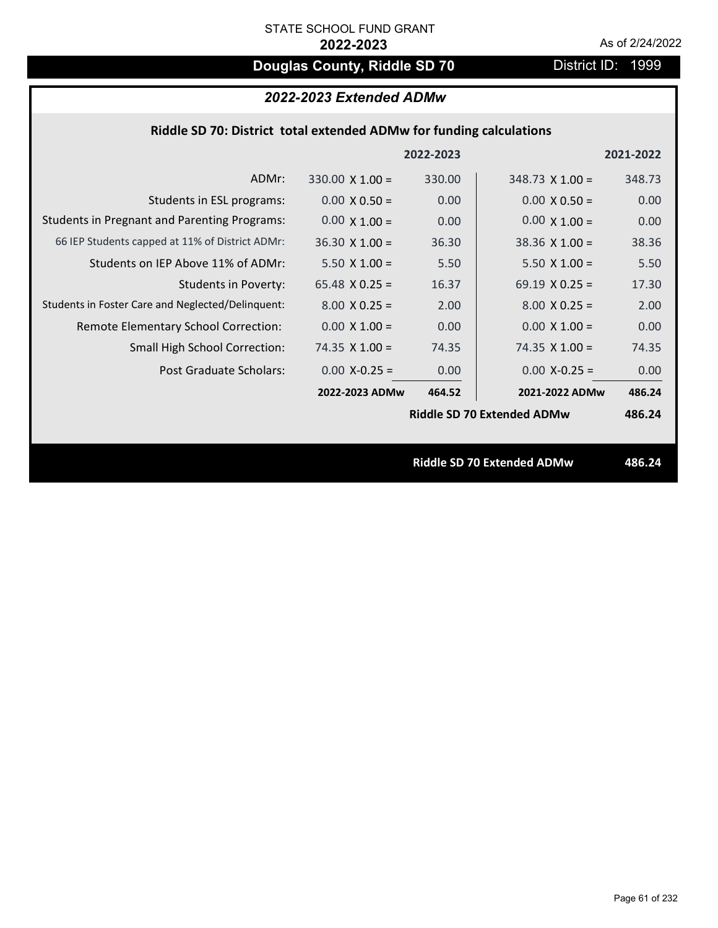# **Douglas County, Riddle SD 70** District ID: 1999

# *2022-2023 Extended ADMw*

## **Riddle SD 70: District total extended ADMw for funding calculations**

|                                                     |                        | 2022-2023 |                                   | 2021-2022 |
|-----------------------------------------------------|------------------------|-----------|-----------------------------------|-----------|
| ADMr:                                               | $330.00 \times 1.00 =$ | 330.00    | $348.73 \times 1.00 =$            | 348.73    |
| Students in ESL programs:                           | $0.00 \times 0.50 =$   | 0.00      | $0.00 \times 0.50 =$              | 0.00      |
| <b>Students in Pregnant and Parenting Programs:</b> | $0.00 \times 1.00 =$   | 0.00      | $0.00 \times 1.00 =$              | 0.00      |
| 66 IEP Students capped at 11% of District ADMr:     | $36.30 \times 1.00 =$  | 36.30     | $38.36 \times 1.00 =$             | 38.36     |
| Students on IEP Above 11% of ADMr:                  | $5.50 \times 1.00 =$   | 5.50      | $5.50 \times 1.00 =$              | 5.50      |
| <b>Students in Poverty:</b>                         | 65.48 $X$ 0.25 =       | 16.37     | 69.19 $X$ 0.25 =                  | 17.30     |
| Students in Foster Care and Neglected/Delinquent:   | $8.00 \times 0.25 =$   | 2.00      | $8.00 \times 0.25 =$              | 2.00      |
| Remote Elementary School Correction:                | $0.00 \times 1.00 =$   | 0.00      | $0.00 \times 1.00 =$              | 0.00      |
| <b>Small High School Correction:</b>                | 74.35 $X$ 1.00 =       | 74.35     | 74.35 $X$ 1.00 =                  | 74.35     |
| Post Graduate Scholars:                             | $0.00$ X-0.25 =        | 0.00      | $0.00$ X-0.25 =                   | 0.00      |
|                                                     | 2022-2023 ADMw         | 464.52    | 2021-2022 ADMw                    | 486.24    |
|                                                     |                        |           | <b>Riddle SD 70 Extended ADMw</b> | 486.24    |
|                                                     |                        |           |                                   |           |
|                                                     |                        |           | <b>Riddle SD 70 Extended ADMw</b> | 486.24    |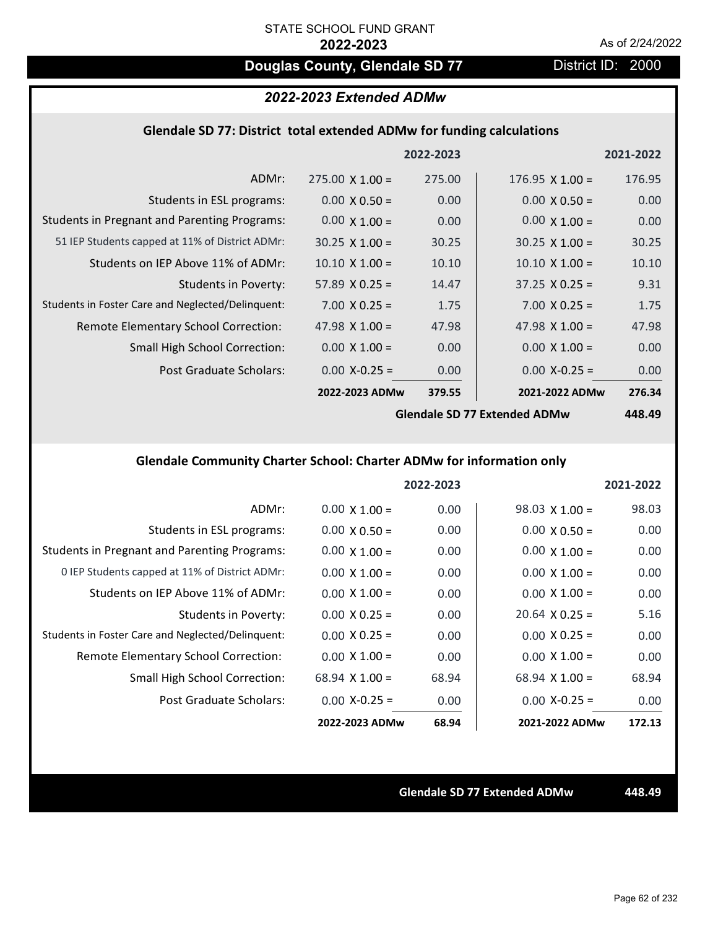# **Douglas County, Glendale SD 77** District ID: 2000

#### *2022-2023 Extended ADMw*

#### **Glendale SD 77: District total extended ADMw for funding calculations**

|                                                     |                        | 2022-2023 |                        | 2021-2022 |
|-----------------------------------------------------|------------------------|-----------|------------------------|-----------|
| ADMr:                                               | $275.00 \times 1.00 =$ | 275.00    | $176.95 \times 1.00 =$ | 176.95    |
| Students in ESL programs:                           | $0.00 \times 0.50 =$   | 0.00      | $0.00 \times 0.50 =$   | 0.00      |
| <b>Students in Pregnant and Parenting Programs:</b> | $0.00 \times 1.00 =$   | 0.00      | $0.00 \times 1.00 =$   | 0.00      |
| 51 IEP Students capped at 11% of District ADMr:     | $30.25 \times 1.00 =$  | 30.25     | $30.25 \times 1.00 =$  | 30.25     |
| Students on IEP Above 11% of ADMr:                  | $10.10 \times 1.00 =$  | 10.10     | $10.10 \times 1.00 =$  | 10.10     |
| <b>Students in Poverty:</b>                         | 57.89 $X$ 0.25 =       | 14.47     | $37.25 \times 0.25 =$  | 9.31      |
| Students in Foster Care and Neglected/Delinquent:   | $7.00 \times 0.25 =$   | 1.75      | $7.00 \times 0.25 =$   | 1.75      |
| Remote Elementary School Correction:                | 47.98 $\times$ 1.00 =  | 47.98     | 47.98 $\times$ 1.00 =  | 47.98     |
| <b>Small High School Correction:</b>                | $0.00 \times 1.00 =$   | 0.00      | $0.00 \times 1.00 =$   | 0.00      |
| Post Graduate Scholars:                             | $0.00$ X-0.25 =        | 0.00      | $0.00 X - 0.25 =$      | 0.00      |
|                                                     | 2022-2023 ADMw         | 379.55    | 2021-2022 ADMw         | 276.34    |
|                                                     |                        |           |                        |           |

**Glendale SD 77 Extended ADMw**

**448.49**

## **Glendale Community Charter School: Charter ADMw for information only**

|                                                     |                       | 2022-2023 |                       | 2021-2022 |
|-----------------------------------------------------|-----------------------|-----------|-----------------------|-----------|
| ADMr:                                               | $0.00 \times 1.00 =$  | 0.00      | $98.03 \times 1.00 =$ | 98.03     |
| Students in ESL programs:                           | $0.00 \times 0.50 =$  | 0.00      | $0.00 \times 0.50 =$  | 0.00      |
| <b>Students in Pregnant and Parenting Programs:</b> | $0.00 \times 1.00 =$  | 0.00      | $0.00 \times 1.00 =$  | 0.00      |
| 0 IEP Students capped at 11% of District ADMr:      | $0.00 \times 1.00 =$  | 0.00      | $0.00 \times 1.00 =$  | 0.00      |
| Students on IEP Above 11% of ADMr:                  | $0.00 \times 1.00 =$  | 0.00      | $0.00 \times 1.00 =$  | 0.00      |
| Students in Poverty:                                | $0.00 \times 0.25 =$  | 0.00      | $20.64 \times 0.25 =$ | 5.16      |
| Students in Foster Care and Neglected/Delinquent:   | $0.00 \times 0.25 =$  | 0.00      | $0.00 \times 0.25 =$  | 0.00      |
| Remote Elementary School Correction:                | $0.00 \times 1.00 =$  | 0.00      | $0.00 \times 1.00 =$  | 0.00      |
| <b>Small High School Correction:</b>                | $68.94 \times 1.00 =$ | 68.94     | $68.94 \times 1.00 =$ | 68.94     |
| Post Graduate Scholars:                             | $0.00$ X-0.25 =       | 0.00      | $0.00 X-0.25 =$       | 0.00      |
|                                                     | 2022-2023 ADMw        | 68.94     | 2021-2022 ADMw        | 172.13    |

**Glendale SD 77 Extended ADMw 448.49**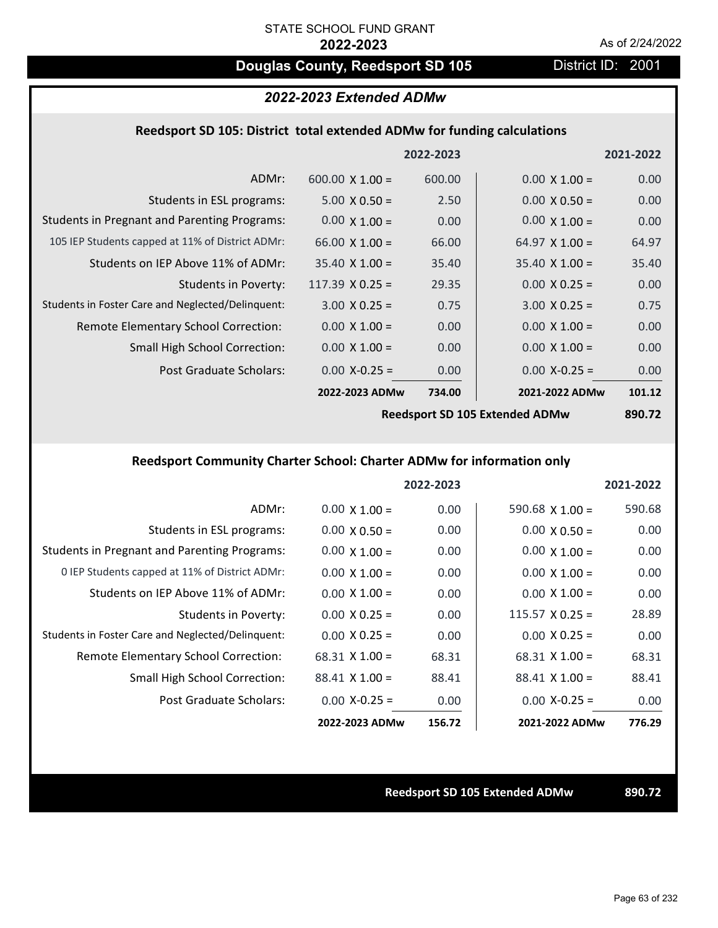# **Douglas County, Reedsport SD 105** District ID: 2001

### *2022-2023 Extended ADMw*

#### **Reedsport SD 105: District total extended ADMw for funding calculations**

|                                                     |                        | 2022-2023 |                                | 2021-2022 |
|-----------------------------------------------------|------------------------|-----------|--------------------------------|-----------|
| ADMr:                                               | $600.00 \times 1.00 =$ | 600.00    | $0.00 \times 1.00 =$           | 0.00      |
| Students in ESL programs:                           | $5.00 \times 0.50 =$   | 2.50      | $0.00 \times 0.50 =$           | 0.00      |
| <b>Students in Pregnant and Parenting Programs:</b> | $0.00 \times 1.00 =$   | 0.00      | $0.00 \times 1.00 =$           | 0.00      |
| 105 IEP Students capped at 11% of District ADMr:    | $66.00 \times 1.00 =$  | 66.00     | 64.97 $\times$ 1.00 =          | 64.97     |
| Students on IEP Above 11% of ADMr:                  | $35.40 \times 1.00 =$  | 35.40     | $35.40 \times 1.00 =$          | 35.40     |
| <b>Students in Poverty:</b>                         | 117.39 $X$ 0.25 =      | 29.35     | $0.00 \times 0.25 =$           | 0.00      |
| Students in Foster Care and Neglected/Delinquent:   | $3.00 \times 0.25 =$   | 0.75      | $3.00 \times 0.25 =$           | 0.75      |
| Remote Elementary School Correction:                | $0.00 \times 1.00 =$   | 0.00      | $0.00 \times 1.00 =$           | 0.00      |
| <b>Small High School Correction:</b>                | $0.00 \times 1.00 =$   | 0.00      | $0.00 \times 1.00 =$           | 0.00      |
| Post Graduate Scholars:                             | $0.00$ X-0.25 =        | 0.00      | $0.00$ X-0.25 =                | 0.00      |
|                                                     | 2022-2023 ADMw         | 734.00    | 2021-2022 ADMw                 | 101.12    |
|                                                     |                        |           | Boodcnort CD 10E Extended ADMu | 000.72    |

**Reedsport SD 105 Extended ADMw**

**890.72**

## **Reedsport Community Charter School: Charter ADMw for information only**

|                                                     |                       | 2022-2023 |                        | 2021-2022 |
|-----------------------------------------------------|-----------------------|-----------|------------------------|-----------|
| ADMr:                                               | $0.00 \times 1.00 =$  | 0.00      | 590.68 $\times$ 1.00 = | 590.68    |
| Students in ESL programs:                           | $0.00 \times 0.50 =$  | 0.00      | $0.00 \times 0.50 =$   | 0.00      |
| <b>Students in Pregnant and Parenting Programs:</b> | $0.00 \times 1.00 =$  | 0.00      | $0.00 \times 1.00 =$   | 0.00      |
| 0 IEP Students capped at 11% of District ADMr:      | $0.00 \times 1.00 =$  | 0.00      | $0.00 \times 1.00 =$   | 0.00      |
| Students on IEP Above 11% of ADMr:                  | $0.00 \times 1.00 =$  | 0.00      | $0.00 \times 1.00 =$   | 0.00      |
| Students in Poverty:                                | $0.00 \times 0.25 =$  | 0.00      | $115.57 \times 0.25 =$ | 28.89     |
| Students in Foster Care and Neglected/Delinquent:   | $0.00 \times 0.25 =$  | 0.00      | $0.00 \times 0.25 =$   | 0.00      |
| Remote Elementary School Correction:                | $68.31$ X 1.00 =      | 68.31     | $68.31 \times 1.00 =$  | 68.31     |
| <b>Small High School Correction:</b>                | $88.41 \times 1.00 =$ | 88.41     | $88.41 \times 1.00 =$  | 88.41     |
| Post Graduate Scholars:                             | $0.00$ X-0.25 =       | 0.00      | $0.00 X-0.25 =$        | 0.00      |
|                                                     | 2022-2023 ADMw        | 156.72    | 2021-2022 ADMw         | 776.29    |

**Reedsport SD 105 Extended ADMw 890.72**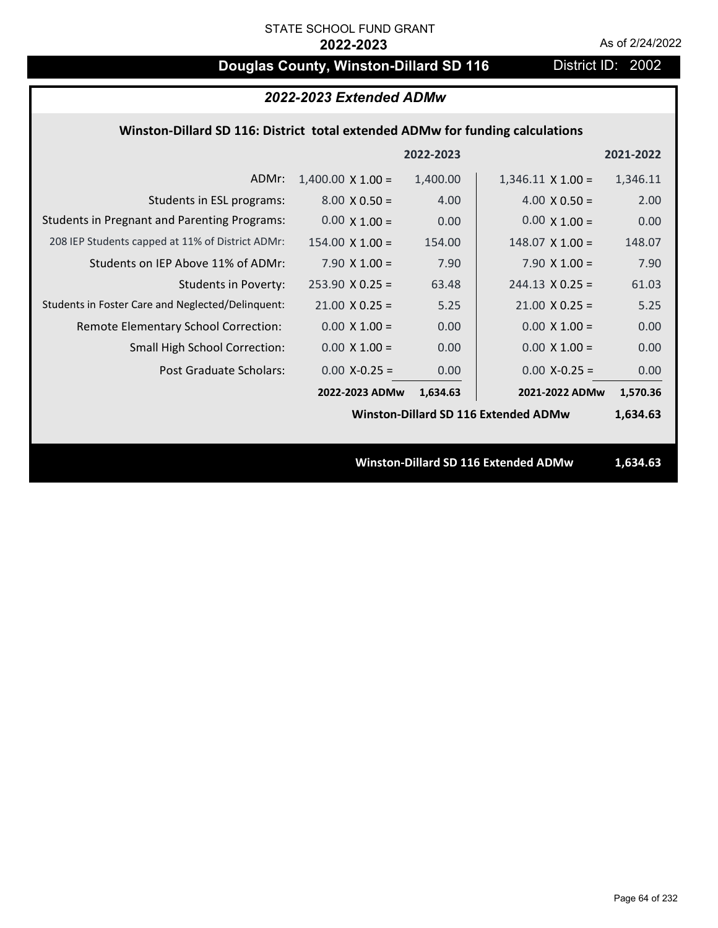# **Douglas County, Winston-Dillard SD 116** District ID: 2002

## *2022-2023 Extended ADMw*

### **Winston‐Dillard SD 116: District total extended ADMw for funding calculations**

|                                                     |                          | 2022-2023 |                                             | 2021-2022 |
|-----------------------------------------------------|--------------------------|-----------|---------------------------------------------|-----------|
| ADMr:                                               | $1,400.00 \times 1.00 =$ | 1,400.00  | $1,346.11 \times 1.00 =$                    | 1,346.11  |
| Students in ESL programs:                           | $8.00 \times 0.50 =$     | 4.00      | $4.00 \times 0.50 =$                        | 2.00      |
| <b>Students in Pregnant and Parenting Programs:</b> | $0.00 \times 1.00 =$     | 0.00      | $0.00 \times 1.00 =$                        | 0.00      |
| 208 IEP Students capped at 11% of District ADMr:    | $154.00 \times 1.00 =$   | 154.00    | $148.07 \times 1.00 =$                      | 148.07    |
| Students on IEP Above 11% of ADMr:                  | 7.90 $X$ 1.00 =          | 7.90      | 7.90 $X$ 1.00 =                             | 7.90      |
| <b>Students in Poverty:</b>                         | $253.90 \times 0.25 =$   | 63.48     | $244.13 \times 0.25 =$                      | 61.03     |
| Students in Foster Care and Neglected/Delinquent:   | $21.00 \times 0.25 =$    | 5.25      | $21.00 \times 0.25 =$                       | 5.25      |
| Remote Elementary School Correction:                | $0.00 \times 1.00 =$     | 0.00      | $0.00 \times 1.00 =$                        | 0.00      |
| <b>Small High School Correction:</b>                | $0.00 \times 1.00 =$     | 0.00      | $0.00 \times 1.00 =$                        | 0.00      |
| Post Graduate Scholars:                             | $0.00$ X-0.25 =          | 0.00      | $0.00$ X-0.25 =                             | 0.00      |
|                                                     | 2022-2023 ADMw           | 1,634.63  | 2021-2022 ADMw                              | 1,570.36  |
|                                                     |                          |           | Winston-Dillard SD 116 Extended ADMw        | 1,634.63  |
|                                                     |                          |           |                                             |           |
|                                                     |                          |           | <b>Winston-Dillard SD 116 Extended ADMw</b> | 1,634.63  |
|                                                     |                          |           |                                             |           |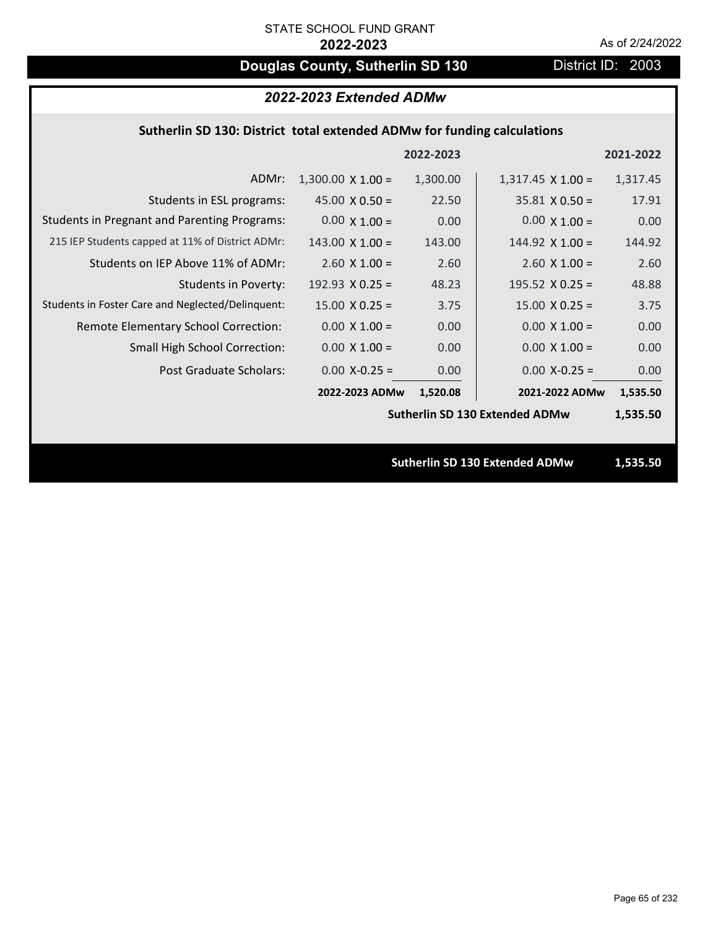# **Douglas County, Sutherlin SD 130** District ID: 2003

# *2022-2023 Extended ADMw*

## **Sutherlin SD 130: District total extended ADMw for funding calculations**

| 2022-2023<br>2021-2022                                                                                                   |
|--------------------------------------------------------------------------------------------------------------------------|
| $1,300.00 \times 1.00 =$<br>1,300.00<br>ADMr:<br>$1,317.45 \times 1.00 =$<br>1,317.45                                    |
| 22.50<br>17.91<br>Students in ESL programs:<br>$35.81 \times 0.50 =$<br>$45.00 \times 0.50 =$                            |
| <b>Students in Pregnant and Parenting Programs:</b><br>$0.00 \times 1.00 =$<br>$0.00 \times 1.00 =$<br>0.00<br>0.00      |
| 215 IEP Students capped at 11% of District ADMr:<br>$143.00 \times 1.00 =$<br>143.00<br>144.92 $\times$ 1.00 =<br>144.92 |
| Students on IEP Above 11% of ADMr:<br>$2.60 \times 1.00 =$<br>$2.60$ X $1.00 =$<br>2.60<br>2.60                          |
| 195.52 $X$ 0.25 =<br><b>Students in Poverty:</b><br>192.93 $X$ 0.25 =<br>48.23<br>48.88                                  |
| Students in Foster Care and Neglected/Delinquent:<br>$15.00 \times 0.25 =$<br>$15.00 \times 0.25 =$<br>3.75<br>3.75      |
| 0.00<br>$0.00 \times 1.00 =$<br>Remote Elementary School Correction:<br>$0.00 \times 1.00 =$<br>0.00                     |
| <b>Small High School Correction:</b><br>$0.00 \times 1.00 =$<br>0.00<br>$0.00 \times 1.00 =$<br>0.00                     |
| Post Graduate Scholars:<br>$0.00$ X-0.25 =<br>0.00<br>$0.00$ X-0.25 =<br>0.00                                            |
| 2022-2023 ADMw<br>1,520.08<br>2021-2022 ADMw<br>1,535.50                                                                 |
| <b>Sutherlin SD 130 Extended ADMw</b><br>1,535.50                                                                        |
|                                                                                                                          |
| <b>Sutherlin SD 130 Extended ADMw</b><br>1,535.50                                                                        |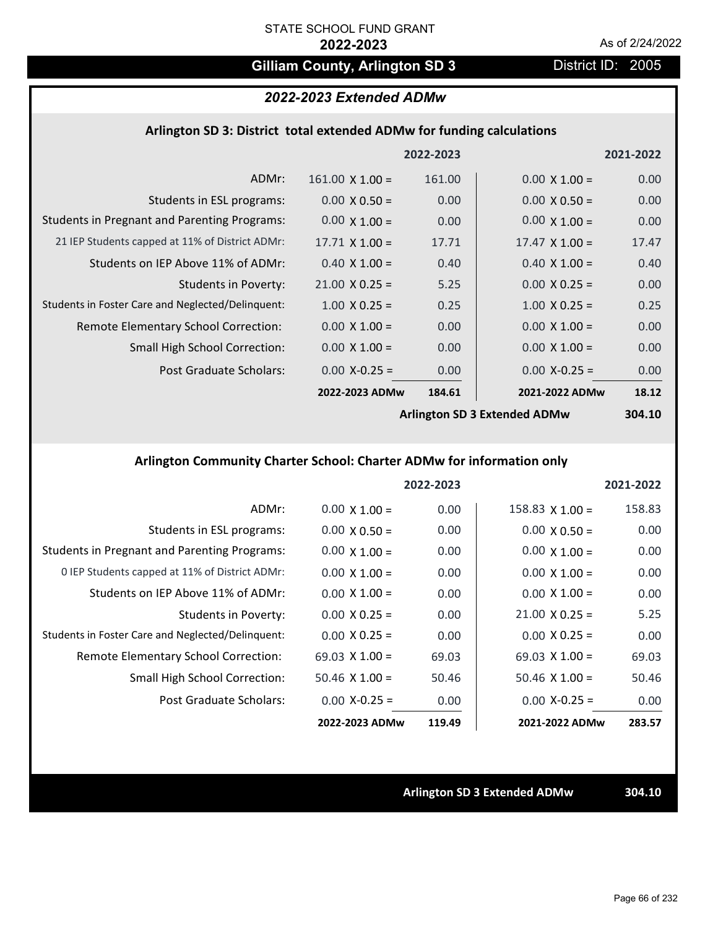# Gilliam County, Arlington SD 3 District ID: 2005

### *2022-2023 Extended ADMw*

#### **Arlington SD 3: District total extended ADMw for funding calculations**

|                                                     |                        | 2022-2023 |                               | 2021-2022    |
|-----------------------------------------------------|------------------------|-----------|-------------------------------|--------------|
| ADMr:                                               | $161.00 \times 1.00 =$ | 161.00    | $0.00 \times 1.00 =$          | 0.00         |
| Students in ESL programs:                           | $0.00 \times 0.50 =$   | 0.00      | $0.00 \times 0.50 =$          | 0.00         |
| <b>Students in Pregnant and Parenting Programs:</b> | $0.00 \times 1.00 =$   | 0.00      | $0.00 \times 1.00 =$          | 0.00         |
| 21 IEP Students capped at 11% of District ADMr:     | $17.71 \times 1.00 =$  | 17.71     | $17.47 \times 1.00 =$         | 17.47        |
| Students on IEP Above 11% of ADMr:                  | $0.40 \times 1.00 =$   | 0.40      | $0.40 \times 1.00 =$          | 0.40         |
| <b>Students in Poverty:</b>                         | $21.00 \times 0.25 =$  | 5.25      | $0.00 \times 0.25 =$          | 0.00         |
| Students in Foster Care and Neglected/Delinquent:   | $1.00 \times 0.25 =$   | 0.25      | $1.00 \times 0.25 =$          | 0.25         |
| Remote Elementary School Correction:                | $0.00 \times 1.00 =$   | 0.00      | $0.00 \times 1.00 =$          | 0.00         |
| <b>Small High School Correction:</b>                | $0.00 \times 1.00 =$   | 0.00      | $0.00 \times 1.00 =$          | 0.00         |
| Post Graduate Scholars:                             | $0.00$ X-0.25 =        | 0.00      | $0.00 X - 0.25 =$             | 0.00         |
|                                                     | 2022-2023 ADMw         | 184.61    | 2021-2022 ADMw                | 18.12        |
|                                                     |                        |           | Aulington CD 3 Evtended ADMus | <b>COMMO</b> |

**Arlington SD 3 Extended ADMw**

# **304.10**

## **Arlington Community Charter School: Charter ADMw for information only**

|                                                     |                       | 2022-2023 |                        | 2021-2022 |
|-----------------------------------------------------|-----------------------|-----------|------------------------|-----------|
| ADMr:                                               | $0.00 \times 1.00 =$  | 0.00      | $158.83 \times 1.00 =$ | 158.83    |
| Students in ESL programs:                           | $0.00 \times 0.50 =$  | 0.00      | $0.00 \times 0.50 =$   | 0.00      |
| <b>Students in Pregnant and Parenting Programs:</b> | $0.00 \times 1.00 =$  | 0.00      | $0.00 \times 1.00 =$   | 0.00      |
| 0 IEP Students capped at 11% of District ADMr:      | $0.00 \times 1.00 =$  | 0.00      | $0.00 \times 1.00 =$   | 0.00      |
| Students on IEP Above 11% of ADMr:                  | $0.00 \times 1.00 =$  | 0.00      | $0.00 \times 1.00 =$   | 0.00      |
| Students in Poverty:                                | $0.00 \times 0.25 =$  | 0.00      | $21.00 \times 0.25 =$  | 5.25      |
| Students in Foster Care and Neglected/Delinquent:   | $0.00 \times 0.25 =$  | 0.00      | $0.00 \times 0.25 =$   | 0.00      |
| Remote Elementary School Correction:                | $69.03 \times 1.00 =$ | 69.03     | $69.03 \times 1.00 =$  | 69.03     |
| <b>Small High School Correction:</b>                | $50.46 \times 1.00 =$ | 50.46     | $50.46 \times 1.00 =$  | 50.46     |
| Post Graduate Scholars:                             | $0.00$ X-0.25 =       | 0.00      | $0.00 X-0.25 =$        | 0.00      |
|                                                     | 2022-2023 ADMw        | 119.49    | 2021-2022 ADMw         | 283.57    |

**Arlington SD 3 Extended ADMw 304.10**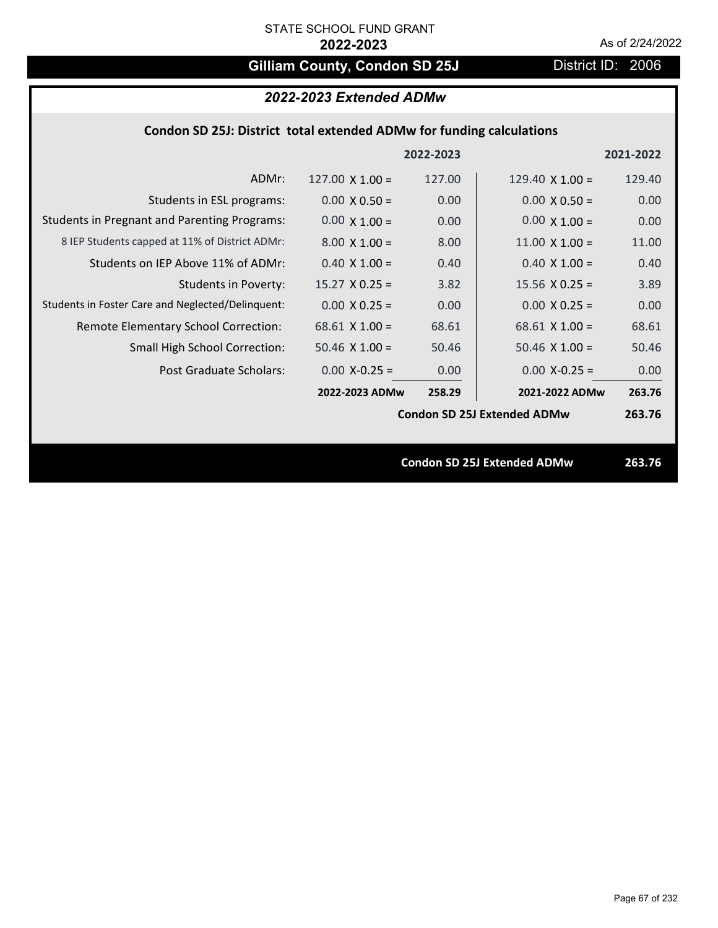# Gilliam County, Condon SD 25J District ID: 2006

# *2022-2023 Extended ADMw*

## **Condon SD 25J: District total extended ADMw for funding calculations**

|                                                     |                        | 2022-2023         |                                    | 2021-2022 |
|-----------------------------------------------------|------------------------|-------------------|------------------------------------|-----------|
| ADMr:                                               | $127.00 \times 1.00 =$ | 127.00            | 129.40 $\times$ 1.00 =             | 129.40    |
| Students in ESL programs:                           | $0.00 \times 0.50 =$   | 0.00 <sub>1</sub> | $0.00 \times 0.50 =$               | 0.00      |
| <b>Students in Pregnant and Parenting Programs:</b> | $0.00 \times 1.00 =$   | 0.00 <sub>1</sub> | $0.00 \times 1.00 =$               | 0.00      |
| 8 IEP Students capped at 11% of District ADMr:      | $8.00 \times 1.00 =$   | 8.00              | $11.00 \times 1.00 =$              | 11.00     |
| Students on IEP Above 11% of ADMr:                  | $0.40 \times 1.00 =$   | 0.40              | $0.40 \times 1.00 =$               | 0.40      |
| <b>Students in Poverty:</b>                         | $15.27$ X 0.25 =       | 3.82              | $15.56 \times 0.25 =$              | 3.89      |
| Students in Foster Care and Neglected/Delinquent:   | $0.00 \times 0.25 =$   | 0.00 <sub>1</sub> | $0.00 \times 0.25 =$               | 0.00      |
| Remote Elementary School Correction:                | $68.61$ X $1.00 =$     | 68.61             | $68.61$ X 1.00 =                   | 68.61     |
| <b>Small High School Correction:</b>                | $50.46 \times 1.00 =$  | 50.46             | $50.46 \times 1.00 =$              | 50.46     |
| Post Graduate Scholars:                             | $0.00$ X-0.25 =        | 0.00 <sub>1</sub> | $0.00$ X-0.25 =                    | 0.00      |
|                                                     | 2022-2023 ADMw         | 258.29            | 2021-2022 ADMw                     | 263.76    |
|                                                     |                        |                   | <b>Condon SD 25J Extended ADMw</b> | 263.76    |
|                                                     |                        |                   |                                    |           |
|                                                     |                        |                   | <b>Condon SD 25J Extended ADMw</b> | 263.76    |
|                                                     |                        |                   |                                    |           |

Page 67 of 232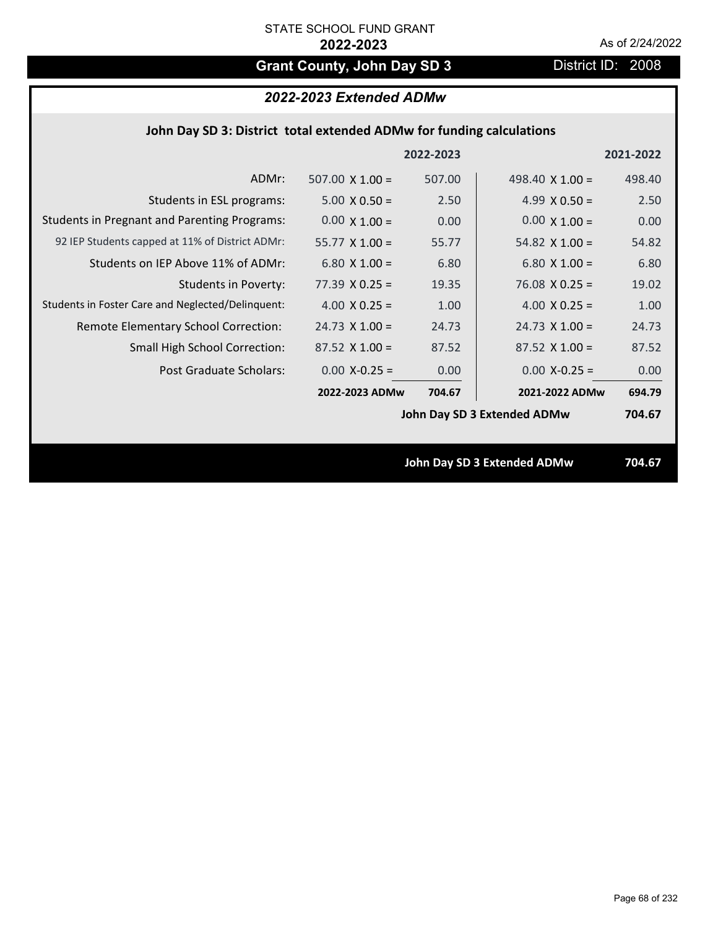# Grant County, John Day SD 3 District ID: 2008

# *2022-2023 Extended ADMw*

## **John Day SD 3: District total extended ADMw for funding calculations**

|                                                     |                        | 2022-2023 |                                    | 2021-2022 |
|-----------------------------------------------------|------------------------|-----------|------------------------------------|-----------|
| ADMr:                                               | 507.00 $\times$ 1.00 = | 507.00    | 498.40 $\times$ 1.00 =             | 498.40    |
| Students in ESL programs:                           | $5.00 \times 0.50 =$   | 2.50      | 4.99 $X$ 0.50 =                    | 2.50      |
| <b>Students in Pregnant and Parenting Programs:</b> | $0.00 \times 1.00 =$   | 0.00      | $0.00 \times 1.00 =$               | 0.00      |
| 92 IEP Students capped at 11% of District ADMr:     | $55.77 \times 1.00 =$  | 55.77     | 54.82 $\times$ 1.00 =              | 54.82     |
| Students on IEP Above 11% of ADMr:                  | 6.80 $X$ 1.00 =        | 6.80      | 6.80 $X$ 1.00 =                    | 6.80      |
| <b>Students in Poverty:</b>                         | $77.39 \times 0.25 =$  | 19.35     | $76.08$ X 0.25 =                   | 19.02     |
| Students in Foster Care and Neglected/Delinquent:   | 4.00 $X$ 0.25 =        | 1.00      | $4.00 \times 0.25 =$               | 1.00      |
| Remote Elementary School Correction:                | $24.73 \times 1.00 =$  | 24.73     | $24.73 \times 1.00 =$              | 24.73     |
| <b>Small High School Correction:</b>                | $87.52$ X 1.00 =       | 87.52     | $87.52 \times 1.00 =$              | 87.52     |
| Post Graduate Scholars:                             | $0.00 X - 0.25 =$      | 0.00      | $0.00$ X-0.25 =                    | 0.00      |
|                                                     | 2022-2023 ADMw         | 704.67    | 2021-2022 ADMw                     | 694.79    |
|                                                     |                        |           | John Day SD 3 Extended ADMw        | 704.67    |
|                                                     |                        |           |                                    |           |
|                                                     |                        |           | <b>John Day SD 3 Extended ADMw</b> | 704.67    |
|                                                     |                        |           |                                    |           |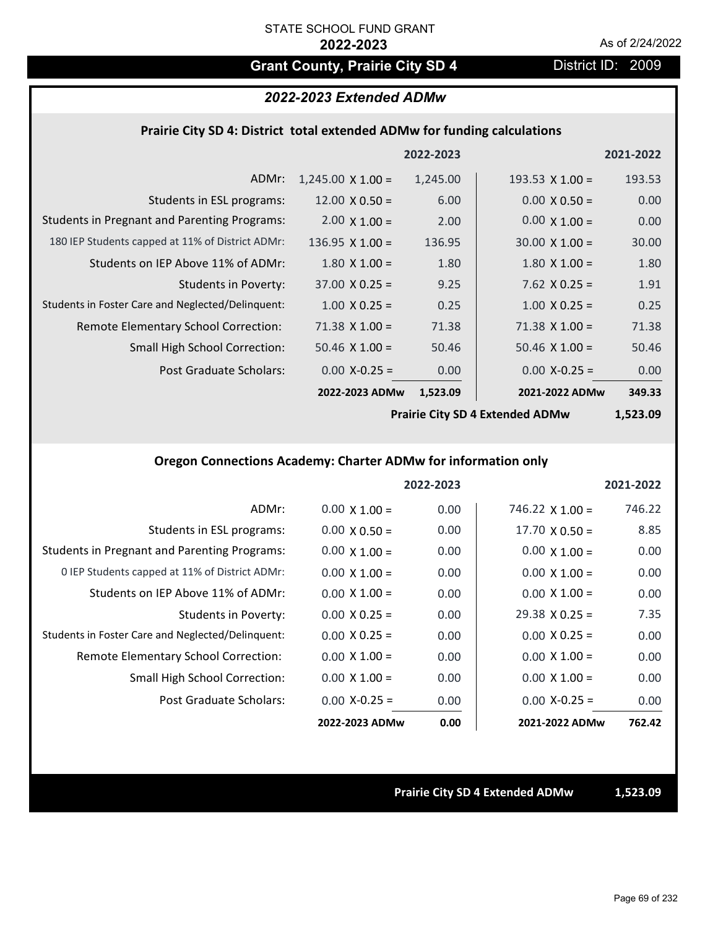# Grant County, Prairie City SD 4 District ID: 2009

## *2022-2023 Extended ADMw*

#### **Prairie City SD 4: District total extended ADMw for funding calculations**

|                                                     |                          | 2022-2023 |                       | 2021-2022 |
|-----------------------------------------------------|--------------------------|-----------|-----------------------|-----------|
| ADMr:                                               | $1,245.00 \times 1.00 =$ | 1,245.00  | 193.53 $X$ 1.00 =     | 193.53    |
| Students in ESL programs:                           | $12.00 \times 0.50 =$    | 6.00      | $0.00 \times 0.50 =$  | 0.00      |
| <b>Students in Pregnant and Parenting Programs:</b> | 2.00 $\times$ 1.00 =     | 2.00      | $0.00 \times 1.00 =$  | 0.00      |
| 180 IEP Students capped at 11% of District ADMr:    | 136.95 $\times$ 1.00 =   | 136.95    | $30.00 \times 1.00 =$ | 30.00     |
| Students on IEP Above 11% of ADMr:                  | $1.80 \times 1.00 =$     | 1.80      | $1.80 \times 1.00 =$  | 1.80      |
| <b>Students in Poverty:</b>                         | $37.00 \times 0.25 =$    | 9.25      | $7.62$ X 0.25 =       | 1.91      |
| Students in Foster Care and Neglected/Delinquent:   | $1.00 \times 0.25 =$     | 0.25      | $1.00 \times 0.25 =$  | 0.25      |
| <b>Remote Elementary School Correction:</b>         | $71.38 \times 1.00 =$    | 71.38     | $71.38 \times 1.00 =$ | 71.38     |
| <b>Small High School Correction:</b>                | $50.46 \times 1.00 =$    | 50.46     | $50.46 \times 1.00 =$ | 50.46     |
| Post Graduate Scholars:                             | $0.00$ X-0.25 =          | 0.00      | $0.00$ X-0.25 =       | 0.00      |
|                                                     | 2022-2023 ADMw           | 1,523.09  | 2021-2022 ADMw        | 349.33    |

**Prairie City SD 4 Extended ADMw**

**1,523.09**

### **Oregon Connections Academy: Charter ADMw for information only**

|                                                     |                      | 2022-2023 |                        | 2021-2022 |
|-----------------------------------------------------|----------------------|-----------|------------------------|-----------|
| ADMr:                                               | $0.00 \times 1.00 =$ | 0.00      | $746.22 \times 1.00 =$ | 746.22    |
| Students in ESL programs:                           | $0.00 \times 0.50 =$ | 0.00      | $17.70 \times 0.50 =$  | 8.85      |
| <b>Students in Pregnant and Parenting Programs:</b> | $0.00 \times 1.00 =$ | 0.00      | $0.00 \times 1.00 =$   | 0.00      |
| 0 IEP Students capped at 11% of District ADMr:      | $0.00 \times 1.00 =$ | 0.00      | $0.00 \times 1.00 =$   | 0.00      |
| Students on IEP Above 11% of ADMr:                  | $0.00 \times 1.00 =$ | 0.00      | $0.00 \times 1.00 =$   | 0.00      |
| Students in Poverty:                                | $0.00 \times 0.25 =$ | 0.00      | $29.38 \times 0.25 =$  | 7.35      |
| Students in Foster Care and Neglected/Delinquent:   | $0.00 \times 0.25 =$ | 0.00      | $0.00 \times 0.25 =$   | 0.00      |
| Remote Elementary School Correction:                | $0.00 \times 1.00 =$ | 0.00      | $0.00 \times 1.00 =$   | 0.00      |
| Small High School Correction:                       | $0.00 \times 1.00 =$ | 0.00      | $0.00 \times 1.00 =$   | 0.00      |
| Post Graduate Scholars:                             | $0.00$ X-0.25 =      | 0.00      | $0.00$ X-0.25 =        | 0.00      |
|                                                     | 2022-2023 ADMw       | 0.00      | 2021-2022 ADMw         | 762.42    |

**Prairie City SD 4 Extended ADMw 1,523.09**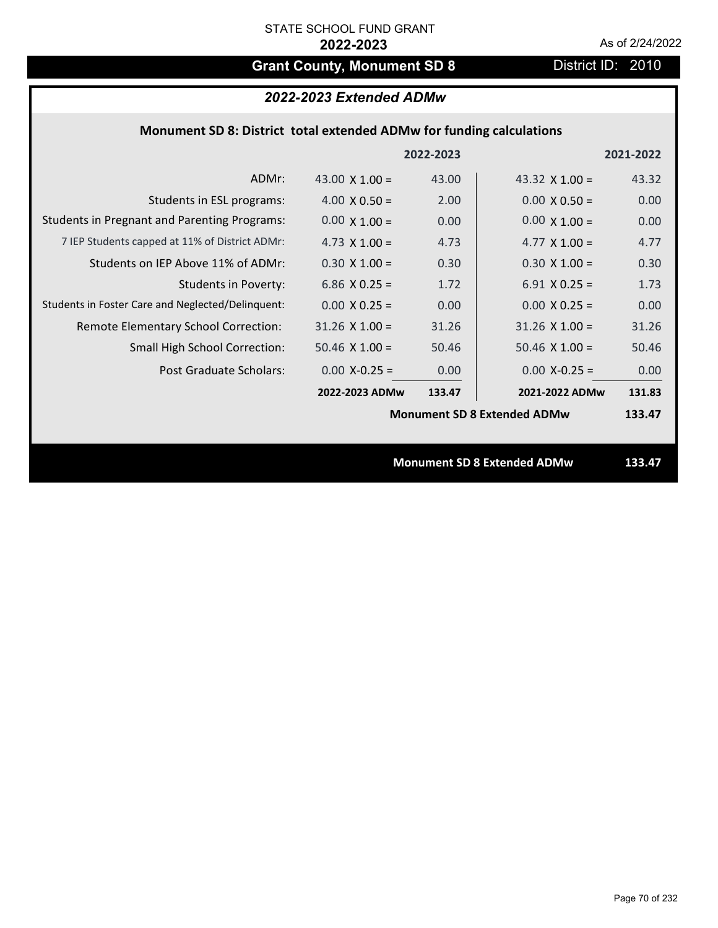# Grant County, Monument SD 8 District ID: 2010

## *2022-2023 Extended ADMw*

## **Monument SD 8: District total extended ADMw for funding calculations**

|                                                     |                                    | 2022-2023 |                       | 2021-2022 |
|-----------------------------------------------------|------------------------------------|-----------|-----------------------|-----------|
| ADMr:                                               | 43.00 $\times$ 1.00 =              | 43.00     | 43.32 $\times$ 1.00 = | 43.32     |
| Students in ESL programs:                           | $4.00 \times 0.50 =$               | 2.00      | $0.00 \times 0.50 =$  | 0.00      |
| <b>Students in Pregnant and Parenting Programs:</b> | $0.00 \times 1.00 =$               | 0.00      | $0.00 \times 1.00 =$  | 0.00      |
| 7 IEP Students capped at 11% of District ADMr:      | 4.73 $\times$ 1.00 =               | 4.73      | 4.77 $\times$ 1.00 =  | 4.77      |
| Students on IEP Above 11% of ADMr:                  | $0.30 \times 1.00 =$               | 0.30      | $0.30 \times 1.00 =$  | 0.30      |
| Students in Poverty:                                | 6.86 $X$ 0.25 =                    | 1.72      | $6.91 X 0.25 =$       | 1.73      |
| Students in Foster Care and Neglected/Delinquent:   | $0.00 \times 0.25 =$               | 0.00      | $0.00 \times 0.25 =$  | 0.00      |
| Remote Elementary School Correction:                | $31.26$ X $1.00 =$                 | 31.26     | $31.26$ X $1.00 =$    | 31.26     |
| <b>Small High School Correction:</b>                | $50.46$ X $1.00 =$                 | 50.46     | $50.46 \times 1.00 =$ | 50.46     |
| Post Graduate Scholars:                             | $0.00$ X-0.25 =                    | 0.00      | $0.00 X-0.25 =$       | 0.00      |
|                                                     | 2022-2023 ADMw                     | 133.47    | 2021-2022 ADMw        | 131.83    |
|                                                     | <b>Monument SD 8 Extended ADMw</b> |           |                       | 133.47    |
|                                                     |                                    |           |                       |           |
|                                                     | <b>Monument SD 8 Extended ADMw</b> | 133.47    |                       |           |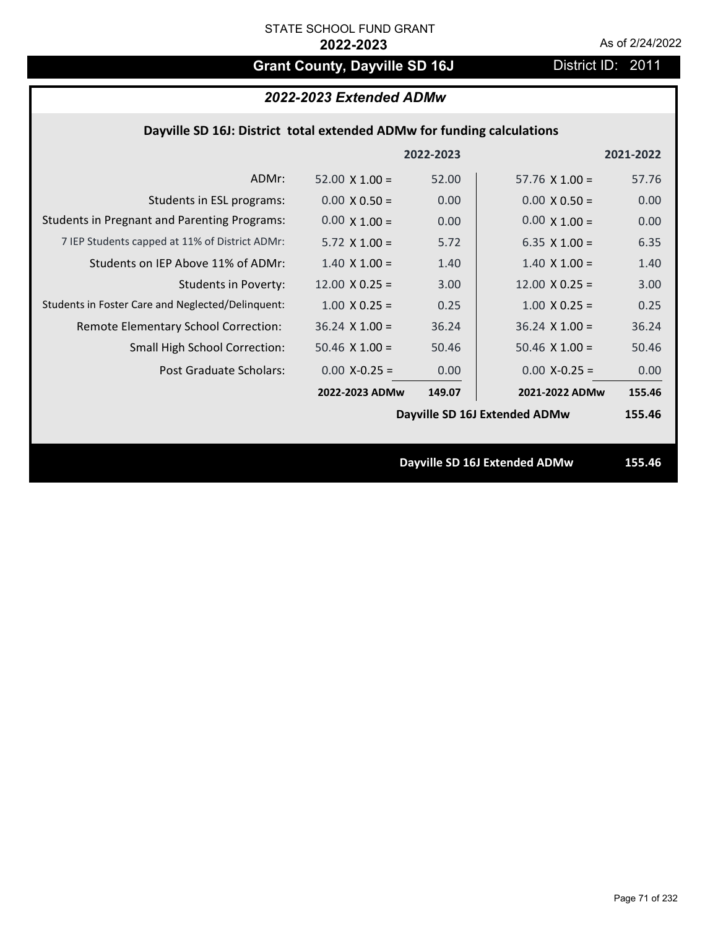# Grant County, Dayville SD 16J **District ID: 2011**

# *2022-2023 Extended ADMw*

## **Dayville SD 16J: District total extended ADMw for funding calculations**

|                                                     |                               | 2022-2023 |                       | 2021-2022 |
|-----------------------------------------------------|-------------------------------|-----------|-----------------------|-----------|
| ADMr:                                               | $52.00 \times 1.00 =$         | 52.00     | 57.76 $\times$ 1.00 = | 57.76     |
| Students in ESL programs:                           | $0.00 \times 0.50 =$          | 0.00      | $0.00 \times 0.50 =$  | 0.00      |
| <b>Students in Pregnant and Parenting Programs:</b> | $0.00 \times 1.00 =$          | 0.00      | $0.00 \times 1.00 =$  | 0.00      |
| 7 IEP Students capped at 11% of District ADMr:      | $5.72 \times 1.00 =$          | 5.72      | 6.35 $X$ 1.00 =       | 6.35      |
| Students on IEP Above 11% of ADMr:                  | $1.40 \times 1.00 =$          | 1.40      | $1.40 \times 1.00 =$  | 1.40      |
| <b>Students in Poverty:</b>                         | $12.00 \times 0.25 =$         | 3.00      | $12.00 \times 0.25 =$ | 3.00      |
| Students in Foster Care and Neglected/Delinquent:   | $1.00 \times 0.25 =$          | 0.25      | $1.00$ X 0.25 =       | 0.25      |
| Remote Elementary School Correction:                | $36.24$ X $1.00 =$            | 36.24     | $36.24$ X $1.00 =$    | 36.24     |
| <b>Small High School Correction:</b>                | $50.46$ X $1.00 =$            | 50.46     | $50.46$ X $1.00 =$    | 50.46     |
| Post Graduate Scholars:                             | $0.00$ X-0.25 =               | 0.00      | $0.00$ X-0.25 =       | 0.00      |
|                                                     | 2022-2023 ADMw                | 149.07    | 2021-2022 ADMw        | 155.46    |
|                                                     | Dayville SD 16J Extended ADMw |           |                       | 155.46    |
|                                                     |                               |           |                       |           |
|                                                     | Dayville SD 16J Extended ADMw |           |                       | 155.46    |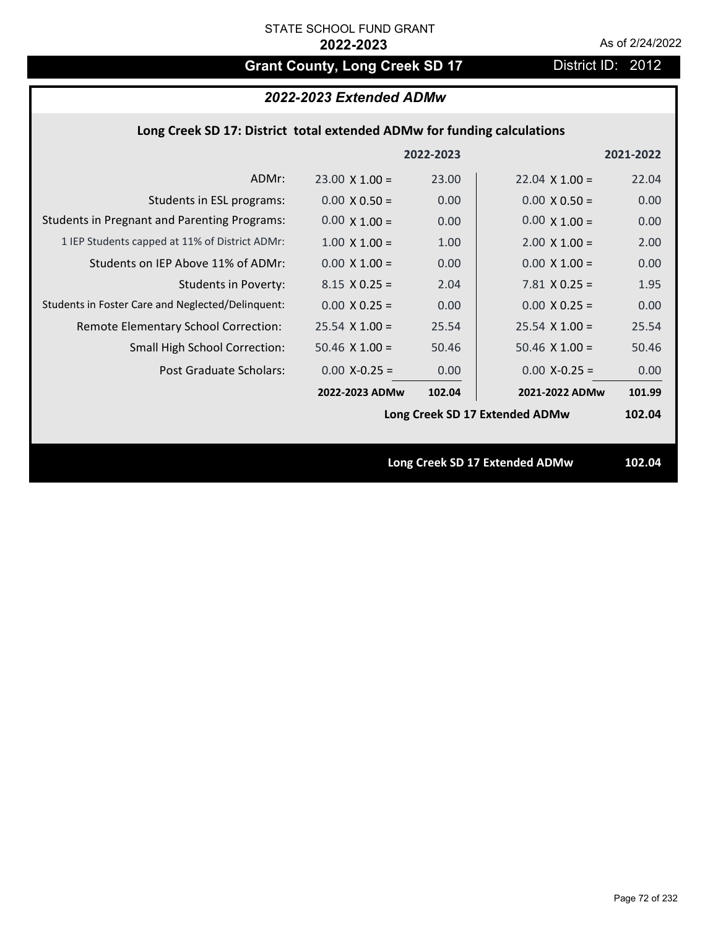# Grant County, Long Creek SD 17 **District ID: 2012**

# *2022-2023 Extended ADMw*

## **Long Creek SD 17: District total extended ADMw for funding calculations**

|                                                     |                                | 2022-2023 |                       | 2021-2022 |
|-----------------------------------------------------|--------------------------------|-----------|-----------------------|-----------|
| ADMr:                                               | $23.00 \times 1.00 =$          | 23.00     | $22.04 \times 1.00 =$ | 22.04     |
| Students in ESL programs:                           | $0.00 \times 0.50 =$           | 0.00      | $0.00 \times 0.50 =$  | 0.00      |
| <b>Students in Pregnant and Parenting Programs:</b> | $0.00 \times 1.00 =$           | 0.00      | $0.00 \times 1.00 =$  | 0.00      |
| 1 IEP Students capped at 11% of District ADMr:      | $1.00 \times 1.00 =$           | 1.00      | $2.00 \times 1.00 =$  | 2.00      |
| Students on IEP Above 11% of ADMr:                  | $0.00$ X $1.00 =$              | 0.00      | $0.00$ X $1.00 =$     | 0.00      |
| <b>Students in Poverty:</b>                         | $8.15 \times 0.25 =$           | 2.04      | $7.81$ X 0.25 =       | 1.95      |
| Students in Foster Care and Neglected/Delinquent:   | $0.00 \times 0.25 =$           | 0.00      | $0.00 X 0.25 =$       | 0.00      |
| Remote Elementary School Correction:                | $25.54$ X 1.00 =               | 25.54     | $25.54 \times 1.00 =$ | 25.54     |
| <b>Small High School Correction:</b>                | $50.46$ X $1.00 =$             | 50.46     | $50.46$ X 1.00 =      | 50.46     |
| Post Graduate Scholars:                             | $0.00 X - 0.25 =$              | 0.00      | $0.00$ X-0.25 =       | 0.00      |
|                                                     | 2022-2023 ADMw                 | 102.04    | 2021-2022 ADMw        | 101.99    |
|                                                     | Long Creek SD 17 Extended ADMw |           |                       | 102.04    |
|                                                     |                                |           |                       |           |
|                                                     | Long Creek SD 17 Extended ADMw |           |                       |           |
|                                                     |                                |           |                       | 102.04    |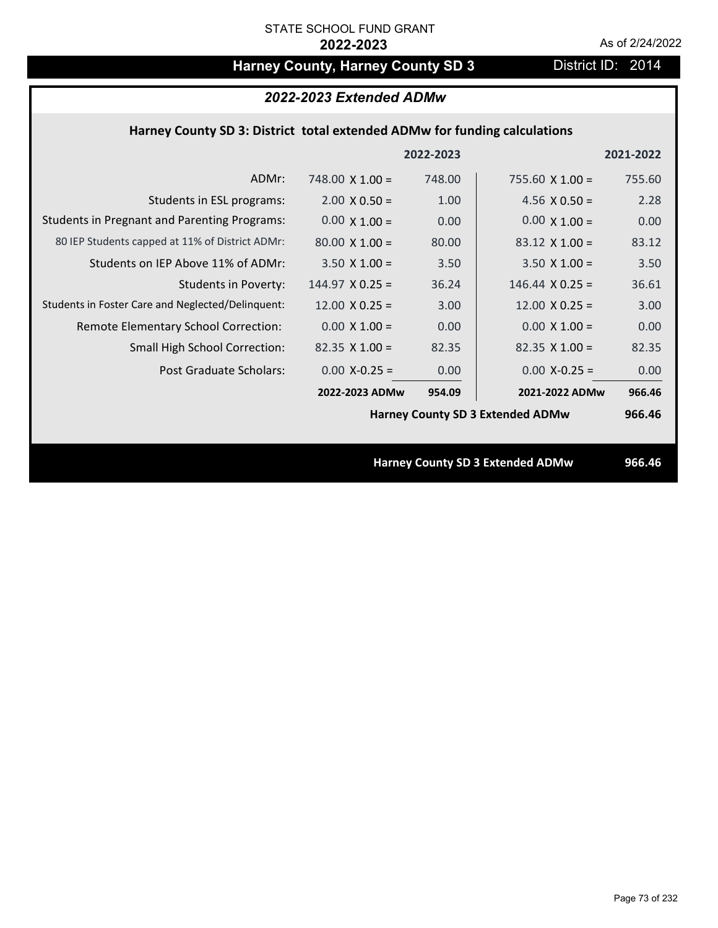# Harney County, Harney County SD 3 District ID: 2014

# *2022-2023 Extended ADMw*

# **Harney County SD 3: District total extended ADMw for funding calculations**

|                                                     |                        | 2022-2023 |                                         | 2021-2022 |
|-----------------------------------------------------|------------------------|-----------|-----------------------------------------|-----------|
| ADMr:                                               | 748.00 $\times$ 1.00 = | 748.00    | $755.60 \times 1.00 =$                  | 755.60    |
| Students in ESL programs:                           | $2.00 \times 0.50 =$   | 1.00      | 4.56 $X$ 0.50 =                         | 2.28      |
| <b>Students in Pregnant and Parenting Programs:</b> | $0.00 \times 1.00 =$   | 0.00      | $0.00 \times 1.00 =$                    | 0.00      |
| 80 IEP Students capped at 11% of District ADMr:     | $80.00 \times 1.00 =$  | 80.00     | $83.12 \times 1.00 =$                   | 83.12     |
| Students on IEP Above 11% of ADMr:                  | $3.50 \times 1.00 =$   | 3.50      | $3.50$ X $1.00 =$                       | 3.50      |
| <b>Students in Poverty:</b>                         | $144.97$ X 0.25 =      | 36.24     | $146.44$ X 0.25 =                       | 36.61     |
| Students in Foster Care and Neglected/Delinquent:   | $12.00 \times 0.25 =$  | 3.00      | $12.00 \times 0.25 =$                   | 3.00      |
| Remote Elementary School Correction:                | $0.00 \times 1.00 =$   | 0.00      | $0.00 \times 1.00 =$                    | 0.00      |
| <b>Small High School Correction:</b>                | $82.35$ X 1.00 =       | 82.35     | $82.35 \times 1.00 =$                   | 82.35     |
| Post Graduate Scholars:                             | $0.00$ X-0.25 =        | 0.00      | $0.00$ X-0.25 =                         | 0.00      |
|                                                     | 2022-2023 ADMw         | 954.09    | 2021-2022 ADMw                          | 966.46    |
|                                                     |                        |           | <b>Harney County SD 3 Extended ADMw</b> | 966.46    |
|                                                     |                        |           |                                         |           |
|                                                     |                        |           | <b>Harney County SD 3 Extended ADMw</b> | 966.46    |
|                                                     |                        |           |                                         |           |

Page 73 of 232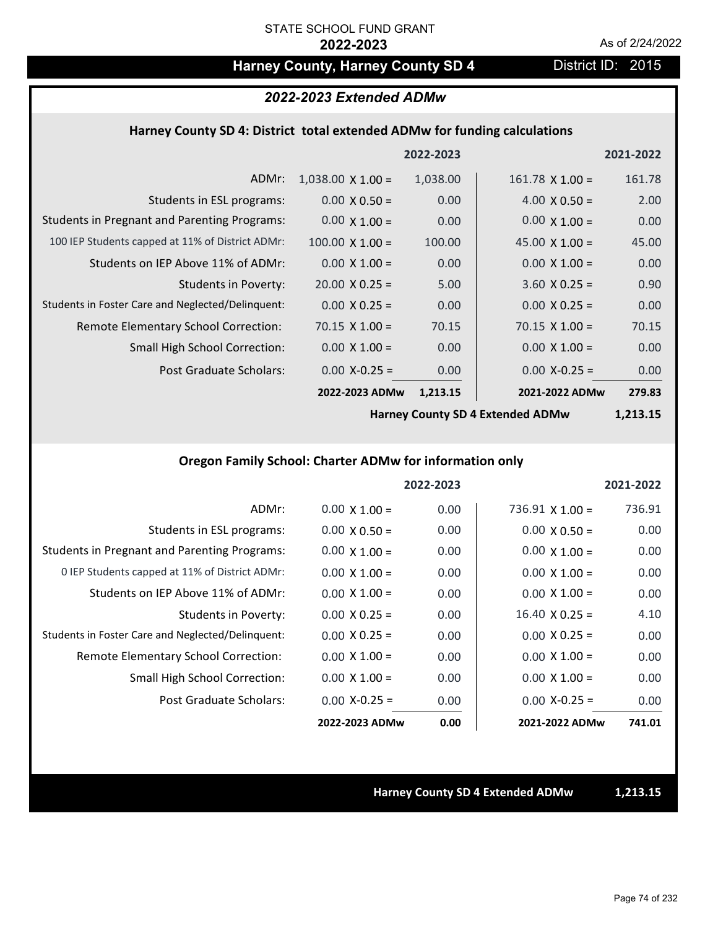# Harney County, Harney County SD 4 District ID: 2015

# *2022-2023 Extended ADMw*

### **Harney County SD 4: District total extended ADMw for funding calculations**

|                                                     |                          | 2022-2023 |                        | 2021-2022 |
|-----------------------------------------------------|--------------------------|-----------|------------------------|-----------|
| ADMr:                                               | $1,038.00 \times 1.00 =$ | 1,038.00  | $161.78 \times 1.00 =$ | 161.78    |
| Students in ESL programs:                           | $0.00 \times 0.50 =$     | 0.00      | $4.00 \times 0.50 =$   | 2.00      |
| <b>Students in Pregnant and Parenting Programs:</b> | $0.00 \times 1.00 =$     | 0.00      | $0.00 \times 1.00 =$   | 0.00      |
| 100 IEP Students capped at 11% of District ADMr:    | $100.00 \times 1.00 =$   | 100.00    | $45.00 \times 1.00 =$  | 45.00     |
| Students on IEP Above 11% of ADMr:                  | $0.00 \times 1.00 =$     | 0.00      | $0.00 \times 1.00 =$   | 0.00      |
| Students in Poverty:                                | $20.00 \times 0.25 =$    | 5.00      | $3.60 X 0.25 =$        | 0.90      |
| Students in Foster Care and Neglected/Delinquent:   | $0.00 \times 0.25 =$     | 0.00      | $0.00 \times 0.25 =$   | 0.00      |
| Remote Elementary School Correction:                | $70.15 \times 1.00 =$    | 70.15     | $70.15 \times 1.00 =$  | 70.15     |
| <b>Small High School Correction:</b>                | $0.00 \times 1.00 =$     | 0.00      | $0.00 \times 1.00 =$   | 0.00      |
| Post Graduate Scholars:                             | $0.00$ X-0.25 =          | 0.00      | $0.00$ X-0.25 =        | 0.00      |
|                                                     | 2022-2023 ADMw           | 1,213.15  | 2021-2022 ADMw         | 279.83    |

**Harney County SD 4 Extended ADMw**

**1,213.15**

# **Oregon Family School: Charter ADMw for information only**

|                                                     |                      | 2022-2023 |                        | 2021-2022 |
|-----------------------------------------------------|----------------------|-----------|------------------------|-----------|
| ADMr:                                               | $0.00 \times 1.00 =$ | 0.00      | $736.91 \times 1.00 =$ | 736.91    |
| Students in ESL programs:                           | $0.00 \times 0.50 =$ | 0.00      | $0.00 \times 0.50 =$   | 0.00      |
| <b>Students in Pregnant and Parenting Programs:</b> | $0.00 \times 1.00 =$ | 0.00      | $0.00 \times 1.00 =$   | 0.00      |
| 0 IEP Students capped at 11% of District ADMr:      | $0.00 \times 1.00 =$ | 0.00      | $0.00 \times 1.00 =$   | 0.00      |
| Students on IEP Above 11% of ADMr:                  | $0.00 \times 1.00 =$ | 0.00      | $0.00 \times 1.00 =$   | 0.00      |
| Students in Poverty:                                | $0.00 \times 0.25 =$ | 0.00      | $16.40 \times 0.25 =$  | 4.10      |
| Students in Foster Care and Neglected/Delinquent:   | $0.00 \times 0.25 =$ | 0.00      | $0.00 \times 0.25 =$   | 0.00      |
| Remote Elementary School Correction:                | $0.00 \times 1.00 =$ | 0.00      | $0.00 \times 1.00 =$   | 0.00      |
| <b>Small High School Correction:</b>                | $0.00 \times 1.00 =$ | 0.00      | $0.00 \times 1.00 =$   | 0.00      |
| Post Graduate Scholars:                             | $0.00 X-0.25 =$      | 0.00      | $0.00 X-0.25 =$        | 0.00      |
|                                                     | 2022-2023 ADMw       | 0.00      | 2021-2022 ADMw         | 741.01    |

### **Harney County SD 4 Extended ADMw 1,213.15**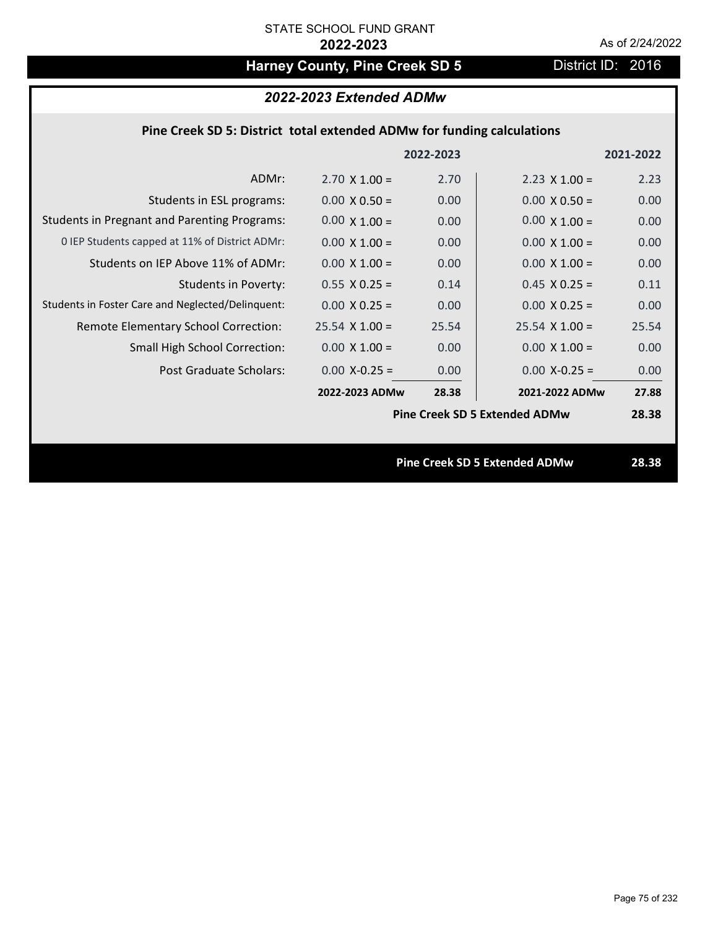# Harney County, Pine Creek SD 5 **District ID: 2016**

# *2022-2023 Extended ADMw*

# **Pine Creek SD 5: District total extended ADMw for funding calculations**

|                                                     |                       | 2022-2023 |                                      | 2021-2022 |
|-----------------------------------------------------|-----------------------|-----------|--------------------------------------|-----------|
| ADMr:                                               | $2.70 \times 1.00 =$  | 2.70      | $2.23 \times 1.00 =$                 | 2.23      |
| Students in ESL programs:                           | $0.00 \times 0.50 =$  | 0.00      | $0.00 \times 0.50 =$                 | 0.00      |
| <b>Students in Pregnant and Parenting Programs:</b> | $0.00 \times 1.00 =$  | 0.00      | $0.00 \times 1.00 =$                 | 0.00      |
| 0 IEP Students capped at 11% of District ADMr:      | $0.00 \times 1.00 =$  | 0.00      | $0.00 \times 1.00 =$                 | 0.00      |
| Students on IEP Above 11% of ADMr:                  | $0.00 \times 1.00 =$  | 0.00      | $0.00 \times 1.00 =$                 | 0.00      |
| <b>Students in Poverty:</b>                         | $0.55 \times 0.25 =$  | 0.14      | $0.45$ X 0.25 =                      | 0.11      |
| Students in Foster Care and Neglected/Delinquent:   | $0.00 \times 0.25 =$  | 0.00      | $0.00 X 0.25 =$                      | 0.00      |
| Remote Elementary School Correction:                | $25.54 \times 1.00 =$ | 25.54     | $25.54 \times 1.00 =$                | 25.54     |
| <b>Small High School Correction:</b>                | $0.00 \times 1.00 =$  | 0.00      | $0.00 \times 1.00 =$                 | 0.00      |
| Post Graduate Scholars:                             | $0.00$ X-0.25 =       | 0.00      | $0.00$ X-0.25 =                      | 0.00      |
|                                                     | 2022-2023 ADMw        | 28.38     | 2021-2022 ADMw                       | 27.88     |
|                                                     |                       |           | <b>Pine Creek SD 5 Extended ADMw</b> | 28.38     |
|                                                     |                       |           |                                      |           |
|                                                     |                       |           | <b>Pine Creek SD 5 Extended ADMw</b> | 28.38     |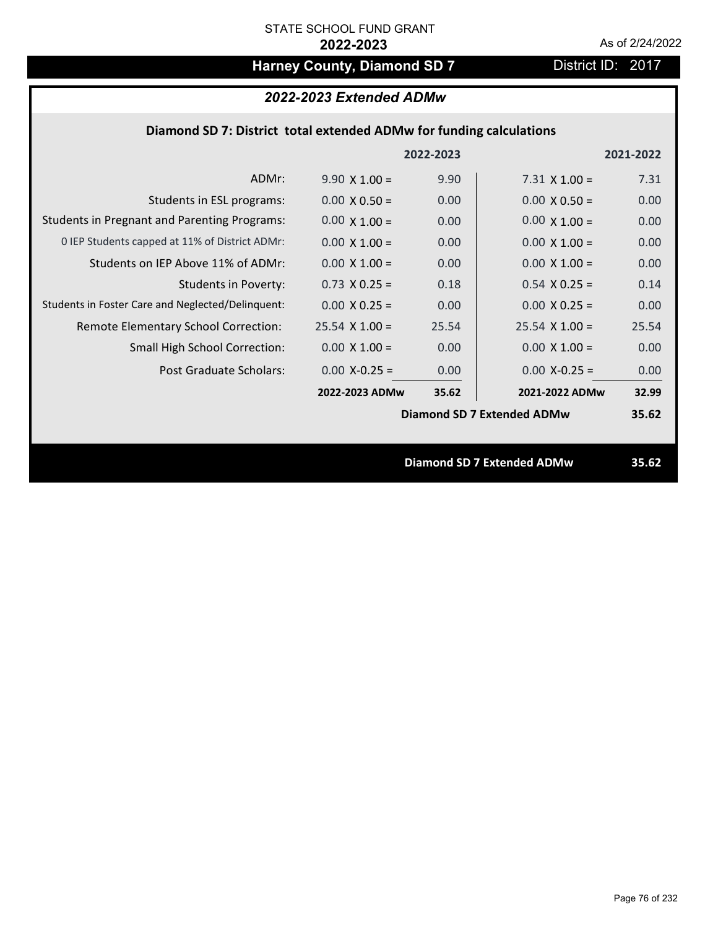# Harney County, Diamond SD 7 District ID: 2017

# *2022-2023 Extended ADMw*

# **Diamond SD 7: District total extended ADMw for funding calculations**

|                                                     |                      | 2022-2023 |                                   | 2021-2022 |
|-----------------------------------------------------|----------------------|-----------|-----------------------------------|-----------|
| ADMr:                                               | $9.90 \times 1.00 =$ | 9.90      | $7.31 \times 1.00 =$              | 7.31      |
| Students in ESL programs:                           | $0.00 \times 0.50 =$ | 0.00      | $0.00 \times 0.50 =$              | 0.00      |
| <b>Students in Pregnant and Parenting Programs:</b> | $0.00 \times 1.00 =$ | 0.00      | $0.00 \times 1.00 =$              | 0.00      |
| 0 IEP Students capped at 11% of District ADMr:      | $0.00 \times 1.00 =$ | 0.00      | $0.00 \times 1.00 =$              | 0.00      |
| Students on IEP Above 11% of ADMr:                  | $0.00 \times 1.00 =$ | 0.00      | $0.00$ X $1.00 =$                 | 0.00      |
| <b>Students in Poverty:</b>                         | $0.73$ X 0.25 =      | 0.18      | $0.54$ X 0.25 =                   | 0.14      |
| Students in Foster Care and Neglected/Delinquent:   | $0.00 \times 0.25 =$ | 0.00      | $0.00 \times 0.25 =$              | 0.00      |
| Remote Elementary School Correction:                | $25.54$ X 1.00 =     | 25.54     | $25.54 \times 1.00 =$             | 25.54     |
| <b>Small High School Correction:</b>                | $0.00 \times 1.00 =$ | 0.00      | $0.00 \times 1.00 =$              | 0.00      |
| Post Graduate Scholars:                             | $0.00$ X-0.25 =      | 0.00      | $0.00 X - 0.25 =$                 | 0.00      |
|                                                     | 2022-2023 ADMw       | 35.62     | 2021-2022 ADMw                    | 32.99     |
|                                                     |                      |           | <b>Diamond SD 7 Extended ADMw</b> | 35.62     |
|                                                     |                      |           |                                   |           |
|                                                     |                      |           | <b>Diamond SD 7 Extended ADMw</b> | 35.62     |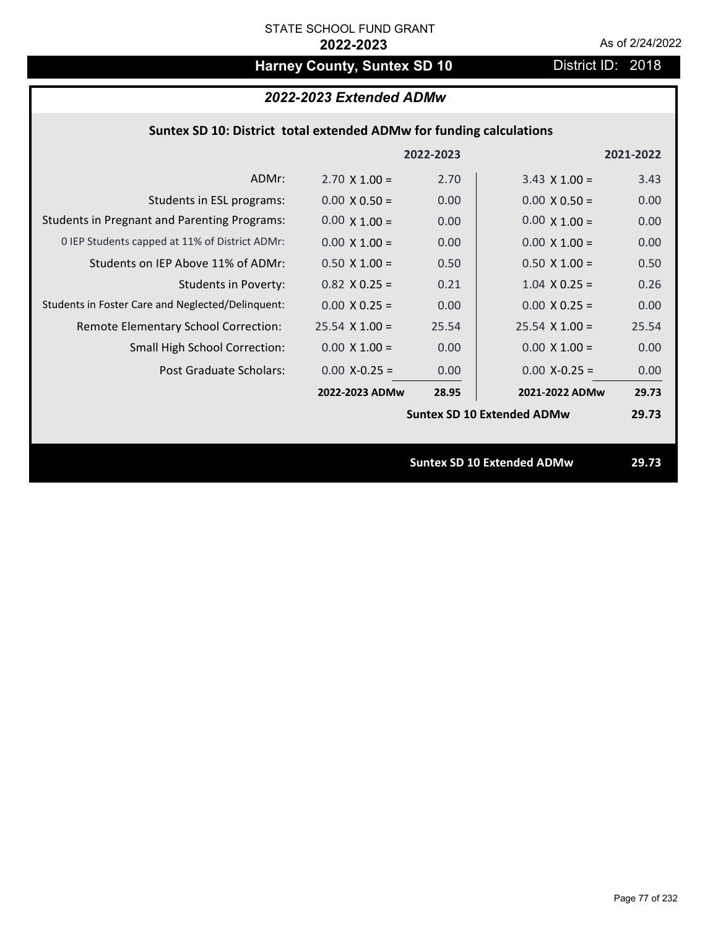# Harney County, Suntex SD 10 **District ID: 2018**

# *2022-2023 Extended ADMw*

# **Suntex SD 10: District total extended ADMw for funding calculations**

|                                                     |                       | 2022-2023 |                                   | 2021-2022 |
|-----------------------------------------------------|-----------------------|-----------|-----------------------------------|-----------|
| ADMr:                                               | $2.70 \times 1.00 =$  | 2.70      | $3.43 \times 1.00 =$              | 3.43      |
| Students in ESL programs:                           | $0.00 \times 0.50 =$  | 0.00      | $0.00 \times 0.50 =$              | 0.00      |
| <b>Students in Pregnant and Parenting Programs:</b> | $0.00 \times 1.00 =$  | 0.00      | $0.00 \times 1.00 =$              | 0.00      |
| 0 IEP Students capped at 11% of District ADMr:      | $0.00 \times 1.00 =$  | 0.00      | $0.00 \times 1.00 =$              | 0.00      |
| Students on IEP Above 11% of ADMr:                  | $0.50 \times 1.00 =$  | 0.50      | $0.50$ X 1.00 =                   | 0.50      |
| <b>Students in Poverty:</b>                         | $0.82$ X 0.25 =       | 0.21      | $1.04 \times 0.25 =$              | 0.26      |
| Students in Foster Care and Neglected/Delinquent:   | $0.00 \times 0.25 =$  | 0.00      | $0.00 X 0.25 =$                   | 0.00      |
| Remote Elementary School Correction:                | $25.54 \times 1.00 =$ | 25.54     | $25.54 \times 1.00 =$             | 25.54     |
| <b>Small High School Correction:</b>                | $0.00 \times 1.00 =$  | 0.00      | $0.00 \times 1.00 =$              | 0.00      |
| Post Graduate Scholars:                             | $0.00$ X-0.25 =       | 0.00      | $0.00 X - 0.25 =$                 | 0.00      |
|                                                     | 2022-2023 ADMw        | 28.95     | 2021-2022 ADMw                    | 29.73     |
|                                                     |                       |           | <b>Suntex SD 10 Extended ADMw</b> | 29.73     |
|                                                     |                       |           |                                   |           |
|                                                     |                       |           | <b>Suntex SD 10 Extended ADMw</b> | 29.73     |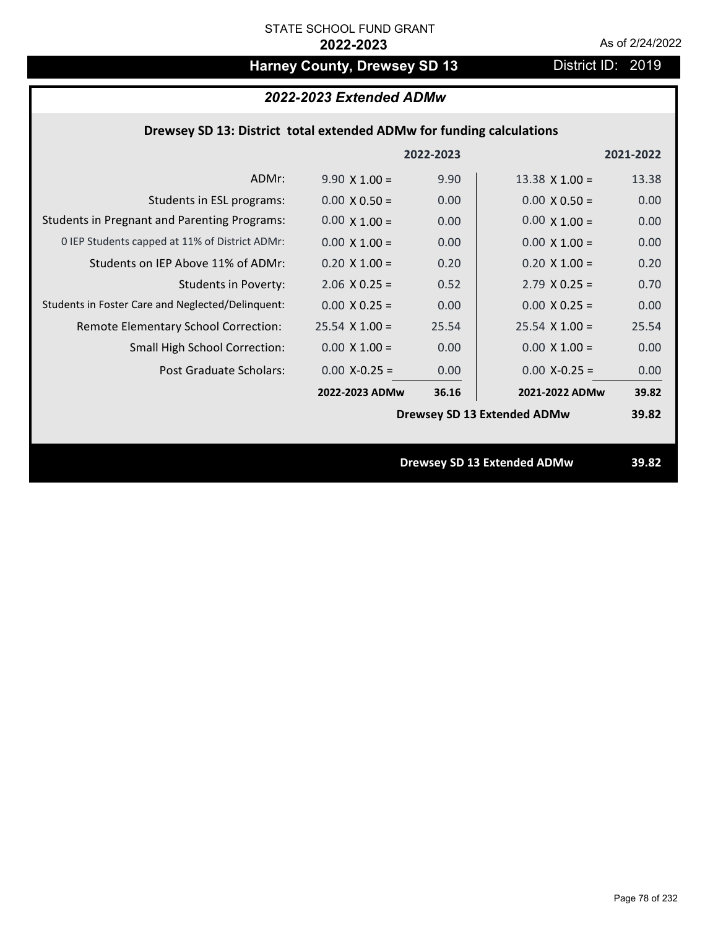# Harney County, Drewsey SD 13 District ID: 2019

# *2022-2023 Extended ADMw*

# **Drewsey SD 13: District total extended ADMw for funding calculations**

| 2022-2023                                                                           |                       | 2021-2022 |
|-------------------------------------------------------------------------------------|-----------------------|-----------|
| ADMr:<br>9.90<br>$9.90 \times 1.00 =$                                               | $13.38 \times 1.00 =$ | 13.38     |
| 0.00<br>Students in ESL programs:<br>$0.00 \times 0.50 =$                           | $0.00 \times 0.50 =$  | 0.00      |
| <b>Students in Pregnant and Parenting Programs:</b><br>$0.00 \times 1.00 =$<br>0.00 | $0.00 \times 1.00 =$  | 0.00      |
| 0 IEP Students capped at 11% of District ADMr:<br>$0.00 \times 1.00 =$<br>0.00      | $0.00 \times 1.00 =$  | 0.00      |
| Students on IEP Above 11% of ADMr:<br>$0.20 \times 1.00 =$<br>0.20                  | $0.20$ X $1.00 =$     | 0.20      |
| $2.06$ X 0.25 =<br><b>Students in Poverty:</b><br>0.52                              | $2.79$ X 0.25 =       | 0.70      |
| Students in Foster Care and Neglected/Delinquent:<br>$0.00 \times 0.25 =$<br>0.00   | $0.00 \times 0.25 =$  | 0.00      |
| Remote Elementary School Correction:<br>$25.54$ X 1.00 =<br>25.54                   | $25.54 \times 1.00 =$ | 25.54     |
| <b>Small High School Correction:</b><br>$0.00 \times 1.00 =$<br>0.00                | $0.00 \times 1.00 =$  | 0.00      |
| Post Graduate Scholars:<br>$0.00$ X-0.25 =<br>0.00                                  | $0.00 X - 0.25 =$     | 0.00      |
| 36.16<br>2022-2023 ADMw                                                             | 2021-2022 ADMw        | 39.82     |
| <b>Drewsey SD 13 Extended ADMw</b>                                                  |                       | 39.82     |
|                                                                                     |                       |           |
| <b>Drewsey SD 13 Extended ADMw</b>                                                  |                       | 39.82     |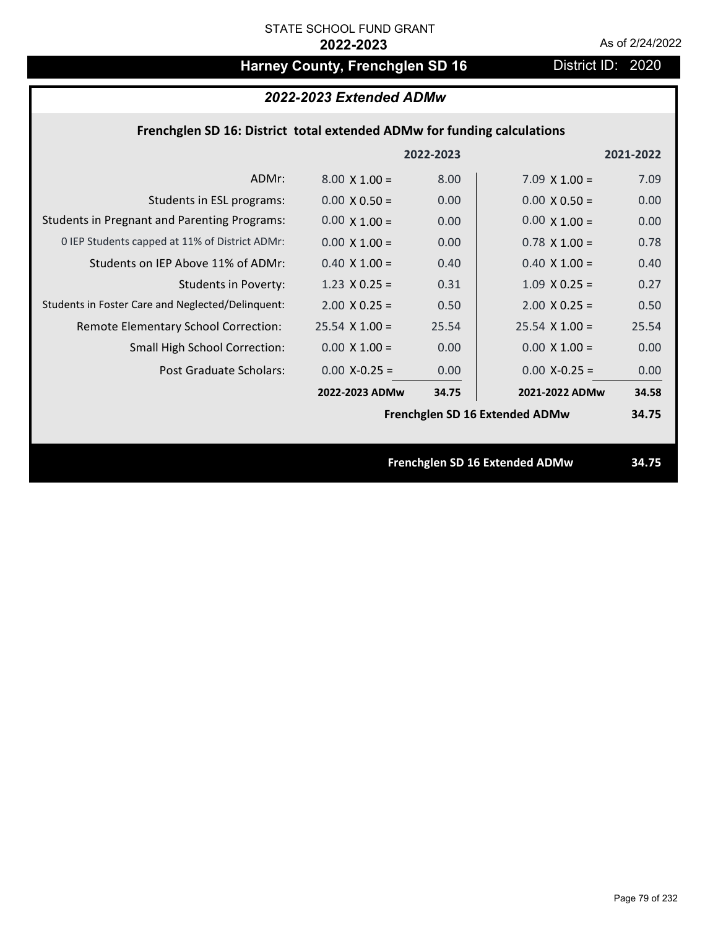# Harney County, Frenchglen SD 16 **District ID: 2020**

# *2022-2023 Extended ADMw*

# **Frenchglen SD 16: District total extended ADMw for funding calculations**

|                                                     |                      | 2022-2023 |                                | 2021-2022 |
|-----------------------------------------------------|----------------------|-----------|--------------------------------|-----------|
| ADMr:                                               | $8.00 \times 1.00 =$ | 8.00      | $7.09 \times 1.00 =$           | 7.09      |
| Students in ESL programs:                           | $0.00 \times 0.50 =$ | 0.00      | $0.00 \times 0.50 =$           | 0.00      |
| <b>Students in Pregnant and Parenting Programs:</b> | $0.00 \times 1.00 =$ | 0.00      | $0.00 \times 1.00 =$           | 0.00      |
| 0 IEP Students capped at 11% of District ADMr:      | $0.00 \times 1.00 =$ | 0.00      | $0.78$ X 1.00 =                | 0.78      |
| Students on IEP Above 11% of ADMr:                  | $0.40$ X $1.00 =$    | 0.40      | $0.40$ X $1.00 =$              | 0.40      |
| <b>Students in Poverty:</b>                         | 1.23 $X$ 0.25 =      | 0.31      | $1.09$ X 0.25 =                | 0.27      |
| Students in Foster Care and Neglected/Delinquent:   | $2.00 \times 0.25 =$ | 0.50      | $2.00 \times 0.25 =$           | 0.50      |
| Remote Elementary School Correction:                | $25.54$ X 1.00 =     | 25.54     | $25.54 \times 1.00 =$          | 25.54     |
| <b>Small High School Correction:</b>                | $0.00 \times 1.00 =$ | 0.00      | $0.00 \times 1.00 =$           | 0.00      |
| Post Graduate Scholars:                             | $0.00$ X-0.25 =      | 0.00      | $0.00 X - 0.25 =$              | 0.00      |
|                                                     | 2022-2023 ADMw       | 34.75     | 2021-2022 ADMw                 | 34.58     |
|                                                     |                      |           | Frenchglen SD 16 Extended ADMw | 34.75     |
|                                                     |                      |           |                                |           |
|                                                     |                      |           | Frenchglen SD 16 Extended ADMw | 34.75     |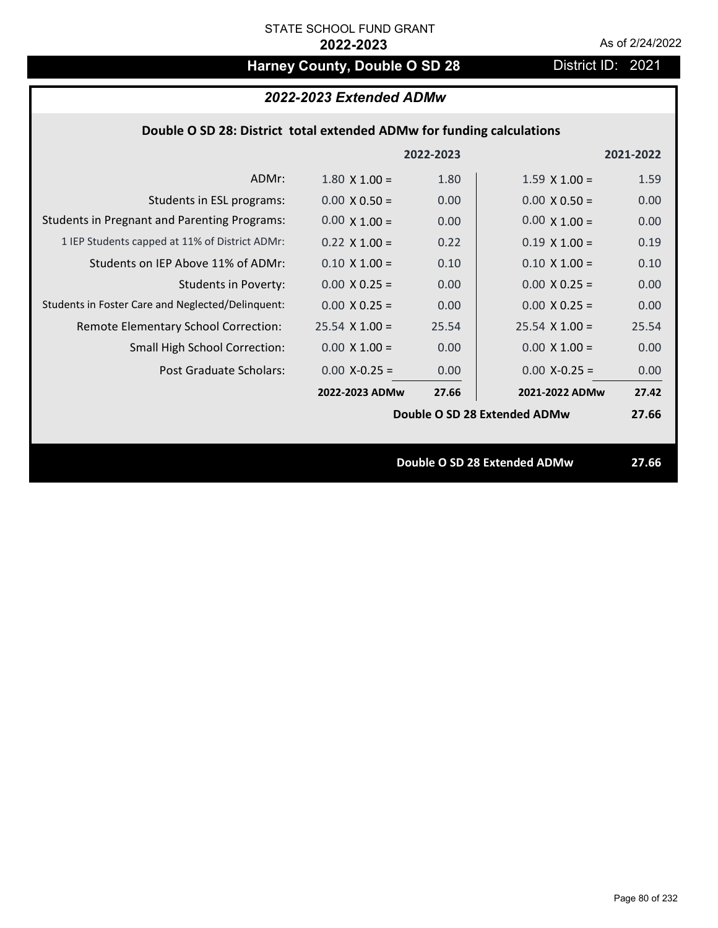# Harney County, Double O SD 28 **District ID: 2021**

# *2022-2023 Extended ADMw*

# **Double O SD 28: District total extended ADMw for funding calculations**

|                                                     |                      | 2022-2023 |                              | 2021-2022 |
|-----------------------------------------------------|----------------------|-----------|------------------------------|-----------|
| ADMr:                                               | $1.80 \times 1.00 =$ | 1.80      | $1.59 \times 1.00 =$         | 1.59      |
| Students in ESL programs:                           | $0.00 \times 0.50 =$ | 0.00      | $0.00 \times 0.50 =$         | 0.00      |
| <b>Students in Pregnant and Parenting Programs:</b> | $0.00 \times 1.00 =$ | 0.00      | $0.00 \times 1.00 =$         | 0.00      |
| 1 IEP Students capped at 11% of District ADMr:      | $0.22 \times 1.00 =$ | 0.22      | $0.19 \times 1.00 =$         | 0.19      |
| Students on IEP Above 11% of ADMr:                  | $0.10 \times 1.00 =$ | 0.10      | $0.10 \times 1.00 =$         | 0.10      |
| <b>Students in Poverty:</b>                         | $0.00 \times 0.25 =$ | 0.00      | $0.00 \times 0.25 =$         | 0.00      |
| Students in Foster Care and Neglected/Delinquent:   | $0.00 \times 0.25 =$ | 0.00      | $0.00 \times 0.25 =$         | 0.00      |
| Remote Elementary School Correction:                | $25.54$ X 1.00 =     | 25.54     | $25.54 \times 1.00 =$        | 25.54     |
| <b>Small High School Correction:</b>                | $0.00 \times 1.00 =$ | 0.00      | $0.00 \times 1.00 =$         | 0.00      |
| Post Graduate Scholars:                             | $0.00$ X-0.25 =      | 0.00      | $0.00$ X-0.25 =              | 0.00      |
|                                                     | 2022-2023 ADMw       | 27.66     | 2021-2022 ADMw               | 27.42     |
|                                                     |                      |           | Double O SD 28 Extended ADMw | 27.66     |
|                                                     |                      |           |                              |           |
|                                                     |                      |           | Double O SD 28 Extended ADMw | 27.66     |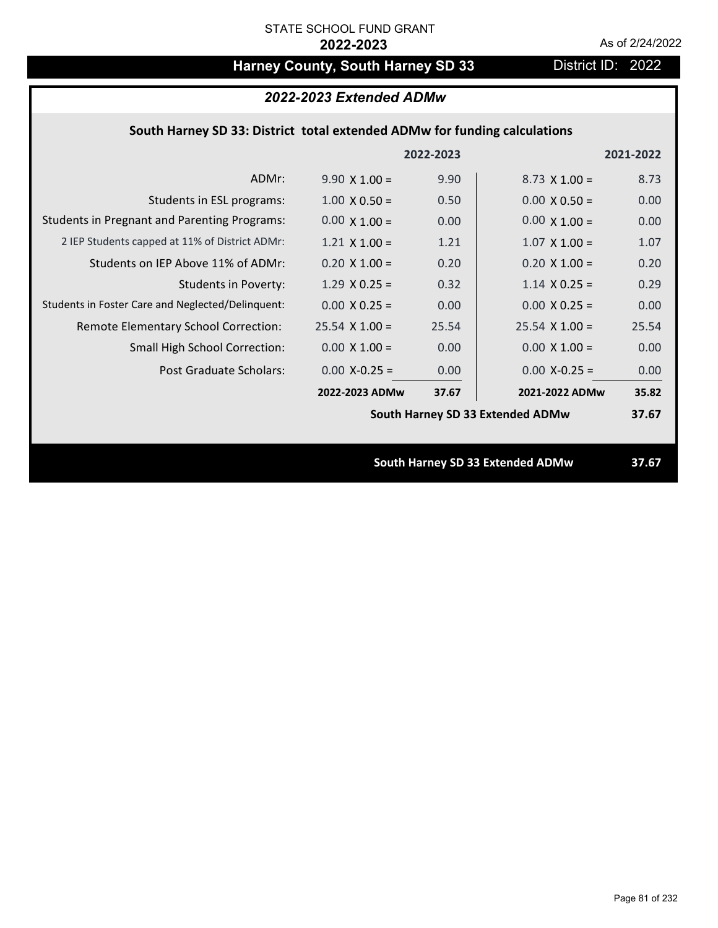# Harney County, South Harney SD 33 District ID: 2022

# *2022-2023 Extended ADMw*

# **South Harney SD 33: District total extended ADMw for funding calculations**

|                                                     |                      | 2022-2023 |                                  | 2021-2022 |
|-----------------------------------------------------|----------------------|-----------|----------------------------------|-----------|
| ADMr:                                               | $9.90 \times 1.00 =$ | 9.90      | $8.73 \times 1.00 =$             | 8.73      |
| Students in ESL programs:                           | $1.00 \times 0.50 =$ | 0.50      | $0.00 \times 0.50 =$             | 0.00      |
| <b>Students in Pregnant and Parenting Programs:</b> | $0.00 \times 1.00 =$ | 0.00      | $0.00 \times 1.00 =$             | 0.00      |
| 2 IEP Students capped at 11% of District ADMr:      | $1.21 \times 1.00 =$ | 1.21      | $1.07 \times 1.00 =$             | 1.07      |
| Students on IEP Above 11% of ADMr:                  | $0.20$ X $1.00 =$    | 0.20      | $0.20 X 1.00 =$                  | 0.20      |
| <b>Students in Poverty:</b>                         | 1.29 $X$ 0.25 =      | 0.32      | $1.14 \times 0.25 =$             | 0.29      |
| Students in Foster Care and Neglected/Delinquent:   | $0.00 \times 0.25 =$ | 0.00      | $0.00 X 0.25 =$                  | 0.00      |
| Remote Elementary School Correction:                | $25.54$ X 1.00 =     | 25.54     | $25.54$ X 1.00 =                 | 25.54     |
| <b>Small High School Correction:</b>                | $0.00 \times 1.00 =$ | 0.00      | $0.00 \times 1.00 =$             | 0.00      |
| Post Graduate Scholars:                             | $0.00$ X-0.25 =      | 0.00      | $0.00$ X-0.25 =                  | 0.00      |
|                                                     | 2022-2023 ADMw       | 37.67     | 2021-2022 ADMw                   | 35.82     |
|                                                     |                      |           | South Harney SD 33 Extended ADMw | 37.67     |
|                                                     |                      |           |                                  |           |
|                                                     |                      |           | South Harney SD 33 Extended ADMw | 37.67     |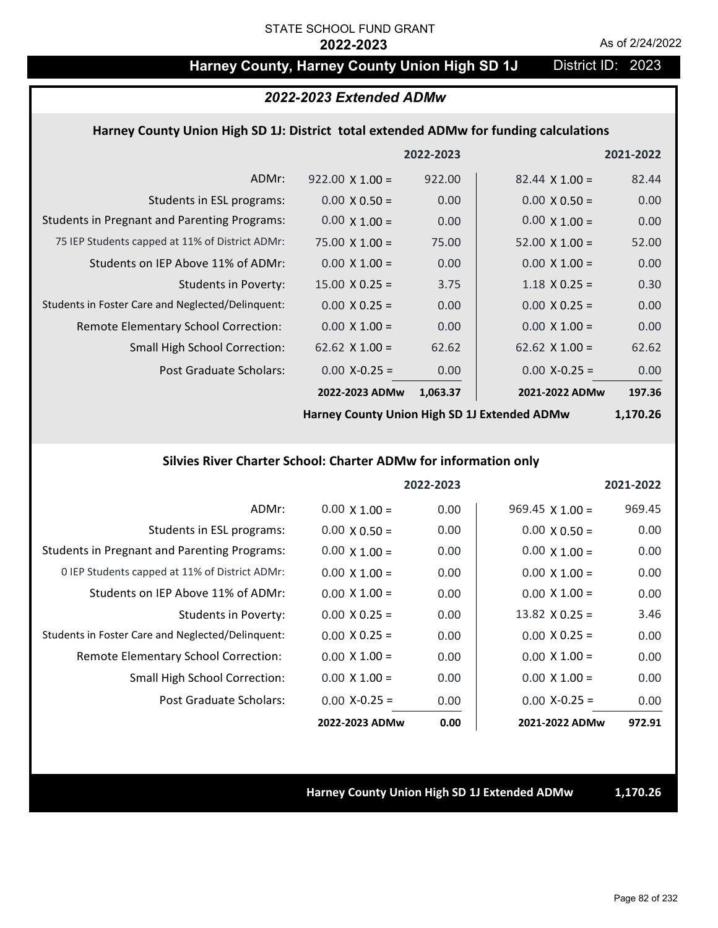**Harney County, Harney County Union High SD 1J** District ID: 2023

## *2022-2023 Extended ADMw*

### **Harney County Union High SD 1J: District total extended ADMw for funding calculations**

|                                                     |                        | 2022-2023         |                       | 2021-2022 |
|-----------------------------------------------------|------------------------|-------------------|-----------------------|-----------|
| ADMr:                                               | $922.00 \times 1.00 =$ | 922.00            | $82.44 \times 1.00 =$ | 82.44     |
| Students in ESL programs:                           | $0.00 \times 0.50 =$   | 0.00              | $0.00 \times 0.50 =$  | 0.00      |
| <b>Students in Pregnant and Parenting Programs:</b> | $0.00 \times 1.00 =$   | 0.00              | $0.00 \times 1.00 =$  | 0.00      |
| 75 IEP Students capped at 11% of District ADMr:     | $75.00 \times 1.00 =$  | 75.00             | $52.00 \times 1.00 =$ | 52.00     |
| Students on IEP Above 11% of ADMr:                  | $0.00 \times 1.00 =$   | 0.00              | $0.00 \times 1.00 =$  | 0.00      |
| <b>Students in Poverty:</b>                         | $15.00 \times 0.25 =$  | 3.75              | $1.18 \times 0.25 =$  | 0.30      |
| Students in Foster Care and Neglected/Delinquent:   | $0.00 \times 0.25 =$   | 0.00              | $0.00 X 0.25 =$       | 0.00      |
| Remote Elementary School Correction:                | $0.00 \times 1.00 =$   | 0.00              | $0.00 \times 1.00 =$  | 0.00      |
| <b>Small High School Correction:</b>                | 62.62 $\times$ 1.00 =  | 62.62             | 62.62 $\times$ 1.00 = | 62.62     |
| Post Graduate Scholars:                             | $0.00$ X-0.25 =        | 0.00 <sub>1</sub> | $0.00$ X-0.25 =       | 0.00      |
|                                                     | 2022-2023 ADMw         | 1,063.37          | 2021-2022 ADMw        | 197.36    |
|                                                     |                        |                   |                       |           |

**Harney County Union High SD 1J Extended ADMw**

**1,170.26**

### **Silvies River Charter School: Charter ADMw for information only**

|                                                     |                      | 2022-2023 |                        | 2021-2022 |
|-----------------------------------------------------|----------------------|-----------|------------------------|-----------|
| ADMr:                                               | $0.00 \times 1.00 =$ | 0.00      | $969.45 \times 1.00 =$ | 969.45    |
| Students in ESL programs:                           | $0.00 \times 0.50 =$ | 0.00      | $0.00 \times 0.50 =$   | 0.00      |
| <b>Students in Pregnant and Parenting Programs:</b> | $0.00 \times 1.00 =$ | 0.00      | $0.00 \times 1.00 =$   | 0.00      |
| 0 IEP Students capped at 11% of District ADMr:      | $0.00 \times 1.00 =$ | 0.00      | $0.00 \times 1.00 =$   | 0.00      |
| Students on IEP Above 11% of ADMr:                  | $0.00 \times 1.00 =$ | 0.00      | $0.00 \times 1.00 =$   | 0.00      |
| Students in Poverty:                                | $0.00 \times 0.25 =$ | 0.00      | $13.82 \times 0.25 =$  | 3.46      |
| Students in Foster Care and Neglected/Delinquent:   | $0.00 \times 0.25 =$ | 0.00      | $0.00 \times 0.25 =$   | 0.00      |
| Remote Elementary School Correction:                | $0.00 \times 1.00 =$ | 0.00      | $0.00 \times 1.00 =$   | 0.00      |
| <b>Small High School Correction:</b>                | $0.00 \times 1.00 =$ | 0.00      | $0.00 \times 1.00 =$   | 0.00      |
| Post Graduate Scholars:                             | $0.00$ X-0.25 =      | 0.00      | $0.00 X - 0.25 =$      | 0.00      |
|                                                     | 2022-2023 ADMw       | 0.00      | 2021-2022 ADMw         | 972.91    |

**Harney County Union High SD 1J Extended ADMw 1,170.26**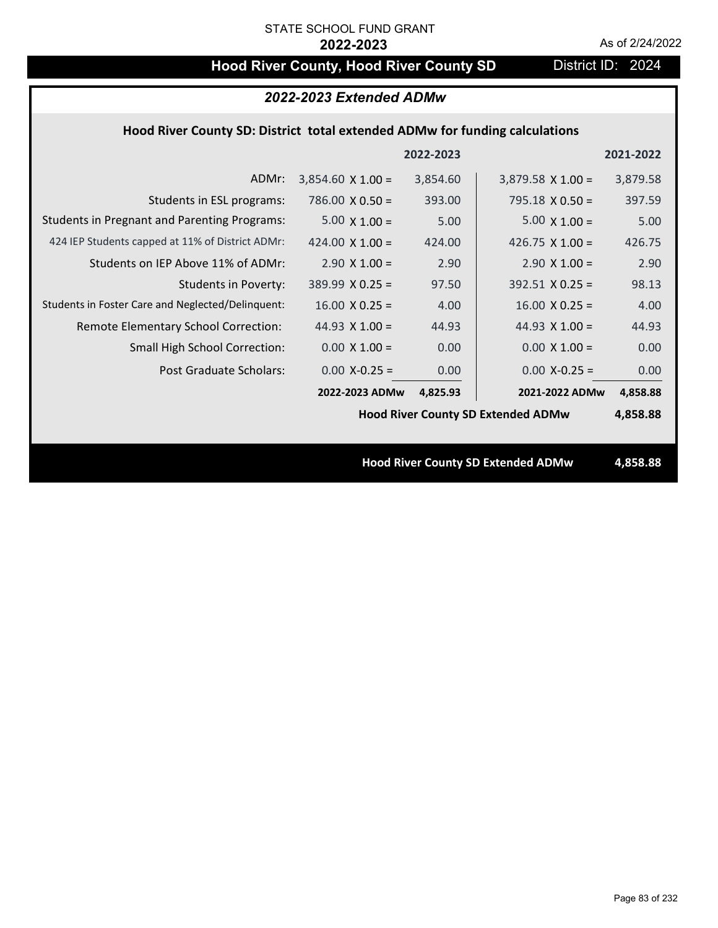# Hood River County, Hood River County SD District ID: 2024

# *2022-2023 Extended ADMw*

# **Hood River County SD: District total extended ADMw for funding calculations**

|                                                     |                          | 2022-2023 |                                           | 2021-2022 |
|-----------------------------------------------------|--------------------------|-----------|-------------------------------------------|-----------|
| ADMr:                                               | $3,854.60 \times 1.00 =$ | 3,854.60  | $3,879.58 \times 1.00 =$                  | 3,879.58  |
| Students in ESL programs:                           | 786.00 $\times$ 0.50 =   | 393.00    | $795.18 \times 0.50 =$                    | 397.59    |
| <b>Students in Pregnant and Parenting Programs:</b> | $5.00 \times 1.00 =$     | 5.00      | $5.00 \times 1.00 =$                      | 5.00      |
| 424 IEP Students capped at 11% of District ADMr:    | 424.00 $\times$ 1.00 =   | 424.00    | 426.75 $\times$ 1.00 =                    | 426.75    |
| Students on IEP Above 11% of ADMr:                  | $2.90 \times 1.00 =$     | 2.90      | $2.90$ X $1.00 =$                         | 2.90      |
| <b>Students in Poverty:</b>                         | $389.99 \times 0.25 =$   | 97.50     | $392.51$ X 0.25 =                         | 98.13     |
| Students in Foster Care and Neglected/Delinquent:   | $16.00 \times 0.25 =$    | 4.00      | $16.00 \times 0.25 =$                     | 4.00      |
| Remote Elementary School Correction:                | 44.93 $X$ 1.00 =         | 44.93     | 44.93 $\times$ 1.00 =                     | 44.93     |
| <b>Small High School Correction:</b>                | $0.00 \times 1.00 =$     | 0.00      | $0.00 \times 1.00 =$                      | 0.00      |
| Post Graduate Scholars:                             | $0.00$ X-0.25 =          | 0.00      | $0.00$ X-0.25 =                           | 0.00      |
|                                                     | 2022-2023 ADMw           | 4,825.93  | 2021-2022 ADMw                            | 4,858.88  |
| <b>Hood River County SD Extended ADMw</b>           |                          |           | 4,858.88                                  |           |
|                                                     |                          |           |                                           |           |
|                                                     |                          |           | <b>Hood River County SD Extended ADMw</b> | 4,858.88  |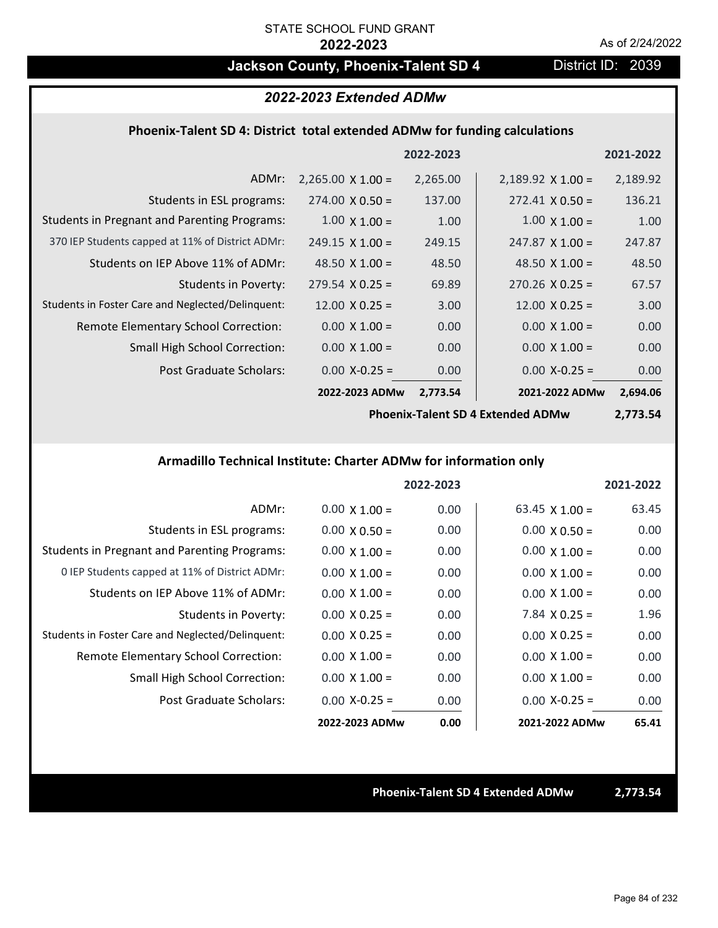# **Jackson County, Phoenix-Talent SD 4** District ID: 2039

## *2022-2023 Extended ADMw*

## **Phoenix‐Talent SD 4: District total extended ADMw for funding calculations**

|                                                     |                          | 2022-2023 |                          | 2021-2022 |
|-----------------------------------------------------|--------------------------|-----------|--------------------------|-----------|
| ADMr:                                               | $2,265.00 \times 1.00 =$ | 2,265.00  | $2,189.92 \times 1.00 =$ | 2,189.92  |
| Students in ESL programs:                           | $274.00 \times 0.50 =$   | 137.00    | $272.41 \times 0.50 =$   | 136.21    |
| <b>Students in Pregnant and Parenting Programs:</b> | $1.00 \times 1.00 =$     | 1.00      | $1.00 \times 1.00 =$     | 1.00      |
| 370 IEP Students capped at 11% of District ADMr:    | $249.15 \times 1.00 =$   | 249.15    | $247.87 \times 1.00 =$   | 247.87    |
| Students on IEP Above 11% of ADMr:                  | 48.50 $\times$ 1.00 =    | 48.50     | 48.50 $\times$ 1.00 =    | 48.50     |
| Students in Poverty:                                | $279.54 \times 0.25 =$   | 69.89     | $270.26 \times 0.25 =$   | 67.57     |
| Students in Foster Care and Neglected/Delinquent:   | $12.00 \times 0.25 =$    | 3.00      | $12.00 \times 0.25 =$    | 3.00      |
| Remote Elementary School Correction:                | $0.00 \times 1.00 =$     | 0.00      | $0.00 \times 1.00 =$     | 0.00      |
| <b>Small High School Correction:</b>                | $0.00 \times 1.00 =$     | 0.00      | $0.00 \times 1.00 =$     | 0.00      |
| Post Graduate Scholars:                             | $0.00$ X-0.25 =          | 0.00      | $0.00$ X-0.25 =          | 0.00      |
|                                                     | 2022-2023 ADMw           | 2,773.54  | 2021-2022 ADMw           | 2,694.06  |

**Phoenix‐Talent SD 4 Extended ADMw**

**2,773.54**

### **Armadillo Technical Institute: Charter ADMw for information only**

|                                                     |                      | 2022-2023 |                       | 2021-2022 |
|-----------------------------------------------------|----------------------|-----------|-----------------------|-----------|
| ADMr:                                               | $0.00 \times 1.00 =$ | 0.00      | 63.45 $\times$ 1.00 = | 63.45     |
| Students in ESL programs:                           | $0.00 \times 0.50 =$ | 0.00      | $0.00 \times 0.50 =$  | 0.00      |
| <b>Students in Pregnant and Parenting Programs:</b> | $0.00 \times 1.00 =$ | 0.00      | $0.00 \times 1.00 =$  | 0.00      |
| 0 IEP Students capped at 11% of District ADMr:      | $0.00 \times 1.00 =$ | 0.00      | $0.00 \times 1.00 =$  | 0.00      |
| Students on IEP Above 11% of ADMr:                  | $0.00 \times 1.00 =$ | 0.00      | $0.00 \times 1.00 =$  | 0.00      |
| Students in Poverty:                                | $0.00 \times 0.25 =$ | 0.00      | 7.84 $X$ 0.25 =       | 1.96      |
| Students in Foster Care and Neglected/Delinquent:   | $0.00 \times 0.25 =$ | 0.00      | $0.00 \times 0.25 =$  | 0.00      |
| <b>Remote Elementary School Correction:</b>         | $0.00 \times 1.00 =$ | 0.00      | $0.00 \times 1.00 =$  | 0.00      |
| <b>Small High School Correction:</b>                | $0.00 \times 1.00 =$ | 0.00      | $0.00 \times 1.00 =$  | 0.00      |
| Post Graduate Scholars:                             | $0.00$ X-0.25 =      | 0.00      | $0.00 X - 0.25 =$     | 0.00      |
|                                                     | 2022-2023 ADMw       | 0.00      | 2021-2022 ADMw        | 65.41     |

**Phoenix‐Talent SD 4 Extended ADMw 2,773.54**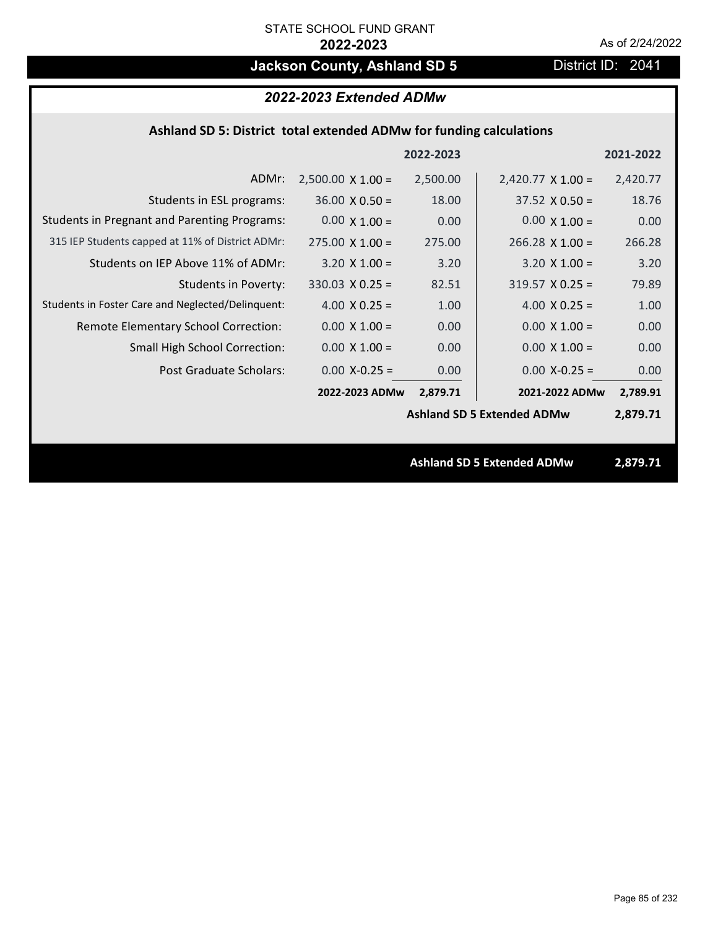# **Jackson County, Ashland SD 5** District ID: 2041

# *2022-2023 Extended ADMw*

# **Ashland SD 5: District total extended ADMw for funding calculations**

|                                                     |                          | 2022-2023 |                                   | 2021-2022 |  |
|-----------------------------------------------------|--------------------------|-----------|-----------------------------------|-----------|--|
| ADMr:                                               | $2,500.00 \times 1.00 =$ | 2,500.00  | $2,420.77 \times 1.00 =$          | 2,420.77  |  |
| Students in ESL programs:                           | $36.00 \times 0.50 =$    | 18.00     | $37.52 \times 0.50 =$             | 18.76     |  |
| <b>Students in Pregnant and Parenting Programs:</b> | $0.00 \times 1.00 =$     | 0.00      | $0.00 \times 1.00 =$              | 0.00      |  |
| 315 IEP Students capped at 11% of District ADMr:    | $275.00 \times 1.00 =$   | 275.00    | $266.28$ X 1.00 =                 | 266.28    |  |
| Students on IEP Above 11% of ADMr:                  | $3.20 \times 1.00 =$     | 3.20      | $3.20 \times 1.00 =$              | 3.20      |  |
| <b>Students in Poverty:</b>                         | $330.03 \times 0.25 =$   | 82.51     | $319.57$ X 0.25 =                 | 79.89     |  |
| Students in Foster Care and Neglected/Delinquent:   | 4.00 $X$ 0.25 =          | 1.00      | 4.00 $X$ 0.25 =                   | 1.00      |  |
| Remote Elementary School Correction:                | $0.00 \times 1.00 =$     | 0.00      | $0.00 \times 1.00 =$              | 0.00      |  |
| <b>Small High School Correction:</b>                | $0.00 \times 1.00 =$     | 0.00      | $0.00 \times 1.00 =$              | 0.00      |  |
| Post Graduate Scholars:                             | $0.00$ X-0.25 =          | 0.00      | $0.00$ X-0.25 =                   | 0.00      |  |
|                                                     | 2022-2023 ADMw           | 2,879.71  | 2021-2022 ADMw                    | 2,789.91  |  |
|                                                     |                          |           | <b>Ashland SD 5 Extended ADMw</b> | 2,879.71  |  |
|                                                     |                          |           |                                   |           |  |
|                                                     |                          |           | <b>Ashland SD 5 Extended ADMw</b> | 2,879.71  |  |
|                                                     |                          |           |                                   |           |  |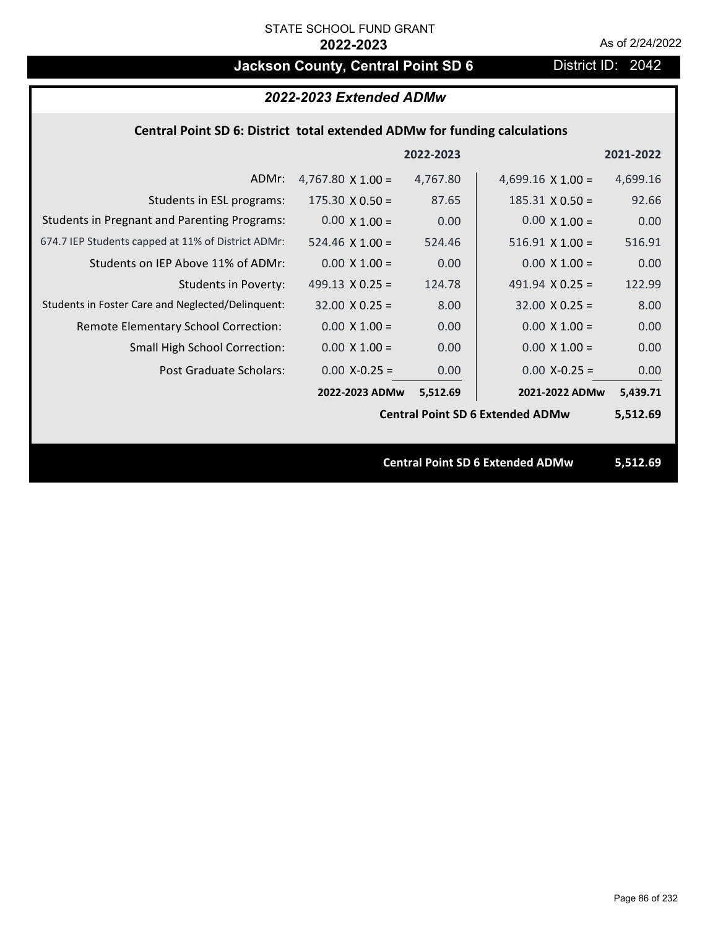# **Jackson County, Central Point SD 6** District ID: 2042

# *2022-2023 Extended ADMw*

# **Central Point SD 6: District total extended ADMw for funding calculations**

|                                                     |                          | 2022-2023 |                                         | 2021-2022 |
|-----------------------------------------------------|--------------------------|-----------|-----------------------------------------|-----------|
| ADMr:                                               | 4,767.80 $\times$ 1.00 = | 4,767.80  | 4,699.16 $\times$ 1.00 =                | 4,699.16  |
| Students in ESL programs:                           | $175.30 \times 0.50 =$   | 87.65     | $185.31 \times 0.50 =$                  | 92.66     |
| <b>Students in Pregnant and Parenting Programs:</b> | $0.00 \times 1.00 =$     | 0.00      | $0.00 \times 1.00 =$                    | 0.00      |
| 674.7 IEP Students capped at 11% of District ADMr:  | 524.46 $\times$ 1.00 =   | 524.46    | $516.91$ X $1.00 =$                     | 516.91    |
| Students on IEP Above 11% of ADMr:                  | $0.00 \times 1.00 =$     | 0.00      | $0.00 \times 1.00 =$                    | 0.00      |
| <b>Students in Poverty:</b>                         | 499.13 $X$ 0.25 =        | 124.78    | 491.94 $X$ 0.25 =                       | 122.99    |
| Students in Foster Care and Neglected/Delinquent:   | $32.00 \times 0.25 =$    | 8.00      | $32.00 \times 0.25 =$                   | 8.00      |
| Remote Elementary School Correction:                | $0.00 \times 1.00 =$     | 0.00      | $0.00 \times 1.00 =$                    | 0.00      |
| <b>Small High School Correction:</b>                | $0.00 \times 1.00 =$     | 0.00      | $0.00 \times 1.00 =$                    | 0.00      |
| Post Graduate Scholars:                             | $0.00$ X-0.25 =          | 0.00      | $0.00 X - 0.25 =$                       | 0.00      |
|                                                     | 2022-2023 ADMw           | 5,512.69  | 2021-2022 ADMw                          | 5,439.71  |
| <b>Central Point SD 6 Extended ADMw</b>             |                          |           |                                         | 5,512.69  |
|                                                     |                          |           |                                         |           |
|                                                     |                          |           | <b>Central Point SD 6 Extended ADMw</b> | 5,512.69  |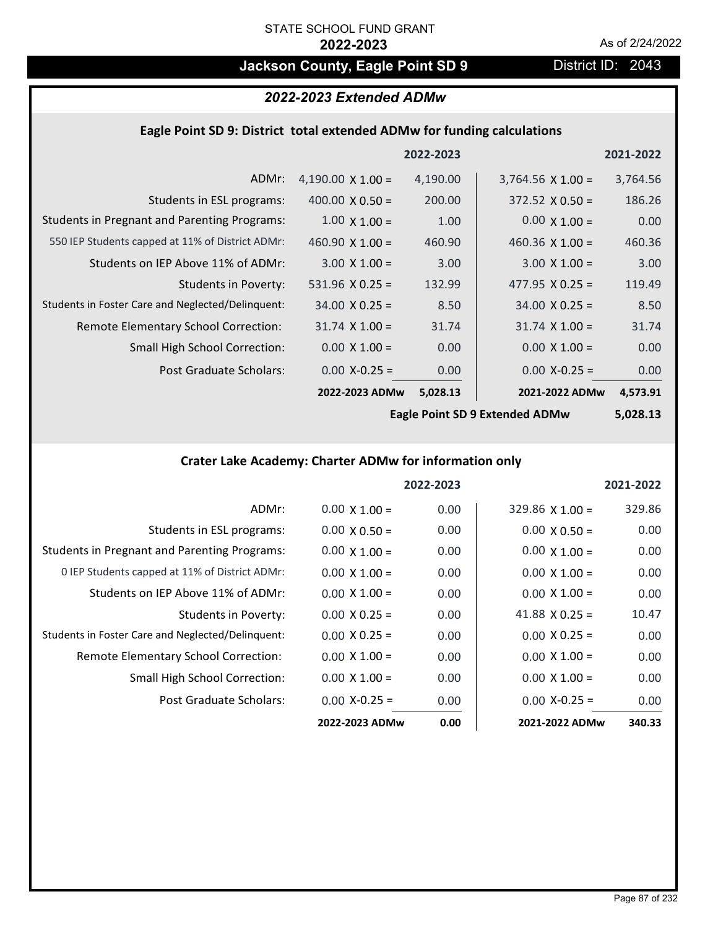# **Jackson County, Eagle Point SD 9 District ID: 2043**

# *2022-2023 Extended ADMw*

# **Eagle Point SD 9: District total extended ADMw for funding calculations**

|                                                     |                          | 2022-2023 |                          | 2021-2022 |
|-----------------------------------------------------|--------------------------|-----------|--------------------------|-----------|
| ADMr:                                               | 4,190.00 $\times$ 1.00 = | 4,190.00  | $3,764.56 \times 1.00 =$ | 3,764.56  |
| Students in ESL programs:                           | 400.00 $\chi$ 0.50 =     | 200.00    | $372.52 \times 0.50 =$   | 186.26    |
| <b>Students in Pregnant and Parenting Programs:</b> | $1.00 \times 1.00 =$     | 1.00      | $0.00 \times 1.00 =$     | 0.00      |
| 550 IEP Students capped at 11% of District ADMr:    | $460.90 \times 1.00 =$   | 460.90    | $460.36 \times 1.00 =$   | 460.36    |
| Students on IEP Above 11% of ADMr:                  | $3.00 \times 1.00 =$     | 3.00      | $3.00 \times 1.00 =$     | 3.00      |
| Students in Poverty:                                | $531.96 \times 0.25 =$   | 132.99    | 477.95 $X$ 0.25 =        | 119.49    |
| Students in Foster Care and Neglected/Delinquent:   | $34.00 \times 0.25 =$    | 8.50      | $34.00 \times 0.25 =$    | 8.50      |
| Remote Elementary School Correction:                | $31.74 \times 1.00 =$    | 31.74     | $31.74 \times 1.00 =$    | 31.74     |
| <b>Small High School Correction:</b>                | $0.00 \times 1.00 =$     | 0.00      | $0.00 \times 1.00 =$     | 0.00      |
| Post Graduate Scholars:                             | $0.00 X - 0.25 =$        | 0.00      | $0.00$ X-0.25 =          | 0.00      |
|                                                     | 2022-2023 ADMw           | 5,028.13  | 2021-2022 ADMw           | 4,573.91  |

**Eagle Point SD 9 Extended ADMw**

**5,028.13**

# **Crater Lake Academy: Charter ADMw for information only**

|                                                     |                      | 2022-2023 |                        | 2021-2022 |
|-----------------------------------------------------|----------------------|-----------|------------------------|-----------|
| ADMr:                                               | $0.00 \times 1.00 =$ | 0.00      | $329.86 \times 1.00 =$ | 329.86    |
| Students in ESL programs:                           | $0.00 \times 0.50 =$ | 0.00      | $0.00 \times 0.50 =$   | 0.00      |
| <b>Students in Pregnant and Parenting Programs:</b> | $0.00 \times 1.00 =$ | 0.00      | $0.00 \times 1.00 =$   | 0.00      |
| 0 IEP Students capped at 11% of District ADMr:      | $0.00 \times 1.00 =$ | 0.00      | $0.00 \times 1.00 =$   | 0.00      |
| Students on IEP Above 11% of ADMr:                  | $0.00 \times 1.00 =$ | 0.00      | $0.00 \times 1.00 =$   | 0.00      |
| Students in Poverty:                                | $0.00 \times 0.25 =$ | 0.00      | 41.88 $\times$ 0.25 =  | 10.47     |
| Students in Foster Care and Neglected/Delinquent:   | $0.00 \times 0.25 =$ | 0.00      | $0.00 \times 0.25 =$   | 0.00      |
| Remote Elementary School Correction:                | $0.00 \times 1.00 =$ | 0.00      | $0.00 \times 1.00 =$   | 0.00      |
| Small High School Correction:                       | $0.00 \times 1.00 =$ | 0.00      | $0.00 \times 1.00 =$   | 0.00      |
| Post Graduate Scholars:                             | $0.00$ X-0.25 =      | 0.00      | $0.00 X-0.25 =$        | 0.00      |
|                                                     | 2022-2023 ADMw       | 0.00      | 2021-2022 ADMw         | 340.33    |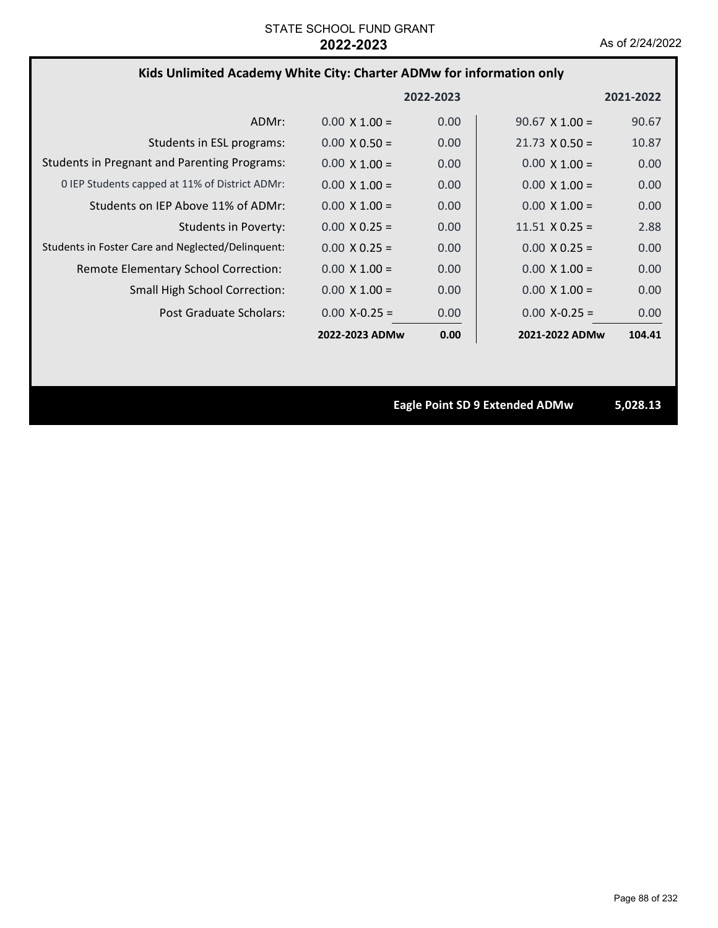# **Kids Unlimited Academy White City: Charter ADMw for information only**

|                                                     |                      | 2022-2023 |                       | 2021-2022 |
|-----------------------------------------------------|----------------------|-----------|-----------------------|-----------|
| ADMr:                                               | $0.00 \times 1.00 =$ | 0.00      | $90.67 \times 1.00 =$ | 90.67     |
| Students in ESL programs:                           | $0.00 \times 0.50 =$ | 0.00      | $21.73 \times 0.50 =$ | 10.87     |
| <b>Students in Pregnant and Parenting Programs:</b> | $0.00 \times 1.00 =$ | 0.00      | $0.00 \times 1.00 =$  | 0.00      |
| 0 IEP Students capped at 11% of District ADMr:      | $0.00 \times 1.00 =$ | 0.00      | $0.00 \times 1.00 =$  | 0.00      |
| Students on IEP Above 11% of ADMr:                  | $0.00 \times 1.00 =$ | 0.00      | $0.00 \times 1.00 =$  | 0.00      |
| Students in Poverty:                                | $0.00 \times 0.25 =$ | 0.00      | $11.51 \times 0.25 =$ | 2.88      |
| Students in Foster Care and Neglected/Delinquent:   | $0.00 \times 0.25 =$ | 0.00      | $0.00 \times 0.25 =$  | 0.00      |
| Remote Elementary School Correction:                | $0.00 \times 1.00 =$ | 0.00      | $0.00 \times 1.00 =$  | 0.00      |
| <b>Small High School Correction:</b>                | $0.00 \times 1.00 =$ | 0.00      | $0.00 \times 1.00 =$  | 0.00      |
| Post Graduate Scholars:                             | $0.00 X - 0.25 =$    | 0.00      | $0.00 X - 0.25 =$     | 0.00      |
|                                                     | 2022-2023 ADMw       | 0.00      | 2021-2022 ADMw        | 104.41    |

**Eagle Point SD 9 Extended ADMw 5,028.13**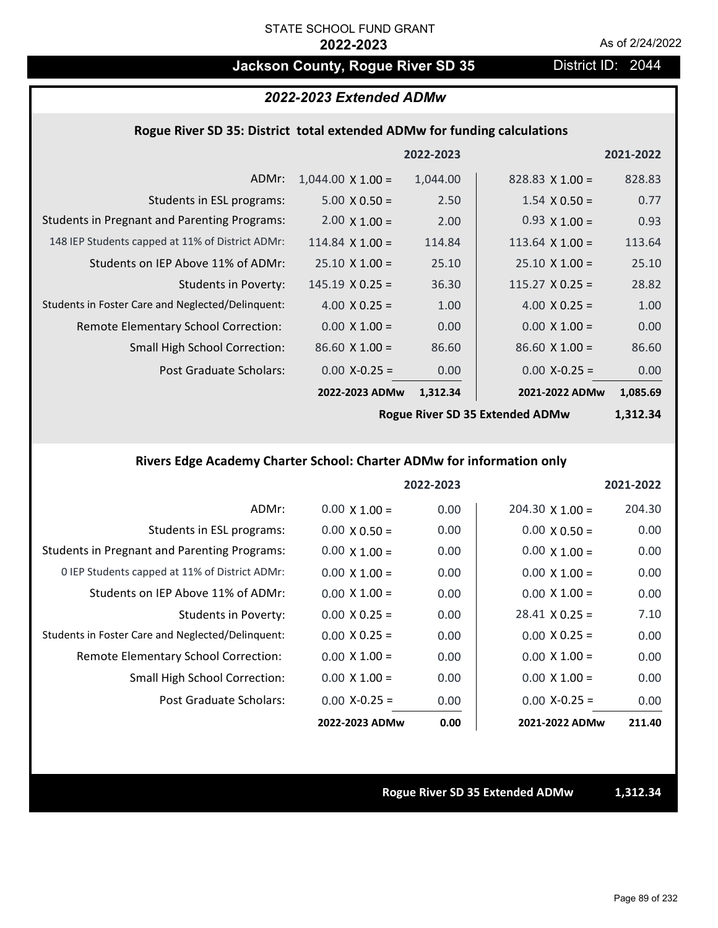# Jackson County, Rogue River SD 35 District ID: 2044

# *2022-2023 Extended ADMw*

## **Rogue River SD 35: District total extended ADMw for funding calculations**

|                                                     |                          | 2022-2023 |                        | 2021-2022 |
|-----------------------------------------------------|--------------------------|-----------|------------------------|-----------|
| ADMr:                                               | $1,044.00 \times 1.00 =$ | 1,044.00  | 828.83 $X$ 1.00 =      | 828.83    |
| Students in ESL programs:                           | $5.00 \times 0.50 =$     | 2.50      | $1.54 \times 0.50 =$   | 0.77      |
| <b>Students in Pregnant and Parenting Programs:</b> | 2.00 $\times$ 1.00 =     | 2.00      | $0.93 \times 1.00 =$   | 0.93      |
| 148 IEP Students capped at 11% of District ADMr:    | 114.84 $\times$ 1.00 =   | 114.84    | 113.64 $\times$ 1.00 = | 113.64    |
| Students on IEP Above 11% of ADMr:                  | $25.10 \times 1.00 =$    | 25.10     | $25.10 \times 1.00 =$  | 25.10     |
| <b>Students in Poverty:</b>                         | $145.19 \times 0.25 =$   | 36.30     | $115.27$ X 0.25 =      | 28.82     |
| Students in Foster Care and Neglected/Delinquent:   | 4.00 $X$ 0.25 =          | 1.00      | 4.00 $X$ 0.25 =        | 1.00      |
| Remote Elementary School Correction:                | $0.00 \times 1.00 =$     | 0.00      | $0.00 \times 1.00 =$   | 0.00      |
| <b>Small High School Correction:</b>                | $86.60 \times 1.00 =$    | 86.60     | $86.60 \times 1.00 =$  | 86.60     |
| Post Graduate Scholars:                             | $0.00 X - 0.25 =$        | 0.00      | $0.00$ X-0.25 =        | 0.00      |
|                                                     | 2022-2023 ADMw           | 1,312.34  | 2021-2022 ADMw         | 1,085.69  |
|                                                     |                          |           |                        |           |

**Rogue River SD 35 Extended ADMw**

**1,312.34**

## **Rivers Edge Academy Charter School: Charter ADMw for information only**

|                                                     |                      | 2022-2023 |                        | 2021-2022 |
|-----------------------------------------------------|----------------------|-----------|------------------------|-----------|
| ADMr:                                               | $0.00 \times 1.00 =$ | 0.00      | $204.30 \times 1.00 =$ | 204.30    |
| Students in ESL programs:                           | $0.00 \times 0.50 =$ | 0.00      | $0.00 \times 0.50 =$   | 0.00      |
| <b>Students in Pregnant and Parenting Programs:</b> | $0.00 \times 1.00 =$ | 0.00      | $0.00 \times 1.00 =$   | 0.00      |
| 0 IEP Students capped at 11% of District ADMr:      | $0.00 \times 1.00 =$ | 0.00      | $0.00 \times 1.00 =$   | 0.00      |
| Students on IEP Above 11% of ADMr:                  | $0.00 \times 1.00 =$ | 0.00      | $0.00 \times 1.00 =$   | 0.00      |
| Students in Poverty:                                | $0.00 \times 0.25 =$ | 0.00      | $28.41 \times 0.25 =$  | 7.10      |
| Students in Foster Care and Neglected/Delinquent:   | $0.00 \times 0.25 =$ | 0.00      | $0.00 \times 0.25 =$   | 0.00      |
| <b>Remote Elementary School Correction:</b>         | $0.00 \times 1.00 =$ | 0.00      | $0.00 \times 1.00 =$   | 0.00      |
| <b>Small High School Correction:</b>                | $0.00 \times 1.00 =$ | 0.00      | $0.00 \times 1.00 =$   | 0.00      |
| Post Graduate Scholars:                             | $0.00$ X-0.25 =      | 0.00      | $0.00 X - 0.25 =$      | 0.00      |
|                                                     | 2022-2023 ADMw       | 0.00      | 2021-2022 ADMw         | 211.40    |

**Rogue River SD 35 Extended ADMw 1,312.34**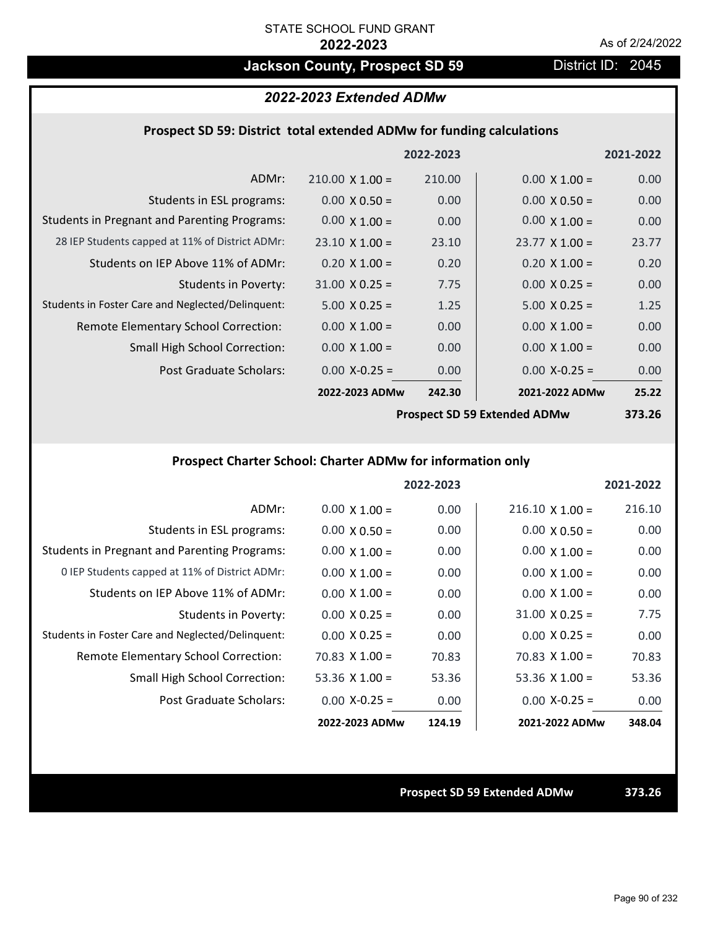# **Jackson County, Prospect SD 59** District ID: 2045

## *2022-2023 Extended ADMw*

### **Prospect SD 59: District total extended ADMw for funding calculations**

|                                                     |                        | 2022-2023 |                       | 2021-2022 |
|-----------------------------------------------------|------------------------|-----------|-----------------------|-----------|
| ADMr:                                               | $210.00 \times 1.00 =$ | 210.00    | $0.00 \times 1.00 =$  | 0.00      |
| Students in ESL programs:                           | $0.00 \times 0.50 =$   | 0.00      | $0.00 \times 0.50 =$  | 0.00      |
| <b>Students in Pregnant and Parenting Programs:</b> | $0.00 \times 1.00 =$   | 0.00      | $0.00 \times 1.00 =$  | 0.00      |
| 28 IEP Students capped at 11% of District ADMr:     | $23.10 \times 1.00 =$  | 23.10     | $23.77 \times 1.00 =$ | 23.77     |
| Students on IEP Above 11% of ADMr:                  | $0.20 \times 1.00 =$   | 0.20      | $0.20 \times 1.00 =$  | 0.20      |
| <b>Students in Poverty:</b>                         | $31.00 \times 0.25 =$  | 7.75      | $0.00 \times 0.25 =$  | 0.00      |
| Students in Foster Care and Neglected/Delinquent:   | $5.00 \times 0.25 =$   | 1.25      | $5.00 \times 0.25 =$  | 1.25      |
| Remote Elementary School Correction:                | $0.00 \times 1.00 =$   | 0.00      | $0.00 \times 1.00 =$  | 0.00      |
| <b>Small High School Correction:</b>                | $0.00 \times 1.00 =$   | 0.00      | $0.00 \times 1.00 =$  | 0.00      |
| Post Graduate Scholars:                             | $0.00$ X-0.25 =        | 0.00      | $0.00 X - 0.25 =$     | 0.00      |
|                                                     | 2022-2023 ADMw         | 242.30    | 2021-2022 ADMw        | 25.22     |
|                                                     |                        |           |                       |           |

**Prospect SD 59 Extended ADMw**

**373.26**

# **Prospect Charter School: Charter ADMw for information only**

|                                                     |                       | 2022-2023 |                        | 2021-2022 |
|-----------------------------------------------------|-----------------------|-----------|------------------------|-----------|
| ADMr:                                               | $0.00 \times 1.00 =$  | 0.00      | $216.10 \times 1.00 =$ | 216.10    |
| Students in ESL programs:                           | $0.00 \times 0.50 =$  | 0.00      | $0.00 \times 0.50 =$   | 0.00      |
| <b>Students in Pregnant and Parenting Programs:</b> | $0.00 \times 1.00 =$  | 0.00      | $0.00 \times 1.00 =$   | 0.00      |
| 0 IEP Students capped at 11% of District ADMr:      | $0.00 \times 1.00 =$  | 0.00      | $0.00 \times 1.00 =$   | 0.00      |
| Students on IEP Above 11% of ADMr:                  | $0.00 \times 1.00 =$  | 0.00      | $0.00 \times 1.00 =$   | 0.00      |
| Students in Poverty:                                | $0.00 \times 0.25 =$  | 0.00      | $31.00 \times 0.25 =$  | 7.75      |
| Students in Foster Care and Neglected/Delinquent:   | $0.00 \times 0.25 =$  | 0.00      | $0.00 \times 0.25 =$   | 0.00      |
| Remote Elementary School Correction:                | $70.83 \times 1.00 =$ | 70.83     | $70.83 \times 1.00 =$  | 70.83     |
| <b>Small High School Correction:</b>                | 53.36 $\times$ 1.00 = | 53.36     | 53.36 $\times$ 1.00 =  | 53.36     |
| Post Graduate Scholars:                             | $0.00$ X-0.25 =       | 0.00      | $0.00$ X-0.25 =        | 0.00      |
|                                                     | 2022-2023 ADMw        | 124.19    | 2021-2022 ADMw         | 348.04    |

**Prospect SD 59 Extended ADMw 373.26**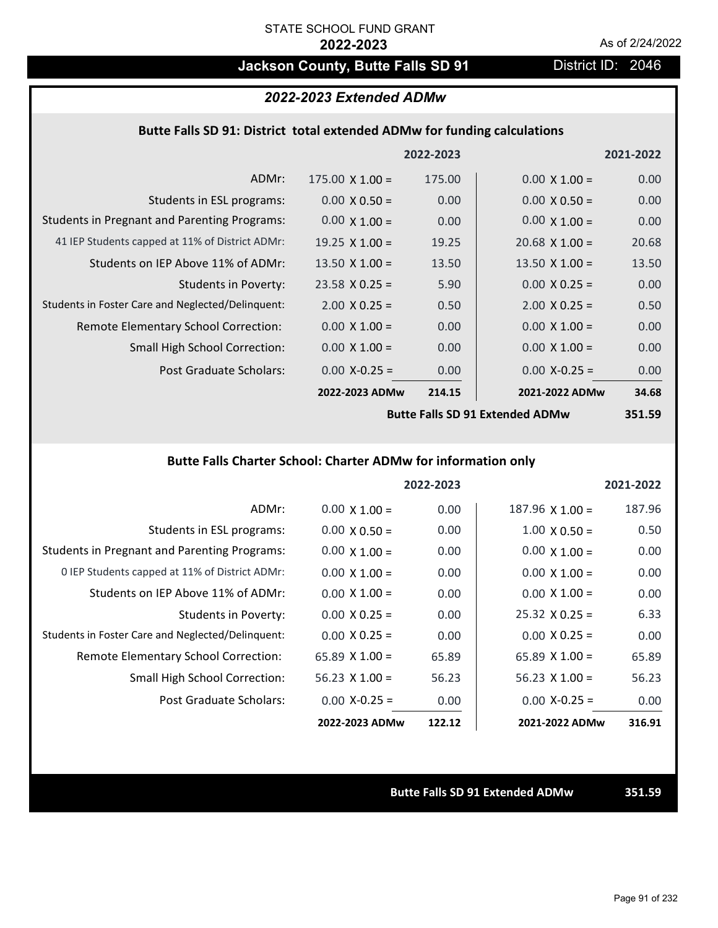# **Jackson County, Butte Falls SD 91** District ID: 2046

## *2022-2023 Extended ADMw*

### **Butte Falls SD 91: District total extended ADMw for funding calculations**

|                                                     |                        | 2022-2023 |                       | 2021-2022 |
|-----------------------------------------------------|------------------------|-----------|-----------------------|-----------|
| ADMr:                                               | $175.00 \times 1.00 =$ | 175.00    | $0.00 \times 1.00 =$  | 0.00      |
| Students in ESL programs:                           | $0.00 \times 0.50 =$   | 0.00      | $0.00 \times 0.50 =$  | 0.00      |
| <b>Students in Pregnant and Parenting Programs:</b> | $0.00 \times 1.00 =$   | 0.00      | $0.00 \times 1.00 =$  | 0.00      |
| 41 IEP Students capped at 11% of District ADMr:     | 19.25 $\times$ 1.00 =  | 19.25     | $20.68 \times 1.00 =$ | 20.68     |
| Students on IEP Above 11% of ADMr:                  | 13.50 $X$ 1.00 =       | 13.50     | 13.50 $X$ 1.00 =      | 13.50     |
| <b>Students in Poverty:</b>                         | $23.58 \times 0.25 =$  | 5.90      | $0.00 \times 0.25 =$  | 0.00      |
| Students in Foster Care and Neglected/Delinquent:   | $2.00 \times 0.25 =$   | 0.50      | $2.00 \times 0.25 =$  | 0.50      |
| Remote Elementary School Correction:                | $0.00 \times 1.00 =$   | 0.00      | $0.00 \times 1.00 =$  | 0.00      |
| <b>Small High School Correction:</b>                | $0.00 \times 1.00 =$   | 0.00      | $0.00 \times 1.00 =$  | 0.00      |
| Post Graduate Scholars:                             | $0.00$ X-0.25 =        | 0.00      | $0.00$ X-0.25 =       | 0.00      |
|                                                     | 2022-2023 ADMw         | 214.15    | 2021-2022 ADMw        | 34.68     |
|                                                     |                        |           |                       |           |

**Butte Falls SD 91 Extended ADMw**

# **351.59**

## **Butte Falls Charter School: Charter ADMw for information only**

|                                                     |                       | 2022-2023 |                        | 2021-2022 |
|-----------------------------------------------------|-----------------------|-----------|------------------------|-----------|
| ADMr:                                               | $0.00 \times 1.00 =$  | 0.00      | $187.96 \times 1.00 =$ | 187.96    |
| Students in ESL programs:                           | $0.00 \times 0.50 =$  | 0.00      | $1.00 \times 0.50 =$   | 0.50      |
| <b>Students in Pregnant and Parenting Programs:</b> | $0.00 \times 1.00 =$  | 0.00      | $0.00 \times 1.00 =$   | 0.00      |
| 0 IEP Students capped at 11% of District ADMr:      | $0.00 \times 1.00 =$  | 0.00      | $0.00 \times 1.00 =$   | 0.00      |
| Students on IEP Above 11% of ADMr:                  | $0.00 \times 1.00 =$  | 0.00      | $0.00 \times 1.00 =$   | 0.00      |
| Students in Poverty:                                | $0.00 \times 0.25 =$  | 0.00      | $25.32 \times 0.25 =$  | 6.33      |
| Students in Foster Care and Neglected/Delinquent:   | $0.00 \times 0.25 =$  | 0.00      | $0.00 \times 0.25 =$   | 0.00      |
| Remote Elementary School Correction:                | 65.89 $X$ 1.00 =      | 65.89     | $65.89 \times 1.00 =$  | 65.89     |
| <b>Small High School Correction:</b>                | $56.23 \times 1.00 =$ | 56.23     | $56.23$ X 1.00 =       | 56.23     |
| Post Graduate Scholars:                             | $0.00 X-0.25 =$       | 0.00      | $0.00 X-0.25 =$        | 0.00      |
|                                                     | 2022-2023 ADMw        | 122.12    | 2021-2022 ADMw         | 316.91    |

### **Butte Falls SD 91 Extended ADMw 351.59**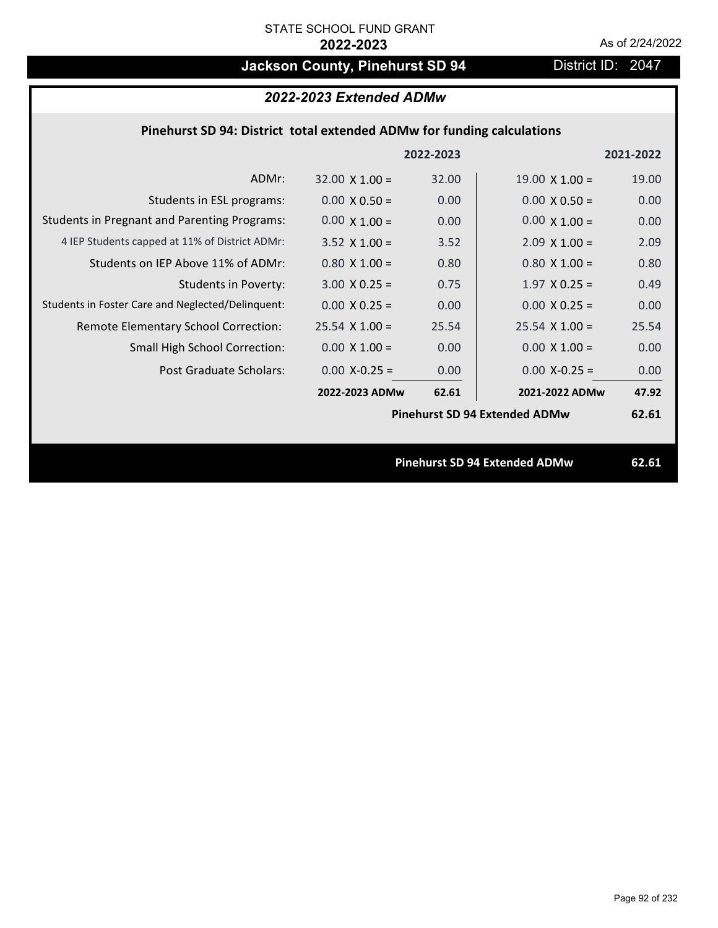# **Jackson County, Pinehurst SD 94** District ID: 2047

# *2022-2023 Extended ADMw*

# **Pinehurst SD 94: District total extended ADMw for funding calculations**

|                                                     |                       | 2022-2023 |                                      | 2021-2022 |
|-----------------------------------------------------|-----------------------|-----------|--------------------------------------|-----------|
| ADMr:                                               | $32.00 \times 1.00 =$ | 32.00     | $19.00 \times 1.00 =$                | 19.00     |
| Students in ESL programs:                           | $0.00 \times 0.50 =$  | 0.00      | $0.00 \times 0.50 =$                 | 0.00      |
| <b>Students in Pregnant and Parenting Programs:</b> | $0.00 \times 1.00 =$  | 0.00      | $0.00 \times 1.00 =$                 | 0.00      |
| 4 IEP Students capped at 11% of District ADMr:      | $3.52 \times 1.00 =$  | 3.52      | $2.09 \times 1.00 =$                 | 2.09      |
| Students on IEP Above 11% of ADMr:                  | $0.80$ X $1.00 =$     | 0.80      | $0.80$ X $1.00 =$                    | 0.80      |
| Students in Poverty:                                | $3.00 \times 0.25 =$  | 0.75      | $1.97$ X 0.25 =                      | 0.49      |
| Students in Foster Care and Neglected/Delinquent:   | $0.00 \times 0.25 =$  | 0.00      | $0.00 X 0.25 =$                      | 0.00      |
| Remote Elementary School Correction:                | $25.54 \times 1.00 =$ | 25.54     | $25.54 \times 1.00 =$                | 25.54     |
| <b>Small High School Correction:</b>                | $0.00 \times 1.00 =$  | 0.00      | $0.00 \times 1.00 =$                 | 0.00      |
| Post Graduate Scholars:                             | $0.00$ X-0.25 =       | 0.00      | $0.00$ X-0.25 =                      | 0.00      |
|                                                     | 2022-2023 ADMw        | 62.61     | 2021-2022 ADMw                       | 47.92     |
|                                                     |                       |           | <b>Pinehurst SD 94 Extended ADMw</b> | 62.61     |
|                                                     |                       |           |                                      |           |
|                                                     |                       |           | <b>Pinehurst SD 94 Extended ADMw</b> | 62.61     |
|                                                     |                       |           |                                      |           |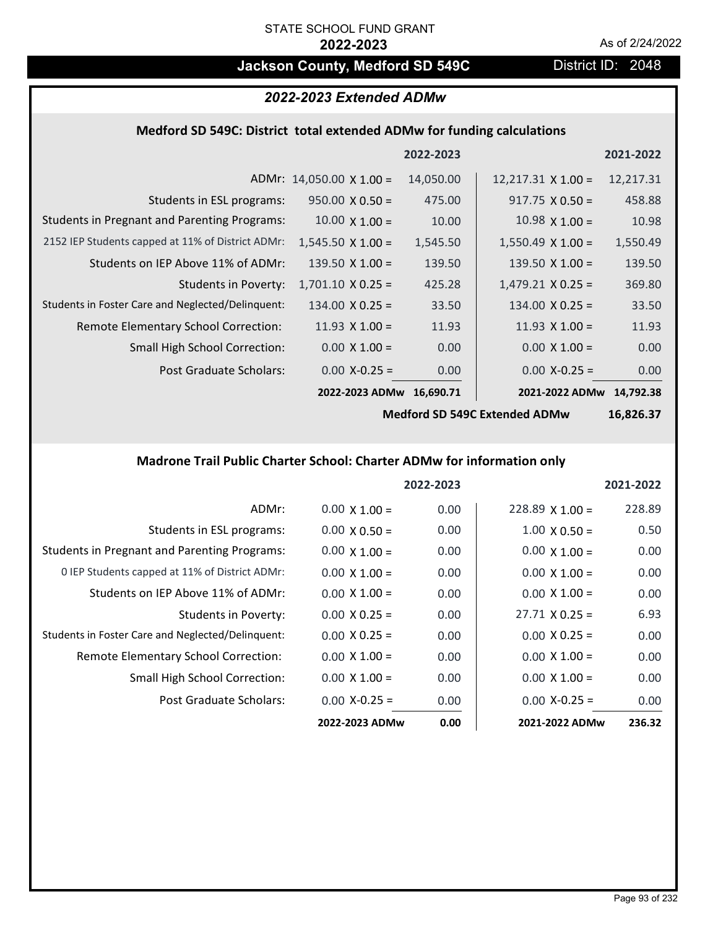# **Jackson County, Medford SD 549C** District ID: 2048

# *2022-2023 Extended ADMw*

## **Medford SD 549C: District total extended ADMw for funding calculations**

|                                                     |                                 | 2022-2023 |                           | 2021-2022 |
|-----------------------------------------------------|---------------------------------|-----------|---------------------------|-----------|
|                                                     | ADMr: $14,050.00 \times 1.00 =$ | 14,050.00 | $12,217.31 \times 1.00 =$ | 12,217.31 |
| Students in ESL programs:                           | $950.00 \times 0.50 =$          | 475.00    | $917.75 \times 0.50 =$    | 458.88    |
| <b>Students in Pregnant and Parenting Programs:</b> | $10.00 \times 1.00 =$           | 10.00     | $10.98 \times 1.00 =$     | 10.98     |
| 2152 IEP Students capped at 11% of District ADMr:   | $1,545.50 \times 1.00 =$        | 1,545.50  | $1,550.49 \times 1.00 =$  | 1,550.49  |
| Students on IEP Above 11% of ADMr:                  | $139.50 \times 1.00 =$          | 139.50    | $139.50 \times 1.00 =$    | 139.50    |
| <b>Students in Poverty:</b>                         | $1,701.10 \times 0.25 =$        | 425.28    | $1,479.21 \times 0.25 =$  | 369.80    |
| Students in Foster Care and Neglected/Delinquent:   | $134.00 \times 0.25 =$          | 33.50     | $134.00 \times 0.25 =$    | 33.50     |
| Remote Elementary School Correction:                | 11.93 $\times$ 1.00 =           | 11.93     | 11.93 $\times$ 1.00 =     | 11.93     |
| <b>Small High School Correction:</b>                | $0.00 \times 1.00 =$            | 0.00      | $0.00 \times 1.00 =$      | 0.00      |
| Post Graduate Scholars:                             | $0.00$ X-0.25 =                 | 0.00      | $0.00$ X-0.25 =           | 0.00      |
|                                                     | 2022-2023 ADMw                  | 16,690.71 | 2021-2022 ADMw            | 14.792.38 |

**Medford SD 549C Extended ADMw**

**16,826.37**

# **Madrone Trail Public Charter School: Charter ADMw for information only**

|                                                     |                      | 2022-2023 |                        | 2021-2022 |
|-----------------------------------------------------|----------------------|-----------|------------------------|-----------|
| ADMr:                                               | $0.00 \times 1.00 =$ | 0.00      | $228.89 \times 1.00 =$ | 228.89    |
| Students in ESL programs:                           | $0.00 \times 0.50 =$ | 0.00      | $1.00 \times 0.50 =$   | 0.50      |
| <b>Students in Pregnant and Parenting Programs:</b> | $0.00 \times 1.00 =$ | 0.00      | $0.00 \times 1.00 =$   | 0.00      |
| 0 IEP Students capped at 11% of District ADMr:      | $0.00 \times 1.00 =$ | 0.00      | $0.00 \times 1.00 =$   | 0.00      |
| Students on IEP Above 11% of ADMr:                  | $0.00 \times 1.00 =$ | 0.00      | $0.00 \times 1.00 =$   | 0.00      |
| Students in Poverty:                                | $0.00 \times 0.25 =$ | 0.00      | $27.71 \times 0.25 =$  | 6.93      |
| Students in Foster Care and Neglected/Delinquent:   | $0.00 \times 0.25 =$ | 0.00      | $0.00 \times 0.25 =$   | 0.00      |
| Remote Elementary School Correction:                | $0.00 \times 1.00 =$ | 0.00      | $0.00 \times 1.00 =$   | 0.00      |
| Small High School Correction:                       | $0.00 \times 1.00 =$ | 0.00      | $0.00 \times 1.00 =$   | 0.00      |
| Post Graduate Scholars:                             | $0.00$ X-0.25 =      | 0.00      | $0.00 X-0.25 =$        | 0.00      |
|                                                     | 2022-2023 ADMw       | 0.00      | 2021-2022 ADMw         | 236.32    |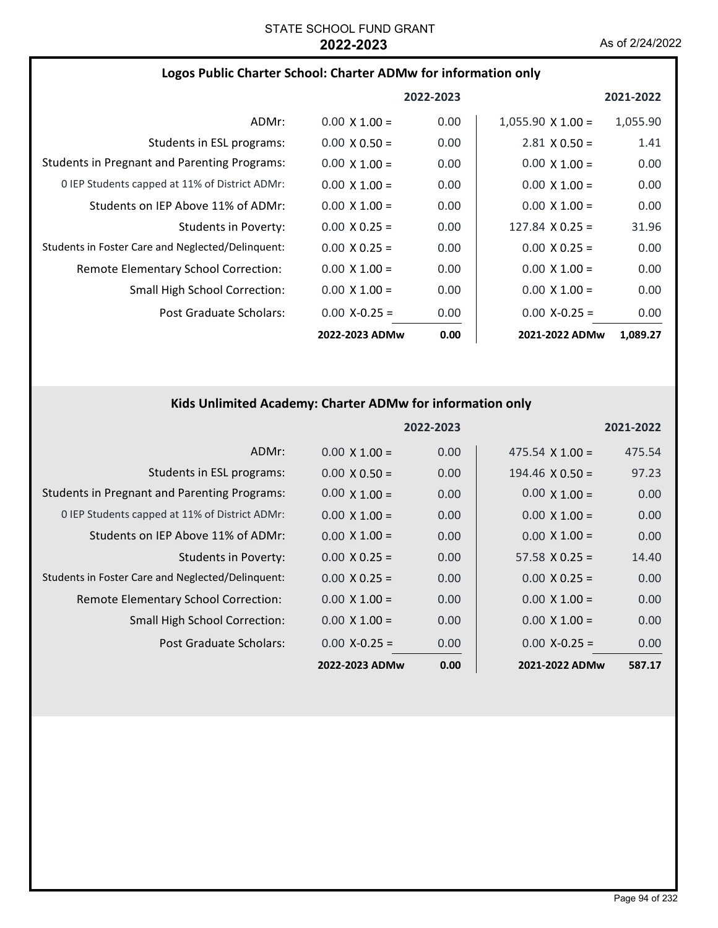# **Logos Public Charter School: Charter ADMw for information only**

|                                                     |                      | 2022-2023 |                          | 2021-2022         |
|-----------------------------------------------------|----------------------|-----------|--------------------------|-------------------|
| ADMr:                                               | $0.00 \times 1.00 =$ | 0.00      | $1,055.90 \times 1.00 =$ | 1,055.90          |
| Students in ESL programs:                           | $0.00 \times 0.50 =$ | 0.00      | $2.81 \times 0.50 =$     | 1.41              |
| <b>Students in Pregnant and Parenting Programs:</b> | $0.00 \times 1.00 =$ | 0.00      | $0.00 \times 1.00 =$     | 0.00              |
| 0 IEP Students capped at 11% of District ADMr:      | $0.00 \times 1.00 =$ | 0.00      | $0.00 \times 1.00 =$     | 0.00              |
| Students on IEP Above 11% of ADMr:                  | $0.00 \times 1.00 =$ | 0.00      | $0.00 \times 1.00 =$     | 0.00 <sub>1</sub> |
| Students in Poverty:                                | $0.00 \times 0.25 =$ | 0.00      | $127.84 \times 0.25 =$   | 31.96             |
| Students in Foster Care and Neglected/Delinquent:   | $0.00 \times 0.25 =$ | 0.00      | $0.00 \times 0.25 =$     | 0.00              |
| <b>Remote Elementary School Correction:</b>         | $0.00 \times 1.00 =$ | 0.00      | $0.00 \times 1.00 =$     | 0.00              |
| <b>Small High School Correction:</b>                | $0.00 \times 1.00 =$ | 0.00      | $0.00 \times 1.00 =$     | 0.00              |
| Post Graduate Scholars:                             | $0.00 X - 0.25 =$    | 0.00      | $0.00 X - 0.25 =$        | 0.00              |
|                                                     | 2022-2023 ADMw       | 0.00      | 2021-2022 ADMw           | 1,089.27          |

# **Kids Unlimited Academy: Charter ADMw for information only**

|                                                     |                      | 2022-2023 |                        | 2021-2022 |
|-----------------------------------------------------|----------------------|-----------|------------------------|-----------|
| ADMr:                                               | $0.00 \times 1.00 =$ | 0.00      | $475.54 \times 1.00 =$ | 475.54    |
| Students in ESL programs:                           | $0.00 \times 0.50 =$ | 0.00      | $194.46 \times 0.50 =$ | 97.23     |
| <b>Students in Pregnant and Parenting Programs:</b> | $0.00 \times 1.00 =$ | 0.00      | $0.00 \times 1.00 =$   | 0.00      |
| 0 IEP Students capped at 11% of District ADMr:      | $0.00 \times 1.00 =$ | 0.00      | $0.00 \times 1.00 =$   | 0.00      |
| Students on IEP Above 11% of ADMr:                  | $0.00 \times 1.00 =$ | 0.00      | $0.00 \times 1.00 =$   | 0.00      |
| Students in Poverty:                                | $0.00 \times 0.25 =$ | 0.00      | $57.58 \times 0.25 =$  | 14.40     |
| Students in Foster Care and Neglected/Delinquent:   | $0.00 \times 0.25 =$ | 0.00      | $0.00 \times 0.25 =$   | 0.00      |
| Remote Elementary School Correction:                | $0.00 \times 1.00 =$ | 0.00      | $0.00 \times 1.00 =$   | 0.00      |
| <b>Small High School Correction:</b>                | $0.00 \times 1.00 =$ | 0.00      | $0.00 \times 1.00 =$   | 0.00      |
| Post Graduate Scholars:                             | $0.00 X-0.25 =$      | 0.00      | $0.00 X - 0.25 =$      | 0.00      |
|                                                     | 2022-2023 ADMw       | 0.00      | 2021-2022 ADMw         | 587.17    |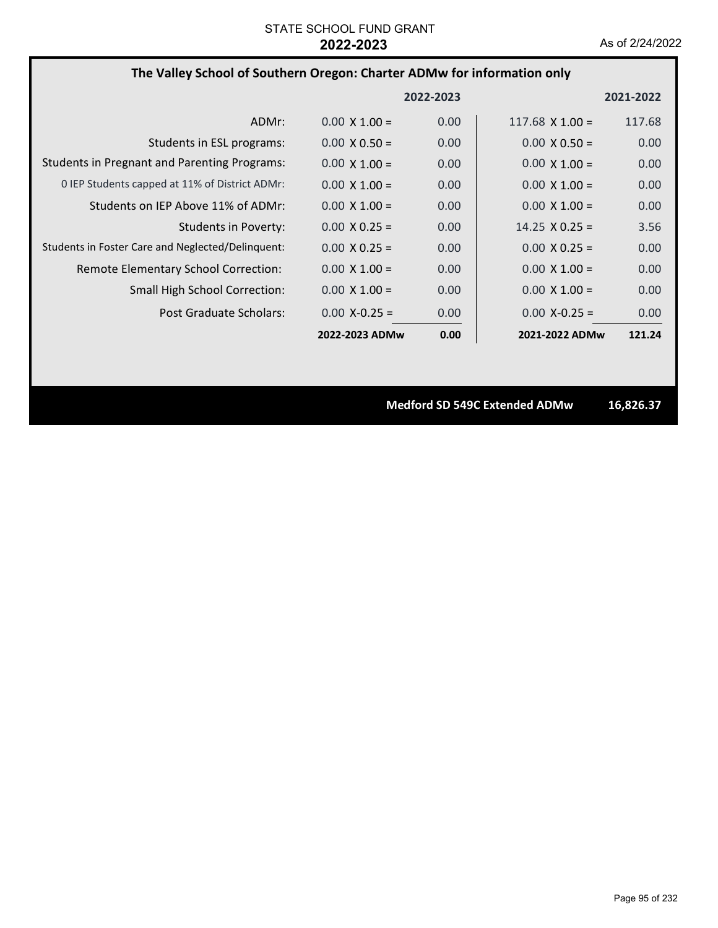# **The Valley School of Southern Oregon: Charter ADMw for information only**

|                                                     |                      | 2022-2023 |                       | 2021-2022 |
|-----------------------------------------------------|----------------------|-----------|-----------------------|-----------|
| ADMr:                                               | $0.00 \times 1.00 =$ | 0.00      | $117.68$ X 1.00 =     | 117.68    |
| Students in ESL programs:                           | $0.00 \times 0.50 =$ | 0.00      | $0.00 \times 0.50 =$  | 0.00      |
| <b>Students in Pregnant and Parenting Programs:</b> | $0.00 \times 1.00 =$ | 0.00      | $0.00 \times 1.00 =$  | 0.00      |
| 0 IEP Students capped at 11% of District ADMr:      | $0.00 \times 1.00 =$ | 0.00      | $0.00 \times 1.00 =$  | 0.00      |
| Students on IEP Above 11% of ADMr:                  | $0.00 \times 1.00 =$ | 0.00      | $0.00 \times 1.00 =$  | 0.00      |
| Students in Poverty:                                | $0.00 \times 0.25 =$ | 0.00      | $14.25 \times 0.25 =$ | 3.56      |
| Students in Foster Care and Neglected/Delinquent:   | $0.00 \times 0.25 =$ | 0.00      | $0.00 \times 0.25 =$  | 0.00      |
| Remote Elementary School Correction:                | $0.00 \times 1.00 =$ | 0.00      | $0.00 \times 1.00 =$  | 0.00      |
| <b>Small High School Correction:</b>                | $0.00 \times 1.00 =$ | 0.00      | $0.00 \times 1.00 =$  | 0.00      |
| Post Graduate Scholars:                             | $0.00 X - 0.25 =$    | 0.00      | $0.00 X - 0.25 =$     | 0.00      |
|                                                     | 2022-2023 ADMw       | 0.00      | 2021-2022 ADMw        | 121.24    |

**Medford SD 549C Extended ADMw 16,826.37**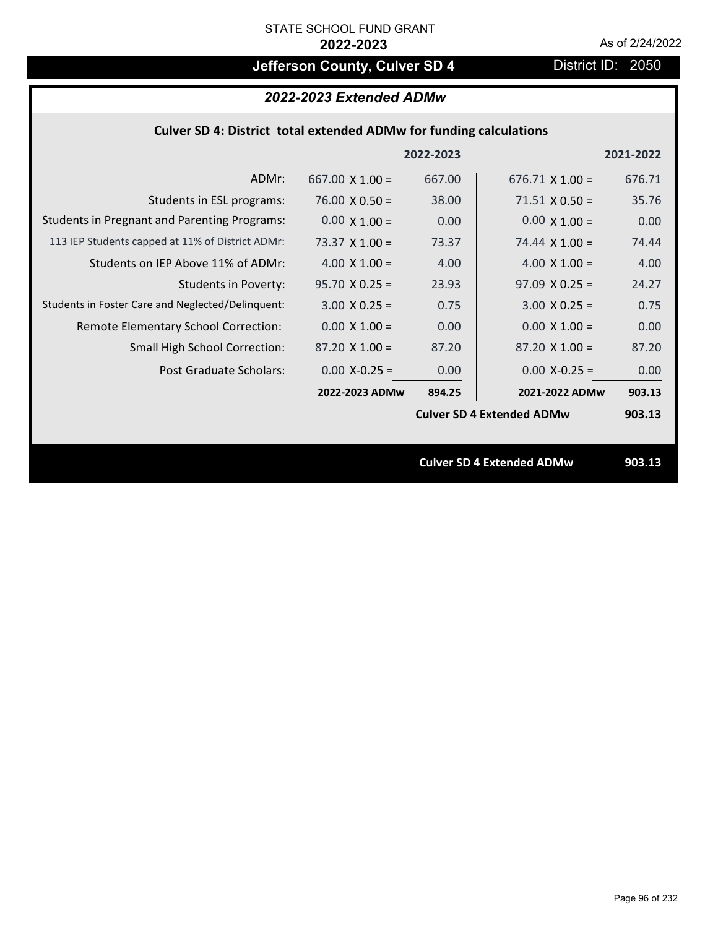# **Jefferson County, Culver SD 4** District ID: 2050

# *2022-2023 Extended ADMw*

# **Culver SD 4: District total extended ADMw for funding calculations**

|                                                     |                                  | 2022-2023 |                                  | 2021-2022 |
|-----------------------------------------------------|----------------------------------|-----------|----------------------------------|-----------|
| ADMr:                                               | $667.00 \times 1.00 =$           | 667.00    | $676.71$ X 1.00 =                | 676.71    |
| Students in ESL programs:                           | 76.00 $\times$ 0.50 =            | 38.00     | $71.51 \times 0.50 =$            | 35.76     |
| <b>Students in Pregnant and Parenting Programs:</b> | $0.00 \times 1.00 =$             | 0.00      | $0.00 \times 1.00 =$             | 0.00      |
| 113 IEP Students capped at 11% of District ADMr:    | 73.37 $\times$ 1.00 =            | 73.37     | 74.44 $\times$ 1.00 =            | 74.44     |
| Students on IEP Above 11% of ADMr:                  | 4.00 $X$ 1.00 =                  | 4.00      | 4.00 $X$ 1.00 =                  | 4.00      |
| <b>Students in Poverty:</b>                         | $95.70 \times 0.25 =$            | 23.93     | $97.09 \times 0.25 =$            | 24.27     |
| Students in Foster Care and Neglected/Delinquent:   | $3.00 \times 0.25 =$             | 0.75      | $3.00 \times 0.25 =$             | 0.75      |
| Remote Elementary School Correction:                | $0.00 \times 1.00 =$             | 0.00      | $0.00 \times 1.00 =$             | 0.00      |
| <b>Small High School Correction:</b>                | $87.20 \times 1.00 =$            | 87.20     | $87.20 \times 1.00 =$            | 87.20     |
| Post Graduate Scholars:                             | $0.00$ X-0.25 =                  | 0.00      | $0.00$ X-0.25 =                  | 0.00      |
|                                                     | 2022-2023 ADMw                   | 894.25    | 2021-2022 ADMw                   | 903.13    |
|                                                     |                                  |           | <b>Culver SD 4 Extended ADMw</b> | 903.13    |
|                                                     |                                  |           |                                  |           |
|                                                     | <b>Culver SD 4 Extended ADMw</b> |           |                                  | 903.13    |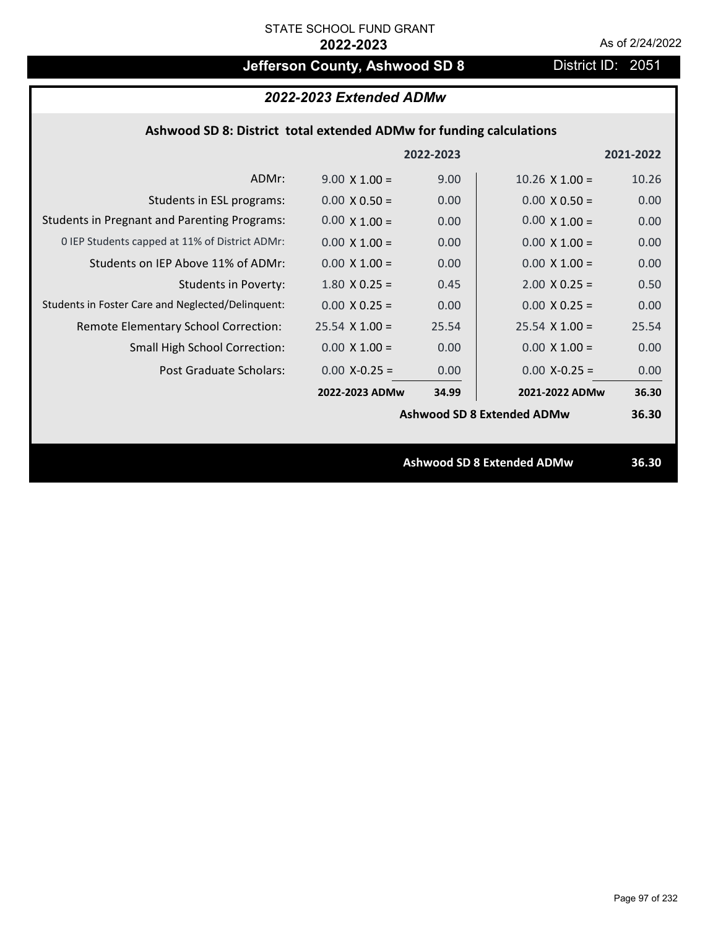# **Jefferson County, Ashwood SD 8** District ID: 2051

# *2022-2023 Extended ADMw*

# **Ashwood SD 8: District total extended ADMw for funding calculations**

|                                                     |                                   | 2022-2023 |                                   | 2021-2022 |
|-----------------------------------------------------|-----------------------------------|-----------|-----------------------------------|-----------|
| ADMr:                                               | $9.00 \times 1.00 =$              | 9.00      | $10.26$ X $1.00 =$                | 10.26     |
| Students in ESL programs:                           | $0.00 \times 0.50 =$              | 0.00      | $0.00 \times 0.50 =$              | 0.00      |
| <b>Students in Pregnant and Parenting Programs:</b> | $0.00 \times 1.00 =$              | 0.00      | $0.00 \times 1.00 =$              | 0.00      |
| 0 IEP Students capped at 11% of District ADMr:      | $0.00 \times 1.00 =$              | 0.00      | $0.00 \times 1.00 =$              | 0.00      |
| Students on IEP Above 11% of ADMr:                  | $0.00 \times 1.00 =$              | 0.00      | $0.00 \times 1.00 =$              | 0.00      |
| <b>Students in Poverty:</b>                         | $1.80$ X 0.25 =                   | 0.45      | $2.00 \times 0.25 =$              | 0.50      |
| Students in Foster Care and Neglected/Delinquent:   | $0.00 \times 0.25 =$              | 0.00      | $0.00 X 0.25 =$                   | 0.00      |
| Remote Elementary School Correction:                | $25.54$ X 1.00 =                  | 25.54     | $25.54$ X 1.00 =                  | 25.54     |
| <b>Small High School Correction:</b>                | $0.00 \times 1.00 =$              | 0.00      | $0.00 \times 1.00 =$              | 0.00      |
| Post Graduate Scholars:                             | $0.00$ X-0.25 =                   | 0.00      | $0.00$ X-0.25 =                   | 0.00      |
|                                                     | 2022-2023 ADMw                    | 34.99     | 2021-2022 ADMw                    | 36.30     |
|                                                     | <b>Ashwood SD 8 Extended ADMw</b> |           |                                   | 36.30     |
|                                                     |                                   |           |                                   |           |
|                                                     |                                   |           | <b>Ashwood SD 8 Extended ADMw</b> | 36.30     |
|                                                     |                                   |           |                                   |           |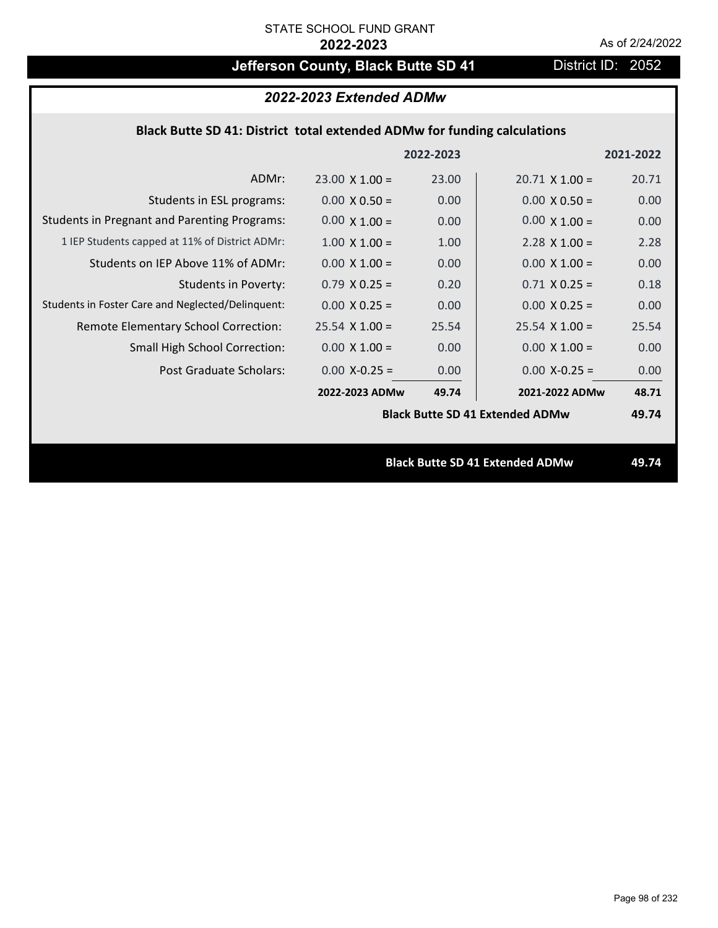# Jefferson County, Black Butte SD 41 District ID: 2052

# *2022-2023 Extended ADMw*

# **Black Butte SD 41: District total extended ADMw for funding calculations**

|                                                     |                                        | 2022-2023 |                                        | 2021-2022 |
|-----------------------------------------------------|----------------------------------------|-----------|----------------------------------------|-----------|
| ADMr:                                               | $23.00 \times 1.00 =$                  | 23.00     | $20.71 \times 1.00 =$                  | 20.71     |
| Students in ESL programs:                           | $0.00 \times 0.50 =$                   | 0.00      | $0.00 \times 0.50 =$                   | 0.00      |
| <b>Students in Pregnant and Parenting Programs:</b> | $0.00 \times 1.00 =$                   | 0.00      | $0.00 \times 1.00 =$                   | 0.00      |
| 1 IEP Students capped at 11% of District ADMr:      | $1.00 \times 1.00 =$                   | 1.00      | $2.28 \times 1.00 =$                   | 2.28      |
| Students on IEP Above 11% of ADMr:                  | $0.00 \times 1.00 =$                   | 0.00      | $0.00 \times 1.00 =$                   | 0.00      |
| Students in Poverty:                                | $0.79$ X 0.25 =                        | 0.20      | $0.71 X 0.25 =$                        | 0.18      |
| Students in Foster Care and Neglected/Delinquent:   | $0.00 \times 0.25 =$                   | 0.00      | $0.00 \times 0.25 =$                   | 0.00      |
| Remote Elementary School Correction:                | $25.54$ X 1.00 =                       | 25.54     | $25.54 \times 1.00 =$                  | 25.54     |
| <b>Small High School Correction:</b>                | $0.00 \times 1.00 =$                   | 0.00      | $0.00 \times 1.00 =$                   | 0.00      |
| Post Graduate Scholars:                             | $0.00$ X-0.25 =                        | 0.00      | $0.00 X - 0.25 =$                      | 0.00      |
|                                                     | 2022-2023 ADMw                         | 49.74     | 2021-2022 ADMw                         | 48.71     |
|                                                     | <b>Black Butte SD 41 Extended ADMw</b> |           |                                        | 49.74     |
|                                                     |                                        |           |                                        |           |
|                                                     |                                        |           | <b>Black Butte SD 41 Extended ADMw</b> | 49.74     |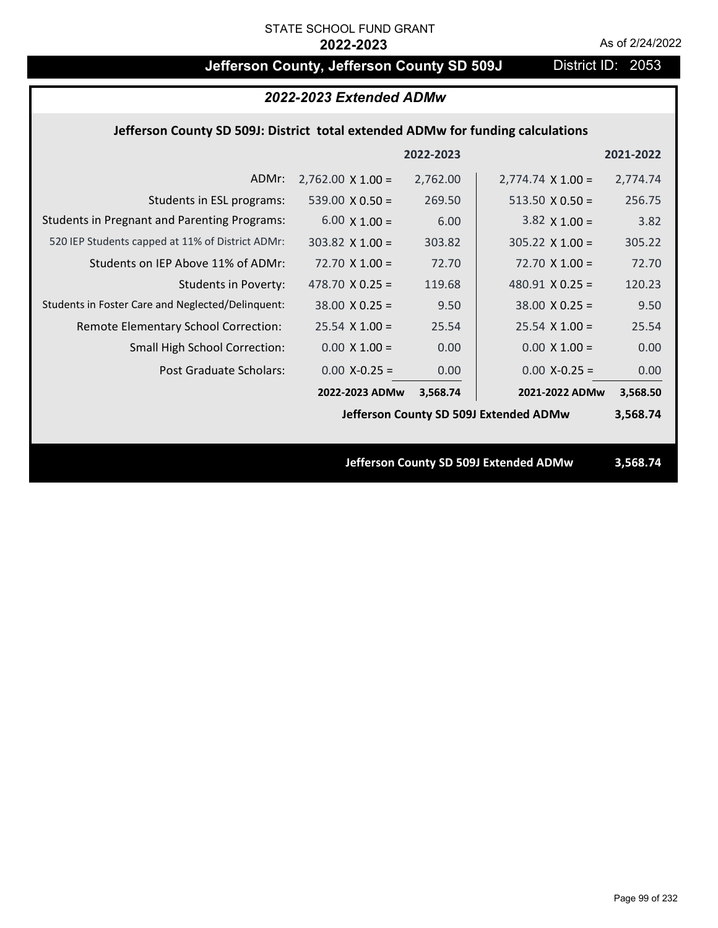# **Jefferson County, Jefferson County SD 509J** District ID: 2053

| 2022-2023 Extended ADMw                                                         |                          |           |                                        |           |  |  |
|---------------------------------------------------------------------------------|--------------------------|-----------|----------------------------------------|-----------|--|--|
| Jefferson County SD 509J: District total extended ADMw for funding calculations |                          |           |                                        |           |  |  |
|                                                                                 |                          | 2022-2023 |                                        | 2021-2022 |  |  |
| ADMr:                                                                           | $2,762.00 \times 1.00 =$ | 2,762.00  | $2,774.74 \times 1.00 =$               | 2,774.74  |  |  |
| Students in ESL programs:                                                       | 539.00 $\times$ 0.50 =   | 269.50    | $513.50 \times 0.50 =$                 | 256.75    |  |  |
| <b>Students in Pregnant and Parenting Programs:</b>                             | $6.00 \times 1.00 =$     | 6.00      | $3.82 \times 1.00 =$                   | 3.82      |  |  |
| 520 IEP Students capped at 11% of District ADMr:                                | 303.82 $\times$ 1.00 =   | 303.82    | $305.22 \times 1.00 =$                 | 305.22    |  |  |
| Students on IEP Above 11% of ADMr:                                              | $72.70$ X 1.00 =         | 72.70     | $72.70 \times 1.00 =$                  | 72.70     |  |  |
| <b>Students in Poverty:</b>                                                     | 478.70 $X$ 0.25 =        | 119.68    | 480.91 $X$ 0.25 =                      | 120.23    |  |  |
| Students in Foster Care and Neglected/Delinquent:                               | $38.00 \times 0.25 =$    | 9.50      | $38.00 \times 0.25 =$                  | 9.50      |  |  |
| Remote Elementary School Correction:                                            | $25.54$ X 1.00 =         | 25.54     | $25.54$ X 1.00 =                       | 25.54     |  |  |
| <b>Small High School Correction:</b>                                            | $0.00 \times 1.00 =$     | 0.00      | $0.00 \times 1.00 =$                   | 0.00      |  |  |
| <b>Post Graduate Scholars:</b>                                                  | $0.00$ X-0.25 =          | 0.00      | $0.00$ X-0.25 =                        | 0.00      |  |  |
|                                                                                 | 2022-2023 ADMw           | 3,568.74  | 2021-2022 ADMw                         | 3,568.50  |  |  |
| Jefferson County SD 509J Extended ADMw                                          |                          |           |                                        |           |  |  |
|                                                                                 |                          |           |                                        |           |  |  |
|                                                                                 |                          |           | Jefferson County SD 509J Extended ADMw | 3,568.74  |  |  |
|                                                                                 |                          |           |                                        |           |  |  |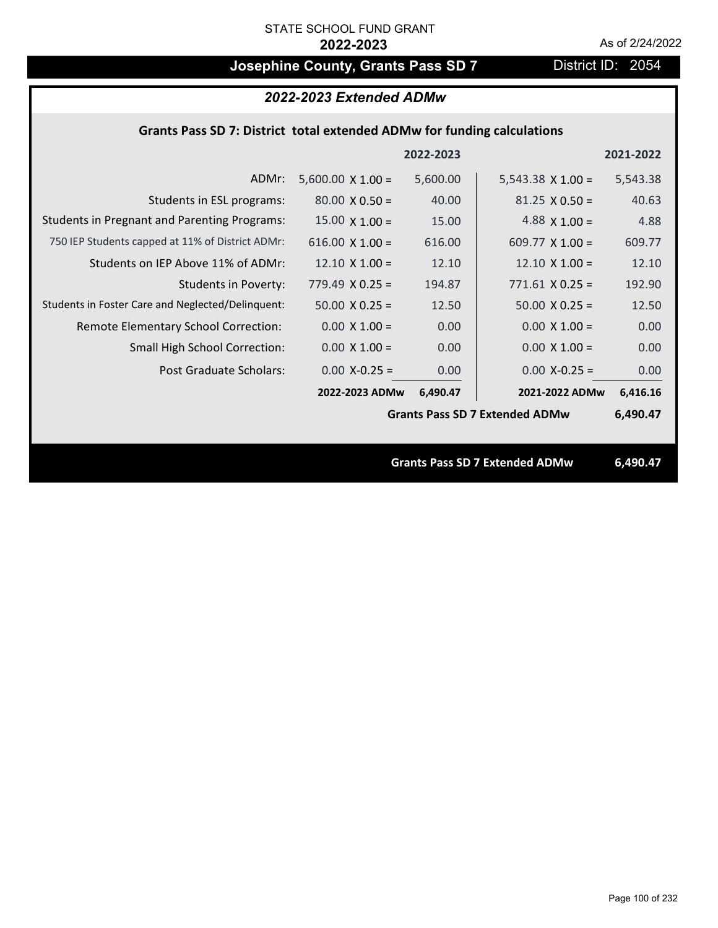# **Josephine County, Grants Pass SD 7** District ID: 2054

# *2022-2023 Extended ADMw*

# **Grants Pass SD 7: District total extended ADMw for funding calculations**

|                                                     |                          | 2022-2023 |                                       | 2021-2022 |
|-----------------------------------------------------|--------------------------|-----------|---------------------------------------|-----------|
| ADMr:                                               | $5,600.00 \times 1.00 =$ | 5,600.00  | $5,543.38 \times 1.00 =$              | 5,543.38  |
| Students in ESL programs:                           | $80.00 \times 0.50 =$    | 40.00     | $81.25 \times 0.50 =$                 | 40.63     |
| <b>Students in Pregnant and Parenting Programs:</b> | $15.00 \times 1.00 =$    | 15.00     | 4.88 $\times$ 1.00 =                  | 4.88      |
| 750 IEP Students capped at 11% of District ADMr:    | 616.00 $\times$ 1.00 =   | 616.00    | $609.77 \times 1.00 =$                | 609.77    |
| Students on IEP Above 11% of ADMr:                  | $12.10 \times 1.00 =$    | 12.10     | $12.10 \times 1.00 =$                 | 12.10     |
| <b>Students in Poverty:</b>                         | $779.49$ X 0.25 =        | 194.87    | $771.61$ X 0.25 =                     | 192.90    |
| Students in Foster Care and Neglected/Delinquent:   | $50.00 \times 0.25 =$    | 12.50     | $50.00 \times 0.25 =$                 | 12.50     |
| Remote Elementary School Correction:                | $0.00 \times 1.00 =$     | 0.00      | $0.00 \times 1.00 =$                  | 0.00      |
| <b>Small High School Correction:</b>                | $0.00 \times 1.00 =$     | 0.00      | $0.00 \times 1.00 =$                  | 0.00      |
| Post Graduate Scholars:                             | $0.00$ X-0.25 =          | 0.00      | $0.00$ X-0.25 =                       | 0.00      |
|                                                     | 2022-2023 ADMw           | 6,490.47  | 2021-2022 ADMw                        | 6,416.16  |
|                                                     |                          |           | <b>Grants Pass SD 7 Extended ADMw</b> | 6,490.47  |
|                                                     |                          |           |                                       |           |
|                                                     |                          |           | <b>Grants Pass SD 7 Extended ADMw</b> | 6,490.47  |

Page 100 of 232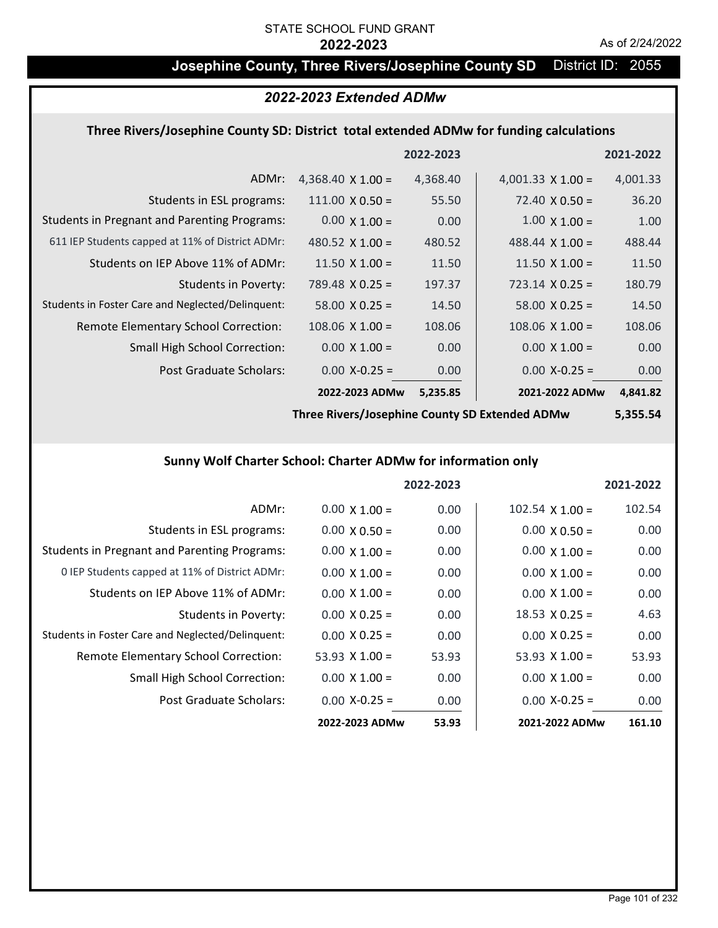# **Josephine County, Three Rivers/Josephine County SD** District ID: 2055

# *2022-2023 Extended ADMw*

### **Three Rivers/Josephine County SD: District total extended ADMw for funding calculations**

|                                                     |                          | 2022-2023 |                          | 2021-2022 |
|-----------------------------------------------------|--------------------------|-----------|--------------------------|-----------|
| ADMr:                                               | 4,368.40 $\times$ 1.00 = | 4,368.40  | 4,001.33 $\times$ 1.00 = | 4,001.33  |
| Students in ESL programs:                           | $111.00 \times 0.50 =$   | 55.50     | $72.40 \times 0.50 =$    | 36.20     |
| <b>Students in Pregnant and Parenting Programs:</b> | $0.00 \times 1.00 =$     | 0.00      | $1.00 \times 1.00 =$     | 1.00      |
| 611 IEP Students capped at 11% of District ADMr:    | 480.52 $\times$ 1.00 =   | 480.52    | 488.44 $\times$ 1.00 =   | 488.44    |
| Students on IEP Above 11% of ADMr:                  | $11.50 \times 1.00 =$    | 11.50     | 11.50 $\times$ 1.00 =    | 11.50     |
| Students in Poverty:                                | $789.48 \times 0.25 =$   | 197.37    | $723.14 \times 0.25 =$   | 180.79    |
| Students in Foster Care and Neglected/Delinquent:   | $58.00 \times 0.25 =$    | 14.50     | $58.00 \times 0.25 =$    | 14.50     |
| Remote Elementary School Correction:                | $108.06 \times 1.00 =$   | 108.06    | $108.06 \times 1.00 =$   | 108.06    |
| <b>Small High School Correction:</b>                | $0.00 \times 1.00 =$     | 0.00      | $0.00 \times 1.00 =$     | 0.00      |
| Post Graduate Scholars:                             | $0.00$ X-0.25 =          | 0.00      | $0.00$ X-0.25 =          | 0.00      |
|                                                     | 2022-2023 ADMw           | 5,235.85  | 2021-2022 ADMw           | 4,841.82  |

**Three Rivers/Josephine County SD Extended ADMw**

**5,355.54**

# **Sunny Wolf Charter School: Charter ADMw for information only**

|                                                     |                      | 2022-2023 |                        | 2021-2022 |
|-----------------------------------------------------|----------------------|-----------|------------------------|-----------|
| ADMr:                                               | $0.00 \times 1.00 =$ | 0.00      | $102.54 \times 1.00 =$ | 102.54    |
| Students in ESL programs:                           | $0.00 \times 0.50 =$ | 0.00      | $0.00 \times 0.50 =$   | 0.00      |
| <b>Students in Pregnant and Parenting Programs:</b> | $0.00 \times 1.00 =$ | 0.00      | $0.00 \times 1.00 =$   | 0.00      |
| 0 IEP Students capped at 11% of District ADMr:      | $0.00 \times 1.00 =$ | 0.00      | $0.00 \times 1.00 =$   | 0.00      |
| Students on IEP Above 11% of ADMr:                  | $0.00 \times 1.00 =$ | 0.00      | $0.00 \times 1.00 =$   | 0.00      |
| Students in Poverty:                                | $0.00 \times 0.25 =$ | 0.00      | $18.53 \times 0.25 =$  | 4.63      |
| Students in Foster Care and Neglected/Delinquent:   | $0.00 \times 0.25 =$ | 0.00      | $0.00 \times 0.25 =$   | 0.00      |
| <b>Remote Elementary School Correction:</b>         | 53.93 $X$ 1.00 =     | 53.93     | 53.93 $X$ 1.00 =       | 53.93     |
| <b>Small High School Correction:</b>                | $0.00 \times 1.00 =$ | 0.00      | $0.00 \times 1.00 =$   | 0.00      |
| Post Graduate Scholars:                             | $0.00$ X-0.25 =      | 0.00      | $0.00$ X-0.25 =        | 0.00      |
|                                                     | 2022-2023 ADMw       | 53.93     | 2021-2022 ADMw         | 161.10    |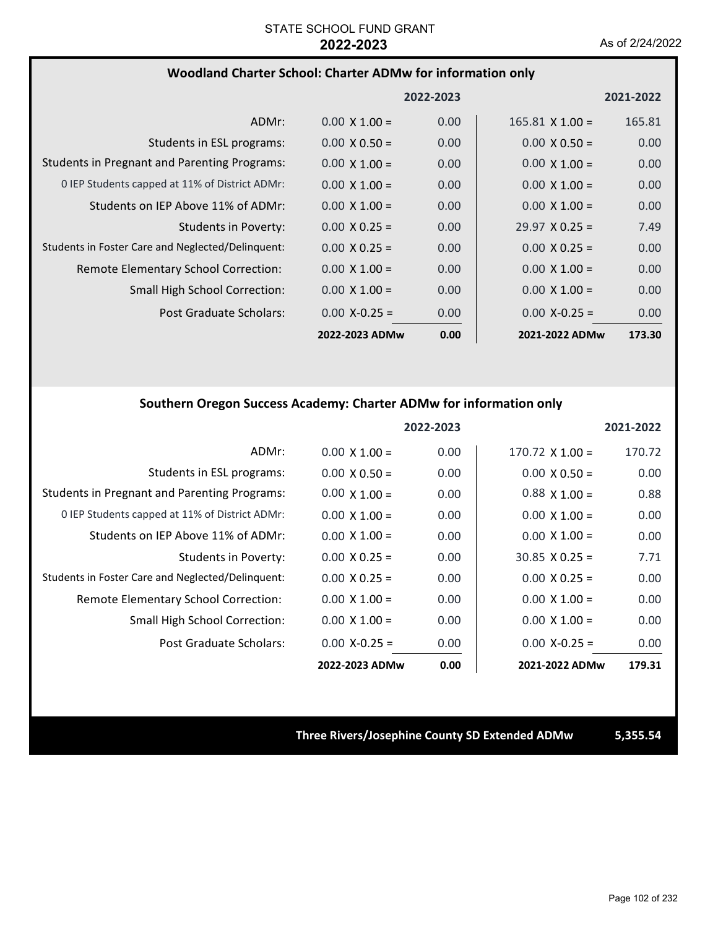## **Woodland Charter School: Charter ADMw for information only**

|                                                     |                      | 2022-2023 |                        | 2021-2022 |
|-----------------------------------------------------|----------------------|-----------|------------------------|-----------|
| ADMr:                                               | $0.00 \times 1.00 =$ | 0.00      | $165.81 \times 1.00 =$ | 165.81    |
| Students in ESL programs:                           | $0.00 \times 0.50 =$ | 0.00      | $0.00 \times 0.50 =$   | 0.00      |
| <b>Students in Pregnant and Parenting Programs:</b> | $0.00 \times 1.00 =$ | 0.00      | $0.00 \times 1.00 =$   | 0.00      |
| 0 IEP Students capped at 11% of District ADMr:      | $0.00 \times 1.00 =$ | 0.00      | $0.00 \times 1.00 =$   | 0.00      |
| Students on IEP Above 11% of ADMr:                  | $0.00 \times 1.00 =$ | 0.00      | $0.00 \times 1.00 =$   | 0.00      |
| <b>Students in Poverty:</b>                         | $0.00 \times 0.25 =$ | 0.00      | $29.97 \times 0.25 =$  | 7.49      |
| Students in Foster Care and Neglected/Delinguent:   | $0.00 \times 0.25 =$ | 0.00      | $0.00 \times 0.25 =$   | 0.00      |
| Remote Elementary School Correction:                | $0.00 \times 1.00 =$ | 0.00      | $0.00 \times 1.00 =$   | 0.00      |
| <b>Small High School Correction:</b>                | $0.00 \times 1.00 =$ | 0.00      | $0.00 \times 1.00 =$   | 0.00      |
| Post Graduate Scholars:                             | $0.00$ X-0.25 =      | 0.00      | $0.00$ X-0.25 =        | 0.00      |
|                                                     | 2022-2023 ADMw       | 0.00      | 2021-2022 ADMw         | 173.30    |

## **Southern Oregon Success Academy: Charter ADMw for information only**

|                                                     |                      | 2022-2023 |                        | 2021-2022 |
|-----------------------------------------------------|----------------------|-----------|------------------------|-----------|
| ADMr:                                               | $0.00 \times 1.00 =$ | 0.00      | $170.72 \times 1.00 =$ | 170.72    |
| Students in ESL programs:                           | $0.00 \times 0.50 =$ | 0.00      | $0.00 \times 0.50 =$   | 0.00      |
| <b>Students in Pregnant and Parenting Programs:</b> | $0.00 \times 1.00 =$ | 0.00      | $0.88 \times 1.00 =$   | 0.88      |
| 0 IEP Students capped at 11% of District ADMr:      | $0.00 \times 1.00 =$ | 0.00      | $0.00 \times 1.00 =$   | 0.00      |
| Students on IEP Above 11% of ADMr:                  | $0.00 \times 1.00 =$ | 0.00      | $0.00 \times 1.00 =$   | 0.00      |
| Students in Poverty:                                | $0.00 \times 0.25 =$ | 0.00      | $30.85 \times 0.25 =$  | 7.71      |
| Students in Foster Care and Neglected/Delinquent:   | $0.00 \times 0.25 =$ | 0.00      | $0.00 \times 0.25 =$   | 0.00      |
| <b>Remote Elementary School Correction:</b>         | $0.00 \times 1.00 =$ | 0.00      | $0.00 \times 1.00 =$   | 0.00      |
| Small High School Correction:                       | $0.00 \times 1.00 =$ | 0.00      | $0.00 \times 1.00 =$   | 0.00      |
| Post Graduate Scholars:                             | $0.00$ X-0.25 =      | 0.00      | $0.00 X - 0.25 =$      | 0.00      |
|                                                     | 2022-2023 ADMw       | 0.00      | 2021-2022 ADMw         | 179.31    |

### **Three Rivers/Josephine County SD Extended ADMw 5,355.54**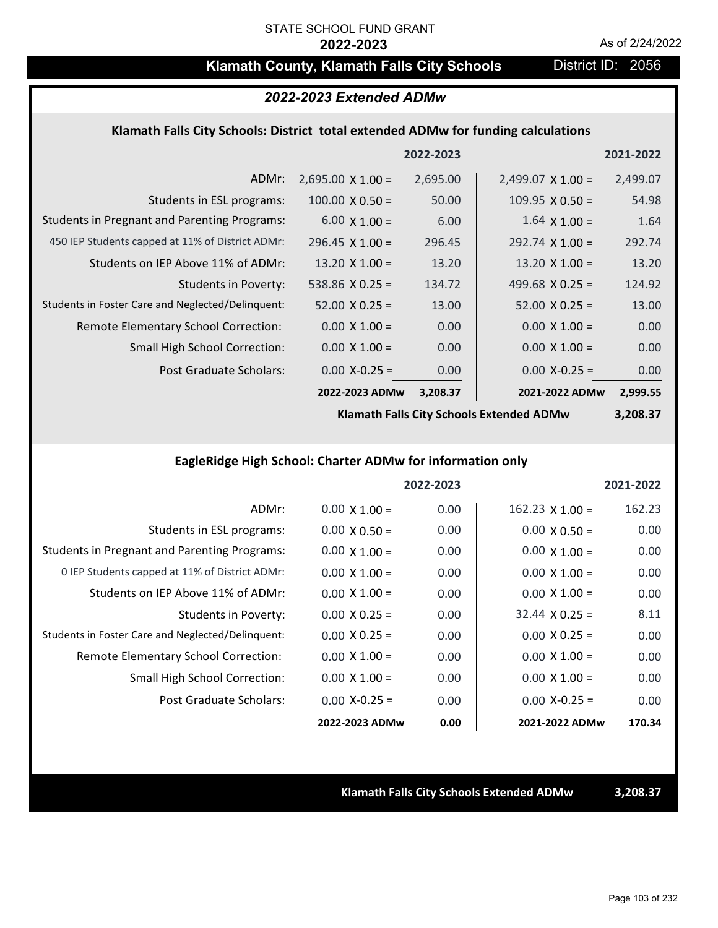# **Klamath County, Klamath Falls City Schools District ID: 2056**

# *2022-2023 Extended ADMw*

### **Klamath Falls City Schools: District total extended ADMw for funding calculations**

|                                                     |                          | 2022-2023 |                          | 2021-2022 |
|-----------------------------------------------------|--------------------------|-----------|--------------------------|-----------|
| ADMr:                                               | $2,695.00 \times 1.00 =$ | 2,695.00  | $2,499.07 \times 1.00 =$ | 2,499.07  |
| Students in ESL programs:                           | $100.00 \times 0.50 =$   | 50.00     | $109.95 \times 0.50 =$   | 54.98     |
| <b>Students in Pregnant and Parenting Programs:</b> | $6.00 \times 1.00 =$     | 6.00      | $1.64 \times 1.00 =$     | 1.64      |
| 450 IEP Students capped at 11% of District ADMr:    | $296.45 \times 1.00 =$   | 296.45    | $292.74 \times 1.00 =$   | 292.74    |
| Students on IEP Above 11% of ADMr:                  | $13.20 \times 1.00 =$    | 13.20     | 13.20 $X$ 1.00 =         | 13.20     |
| Students in Poverty:                                | 538.86 $X$ 0.25 =        | 134.72    | 499.68 $X$ 0.25 =        | 124.92    |
| Students in Foster Care and Neglected/Delinquent:   | $52.00 \times 0.25 =$    | 13.00     | $52.00 \times 0.25 =$    | 13.00     |
| Remote Elementary School Correction:                | $0.00 \times 1.00 =$     | 0.00      | $0.00 \times 1.00 =$     | 0.00      |
| <b>Small High School Correction:</b>                | $0.00 \times 1.00 =$     | 0.00      | $0.00 \times 1.00 =$     | 0.00      |
| Post Graduate Scholars:                             | $0.00$ X-0.25 =          | 0.00      | $0.00$ X-0.25 =          | 0.00      |
|                                                     | 2022-2023 ADMw           | 3,208.37  | 2021-2022 ADMw           | 2,999.55  |

**Klamath Falls City Schools Extended ADMw**

**3,208.37**

# **EagleRidge High School: Charter ADMw for information only**

|                                                     |                      | 2022-2023 |                        | 2021-2022 |
|-----------------------------------------------------|----------------------|-----------|------------------------|-----------|
| ADMr:                                               | $0.00 \times 1.00 =$ | 0.00      | $162.23 \times 1.00 =$ | 162.23    |
| Students in ESL programs:                           | $0.00 \times 0.50 =$ | 0.00      | $0.00 \times 0.50 =$   | 0.00      |
| <b>Students in Pregnant and Parenting Programs:</b> | $0.00 \times 1.00 =$ | 0.00      | $0.00 \times 1.00 =$   | 0.00      |
| 0 IEP Students capped at 11% of District ADMr:      | $0.00 \times 1.00 =$ | 0.00      | $0.00 \times 1.00 =$   | 0.00      |
| Students on IEP Above 11% of ADMr:                  | $0.00 \times 1.00 =$ | 0.00      | $0.00 \times 1.00 =$   | 0.00      |
| Students in Poverty:                                | $0.00 \times 0.25 =$ | 0.00      | $32.44 \times 0.25 =$  | 8.11      |
| Students in Foster Care and Neglected/Delinquent:   | $0.00 \times 0.25 =$ | 0.00      | $0.00 \times 0.25 =$   | 0.00      |
| <b>Remote Elementary School Correction:</b>         | $0.00 \times 1.00 =$ | 0.00      | $0.00 \times 1.00 =$   | 0.00      |
| <b>Small High School Correction:</b>                | $0.00 \times 1.00 =$ | 0.00      | $0.00 \times 1.00 =$   | 0.00      |
| Post Graduate Scholars:                             | $0.00$ X-0.25 =      | 0.00      | $0.00$ X-0.25 =        | 0.00      |
|                                                     | 2022-2023 ADMw       | 0.00      | 2021-2022 ADMw         | 170.34    |

**Klamath Falls City Schools Extended ADMw 3,208.37**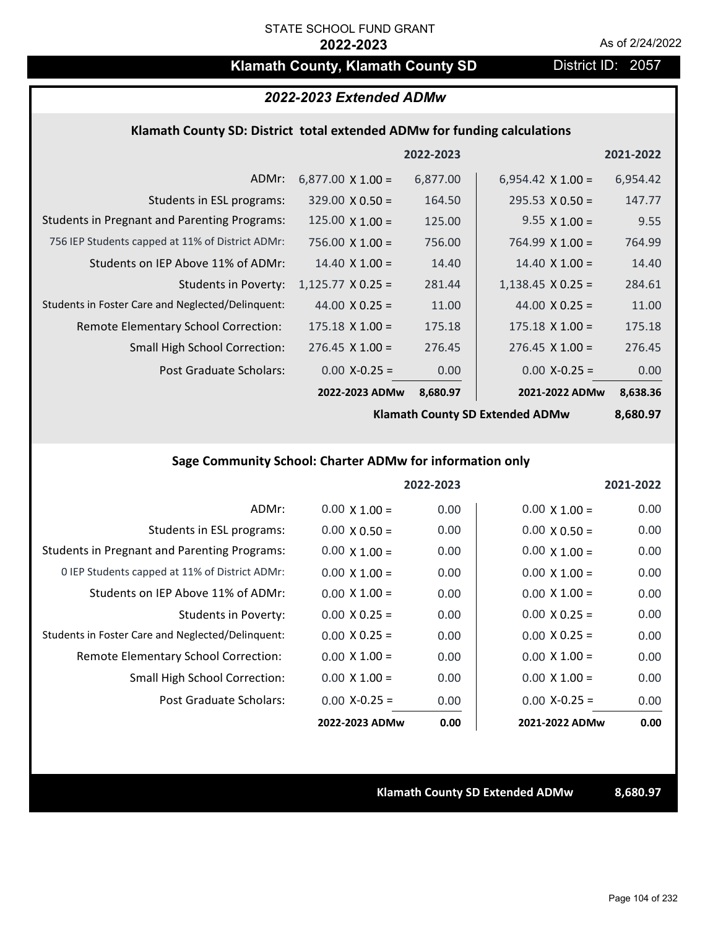# **Klamath County, Klamath County SD** District ID: 2057

# *2022-2023 Extended ADMw*

## **Klamath County SD: District total extended ADMw for funding calculations**

|                                                     |                          | 2022-2023 |                          | 2021-2022 |
|-----------------------------------------------------|--------------------------|-----------|--------------------------|-----------|
| ADMr:                                               | $6,877.00 \times 1.00 =$ | 6,877.00  | 6,954.42 $\times$ 1.00 = | 6,954.42  |
| Students in ESL programs:                           | $329.00 \times 0.50 =$   | 164.50    | $295.53 \times 0.50 =$   | 147.77    |
| <b>Students in Pregnant and Parenting Programs:</b> | 125.00 $\times$ 1.00 =   | 125.00    | $9.55 \times 1.00 =$     | 9.55      |
| 756 IEP Students capped at 11% of District ADMr:    | 756.00 $\times$ 1.00 =   | 756.00    | $764.99 \times 1.00 =$   | 764.99    |
| Students on IEP Above 11% of ADMr:                  | $14.40 \times 1.00 =$    | 14.40     | $14.40 \times 1.00 =$    | 14.40     |
| Students in Poverty:                                | $1,125.77 \times 0.25 =$ | 281.44    | $1,138.45 \times 0.25 =$ | 284.61    |
| Students in Foster Care and Neglected/Delinquent:   | $44.00 \times 0.25 =$    | 11.00     | 44.00 $X$ 0.25 =         | 11.00     |
| Remote Elementary School Correction:                | $175.18 \times 1.00 =$   | 175.18    | $175.18 \times 1.00 =$   | 175.18    |
| <b>Small High School Correction:</b>                | $276.45 \times 1.00 =$   | 276.45    | $276.45 \times 1.00 =$   | 276.45    |
| Post Graduate Scholars:                             | $0.00$ X-0.25 =          | 0.00      | $0.00$ X-0.25 =          | 0.00      |
|                                                     | 2022-2023 ADMw           | 8,680.97  | 2021-2022 ADMw           | 8,638.36  |

**Klamath County SD Extended ADMw**

**8,680.97**

## **Sage Community School: Charter ADMw for information only**

|                                                     |                      | 2022-2023 |                      | 2021-2022 |
|-----------------------------------------------------|----------------------|-----------|----------------------|-----------|
| ADMr:                                               | $0.00 \times 1.00 =$ | 0.00      | $0.00 \times 1.00 =$ | 0.00      |
| Students in ESL programs:                           | $0.00 \times 0.50 =$ | 0.00      | $0.00 \times 0.50 =$ | 0.00      |
| <b>Students in Pregnant and Parenting Programs:</b> | $0.00 \times 1.00 =$ | 0.00      | $0.00 \times 1.00 =$ | 0.00      |
| 0 IEP Students capped at 11% of District ADMr:      | $0.00 \times 1.00 =$ | 0.00      | $0.00 \times 1.00 =$ | 0.00      |
| Students on IEP Above 11% of ADMr:                  | $0.00 \times 1.00 =$ | 0.00      | $0.00 \times 1.00 =$ | 0.00      |
| Students in Poverty:                                | $0.00 \times 0.25 =$ | 0.00      | $0.00 \times 0.25 =$ | 0.00      |
| Students in Foster Care and Neglected/Delinquent:   | $0.00 \times 0.25 =$ | 0.00      | $0.00 \times 0.25 =$ | 0.00      |
| Remote Elementary School Correction:                | $0.00 \times 1.00 =$ | 0.00      | $0.00 \times 1.00 =$ | 0.00      |
| <b>Small High School Correction:</b>                | $0.00 X 1.00 =$      | 0.00      | $0.00 \times 1.00 =$ | 0.00      |
| Post Graduate Scholars:                             | $0.00 X-0.25 =$      | 0.00      | $0.00 X-0.25 =$      | 0.00      |
|                                                     | 2022-2023 ADMw       | 0.00      | 2021-2022 ADMw       | 0.00      |

**Klamath County SD Extended ADMw 8,680.97**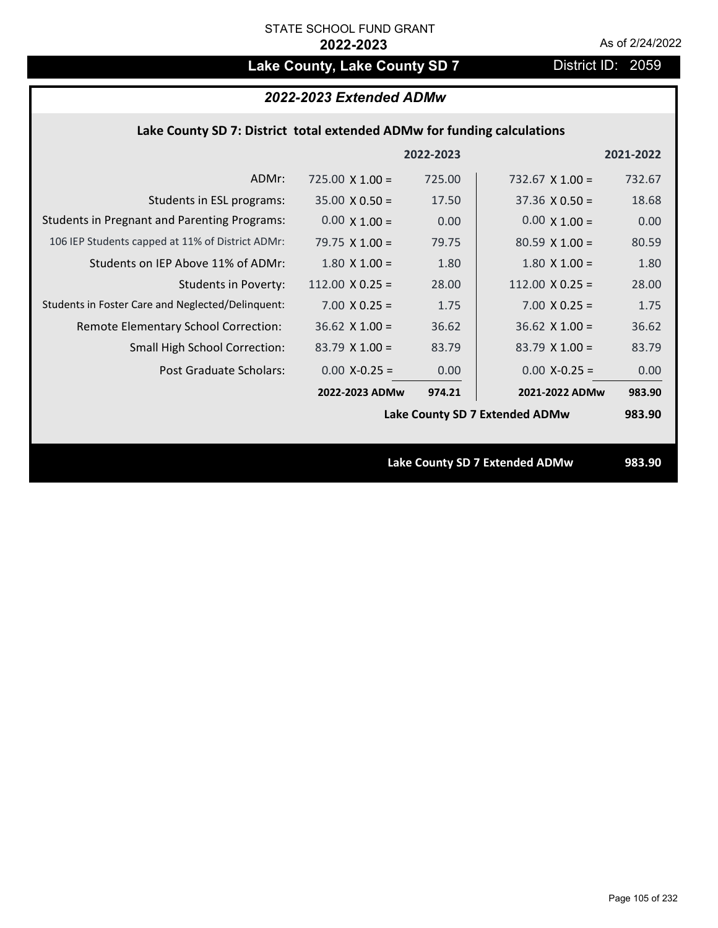# Lake County, Lake County SD 7 **District ID: 2059**

# *2022-2023 Extended ADMw*

## **Lake County SD 7: District total extended ADMw for funding calculations**

|                                                     |                                | 2022-2023 |                                | 2021-2022 |
|-----------------------------------------------------|--------------------------------|-----------|--------------------------------|-----------|
| ADMr:                                               | $725.00 \times 1.00 =$         | 725.00    | 732.67 $\times$ 1.00 =         | 732.67    |
| Students in ESL programs:                           | $35.00 \times 0.50 =$          | 17.50     | $37.36 \times 0.50 =$          | 18.68     |
| <b>Students in Pregnant and Parenting Programs:</b> | $0.00 \times 1.00 =$           | 0.00      | $0.00 \times 1.00 =$           | 0.00      |
| 106 IEP Students capped at 11% of District ADMr:    | 79.75 $X$ 1.00 =               | 79.75     | $80.59 \times 1.00 =$          | 80.59     |
| Students on IEP Above 11% of ADMr:                  | $1.80 \times 1.00 =$           | 1.80      | $1.80$ X $1.00 =$              | 1.80      |
| <b>Students in Poverty:</b>                         | $112.00 \times 0.25 =$         | 28.00     | 112.00 $X$ 0.25 =              | 28.00     |
| Students in Foster Care and Neglected/Delinquent:   | $7.00 \times 0.25 =$           | 1.75      | $7.00 \times 0.25 =$           | 1.75      |
| Remote Elementary School Correction:                | $36.62$ X 1.00 =               | 36.62     | $36.62$ X $1.00 =$             | 36.62     |
| <b>Small High School Correction:</b>                | $83.79 \times 1.00 =$          | 83.79     | $83.79 \times 1.00 =$          | 83.79     |
| Post Graduate Scholars:                             | $0.00$ X-0.25 =                | 0.00      | $0.00$ X-0.25 =                | 0.00      |
|                                                     | 2022-2023 ADMw                 | 974.21    | 2021-2022 ADMw                 | 983.90    |
|                                                     | Lake County SD 7 Extended ADMw |           |                                | 983.90    |
|                                                     |                                |           |                                |           |
|                                                     |                                |           | Lake County SD 7 Extended ADMw | 983.90    |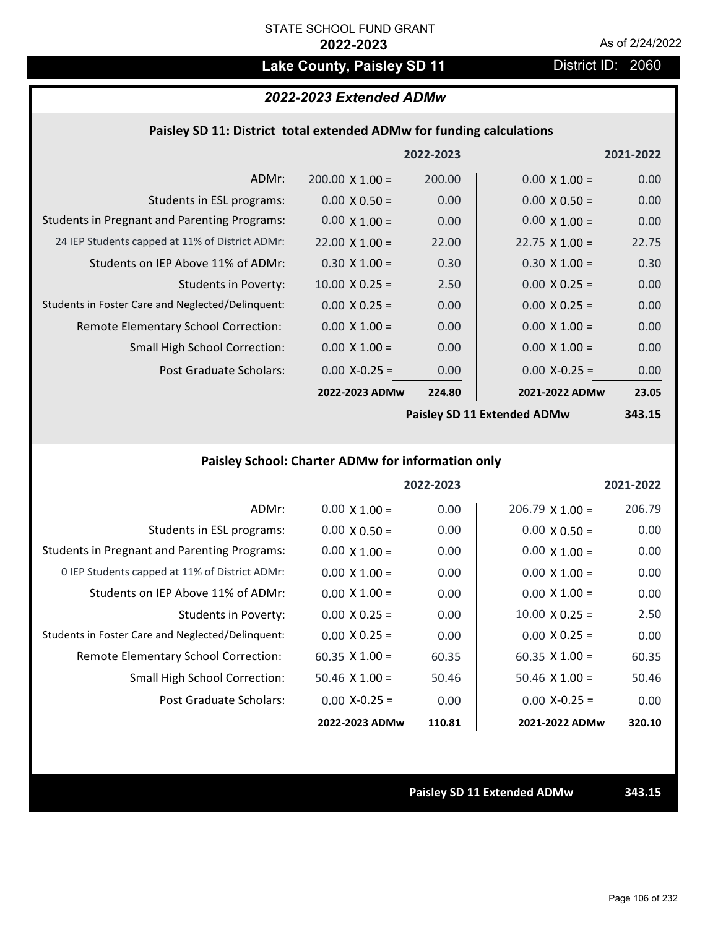# Lake County, Paisley SD 11 **District ID: 2060**

# *2022-2023 Extended ADMw*

## **Paisley SD 11: District total extended ADMw for funding calculations**

|                                                     |                        | 2022-2023 |                            | 2021-2022     |
|-----------------------------------------------------|------------------------|-----------|----------------------------|---------------|
| ADMr:                                               | $200.00 \times 1.00 =$ | 200.00    | $0.00 \times 1.00 =$       | 0.00          |
| Students in ESL programs:                           | $0.00 \times 0.50 =$   | 0.00      | $0.00 \times 0.50 =$       | 0.00          |
| <b>Students in Pregnant and Parenting Programs:</b> | $0.00 \times 1.00 =$   | 0.00      | $0.00 \times 1.00 =$       | 0.00          |
| 24 IEP Students capped at 11% of District ADMr:     | $22.00 \times 1.00 =$  | 22.00     | $22.75 \times 1.00 =$      | 22.75         |
| Students on IEP Above 11% of ADMr:                  | $0.30 \times 1.00 =$   | 0.30      | $0.30 \times 1.00 =$       | 0.30          |
| <b>Students in Poverty:</b>                         | $10.00 \times 0.25 =$  | 2.50      | $0.00 X 0.25 =$            | 0.00          |
| Students in Foster Care and Neglected/Delinquent:   | $0.00 \times 0.25 =$   | 0.00      | $0.00 \times 0.25 =$       | 0.00          |
| Remote Elementary School Correction:                | $0.00 \times 1.00 =$   | 0.00      | $0.00 \times 1.00 =$       | 0.00          |
| <b>Small High School Correction:</b>                | $0.00 \times 1.00 =$   | 0.00      | $0.00 \times 1.00 =$       | 0.00          |
| Post Graduate Scholars:                             | $0.00$ X-0.25 =        | 0.00      | $0.00$ X-0.25 =            | 0.00          |
|                                                     | 2022-2023 ADMw         | 224.80    | 2021-2022 ADMw             | 23.05         |
|                                                     |                        |           | Daisley CD 11 Eytended ADM | <b>343 1E</b> |

**Paisley SD 11 Extended ADMw**

**343.15**

# **Paisley School: Charter ADMw for information only**

|                                                     |                       | 2022-2023 |                        | 2021-2022 |
|-----------------------------------------------------|-----------------------|-----------|------------------------|-----------|
| ADMr:                                               | $0.00 \times 1.00 =$  | 0.00      | $206.79 \times 1.00 =$ | 206.79    |
| Students in ESL programs:                           | $0.00 \times 0.50 =$  | 0.00      | $0.00 \times 0.50 =$   | 0.00      |
| <b>Students in Pregnant and Parenting Programs:</b> | $0.00 \times 1.00 =$  | 0.00      | $0.00 \times 1.00 =$   | 0.00      |
| 0 IEP Students capped at 11% of District ADMr:      | $0.00 \times 1.00 =$  | 0.00      | $0.00 \times 1.00 =$   | 0.00      |
| Students on IEP Above 11% of ADMr:                  | $0.00 \times 1.00 =$  | 0.00      | $0.00 \times 1.00 =$   | 0.00      |
| Students in Poverty:                                | $0.00 \times 0.25 =$  | 0.00      | $10.00 \times 0.25 =$  | 2.50      |
| Students in Foster Care and Neglected/Delinquent:   | $0.00 \times 0.25 =$  | 0.00      | $0.00 \times 0.25 =$   | 0.00      |
| Remote Elementary School Correction:                | $60.35 \times 1.00 =$ | 60.35     | $60.35 \times 1.00 =$  | 60.35     |
| <b>Small High School Correction:</b>                | $50.46$ X 1.00 =      | 50.46     | $50.46 \times 1.00 =$  | 50.46     |
| Post Graduate Scholars:                             | $0.00$ X-0.25 =       | 0.00      | $0.00 X-0.25 =$        | 0.00      |
|                                                     | 2022-2023 ADMw        | 110.81    | 2021-2022 ADMw         | 320.10    |

**Paisley SD 11 Extended ADMw 343.15**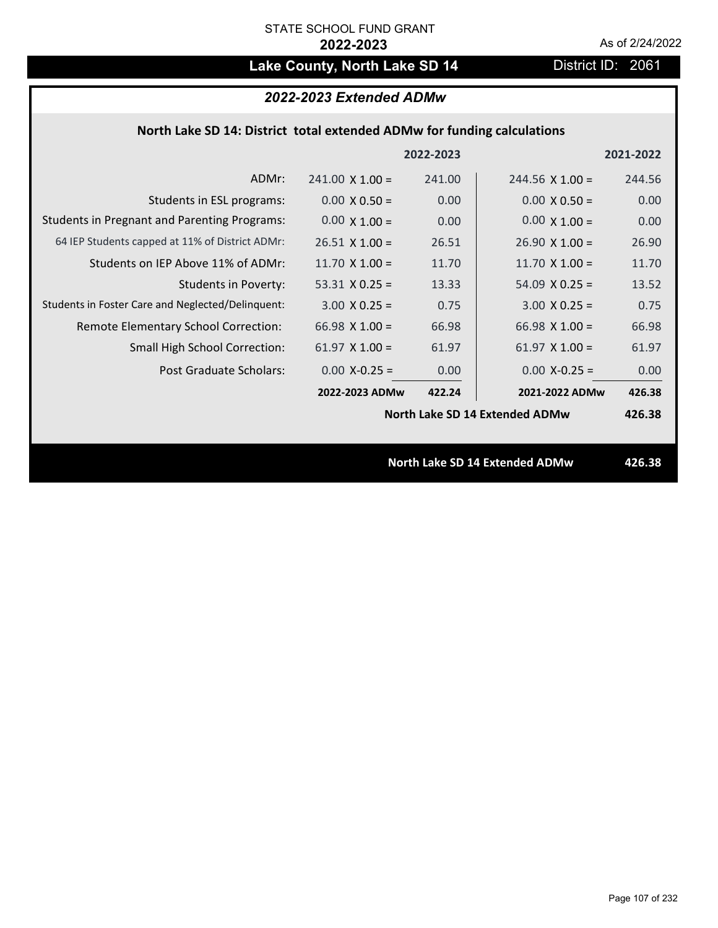# Lake County, North Lake SD 14 **District ID: 2061**

# *2022-2023 Extended ADMw*

# **North Lake SD 14: District total extended ADMw for funding calculations**

|                                                     |                                       | 2022-2023 |                        | 2021-2022 |  |
|-----------------------------------------------------|---------------------------------------|-----------|------------------------|-----------|--|
| ADMr:                                               | $241.00 \times 1.00 =$                | 241.00    | $244.56 \times 1.00 =$ | 244.56    |  |
| Students in ESL programs:                           | $0.00 \times 0.50 =$                  | 0.00      | $0.00 \times 0.50 =$   | 0.00      |  |
| <b>Students in Pregnant and Parenting Programs:</b> | $0.00 \times 1.00 =$                  | 0.00      | $0.00 \times 1.00 =$   | 0.00      |  |
| 64 IEP Students capped at 11% of District ADMr:     | $26.51$ X 1.00 =                      | 26.51     | $26.90 \times 1.00 =$  | 26.90     |  |
| Students on IEP Above 11% of ADMr:                  | 11.70 $\times$ 1.00 =                 | 11.70     | 11.70 $X$ 1.00 =       | 11.70     |  |
| <b>Students in Poverty:</b>                         | $53.31$ X 0.25 =                      | 13.33     | $54.09 \times 0.25 =$  | 13.52     |  |
| Students in Foster Care and Neglected/Delinquent:   | $3.00 \times 0.25 =$                  | 0.75      | $3.00 \times 0.25 =$   | 0.75      |  |
| Remote Elementary School Correction:                | $66.98 \times 1.00 =$                 | 66.98     | $66.98 \times 1.00 =$  | 66.98     |  |
| <b>Small High School Correction:</b>                | $61.97 \times 1.00 =$                 | 61.97     | 61.97 $X$ 1.00 =       | 61.97     |  |
| Post Graduate Scholars:                             | $0.00$ X-0.25 =                       | 0.00      | $0.00 X - 0.25 =$      | 0.00      |  |
|                                                     | 2022-2023 ADMw                        | 422.24    | 2021-2022 ADMw         | 426.38    |  |
|                                                     | North Lake SD 14 Extended ADMw        |           |                        |           |  |
|                                                     |                                       |           |                        |           |  |
|                                                     | <b>North Lake SD 14 Extended ADMw</b> |           |                        |           |  |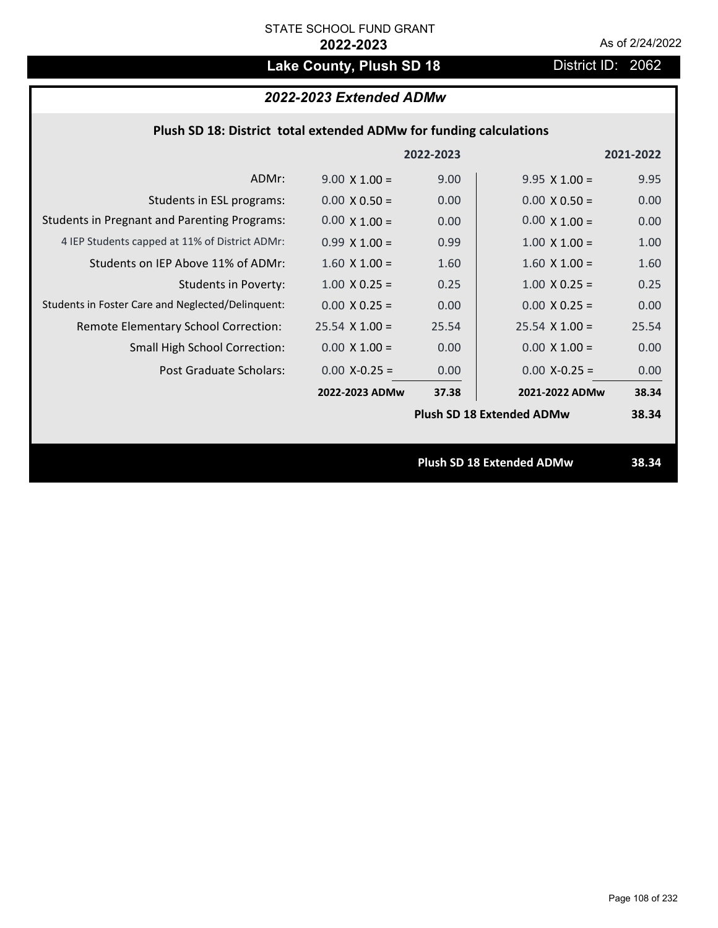# Lake County, Plush SD 18 **District ID: 2062**

# *2022-2023 Extended ADMw*

| Plush SD 18: District total extended ADMw for funding calculations |  |  |  |
|--------------------------------------------------------------------|--|--|--|
|--------------------------------------------------------------------|--|--|--|

|                                                     |                                  | 2022-2023         |                       | 2021-2022 |
|-----------------------------------------------------|----------------------------------|-------------------|-----------------------|-----------|
| ADMr:                                               | $9.00 \times 1.00 =$             | 9.00              | $9.95 \times 1.00 =$  | 9.95      |
| Students in ESL programs:                           | $0.00 \times 0.50 =$             | 0.00 <sub>1</sub> | $0.00 \times 0.50 =$  | 0.00      |
| <b>Students in Pregnant and Parenting Programs:</b> | $0.00 \times 1.00 =$             | 0.00 <sub>1</sub> | $0.00 \times 1.00 =$  | 0.00      |
| 4 IEP Students capped at 11% of District ADMr:      | $0.99 \times 1.00 =$             | 0.99              | $1.00 \times 1.00 =$  | 1.00      |
| Students on IEP Above 11% of ADMr:                  | $1.60$ X $1.00 =$                | 1.60              | $1.60$ X $1.00 =$     | 1.60      |
| <b>Students in Poverty:</b>                         | $1.00 \times 0.25 =$             | 0.25              | $1.00 \times 0.25 =$  | 0.25      |
| Students in Foster Care and Neglected/Delinquent:   | $0.00 \times 0.25 =$             | 0.00 <sub>1</sub> | $0.00 X 0.25 =$       | 0.00      |
| Remote Elementary School Correction:                | $25.54 \times 1.00 =$            | 25.54             | $25.54 \times 1.00 =$ | 25.54     |
| <b>Small High School Correction:</b>                | $0.00 \times 1.00 =$             | 0.00 <sub>1</sub> | $0.00 \times 1.00 =$  | 0.00      |
| Post Graduate Scholars:                             | $0.00 X - 0.25 =$                | 0.00              | $0.00 X - 0.25 =$     | 0.00      |
|                                                     | 2022-2023 ADMw                   | 37.38             | 2021-2022 ADMw        | 38.34     |
|                                                     | <b>Plush SD 18 Extended ADMw</b> |                   |                       | 38.34     |
|                                                     |                                  |                   |                       |           |
|                                                     | <b>Plush SD 18 Extended ADMw</b> |                   |                       | 38.34     |
|                                                     |                                  |                   |                       |           |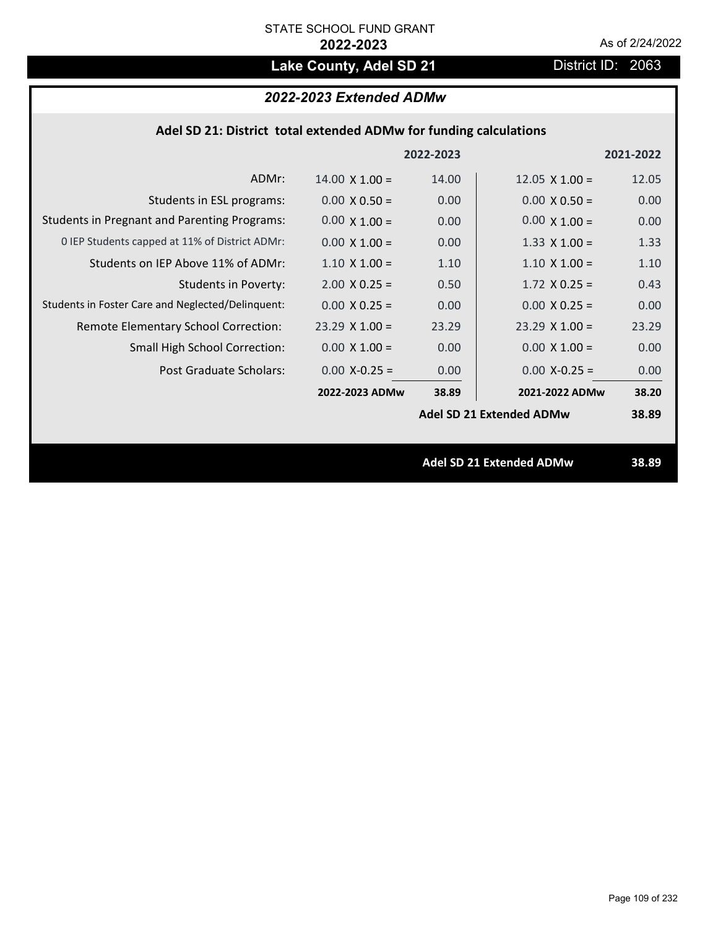# Lake County, Adel SD 21 District ID: 2063

## *2022-2023 Extended ADMw*

| Adel SD 21: District total extended ADMw for funding calculations |  |  |  |
|-------------------------------------------------------------------|--|--|--|
|-------------------------------------------------------------------|--|--|--|

|                                                     |                       | 2022-2023 |                                 | 2021-2022 |
|-----------------------------------------------------|-----------------------|-----------|---------------------------------|-----------|
| ADMr:                                               | $14.00 \times 1.00 =$ | 14.00     | $12.05 \times 1.00 =$           | 12.05     |
| Students in ESL programs:                           | $0.00 \times 0.50 =$  | 0.00      | $0.00 \times 0.50 =$            | 0.00      |
| <b>Students in Pregnant and Parenting Programs:</b> | $0.00 \times 1.00 =$  | 0.00      | $0.00 \times 1.00 =$            | 0.00      |
| 0 IEP Students capped at 11% of District ADMr:      | $0.00 \times 1.00 =$  | 0.00      | $1.33 \times 1.00 =$            | 1.33      |
| Students on IEP Above 11% of ADMr:                  | $1.10 \times 1.00 =$  | 1.10      | $1.10 \times 1.00 =$            | 1.10      |
| Students in Poverty:                                | $2.00 \times 0.25 =$  | 0.50      | $1.72$ X 0.25 =                 | 0.43      |
| Students in Foster Care and Neglected/Delinquent:   | $0.00 \times 0.25 =$  | 0.00      | $0.00 X 0.25 =$                 | 0.00      |
| Remote Elementary School Correction:                | $23.29 \times 1.00 =$ | 23.29     | $23.29 \times 1.00 =$           | 23.29     |
| <b>Small High School Correction:</b>                | $0.00 \times 1.00 =$  | 0.00      | $0.00 \times 1.00 =$            | 0.00      |
| Post Graduate Scholars:                             | $0.00$ X-0.25 =       | 0.00      | $0.00$ X-0.25 =                 | 0.00      |
|                                                     | 2022-2023 ADMw        | 38.89     | 2021-2022 ADMw                  | 38.20     |
|                                                     |                       |           | <b>Adel SD 21 Extended ADMw</b> | 38.89     |
|                                                     |                       |           |                                 |           |
|                                                     |                       |           | <b>Adel SD 21 Extended ADMw</b> | 38.89     |
|                                                     |                       |           |                                 |           |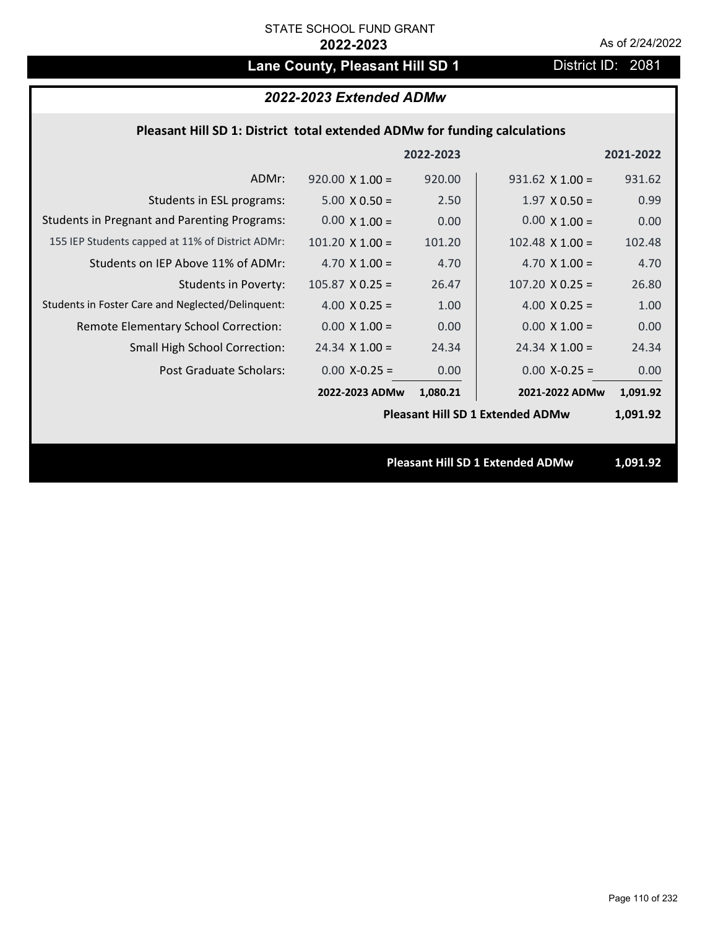## Lane County, Pleasant Hill SD 1 District ID: 2081

## *2022-2023 Extended ADMw*

## **Pleasant Hill SD 1: District total extended ADMw for funding calculations**

|                                                     |                        | 2022-2023 |                                         | 2021-2022 |
|-----------------------------------------------------|------------------------|-----------|-----------------------------------------|-----------|
| ADMr:                                               | $920.00 \times 1.00 =$ | 920.00    | $931.62 \times 1.00 =$                  | 931.62    |
| Students in ESL programs:                           | $5.00 \times 0.50 =$   | 2.50      | $1.97 \times 0.50 =$                    | 0.99      |
| <b>Students in Pregnant and Parenting Programs:</b> | $0.00 \times 1.00 =$   | 0.00      | $0.00 \times 1.00 =$                    | 0.00      |
| 155 IEP Students capped at 11% of District ADMr:    | $101.20 \times 1.00 =$ | 101.20    | $102.48 \times 1.00 =$                  | 102.48    |
| Students on IEP Above 11% of ADMr:                  | 4.70 $X$ 1.00 =        | 4.70      | 4.70 $X$ 1.00 =                         | 4.70      |
| <b>Students in Poverty:</b>                         | $105.87$ X 0.25 =      | 26.47     | $107.20$ X 0.25 =                       | 26.80     |
| Students in Foster Care and Neglected/Delinquent:   | 4.00 $X$ 0.25 =        | 1.00      | 4.00 $X$ 0.25 =                         | 1.00      |
| Remote Elementary School Correction:                | $0.00 \times 1.00 =$   | 0.00      | $0.00 \times 1.00 =$                    | 0.00      |
| <b>Small High School Correction:</b>                | $24.34 \times 1.00 =$  | 24.34     | $24.34 \times 1.00 =$                   | 24.34     |
| Post Graduate Scholars:                             | $0.00$ X-0.25 =        | 0.00      | $0.00$ X-0.25 =                         | 0.00      |
|                                                     | 2022-2023 ADMw         | 1,080.21  | 2021-2022 ADMw                          | 1,091.92  |
|                                                     |                        |           | <b>Pleasant Hill SD 1 Extended ADMw</b> | 1,091.92  |
|                                                     |                        |           |                                         |           |
|                                                     |                        |           | <b>Pleasant Hill SD 1 Extended ADMw</b> | 1,091.92  |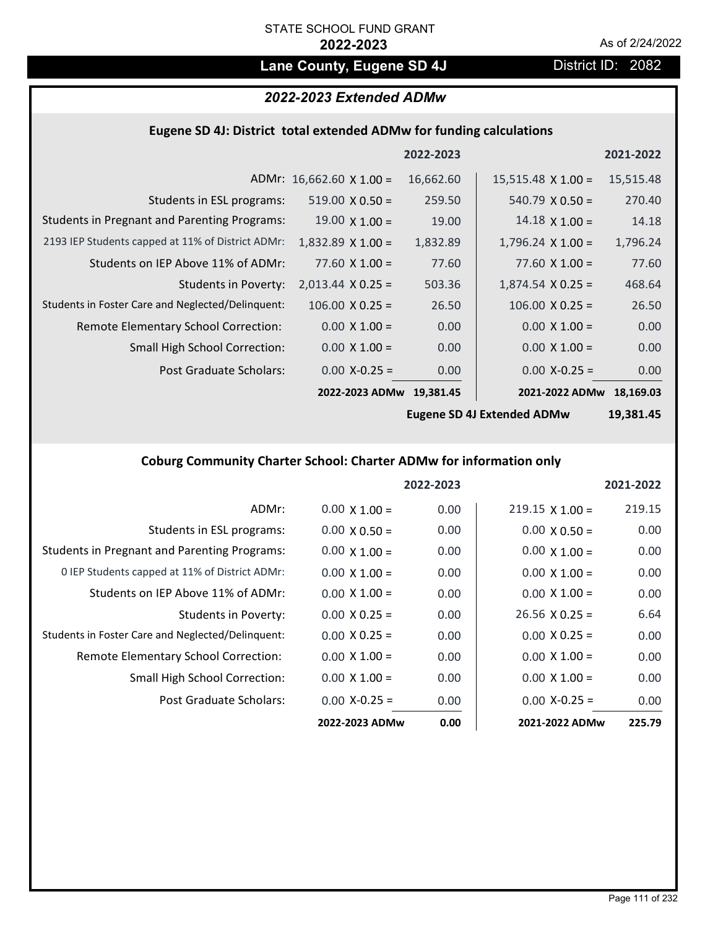## Lane County, Eugene SD 4J **District ID: 2082**

## *2022-2023 Extended ADMw*

## **Eugene SD 4J: District total extended ADMw for funding calculations**

|                                                     |                                 | 2022-2023 |                           | 2021-2022 |
|-----------------------------------------------------|---------------------------------|-----------|---------------------------|-----------|
|                                                     | ADMr: $16,662.60 \times 1.00 =$ | 16,662.60 | $15,515.48 \times 1.00 =$ | 15,515.48 |
| Students in ESL programs:                           | $519.00 \times 0.50 =$          | 259.50    | $540.79 \times 0.50 =$    | 270.40    |
| <b>Students in Pregnant and Parenting Programs:</b> | $19.00 \times 1.00 =$           | 19.00     | $14.18 \times 1.00 =$     | 14.18     |
| 2193 IEP Students capped at 11% of District ADMr:   | $1,832.89$ X $1.00 =$           | 1,832.89  | $1,796.24 \times 1.00 =$  | 1,796.24  |
| Students on IEP Above 11% of ADMr:                  | $77.60 \times 1.00 =$           | 77.60     | 77.60 $X$ 1.00 =          | 77.60     |
| <b>Students in Poverty:</b>                         | $2,013.44 \times 0.25 =$        | 503.36    | $1,874.54 \times 0.25 =$  | 468.64    |
| Students in Foster Care and Neglected/Delinquent:   | $106.00 \times 0.25 =$          | 26.50     | $106.00 \times 0.25 =$    | 26.50     |
| Remote Elementary School Correction:                | $0.00 \times 1.00 =$            | 0.00      | $0.00 \times 1.00 =$      | 0.00      |
| <b>Small High School Correction:</b>                | $0.00 \times 1.00 =$            | 0.00      | $0.00 \times 1.00 =$      | 0.00      |
| Post Graduate Scholars:                             | $0.00$ X-0.25 =                 | 0.00      | $0.00$ X-0.25 =           | 0.00      |
|                                                     | 2022-2023 ADMw                  | 19,381.45 | 2021-2022 ADMw            | 18,169.03 |

**Eugene SD 4J Extended ADMw**

**19,381.45**

## **Coburg Community Charter School: Charter ADMw for information only**

|                                                     |                      | 2022-2023 |                       | 2021-2022 |
|-----------------------------------------------------|----------------------|-----------|-----------------------|-----------|
| ADMr:                                               | $0.00 \times 1.00 =$ | 0.00      | $219.15$ X 1.00 =     | 219.15    |
| Students in ESL programs:                           | $0.00 \times 0.50 =$ | 0.00      | $0.00 \times 0.50 =$  | 0.00      |
| <b>Students in Pregnant and Parenting Programs:</b> | $0.00 \times 1.00 =$ | 0.00      | $0.00 \times 1.00 =$  | 0.00      |
| 0 IEP Students capped at 11% of District ADMr:      | $0.00 \times 1.00 =$ | 0.00      | $0.00 \times 1.00 =$  | 0.00      |
| Students on IEP Above 11% of ADMr:                  | $0.00 \times 1.00 =$ | 0.00      | $0.00 \times 1.00 =$  | 0.00      |
| Students in Poverty:                                | $0.00 \times 0.25 =$ | 0.00      | $26.56 \times 0.25 =$ | 6.64      |
| Students in Foster Care and Neglected/Delinquent:   | $0.00 \times 0.25 =$ | 0.00      | $0.00 \times 0.25 =$  | 0.00      |
| Remote Elementary School Correction:                | $0.00 \times 1.00 =$ | 0.00      | $0.00 \times 1.00 =$  | 0.00      |
| Small High School Correction:                       | $0.00 \times 1.00 =$ | 0.00      | $0.00 \times 1.00 =$  | 0.00      |
| Post Graduate Scholars:                             | $0.00$ X-0.25 =      | 0.00      | $0.00 X-0.25 =$       | 0.00      |
|                                                     | 2022-2023 ADMw       | 0.00      | 2021-2022 ADMw        | 225.79    |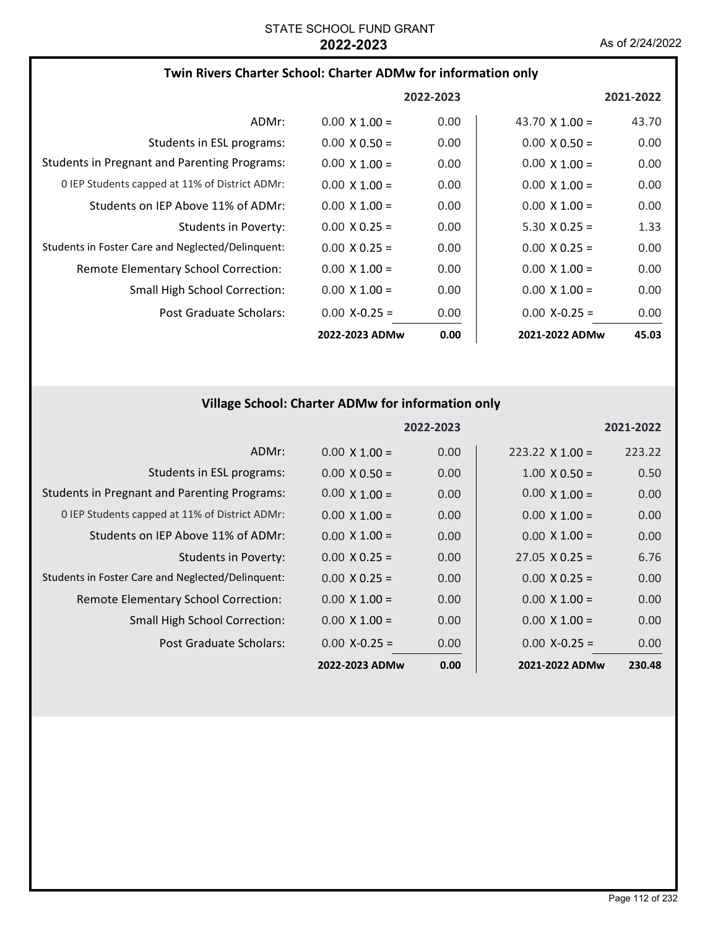### **Twin Rivers Charter School: Charter ADMw for information only**

|                                                     |                      | 2022-2023 |                       | 2021-2022 |
|-----------------------------------------------------|----------------------|-----------|-----------------------|-----------|
| ADMr:                                               | $0.00 \times 1.00 =$ | 0.00      | $43.70 \times 1.00 =$ | 43.70     |
| Students in ESL programs:                           | $0.00 \times 0.50 =$ | 0.00      | $0.00 \times 0.50 =$  | 0.00      |
| <b>Students in Pregnant and Parenting Programs:</b> | $0.00 \times 1.00 =$ | 0.00      | $0.00 \times 1.00 =$  | 0.00      |
| 0 IEP Students capped at 11% of District ADMr:      | $0.00 \times 1.00 =$ | 0.00      | $0.00 \times 1.00 =$  | 0.00      |
| Students on IEP Above 11% of ADMr:                  | $0.00 \times 1.00 =$ | 0.00      | $0.00 \times 1.00 =$  | 0.00      |
| Students in Poverty:                                | $0.00 \times 0.25 =$ | 0.00      | $5.30 \times 0.25 =$  | 1.33      |
| Students in Foster Care and Neglected/Delinquent:   | $0.00 \times 0.25 =$ | 0.00      | $0.00 \times 0.25 =$  | 0.00      |
| Remote Elementary School Correction:                | $0.00 \times 1.00 =$ | 0.00      | $0.00 \times 1.00 =$  | 0.00      |
| <b>Small High School Correction:</b>                | $0.00 \times 1.00 =$ | 0.00      | $0.00 \times 1.00 =$  | 0.00      |
| Post Graduate Scholars:                             | $0.00 X - 0.25 =$    | 0.00      | $0.00 X - 0.25 =$     | 0.00      |
|                                                     | 2022-2023 ADMw       | 0.00      | 2021-2022 ADMw        | 45.03     |

## **Village School: Charter ADMw for information only**

|                                                     |                      | 2022-2023 |                       | 2021-2022         |
|-----------------------------------------------------|----------------------|-----------|-----------------------|-------------------|
| ADMr:                                               | $0.00 \times 1.00 =$ | 0.00      | $223.22$ X 1.00 =     | 223.22            |
| Students in ESL programs:                           | $0.00 \times 0.50 =$ | 0.00      | $1.00 \times 0.50 =$  | 0.50              |
| <b>Students in Pregnant and Parenting Programs:</b> | $0.00 \times 1.00 =$ | 0.00      | $0.00 \times 1.00 =$  | 0.00 <sub>1</sub> |
| 0 IEP Students capped at 11% of District ADMr:      | $0.00 \times 1.00 =$ | 0.00      | $0.00 \times 1.00 =$  | 0.00              |
| Students on IEP Above 11% of ADMr:                  | $0.00 \times 1.00 =$ | 0.00      | $0.00 \times 1.00 =$  | 0.00              |
| Students in Poverty:                                | $0.00 \times 0.25 =$ | 0.00      | $27.05 \times 0.25 =$ | 6.76              |
| Students in Foster Care and Neglected/Delinquent:   | $0.00 \times 0.25 =$ | 0.00      | $0.00 \times 0.25 =$  | 0.00              |
| Remote Elementary School Correction:                | $0.00 \times 1.00 =$ | 0.00      | $0.00 \times 1.00 =$  | 0.00              |
| <b>Small High School Correction:</b>                | $0.00 \times 1.00 =$ | 0.00      | $0.00 \times 1.00 =$  | 0.00              |
| Post Graduate Scholars:                             | $0.00 X-0.25 =$      | 0.00      | $0.00 X - 0.25 =$     | 0.00              |
|                                                     | 2022-2023 ADMw       | 0.00      | 2021-2022 ADMw        | 230.48            |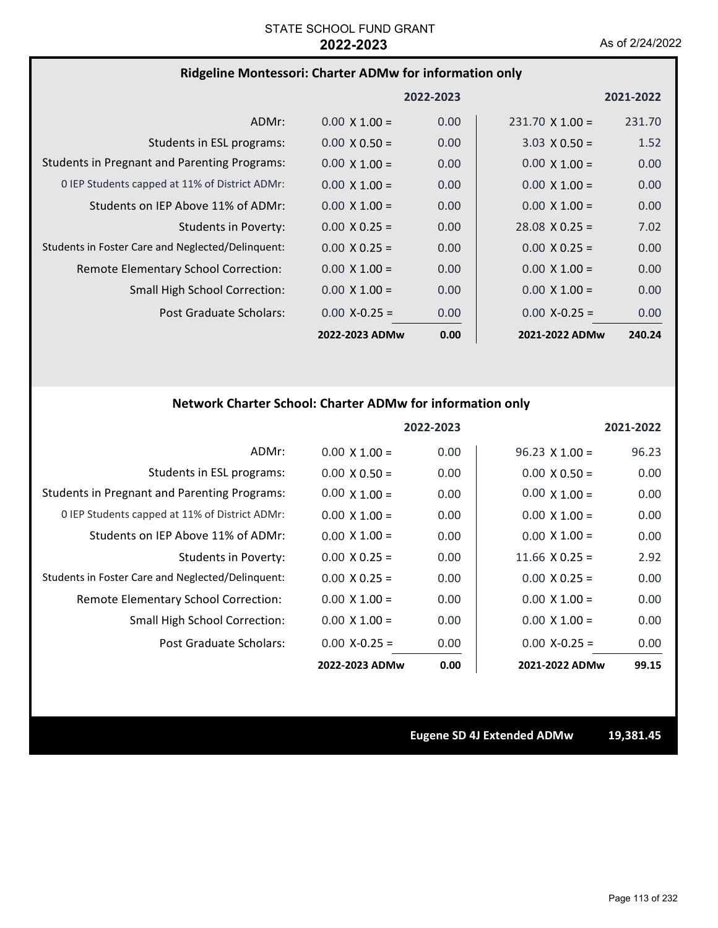#### **Ridgeline Montessori: Charter ADMw for information only**

|                                                     |                      | 2022-2023 |                        | 2021-2022 |
|-----------------------------------------------------|----------------------|-----------|------------------------|-----------|
| ADMr:                                               | $0.00 \times 1.00 =$ | 0.00      | $231.70 \times 1.00 =$ | 231.70    |
| Students in ESL programs:                           | $0.00 \times 0.50 =$ | 0.00      | $3.03 \times 0.50 =$   | 1.52      |
| <b>Students in Pregnant and Parenting Programs:</b> | $0.00 \times 1.00 =$ | 0.00      | $0.00 \times 1.00 =$   | 0.00      |
| 0 IEP Students capped at 11% of District ADMr:      | $0.00 \times 1.00 =$ | 0.00      | $0.00 \times 1.00 =$   | 0.00      |
| Students on IEP Above 11% of ADMr:                  | $0.00 \times 1.00 =$ | 0.00      | $0.00 \times 1.00 =$   | 0.00      |
| Students in Poverty:                                | $0.00 \times 0.25 =$ | 0.00      | $28.08 \times 0.25 =$  | 7.02      |
| Students in Foster Care and Neglected/Delinquent:   | $0.00 \times 0.25 =$ | 0.00      | $0.00 \times 0.25 =$   | 0.00      |
| Remote Elementary School Correction:                | $0.00 \times 1.00 =$ | 0.00      | $0.00 \times 1.00 =$   | 0.00      |
| <b>Small High School Correction:</b>                | $0.00 \times 1.00 =$ | 0.00      | $0.00 \times 1.00 =$   | 0.00      |
| Post Graduate Scholars:                             | $0.00 X - 0.25 =$    | 0.00      | $0.00 X - 0.25 =$      | 0.00      |
|                                                     | 2022-2023 ADMw       | 0.00      | 2021-2022 ADMw         | 240.24    |

## **Network Charter School: Charter ADMw for information only**

|                                                     |                      | 2022-2023 |                       | 2021-2022 |
|-----------------------------------------------------|----------------------|-----------|-----------------------|-----------|
| ADMr:                                               | $0.00 \times 1.00 =$ | 0.00      | $96.23 \times 1.00 =$ | 96.23     |
| Students in ESL programs:                           | $0.00 \times 0.50 =$ | 0.00      | $0.00 \times 0.50 =$  | 0.00      |
| <b>Students in Pregnant and Parenting Programs:</b> | $0.00 \times 1.00 =$ | 0.00      | $0.00 \times 1.00 =$  | 0.00      |
| 0 IEP Students capped at 11% of District ADMr:      | $0.00 \times 1.00 =$ | 0.00      | $0.00 \times 1.00 =$  | 0.00      |
| Students on IEP Above 11% of ADMr:                  | $0.00 \times 1.00 =$ | 0.00      | $0.00 \times 1.00 =$  | 0.00      |
| Students in Poverty:                                | $0.00 \times 0.25 =$ | 0.00      | $11.66 \times 0.25 =$ | 2.92      |
| Students in Foster Care and Neglected/Delinquent:   | $0.00 \times 0.25 =$ | 0.00      | $0.00 \times 0.25 =$  | 0.00      |
| Remote Elementary School Correction:                | $0.00 \times 1.00 =$ | 0.00      | $0.00 \times 1.00 =$  | 0.00      |
| Small High School Correction:                       | $0.00 \times 1.00 =$ | 0.00      | $0.00 \times 1.00 =$  | 0.00      |
| Post Graduate Scholars:                             | $0.00 X - 0.25 =$    | 0.00      | $0.00$ X-0.25 =       | 0.00      |
|                                                     | 2022-2023 ADMw       | 0.00      | 2021-2022 ADMw        | 99.15     |

**Eugene SD 4J Extended ADMw 19,381.45**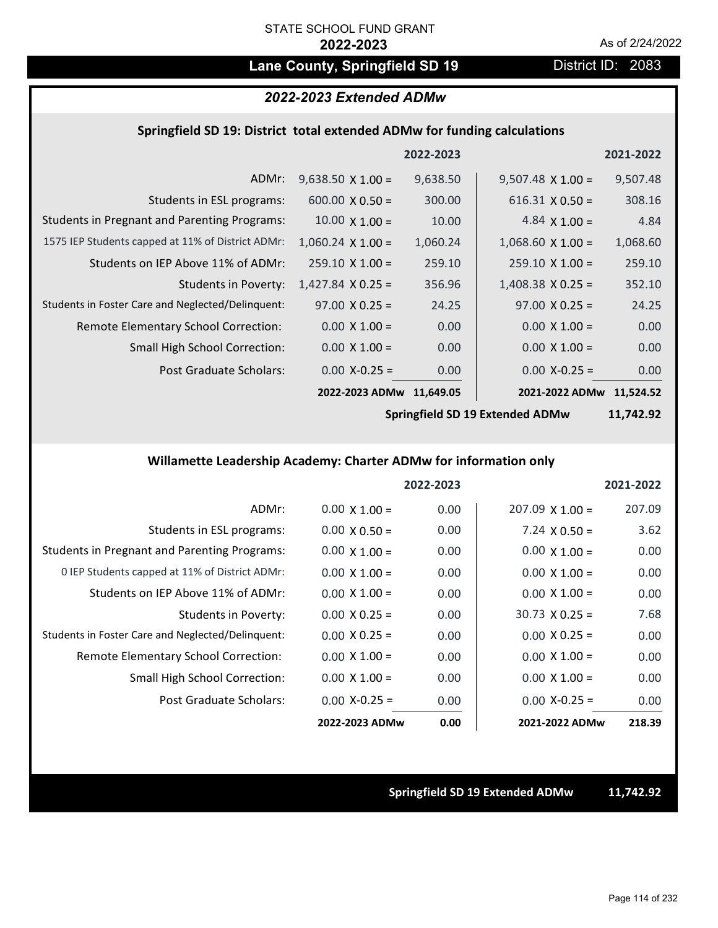# Lane County, Springfield SD 19 **District ID: 2083**

## *2022-2023 Extended ADMw*

#### **Springfield SD 19: District total extended ADMw for funding calculations**

|                                                     |                          | 2022-2023 |                          | 2021-2022 |
|-----------------------------------------------------|--------------------------|-----------|--------------------------|-----------|
| ADMr:                                               | $9,638.50 \times 1.00 =$ | 9,638.50  | $9,507.48 \times 1.00 =$ | 9,507.48  |
| Students in ESL programs:                           | $600.00 \times 0.50 =$   | 300.00    | $616.31 \times 0.50 =$   | 308.16    |
| <b>Students in Pregnant and Parenting Programs:</b> | $10.00 \times 1.00 =$    | 10.00     | 4.84 $\times$ 1.00 =     | 4.84      |
| 1575 IEP Students capped at 11% of District ADMr:   | $1,060.24 \times 1.00 =$ | 1,060.24  | $1,068.60 \times 1.00 =$ | 1,068.60  |
| Students on IEP Above 11% of ADMr:                  | $259.10 \times 1.00 =$   | 259.10    | $259.10 \times 1.00 =$   | 259.10    |
| <b>Students in Poverty:</b>                         | $1,427.84 \times 0.25 =$ | 356.96    | $1,408.38 \times 0.25 =$ | 352.10    |
| Students in Foster Care and Neglected/Delinquent:   | $97.00 \times 0.25 =$    | 24.25     | $97.00 \times 0.25 =$    | 24.25     |
| Remote Elementary School Correction:                | $0.00 \times 1.00 =$     | 0.00      | $0.00 \times 1.00 =$     | 0.00      |
| <b>Small High School Correction:</b>                | $0.00 \times 1.00 =$     | 0.00      | $0.00 \times 1.00 =$     | 0.00      |
| Post Graduate Scholars:                             | $0.00$ X-0.25 =          | 0.00      | $0.00$ X-0.25 =          | 0.00      |
|                                                     | 2022-2023 ADMw           | 11.649.05 | 2021-2022 ADMw           | 11.524.52 |

**Springfield SD 19 Extended ADMw**

**11,742.92**

## **Willamette Leadership Academy: Charter ADMw for information only**

|                                                     |                      | 2022-2023 |                        | 2021-2022 |
|-----------------------------------------------------|----------------------|-----------|------------------------|-----------|
| ADMr:                                               | $0.00 \times 1.00 =$ | 0.00      | $207.09 \times 1.00 =$ | 207.09    |
| Students in ESL programs:                           | $0.00 \times 0.50 =$ | 0.00      | $7.24 \times 0.50 =$   | 3.62      |
| <b>Students in Pregnant and Parenting Programs:</b> | $0.00 \times 1.00 =$ | 0.00      | $0.00 \times 1.00 =$   | 0.00      |
| 0 IEP Students capped at 11% of District ADMr:      | $0.00 \times 1.00 =$ | 0.00      | $0.00 \times 1.00 =$   | 0.00      |
| Students on IEP Above 11% of ADMr:                  | $0.00 \times 1.00 =$ | 0.00      | $0.00 \times 1.00 =$   | 0.00      |
| Students in Poverty:                                | $0.00 \times 0.25 =$ | 0.00      | $30.73 \times 0.25 =$  | 7.68      |
| Students in Foster Care and Neglected/Delinquent:   | $0.00 \times 0.25 =$ | 0.00      | $0.00 \times 0.25 =$   | 0.00      |
| Remote Elementary School Correction:                | $0.00 \times 1.00 =$ | 0.00      | $0.00 \times 1.00 =$   | 0.00      |
| Small High School Correction:                       | $0.00 \times 1.00 =$ | 0.00      | $0.00 \times 1.00 =$   | 0.00      |
| Post Graduate Scholars:                             | $0.00$ X-0.25 =      | 0.00      | $0.00 X-0.25 =$        | 0.00      |
|                                                     | 2022-2023 ADMw       | 0.00      | 2021-2022 ADMw         | 218.39    |

**Springfield SD 19 Extended ADMw 11,742.92**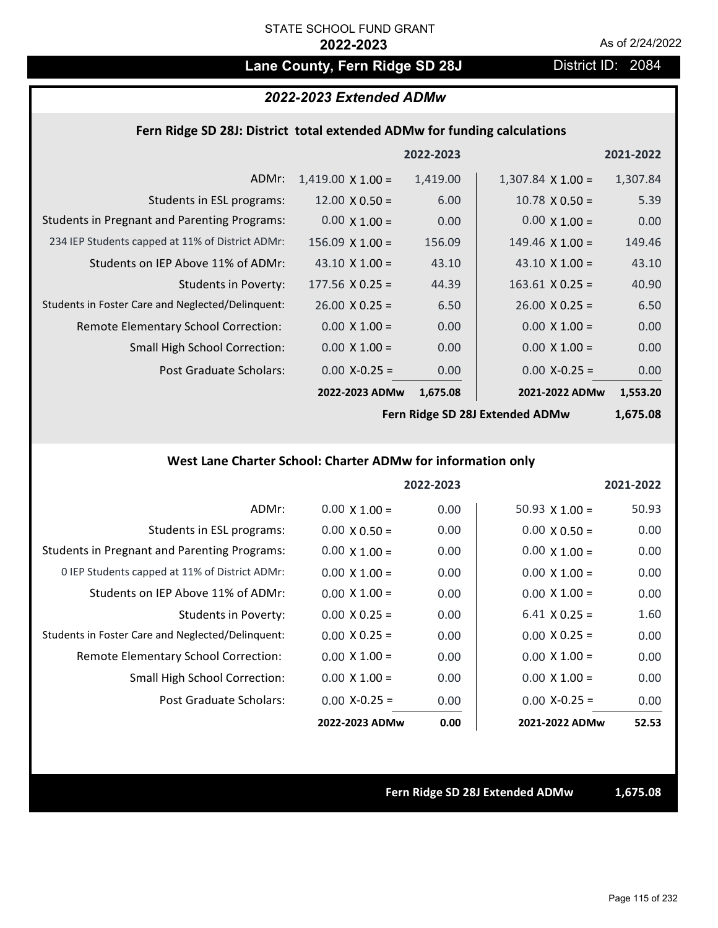## Lane County, Fern Ridge SD 28J District ID: 2084

#### *2022-2023 Extended ADMw*

#### **Fern Ridge SD 28J: District total extended ADMw for funding calculations**

|                                                     |                          | 2022-2023 |                          | 2021-2022 |
|-----------------------------------------------------|--------------------------|-----------|--------------------------|-----------|
| ADMr:                                               | $1,419.00 \times 1.00 =$ | 1,419.00  | $1,307.84 \times 1.00 =$ | 1,307.84  |
| Students in ESL programs:                           | $12.00 \times 0.50 =$    | 6.00      | $10.78 \times 0.50 =$    | 5.39      |
| <b>Students in Pregnant and Parenting Programs:</b> | $0.00 \times 1.00 =$     | 0.00      | $0.00 \times 1.00 =$     | 0.00      |
| 234 IEP Students capped at 11% of District ADMr:    | $156.09 \times 1.00 =$   | 156.09    | 149.46 $\times$ 1.00 =   | 149.46    |
| Students on IEP Above 11% of ADMr:                  | 43.10 $\times$ 1.00 =    | 43.10     | 43.10 $\times$ 1.00 =    | 43.10     |
| Students in Poverty:                                | $177.56 \times 0.25 =$   | 44.39     | $163.61$ X 0.25 =        | 40.90     |
| Students in Foster Care and Neglected/Delinquent:   | $26.00 \times 0.25 =$    | 6.50      | $26.00 \times 0.25 =$    | 6.50      |
| Remote Elementary School Correction:                | $0.00 \times 1.00 =$     | 0.00      | $0.00 \times 1.00 =$     | 0.00      |
| <b>Small High School Correction:</b>                | $0.00 \times 1.00 =$     | 0.00      | $0.00 \times 1.00 =$     | 0.00      |
| Post Graduate Scholars:                             | $0.00$ X-0.25 =          | 0.00      | $0.00$ X-0.25 =          | 0.00      |
|                                                     | 2022-2023 ADMw           | 1,675.08  | 2021-2022 ADMw           | 1,553.20  |

**Fern Ridge SD 28J Extended ADMw**

**1,675.08**

### **West Lane Charter School: Charter ADMw for information only**

|                                                     |                      | 2022-2023 |                       | 2021-2022 |
|-----------------------------------------------------|----------------------|-----------|-----------------------|-----------|
| ADMr:                                               | $0.00 \times 1.00 =$ | 0.00      | $50.93 \times 1.00 =$ | 50.93     |
| Students in ESL programs:                           | $0.00 \times 0.50 =$ | 0.00      | $0.00 \times 0.50 =$  | 0.00      |
| <b>Students in Pregnant and Parenting Programs:</b> | $0.00 \times 1.00 =$ | 0.00      | $0.00 \times 1.00 =$  | 0.00      |
| 0 IEP Students capped at 11% of District ADMr:      | $0.00 \times 1.00 =$ | 0.00      | $0.00 \times 1.00 =$  | 0.00      |
| Students on IEP Above 11% of ADMr:                  | $0.00 \times 1.00 =$ | 0.00      | $0.00 \times 1.00 =$  | 0.00      |
| Students in Poverty:                                | $0.00 \times 0.25 =$ | 0.00      | $6.41 \times 0.25 =$  | 1.60      |
| Students in Foster Care and Neglected/Delinquent:   | $0.00 \times 0.25 =$ | 0.00      | $0.00 \times 0.25 =$  | 0.00      |
| Remote Elementary School Correction:                | $0.00 \times 1.00 =$ | 0.00      | $0.00 \times 1.00 =$  | 0.00      |
| <b>Small High School Correction:</b>                | $0.00 \times 1.00 =$ | 0.00      | $0.00 \times 1.00 =$  | 0.00      |
| Post Graduate Scholars:                             | $0.00 X-0.25 =$      | 0.00      | $0.00 X-0.25 =$       | 0.00      |
|                                                     | 2022-2023 ADMw       | 0.00      | 2021-2022 ADMw        | 52.53     |

**Fern Ridge SD 28J Extended ADMw 1,675.08**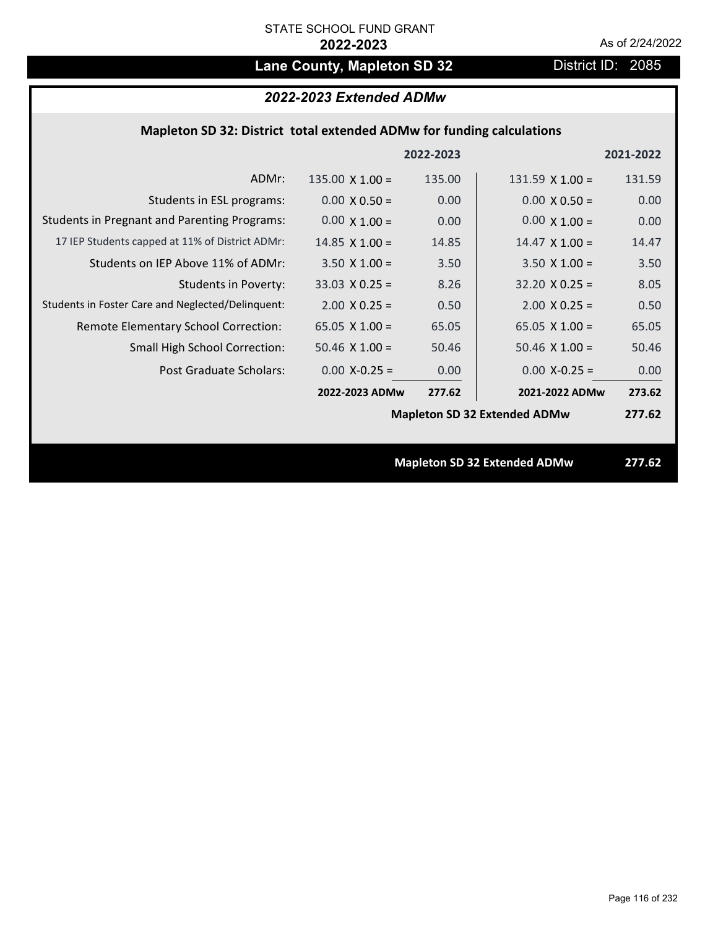## Lane County, Mapleton SD 32 District ID: 2085

## *2022-2023 Extended ADMw*

## **Mapleton SD 32: District total extended ADMw for funding calculations**

|                                                     |                        | 2022-2023 |                                     | 2021-2022 |
|-----------------------------------------------------|------------------------|-----------|-------------------------------------|-----------|
| ADMr:                                               | $135.00 \times 1.00 =$ | 135.00    | $131.59$ X $1.00 =$                 | 131.59    |
| Students in ESL programs:                           | $0.00 \times 0.50 =$   | 0.00      | $0.00 \times 0.50 =$                | 0.00      |
| <b>Students in Pregnant and Parenting Programs:</b> | $0.00 \times 1.00 =$   | 0.00      | $0.00 \times 1.00 =$                | 0.00      |
| 17 IEP Students capped at 11% of District ADMr:     | 14.85 $\times$ 1.00 =  | 14.85     | $14.47 \times 1.00 =$               | 14.47     |
| Students on IEP Above 11% of ADMr:                  | $3.50 \times 1.00 =$   | 3.50      | $3.50 \times 1.00 =$                | 3.50      |
| <b>Students in Poverty:</b>                         | $33.03 \times 0.25 =$  | 8.26      | $32.20 \times 0.25 =$               | 8.05      |
| Students in Foster Care and Neglected/Delinquent:   | $2.00 \times 0.25 =$   | 0.50      | $2.00 \times 0.25 =$                | 0.50      |
| Remote Elementary School Correction:                | 65.05 $X$ 1.00 =       | 65.05     | $65.05 \times 1.00 =$               | 65.05     |
| <b>Small High School Correction:</b>                | $50.46$ X 1.00 =       | 50.46     | $50.46$ X 1.00 =                    | 50.46     |
| Post Graduate Scholars:                             | $0.00$ X-0.25 =        | 0.00      | $0.00$ X-0.25 =                     | 0.00      |
|                                                     | 2022-2023 ADMw         | 277.62    | 2021-2022 ADMw                      | 273.62    |
|                                                     |                        |           | <b>Mapleton SD 32 Extended ADMw</b> | 277.62    |
|                                                     |                        |           |                                     |           |
|                                                     |                        |           | <b>Mapleton SD 32 Extended ADMw</b> | 277.62    |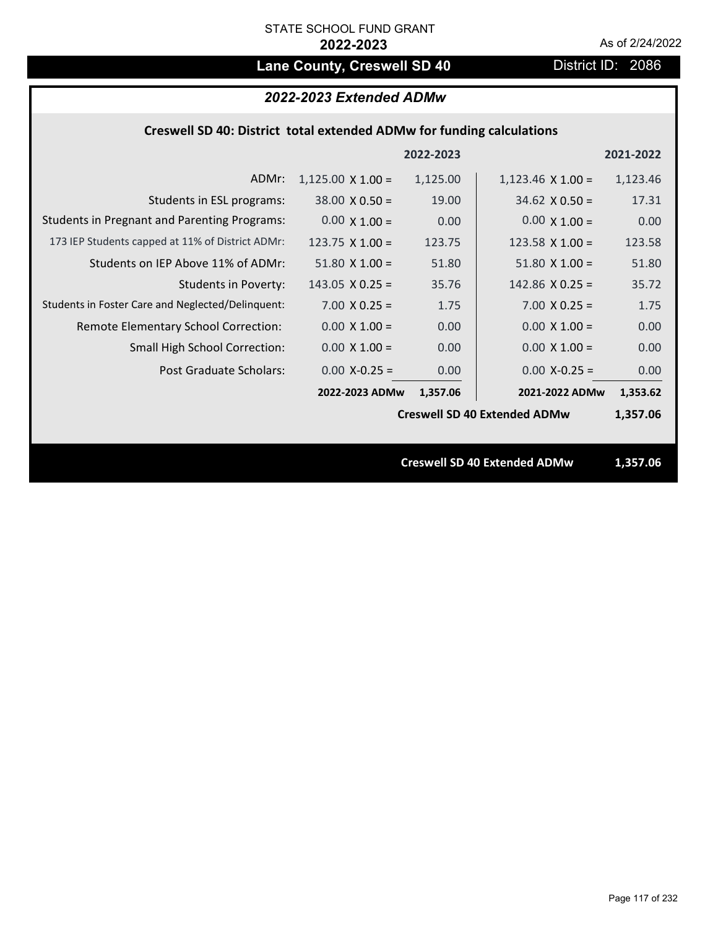# Lane County, Creswell SD 40 District ID: 2086

## *2022-2023 Extended ADMw*

## **Creswell SD 40: District total extended ADMw for funding calculations**

|                                                     |                          | 2022-2023 |                                     | 2021-2022 |  |
|-----------------------------------------------------|--------------------------|-----------|-------------------------------------|-----------|--|
| ADMr:                                               | $1,125.00 \times 1.00 =$ | 1,125.00  | $1,123.46 \times 1.00 =$            | 1,123.46  |  |
| Students in ESL programs:                           | $38.00 \times 0.50 =$    | 19.00     | $34.62 \times 0.50 =$               | 17.31     |  |
| <b>Students in Pregnant and Parenting Programs:</b> | $0.00 \times 1.00 =$     | 0.00      | $0.00 \times 1.00 =$                | 0.00      |  |
| 173 IEP Students capped at 11% of District ADMr:    | 123.75 $\times$ 1.00 =   | 123.75    | 123.58 $X$ 1.00 =                   | 123.58    |  |
| Students on IEP Above 11% of ADMr:                  | $51.80 \times 1.00 =$    | 51.80     | $51.80$ X $1.00 =$                  | 51.80     |  |
| <b>Students in Poverty:</b>                         | $143.05$ X 0.25 =        | 35.76     | 142.86 $X$ 0.25 =                   | 35.72     |  |
| Students in Foster Care and Neglected/Delinquent:   | $7.00 \times 0.25 =$     | 1.75      | $7.00 \times 0.25 =$                | 1.75      |  |
| Remote Elementary School Correction:                | $0.00 \times 1.00 =$     | 0.00      | $0.00 \times 1.00 =$                | 0.00      |  |
| <b>Small High School Correction:</b>                | $0.00 \times 1.00 =$     | 0.00      | $0.00 \times 1.00 =$                | 0.00      |  |
| Post Graduate Scholars:                             | $0.00$ X-0.25 =          | 0.00      | $0.00$ X-0.25 =                     | 0.00      |  |
|                                                     | 2022-2023 ADMw           | 1,357.06  | 2021-2022 ADMw                      | 1,353.62  |  |
|                                                     |                          |           | <b>Creswell SD 40 Extended ADMw</b> | 1,357.06  |  |
|                                                     |                          |           |                                     |           |  |
|                                                     |                          |           | <b>Creswell SD 40 Extended ADMw</b> | 1,357.06  |  |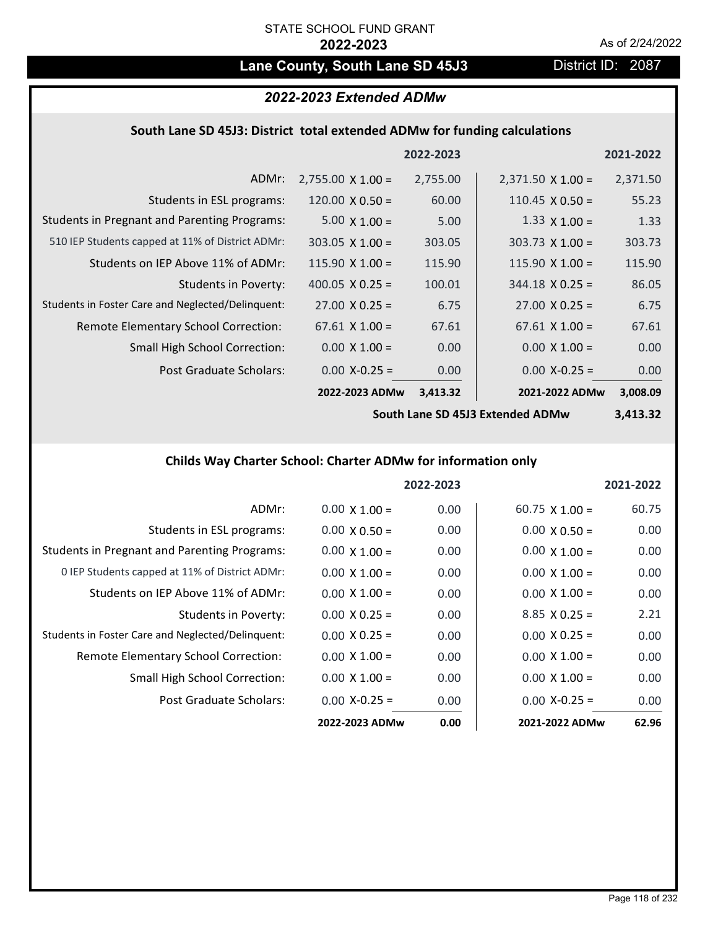## Lane County, South Lane SD 45J3 District ID: 2087

## *2022-2023 Extended ADMw*

## **South Lane SD 45J3: District total extended ADMw for funding calculations**

|                                                     |                          | 2022-2023 |                          | 2021-2022 |
|-----------------------------------------------------|--------------------------|-----------|--------------------------|-----------|
| ADMr:                                               | $2,755.00 \times 1.00 =$ | 2,755.00  | $2,371.50 \times 1.00 =$ | 2,371.50  |
| Students in ESL programs:                           | 120.00 $\times$ 0.50 =   | 60.00     | $110.45 \times 0.50 =$   | 55.23     |
| <b>Students in Pregnant and Parenting Programs:</b> | $5.00 \times 1.00 =$     | 5.00      | 1.33 $\times$ 1.00 =     | 1.33      |
| 510 IEP Students capped at 11% of District ADMr:    | $303.05 \times 1.00 =$   | 303.05    | $303.73 \times 1.00 =$   | 303.73    |
| Students on IEP Above 11% of ADMr:                  | $115.90 \times 1.00 =$   | 115.90    | $115.90 \times 1.00 =$   | 115.90    |
| Students in Poverty:                                | 400.05 $X$ 0.25 =        | 100.01    | $344.18 \times 0.25 =$   | 86.05     |
| Students in Foster Care and Neglected/Delinquent:   | $27.00 \times 0.25 =$    | 6.75      | $27.00 \times 0.25 =$    | 6.75      |
| Remote Elementary School Correction:                | $67.61 \times 1.00 =$    | 67.61     | $67.61 \times 1.00 =$    | 67.61     |
| <b>Small High School Correction:</b>                | $0.00 \times 1.00 =$     | 0.00      | $0.00 \times 1.00 =$     | 0.00      |
| Post Graduate Scholars:                             | $0.00 X - 0.25 =$        | 0.00      | $0.00$ X-0.25 =          | 0.00      |
|                                                     | 2022-2023 ADMw           | 3,413.32  | 2021-2022 ADMw           | 3,008.09  |

**South Lane SD 45J3 Extended ADMw**

**3,413.32**

## **Childs Way Charter School: Charter ADMw for information only**

|                                                     |                      | 2022-2023 |                       | 2021-2022 |
|-----------------------------------------------------|----------------------|-----------|-----------------------|-----------|
| ADMr:                                               | $0.00 \times 1.00 =$ | 0.00      | $60.75 \times 1.00 =$ | 60.75     |
| Students in ESL programs:                           | $0.00 \times 0.50 =$ | 0.00      | $0.00 \times 0.50 =$  | 0.00      |
| <b>Students in Pregnant and Parenting Programs:</b> | $0.00 \times 1.00 =$ | 0.00      | $0.00 \times 1.00 =$  | 0.00      |
| 0 IEP Students capped at 11% of District ADMr:      | $0.00 \times 1.00 =$ | 0.00      | $0.00 \times 1.00 =$  | 0.00      |
| Students on IEP Above 11% of ADMr:                  | $0.00 \times 1.00 =$ | 0.00      | $0.00 \times 1.00 =$  | 0.00      |
| Students in Poverty:                                | $0.00 \times 0.25 =$ | 0.00      | $8.85 \times 0.25 =$  | 2.21      |
| Students in Foster Care and Neglected/Delinquent:   | $0.00 \times 0.25 =$ | 0.00      | $0.00 \times 0.25 =$  | 0.00      |
| Remote Elementary School Correction:                | $0.00 \times 1.00 =$ | 0.00      | $0.00 \times 1.00 =$  | 0.00      |
| <b>Small High School Correction:</b>                | $0.00 \times 1.00 =$ | 0.00      | $0.00 \times 1.00 =$  | 0.00      |
| Post Graduate Scholars:                             | $0.00$ X-0.25 =      | 0.00      | $0.00 X-0.25 =$       | 0.00      |
|                                                     | 2022-2023 ADMw       | 0.00      | 2021-2022 ADMw        | 62.96     |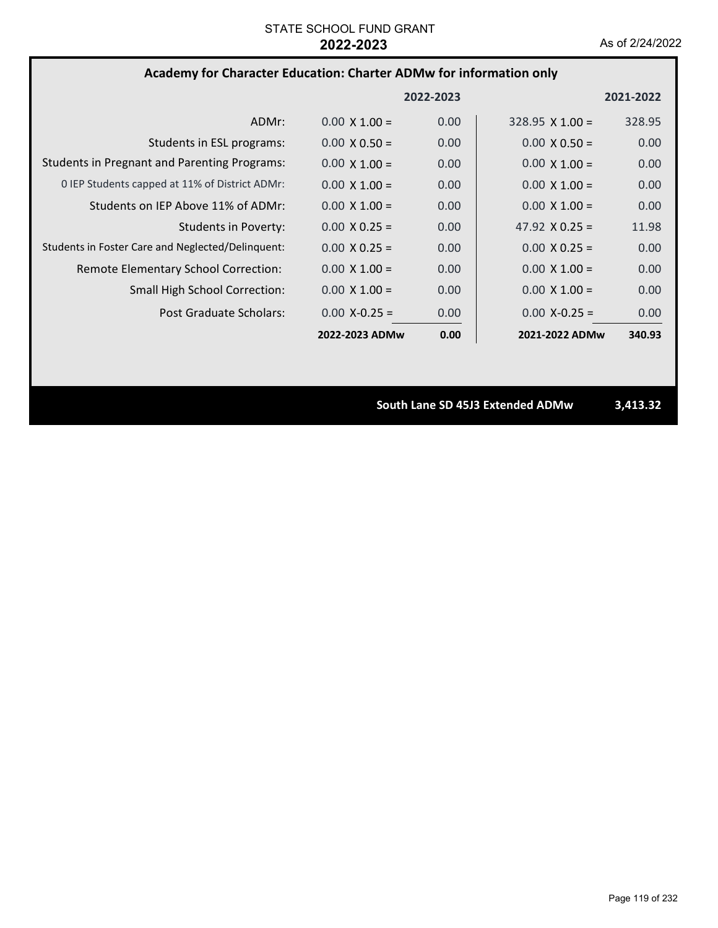### **Academy for Character Education: Charter ADMw for information only**

|                                                     |                      | 2022-2023         |                        | 2021-2022 |
|-----------------------------------------------------|----------------------|-------------------|------------------------|-----------|
| ADMr:                                               | $0.00 \times 1.00 =$ | 0.00              | $328.95 \times 1.00 =$ | 328.95    |
| Students in ESL programs:                           | $0.00 \times 0.50 =$ | 0.00              | $0.00 \times 0.50 =$   | 0.00      |
| <b>Students in Pregnant and Parenting Programs:</b> | $0.00 \times 1.00 =$ | 0.00              | $0.00 \times 1.00 =$   | 0.00      |
| 0 IEP Students capped at 11% of District ADMr:      | $0.00 \times 1.00 =$ | 0.00              | $0.00 \times 1.00 =$   | 0.00      |
| Students on IEP Above 11% of ADMr:                  | $0.00 \times 1.00 =$ | 0.00              | $0.00 \times 1.00 =$   | 0.00      |
| Students in Poverty:                                | $0.00 \times 0.25 =$ | 0.00              | 47.92 $\times$ 0.25 =  | 11.98     |
| Students in Foster Care and Neglected/Delinquent:   | $0.00 \times 0.25 =$ | 0.00              | $0.00 \times 0.25 =$   | 0.00      |
| Remote Elementary School Correction:                | $0.00 \times 1.00 =$ | 0.00              | $0.00 \times 1.00 =$   | 0.00      |
| <b>Small High School Correction:</b>                | $0.00 \times 1.00 =$ | 0.00              | $0.00 \times 1.00 =$   | 0.00      |
| Post Graduate Scholars:                             | $0.00 X - 0.25 =$    | 0.00 <sub>1</sub> | $0.00$ X-0.25 =        | 0.00      |
|                                                     | 2022-2023 ADMw       | 0.00              | 2021-2022 ADMw         | 340.93    |

**South Lane SD 45J3 Extended ADMw 3,413.32**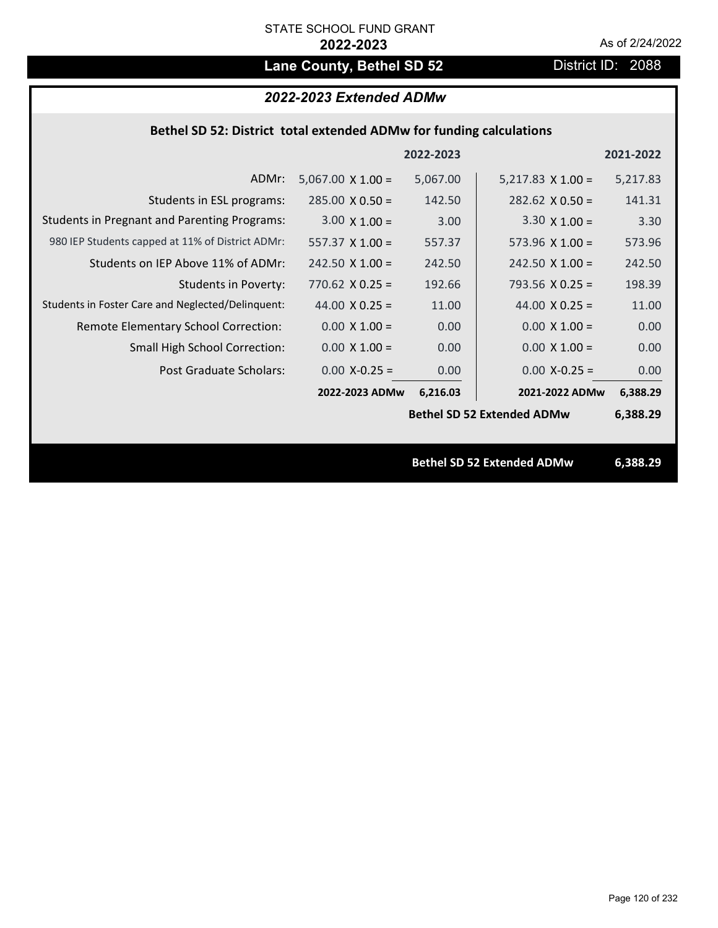## Lane County, Bethel SD 52 **District ID: 2088**

## *2022-2023 Extended ADMw*

### **Bethel SD 52: District total extended ADMw for funding calculations**

|                                                     |                          | 2022-2023 |                                   | 2021-2022 |
|-----------------------------------------------------|--------------------------|-----------|-----------------------------------|-----------|
| ADMr:                                               | $5,067.00 \times 1.00 =$ | 5,067.00  | $5,217.83 \times 1.00 =$          | 5,217.83  |
| Students in ESL programs:                           | $285.00 \times 0.50 =$   | 142.50    | $282.62 \times 0.50 =$            | 141.31    |
| <b>Students in Pregnant and Parenting Programs:</b> | $3.00 \times 1.00 =$     | 3.00      | $3.30 \times 1.00 =$              | 3.30      |
| 980 IEP Students capped at 11% of District ADMr:    | 557.37 $X$ 1.00 =        | 557.37    | $573.96 \times 1.00 =$            | 573.96    |
| Students on IEP Above 11% of ADMr:                  | $242.50 \times 1.00 =$   | 242.50    | $242.50$ X $1.00 =$               | 242.50    |
| <b>Students in Poverty:</b>                         | $770.62$ X 0.25 =        | 192.66    | 793.56 $X$ 0.25 =                 | 198.39    |
| Students in Foster Care and Neglected/Delinquent:   | 44.00 $X$ 0.25 =         | 11.00     | 44.00 $X$ 0.25 =                  | 11.00     |
| Remote Elementary School Correction:                | $0.00 \times 1.00 =$     | 0.00      | $0.00 \times 1.00 =$              | 0.00      |
| <b>Small High School Correction:</b>                | $0.00 \times 1.00 =$     | 0.00      | $0.00 \times 1.00 =$              | 0.00      |
| Post Graduate Scholars:                             | $0.00$ X-0.25 =          | 0.00      | $0.00$ X-0.25 =                   | 0.00      |
|                                                     | 2022-2023 ADMw           | 6,216.03  | 2021-2022 ADMw                    | 6,388.29  |
|                                                     |                          |           | <b>Bethel SD 52 Extended ADMw</b> | 6,388.29  |
|                                                     |                          |           |                                   |           |
|                                                     |                          |           | <b>Bethel SD 52 Extended ADMw</b> | 6,388.29  |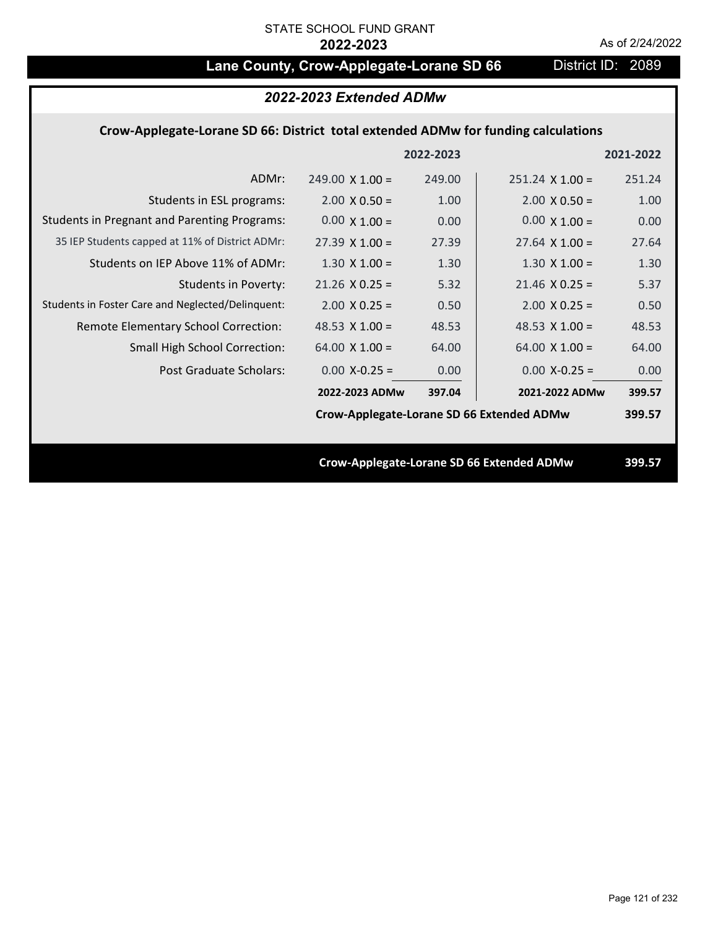# Lane County, Crow-Applegate-Lorane SD 66 District ID: 2089

## *2022-2023 Extended ADMw*

## **Crow‐Applegate‐Lorane SD 66: District total extended ADMw for funding calculations**

|                                                     |                                           | 2022-2023 |                        | 2021-2022 |
|-----------------------------------------------------|-------------------------------------------|-----------|------------------------|-----------|
| ADMr:                                               | $249.00 \times 1.00 =$                    | 249.00    | $251.24 \times 1.00 =$ | 251.24    |
| Students in ESL programs:                           | $2.00 \times 0.50 =$                      | 1.00      | $2.00 \times 0.50 =$   | 1.00      |
| <b>Students in Pregnant and Parenting Programs:</b> | $0.00 \times 1.00 =$                      | 0.00      | $0.00 \times 1.00 =$   | 0.00      |
| 35 IEP Students capped at 11% of District ADMr:     | $27.39 \times 1.00 =$                     | 27.39     | $27.64 \times 1.00 =$  | 27.64     |
| Students on IEP Above 11% of ADMr:                  | $1.30 \times 1.00 =$                      | 1.30      | $1.30 \times 1.00 =$   | 1.30      |
| <b>Students in Poverty:</b>                         | $21.26$ X 0.25 =                          | 5.32      | $21.46$ X 0.25 =       | 5.37      |
| Students in Foster Care and Neglected/Delinquent:   | $2.00 \times 0.25 =$                      | 0.50      | $2.00$ X 0.25 =        | 0.50      |
| Remote Elementary School Correction:                | 48.53 $\times$ 1.00 =                     | 48.53     | 48.53 $X$ 1.00 =       | 48.53     |
| <b>Small High School Correction:</b>                | $64.00 \times 1.00 =$                     | 64.00     | $64.00 \times 1.00 =$  | 64.00     |
| Post Graduate Scholars:                             | $0.00 X - 0.25 =$                         | 0.00      | $0.00$ X-0.25 =        | 0.00      |
|                                                     | 2022-2023 ADMw                            | 397.04    | 2021-2022 ADMw         | 399.57    |
|                                                     | Crow-Applegate-Lorane SD 66 Extended ADMw |           |                        | 399.57    |
|                                                     |                                           |           |                        |           |
|                                                     | Crow-Applegate-Lorane SD 66 Extended ADMw |           |                        | 399.57    |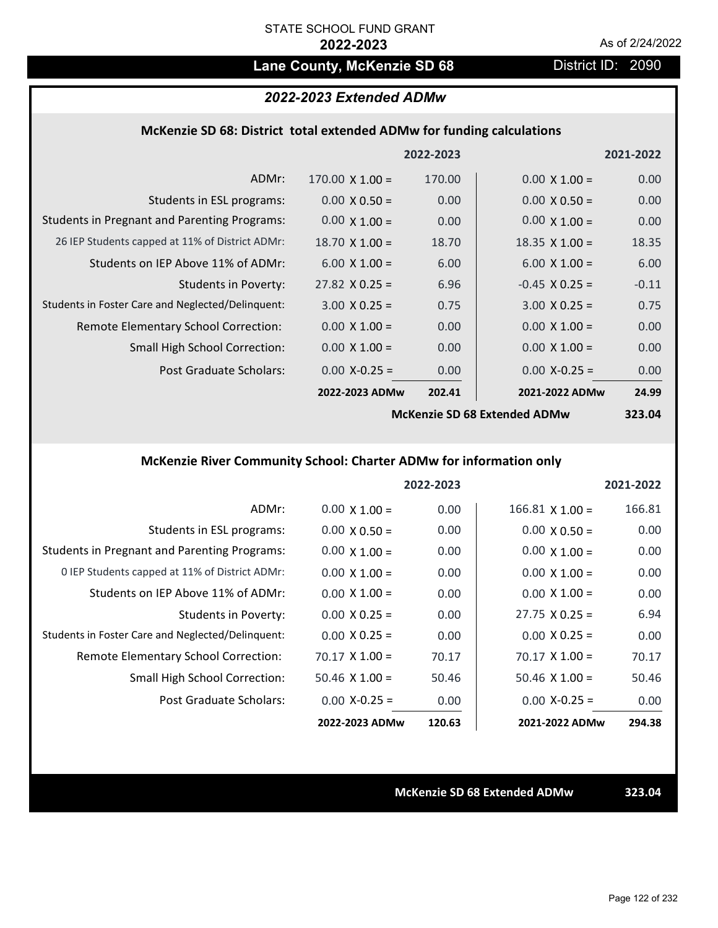# Lane County, McKenzie SD 68 District ID: 2090

#### *2022-2023 Extended ADMw*

#### **McKenzie SD 68: District total extended ADMw for funding calculations**

|                                                     |                        | 2022-2023 |                              | 2021-2022 |
|-----------------------------------------------------|------------------------|-----------|------------------------------|-----------|
| ADMr:                                               | $170.00 \times 1.00 =$ | 170.00    | $0.00 \times 1.00 =$         | 0.00      |
| Students in ESL programs:                           | $0.00 \times 0.50 =$   | 0.00      | $0.00 \times 0.50 =$         | 0.00      |
| <b>Students in Pregnant and Parenting Programs:</b> | $0.00 \times 1.00 =$   | 0.00      | $0.00 \times 1.00 =$         | 0.00      |
| 26 IEP Students capped at 11% of District ADMr:     | $18.70 \times 1.00 =$  | 18.70     | $18.35 \times 1.00 =$        | 18.35     |
| Students on IEP Above 11% of ADMr:                  | $6.00 \times 1.00 =$   | 6.00      | $6.00 \times 1.00 =$         | 6.00      |
| <b>Students in Poverty:</b>                         | $27.82 \times 0.25 =$  | 6.96      | $-0.45$ X 0.25 =             | $-0.11$   |
| Students in Foster Care and Neglected/Delinquent:   | $3.00 \times 0.25 =$   | 0.75      | $3.00 \times 0.25 =$         | 0.75      |
| Remote Elementary School Correction:                | $0.00 \times 1.00 =$   | 0.00      | $0.00 \times 1.00 =$         | 0.00      |
| <b>Small High School Correction:</b>                | $0.00 \times 1.00 =$   | 0.00      | $0.00 \times 1.00 =$         | 0.00      |
| Post Graduate Scholars:                             | $0.00$ X-0.25 =        | 0.00      | $0.00$ X-0.25 =              | 0.00      |
|                                                     | 2022-2023 ADMw         | 202.41    | 2021-2022 ADMw               | 24.99     |
|                                                     |                        |           | Mckenzie CD CO Extended ADMu | . מח כרכ  |

**McKenzie SD 68 Extended ADMw**

# **323.04**

## **McKenzie River Community School: Charter ADMw for information only**

|                                                     |                       | 2022-2023 |                        | 2021-2022 |
|-----------------------------------------------------|-----------------------|-----------|------------------------|-----------|
| ADMr:                                               | $0.00 \times 1.00 =$  | 0.00      | $166.81 \times 1.00 =$ | 166.81    |
| Students in ESL programs:                           | $0.00 \times 0.50 =$  | 0.00      | $0.00 \times 0.50 =$   | 0.00      |
| <b>Students in Pregnant and Parenting Programs:</b> | $0.00 \times 1.00 =$  | 0.00      | $0.00 \times 1.00 =$   | 0.00      |
| 0 IEP Students capped at 11% of District ADMr:      | $0.00 \times 1.00 =$  | 0.00      | $0.00 \times 1.00 =$   | 0.00      |
| Students on IEP Above 11% of ADMr:                  | $0.00 \times 1.00 =$  | 0.00      | $0.00 \times 1.00 =$   | 0.00      |
| Students in Poverty:                                | $0.00 X 0.25 =$       | 0.00      | $27.75 \times 0.25 =$  | 6.94      |
| Students in Foster Care and Neglected/Delinquent:   | $0.00 \times 0.25 =$  | 0.00      | $0.00 \times 0.25 =$   | 0.00      |
| Remote Elementary School Correction:                | $70.17 \times 1.00 =$ | 70.17     | $70.17 \times 1.00 =$  | 70.17     |
| <b>Small High School Correction:</b>                | $50.46 \times 1.00 =$ | 50.46     | $50.46 \times 1.00 =$  | 50.46     |
| Post Graduate Scholars:                             | $0.00$ X-0.25 =       | 0.00      | $0.00 X-0.25 =$        | 0.00      |
|                                                     | 2022-2023 ADMw        | 120.63    | 2021-2022 ADMw         | 294.38    |

**McKenzie SD 68 Extended ADMw 323.04**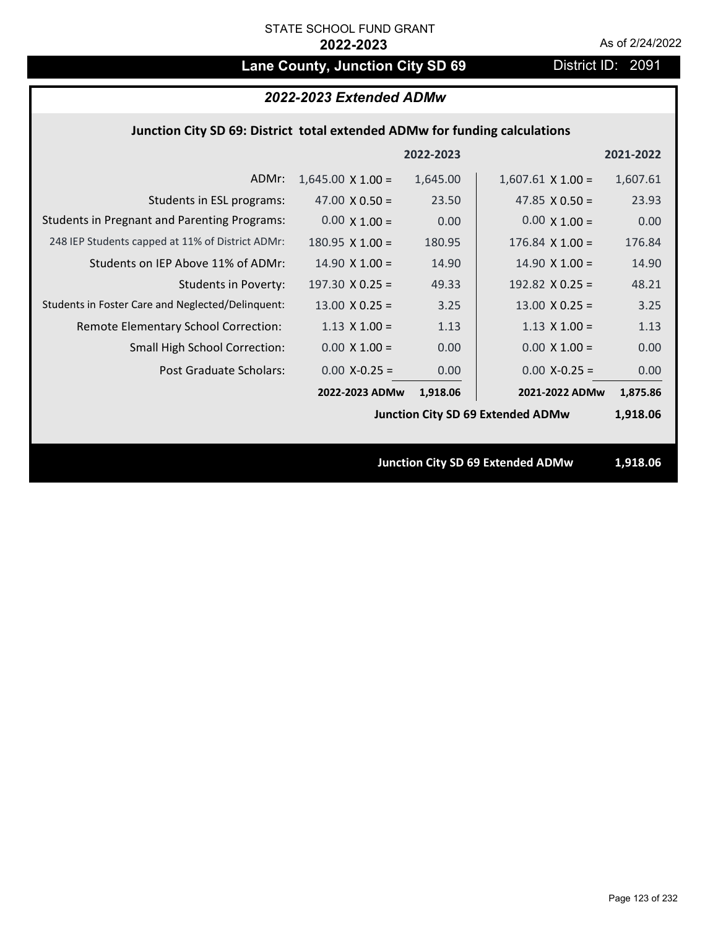# Lane County, Junction City SD 69 District ID: 2091

## *2022-2023 Extended ADMw*

### **Junction City SD 69: District total extended ADMw for funding calculations**

|                                                     |                          | 2022-2023 |                                          | 2021-2022 |
|-----------------------------------------------------|--------------------------|-----------|------------------------------------------|-----------|
| ADMr:                                               | $1,645.00 \times 1.00 =$ | 1,645.00  | $1,607.61$ X $1.00 =$                    | 1,607.61  |
| Students in ESL programs:                           | 47.00 $\times$ 0.50 =    | 23.50     | 47.85 $\times$ 0.50 =                    | 23.93     |
| <b>Students in Pregnant and Parenting Programs:</b> | $0.00 \times 1.00 =$     | 0.00      | $0.00 \times 1.00 =$                     | 0.00      |
| 248 IEP Students capped at 11% of District ADMr:    | $180.95 \times 1.00 =$   | 180.95    | $176.84$ X $1.00 =$                      | 176.84    |
| Students on IEP Above 11% of ADMr:                  | $14.90 \times 1.00 =$    | 14.90     | $14.90 \times 1.00 =$                    | 14.90     |
| <b>Students in Poverty:</b>                         | 197.30 $\times$ 0.25 =   | 49.33     | 192.82 $X$ 0.25 =                        | 48.21     |
| Students in Foster Care and Neglected/Delinquent:   | $13.00 \times 0.25 =$    | 3.25      | $13.00 \times 0.25 =$                    | 3.25      |
| Remote Elementary School Correction:                | $1.13 \times 1.00 =$     | 1.13      | $1.13 \times 1.00 =$                     | 1.13      |
| <b>Small High School Correction:</b>                | $0.00 \times 1.00 =$     | 0.00      | $0.00 \times 1.00 =$                     | 0.00      |
| Post Graduate Scholars:                             | $0.00$ X-0.25 =          | 0.00      | $0.00$ X-0.25 =                          | 0.00      |
|                                                     | 2022-2023 ADMw           | 1,918.06  | 2021-2022 ADMw                           | 1,875.86  |
| <b>Junction City SD 69 Extended ADMw</b>            |                          |           |                                          | 1,918.06  |
|                                                     |                          |           |                                          |           |
|                                                     |                          |           | <b>Junction City SD 69 Extended ADMw</b> | 1,918.06  |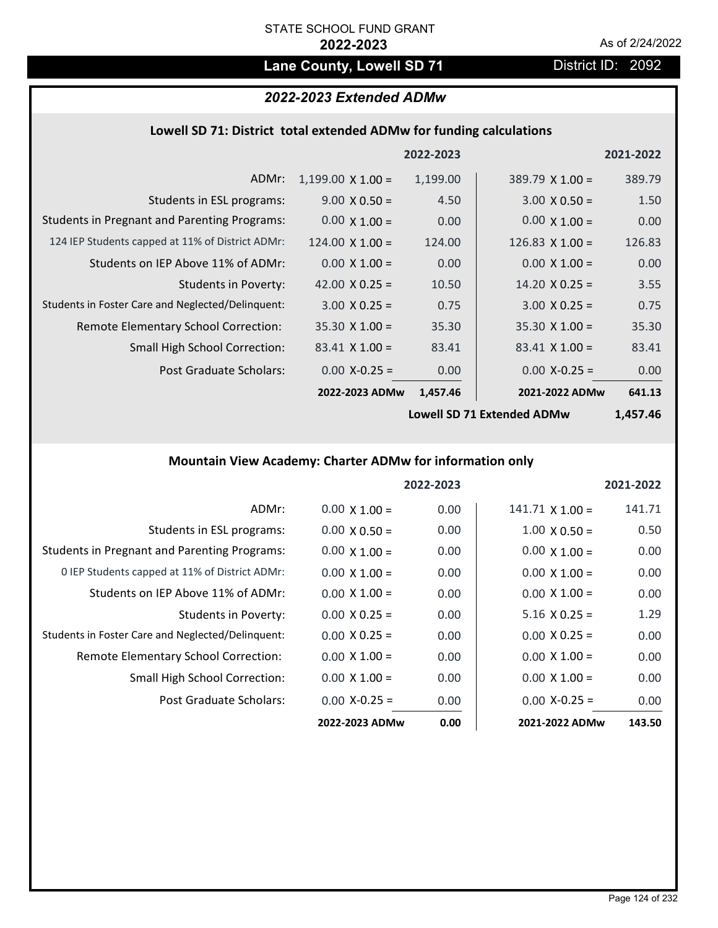## Lane County, Lowell SD 71 District ID: 2092

### *2022-2023 Extended ADMw*

## **Lowell SD 71: District total extended ADMw for funding calculations**

|                                                     |                          | 2022-2023         |                        | 2021-2022 |
|-----------------------------------------------------|--------------------------|-------------------|------------------------|-----------|
| ADMr:                                               | $1,199.00 \times 1.00 =$ | 1,199.00          | $389.79 \times 1.00 =$ | 389.79    |
| Students in ESL programs:                           | $9.00 \times 0.50 =$     | 4.50              | $3.00 \times 0.50 =$   | 1.50      |
| <b>Students in Pregnant and Parenting Programs:</b> | $0.00 \times 1.00 =$     | 0.00 <sub>1</sub> | $0.00 \times 1.00 =$   | 0.00      |
| 124 IEP Students capped at 11% of District ADMr:    | $124.00 \times 1.00 =$   | 124.00            | $126.83 \times 1.00 =$ | 126.83    |
| Students on IEP Above 11% of ADMr:                  | $0.00 \times 1.00 =$     | 0.00 <sub>1</sub> | $0.00 X 1.00 =$        | 0.00      |
| Students in Poverty:                                | 42.00 $X$ 0.25 =         | 10.50             | $14.20 \times 0.25 =$  | 3.55      |
| Students in Foster Care and Neglected/Delinquent:   | $3.00 \times 0.25 =$     | 0.75              | $3.00 \times 0.25 =$   | 0.75      |
| Remote Elementary School Correction:                | $35.30 \times 1.00 =$    | 35.30             | $35.30 \times 1.00 =$  | 35.30     |
| <b>Small High School Correction:</b>                | $83.41 \times 1.00 =$    | 83.41             | $83.41$ X 1.00 =       | 83.41     |
| Post Graduate Scholars:                             | $0.00$ X-0.25 =          | 0.00 <sub>1</sub> | $0.00$ X-0.25 =        | 0.00      |
|                                                     | 2022-2023 ADMw           | 1,457.46          | 2021-2022 ADMw         | 641.13    |
|                                                     |                          |                   |                        |           |

**Lowell SD 71 Extended ADMw**

**1,457.46**

## **Mountain View Academy: Charter ADMw for information only**

|                                                     |                      | 2022-2023 |                        | 2021-2022 |
|-----------------------------------------------------|----------------------|-----------|------------------------|-----------|
| ADMr:                                               | $0.00 \times 1.00 =$ | 0.00      | $141.71 \times 1.00 =$ | 141.71    |
| Students in ESL programs:                           | $0.00 \times 0.50 =$ | 0.00      | $1.00 \times 0.50 =$   | 0.50      |
| <b>Students in Pregnant and Parenting Programs:</b> | $0.00 \times 1.00 =$ | 0.00      | $0.00 \times 1.00 =$   | 0.00      |
| 0 IEP Students capped at 11% of District ADMr:      | $0.00 \times 1.00 =$ | 0.00      | $0.00 \times 1.00 =$   | 0.00      |
| Students on IEP Above 11% of ADMr:                  | $0.00 \times 1.00 =$ | 0.00      | $0.00 \times 1.00 =$   | 0.00      |
| Students in Poverty:                                | $0.00 \times 0.25 =$ | 0.00      | $5.16 \times 0.25 =$   | 1.29      |
| Students in Foster Care and Neglected/Delinquent:   | $0.00 \times 0.25 =$ | 0.00      | $0.00 \times 0.25 =$   | 0.00      |
| Remote Elementary School Correction:                | $0.00 \times 1.00 =$ | 0.00      | $0.00 \times 1.00 =$   | 0.00      |
| <b>Small High School Correction:</b>                | $0.00 \times 1.00 =$ | 0.00      | $0.00 \times 1.00 =$   | 0.00      |
| Post Graduate Scholars:                             | $0.00$ X-0.25 =      | 0.00      | $0.00$ X-0.25 =        | 0.00      |
|                                                     | 2022-2023 ADMw       | 0.00      | 2021-2022 ADMw         | 143.50    |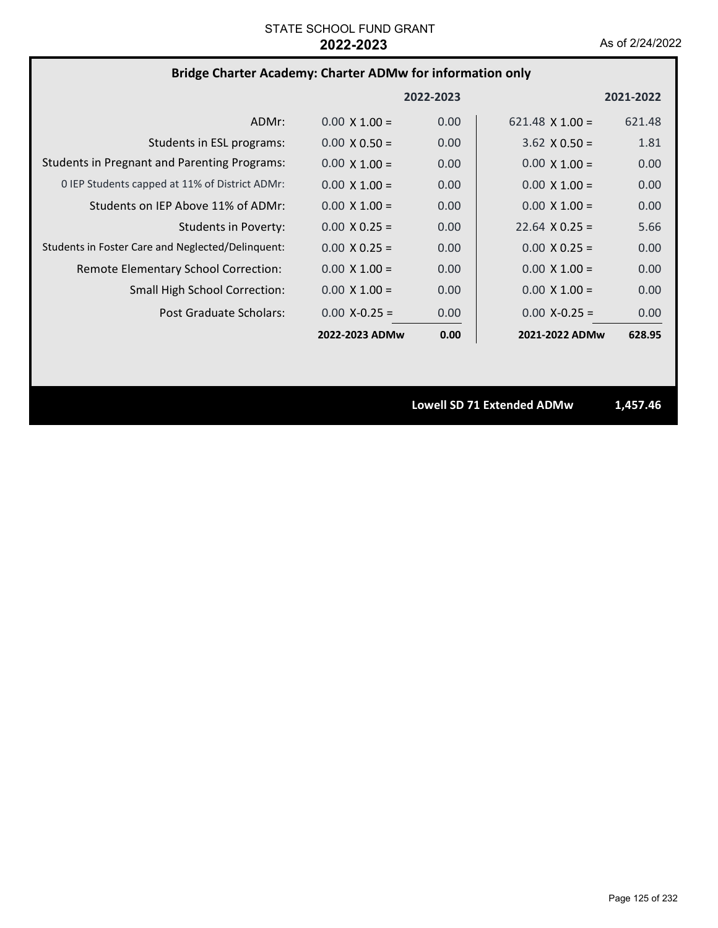## **Bridge Charter Academy: Charter ADMw for information only**

|                                                     |                      | 2022-2023 |                        | 2021-2022 |
|-----------------------------------------------------|----------------------|-----------|------------------------|-----------|
| ADMr:                                               | $0.00 \times 1.00 =$ | 0.00      | $621.48 \times 1.00 =$ | 621.48    |
| Students in ESL programs:                           | $0.00 \times 0.50 =$ | 0.00      | $3.62 \times 0.50 =$   | 1.81      |
| <b>Students in Pregnant and Parenting Programs:</b> | $0.00 \times 1.00 =$ | 0.00      | $0.00 \times 1.00 =$   | 0.00      |
| 0 IEP Students capped at 11% of District ADMr:      | $0.00 \times 1.00 =$ | 0.00      | $0.00 \times 1.00 =$   | 0.00      |
| Students on IEP Above 11% of ADMr:                  | $0.00 \times 1.00 =$ | 0.00      | $0.00 \times 1.00 =$   | 0.00      |
| Students in Poverty:                                | $0.00 \times 0.25 =$ | 0.00      | $22.64 \times 0.25 =$  | 5.66      |
| Students in Foster Care and Neglected/Delinquent:   | $0.00 \times 0.25 =$ | 0.00      | $0.00 \times 0.25 =$   | 0.00      |
| Remote Elementary School Correction:                | $0.00 \times 1.00 =$ | 0.00      | $0.00 \times 1.00 =$   | 0.00      |
| <b>Small High School Correction:</b>                | $0.00 \times 1.00 =$ | 0.00      | $0.00 \times 1.00 =$   | 0.00      |
| Post Graduate Scholars:                             | $0.00 X - 0.25 =$    | 0.00      | $0.00$ X-0.25 =        | 0.00      |
|                                                     | 2022-2023 ADMw       | 0.00      | 2021-2022 ADMw         | 628.95    |

**Lowell SD 71 Extended ADMw 1,457.46**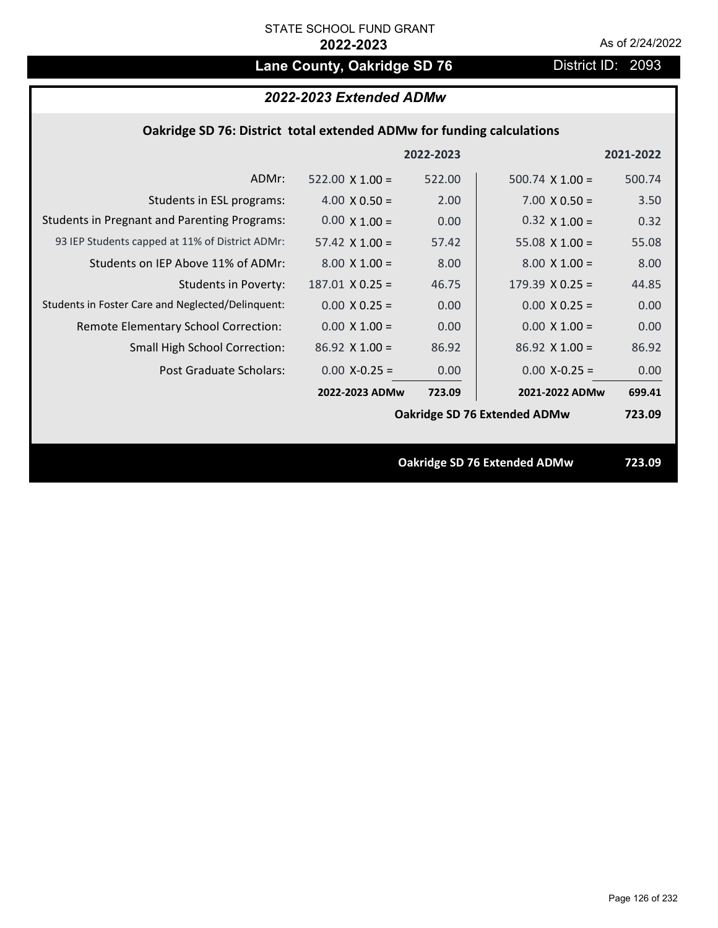# Lane County, Oakridge SD 76 **District ID: 2093**

## *2022-2023 Extended ADMw*

## **Oakridge SD 76: District total extended ADMw for funding calculations**

|                                                     |                        | 2022-2023 |                              | 2021-2022 |
|-----------------------------------------------------|------------------------|-----------|------------------------------|-----------|
| ADMr:                                               | $522.00 \times 1.00 =$ | 522.00    | $500.74 \times 1.00 =$       | 500.74    |
| Students in ESL programs:                           | $4.00 \times 0.50 =$   | 2.00      | $7.00 \times 0.50 =$         | 3.50      |
| <b>Students in Pregnant and Parenting Programs:</b> | $0.00 \times 1.00 =$   | 0.00      | $0.32 \times 1.00 =$         | 0.32      |
| 93 IEP Students capped at 11% of District ADMr:     | $57.42 \times 1.00 =$  | 57.42     | 55.08 $X$ 1.00 =             | 55.08     |
| Students on IEP Above 11% of ADMr:                  | $8.00 \times 1.00 =$   | 8.00      | $8.00 \times 1.00 =$         | 8.00      |
| <b>Students in Poverty:</b>                         | $187.01 \times 0.25 =$ | 46.75     | 179.39 $X$ 0.25 =            | 44.85     |
| Students in Foster Care and Neglected/Delinquent:   | $0.00 \times 0.25 =$   | 0.00      | $0.00 \times 0.25 =$         | 0.00      |
| Remote Elementary School Correction:                | $0.00 \times 1.00 =$   | 0.00      | $0.00 \times 1.00 =$         | 0.00      |
| <b>Small High School Correction:</b>                | $86.92 \times 1.00 =$  | 86.92     | $86.92 \times 1.00 =$        | 86.92     |
| <b>Post Graduate Scholars:</b>                      | $0.00$ X-0.25 =        | 0.00      | $0.00$ X-0.25 =              | 0.00      |
|                                                     | 2022-2023 ADMw         | 723.09    | 2021-2022 ADMw               | 699.41    |
|                                                     |                        |           | Oakridge SD 76 Extended ADMw | 723.09    |
|                                                     |                        |           |                              |           |
|                                                     |                        |           | Oakridge SD 76 Extended ADMw | 723.09    |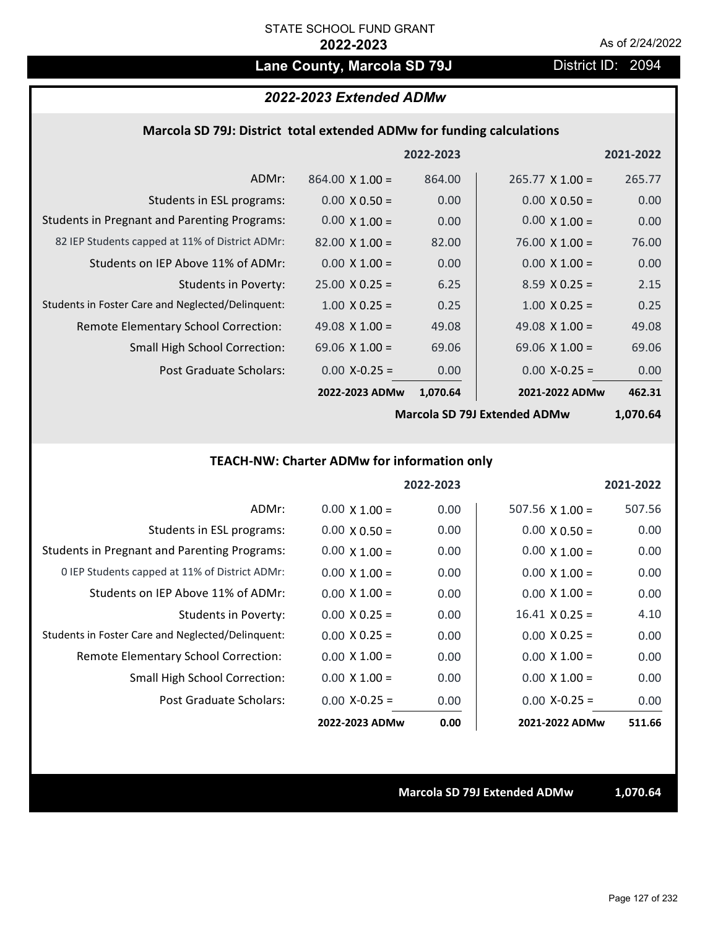## Lane County, Marcola SD 79J District ID: 2094

## *2022-2023 Extended ADMw*

#### **Marcola SD 79J: District total extended ADMw for funding calculations**

|                                                     |                        | 2022-2023 |                        | 2021-2022 |
|-----------------------------------------------------|------------------------|-----------|------------------------|-----------|
| ADMr:                                               | $864.00 \times 1.00 =$ | 864.00    | $265.77 \times 1.00 =$ | 265.77    |
| Students in ESL programs:                           | $0.00 \times 0.50 =$   | 0.00      | $0.00 \times 0.50 =$   | 0.00      |
| <b>Students in Pregnant and Parenting Programs:</b> | $0.00 \times 1.00 =$   | 0.00      | $0.00 \times 1.00 =$   | 0.00      |
| 82 IEP Students capped at 11% of District ADMr:     | $82.00 \times 1.00 =$  | 82.00     | $76.00 \times 1.00 =$  | 76.00     |
| Students on IEP Above 11% of ADMr:                  | $0.00 \times 1.00 =$   | 0.00      | $0.00 \times 1.00 =$   | 0.00      |
| <b>Students in Poverty:</b>                         | $25.00 \times 0.25 =$  | 6.25      | $8.59 \times 0.25 =$   | 2.15      |
| Students in Foster Care and Neglected/Delinquent:   | $1.00 \times 0.25 =$   | 0.25      | $1.00 \times 0.25 =$   | 0.25      |
| <b>Remote Elementary School Correction:</b>         | 49.08 $\times$ 1.00 =  | 49.08     | 49.08 $\times$ 1.00 =  | 49.08     |
| <b>Small High School Correction:</b>                | 69.06 $\times$ 1.00 =  | 69.06     | $69.06 \times 1.00 =$  | 69.06     |
| Post Graduate Scholars:                             | $0.00$ X-0.25 =        | 0.00      | $0.00$ X-0.25 =        | 0.00      |
|                                                     | 2022-2023 ADMw         | 1,070.64  | 2021-2022 ADMw         | 462.31    |

**Marcola SD 79J Extended ADMw**

**1,070.64**

## **TEACH‐NW: Charter ADMw for information only**

|                                                     |                      | 2022-2023 |                        | 2021-2022 |
|-----------------------------------------------------|----------------------|-----------|------------------------|-----------|
| ADMr:                                               | $0.00 \times 1.00 =$ | 0.00      | $507.56 \times 1.00 =$ | 507.56    |
| Students in ESL programs:                           | $0.00 \times 0.50 =$ | 0.00      | $0.00 \times 0.50 =$   | 0.00      |
| <b>Students in Pregnant and Parenting Programs:</b> | $0.00 \times 1.00 =$ | 0.00      | $0.00 \times 1.00 =$   | 0.00      |
| 0 IEP Students capped at 11% of District ADMr:      | $0.00 \times 1.00 =$ | 0.00      | $0.00 \times 1.00 =$   | 0.00      |
| Students on IEP Above 11% of ADMr:                  | $0.00 \times 1.00 =$ | 0.00      | $0.00 \times 1.00 =$   | 0.00      |
| Students in Poverty:                                | $0.00 \times 0.25 =$ | 0.00      | $16.41 \times 0.25 =$  | 4.10      |
| Students in Foster Care and Neglected/Delinquent:   | $0.00 \times 0.25 =$ | 0.00      | $0.00 \times 0.25 =$   | 0.00      |
| Remote Elementary School Correction:                | $0.00 \times 1.00 =$ | 0.00      | $0.00 \times 1.00 =$   | 0.00      |
| Small High School Correction:                       | $0.00 \times 1.00 =$ | 0.00      | $0.00 \times 1.00 =$   | 0.00      |
| Post Graduate Scholars:                             | $0.00$ X-0.25 =      | 0.00      | $0.00 X - 0.25 =$      | 0.00      |
|                                                     | 2022-2023 ADMw       | 0.00      | 2021-2022 ADMw         | 511.66    |

**Marcola SD 79J Extended ADMw 1,070.64**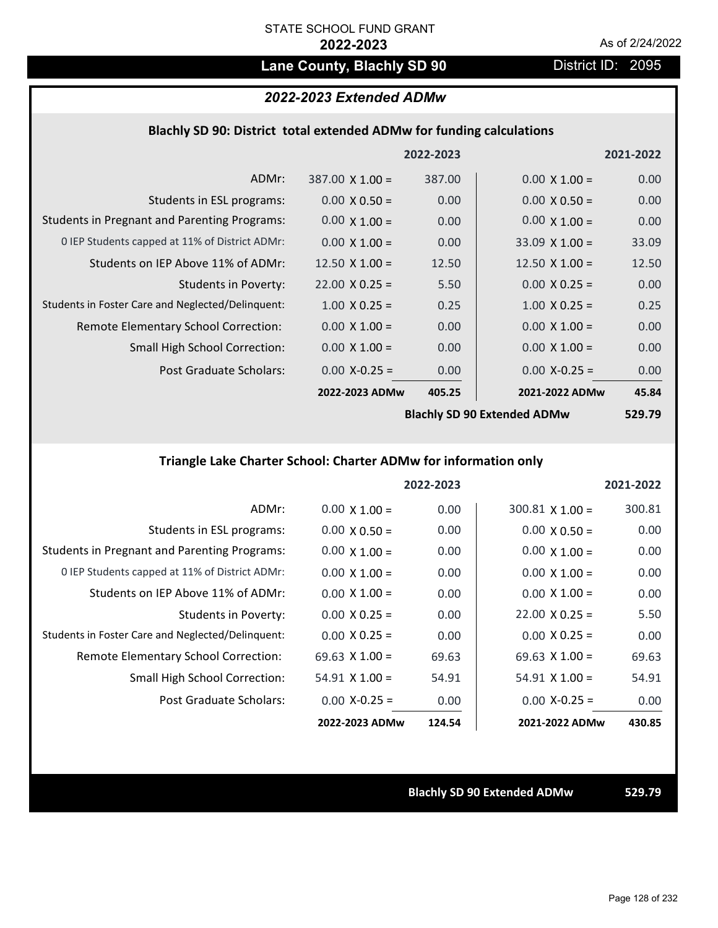## Lane County, Blachly SD 90 **District ID: 2095**

### *2022-2023 Extended ADMw*

#### **Blachly SD 90: District total extended ADMw for funding calculations**

|                                                     |                        | 2022-2023 |                                   | 2021-2022 |
|-----------------------------------------------------|------------------------|-----------|-----------------------------------|-----------|
| ADMr:                                               | $387.00 \times 1.00 =$ | 387.00    | $0.00 \times 1.00 =$              | 0.00      |
| Students in ESL programs:                           | $0.00 \times 0.50 =$   | 0.00      | $0.00 \times 0.50 =$              | 0.00      |
| <b>Students in Pregnant and Parenting Programs:</b> | $0.00 \times 1.00 =$   | 0.00      | $0.00 \times 1.00 =$              | 0.00      |
| 0 IEP Students capped at 11% of District ADMr:      | $0.00 \times 1.00 =$   | 0.00      | $33.09 \times 1.00 =$             | 33.09     |
| Students on IEP Above 11% of ADMr:                  | $12.50 \times 1.00 =$  | 12.50     | 12.50 $X$ 1.00 =                  | 12.50     |
| <b>Students in Poverty:</b>                         | $22.00 \times 0.25 =$  | 5.50      | $0.00 \times 0.25 =$              | 0.00      |
| Students in Foster Care and Neglected/Delinquent:   | $1.00 \times 0.25 =$   | 0.25      | $1.00 \times 0.25 =$              | 0.25      |
| Remote Elementary School Correction:                | $0.00 \times 1.00 =$   | 0.00      | $0.00 \times 1.00 =$              | 0.00      |
| <b>Small High School Correction:</b>                | $0.00 \times 1.00 =$   | 0.00      | $0.00 \times 1.00 =$              | 0.00      |
| Post Graduate Scholars:                             | $0.00$ X-0.25 =        | 0.00      | $0.00$ X-0.25 =                   | 0.00      |
|                                                     | 2022-2023 ADMw         | 405.25    | 2021-2022 ADMw                    | 45.84     |
|                                                     |                        |           | $\mathbf{D}$ . Il cooper is isome | - ^^ -^   |

**Blachly SD 90 Extended ADMw**

**529.79**

## **Triangle Lake Charter School: Charter ADMw for information only**

|                                                     |                       | 2022-2023 |                        | 2021-2022 |
|-----------------------------------------------------|-----------------------|-----------|------------------------|-----------|
| ADMr:                                               | $0.00 \times 1.00 =$  | 0.00      | $300.81 \times 1.00 =$ | 300.81    |
| Students in ESL programs:                           | $0.00 \times 0.50 =$  | 0.00      | $0.00 \times 0.50 =$   | 0.00      |
| <b>Students in Pregnant and Parenting Programs:</b> | $0.00 \times 1.00 =$  | 0.00      | $0.00 \times 1.00 =$   | 0.00      |
| 0 IEP Students capped at 11% of District ADMr:      | $0.00 \times 1.00 =$  | 0.00      | $0.00 \times 1.00 =$   | 0.00      |
| Students on IEP Above 11% of ADMr:                  | $0.00 \times 1.00 =$  | 0.00      | $0.00 \times 1.00 =$   | 0.00      |
| Students in Poverty:                                | $0.00 \times 0.25 =$  | 0.00      | $22.00 \times 0.25 =$  | 5.50      |
| Students in Foster Care and Neglected/Delinquent:   | $0.00 \times 0.25 =$  | 0.00      | $0.00 \times 0.25 =$   | 0.00      |
| Remote Elementary School Correction:                | 69.63 $\times$ 1.00 = | 69.63     | $69.63 \times 1.00 =$  | 69.63     |
| <b>Small High School Correction:</b>                | $54.91$ X 1.00 =      | 54.91     | $54.91 \times 1.00 =$  | 54.91     |
| Post Graduate Scholars:                             | $0.00$ X-0.25 =       | 0.00      | $0.00 X-0.25 =$        | 0.00      |
|                                                     | 2022-2023 ADMw        | 124.54    | 2021-2022 ADMw         | 430.85    |

**Blachly SD 90 Extended ADMw 529.79**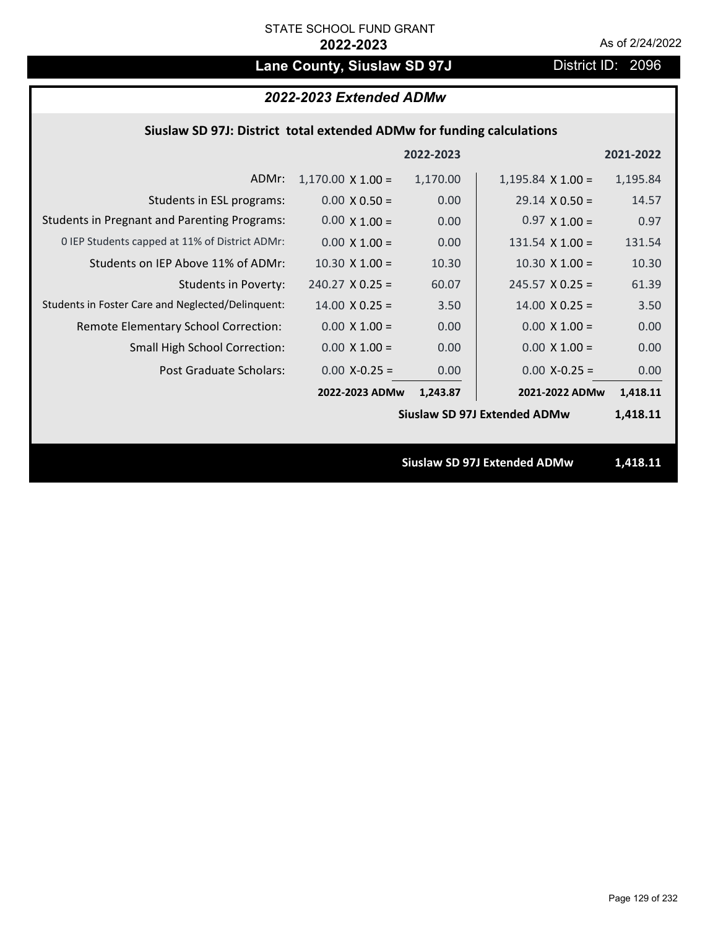## Lane County, Siuslaw SD 97J District ID: 2096

## *2022-2023 Extended ADMw*

## **Siuslaw SD 97J: District total extended ADMw for funding calculations**

|                                                     |                          | 2022-2023 |                                     | 2021-2022 |
|-----------------------------------------------------|--------------------------|-----------|-------------------------------------|-----------|
| ADMr:                                               | $1,170.00 \times 1.00 =$ | 1,170.00  | $1,195.84 \times 1.00 =$            | 1,195.84  |
| Students in ESL programs:                           | $0.00 \times 0.50 =$     | 0.00      | $29.14 \times 0.50 =$               | 14.57     |
| <b>Students in Pregnant and Parenting Programs:</b> | $0.00 \times 1.00 =$     | 0.00      | $0.97 \times 1.00 =$                | 0.97      |
| 0 IEP Students capped at 11% of District ADMr:      | $0.00 \times 1.00 =$     | 0.00      | $131.54$ X $1.00 =$                 | 131.54    |
| Students on IEP Above 11% of ADMr:                  | $10.30 \times 1.00 =$    | 10.30     | $10.30$ X $1.00 =$                  | 10.30     |
| <b>Students in Poverty:</b>                         | $240.27$ X 0.25 =        | 60.07     | $245.57 \times 0.25 =$              | 61.39     |
| Students in Foster Care and Neglected/Delinquent:   | $14.00 \times 0.25 =$    | 3.50      | $14.00 \times 0.25 =$               | 3.50      |
| Remote Elementary School Correction:                | $0.00 \times 1.00 =$     | 0.00      | $0.00 \times 1.00 =$                | 0.00      |
| <b>Small High School Correction:</b>                | $0.00 \times 1.00 =$     | 0.00      | $0.00 \times 1.00 =$                | 0.00      |
| Post Graduate Scholars:                             | $0.00$ X-0.25 =          | 0.00      | $0.00$ X-0.25 =                     | 0.00      |
|                                                     | 2022-2023 ADMw           | 1,243.87  | 2021-2022 ADMw                      | 1,418.11  |
|                                                     |                          |           | <b>Siuslaw SD 97J Extended ADMw</b> | 1,418.11  |
|                                                     |                          |           |                                     |           |
|                                                     |                          |           | <b>Siuslaw SD 97J Extended ADMw</b> | 1,418.11  |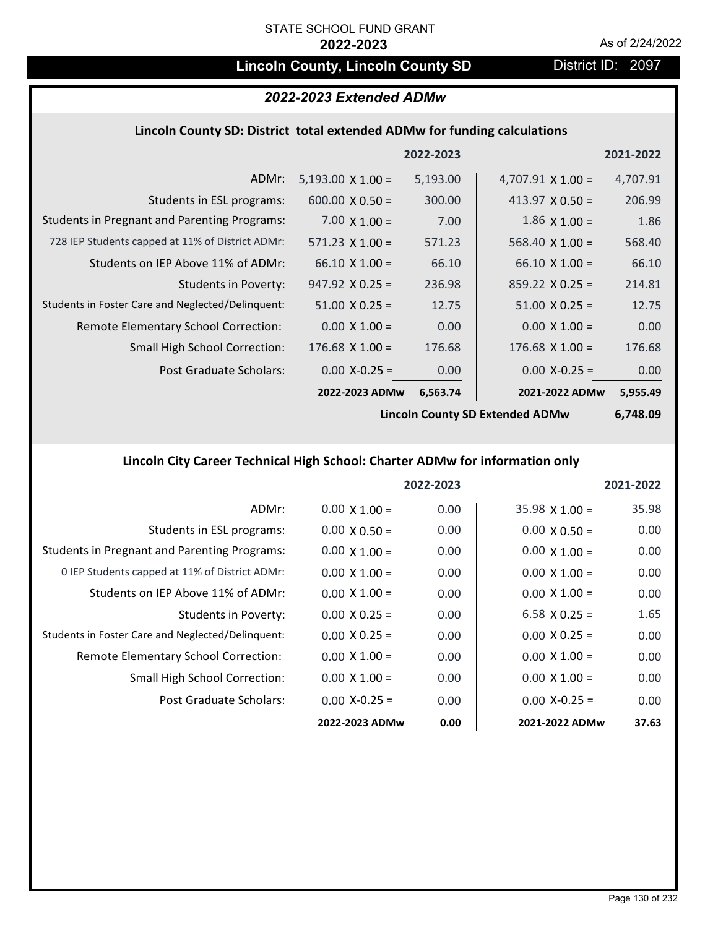## **Lincoln County, Lincoln County SD** District ID: 2097

## *2022-2023 Extended ADMw*

#### **Lincoln County SD: District total extended ADMw for funding calculations**

|                                                     |                          | 2022-2023 |                          | 2021-2022 |
|-----------------------------------------------------|--------------------------|-----------|--------------------------|-----------|
| ADMr:                                               | $5,193.00 \times 1.00 =$ | 5,193.00  | 4,707.91 $\times$ 1.00 = | 4,707.91  |
| Students in ESL programs:                           | $600.00 \times 0.50 =$   | 300.00    | 413.97 $\times$ 0.50 =   | 206.99    |
| <b>Students in Pregnant and Parenting Programs:</b> | 7.00 $\times$ 1.00 =     | 7.00      | $1.86 \times 1.00 =$     | 1.86      |
| 728 IEP Students capped at 11% of District ADMr:    | $571.23 \times 1.00 =$   | 571.23    | 568.40 $\times$ 1.00 =   | 568.40    |
| Students on IEP Above 11% of ADMr:                  | $66.10 \times 1.00 =$    | 66.10     | $66.10 X 1.00 =$         | 66.10     |
| Students in Poverty:                                | $947.92 \times 0.25 =$   | 236.98    | $859.22 \times 0.25 =$   | 214.81    |
| Students in Foster Care and Neglected/Delinquent:   | $51.00 \times 0.25 =$    | 12.75     | $51.00 \times 0.25 =$    | 12.75     |
| Remote Elementary School Correction:                | $0.00 \times 1.00 =$     | 0.00      | $0.00 \times 1.00 =$     | 0.00      |
| <b>Small High School Correction:</b>                | $176.68$ X 1.00 =        | 176.68    | $176.68$ X $1.00 =$      | 176.68    |
| <b>Post Graduate Scholars:</b>                      | $0.00 X - 0.25 =$        | 0.00      | $0.00$ X-0.25 =          | 0.00      |
|                                                     | 2022-2023 ADMw           | 6,563.74  | 2021-2022 ADMw           | 5,955.49  |
|                                                     |                          |           |                          |           |

**Lincoln County SD Extended ADMw**

**6,748.09**

## **Lincoln City Career Technical High School: Charter ADMw for information only**

|                                                     |                      | 2022-2023 |                       | 2021-2022 |
|-----------------------------------------------------|----------------------|-----------|-----------------------|-----------|
| ADMr:                                               | $0.00 \times 1.00 =$ | 0.00      | $35.98 \times 1.00 =$ | 35.98     |
| Students in ESL programs:                           | $0.00 \times 0.50 =$ | 0.00      | $0.00 \times 0.50 =$  | 0.00      |
| <b>Students in Pregnant and Parenting Programs:</b> | $0.00 \times 1.00 =$ | 0.00      | $0.00 \times 1.00 =$  | 0.00      |
| 0 IEP Students capped at 11% of District ADMr:      | $0.00 \times 1.00 =$ | 0.00      | $0.00 \times 1.00 =$  | 0.00      |
| Students on IEP Above 11% of ADMr:                  | $0.00 \times 1.00 =$ | 0.00      | $0.00 \times 1.00 =$  | 0.00      |
| Students in Poverty:                                | $0.00 \times 0.25 =$ | 0.00      | 6.58 $X$ 0.25 =       | 1.65      |
| Students in Foster Care and Neglected/Delinquent:   | $0.00 \times 0.25 =$ | 0.00      | $0.00 \times 0.25 =$  | 0.00      |
| Remote Elementary School Correction:                | $0.00 \times 1.00 =$ | 0.00      | $0.00 \times 1.00 =$  | 0.00      |
| <b>Small High School Correction:</b>                | $0.00 \times 1.00 =$ | 0.00      | $0.00 \times 1.00 =$  | 0.00      |
| Post Graduate Scholars:                             | $0.00$ X-0.25 =      | 0.00      | $0.00 X-0.25 =$       | 0.00      |
|                                                     | 2022-2023 ADMw       | 0.00      | 2021-2022 ADMw        | 37.63     |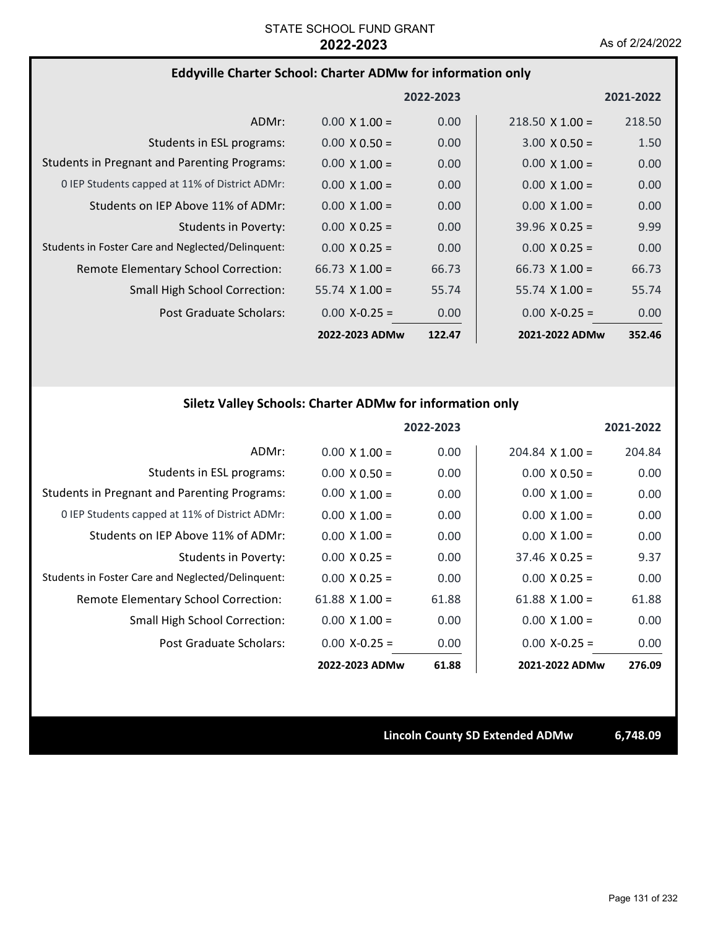#### **Eddyville Charter School: Charter ADMw for information only**

|                                                     |                       | 2022-2023 |                        | 2021-2022 |
|-----------------------------------------------------|-----------------------|-----------|------------------------|-----------|
| ADMr:                                               | $0.00 \times 1.00 =$  | 0.00      | $218.50 \times 1.00 =$ | 218.50    |
| Students in ESL programs:                           | $0.00 \times 0.50 =$  | 0.00      | $3.00 \times 0.50 =$   | 1.50      |
| <b>Students in Pregnant and Parenting Programs:</b> | $0.00 \times 1.00 =$  | 0.00      | $0.00 \times 1.00 =$   | 0.00      |
| 0 IEP Students capped at 11% of District ADMr:      | $0.00 \times 1.00 =$  | 0.00      | $0.00 \times 1.00 =$   | 0.00      |
| Students on IEP Above 11% of ADMr:                  | $0.00 \times 1.00 =$  | 0.00      | $0.00 \times 1.00 =$   | 0.00      |
| Students in Poverty:                                | $0.00 \times 0.25 =$  | 0.00      | $39.96 \times 0.25 =$  | 9.99      |
| Students in Foster Care and Neglected/Delinquent:   | $0.00 \times 0.25 =$  | 0.00      | $0.00 \times 0.25 =$   | 0.00      |
| Remote Elementary School Correction:                | $66.73 \times 1.00 =$ | 66.73     | $66.73 \times 1.00 =$  | 66.73     |
| <b>Small High School Correction:</b>                | $55.74 \times 1.00 =$ | 55.74     | $55.74 \times 1.00 =$  | 55.74     |
| Post Graduate Scholars:                             | $0.00 X - 0.25 =$     | 0.00      | $0.00 X - 0.25 =$      | 0.00      |
|                                                     | 2022-2023 ADMw        | 122.47    | 2021-2022 ADMw         | 352.46    |

#### **Siletz Valley Schools: Charter ADMw for information only**

|                                                     |                      | 2022-2023 |                        | 2021-2022 |
|-----------------------------------------------------|----------------------|-----------|------------------------|-----------|
| ADMr:                                               | $0.00 \times 1.00 =$ | 0.00      | $204.84 \times 1.00 =$ | 204.84    |
| Students in ESL programs:                           | $0.00 \times 0.50 =$ | 0.00      | $0.00 \times 0.50 =$   | 0.00      |
| <b>Students in Pregnant and Parenting Programs:</b> | $0.00 \times 1.00 =$ | 0.00      | $0.00 \times 1.00 =$   | 0.00      |
| 0 IEP Students capped at 11% of District ADMr:      | $0.00 \times 1.00 =$ | 0.00      | $0.00 \times 1.00 =$   | 0.00      |
| Students on IEP Above 11% of ADMr:                  | $0.00 \times 1.00 =$ | 0.00      | $0.00 \times 1.00 =$   | 0.00      |
| Students in Poverty:                                | $0.00 \times 0.25 =$ | 0.00      | $37.46 \times 0.25 =$  | 9.37      |
| Students in Foster Care and Neglected/Delinquent:   | $0.00 \times 0.25 =$ | 0.00      | $0.00 \times 0.25 =$   | 0.00      |
| Remote Elementary School Correction:                | 61.88 $X$ 1.00 =     | 61.88     | 61.88 $X$ 1.00 =       | 61.88     |
| <b>Small High School Correction:</b>                | $0.00 \times 1.00 =$ | 0.00      | $0.00 \times 1.00 =$   | 0.00      |
| Post Graduate Scholars:                             | $0.00 X - 0.25 =$    | 0.00      | $0.00 X - 0.25 =$      | 0.00      |
|                                                     | 2022-2023 ADMw       | 61.88     | 2021-2022 ADMw         | 276.09    |

**Lincoln County SD Extended ADMw 6,748.09**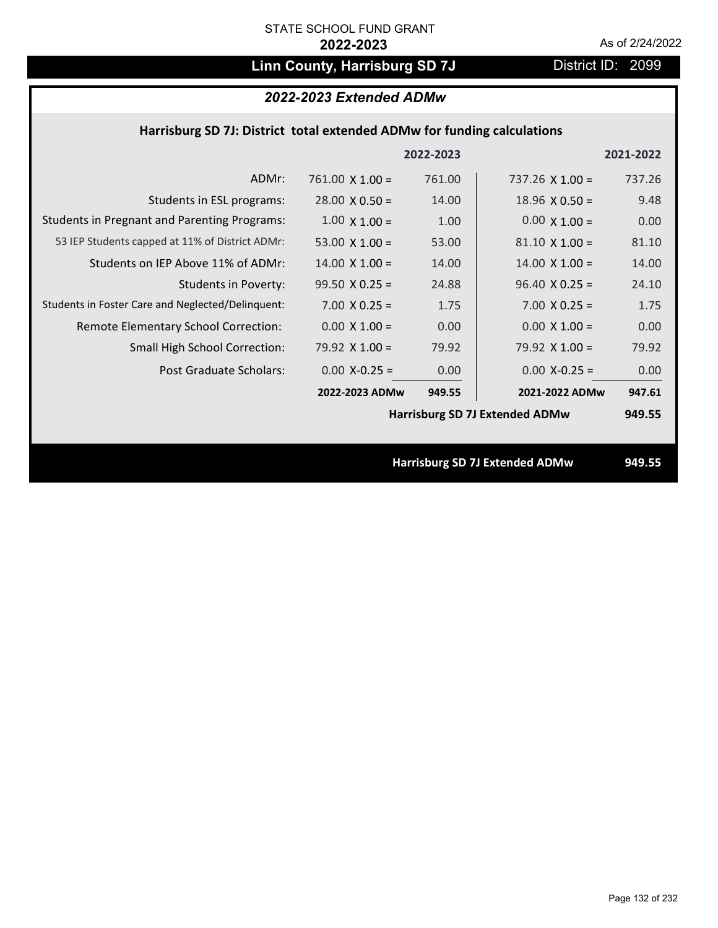## Linn County, Harrisburg SD 7J District ID: 2099

## *2022-2023 Extended ADMw*

## **Harrisburg SD 7J: District total extended ADMw for funding calculations**

|                                                     |                        | 2022-2023 |                                       | 2021-2022 |
|-----------------------------------------------------|------------------------|-----------|---------------------------------------|-----------|
| ADMr:                                               | $761.00 \times 1.00 =$ | 761.00    | 737.26 $\times$ 1.00 =                | 737.26    |
| Students in ESL programs:                           | $28.00 \times 0.50 =$  | 14.00     | $18.96 \times 0.50 =$                 | 9.48      |
| <b>Students in Pregnant and Parenting Programs:</b> | $1.00 \times 1.00 =$   | 1.00      | $0.00 \times 1.00 =$                  | 0.00      |
| 53 IEP Students capped at 11% of District ADMr:     | 53.00 $\times$ 1.00 =  | 53.00     | $81.10 \times 1.00 =$                 | 81.10     |
| Students on IEP Above 11% of ADMr:                  | $14.00 \times 1.00 =$  | 14.00     | $14.00 \times 1.00 =$                 | 14.00     |
| <b>Students in Poverty:</b>                         | $99.50 \times 0.25 =$  | 24.88     | $96.40 \times 0.25 =$                 | 24.10     |
| Students in Foster Care and Neglected/Delinquent:   | $7.00 \times 0.25 =$   | 1.75      | $7.00 \times 0.25 =$                  | 1.75      |
| Remote Elementary School Correction:                | $0.00 \times 1.00 =$   | 0.00      | $0.00 \times 1.00 =$                  | 0.00      |
| <b>Small High School Correction:</b>                | 79.92 $X$ 1.00 =       | 79.92     | 79.92 $X$ 1.00 =                      | 79.92     |
| Post Graduate Scholars:                             | $0.00$ X-0.25 =        | 0.00      | $0.00 X - 0.25 =$                     | 0.00      |
|                                                     | 2022-2023 ADMw         | 949.55    | 2021-2022 ADMw                        | 947.61    |
|                                                     |                        |           | <b>Harrisburg SD 7J Extended ADMw</b> | 949.55    |
|                                                     |                        |           |                                       |           |
|                                                     |                        |           | <b>Harrisburg SD 7J Extended ADMw</b> | 949.55    |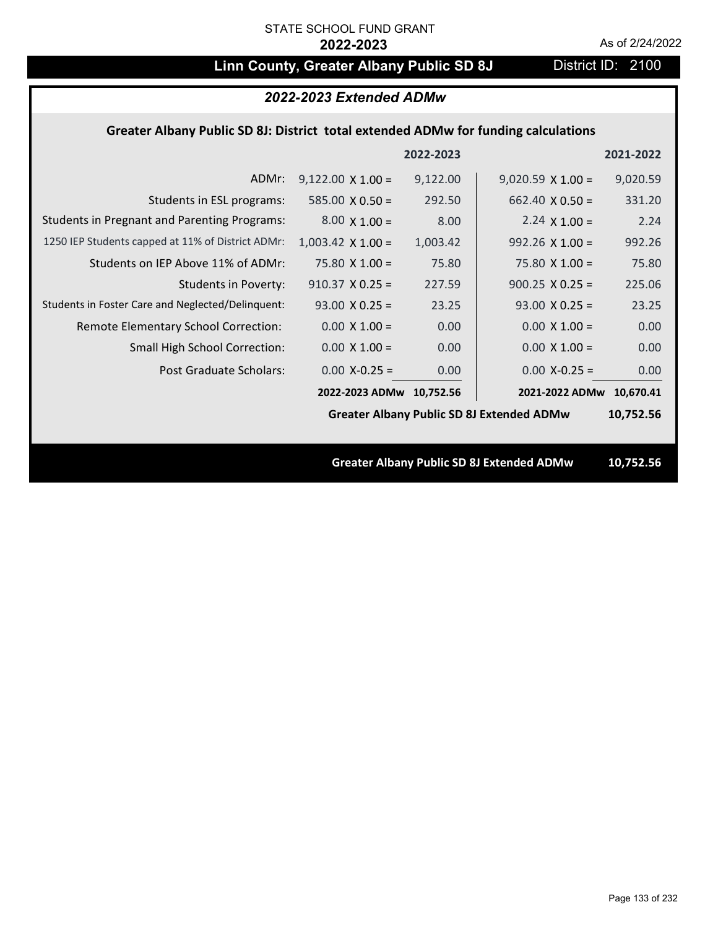## **Linn County, Greater Albany Public SD 8J** District ID: 2100

## *2022-2023 Extended ADMw*

### **Greater Albany Public SD 8J: District total extended ADMw for funding calculations**

|                                                     |                          | 2022-2023 |                                                  | 2021-2022 |
|-----------------------------------------------------|--------------------------|-----------|--------------------------------------------------|-----------|
| ADMr:                                               | $9,122.00 \times 1.00 =$ | 9,122.00  | $9,020.59 \times 1.00 =$                         | 9,020.59  |
| Students in ESL programs:                           | $585.00 \times 0.50 =$   | 292.50    | $662.40 \times 0.50 =$                           | 331.20    |
| <b>Students in Pregnant and Parenting Programs:</b> | $8.00 \times 1.00 =$     | 8.00      | 2.24 $\times$ 1.00 =                             | 2.24      |
| 1250 IEP Students capped at 11% of District ADMr:   | $1,003.42 \times 1.00 =$ | 1,003.42  | $992.26 \times 1.00 =$                           | 992.26    |
| Students on IEP Above 11% of ADMr:                  | 75.80 $X$ 1.00 =         | 75.80     | 75.80 $X$ 1.00 =                                 | 75.80     |
| <b>Students in Poverty:</b>                         | $910.37$ X 0.25 =        | 227.59    | $900.25 \times 0.25 =$                           | 225.06    |
| Students in Foster Care and Neglected/Delinquent:   | $93.00 \times 0.25 =$    | 23.25     | $93.00 \times 0.25 =$                            | 23.25     |
| Remote Elementary School Correction:                | $0.00 \times 1.00 =$     | 0.00      | $0.00 \times 1.00 =$                             | 0.00      |
| <b>Small High School Correction:</b>                | $0.00 \times 1.00 =$     | 0.00      | $0.00 \times 1.00 =$                             | 0.00      |
| Post Graduate Scholars:                             | $0.00$ X-0.25 =          | 0.00      | $0.00$ X-0.25 =                                  | 0.00      |
|                                                     | 2022-2023 ADMw 10,752.56 |           | 2021-2022 ADMw                                   | 10,670.41 |
|                                                     |                          |           | <b>Greater Albany Public SD 8J Extended ADMw</b> | 10,752.56 |
|                                                     |                          |           |                                                  |           |
|                                                     |                          |           | <b>Greater Albany Public SD 8J Extended ADMw</b> | 10,752.56 |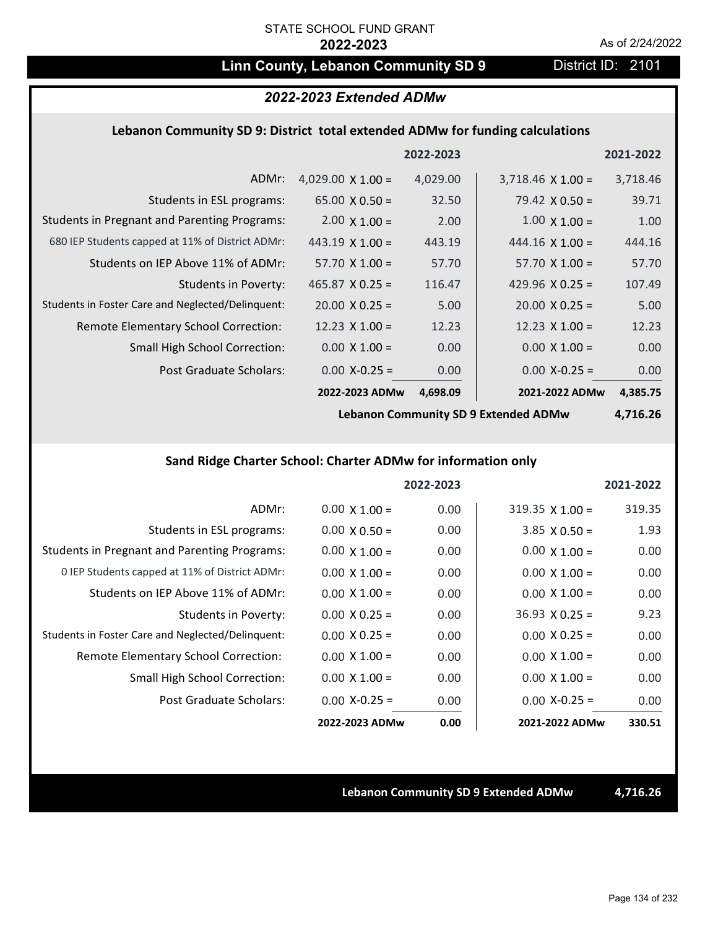## **Linn County, Lebanon Community SD 9** District ID: 2101

#### *2022-2023 Extended ADMw*

#### **Lebanon Community SD 9: District total extended ADMw for funding calculations**

|                                                     |                          | 2022-2023 |                          | 2021-2022 |
|-----------------------------------------------------|--------------------------|-----------|--------------------------|-----------|
| ADMr:                                               | 4,029.00 $\times$ 1.00 = | 4,029.00  | $3,718.46 \times 1.00 =$ | 3,718.46  |
| Students in ESL programs:                           | $65.00 \times 0.50 =$    | 32.50     | $79.42 \times 0.50 =$    | 39.71     |
| <b>Students in Pregnant and Parenting Programs:</b> | $2.00 \times 1.00 =$     | 2.00      | $1.00 \times 1.00 =$     | 1.00      |
| 680 IEP Students capped at 11% of District ADMr:    | $443.19 \times 1.00 =$   | 443.19    | $444.16 \times 1.00 =$   | 444.16    |
| Students on IEP Above 11% of ADMr:                  | $57.70 \times 1.00 =$    | 57.70     | $57.70 \times 1.00 =$    | 57.70     |
| <b>Students in Poverty:</b>                         | $465.87 \times 0.25 =$   | 116.47    | 429.96 $X$ 0.25 =        | 107.49    |
| Students in Foster Care and Neglected/Delinquent:   | $20.00 \times 0.25 =$    | 5.00      | $20.00 \times 0.25 =$    | 5.00      |
| Remote Elementary School Correction:                | 12.23 $\times$ 1.00 =    | 12.23     | $12.23 \times 1.00 =$    | 12.23     |
| <b>Small High School Correction:</b>                | $0.00 \times 1.00 =$     | 0.00      | $0.00 \times 1.00 =$     | 0.00      |
| Post Graduate Scholars:                             | $0.00$ X-0.25 =          | 0.00      | $0.00$ X-0.25 =          | 0.00      |
|                                                     | 2022-2023 ADMw           | 4,698.09  | 2021-2022 ADMw           | 4,385.75  |

**Lebanon Community SD 9 Extended ADMw**

**4,716.26**

## **Sand Ridge Charter School: Charter ADMw for information only**

|                                                     |                      | 2022-2023 |                        | 2021-2022 |
|-----------------------------------------------------|----------------------|-----------|------------------------|-----------|
| ADMr:                                               | $0.00 \times 1.00 =$ | 0.00      | $319.35 \times 1.00 =$ | 319.35    |
| Students in ESL programs:                           | $0.00 \times 0.50 =$ | 0.00      | $3.85 \times 0.50 =$   | 1.93      |
| <b>Students in Pregnant and Parenting Programs:</b> | $0.00 \times 1.00 =$ | 0.00      | $0.00 \times 1.00 =$   | 0.00      |
| 0 IEP Students capped at 11% of District ADMr:      | $0.00 \times 1.00 =$ | 0.00      | $0.00 \times 1.00 =$   | 0.00      |
| Students on IEP Above 11% of ADMr:                  | $0.00 \times 1.00 =$ | 0.00      | $0.00 \times 1.00 =$   | 0.00      |
| Students in Poverty:                                | $0.00 \times 0.25 =$ | 0.00      | $36.93 \times 0.25 =$  | 9.23      |
| Students in Foster Care and Neglected/Delinquent:   | $0.00 \times 0.25 =$ | 0.00      | $0.00 \times 0.25 =$   | 0.00      |
| Remote Elementary School Correction:                | $0.00 \times 1.00 =$ | 0.00      | $0.00 \times 1.00 =$   | 0.00      |
| <b>Small High School Correction:</b>                | $0.00 \times 1.00 =$ | 0.00      | $0.00 \times 1.00 =$   | 0.00      |
| Post Graduate Scholars:                             | $0.00 X-0.25 =$      | 0.00      | $0.00 X-0.25 =$        | 0.00      |
|                                                     | 2022-2023 ADMw       | 0.00      | 2021-2022 ADMw         | 330.51    |

**Lebanon Community SD 9 Extended ADMw 4,716.26**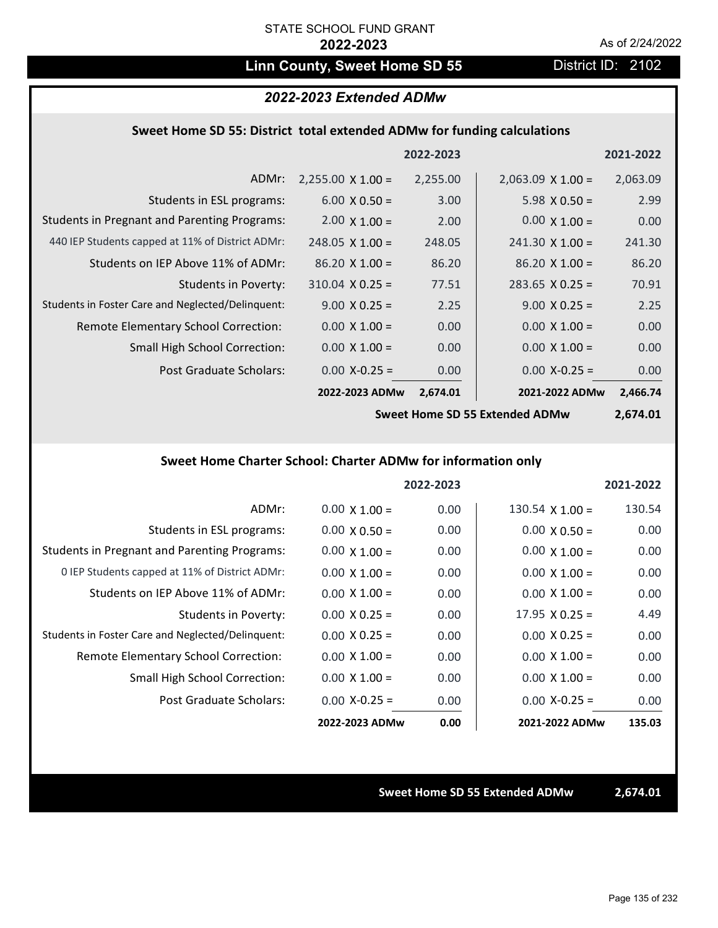## Linn County, Sweet Home SD 55 District ID: 2102

## *2022-2023 Extended ADMw*

#### **Sweet Home SD 55: District total extended ADMw for funding calculations**

|                                                     |                          | 2022-2023 |                          | 2021-2022 |
|-----------------------------------------------------|--------------------------|-----------|--------------------------|-----------|
| ADMr:                                               | $2,255.00 \times 1.00 =$ | 2,255.00  | $2,063.09 \times 1.00 =$ | 2,063.09  |
| Students in ESL programs:                           | $6.00 \times 0.50 =$     | 3.00      | $5.98 \times 0.50 =$     | 2.99      |
| <b>Students in Pregnant and Parenting Programs:</b> | $2.00 \times 1.00 =$     | 2.00      | $0.00 \times 1.00 =$     | 0.00      |
| 440 IEP Students capped at 11% of District ADMr:    | $248.05 \times 1.00 =$   | 248.05    | $241.30 \times 1.00 =$   | 241.30    |
| Students on IEP Above 11% of ADMr:                  | $86.20 \times 1.00 =$    | 86.20     | $86.20 \times 1.00 =$    | 86.20     |
| <b>Students in Poverty:</b>                         | $310.04 \times 0.25 =$   | 77.51     | $283.65$ X 0.25 =        | 70.91     |
| Students in Foster Care and Neglected/Delinquent:   | $9.00 \times 0.25 =$     | 2.25      | $9.00 \times 0.25 =$     | 2.25      |
| Remote Elementary School Correction:                | $0.00 \times 1.00 =$     | 0.00      | $0.00 \times 1.00 =$     | 0.00      |
| <b>Small High School Correction:</b>                | $0.00 \times 1.00 =$     | 0.00      | $0.00 \times 1.00 =$     | 0.00      |
| Post Graduate Scholars:                             | $0.00$ X-0.25 =          | 0.00      | $0.00$ X-0.25 =          | 0.00      |
|                                                     | 2022-2023 ADMw           | 2,674.01  | 2021-2022 ADMw           | 2,466.74  |
|                                                     |                          |           |                          |           |

**Sweet Home SD 55 Extended ADMw**

**2,674.01**

#### **Sweet Home Charter School: Charter ADMw for information only**

|                                                     |                      | 2022-2023 |                        | 2021-2022 |
|-----------------------------------------------------|----------------------|-----------|------------------------|-----------|
| ADMr:                                               | $0.00 \times 1.00 =$ | 0.00      | $130.54 \times 1.00 =$ | 130.54    |
| Students in ESL programs:                           | $0.00 \times 0.50 =$ | 0.00      | $0.00 \times 0.50 =$   | 0.00      |
| <b>Students in Pregnant and Parenting Programs:</b> | $0.00 \times 1.00 =$ | 0.00      | $0.00 \times 1.00 =$   | 0.00      |
| 0 IEP Students capped at 11% of District ADMr:      | $0.00 \times 1.00 =$ | 0.00      | $0.00 \times 1.00 =$   | 0.00      |
| Students on IEP Above 11% of ADMr:                  | $0.00 \times 1.00 =$ | 0.00      | $0.00 \times 1.00 =$   | 0.00      |
| Students in Poverty:                                | $0.00 \times 0.25 =$ | 0.00      | $17.95 \times 0.25 =$  | 4.49      |
| Students in Foster Care and Neglected/Delinquent:   | $0.00 \times 0.25 =$ | 0.00      | $0.00 \times 0.25 =$   | 0.00      |
| Remote Elementary School Correction:                | $0.00 \times 1.00 =$ | 0.00      | $0.00 \times 1.00 =$   | 0.00      |
| <b>Small High School Correction:</b>                | $0.00 \times 1.00 =$ | 0.00      | $0.00 \times 1.00 =$   | 0.00      |
| Post Graduate Scholars:                             | $0.00$ X-0.25 =      | 0.00      | $0.00$ X-0.25 =        | 0.00      |
|                                                     | 2022-2023 ADMw       | 0.00      | 2021-2022 ADMw         | 135.03    |

**Sweet Home SD 55 Extended ADMw 2,674.01**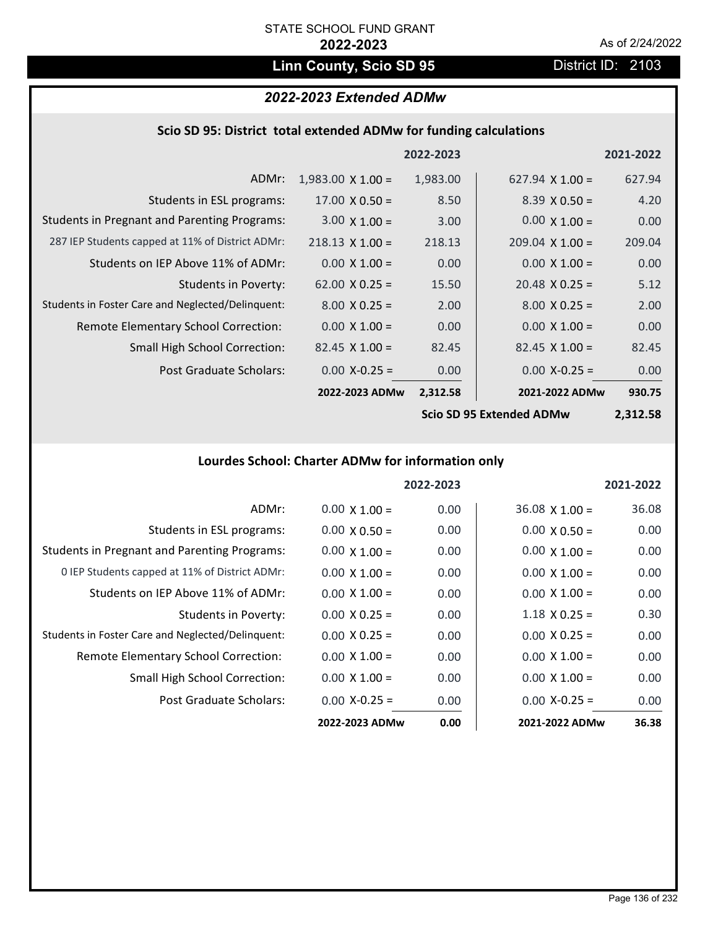## Linn County, Scio SD 95 **District ID: 2103**

## *2022-2023 Extended ADMw*

## **Scio SD 95: District total extended ADMw for funding calculations**

|                                                     |                          | 2022-2023 |                          | 2021-2022       |
|-----------------------------------------------------|--------------------------|-----------|--------------------------|-----------------|
| ADMr:                                               | $1,983.00 \times 1.00 =$ | 1,983.00  | $627.94 \times 1.00 =$   | 627.94          |
| Students in ESL programs:                           | $17.00 \times 0.50 =$    | 8.50      | $8.39 \times 0.50 =$     | 4.20            |
| <b>Students in Pregnant and Parenting Programs:</b> | $3.00 \times 1.00 =$     | 3.00      | $0.00 \times 1.00 =$     | 0.00            |
| 287 IEP Students capped at 11% of District ADMr:    | $218.13 \times 1.00 =$   | 218.13    | $209.04 \times 1.00 =$   | 209.04          |
| Students on IEP Above 11% of ADMr:                  | $0.00 \times 1.00 =$     | 0.00      | $0.00 \times 1.00 =$     | 0.00            |
| <b>Students in Poverty:</b>                         | $62.00 \times 0.25 =$    | 15.50     | $20.48 \times 0.25 =$    | 5.12            |
| Students in Foster Care and Neglected/Delinquent:   | $8.00 \times 0.25 =$     | 2.00      | $8.00 \times 0.25 =$     | 2.00            |
| Remote Elementary School Correction:                | $0.00 \times 1.00 =$     | 0.00      | $0.00 \times 1.00 =$     | 0.00            |
| <b>Small High School Correction:</b>                | $82.45 \times 1.00 =$    | 82.45     | $82.45 \times 1.00 =$    | 82.45           |
| Post Graduate Scholars:                             | $0.00 X - 0.25 =$        | 0.00      | $0.00$ X-0.25 =          | 0.00            |
|                                                     | 2022-2023 ADMw           | 2,312.58  | 2021-2022 ADMw           | 930.75          |
|                                                     |                          |           | Coin CD OF Evtended ADMu | <b>CO CO CO</b> |

**Scio SD 95 Extended ADMw**

**2,312.58**

## **Lourdes School: Charter ADMw for information only**

|                                                     |                      | 2022-2023 |                       | 2021-2022 |
|-----------------------------------------------------|----------------------|-----------|-----------------------|-----------|
| ADMr:                                               | $0.00 \times 1.00 =$ | 0.00      | $36.08 \times 1.00 =$ | 36.08     |
| Students in ESL programs:                           | $0.00 \times 0.50 =$ | 0.00      | $0.00 \times 0.50 =$  | 0.00      |
| <b>Students in Pregnant and Parenting Programs:</b> | $0.00 \times 1.00 =$ | 0.00      | $0.00 \times 1.00 =$  | 0.00      |
| 0 IEP Students capped at 11% of District ADMr:      | $0.00 \times 1.00 =$ | 0.00      | $0.00 \times 1.00 =$  | 0.00      |
| Students on IEP Above 11% of ADMr:                  | $0.00 \times 1.00 =$ | 0.00      | $0.00 \times 1.00 =$  | 0.00      |
| Students in Poverty:                                | $0.00 \times 0.25 =$ | 0.00      | $1.18 \times 0.25 =$  | 0.30      |
| Students in Foster Care and Neglected/Delinquent:   | $0.00 \times 0.25 =$ | 0.00      | $0.00 \times 0.25 =$  | 0.00      |
| Remote Elementary School Correction:                | $0.00 \times 1.00 =$ | 0.00      | $0.00 \times 1.00 =$  | 0.00      |
| <b>Small High School Correction:</b>                | $0.00 \times 1.00 =$ | 0.00      | $0.00 \times 1.00 =$  | 0.00      |
| Post Graduate Scholars:                             | $0.00 X-0.25 =$      | 0.00      | $0.00 X-0.25 =$       | 0.00      |
|                                                     | 2022-2023 ADMw       | 0.00      | 2021-2022 ADMw        | 36.38     |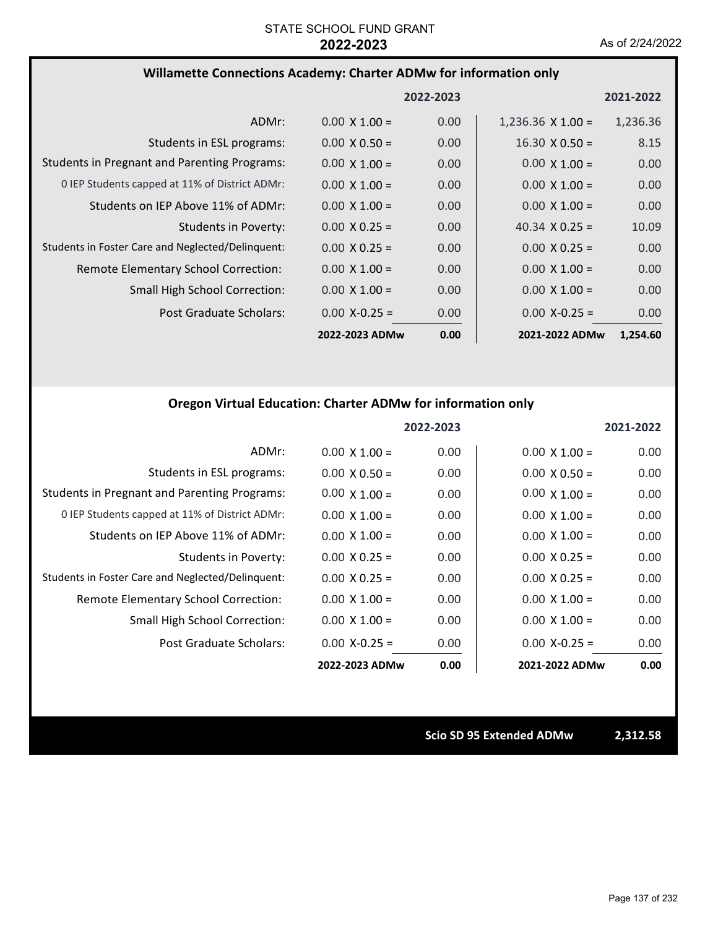#### **Willamette Connections Academy: Charter ADMw for information only**

|                                                     |                      | 2022-2023 |                          | 2021-2022 |
|-----------------------------------------------------|----------------------|-----------|--------------------------|-----------|
| ADMr:                                               | $0.00 \times 1.00 =$ | 0.00      | $1,236.36 \times 1.00 =$ | 1,236.36  |
| Students in ESL programs:                           | $0.00 \times 0.50 =$ | 0.00      | $16.30 \times 0.50 =$    | 8.15      |
| <b>Students in Pregnant and Parenting Programs:</b> | $0.00 \times 1.00 =$ | 0.00      | $0.00 \times 1.00 =$     | 0.00      |
| 0 IEP Students capped at 11% of District ADMr:      | $0.00 \times 1.00 =$ | 0.00      | $0.00 \times 1.00 =$     | 0.00      |
| Students on IEP Above 11% of ADMr:                  | $0.00 \times 1.00 =$ | 0.00      | $0.00 \times 1.00 =$     | 0.00      |
| <b>Students in Poverty:</b>                         | $0.00 \times 0.25 =$ | 0.00      | 40.34 $\times$ 0.25 =    | 10.09     |
| Students in Foster Care and Neglected/Delinquent:   | $0.00 \times 0.25 =$ | 0.00      | $0.00 \times 0.25 =$     | 0.00      |
| Remote Elementary School Correction:                | $0.00 \times 1.00 =$ | 0.00      | $0.00 \times 1.00 =$     | 0.00      |
| <b>Small High School Correction:</b>                | $0.00 \times 1.00 =$ | 0.00      | $0.00 \times 1.00 =$     | 0.00      |
| Post Graduate Scholars:                             | $0.00$ X-0.25 =      | 0.00      | $0.00$ X-0.25 =          | 0.00      |
|                                                     | 2022-2023 ADMw       | 0.00      | 2021-2022 ADMw           | 1,254.60  |

#### **Oregon Virtual Education: Charter ADMw for information only**

|                                                     |                      | 2022-2023 |                      | 2021-2022 |
|-----------------------------------------------------|----------------------|-----------|----------------------|-----------|
| ADMr:                                               | $0.00 \times 1.00 =$ | 0.00      | $0.00 \times 1.00 =$ | 0.00      |
| Students in ESL programs:                           | $0.00 \times 0.50 =$ | 0.00      | $0.00 \times 0.50 =$ | 0.00      |
| <b>Students in Pregnant and Parenting Programs:</b> | $0.00 \times 1.00 =$ | 0.00      | $0.00 \times 1.00 =$ | 0.00      |
| 0 IEP Students capped at 11% of District ADMr:      | $0.00 \times 1.00 =$ | 0.00      | $0.00 \times 1.00 =$ | 0.00      |
| Students on IEP Above 11% of ADMr:                  | $0.00 \times 1.00 =$ | 0.00      | $0.00 \times 1.00 =$ | 0.00      |
| <b>Students in Poverty:</b>                         | $0.00 \times 0.25 =$ | 0.00      | $0.00 \times 0.25 =$ | 0.00      |
| Students in Foster Care and Neglected/Delinquent:   | $0.00 \times 0.25 =$ | 0.00      | $0.00 \times 0.25 =$ | 0.00      |
| Remote Elementary School Correction:                | $0.00 \times 1.00 =$ | 0.00      | $0.00 \times 1.00 =$ | 0.00      |
| Small High School Correction:                       | $0.00 \times 1.00 =$ | 0.00      | $0.00 \times 1.00 =$ | 0.00      |
| Post Graduate Scholars:                             | $0.00$ X-0.25 =      | 0.00      | $0.00 X - 0.25 =$    | 0.00      |
|                                                     | 2022-2023 ADMw       | 0.00      | 2021-2022 ADMw       | 0.00      |

**Scio SD 95 Extended ADMw 2,312.58**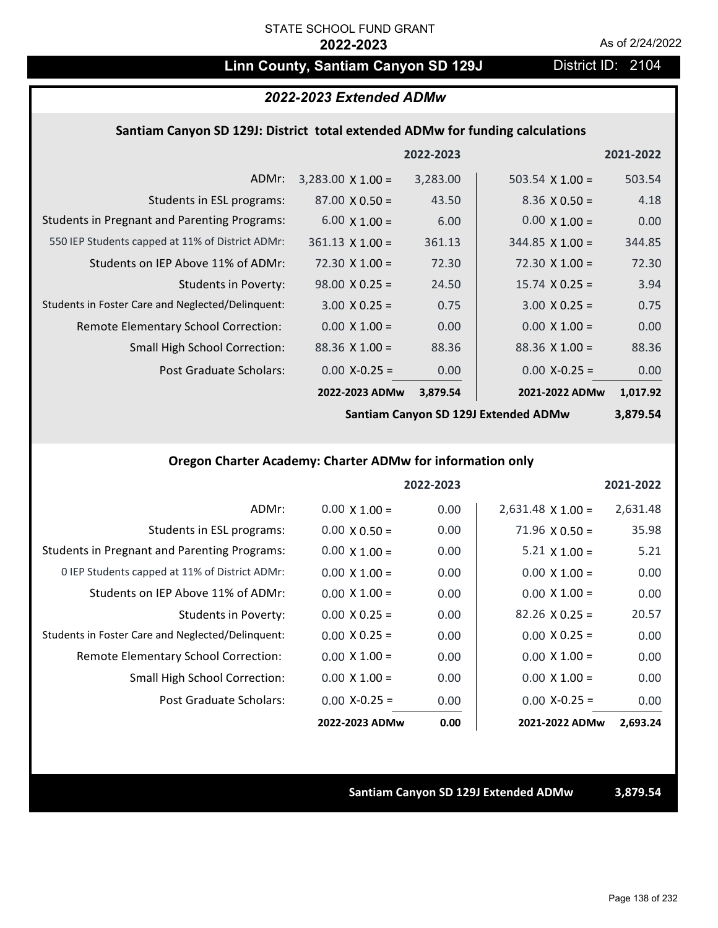## Linn County, Santiam Canyon SD 129J District ID: 2104

#### *2022-2023 Extended ADMw*

#### **Santiam Canyon SD 129J: District total extended ADMw for funding calculations**

|                                                     |                          | 2022-2023 |                        | 2021-2022 |
|-----------------------------------------------------|--------------------------|-----------|------------------------|-----------|
| ADMr:                                               | $3,283.00 \times 1.00 =$ | 3,283.00  | $503.54 \times 1.00 =$ | 503.54    |
| Students in ESL programs:                           | $87.00 \times 0.50 =$    | 43.50     | $8.36 \times 0.50 =$   | 4.18      |
| <b>Students in Pregnant and Parenting Programs:</b> | $6.00 \times 1.00 =$     | 6.00      | $0.00 \times 1.00 =$   | 0.00      |
| 550 IEP Students capped at 11% of District ADMr:    | $361.13 \times 1.00 =$   | 361.13    | $344.85 \times 1.00 =$ | 344.85    |
| Students on IEP Above 11% of ADMr:                  | $72.30 \times 1.00 =$    | 72.30     | $72.30 \times 1.00 =$  | 72.30     |
| <b>Students in Poverty:</b>                         | $98.00 \times 0.25 =$    | 24.50     | $15.74 \times 0.25 =$  | 3.94      |
| Students in Foster Care and Neglected/Delinquent:   | $3.00 \times 0.25 =$     | 0.75      | $3.00 \times 0.25 =$   | 0.75      |
| <b>Remote Elementary School Correction:</b>         | $0.00 \times 1.00 =$     | 0.00      | $0.00 \times 1.00 =$   | 0.00      |
| <b>Small High School Correction:</b>                | $88.36 \times 1.00 =$    | 88.36     | $88.36 \times 1.00 =$  | 88.36     |
| Post Graduate Scholars:                             | $0.00 X - 0.25 =$        | 0.00      | $0.00 X - 0.25 =$      | 0.00      |
|                                                     | 2022-2023 ADMw           | 3,879.54  | 2021-2022 ADMw         | 1,017.92  |

**Santiam Canyon SD 129J Extended ADMw**

## **3,879.54**

### **Oregon Charter Academy: Charter ADMw for information only**

|                                                     |                      | 2022-2023 |                          | 2021-2022 |
|-----------------------------------------------------|----------------------|-----------|--------------------------|-----------|
| ADMr:                                               | $0.00 \times 1.00 =$ | 0.00      | $2,631.48 \times 1.00 =$ | 2,631.48  |
| Students in ESL programs:                           | $0.00 \times 0.50 =$ | 0.00      | $71.96 \times 0.50 =$    | 35.98     |
| <b>Students in Pregnant and Parenting Programs:</b> | $0.00 \times 1.00 =$ | 0.00      | $5.21 \times 1.00 =$     | 5.21      |
| 0 IEP Students capped at 11% of District ADMr:      | $0.00 \times 1.00 =$ | 0.00      | $0.00 \times 1.00 =$     | 0.00      |
| Students on IEP Above 11% of ADMr:                  | $0.00 \times 1.00 =$ | 0.00      | $0.00 \times 1.00 =$     | 0.00      |
| Students in Poverty:                                | $0.00 \times 0.25 =$ | 0.00      | $82.26 \times 0.25 =$    | 20.57     |
| Students in Foster Care and Neglected/Delinquent:   | $0.00 \times 0.25 =$ | 0.00      | $0.00 \times 0.25 =$     | 0.00      |
| Remote Elementary School Correction:                | $0.00 \times 1.00 =$ | 0.00      | $0.00 \times 1.00 =$     | 0.00      |
| Small High School Correction:                       | $0.00 \times 1.00 =$ | 0.00      | $0.00 \times 1.00 =$     | 0.00      |
| Post Graduate Scholars:                             | $0.00 X-0.25 =$      | 0.00      | $0.00 X - 0.25 =$        | 0.00      |
|                                                     | 2022-2023 ADMw       | 0.00      | 2021-2022 ADMw           | 2,693.24  |

#### **Santiam Canyon SD 129J Extended ADMw 3,879.54**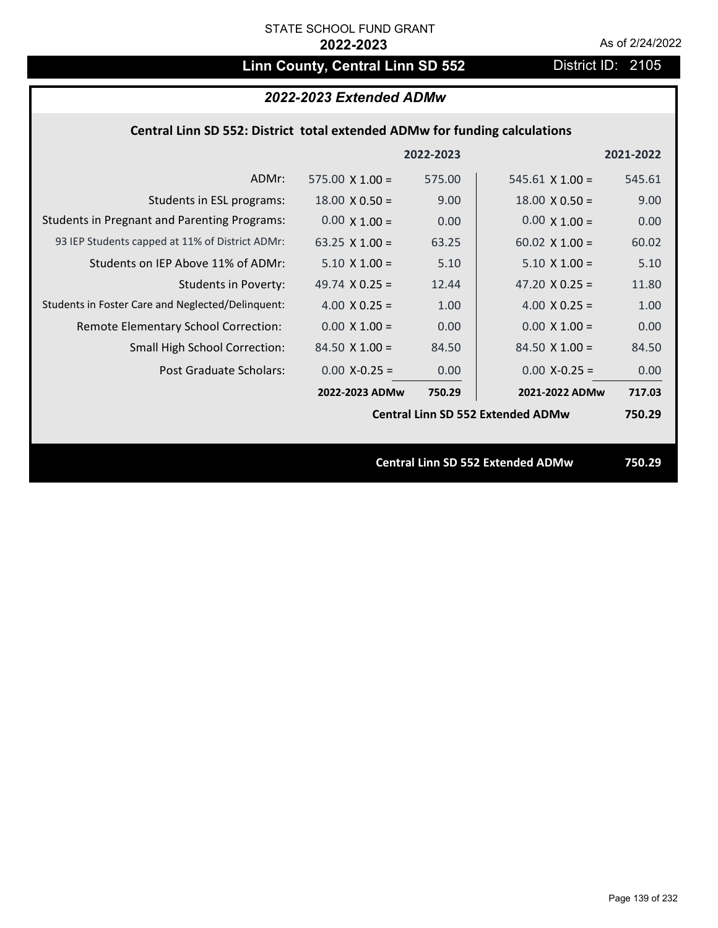## Linn County, Central Linn SD 552 District ID: 2105

## *2022-2023 Extended ADMw*

## **Central Linn SD 552: District total extended ADMw for funding calculations**

|                                                     |                        | 2022-2023 |                                          | 2021-2022 |
|-----------------------------------------------------|------------------------|-----------|------------------------------------------|-----------|
| ADMr:                                               | $575.00 \times 1.00 =$ | 575.00    | $545.61$ X 1.00 =                        | 545.61    |
| Students in ESL programs:                           | $18.00 \times 0.50 =$  | 9.00      | $18.00 \times 0.50 =$                    | 9.00      |
| <b>Students in Pregnant and Parenting Programs:</b> | $0.00 \times 1.00 =$   | 0.00      | $0.00 \times 1.00 =$                     | 0.00      |
| 93 IEP Students capped at 11% of District ADMr:     | 63.25 $\times$ 1.00 =  | 63.25     | 60.02 $\times$ 1.00 =                    | 60.02     |
| Students on IEP Above 11% of ADMr:                  | $5.10 \times 1.00 =$   | 5.10      | $5.10 \times 1.00 =$                     | 5.10      |
| Students in Poverty:                                | 49.74 $X$ 0.25 =       | 12.44     | 47.20 $X$ 0.25 =                         | 11.80     |
| Students in Foster Care and Neglected/Delinquent:   | 4.00 $X$ 0.25 =        | 1.00      | 4.00 $X$ 0.25 =                          | 1.00      |
| Remote Elementary School Correction:                | $0.00 \times 1.00 =$   | 0.00      | $0.00 \times 1.00 =$                     | 0.00      |
| <b>Small High School Correction:</b>                | $84.50 \times 1.00 =$  | 84.50     | $84.50 \times 1.00 =$                    | 84.50     |
| Post Graduate Scholars:                             | $0.00$ X-0.25 =        | 0.00      | $0.00$ X-0.25 =                          | 0.00      |
|                                                     | 2022-2023 ADMw         | 750.29    | 2021-2022 ADMw                           | 717.03    |
|                                                     |                        |           | <b>Central Linn SD 552 Extended ADMw</b> | 750.29    |
|                                                     |                        |           |                                          |           |
|                                                     |                        |           | <b>Central Linn SD 552 Extended ADMw</b> | 750.29    |
|                                                     |                        |           |                                          |           |

Page 139 of 232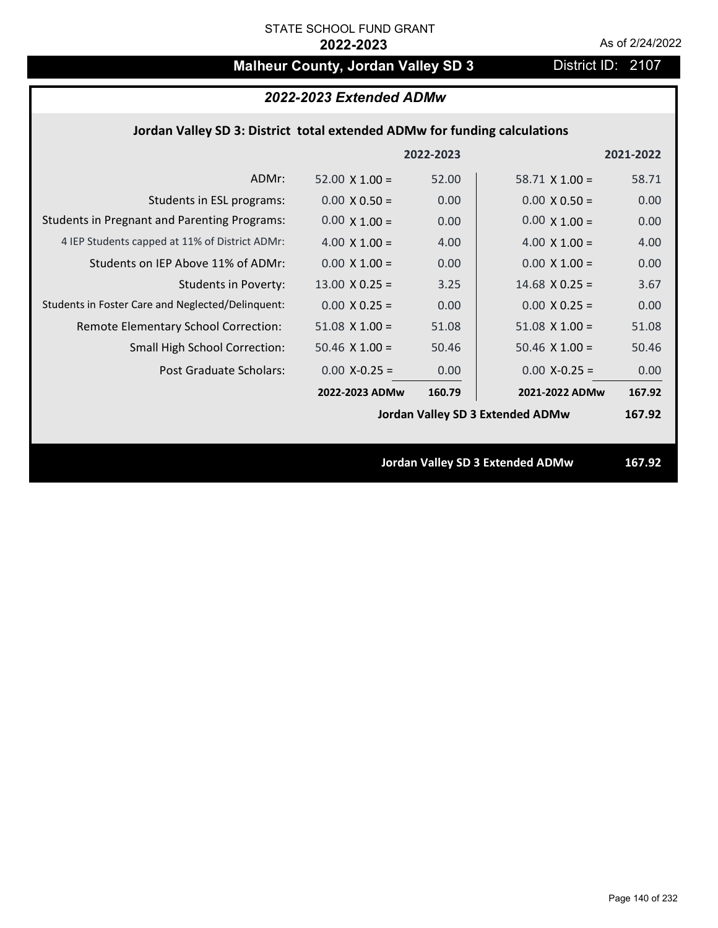# **Malheur County, Jordan Valley SD 3** District ID: 2107

## *2022-2023 Extended ADMw*

## **Jordan Valley SD 3: District total extended ADMw for funding calculations**

|                                                     |                       | 2022-2023 |                                         | 2021-2022 |
|-----------------------------------------------------|-----------------------|-----------|-----------------------------------------|-----------|
| ADMr:                                               | $52.00 \times 1.00 =$ | 52.00     | 58.71 $X$ 1.00 =                        | 58.71     |
| Students in ESL programs:                           | $0.00 \times 0.50 =$  | 0.00      | $0.00 \times 0.50 =$                    | 0.00      |
| <b>Students in Pregnant and Parenting Programs:</b> | $0.00 \times 1.00 =$  | 0.00      | $0.00 \times 1.00 =$                    | 0.00      |
| 4 IEP Students capped at 11% of District ADMr:      | 4.00 $\times$ 1.00 =  | 4.00      | $4.00 \times 1.00 =$                    | 4.00      |
| Students on IEP Above 11% of ADMr:                  | $0.00 \times 1.00 =$  | 0.00      | $0.00 \times 1.00 =$                    | 0.00      |
| <b>Students in Poverty:</b>                         | $13.00 \times 0.25 =$ | 3.25      | $14.68$ X 0.25 =                        | 3.67      |
| Students in Foster Care and Neglected/Delinquent:   | $0.00 \times 0.25 =$  | 0.00      | $0.00 X 0.25 =$                         | 0.00      |
| Remote Elementary School Correction:                | $51.08$ X $1.00 =$    | 51.08     | $51.08$ X $1.00 =$                      | 51.08     |
| <b>Small High School Correction:</b>                | $50.46$ X $1.00 =$    | 50.46     | $50.46 \times 1.00 =$                   | 50.46     |
| Post Graduate Scholars:                             | $0.00$ X-0.25 =       | 0.00      | $0.00$ X-0.25 =                         | 0.00      |
|                                                     | 2022-2023 ADMw        | 160.79    | 2021-2022 ADMw                          | 167.92    |
|                                                     |                       |           | Jordan Valley SD 3 Extended ADMw        | 167.92    |
|                                                     |                       |           |                                         |           |
|                                                     |                       |           | <b>Jordan Valley SD 3 Extended ADMw</b> | 167.92    |
|                                                     |                       |           |                                         |           |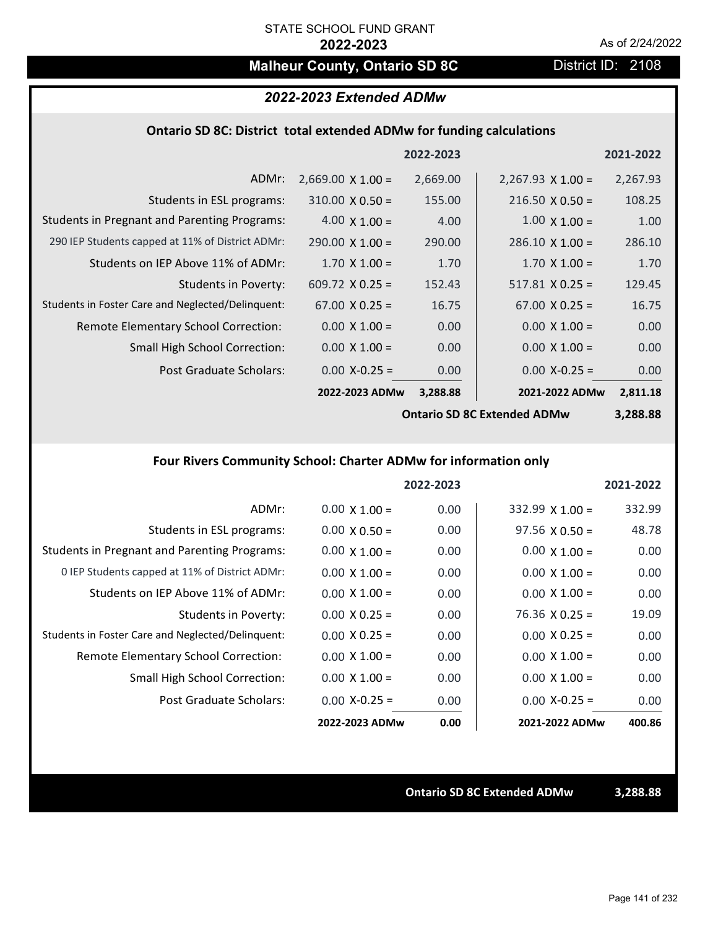# **Malheur County, Ontario SD 8C** District ID: 2108

#### *2022-2023 Extended ADMw*

#### **Ontario SD 8C: District total extended ADMw for funding calculations**

|                                                     |                          | 2022-2023 |                          | 2021-2022 |
|-----------------------------------------------------|--------------------------|-----------|--------------------------|-----------|
| ADMr:                                               | $2,669.00 \times 1.00 =$ | 2,669.00  | $2,267.93 \times 1.00 =$ | 2,267.93  |
| Students in ESL programs:                           | $310.00 \times 0.50 =$   | 155.00    | $216.50 \times 0.50 =$   | 108.25    |
| <b>Students in Pregnant and Parenting Programs:</b> | 4.00 $\times$ 1.00 =     | 4.00      | $1.00 \times 1.00 =$     | 1.00      |
| 290 IEP Students capped at 11% of District ADMr:    | $290.00 \times 1.00 =$   | 290.00    | $286.10 \times 1.00 =$   | 286.10    |
| Students on IEP Above 11% of ADMr:                  | $1.70 \times 1.00 =$     | 1.70      | $1.70 \times 1.00 =$     | 1.70      |
| Students in Poverty:                                | 609.72 $X$ 0.25 =        | 152.43    | $517.81 \times 0.25 =$   | 129.45    |
| Students in Foster Care and Neglected/Delinquent:   | $67.00 \times 0.25 =$    | 16.75     | $67.00 \times 0.25 =$    | 16.75     |
| Remote Elementary School Correction:                | $0.00 \times 1.00 =$     | 0.00      | $0.00 \times 1.00 =$     | 0.00      |
| <b>Small High School Correction:</b>                | $0.00 \times 1.00 =$     | 0.00      | $0.00 \times 1.00 =$     | 0.00      |
| Post Graduate Scholars:                             | $0.00 X - 0.25 =$        | 0.00      | $0.00$ X-0.25 =          | 0.00      |
|                                                     | 2022-2023 ADMw           | 3,288.88  | 2021-2022 ADMw           | 2,811.18  |
|                                                     |                          |           |                          |           |

**Ontario SD 8C Extended ADMw**

**3,288.88**

## **Four Rivers Community School: Charter ADMw for information only**

|                                                     |                      | 2022-2023 |                        | 2021-2022 |
|-----------------------------------------------------|----------------------|-----------|------------------------|-----------|
| ADMr:                                               | $0.00 \times 1.00 =$ | 0.00      | $332.99 \times 1.00 =$ | 332.99    |
| Students in ESL programs:                           | $0.00 \times 0.50 =$ | 0.00      | $97.56 \times 0.50 =$  | 48.78     |
| <b>Students in Pregnant and Parenting Programs:</b> | $0.00 \times 1.00 =$ | 0.00      | $0.00 \times 1.00 =$   | 0.00      |
| 0 IEP Students capped at 11% of District ADMr:      | $0.00 \times 1.00 =$ | 0.00      | $0.00 \times 1.00 =$   | 0.00      |
| Students on IEP Above 11% of ADMr:                  | $0.00 \times 1.00 =$ | 0.00      | $0.00 \times 1.00 =$   | 0.00      |
| Students in Poverty:                                | $0.00 \times 0.25 =$ | 0.00      | $76.36 \times 0.25 =$  | 19.09     |
| Students in Foster Care and Neglected/Delinquent:   | $0.00 \times 0.25 =$ | 0.00      | $0.00 \times 0.25 =$   | 0.00      |
| Remote Elementary School Correction:                | $0.00 \times 1.00 =$ | 0.00      | $0.00 \times 1.00 =$   | 0.00      |
| Small High School Correction:                       | $0.00 \times 1.00 =$ | 0.00      | $0.00 \times 1.00 =$   | 0.00      |
| Post Graduate Scholars:                             | $0.00$ X-0.25 =      | 0.00      | $0.00 X-0.25 =$        | 0.00      |
|                                                     | 2022-2023 ADMw       | 0.00      | 2021-2022 ADMw         | 400.86    |

**Ontario SD 8C Extended ADMw 3,288.88**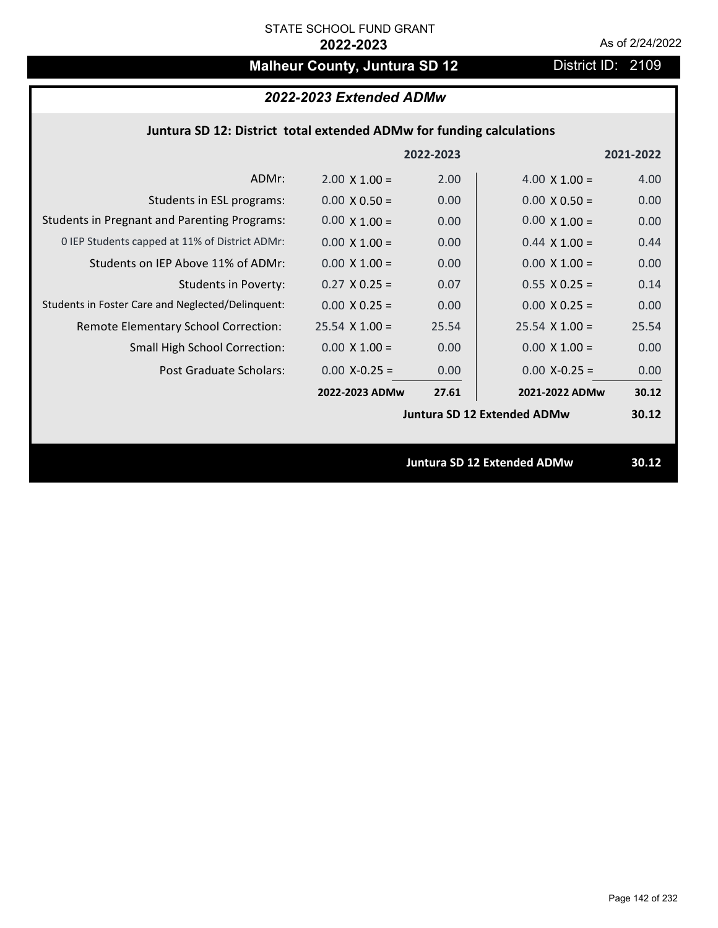## **Malheur County, Juntura SD 12** District ID: 2109

## *2022-2023 Extended ADMw*

## **Juntura SD 12: District total extended ADMw for funding calculations**

|                                                     |                      | 2022-2023 |                                    | 2021-2022 |
|-----------------------------------------------------|----------------------|-----------|------------------------------------|-----------|
| ADMr:                                               | $2.00 \times 1.00 =$ | 2.00      | $4.00 \times 1.00 =$               | 4.00      |
| Students in ESL programs:                           | $0.00 \times 0.50 =$ | 0.00      | $0.00 \times 0.50 =$               | 0.00      |
| <b>Students in Pregnant and Parenting Programs:</b> | $0.00 \times 1.00 =$ | 0.00      | $0.00 \times 1.00 =$               | 0.00      |
| 0 IEP Students capped at 11% of District ADMr:      | $0.00 \times 1.00 =$ | 0.00      | $0.44 \times 1.00 =$               | 0.44      |
| Students on IEP Above 11% of ADMr:                  | $0.00 \times 1.00 =$ | 0.00      | $0.00 \times 1.00 =$               | 0.00      |
| Students in Poverty:                                | $0.27$ X 0.25 =      | 0.07      | $0.55$ X 0.25 =                    | 0.14      |
| Students in Foster Care and Neglected/Delinquent:   | $0.00 \times 0.25 =$ | 0.00      | $0.00 \times 0.25 =$               | 0.00      |
| Remote Elementary School Correction:                | $25.54$ X 1.00 =     | 25.54     | $25.54 \times 1.00 =$              | 25.54     |
| <b>Small High School Correction:</b>                | $0.00 \times 1.00 =$ | 0.00      | $0.00 \times 1.00 =$               | 0.00      |
| Post Graduate Scholars:                             | $0.00$ X-0.25 =      | 0.00      | $0.00 X - 0.25 =$                  | 0.00      |
|                                                     | 2022-2023 ADMw       | 27.61     | 2021-2022 ADMw                     | 30.12     |
|                                                     |                      |           | <b>Juntura SD 12 Extended ADMw</b> | 30.12     |
|                                                     |                      |           |                                    |           |
|                                                     |                      |           | <b>Juntura SD 12 Extended ADMw</b> | 30.12     |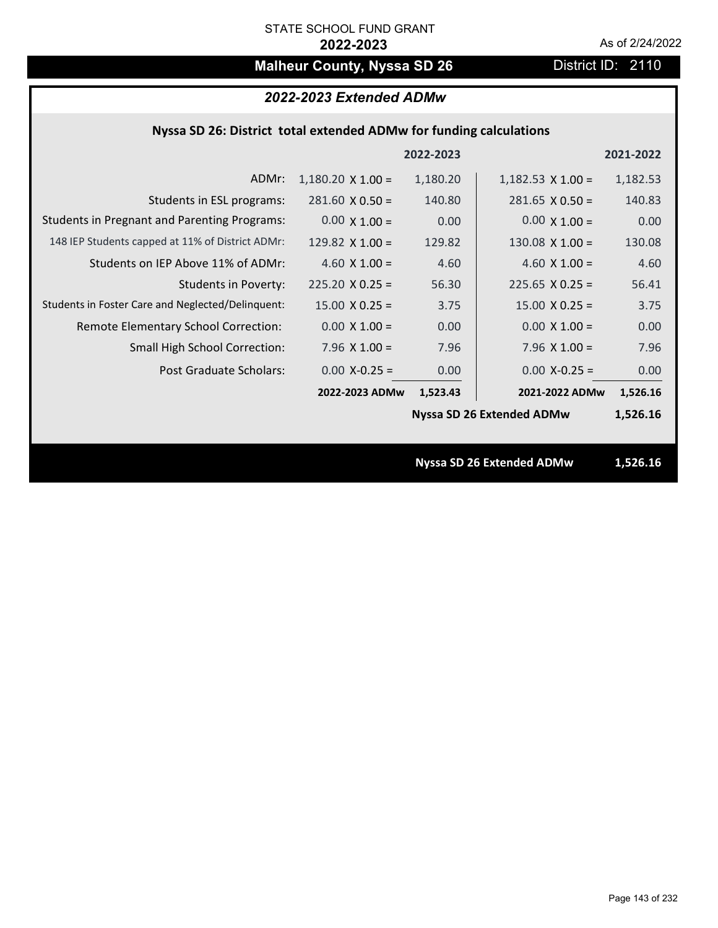# **Malheur County, Nyssa SD 26** District ID: 2110

## *2022-2023 Extended ADMw*

## **Nyssa SD 26: District total extended ADMw for funding calculations**

|                                                     |                          | 2022-2023 |                                  | 2021-2022 |  |
|-----------------------------------------------------|--------------------------|-----------|----------------------------------|-----------|--|
| ADMr:                                               | $1,180.20 \times 1.00 =$ | 1,180.20  | $1,182.53 \times 1.00 =$         | 1,182.53  |  |
| Students in ESL programs:                           | $281.60 \times 0.50 =$   | 140.80    | $281.65 \times 0.50 =$           | 140.83    |  |
| <b>Students in Pregnant and Parenting Programs:</b> | $0.00 \times 1.00 =$     | 0.00      | $0.00 \times 1.00 =$             | 0.00      |  |
| 148 IEP Students capped at 11% of District ADMr:    | 129.82 $\times$ 1.00 =   | 129.82    | $130.08 \times 1.00 =$           | 130.08    |  |
| Students on IEP Above 11% of ADMr:                  | 4.60 $X$ 1.00 =          | 4.60      | 4.60 $X$ 1.00 =                  | 4.60      |  |
| <b>Students in Poverty:</b>                         | $225.20$ X 0.25 =        | 56.30     | $225.65$ X 0.25 =                | 56.41     |  |
| Students in Foster Care and Neglected/Delinquent:   | $15.00 \times 0.25 =$    | 3.75      | $15.00 \times 0.25 =$            | 3.75      |  |
| Remote Elementary School Correction:                | $0.00 \times 1.00 =$     | 0.00      | $0.00 \times 1.00 =$             | 0.00      |  |
| <b>Small High School Correction:</b>                | $7.96 \times 1.00 =$     | 7.96      | $7.96$ X $1.00 =$                | 7.96      |  |
| Post Graduate Scholars:                             | $0.00 X - 0.25 =$        | 0.00      | $0.00$ X-0.25 =                  | 0.00      |  |
|                                                     | 2022-2023 ADMw           | 1,523.43  | 2021-2022 ADMw                   | 1,526.16  |  |
|                                                     |                          |           | <b>Nyssa SD 26 Extended ADMw</b> | 1,526.16  |  |
|                                                     |                          |           |                                  |           |  |
|                                                     |                          |           | <b>Nyssa SD 26 Extended ADMw</b> | 1,526.16  |  |
|                                                     |                          |           |                                  |           |  |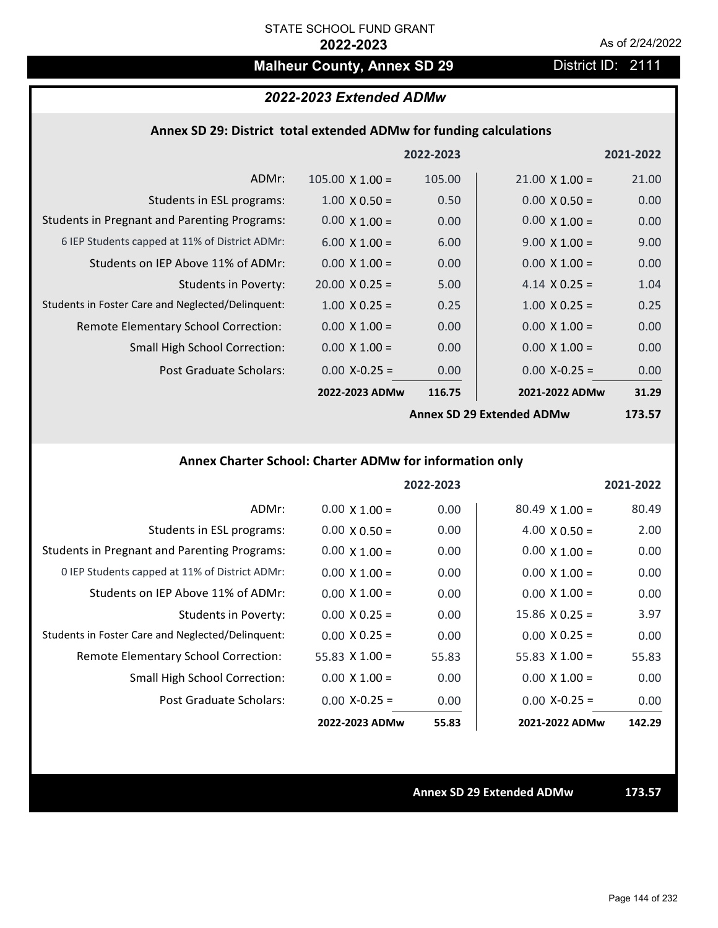## **Malheur County, Annex SD 29 District ID: 2111**

### *2022-2023 Extended ADMw*

#### **Annex SD 29: District total extended ADMw for funding calculations**

|                                                     |                        | 2022-2023 |                           | 2021-2022 |
|-----------------------------------------------------|------------------------|-----------|---------------------------|-----------|
| ADMr:                                               | $105.00 \times 1.00 =$ | 105.00    | $21.00 \times 1.00 =$     | 21.00     |
| Students in ESL programs:                           | $1.00 \times 0.50 =$   | 0.50      | $0.00 \times 0.50 =$      | 0.00      |
| <b>Students in Pregnant and Parenting Programs:</b> | $0.00 \times 1.00 =$   | 0.00      | $0.00 \times 1.00 =$      | 0.00      |
| 6 IEP Students capped at 11% of District ADMr:      | $6.00 \times 1.00 =$   | 6.00      | $9.00 \times 1.00 =$      | 9.00      |
| Students on IEP Above 11% of ADMr:                  | $0.00 \times 1.00 =$   | 0.00      | $0.00 \times 1.00 =$      | 0.00      |
| <b>Students in Poverty:</b>                         | $20.00 \times 0.25 =$  | 5.00      | 4.14 $X$ 0.25 =           | 1.04      |
| Students in Foster Care and Neglected/Delinquent:   | $1.00 \times 0.25 =$   | 0.25      | $1.00 \times 0.25 =$      | 0.25      |
| <b>Remote Elementary School Correction:</b>         | $0.00 \times 1.00 =$   | 0.00      | $0.00 \times 1.00 =$      | 0.00      |
| <b>Small High School Correction:</b>                | $0.00 \times 1.00 =$   | 0.00      | $0.00 \times 1.00 =$      | 0.00      |
| Post Graduate Scholars:                             | $0.00$ X-0.25 =        | 0.00      | $0.00 X - 0.25 =$         | 0.00      |
|                                                     | 2022-2023 ADMw         | 116.75    | 2021-2022 ADMw            | 31.29     |
|                                                     |                        |           | Annoy CD 20 Extended ADMu | 172 E7    |

**Annex SD 29 Extended ADMw**

**173.57**

## **Annex Charter School: Charter ADMw for information only**

|                                                     |                       | 2022-2023 |                       | 2021-2022 |
|-----------------------------------------------------|-----------------------|-----------|-----------------------|-----------|
| ADMr:                                               | $0.00 \times 1.00 =$  | 0.00      | $80.49 \times 1.00 =$ | 80.49     |
| Students in ESL programs:                           | $0.00 \times 0.50 =$  | 0.00      | $4.00 \times 0.50 =$  | 2.00      |
| <b>Students in Pregnant and Parenting Programs:</b> | $0.00 \times 1.00 =$  | 0.00      | $0.00 \times 1.00 =$  | 0.00      |
| 0 IEP Students capped at 11% of District ADMr:      | $0.00 \times 1.00 =$  | 0.00      | $0.00 \times 1.00 =$  | 0.00      |
| Students on IEP Above 11% of ADMr:                  | $0.00 \times 1.00 =$  | 0.00      | $0.00 \times 1.00 =$  | 0.00      |
| Students in Poverty:                                | $0.00 \times 0.25 =$  | 0.00      | $15.86 \times 0.25 =$ | 3.97      |
| Students in Foster Care and Neglected/Delinquent:   | $0.00 \times 0.25 =$  | 0.00      | $0.00 \times 0.25 =$  | 0.00      |
| Remote Elementary School Correction:                | 55.83 $\times$ 1.00 = | 55.83     | $55.83 \times 1.00 =$ | 55.83     |
| <b>Small High School Correction:</b>                | $0.00 \times 1.00 =$  | 0.00      | $0.00 \times 1.00 =$  | 0.00      |
| Post Graduate Scholars:                             | $0.00$ X-0.25 =       | 0.00      | $0.00$ X-0.25 =       | 0.00      |
|                                                     | 2022-2023 ADMw        | 55.83     | 2021-2022 ADMw        | 142.29    |

**Annex SD 29 Extended ADMw 173.57**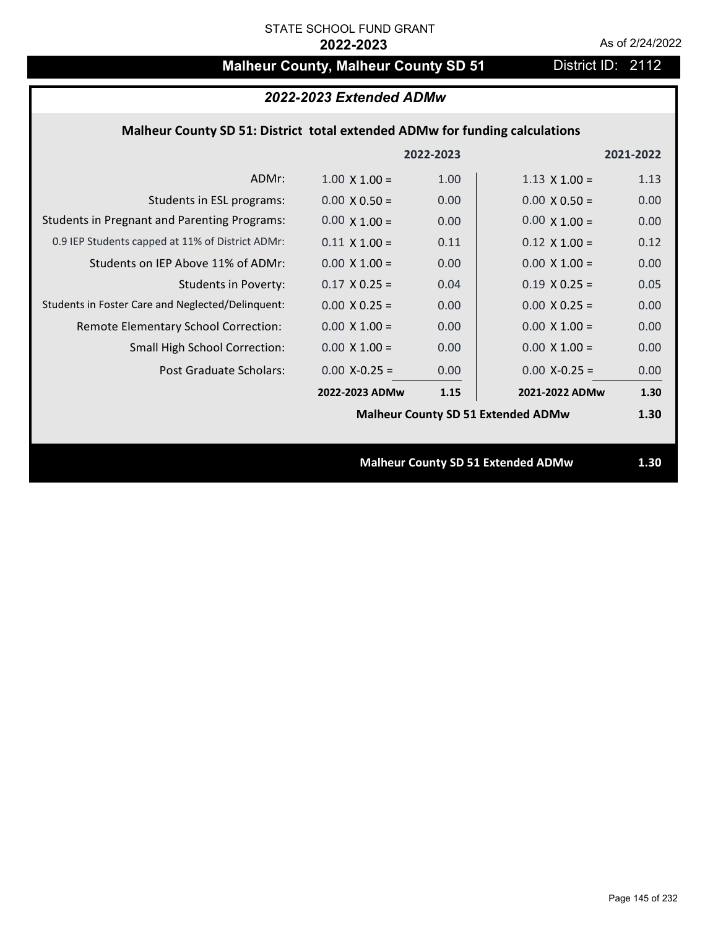# **Malheur County, Malheur County SD 51** District ID: 2112

| 2022-2023 Extended ADMw                                                     |                      |           |                                           |           |  |
|-----------------------------------------------------------------------------|----------------------|-----------|-------------------------------------------|-----------|--|
| Malheur County SD 51: District total extended ADMw for funding calculations |                      |           |                                           |           |  |
|                                                                             |                      | 2022-2023 |                                           | 2021-2022 |  |
| ADMr:                                                                       | $1.00 \times 1.00 =$ | 1.00      | $1.13 \times 1.00 =$                      | 1.13      |  |
| Students in ESL programs:                                                   | $0.00 \times 0.50 =$ | 0.00      | $0.00 \times 0.50 =$                      | 0.00      |  |
| <b>Students in Pregnant and Parenting Programs:</b>                         | $0.00 \times 1.00 =$ | 0.00      | $0.00 \times 1.00 =$                      | 0.00      |  |
| 0.9 IEP Students capped at 11% of District ADMr:                            | $0.11 \times 1.00 =$ | 0.11      | $0.12 \times 1.00 =$                      | 0.12      |  |
| Students on IEP Above 11% of ADMr:                                          | $0.00 X 1.00 =$      | 0.00      | $0.00 X 1.00 =$                           | 0.00      |  |
| <b>Students in Poverty:</b>                                                 | $0.17 \times 0.25 =$ | 0.04      | $0.19 \times 0.25 =$                      | 0.05      |  |
| Students in Foster Care and Neglected/Delinquent:                           | $0.00 X 0.25 =$      | 0.00      | $0.00 \times 0.25 =$                      | 0.00      |  |
| Remote Elementary School Correction:                                        | $0.00 \times 1.00 =$ | 0.00      | $0.00 \times 1.00 =$                      | 0.00      |  |
| Small High School Correction:                                               | $0.00 \times 1.00 =$ | 0.00      | $0.00 \times 1.00 =$                      | 0.00      |  |
| <b>Post Graduate Scholars:</b>                                              | $0.00$ X-0.25 =      | 0.00      | $0.00$ X-0.25 =                           | 0.00      |  |
|                                                                             | 2022-2023 ADMw       | 1.15      | 2021-2022 ADMw                            | 1.30      |  |
|                                                                             |                      |           | <b>Malheur County SD 51 Extended ADMw</b> | 1.30      |  |
|                                                                             |                      |           |                                           |           |  |
|                                                                             |                      |           | <b>Malheur County SD 51 Extended ADMw</b> | 1.30      |  |
|                                                                             |                      |           |                                           |           |  |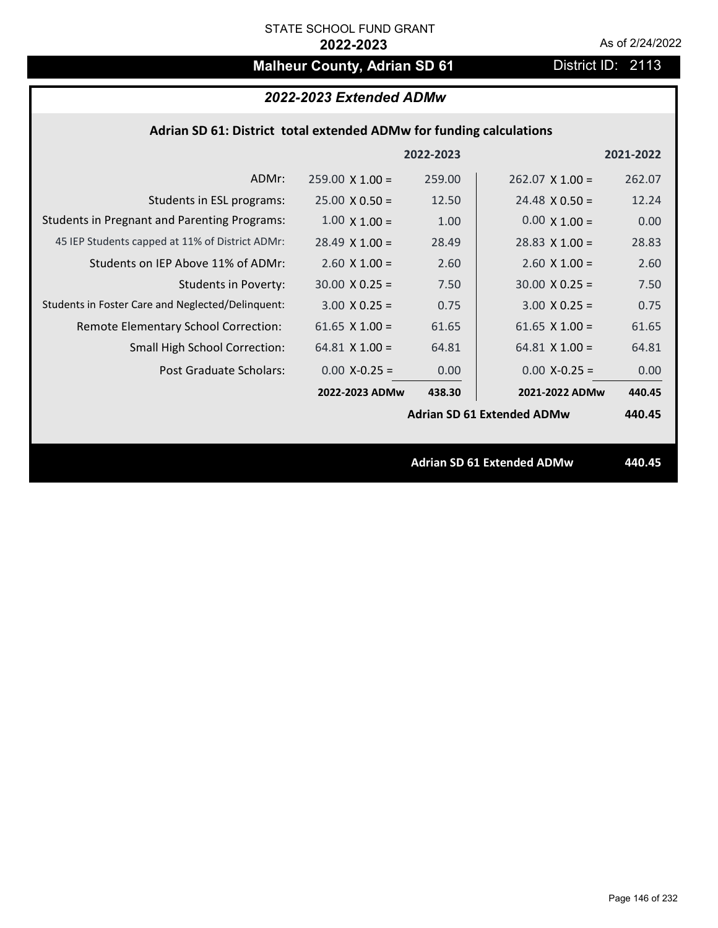# **Malheur County, Adrian SD 61** District ID: 2113

## *2022-2023 Extended ADMw*

### **Adrian SD 61: District total extended ADMw for funding calculations**

|                                                     |                        | 2022-2023 |                                   | 2021-2022 |
|-----------------------------------------------------|------------------------|-----------|-----------------------------------|-----------|
| ADMr:                                               | $259.00 \times 1.00 =$ | 259.00    | $262.07 \times 1.00 =$            | 262.07    |
| Students in ESL programs:                           | $25.00 \times 0.50 =$  | 12.50     | $24.48 \times 0.50 =$             | 12.24     |
| <b>Students in Pregnant and Parenting Programs:</b> | $1.00 \times 1.00 =$   | 1.00      | $0.00 \times 1.00 =$              | 0.00      |
| 45 IEP Students capped at 11% of District ADMr:     | $28.49 \times 1.00 =$  | 28.49     | $28.83 \times 1.00 =$             | 28.83     |
| Students on IEP Above 11% of ADMr:                  | $2.60$ X $1.00 =$      | 2.60      | $2.60$ X $1.00 =$                 | 2.60      |
| <b>Students in Poverty:</b>                         | $30.00 \times 0.25 =$  | 7.50      | $30.00 \times 0.25 =$             | 7.50      |
| Students in Foster Care and Neglected/Delinquent:   | $3.00 \times 0.25 =$   | 0.75      | $3.00 \times 0.25 =$              | 0.75      |
| Remote Elementary School Correction:                | 61.65 $X$ 1.00 =       | 61.65     | 61.65 $X$ 1.00 =                  | 61.65     |
| <b>Small High School Correction:</b>                | $64.81$ X $1.00 =$     | 64.81     | $64.81$ X 1.00 =                  | 64.81     |
| Post Graduate Scholars:                             | $0.00$ X-0.25 =        | 0.00      | $0.00 X - 0.25 =$                 | 0.00      |
|                                                     | 2022-2023 ADMw         | 438.30    | 2021-2022 ADMw                    | 440.45    |
|                                                     |                        |           | <b>Adrian SD 61 Extended ADMw</b> | 440.45    |
|                                                     |                        |           |                                   |           |
|                                                     |                        |           | <b>Adrian SD 61 Extended ADMw</b> | 440.45    |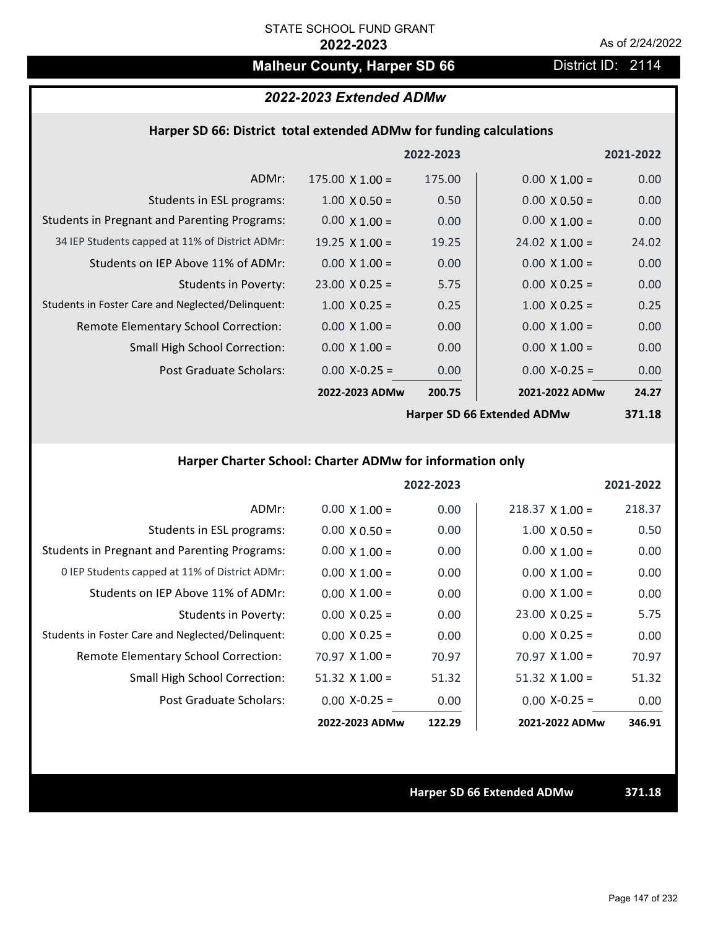## **Malheur County, Harper SD 66** District ID: 2114

## *2022-2023 Extended ADMw*

#### **Harper SD 66: District total extended ADMw for funding calculations**

|                                                     |                        | 2022-2023 |                       | 2021-2022 |
|-----------------------------------------------------|------------------------|-----------|-----------------------|-----------|
| ADMr:                                               | $175.00 \times 1.00 =$ | 175.00    | $0.00 \times 1.00 =$  | 0.00      |
| Students in ESL programs:                           | $1.00 \times 0.50 =$   | 0.50      | $0.00 \times 0.50 =$  | 0.00      |
| <b>Students in Pregnant and Parenting Programs:</b> | $0.00 \times 1.00 =$   | 0.00      | $0.00 \times 1.00 =$  | 0.00      |
| 34 IEP Students capped at 11% of District ADMr:     | 19.25 $\times$ 1.00 =  | 19.25     | $24.02 \times 1.00 =$ | 24.02     |
| Students on IEP Above 11% of ADMr:                  | $0.00 \times 1.00 =$   | 0.00      | $0.00 \times 1.00 =$  | 0.00      |
| <b>Students in Poverty:</b>                         | $23.00 \times 0.25 =$  | 5.75      | $0.00 \times 0.25 =$  | 0.00      |
| Students in Foster Care and Neglected/Delinquent:   | $1.00 \times 0.25 =$   | 0.25      | $1.00 \times 0.25 =$  | 0.25      |
| Remote Elementary School Correction:                | $0.00 \times 1.00 =$   | 0.00      | $0.00 \times 1.00 =$  | 0.00      |
| <b>Small High School Correction:</b>                | $0.00 \times 1.00 =$   | 0.00      | $0.00 \times 1.00 =$  | 0.00      |
| Post Graduate Scholars:                             | $0.00$ X-0.25 =        | 0.00      | $0.00$ X-0.25 =       | 0.00      |
|                                                     | 2022-2023 ADMw         | 200.75    | 2021-2022 ADMw        | 24.27     |
|                                                     |                        |           |                       | --- --    |

**Harper SD 66 Extended ADMw**

**371.18**

## **Harper Charter School: Charter ADMw for information only**

|                                                     |                       | 2022-2023 |                        | 2021-2022 |
|-----------------------------------------------------|-----------------------|-----------|------------------------|-----------|
| ADMr:                                               | $0.00 \times 1.00 =$  | 0.00      | $218.37 \times 1.00 =$ | 218.37    |
| Students in ESL programs:                           | $0.00 \times 0.50 =$  | 0.00      | $1.00 \times 0.50 =$   | 0.50      |
| <b>Students in Pregnant and Parenting Programs:</b> | $0.00 \times 1.00 =$  | 0.00      | $0.00 \times 1.00 =$   | 0.00      |
| 0 IEP Students capped at 11% of District ADMr:      | $0.00 \times 1.00 =$  | 0.00      | $0.00 \times 1.00 =$   | 0.00      |
| Students on IEP Above 11% of ADMr:                  | $0.00 \times 1.00 =$  | 0.00      | $0.00 \times 1.00 =$   | 0.00      |
| Students in Poverty:                                | $0.00 \times 0.25 =$  | 0.00      | $23.00 \times 0.25 =$  | 5.75      |
| Students in Foster Care and Neglected/Delinquent:   | $0.00 \times 0.25 =$  | 0.00      | $0.00 \times 0.25 =$   | 0.00      |
| Remote Elementary School Correction:                | $70.97 \times 1.00 =$ | 70.97     | $70.97 \times 1.00 =$  | 70.97     |
| <b>Small High School Correction:</b>                | $51.32$ X $1.00 =$    | 51.32     | $51.32 \times 1.00 =$  | 51.32     |
| Post Graduate Scholars:                             | $0.00$ X-0.25 =       | 0.00      | $0.00$ X-0.25 =        | 0.00      |
|                                                     | 2022-2023 ADMw        | 122.29    | 2021-2022 ADMw         | 346.91    |

**Harper SD 66 Extended ADMw 371.18**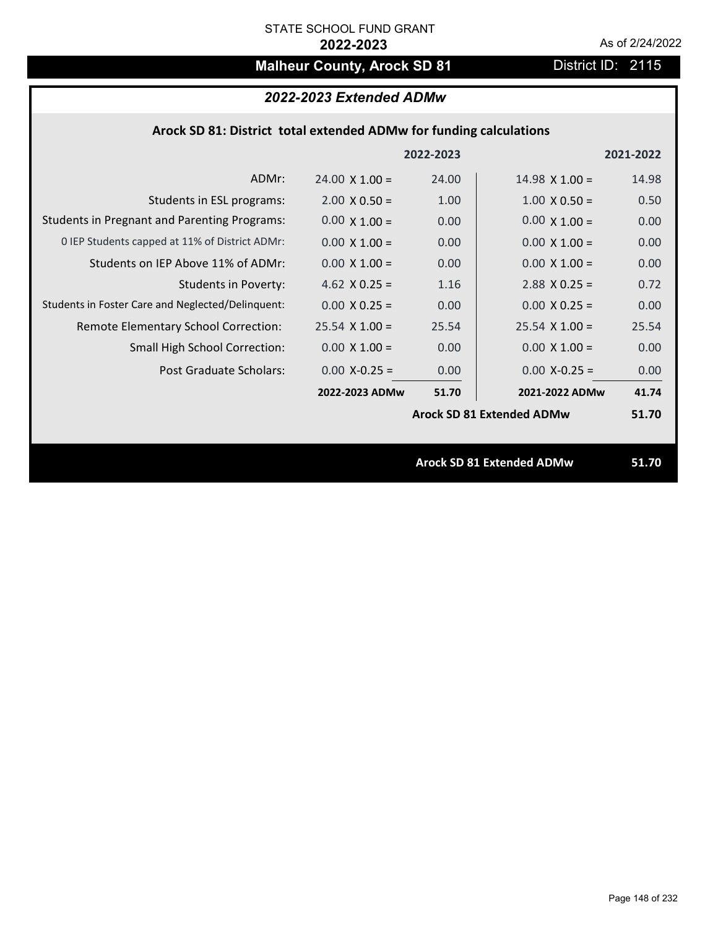# **Malheur County, Arock SD 81** District ID: 2115

## *2022-2023 Extended ADMw*

## **Arock SD 81: District total extended ADMw for funding calculations**

|                                                     |                       | 2022-2023 |                                  | 2021-2022 |
|-----------------------------------------------------|-----------------------|-----------|----------------------------------|-----------|
| ADMr:                                               | $24.00 \times 1.00 =$ | 24.00     | $14.98 \times 1.00 =$            | 14.98     |
| Students in ESL programs:                           | $2.00 \times 0.50 =$  | 1.00      | $1.00 \times 0.50 =$             | 0.50      |
| <b>Students in Pregnant and Parenting Programs:</b> | $0.00 \times 1.00 =$  | 0.00      | $0.00 \times 1.00 =$             | 0.00      |
| 0 IEP Students capped at 11% of District ADMr:      | $0.00 \times 1.00 =$  | 0.00      | $0.00 \times 1.00 =$             | 0.00      |
| Students on IEP Above 11% of ADMr:                  | $0.00 \times 1.00 =$  | 0.00      | $0.00 \times 1.00 =$             | 0.00      |
| <b>Students in Poverty:</b>                         | 4.62 $X$ 0.25 =       | 1.16      | $2.88$ X 0.25 =                  | 0.72      |
| Students in Foster Care and Neglected/Delinquent:   | $0.00 \times 0.25 =$  | 0.00      | $0.00 \times 0.25 =$             | 0.00      |
| Remote Elementary School Correction:                | $25.54 \times 1.00 =$ | 25.54     | $25.54$ X 1.00 =                 | 25.54     |
| <b>Small High School Correction:</b>                | $0.00 \times 1.00 =$  | 0.00      | $0.00 \times 1.00 =$             | 0.00      |
| Post Graduate Scholars:                             | $0.00 X - 0.25 =$     | 0.00      | $0.00$ X-0.25 =                  | 0.00      |
|                                                     | 2022-2023 ADMw        | 51.70     | 2021-2022 ADMw                   | 41.74     |
|                                                     |                       |           | <b>Arock SD 81 Extended ADMw</b> | 51.70     |
|                                                     |                       |           |                                  |           |
|                                                     |                       |           | <b>Arock SD 81 Extended ADMw</b> | 51.70     |
|                                                     |                       |           |                                  |           |

Page 148 of 232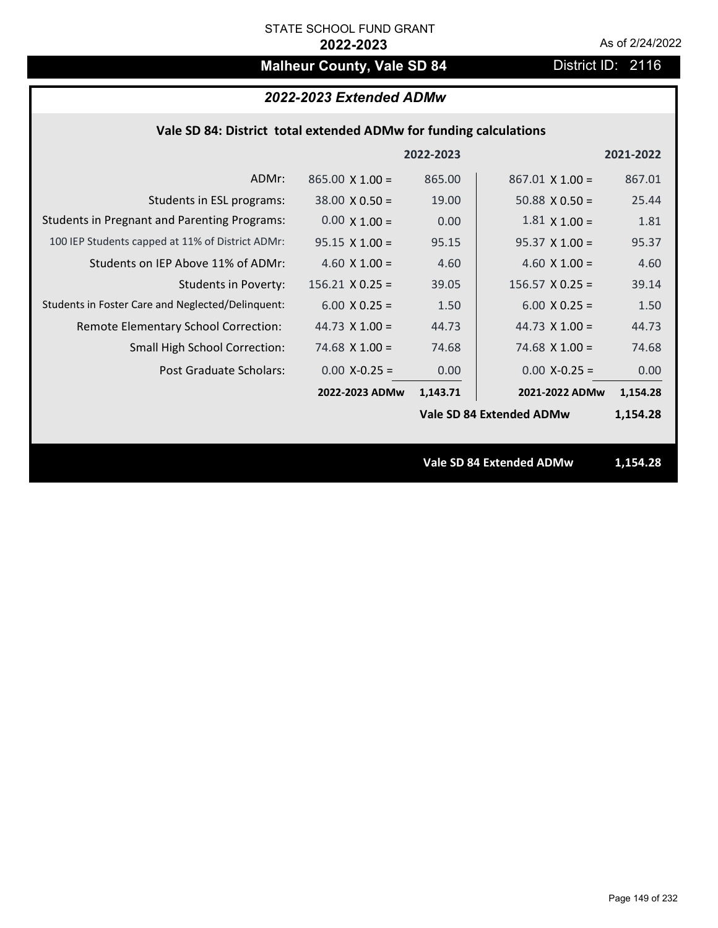# **Malheur County, Vale SD 84** District ID: 2116

## *2022-2023 Extended ADMw*

| Vale SD 84: District total extended ADMw for funding calculations |  |  |  |  |
|-------------------------------------------------------------------|--|--|--|--|
|-------------------------------------------------------------------|--|--|--|--|

|                                                     |                        | 2022-2023 |                                 | 2021-2022 |
|-----------------------------------------------------|------------------------|-----------|---------------------------------|-----------|
| ADMr:                                               | $865.00 \times 1.00 =$ | 865.00    | $867.01 \times 1.00 =$          | 867.01    |
| Students in ESL programs:                           | $38.00 \times 0.50 =$  | 19.00     | $50.88 \times 0.50 =$           | 25.44     |
| <b>Students in Pregnant and Parenting Programs:</b> | $0.00 \times 1.00 =$   | 0.00      | $1.81 \times 1.00 =$            | 1.81      |
| 100 IEP Students capped at 11% of District ADMr:    | $95.15 \times 1.00 =$  | 95.15     | $95.37 \times 1.00 =$           | 95.37     |
| Students on IEP Above 11% of ADMr:                  | 4.60 $X$ 1.00 =        | 4.60      | 4.60 $X$ 1.00 =                 | 4.60      |
| <b>Students in Poverty:</b>                         | $156.21$ X 0.25 =      | 39.05     | $156.57 \times 0.25 =$          | 39.14     |
| Students in Foster Care and Neglected/Delinquent:   | $6.00 \times 0.25 =$   | 1.50      | $6.00 \times 0.25 =$            | 1.50      |
| Remote Elementary School Correction:                | 44.73 $X$ 1.00 =       | 44.73     | 44.73 $\times$ 1.00 =           | 44.73     |
| <b>Small High School Correction:</b>                | 74.68 $X$ 1.00 =       | 74.68     | $74.68 \times 1.00 =$           | 74.68     |
| Post Graduate Scholars:                             | $0.00$ X-0.25 =        | 0.00      | $0.00 X - 0.25 =$               | 0.00      |
|                                                     | 2022-2023 ADMw         | 1,143.71  | 2021-2022 ADMw                  | 1,154.28  |
|                                                     |                        |           | Vale SD 84 Extended ADMw        | 1,154.28  |
|                                                     |                        |           |                                 |           |
|                                                     |                        |           | <b>Vale SD 84 Extended ADMw</b> | 1,154.28  |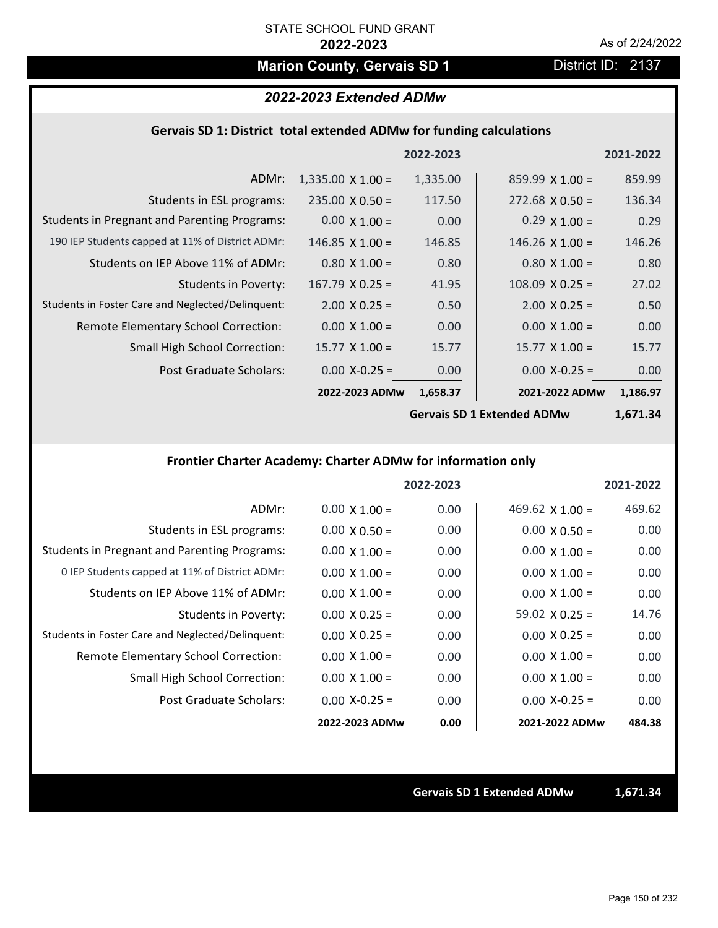## **Marion County, Gervais SD 1** District ID: 2137

## *2022-2023 Extended ADMw*

#### **Gervais SD 1: District total extended ADMw for funding calculations**

|                                                     |                          | 2022-2023 |                        | 2021-2022 |
|-----------------------------------------------------|--------------------------|-----------|------------------------|-----------|
| ADMr:                                               | $1,335.00 \times 1.00 =$ | 1,335.00  | $859.99 \times 1.00 =$ | 859.99    |
| Students in ESL programs:                           | $235.00 \times 0.50 =$   | 117.50    | $272.68 \times 0.50 =$ | 136.34    |
| <b>Students in Pregnant and Parenting Programs:</b> | $0.00 \times 1.00 =$     | 0.00      | $0.29 \times 1.00 =$   | 0.29      |
| 190 IEP Students capped at 11% of District ADMr:    | $146.85 \times 1.00 =$   | 146.85    | $146.26 \times 1.00 =$ | 146.26    |
| Students on IEP Above 11% of ADMr:                  | $0.80 \times 1.00 =$     | 0.80      | $0.80 \times 1.00 =$   | 0.80      |
| <b>Students in Poverty:</b>                         | $167.79 \times 0.25 =$   | 41.95     | $108.09 \times 0.25 =$ | 27.02     |
| Students in Foster Care and Neglected/Delinquent:   | $2.00 \times 0.25 =$     | 0.50      | $2.00 \times 0.25 =$   | 0.50      |
| Remote Elementary School Correction:                | $0.00 \times 1.00 =$     | 0.00      | $0.00 \times 1.00 =$   | 0.00      |
| <b>Small High School Correction:</b>                | $15.77 \times 1.00 =$    | 15.77     | $15.77 \times 1.00 =$  | 15.77     |
| Post Graduate Scholars:                             | $0.00 X - 0.25 =$        | 0.00      | $0.00$ X-0.25 =        | 0.00      |
|                                                     | 2022-2023 ADMw           | 1,658.37  | 2021-2022 ADMw         | 1,186.97  |

**Gervais SD 1 Extended ADMw**

**1,671.34**

## **Frontier Charter Academy: Charter ADMw for information only**

|                                                     |                      | 2022-2023 |                        | 2021-2022 |
|-----------------------------------------------------|----------------------|-----------|------------------------|-----------|
| ADMr:                                               | $0.00 \times 1.00 =$ | 0.00      | $469.62 \times 1.00 =$ | 469.62    |
| Students in ESL programs:                           | $0.00 \times 0.50 =$ | 0.00      | $0.00 \times 0.50 =$   | 0.00      |
| <b>Students in Pregnant and Parenting Programs:</b> | $0.00 \times 1.00 =$ | 0.00      | $0.00 \times 1.00 =$   | 0.00      |
| 0 IEP Students capped at 11% of District ADMr:      | $0.00 \times 1.00 =$ | 0.00      | $0.00 \times 1.00 =$   | 0.00      |
| Students on IEP Above 11% of ADMr:                  | $0.00 \times 1.00 =$ | 0.00      | $0.00 \times 1.00 =$   | 0.00      |
| Students in Poverty:                                | $0.00 \times 0.25 =$ | 0.00      | $59.02 \times 0.25 =$  | 14.76     |
| Students in Foster Care and Neglected/Delinquent:   | $0.00 \times 0.25 =$ | 0.00      | $0.00 \times 0.25 =$   | 0.00      |
| Remote Elementary School Correction:                | $0.00 \times 1.00 =$ | 0.00      | $0.00 \times 1.00 =$   | 0.00      |
| Small High School Correction:                       | $0.00 \times 1.00 =$ | 0.00      | $0.00 \times 1.00 =$   | 0.00      |
| Post Graduate Scholars:                             | $0.00$ X-0.25 =      | 0.00      | $0.00 X-0.25 =$        | 0.00      |
|                                                     | 2022-2023 ADMw       | 0.00      | 2021-2022 ADMw         | 484.38    |

**Gervais SD 1 Extended ADMw 1,671.34**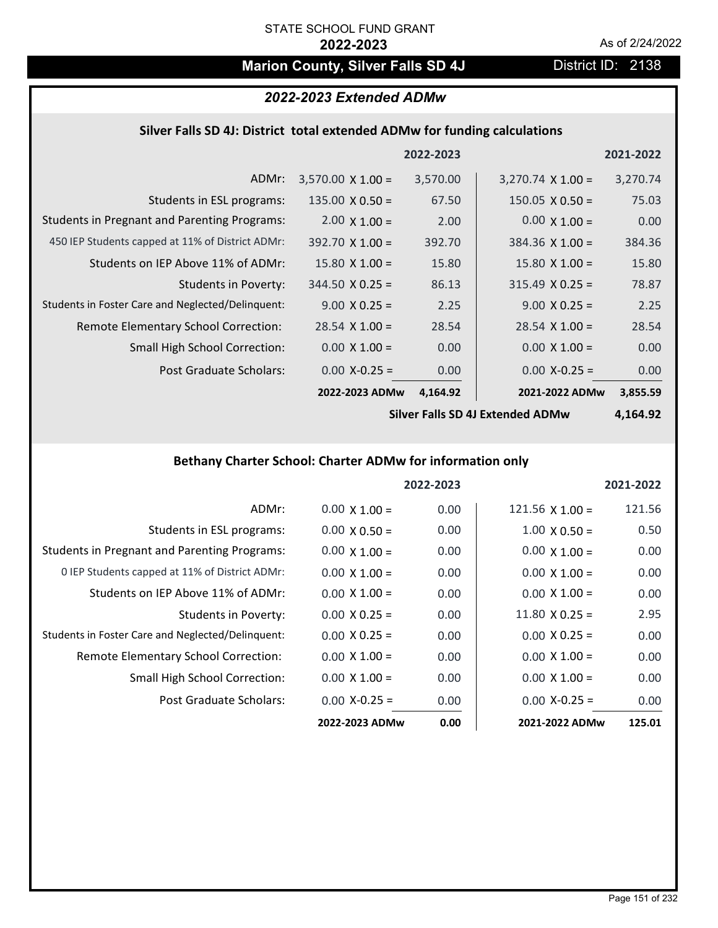# **Marion County, Silver Falls SD 4J** District ID: 2138

## *2022-2023 Extended ADMw*

## **Silver Falls SD 4J: District total extended ADMw for funding calculations**

|                                                     |                          | 2022-2023 |                          | 2021-2022 |
|-----------------------------------------------------|--------------------------|-----------|--------------------------|-----------|
| ADMr:                                               | $3,570.00 \times 1.00 =$ | 3,570.00  | $3,270.74 \times 1.00 =$ | 3,270.74  |
| Students in ESL programs:                           | $135.00 \times 0.50 =$   | 67.50     | $150.05 \times 0.50 =$   | 75.03     |
| <b>Students in Pregnant and Parenting Programs:</b> | $2.00 \times 1.00 =$     | 2.00      | $0.00 \times 1.00 =$     | 0.00      |
| 450 IEP Students capped at 11% of District ADMr:    | $392.70 \times 1.00 =$   | 392.70    | $384.36 \times 1.00 =$   | 384.36    |
| Students on IEP Above 11% of ADMr:                  | $15.80 \times 1.00 =$    | 15.80     | $15.80 \times 1.00 =$    | 15.80     |
| Students in Poverty:                                | $344.50 \times 0.25 =$   | 86.13     | $315.49 \times 0.25 =$   | 78.87     |
| Students in Foster Care and Neglected/Delinquent:   | $9.00 \times 0.25 =$     | 2.25      | $9.00 \times 0.25 =$     | 2.25      |
| Remote Elementary School Correction:                | $28.54 \times 1.00 =$    | 28.54     | $28.54 \times 1.00 =$    | 28.54     |
| <b>Small High School Correction:</b>                | $0.00 \times 1.00 =$     | 0.00      | $0.00 \times 1.00 =$     | 0.00      |
| Post Graduate Scholars:                             | $0.00 X - 0.25 =$        | 0.00      | $0.00$ X-0.25 =          | 0.00      |
|                                                     | 2022-2023 ADMw           | 4,164.92  | 2021-2022 ADMw           | 3,855.59  |

**Silver Falls SD 4J Extended ADMw**

**4,164.92**

## **Bethany Charter School: Charter ADMw for information only**

|                                                     |                      | 2022-2023 |                        | 2021-2022 |
|-----------------------------------------------------|----------------------|-----------|------------------------|-----------|
| ADMr:                                               | $0.00 \times 1.00 =$ | 0.00      | $121.56 \times 1.00 =$ | 121.56    |
| Students in ESL programs:                           | $0.00 \times 0.50 =$ | 0.00      | $1.00 \times 0.50 =$   | 0.50      |
| <b>Students in Pregnant and Parenting Programs:</b> | $0.00 \times 1.00 =$ | 0.00      | $0.00 \times 1.00 =$   | 0.00      |
| 0 IEP Students capped at 11% of District ADMr:      | $0.00 \times 1.00 =$ | 0.00      | $0.00 \times 1.00 =$   | 0.00      |
| Students on IEP Above 11% of ADMr:                  | $0.00 \times 1.00 =$ | 0.00      | $0.00 \times 1.00 =$   | 0.00      |
| Students in Poverty:                                | $0.00 \times 0.25 =$ | 0.00      | $11.80 \times 0.25 =$  | 2.95      |
| Students in Foster Care and Neglected/Delinquent:   | $0.00 \times 0.25 =$ | 0.00      | $0.00 \times 0.25 =$   | 0.00      |
| Remote Elementary School Correction:                | $0.00 \times 1.00 =$ | 0.00      | $0.00 \times 1.00 =$   | 0.00      |
| Small High School Correction:                       | $0.00 \times 1.00 =$ | 0.00      | $0.00 \times 1.00 =$   | 0.00      |
| Post Graduate Scholars:                             | $0.00$ X-0.25 =      | 0.00      | $0.00 X-0.25 =$        | 0.00      |
|                                                     | 2022-2023 ADMw       | 0.00      | 2021-2022 ADMw         | 125.01    |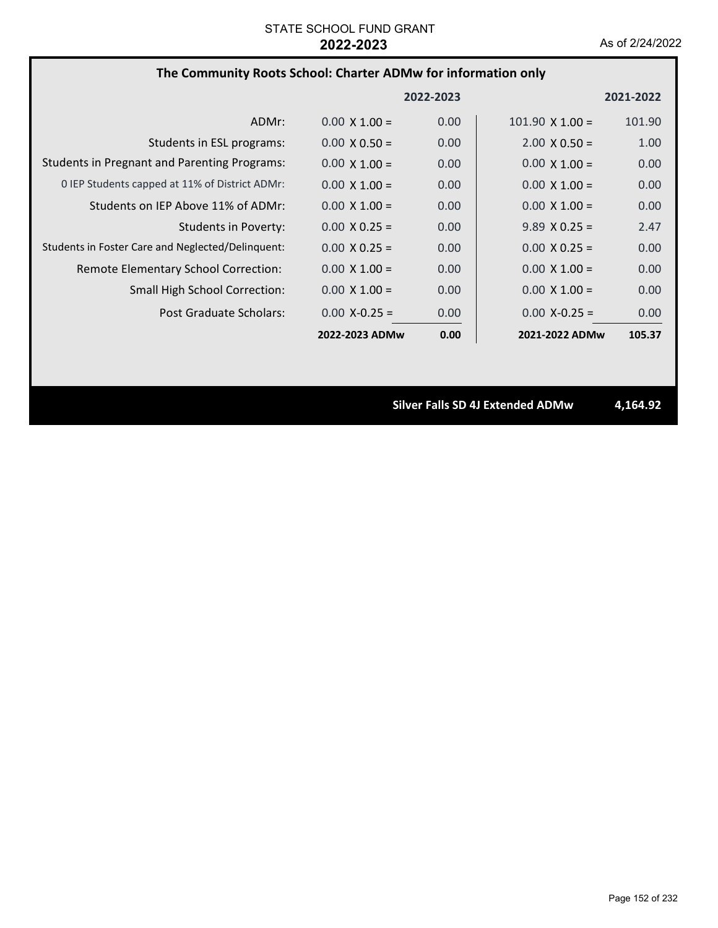## **The Community Roots School: Charter ADMw for information only**

|                                                     |                      | 2022-2023         |                        | 2021-2022 |
|-----------------------------------------------------|----------------------|-------------------|------------------------|-----------|
| ADMr:                                               | $0.00 \times 1.00 =$ | 0.00              | $101.90 \times 1.00 =$ | 101.90    |
| Students in ESL programs:                           | $0.00 \times 0.50 =$ | 0.00              | $2.00 \times 0.50 =$   | 1.00      |
| <b>Students in Pregnant and Parenting Programs:</b> | $0.00 \times 1.00 =$ | 0.00              | $0.00 \times 1.00 =$   | 0.00      |
| 0 IEP Students capped at 11% of District ADMr:      | $0.00 \times 1.00 =$ | 0.00              | $0.00 \times 1.00 =$   | 0.00      |
| Students on IEP Above 11% of ADMr:                  | $0.00 \times 1.00 =$ | 0.00              | $0.00 \times 1.00 =$   | 0.00      |
| Students in Poverty:                                | $0.00 \times 0.25 =$ | 0.00              | $9.89 \times 0.25 =$   | 2.47      |
| Students in Foster Care and Neglected/Delinguent:   | $0.00 \times 0.25 =$ | 0.00              | $0.00 \times 0.25 =$   | 0.00      |
| Remote Elementary School Correction:                | $0.00 \times 1.00 =$ | 0.00              | $0.00 \times 1.00 =$   | 0.00      |
| <b>Small High School Correction:</b>                | $0.00 \times 1.00 =$ | 0.00              | $0.00 \times 1.00 =$   | 0.00      |
| Post Graduate Scholars:                             | $0.00 X - 0.25 =$    | 0.00 <sub>1</sub> | $0.00 X - 0.25 =$      | 0.00      |
|                                                     | 2022-2023 ADMw       | 0.00              | 2021-2022 ADMw         | 105.37    |

**Silver Falls SD 4J Extended ADMw 4,164.92**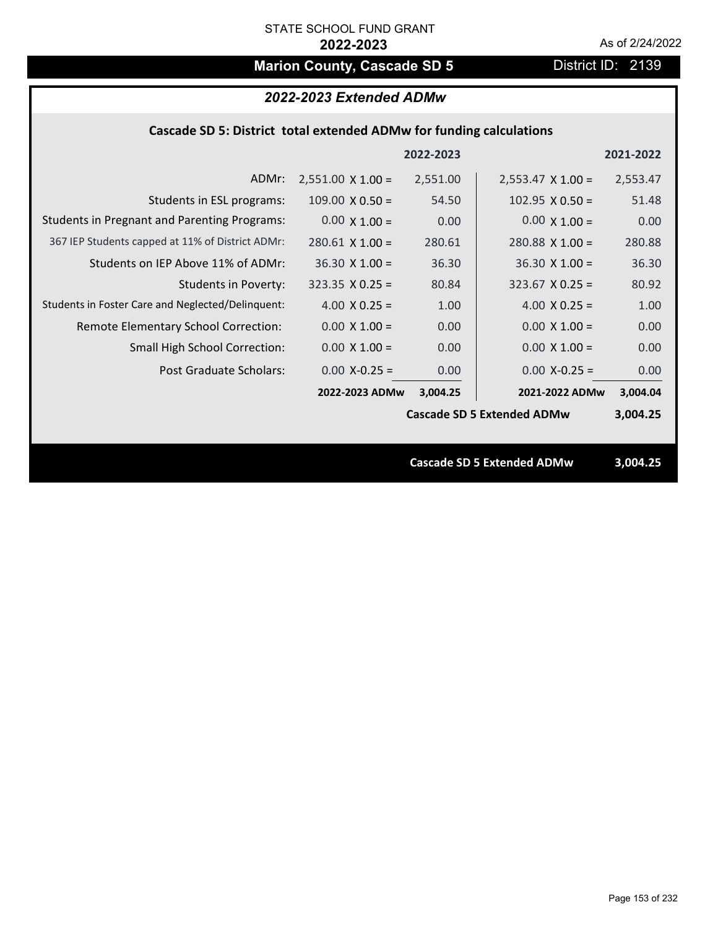# **Marion County, Cascade SD 5** District ID: 2139

## *2022-2023 Extended ADMw*

## **Cascade SD 5: District total extended ADMw for funding calculations**

|                                                     |                          | 2022-2023 |                                   | 2021-2022 |
|-----------------------------------------------------|--------------------------|-----------|-----------------------------------|-----------|
| ADMr:                                               | $2,551.00 \times 1.00 =$ | 2,551.00  | $2,553.47 \times 1.00 =$          | 2,553.47  |
| Students in ESL programs:                           | $109.00 \times 0.50 =$   | 54.50     | 102.95 $X$ 0.50 =                 | 51.48     |
| <b>Students in Pregnant and Parenting Programs:</b> | $0.00 \times 1.00 =$     | 0.00      | $0.00 \times 1.00 =$              | 0.00      |
| 367 IEP Students capped at 11% of District ADMr:    | $280.61$ X 1.00 =        | 280.61    | $280.88$ X 1.00 =                 | 280.88    |
| Students on IEP Above 11% of ADMr:                  | $36.30 \times 1.00 =$    | 36.30     | $36.30 \times 1.00 =$             | 36.30     |
| <b>Students in Poverty:</b>                         | $323.35$ X 0.25 =        | 80.84     | $323.67$ X 0.25 =                 | 80.92     |
| Students in Foster Care and Neglected/Delinquent:   | 4.00 $X$ 0.25 =          | 1.00      | 4.00 $X$ 0.25 =                   | 1.00      |
| Remote Elementary School Correction:                | $0.00 \times 1.00 =$     | 0.00      | $0.00 \times 1.00 =$              | 0.00      |
| <b>Small High School Correction:</b>                | $0.00 \times 1.00 =$     | 0.00      | $0.00 \times 1.00 =$              | 0.00      |
| Post Graduate Scholars:                             | $0.00 X - 0.25 =$        | 0.00      | $0.00$ X-0.25 =                   | 0.00      |
|                                                     | 2022-2023 ADMw           | 3,004.25  | 2021-2022 ADMw                    | 3,004.04  |
|                                                     |                          |           | <b>Cascade SD 5 Extended ADMw</b> | 3,004.25  |
|                                                     |                          |           |                                   |           |
|                                                     |                          |           | <b>Cascade SD 5 Extended ADMw</b> | 3,004.25  |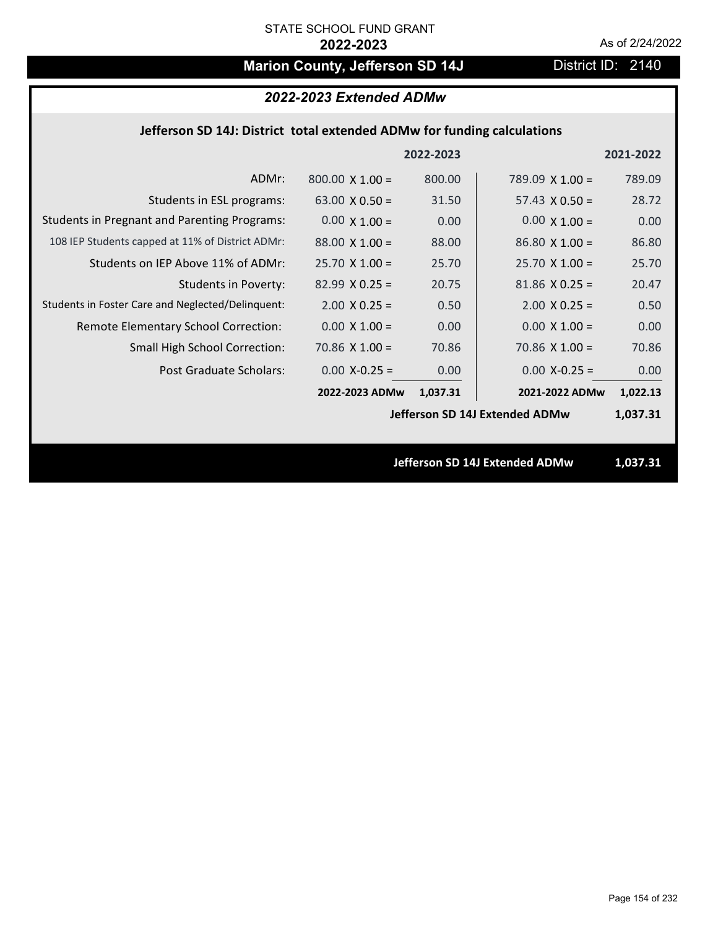# **Marion County, Jefferson SD 14J** District ID: 2140

## *2022-2023 Extended ADMw*

## **Jefferson SD 14J: District total extended ADMw for funding calculations**

|                                                     |                        | 2022-2023 |                                | 2021-2022 |
|-----------------------------------------------------|------------------------|-----------|--------------------------------|-----------|
| ADMr:                                               | $800.00 \times 1.00 =$ | 800.00    | 789.09 $X$ 1.00 =              | 789.09    |
| Students in ESL programs:                           | $63.00 \times 0.50 =$  | 31.50     | $57.43 \times 0.50 =$          | 28.72     |
| <b>Students in Pregnant and Parenting Programs:</b> | $0.00 \times 1.00 =$   | 0.00      | $0.00 \times 1.00 =$           | 0.00      |
| 108 IEP Students capped at 11% of District ADMr:    | $88.00 \times 1.00 =$  | 88.00     | $86.80 \times 1.00 =$          | 86.80     |
| Students on IEP Above 11% of ADMr:                  | $25.70 \times 1.00 =$  | 25.70     | $25.70$ X 1.00 =               | 25.70     |
| <b>Students in Poverty:</b>                         | $82.99 \times 0.25 =$  | 20.75     | $81.86$ X 0.25 =               | 20.47     |
| Students in Foster Care and Neglected/Delinquent:   | $2.00 \times 0.25 =$   | 0.50      | $2.00 \times 0.25 =$           | 0.50      |
| Remote Elementary School Correction:                | $0.00 \times 1.00 =$   | 0.00      | $0.00 \times 1.00 =$           | 0.00      |
| <b>Small High School Correction:</b>                | $70.86$ X $1.00 =$     | 70.86     | $70.86 \times 1.00 =$          | 70.86     |
| Post Graduate Scholars:                             | $0.00$ X-0.25 =        | 0.00      | $0.00$ X-0.25 =                | 0.00      |
|                                                     | 2022-2023 ADMw         | 1,037.31  | 2021-2022 ADMw                 | 1,022.13  |
|                                                     |                        |           | Jefferson SD 14J Extended ADMw | 1,037.31  |
|                                                     |                        |           |                                |           |
|                                                     |                        |           | Jefferson SD 14J Extended ADMw | 1,037.31  |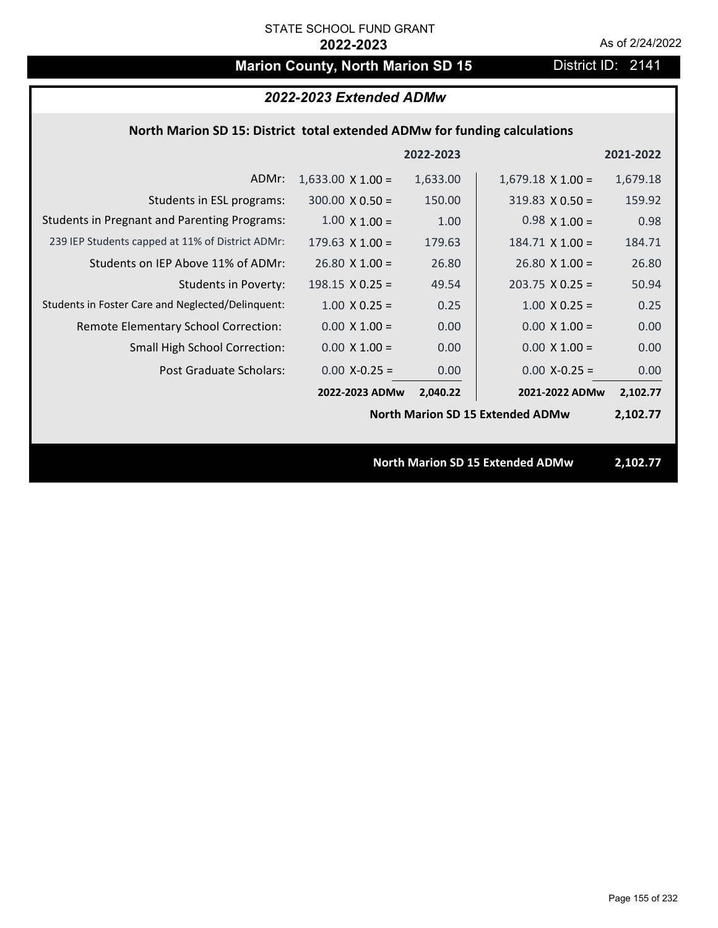## **Marion County, North Marion SD 15** District ID: 2141

## *2022-2023 Extended ADMw*

## **North Marion SD 15: District total extended ADMw for funding calculations**

|                                                     |                          | 2022-2023 |                                         | 2021-2022 |
|-----------------------------------------------------|--------------------------|-----------|-----------------------------------------|-----------|
| ADMr:                                               | $1,633.00 \times 1.00 =$ | 1,633.00  | $1,679.18 \times 1.00 =$                | 1,679.18  |
| Students in ESL programs:                           | $300.00 \times 0.50 =$   | 150.00    | $319.83 \times 0.50 =$                  | 159.92    |
| <b>Students in Pregnant and Parenting Programs:</b> | $1.00 \times 1.00 =$     | 1.00      | $0.98 \times 1.00 =$                    | 0.98      |
| 239 IEP Students capped at 11% of District ADMr:    | $179.63 \times 1.00 =$   | 179.63    | $184.71 \times 1.00 =$                  | 184.71    |
| Students on IEP Above 11% of ADMr:                  | $26.80$ X $1.00 =$       | 26.80     | $26.80$ X $1.00 =$                      | 26.80     |
| <b>Students in Poverty:</b>                         | $198.15 \times 0.25 =$   | 49.54     | $203.75 \times 0.25 =$                  | 50.94     |
| Students in Foster Care and Neglected/Delinquent:   | $1.00 \times 0.25 =$     | 0.25      | $1.00 \times 0.25 =$                    | 0.25      |
| Remote Elementary School Correction:                | $0.00 \times 1.00 =$     | 0.00      | $0.00 \times 1.00 =$                    | 0.00      |
| <b>Small High School Correction:</b>                | $0.00 \times 1.00 =$     | 0.00      | $0.00 \times 1.00 =$                    | 0.00      |
| Post Graduate Scholars:                             | $0.00$ X-0.25 =          | 0.00      | $0.00$ X-0.25 =                         | 0.00      |
|                                                     | 2022-2023 ADMw           | 2,040.22  | 2021-2022 ADMw                          | 2,102.77  |
|                                                     |                          |           | <b>North Marion SD 15 Extended ADMw</b> | 2,102.77  |
|                                                     |                          |           |                                         |           |
|                                                     |                          |           | <b>North Marion SD 15 Extended ADMw</b> | 2,102.77  |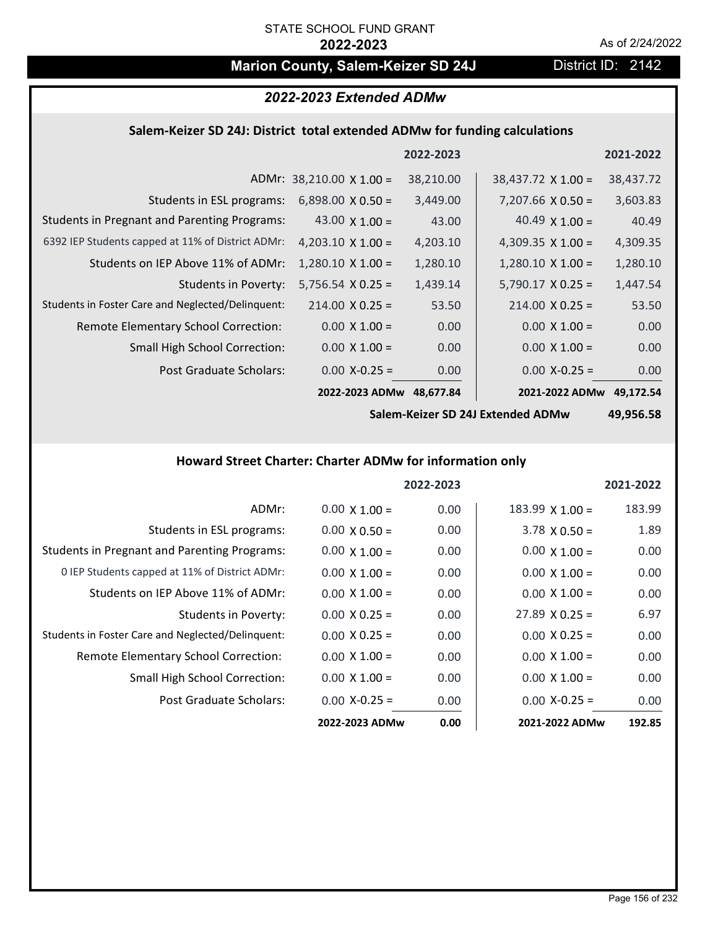## **Marion County, Salem-Keizer SD 24J District ID: 2142**

## *2022-2023 Extended ADMw*

## **Salem‐Keizer SD 24J: District total extended ADMw for funding calculations**

|                                                     |                                 | 2022-2023 |                           | 2021-2022 |
|-----------------------------------------------------|---------------------------------|-----------|---------------------------|-----------|
|                                                     | ADMr: $38,210.00 \times 1.00 =$ | 38,210.00 | $38,437.72 \times 1.00 =$ | 38,437.72 |
| Students in ESL programs:                           | $6,898.00 \times 0.50 =$        | 3,449.00  | $7,207.66 \times 0.50 =$  | 3,603.83  |
| <b>Students in Pregnant and Parenting Programs:</b> | 43.00 $\times$ 1.00 =           | 43.00     | 40.49 $\times$ 1.00 =     | 40.49     |
| 6392 IEP Students capped at 11% of District ADMr:   | 4,203.10 $\times$ 1.00 =        | 4,203.10  | 4,309.35 $\times$ 1.00 =  | 4,309.35  |
| Students on IEP Above 11% of ADMr:                  | $1,280.10$ X $1.00 =$           | 1,280.10  | $1,280.10$ X $1.00 =$     | 1,280.10  |
| <b>Students in Poverty:</b>                         | $5,756.54 \times 0.25 =$        | 1,439.14  | $5,790.17 \times 0.25 =$  | 1,447.54  |
| Students in Foster Care and Neglected/Delinquent:   | $214.00 \times 0.25 =$          | 53.50     | $214.00 \times 0.25 =$    | 53.50     |
| Remote Elementary School Correction:                | $0.00 \times 1.00 =$            | 0.00      | $0.00 \times 1.00 =$      | 0.00      |
| <b>Small High School Correction:</b>                | $0.00 \times 1.00 =$            | 0.00      | $0.00 \times 1.00 =$      | 0.00      |
| Post Graduate Scholars:                             | $0.00 X-0.25 =$                 | 0.00      | $0.00$ X-0.25 =           | 0.00      |
|                                                     | 2022-2023 ADMw                  | 48.677.84 | 2021-2022 ADMw            | 49.172.54 |

**Salem‐Keizer SD 24J Extended ADMw**

**49,956.58**

## **Howard Street Charter: Charter ADMw for information only**

|                                                     |                      | 2022-2023 |                        | 2021-2022 |
|-----------------------------------------------------|----------------------|-----------|------------------------|-----------|
| ADMr:                                               | $0.00 \times 1.00 =$ | 0.00      | $183.99 \times 1.00 =$ | 183.99    |
| Students in ESL programs:                           | $0.00 \times 0.50 =$ | 0.00      | $3.78 \times 0.50 =$   | 1.89      |
| <b>Students in Pregnant and Parenting Programs:</b> | $0.00 \times 1.00 =$ | 0.00      | $0.00 \times 1.00 =$   | 0.00      |
| 0 IEP Students capped at 11% of District ADMr:      | $0.00 \times 1.00 =$ | 0.00      | $0.00 \times 1.00 =$   | 0.00      |
| Students on IEP Above 11% of ADMr:                  | $0.00 \times 1.00 =$ | 0.00      | $0.00 \times 1.00 =$   | 0.00      |
| Students in Poverty:                                | $0.00 \times 0.25 =$ | 0.00      | $27.89 \times 0.25 =$  | 6.97      |
| Students in Foster Care and Neglected/Delinquent:   | $0.00 \times 0.25 =$ | 0.00      | $0.00 \times 0.25 =$   | 0.00      |
| Remote Elementary School Correction:                | $0.00 \times 1.00 =$ | 0.00      | $0.00 \times 1.00 =$   | 0.00      |
| <b>Small High School Correction:</b>                | $0.00 \times 1.00 =$ | 0.00      | $0.00 \times 1.00 =$   | 0.00      |
| Post Graduate Scholars:                             | $0.00 X-0.25 =$      | 0.00      | $0.00 X-0.25 =$        | 0.00      |
|                                                     | 2022-2023 ADMw       | 0.00      | 2021-2022 ADMw         | 192.85    |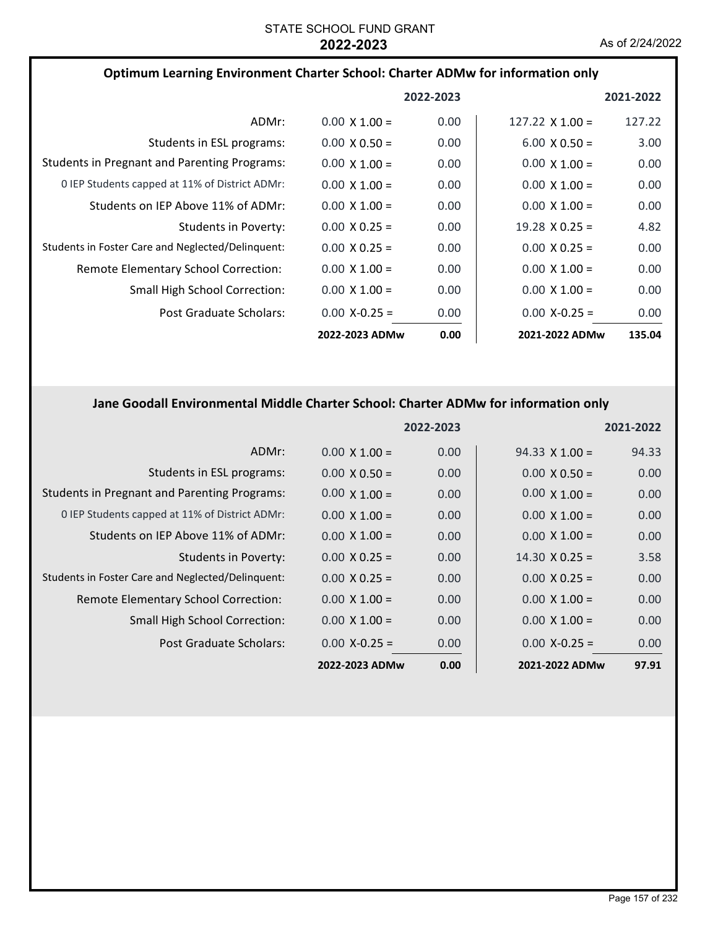| Optimum Learning Environment Charter School: Charter ADMw for information only |                      |           |                        |           |
|--------------------------------------------------------------------------------|----------------------|-----------|------------------------|-----------|
|                                                                                |                      | 2022-2023 |                        | 2021-2022 |
| ADMr:                                                                          | $0.00 \times 1.00 =$ | 0.00      | 127.22 $\times$ 1.00 = | 127.22    |
| Students in ESL programs:                                                      | $0.00 \times 0.50 =$ | 0.00      | $6.00 \times 0.50 =$   | 3.00      |
| <b>Students in Pregnant and Parenting Programs:</b>                            | $0.00 \times 1.00 =$ | 0.00      | $0.00 \times 1.00 =$   | 0.00      |
| 0 IEP Students capped at 11% of District ADMr:                                 | $0.00 \times 1.00 =$ | 0.00      | $0.00 \times 1.00 =$   | 0.00      |
| Students on IEP Above 11% of ADMr:                                             | $0.00 \times 1.00 =$ | 0.00      | $0.00 \times 1.00 =$   | 0.00      |
| Students in Poverty:                                                           | $0.00 \times 0.25 =$ | 0.00      | $19.28 \times 0.25 =$  | 4.82      |
| Students in Foster Care and Neglected/Delinquent:                              | $0.00 \times 0.25 =$ | 0.00      | $0.00 \times 0.25 =$   | 0.00      |
| Remote Elementary School Correction:                                           | $0.00 \times 1.00 =$ | 0.00      | $0.00 \times 1.00 =$   | 0.00      |
| <b>Small High School Correction:</b>                                           | $0.00 \times 1.00 =$ | 0.00      | $0.00 \times 1.00 =$   | 0.00      |
| Post Graduate Scholars:                                                        | $0.00 X - 0.25 =$    | 0.00      | $0.00$ X-0.25 =        | 0.00      |
|                                                                                | 2022-2023 ADMw       | 0.00      | 2021-2022 ADMw         | 135.04    |

# **Jane Goodall Environmental Middle Charter School: Charter ADMw for information only**

|                                                     |                      | 2022-2023 |                       | 2021-2022 |
|-----------------------------------------------------|----------------------|-----------|-----------------------|-----------|
| ADMr:                                               | $0.00 \times 1.00 =$ | 0.00      | $94.33 \times 1.00 =$ | 94.33     |
| Students in ESL programs:                           | $0.00 \times 0.50 =$ | 0.00      | $0.00 \times 0.50 =$  | 0.00      |
| <b>Students in Pregnant and Parenting Programs:</b> | $0.00 \times 1.00 =$ | 0.00      | $0.00 \times 1.00 =$  | 0.00      |
| 0 IEP Students capped at 11% of District ADMr:      | $0.00 \times 1.00 =$ | 0.00      | $0.00 \times 1.00 =$  | 0.00      |
| Students on IEP Above 11% of ADMr:                  | $0.00 \times 1.00 =$ | 0.00      | $0.00 \times 1.00 =$  | 0.00      |
| Students in Poverty:                                | $0.00 \times 0.25 =$ | 0.00      | $14.30 \times 0.25 =$ | 3.58      |
| Students in Foster Care and Neglected/Delinquent:   | $0.00 \times 0.25 =$ | 0.00      | $0.00 \times 0.25 =$  | 0.00      |
| Remote Elementary School Correction:                | $0.00 \times 1.00 =$ | 0.00      | $0.00 \times 1.00 =$  | 0.00      |
| <b>Small High School Correction:</b>                | $0.00 \times 1.00 =$ | 0.00      | $0.00 \times 1.00 =$  | 0.00      |
| Post Graduate Scholars:                             | $0.00$ X-0.25 =      | 0.00      | $0.00 X-0.25 =$       | 0.00      |
|                                                     | 2022-2023 ADMw       | 0.00      | 2021-2022 ADMw        | 97.91     |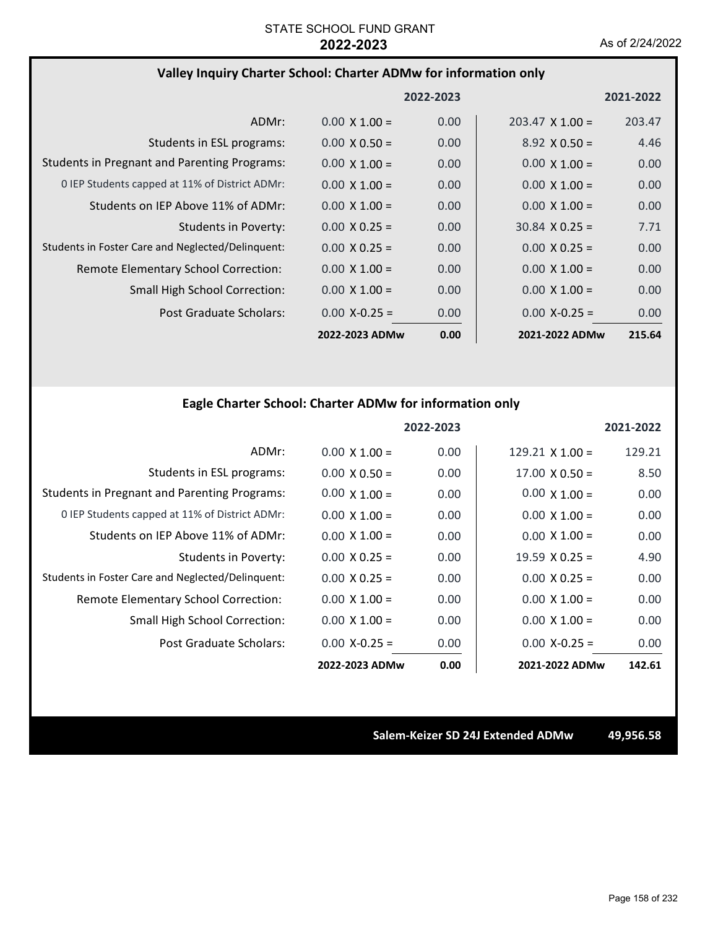### **Valley Inquiry Charter School: Charter ADMw for information only**

|                                                     |                      | 2022-2023 |                        | 2021-2022 |
|-----------------------------------------------------|----------------------|-----------|------------------------|-----------|
| ADMr:                                               | $0.00 \times 1.00 =$ | 0.00      | $203.47 \times 1.00 =$ | 203.47    |
| Students in ESL programs:                           | $0.00 \times 0.50 =$ | 0.00      | $8.92 \times 0.50 =$   | 4.46      |
| <b>Students in Pregnant and Parenting Programs:</b> | $0.00 \times 1.00 =$ | 0.00      | $0.00 \times 1.00 =$   | 0.00      |
| 0 IEP Students capped at 11% of District ADMr:      | $0.00 \times 1.00 =$ | 0.00      | $0.00 \times 1.00 =$   | 0.00      |
| Students on IEP Above 11% of ADMr:                  | $0.00 \times 1.00 =$ | 0.00      | $0.00 \times 1.00 =$   | 0.00      |
| Students in Poverty:                                | $0.00 \times 0.25 =$ | 0.00      | $30.84 \times 0.25 =$  | 7.71      |
| Students in Foster Care and Neglected/Delinquent:   | $0.00 \times 0.25 =$ | 0.00      | $0.00 \times 0.25 =$   | 0.00      |
| Remote Elementary School Correction:                | $0.00 \times 1.00 =$ | 0.00      | $0.00 \times 1.00 =$   | 0.00      |
| <b>Small High School Correction:</b>                | $0.00 \times 1.00 =$ | 0.00      | $0.00 \times 1.00 =$   | 0.00      |
| Post Graduate Scholars:                             | $0.00 X - 0.25 =$    | 0.00      | $0.00 X - 0.25 =$      | 0.00      |
|                                                     | 2022-2023 ADMw       | 0.00      | 2021-2022 ADMw         | 215.64    |

### **Eagle Charter School: Charter ADMw for information only**

|                                                     |                      | 2022-2023 |                        | 2021-2022 |
|-----------------------------------------------------|----------------------|-----------|------------------------|-----------|
| ADMr:                                               | $0.00 \times 1.00 =$ | 0.00      | $129.21 \times 1.00 =$ | 129.21    |
| Students in ESL programs:                           | $0.00 \times 0.50 =$ | 0.00      | $17.00 \times 0.50 =$  | 8.50      |
| <b>Students in Pregnant and Parenting Programs:</b> | $0.00 \times 1.00 =$ | 0.00      | $0.00 \times 1.00 =$   | 0.00      |
| 0 IEP Students capped at 11% of District ADMr:      | $0.00 \times 1.00 =$ | 0.00      | $0.00 \times 1.00 =$   | 0.00      |
| Students on IEP Above 11% of ADMr:                  | $0.00 \times 1.00 =$ | 0.00      | $0.00 \times 1.00 =$   | 0.00      |
| <b>Students in Poverty:</b>                         | $0.00 \times 0.25 =$ | 0.00      | $19.59 \times 0.25 =$  | 4.90      |
| Students in Foster Care and Neglected/Delinquent:   | $0.00 \times 0.25 =$ | 0.00      | $0.00 \times 0.25 =$   | 0.00      |
| Remote Elementary School Correction:                | $0.00 \times 1.00 =$ | 0.00      | $0.00 \times 1.00 =$   | 0.00      |
| Small High School Correction:                       | $0.00 \times 1.00 =$ | 0.00      | $0.00 \times 1.00 =$   | 0.00      |
| Post Graduate Scholars:                             | $0.00 X - 0.25 =$    | 0.00      | $0.00 X - 0.25 =$      | 0.00      |
|                                                     | 2022-2023 ADMw       | 0.00      | 2021-2022 ADMw         | 142.61    |

**Salem‐Keizer SD 24J Extended ADMw 49,956.58**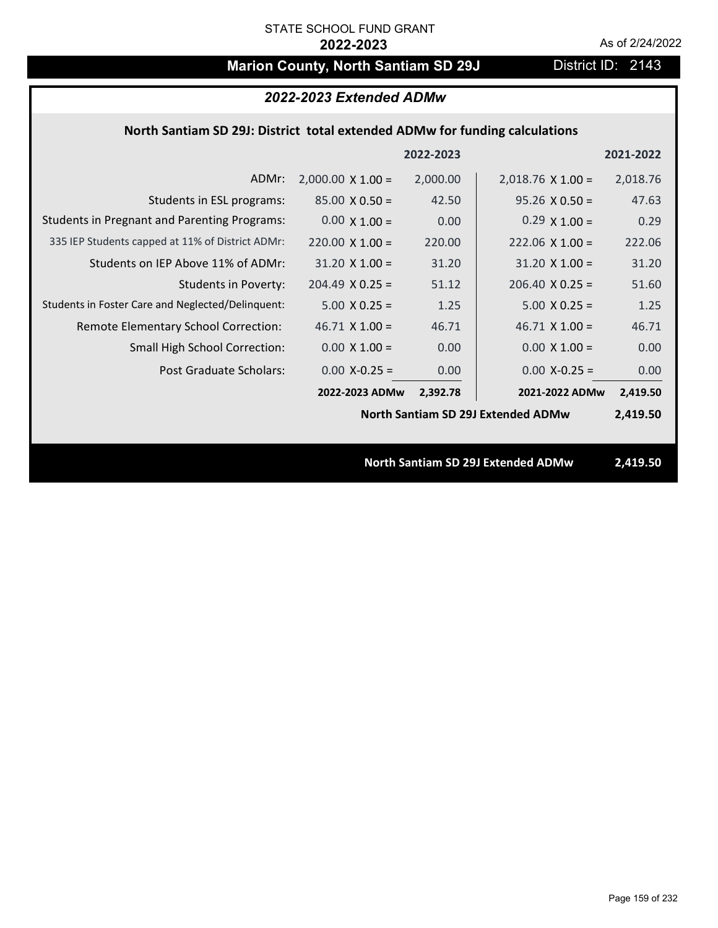# **Marion County, North Santiam SD 29J** District ID: 2143

## *2022-2023 Extended ADMw*

## **North Santiam SD 29J: District total extended ADMw for funding calculations**

| 2022-2023<br>2021-2022                                                                                                   |  |
|--------------------------------------------------------------------------------------------------------------------------|--|
| 2,000.00<br>ADMr:<br>$2,000.00 \times 1.00 =$<br>$2,018.76 \times 1.00 =$<br>2,018.76                                    |  |
| 42.50<br>Students in ESL programs:<br>$95.26 \times 0.50 =$<br>47.63<br>$85.00 \times 0.50 =$                            |  |
| <b>Students in Pregnant and Parenting Programs:</b><br>$0.29 \times 1.00 =$<br>$0.00 \times 1.00 =$<br>0.00<br>0.29      |  |
| 335 IEP Students capped at 11% of District ADMr:<br>$220.00 \times 1.00 =$<br>220.00<br>$222.06 \times 1.00 =$<br>222.06 |  |
| Students on IEP Above 11% of ADMr:<br>$31.20 \times 1.00 =$<br>$31.20$ X $1.00 =$<br>31.20<br>31.20                      |  |
| <b>Students in Poverty:</b><br>$204.49$ X 0.25 =<br>$206.40 \times 0.25 =$<br>51.12<br>51.60                             |  |
| Students in Foster Care and Neglected/Delinquent:<br>$5.00 \times 0.25 =$<br>$5.00 \times 0.25 =$<br>1.25<br>1.25        |  |
| Remote Elementary School Correction:<br>46.71<br>$46.71 \times 1.00 =$<br>46.71<br>$46.71$ X $1.00 =$                    |  |
| 0.00<br>$0.00 \times 1.00 =$<br>0.00<br><b>Small High School Correction:</b><br>$0.00 \times 1.00 =$                     |  |
| Post Graduate Scholars:<br>$0.00$ X-0.25 =<br>0.00<br>$0.00$ X-0.25 =<br>0.00                                            |  |
| 2022-2023 ADMw<br>2021-2022 ADMw<br>2,392.78<br>2,419.50                                                                 |  |
| <b>North Santiam SD 29J Extended ADMw</b><br>2,419.50                                                                    |  |
|                                                                                                                          |  |
| <b>North Santiam SD 29J Extended ADMw</b><br>2,419.50                                                                    |  |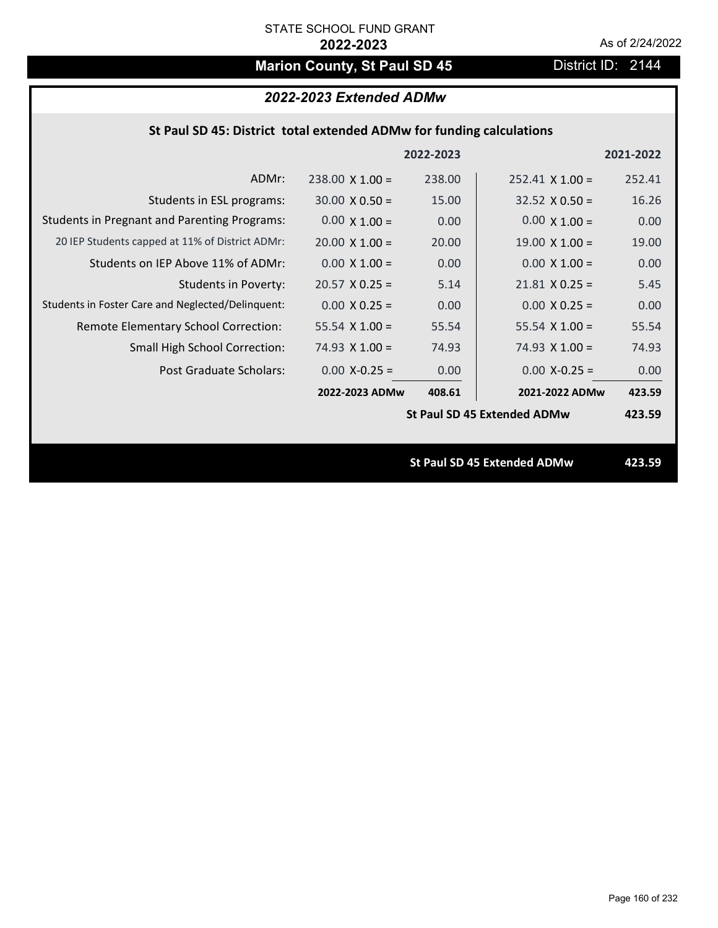# **Marion County, St Paul SD 45** District ID: 2144

## *2022-2023 Extended ADMw*

## **St Paul SD 45: District total extended ADMw for funding calculations**

|                                                     |                        | 2022-2023 |                                    | 2021-2022 |
|-----------------------------------------------------|------------------------|-----------|------------------------------------|-----------|
| ADMr:                                               | $238.00 \times 1.00 =$ | 238.00    | $252.41 \times 1.00 =$             | 252.41    |
| Students in ESL programs:                           | $30.00 \times 0.50 =$  | 15.00     | $32.52 \times 0.50 =$              | 16.26     |
| <b>Students in Pregnant and Parenting Programs:</b> | $0.00 \times 1.00 =$   | 0.00      | $0.00 \times 1.00 =$               | 0.00      |
| 20 IEP Students capped at 11% of District ADMr:     | $20.00 \times 1.00 =$  | 20.00     | $19.00 \times 1.00 =$              | 19.00     |
| Students on IEP Above 11% of ADMr:                  | $0.00 \times 1.00 =$   | 0.00      | $0.00 \times 1.00 =$               | 0.00      |
| Students in Poverty:                                | $20.57 \times 0.25 =$  | 5.14      | $21.81$ X 0.25 =                   | 5.45      |
| Students in Foster Care and Neglected/Delinquent:   | $0.00 \times 0.25 =$   | 0.00      | $0.00 X 0.25 =$                    | 0.00      |
| Remote Elementary School Correction:                | $55.54$ X 1.00 =       | 55.54     | $55.54 \times 1.00 =$              | 55.54     |
| <b>Small High School Correction:</b>                | 74.93 $X$ 1.00 =       | 74.93     | $74.93 \times 1.00 =$              | 74.93     |
| Post Graduate Scholars:                             | $0.00$ X-0.25 =        | 0.00      | $0.00$ X-0.25 =                    | 0.00      |
|                                                     | 2022-2023 ADMw         | 408.61    | 2021-2022 ADMw                     | 423.59    |
|                                                     |                        |           | <b>St Paul SD 45 Extended ADMw</b> | 423.59    |
|                                                     |                        |           |                                    |           |
|                                                     |                        |           | <b>St Paul SD 45 Extended ADMw</b> | 423.59    |
|                                                     |                        |           |                                    |           |

Page 160 of 232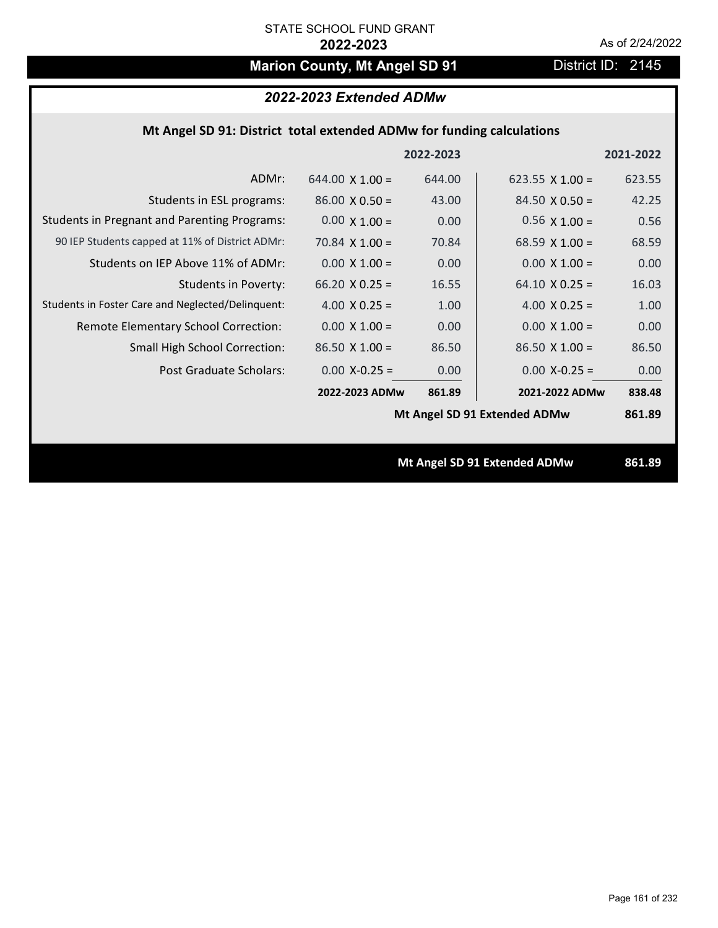# **Marion County, Mt Angel SD 91** District ID: 2145

## *2022-2023 Extended ADMw*

## **Mt Angel SD 91: District total extended ADMw for funding calculations**

|                                                     |                        | 2022-2023 |                              | 2021-2022 |
|-----------------------------------------------------|------------------------|-----------|------------------------------|-----------|
| ADMr:                                               | $644.00 \times 1.00 =$ | 644.00    | 623.55 $X$ 1.00 =            | 623.55    |
| Students in ESL programs:                           | $86.00 \times 0.50 =$  | 43.00     | $84.50 \times 0.50 =$        | 42.25     |
| <b>Students in Pregnant and Parenting Programs:</b> | $0.00 \times 1.00 =$   | 0.00      | $0.56 \times 1.00 =$         | 0.56      |
| 90 IEP Students capped at 11% of District ADMr:     | 70.84 $\times$ 1.00 =  | 70.84     | 68.59 $X$ 1.00 =             | 68.59     |
| Students on IEP Above 11% of ADMr:                  | $0.00 X 1.00 =$        | 0.00      | $0.00$ X $1.00 =$            | 0.00      |
| <b>Students in Poverty:</b>                         | 66.20 $X$ 0.25 =       | 16.55     | $64.10 \times 0.25 =$        | 16.03     |
| Students in Foster Care and Neglected/Delinquent:   | 4.00 $X$ 0.25 =        | 1.00      | 4.00 $X$ 0.25 =              | 1.00      |
| Remote Elementary School Correction:                | $0.00 \times 1.00 =$   | 0.00      | $0.00 \times 1.00 =$         | 0.00      |
| <b>Small High School Correction:</b>                | $86.50 \times 1.00 =$  | 86.50     | $86.50 \times 1.00 =$        | 86.50     |
| Post Graduate Scholars:                             | $0.00$ X-0.25 =        | 0.00      | $0.00$ X-0.25 =              | 0.00      |
|                                                     | 2022-2023 ADMw         | 861.89    | 2021-2022 ADMw               | 838.48    |
|                                                     |                        |           | Mt Angel SD 91 Extended ADMw | 861.89    |
|                                                     |                        |           |                              |           |
|                                                     |                        |           | Mt Angel SD 91 Extended ADMw | 861.89    |
|                                                     |                        |           |                              |           |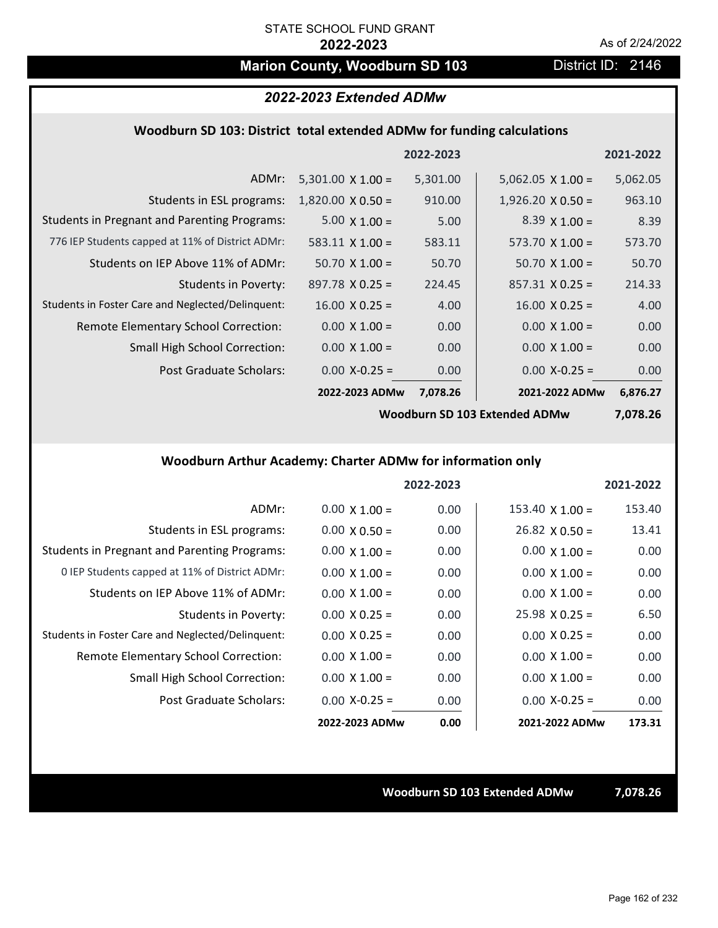# **Marion County, Woodburn SD 103** District ID: 2146

## *2022-2023 Extended ADMw*

#### **Woodburn SD 103: District total extended ADMw for funding calculations**

|                                                     |                          | 2022-2023 |                          | 2021-2022 |
|-----------------------------------------------------|--------------------------|-----------|--------------------------|-----------|
| ADMr:                                               | $5,301.00 \times 1.00 =$ | 5,301.00  | $5,062.05 \times 1.00 =$ | 5,062.05  |
| Students in ESL programs:                           | $1,820.00 \times 0.50 =$ | 910.00    | $1,926.20 \times 0.50 =$ | 963.10    |
| <b>Students in Pregnant and Parenting Programs:</b> | $5.00 \times 1.00 =$     | 5.00      | $8.39 \times 1.00 =$     | 8.39      |
| 776 IEP Students capped at 11% of District ADMr:    | $583.11 \times 1.00 =$   | 583.11    | $573.70 \times 1.00 =$   | 573.70    |
| Students on IEP Above 11% of ADMr:                  | $50.70 \times 1.00 =$    | 50.70     | $50.70 \times 1.00 =$    | 50.70     |
| Students in Poverty:                                | $897.78 \times 0.25 =$   | 224.45    | $857.31 \times 0.25 =$   | 214.33    |
| Students in Foster Care and Neglected/Delinquent:   | $16.00 \times 0.25 =$    | 4.00      | $16.00 \times 0.25 =$    | 4.00      |
| Remote Elementary School Correction:                | $0.00 \times 1.00 =$     | 0.00      | $0.00 \times 1.00 =$     | 0.00      |
| <b>Small High School Correction:</b>                | $0.00 \times 1.00 =$     | 0.00      | $0.00 \times 1.00 =$     | 0.00      |
| Post Graduate Scholars:                             | $0.00$ X-0.25 =          | 0.00      | $0.00$ X-0.25 =          | 0.00      |
|                                                     | 2022-2023 ADMw           | 7,078.26  | 2021-2022 ADMw           | 6,876.27  |

**Woodburn SD 103 Extended ADMw**

**7,078.26**

## **Woodburn Arthur Academy: Charter ADMw for information only**

|                                                     |                      | 2022-2023 |                        | 2021-2022 |
|-----------------------------------------------------|----------------------|-----------|------------------------|-----------|
| ADMr:                                               | $0.00 \times 1.00 =$ | 0.00      | $153.40 \times 1.00 =$ | 153.40    |
| Students in ESL programs:                           | $0.00 \times 0.50 =$ | 0.00      | $26.82 \times 0.50 =$  | 13.41     |
| <b>Students in Pregnant and Parenting Programs:</b> | $0.00 \times 1.00 =$ | 0.00      | $0.00 \times 1.00 =$   | 0.00      |
| 0 IEP Students capped at 11% of District ADMr:      | $0.00 \times 1.00 =$ | 0.00      | $0.00 \times 1.00 =$   | 0.00      |
| Students on IEP Above 11% of ADMr:                  | $0.00 \times 1.00 =$ | 0.00      | $0.00 \times 1.00 =$   | 0.00      |
| Students in Poverty:                                | $0.00 \times 0.25 =$ | 0.00      | $25.98 \times 0.25 =$  | 6.50      |
| Students in Foster Care and Neglected/Delinquent:   | $0.00 \times 0.25 =$ | 0.00      | $0.00 \times 0.25 =$   | 0.00      |
| Remote Elementary School Correction:                | $0.00 \times 1.00 =$ | 0.00      | $0.00 \times 1.00 =$   | 0.00      |
| <b>Small High School Correction:</b>                | $0.00 \times 1.00 =$ | 0.00      | $0.00 \times 1.00 =$   | 0.00      |
| Post Graduate Scholars:                             | $0.00 X - 0.25 =$    | 0.00      | $0.00 X - 0.25 =$      | 0.00      |
|                                                     | 2022-2023 ADMw       | 0.00      | 2021-2022 ADMw         | 173.31    |

**Woodburn SD 103 Extended ADMw 7,078.26**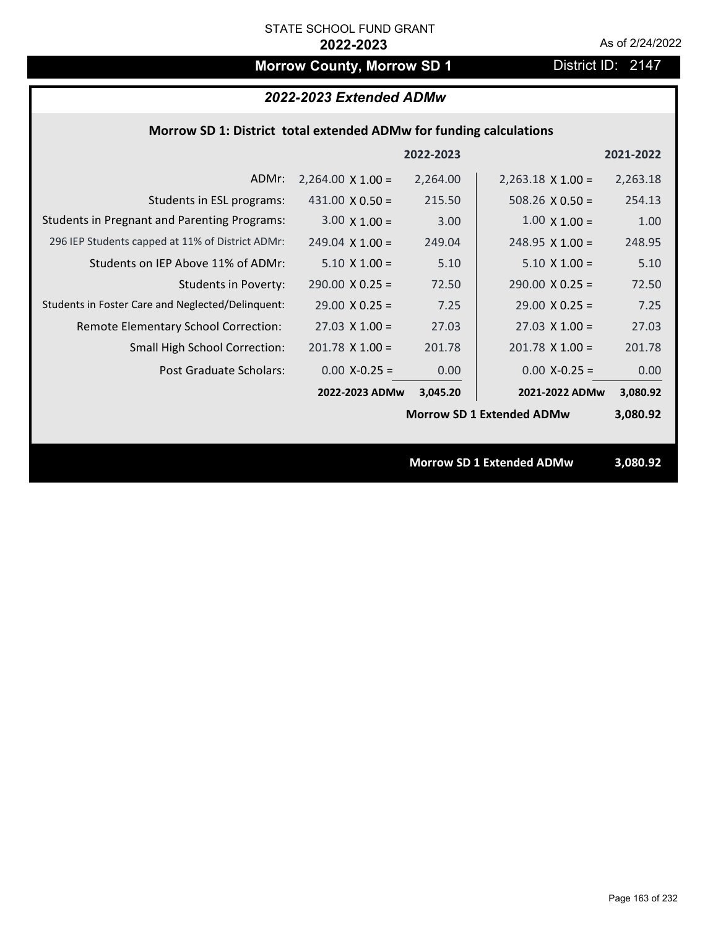# **Morrow County, Morrow SD 1** District ID: 2147

## *2022-2023 Extended ADMw*

## **Morrow SD 1: District total extended ADMw for funding calculations**

| 2022-2023<br>2021-2022                                                                |                                                     |
|---------------------------------------------------------------------------------------|-----------------------------------------------------|
| $2,264.00 \times 1.00 =$<br>2,264.00<br>$2,263.18 \times 1.00 =$<br>2,263.18<br>ADMr: |                                                     |
| 215.50<br>508.26 $\times$ 0.50 =<br>254.13<br>$431.00 \times 0.50 =$                  | Students in ESL programs:                           |
| $1.00 \times 1.00 =$<br>$3.00 \times 1.00 =$<br>3.00<br>1.00                          | <b>Students in Pregnant and Parenting Programs:</b> |
| 249.04<br>248.95<br>$249.04 \times 1.00 =$<br>$248.95 \times 1.00 =$                  | 296 IEP Students capped at 11% of District ADMr:    |
| $5.10 \times 1.00 =$<br>$5.10 \times 1.00 =$<br>5.10<br>5.10                          | Students on IEP Above 11% of ADMr:                  |
| $290.00 \times 0.25 =$<br>72.50<br>$290.00 \times 0.25 =$<br>72.50                    | <b>Students in Poverty:</b>                         |
| $29.00 \times 0.25 =$<br>$29.00 \times 0.25 =$<br>7.25<br>7.25                        | Students in Foster Care and Neglected/Delinquent:   |
| $27.03 \times 1.00 =$<br>27.03<br>$27.03 \times 1.00 =$<br>27.03                      | Remote Elementary School Correction:                |
| $201.78$ X $1.00 =$<br>$201.78 \times 1.00 =$<br>201.78<br>201.78                     | <b>Small High School Correction:</b>                |
| $0.00$ X-0.25 =<br>0.00<br>$0.00$ X-0.25 =<br>0.00                                    | Post Graduate Scholars:                             |
| 2022-2023 ADMw<br>2021-2022 ADMw<br>3,045.20<br>3,080.92                              |                                                     |
| <b>Morrow SD 1 Extended ADMw</b><br>3,080.92                                          |                                                     |
|                                                                                       |                                                     |
| <b>Morrow SD 1 Extended ADMw</b><br>3,080.92                                          |                                                     |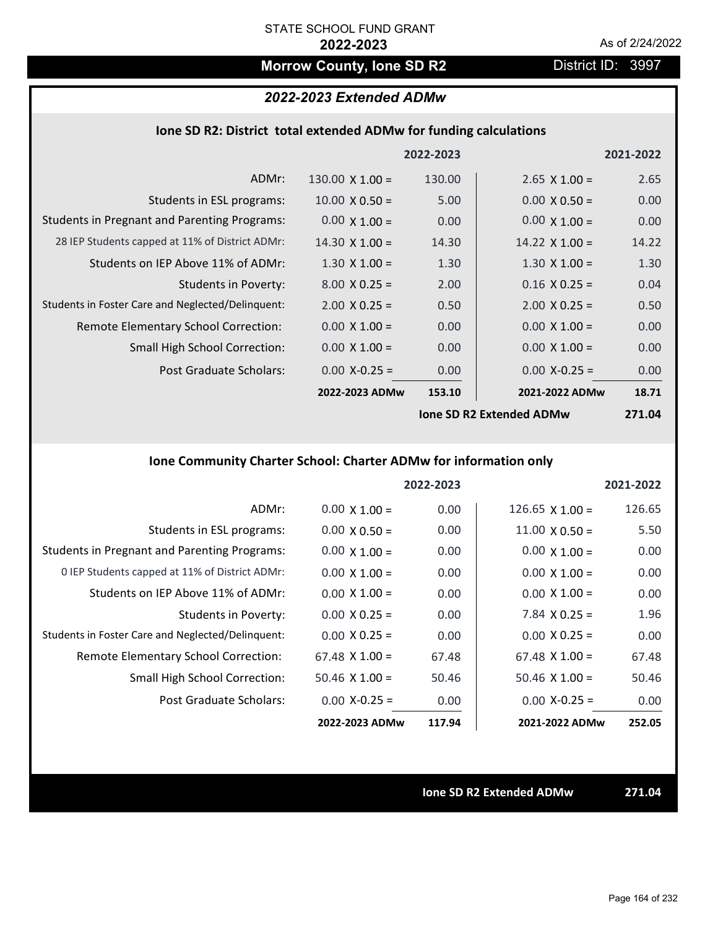## **Morrow County, Ione SD R2** District ID: 3997

## *2022-2023 Extended ADMw*

#### **Ione SD R2: District total extended ADMw for funding calculations**

|                                                     |                        | 2022-2023 |                                 | 2021-2022 |
|-----------------------------------------------------|------------------------|-----------|---------------------------------|-----------|
| ADMr:                                               | $130.00 \times 1.00 =$ | 130.00    | $2.65 \times 1.00 =$            | 2.65      |
| Students in ESL programs:                           | $10.00 \times 0.50 =$  | 5.00      | $0.00 \times 0.50 =$            | 0.00      |
| <b>Students in Pregnant and Parenting Programs:</b> | $0.00 \times 1.00 =$   | 0.00      | $0.00 \times 1.00 =$            | 0.00      |
| 28 IEP Students capped at 11% of District ADMr:     | $14.30 \times 1.00 =$  | 14.30     | $14.22 \times 1.00 =$           | 14.22     |
| Students on IEP Above 11% of ADMr:                  | $1.30 \times 1.00 =$   | 1.30      | $1.30 \times 1.00 =$            | 1.30      |
| Students in Poverty:                                | $8.00 \times 0.25 =$   | 2.00      | $0.16 \times 0.25 =$            | 0.04      |
| Students in Foster Care and Neglected/Delinquent:   | $2.00 \times 0.25 =$   | 0.50      | $2.00 \times 0.25 =$            | 0.50      |
| Remote Elementary School Correction:                | $0.00 \times 1.00 =$   | 0.00      | $0.00 \times 1.00 =$            | 0.00      |
| <b>Small High School Correction:</b>                | $0.00 \times 1.00 =$   | 0.00      | $0.00 \times 1.00 =$            | 0.00      |
| Post Graduate Scholars:                             | $0.00$ X-0.25 =        | 0.00      | $0.00 X - 0.25 =$               | 0.00      |
|                                                     | 2022-2023 ADMw         | 153.10    | 2021-2022 ADMw                  | 18.71     |
|                                                     |                        |           | <b>Ione SD R2 Extended ADMw</b> | 271.04    |

## **Ione Community Charter School: Charter ADMw for information only**

|                                                     |                       | 2022-2023 |                        | 2021-2022 |
|-----------------------------------------------------|-----------------------|-----------|------------------------|-----------|
| ADMr:                                               | $0.00 \times 1.00 =$  | 0.00      | $126.65 \times 1.00 =$ | 126.65    |
| Students in ESL programs:                           | $0.00 \times 0.50 =$  | 0.00      | $11.00 \times 0.50 =$  | 5.50      |
| <b>Students in Pregnant and Parenting Programs:</b> | $0.00 \times 1.00 =$  | 0.00      | $0.00 \times 1.00 =$   | 0.00      |
| 0 IEP Students capped at 11% of District ADMr:      | $0.00 \times 1.00 =$  | 0.00      | $0.00 \times 1.00 =$   | 0.00      |
| Students on IEP Above 11% of ADMr:                  | $0.00 \times 1.00 =$  | 0.00      | $0.00 \times 1.00 =$   | 0.00      |
| Students in Poverty:                                | $0.00 \times 0.25 =$  | 0.00      | 7.84 $X$ 0.25 =        | 1.96      |
| Students in Foster Care and Neglected/Delinquent:   | $0.00 \times 0.25 =$  | 0.00      | $0.00 \times 0.25 =$   | 0.00      |
| <b>Remote Elementary School Correction:</b>         | $67.48 \times 1.00 =$ | 67.48     | $67.48 \times 1.00 =$  | 67.48     |
| <b>Small High School Correction:</b>                | $50.46 \times 1.00 =$ | 50.46     | $50.46 \times 1.00 =$  | 50.46     |
| Post Graduate Scholars:                             | $0.00$ X-0.25 =       | 0.00      | $0.00$ X-0.25 =        | 0.00      |
|                                                     | 2022-2023 ADMw        | 117.94    | 2021-2022 ADMw         | 252.05    |

**Ione SD R2 Extended ADMw 271.04**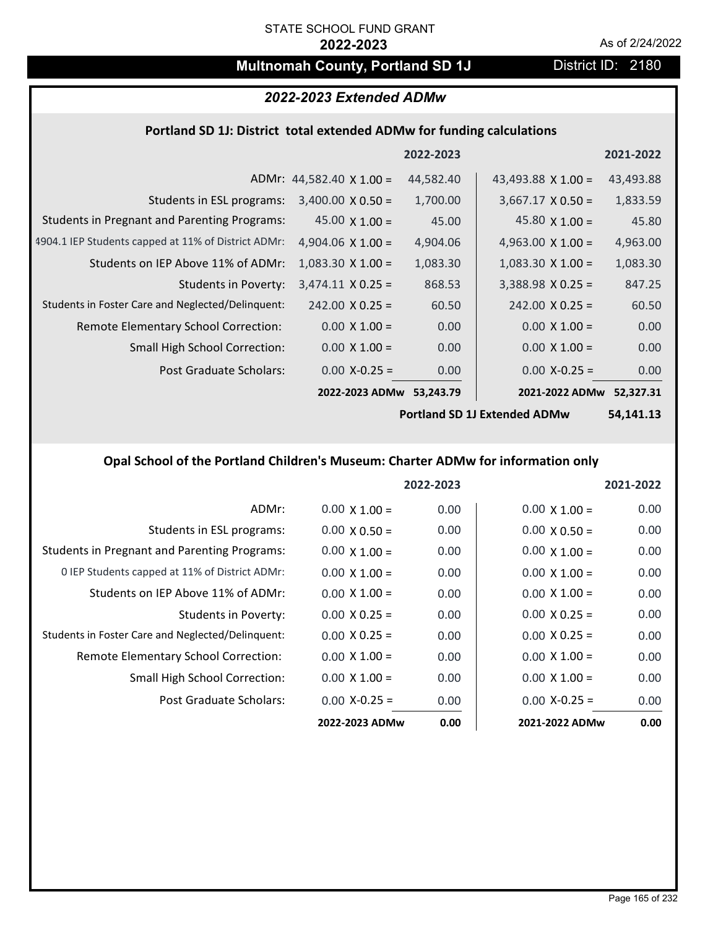# **Multnomah County, Portland SD 1J** District ID: 2180

## *2022-2023 Extended ADMw*

#### **Portland SD 1J: District total extended ADMw for funding calculations**

|                                                     |                                 | 2022-2023 |                           | 2021-2022 |
|-----------------------------------------------------|---------------------------------|-----------|---------------------------|-----------|
|                                                     | ADMr: 44,582.40 $\times$ 1.00 = | 44,582.40 | 43,493.88 $\times$ 1.00 = | 43,493.88 |
| Students in ESL programs:                           | $3,400.00 \times 0.50 =$        | 1,700.00  | $3,667.17 \times 0.50 =$  | 1,833.59  |
| <b>Students in Pregnant and Parenting Programs:</b> | 45.00 $\times$ 1.00 =           | 45.00     | 45.80 $\times$ 1.00 =     | 45.80     |
| 4904.1 IEP Students capped at 11% of District ADMr: | 4,904.06 $\times$ 1.00 =        | 4,904.06  | $4,963.00 \times 1.00 =$  | 4,963.00  |
| Students on IEP Above 11% of ADMr:                  | $1,083.30 \times 1.00 =$        | 1,083.30  | $1,083.30 \times 1.00 =$  | 1,083.30  |
| <b>Students in Poverty:</b>                         | $3,474.11 \times 0.25 =$        | 868.53    | $3,388.98 \times 0.25 =$  | 847.25    |
| Students in Foster Care and Neglected/Delinquent:   | $242.00 \times 0.25 =$          | 60.50     | $242.00 \times 0.25 =$    | 60.50     |
| Remote Elementary School Correction:                | $0.00 \times 1.00 =$            | 0.00      | $0.00 \times 1.00 =$      | 0.00      |
| <b>Small High School Correction:</b>                | $0.00 \times 1.00 =$            | 0.00      | $0.00 \times 1.00 =$      | 0.00      |
| Post Graduate Scholars:                             | $0.00$ X-0.25 =                 | 0.00      | $0.00$ X-0.25 =           | 0.00      |
|                                                     | 2022-2023 ADMw                  | 53,243.79 | 2021-2022 ADMw            | 52,327.31 |

**Portland SD 1J Extended ADMw**

**54,141.13**

## **Opal School of the Portland Children's Museum: Charter ADMw for information only**

|                                                     |                      | 2022-2023 |                      | 2021-2022         |
|-----------------------------------------------------|----------------------|-----------|----------------------|-------------------|
| ADMr:                                               | $0.00 \times 1.00 =$ | 0.00      | $0.00 \times 1.00 =$ | 0.00              |
| Students in ESL programs:                           | $0.00 \times 0.50 =$ | 0.00      | $0.00 \times 0.50 =$ | 0.00 <sub>1</sub> |
| <b>Students in Pregnant and Parenting Programs:</b> | $0.00 \times 1.00 =$ | 0.00      | $0.00 \times 1.00 =$ | 0.00              |
| 0 IEP Students capped at 11% of District ADMr:      | $0.00 \times 1.00 =$ | 0.00      | $0.00 \times 1.00 =$ | 0.00              |
| Students on IEP Above 11% of ADMr:                  | $0.00 \times 1.00 =$ | 0.00      | $0.00 \times 1.00 =$ | 0.00              |
| Students in Poverty:                                | $0.00 \times 0.25 =$ | 0.00      | $0.00 \times 0.25 =$ | 0.00              |
| Students in Foster Care and Neglected/Delinquent:   | $0.00 \times 0.25 =$ | 0.00      | $0.00 \times 0.25 =$ | 0.00              |
| Remote Elementary School Correction:                | $0.00 \times 1.00 =$ | 0.00      | $0.00 \times 1.00 =$ | 0.00              |
| Small High School Correction:                       | $0.00 \times 1.00 =$ | 0.00      | $0.00 \times 1.00 =$ | 0.00              |
| Post Graduate Scholars:                             | $0.00$ X-0.25 =      | 0.00      | $0.00$ X-0.25 =      | 0.00              |
|                                                     | 2022-2023 ADMw       | 0.00      | 2021-2022 ADMw       | 0.00              |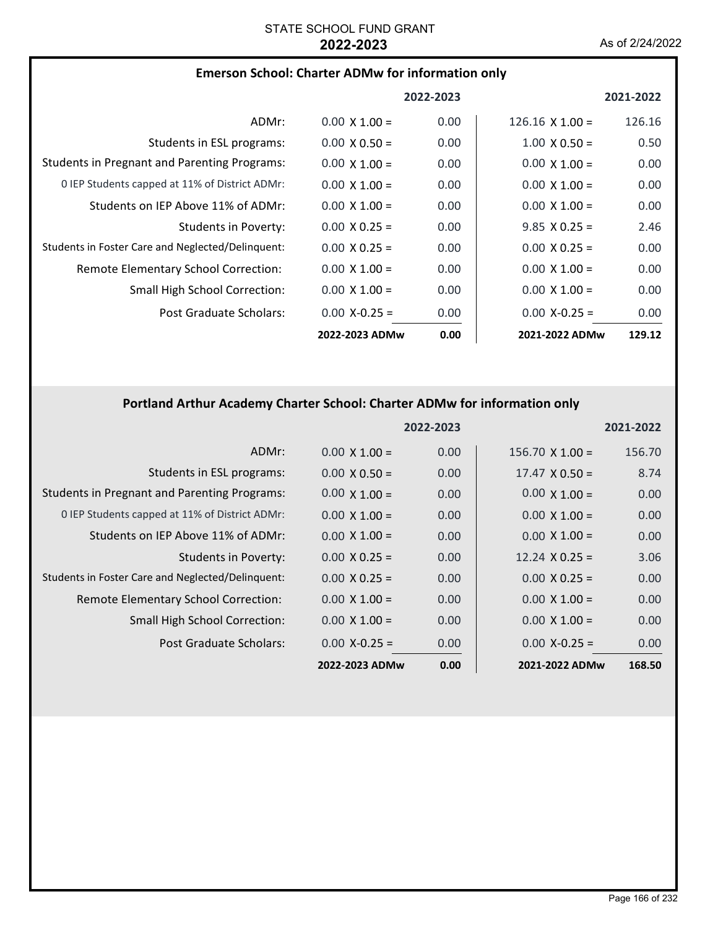## **Emerson School: Charter ADMw for information only**

|                                                     |                      | 2022-2023 |                        | 2021-2022 |
|-----------------------------------------------------|----------------------|-----------|------------------------|-----------|
| ADMr:                                               | $0.00 \times 1.00 =$ | 0.00      | $126.16 \times 1.00 =$ | 126.16    |
| Students in ESL programs:                           | $0.00 \times 0.50 =$ | 0.00      | $1.00 \times 0.50 =$   | 0.50      |
| <b>Students in Pregnant and Parenting Programs:</b> | $0.00 \times 1.00 =$ | 0.00      | $0.00 \times 1.00 =$   | 0.00      |
| 0 IEP Students capped at 11% of District ADMr:      | $0.00 \times 1.00 =$ | 0.00      | $0.00 \times 1.00 =$   | 0.00      |
| Students on IEP Above 11% of ADMr:                  | $0.00 \times 1.00 =$ | 0.00      | $0.00 \times 1.00 =$   | 0.00      |
| Students in Poverty:                                | $0.00 \times 0.25 =$ | 0.00      | $9.85 \times 0.25 =$   | 2.46      |
| Students in Foster Care and Neglected/Delinquent:   | $0.00 \times 0.25 =$ | 0.00      | $0.00 \times 0.25 =$   | 0.00      |
| Remote Elementary School Correction:                | $0.00 \times 1.00 =$ | 0.00      | $0.00 \times 1.00 =$   | 0.00      |
| <b>Small High School Correction:</b>                | $0.00 \times 1.00 =$ | 0.00      | $0.00 \times 1.00 =$   | 0.00      |
| Post Graduate Scholars:                             | $0.00 X - 0.25 =$    | 0.00      | $0.00 X - 0.25 =$      | 0.00      |
|                                                     | 2022-2023 ADMw       | 0.00      | 2021-2022 ADMw         | 129.12    |

## **Portland Arthur Academy Charter School: Charter ADMw for information only**

|                                                     |                      | 2022-2023 |                        | 2021-2022 |
|-----------------------------------------------------|----------------------|-----------|------------------------|-----------|
| ADMr:                                               | $0.00 \times 1.00 =$ | 0.00      | $156.70 \times 1.00 =$ | 156.70    |
| Students in ESL programs:                           | $0.00 \times 0.50 =$ | 0.00      | $17.47 \times 0.50 =$  | 8.74      |
| <b>Students in Pregnant and Parenting Programs:</b> | $0.00 \times 1.00 =$ | 0.00      | $0.00 \times 1.00 =$   | 0.00      |
| 0 IEP Students capped at 11% of District ADMr:      | $0.00 \times 1.00 =$ | 0.00      | $0.00 \times 1.00 =$   | 0.00      |
| Students on IEP Above 11% of ADMr:                  | $0.00 \times 1.00 =$ | 0.00      | $0.00 \times 1.00 =$   | 0.00      |
| Students in Poverty:                                | $0.00 \times 0.25 =$ | 0.00      | $12.24 \times 0.25 =$  | 3.06      |
| Students in Foster Care and Neglected/Delinquent:   | $0.00 \times 0.25 =$ | 0.00      | $0.00 \times 0.25 =$   | 0.00      |
| Remote Elementary School Correction:                | $0.00 \times 1.00 =$ | 0.00      | $0.00 \times 1.00 =$   | 0.00      |
| <b>Small High School Correction:</b>                | $0.00 \times 1.00 =$ | 0.00      | $0.00 \times 1.00 =$   | 0.00      |
| Post Graduate Scholars:                             | $0.00$ X-0.25 =      | 0.00      | $0.00 X - 0.25 =$      | 0.00      |
|                                                     | 2022-2023 ADMw       | 0.00      | 2021-2022 ADMw         | 168.50    |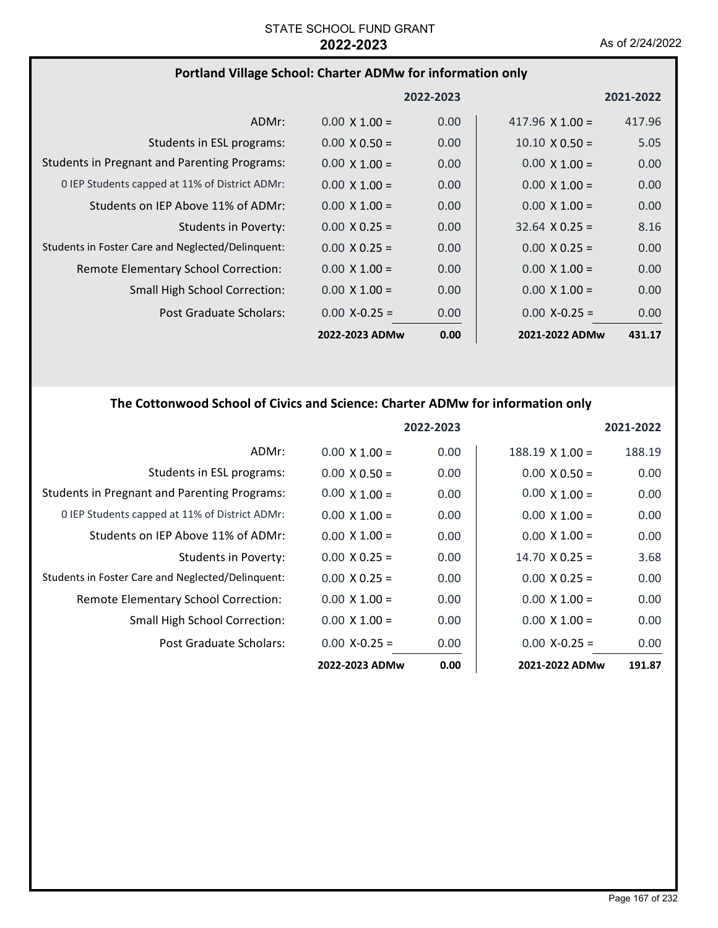## **Portland Village School: Charter ADMw for information only**

|                                                     |                      | 2022-2023         |                        | 2021-2022 |
|-----------------------------------------------------|----------------------|-------------------|------------------------|-----------|
| ADMr:                                               | $0.00 \times 1.00 =$ | 0.00              | 417.96 $\times$ 1.00 = | 417.96    |
| Students in ESL programs:                           | $0.00 \times 0.50 =$ | 0.00              | $10.10 \times 0.50 =$  | 5.05      |
| <b>Students in Pregnant and Parenting Programs:</b> | $0.00 \times 1.00 =$ | 0.00              | $0.00 \times 1.00 =$   | 0.00      |
| 0 IEP Students capped at 11% of District ADMr:      | $0.00 \times 1.00 =$ | 0.00              | $0.00 \times 1.00 =$   | 0.00      |
| Students on IEP Above 11% of ADMr:                  | $0.00 \times 1.00 =$ | 0.00              | $0.00 \times 1.00 =$   | 0.00      |
| <b>Students in Poverty:</b>                         | $0.00 \times 0.25 =$ | 0.00              | $32.64 \times 0.25 =$  | 8.16      |
| Students in Foster Care and Neglected/Delinquent:   | $0.00 \times 0.25 =$ | 0.00              | $0.00 \times 0.25 =$   | 0.00      |
| Remote Elementary School Correction:                | $0.00 \times 1.00 =$ | 0.00              | $0.00 \times 1.00 =$   | 0.00      |
| <b>Small High School Correction:</b>                | $0.00 \times 1.00 =$ | 0.00              | $0.00 \times 1.00 =$   | 0.00      |
| Post Graduate Scholars:                             | $0.00 X - 0.25 =$    | 0.00 <sub>1</sub> | $0.00$ X-0.25 =        | 0.00      |
|                                                     | 2022-2023 ADMw       | 0.00              | 2021-2022 ADMw         | 431.17    |

## **The Cottonwood School of Civics and Science: Charter ADMw for information only**

|                                                     |                      | 2022-2023 |                       | 2021-2022 |
|-----------------------------------------------------|----------------------|-----------|-----------------------|-----------|
| ADMr:                                               | $0.00 \times 1.00 =$ | 0.00      | $188.19$ X $1.00 =$   | 188.19    |
| Students in ESL programs:                           | $0.00 \times 0.50 =$ | 0.00      | $0.00 \times 0.50 =$  | 0.00      |
| <b>Students in Pregnant and Parenting Programs:</b> | $0.00 \times 1.00 =$ | 0.00      | $0.00 \times 1.00 =$  | 0.00      |
| 0 IEP Students capped at 11% of District ADMr:      | $0.00 \times 1.00 =$ | 0.00      | $0.00 \times 1.00 =$  | 0.00      |
| Students on IEP Above 11% of ADMr:                  | $0.00 \times 1.00 =$ | 0.00      | $0.00 \times 1.00 =$  | 0.00      |
| <b>Students in Poverty:</b>                         | $0.00 \times 0.25 =$ | 0.00      | $14.70 \times 0.25 =$ | 3.68      |
| Students in Foster Care and Neglected/Delinquent:   | $0.00 \times 0.25 =$ | 0.00      | $0.00 \times 0.25 =$  | 0.00      |
| Remote Elementary School Correction:                | $0.00 \times 1.00 =$ | 0.00      | $0.00 \times 1.00 =$  | 0.00      |
| <b>Small High School Correction:</b>                | $0.00 \times 1.00 =$ | 0.00      | $0.00 \times 1.00 =$  | 0.00      |
| Post Graduate Scholars:                             | $0.00 X-0.25 =$      | 0.00      | $0.00$ X-0.25 =       | 0.00      |
|                                                     | 2022-2023 ADMw       | 0.00      | 2021-2022 ADMw        | 191.87    |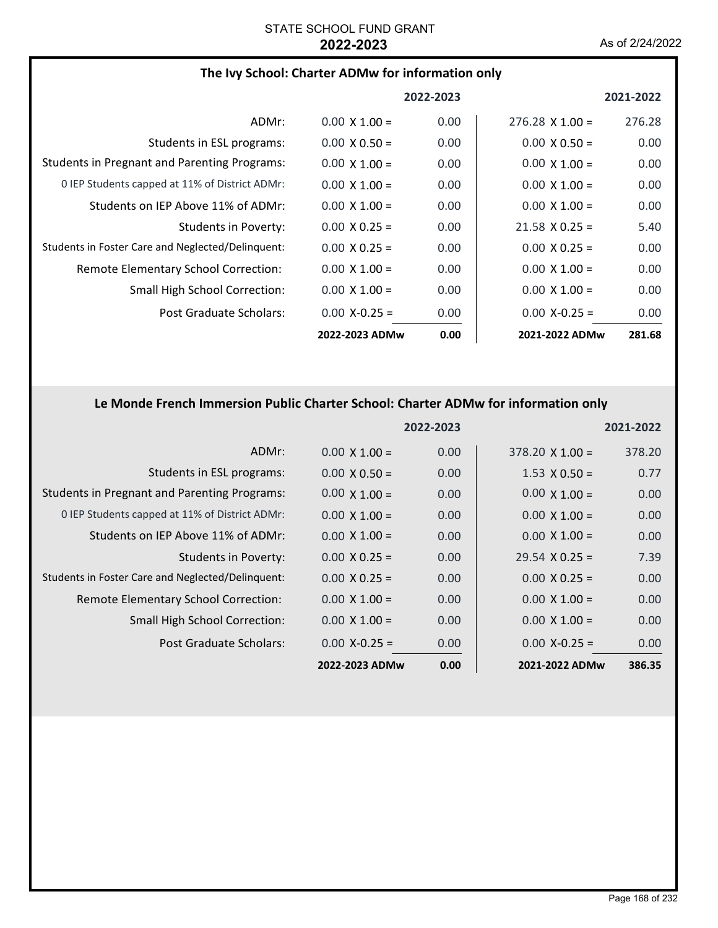## **The Ivy School: Charter ADMw for information only**

|                                                     |                      | 2022-2023 |                        | 2021-2022 |
|-----------------------------------------------------|----------------------|-----------|------------------------|-----------|
| ADMr:                                               | $0.00 \times 1.00 =$ | 0.00      | $276.28 \times 1.00 =$ | 276.28    |
| Students in ESL programs:                           | $0.00 \times 0.50 =$ | 0.00      | $0.00 \times 0.50 =$   | 0.00      |
| <b>Students in Pregnant and Parenting Programs:</b> | $0.00 \times 1.00 =$ | 0.00      | $0.00 \times 1.00 =$   | 0.00      |
| 0 IEP Students capped at 11% of District ADMr:      | $0.00 \times 1.00 =$ | 0.00      | $0.00 \times 1.00 =$   | 0.00      |
| Students on IEP Above 11% of ADMr:                  | $0.00 \times 1.00 =$ | 0.00      | $0.00 \times 1.00 =$   | 0.00      |
| Students in Poverty:                                | $0.00 \times 0.25 =$ | 0.00      | $21.58 \times 0.25 =$  | 5.40      |
| Students in Foster Care and Neglected/Delinguent:   | $0.00 \times 0.25 =$ | 0.00      | $0.00 \times 0.25 =$   | 0.00      |
| Remote Elementary School Correction:                | $0.00 \times 1.00 =$ | 0.00      | $0.00 \times 1.00 =$   | 0.00      |
| <b>Small High School Correction:</b>                | $0.00 \times 1.00 =$ | 0.00      | $0.00 \times 1.00 =$   | 0.00      |
| Post Graduate Scholars:                             | $0.00 X - 0.25 =$    | 0.00      | $0.00 X - 0.25 =$      | 0.00      |
|                                                     | 2022-2023 ADMw       | 0.00      | 2021-2022 ADMw         | 281.68    |

## **Le Monde French Immersion Public Charter School: Charter ADMw for information only**

|                                                     |                      | 2022-2023 |                        | 2021-2022 |
|-----------------------------------------------------|----------------------|-----------|------------------------|-----------|
| ADMr:                                               | $0.00 \times 1.00 =$ | 0.00      | $378.20 \times 1.00 =$ | 378.20    |
| Students in ESL programs:                           | $0.00 \times 0.50 =$ | 0.00      | $1.53 \times 0.50 =$   | 0.77      |
| <b>Students in Pregnant and Parenting Programs:</b> | $0.00 \times 1.00 =$ | 0.00      | $0.00 \times 1.00 =$   | 0.00      |
| 0 IEP Students capped at 11% of District ADMr:      | $0.00 \times 1.00 =$ | 0.00      | $0.00 \times 1.00 =$   | 0.00      |
| Students on IEP Above 11% of ADMr:                  | $0.00 \times 1.00 =$ | 0.00      | $0.00 \times 1.00 =$   | 0.00      |
| <b>Students in Poverty:</b>                         | $0.00 \times 0.25 =$ | 0.00      | $29.54 \times 0.25 =$  | 7.39      |
| Students in Foster Care and Neglected/Delinquent:   | $0.00 \times 0.25 =$ | 0.00      | $0.00 \times 0.25 =$   | 0.00      |
| Remote Elementary School Correction:                | $0.00 \times 1.00 =$ | 0.00      | $0.00 \times 1.00 =$   | 0.00      |
| <b>Small High School Correction:</b>                | $0.00 \times 1.00 =$ | 0.00      | $0.00 \times 1.00 =$   | 0.00      |
| Post Graduate Scholars:                             | $0.00$ X-0.25 =      | 0.00      | $0.00$ X-0.25 =        | 0.00      |
|                                                     | 2022-2023 ADMw       | 0.00      | 2021-2022 ADMw         | 386.35    |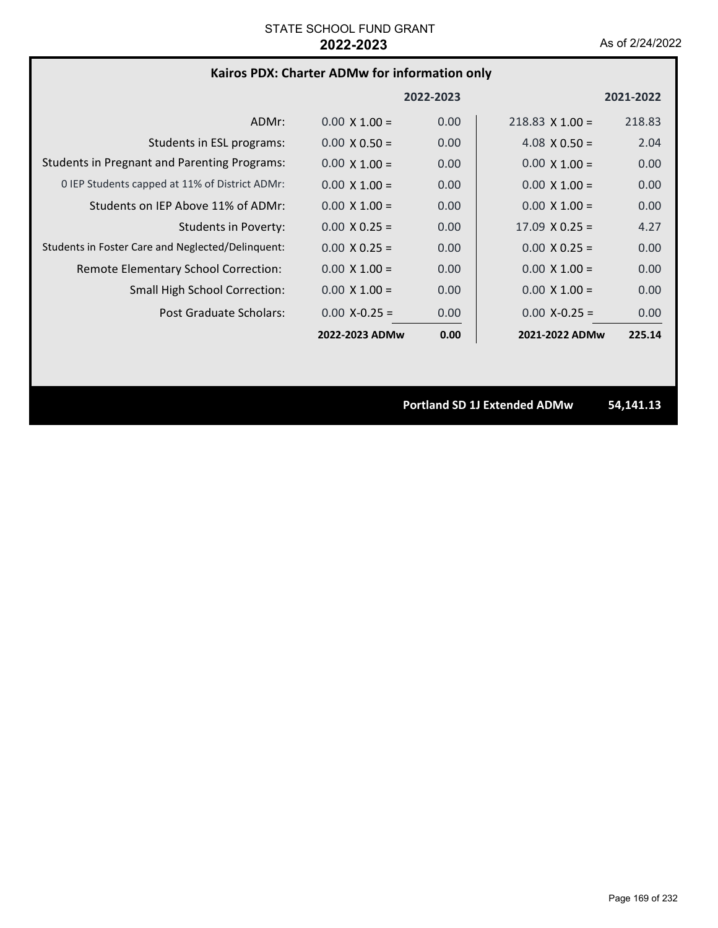#### **Kairos PDX: Charter ADMw for information only 0.00 225.14 2022‐2023 ADMw 2021‐2022 ADMw** ADMr: 0 IEP Students capped at 11% of District ADMr:  $0.00 \times 1.00 = 0.00$ Students in ESL programs:  $0.00 \times 0.50 = 0.00$ Students in Pregnant and Parenting Programs:  $0.00 \times 1.00 = 0.00$ Students in Foster Care and Neglected/Delinquent:  $0.00 \times 0.25 = 0.00$ Students in Poverty:  $0.00 \times 0.25 = 0.00$ Remote Elementary School Correction: Small High School Correction: **2022‐2023 2021‐2022** Students on IEP Above 11% of ADMr:  $0.00 \times 1.00 = 0.00$  $0.00 \times 0.50 =$  $0.00 \times 1.00 =$  $0.00 \times 1.00 =$  $0.00 \times 1.00 = 0.00$  $0.00 \times 0.25 =$  $0.00 \times 0.25 =$  $0.00 \times 1.00 = 0.00$  $0.00 \times 1.00 = 0.00$ 218.83 X 1.00 = 218.83 0.00  $4.08 \times 0.50 = 2.04$  $0.00 \times 1.00 = 0.00$  $0.00 \times 0.25 = 0.00$  $17.09 \times 0.25 = 4.27$  $0.00 \times 1.00 = 0.00$  $0.00 \times 1.00 = 0.00$  $0.00 \times 1.00 = 0.00$  $0.00 \times 1.00 =$ Post Graduate Scholars:  $0.00 \text{ X} - 0.25 = 0.00 \text{ X} - 0.25 = 0.00 \text{ X} - 0.25 = 0.00 \text{ X} - 0.00 \text{ X} - 0.00 \text{ X} - 0.00 \text{ X} - 0.00 \text{ X} - 0.00 \text{ X} - 0.00 \text{ X} - 0.00 \text{ X} - 0.00 \text{ X} - 0.00 \text{ X} - 0.00 \text{ X} - 0.00 \text{ X} - 0.00 \text{ X} - 0.$

**Portland SD 1J Extended ADMw 54,141.13**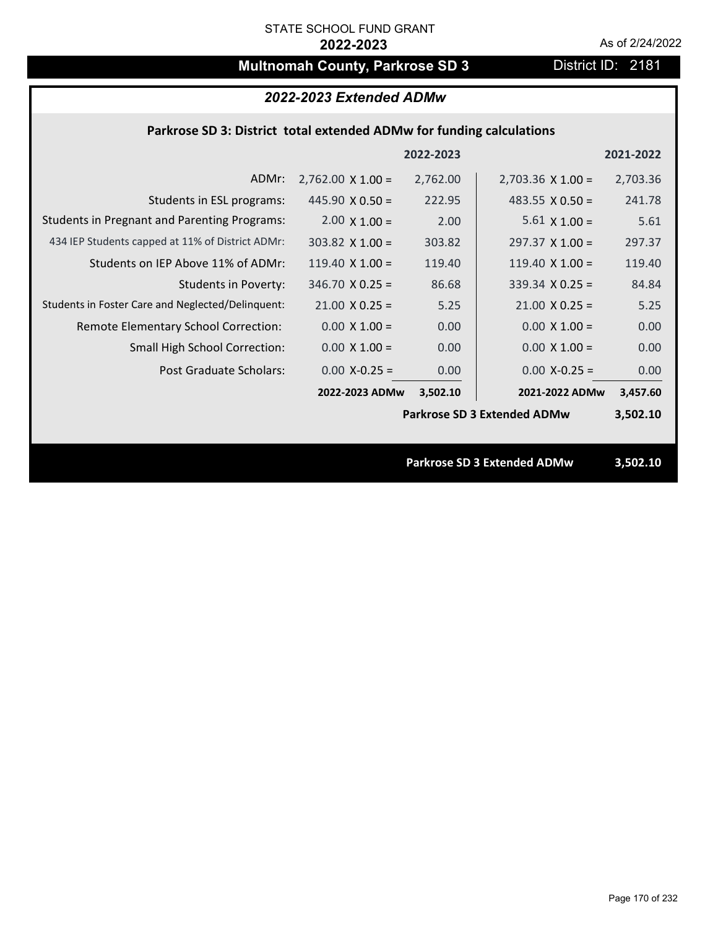# **Multnomah County, Parkrose SD 3** District ID: 2181

## *2022-2023 Extended ADMw*

## **Parkrose SD 3: District total extended ADMw for funding calculations**

|                                                     |                          | 2022-2023 |                                    | 2021-2022 |
|-----------------------------------------------------|--------------------------|-----------|------------------------------------|-----------|
| ADMr:                                               | $2,762.00 \times 1.00 =$ | 2,762.00  | $2,703.36 \times 1.00 =$           | 2,703.36  |
| Students in ESL programs:                           | $445.90 \times 0.50 =$   | 222.95    | 483.55 $X$ 0.50 =                  | 241.78    |
| <b>Students in Pregnant and Parenting Programs:</b> | $2.00 \times 1.00 =$     | 2.00      | $5.61 \times 1.00 =$               | 5.61      |
| 434 IEP Students capped at 11% of District ADMr:    | $303.82$ X 1.00 =        | 303.82    | $297.37 \times 1.00 =$             | 297.37    |
| Students on IEP Above 11% of ADMr:                  | $119.40 \times 1.00 =$   | 119.40    | 119.40 $X$ 1.00 =                  | 119.40    |
| <b>Students in Poverty:</b>                         | $346.70$ X 0.25 =        | 86.68     | $339.34$ X 0.25 =                  | 84.84     |
| Students in Foster Care and Neglected/Delinquent:   | $21.00 \times 0.25 =$    | 5.25      | $21.00 \times 0.25 =$              | 5.25      |
| Remote Elementary School Correction:                | $0.00 \times 1.00 =$     | 0.00      | $0.00 \times 1.00 =$               | 0.00      |
| <b>Small High School Correction:</b>                | $0.00 \times 1.00 =$     | 0.00      | $0.00 \times 1.00 =$               | 0.00      |
| Post Graduate Scholars:                             | $0.00$ X-0.25 =          | 0.00      | $0.00$ X-0.25 =                    | 0.00      |
|                                                     | 2022-2023 ADMw           | 3,502.10  | 2021-2022 ADMw                     | 3,457.60  |
|                                                     |                          |           | <b>Parkrose SD 3 Extended ADMw</b> | 3,502.10  |
|                                                     |                          |           |                                    |           |
|                                                     |                          |           | <b>Parkrose SD 3 Extended ADMw</b> | 3,502.10  |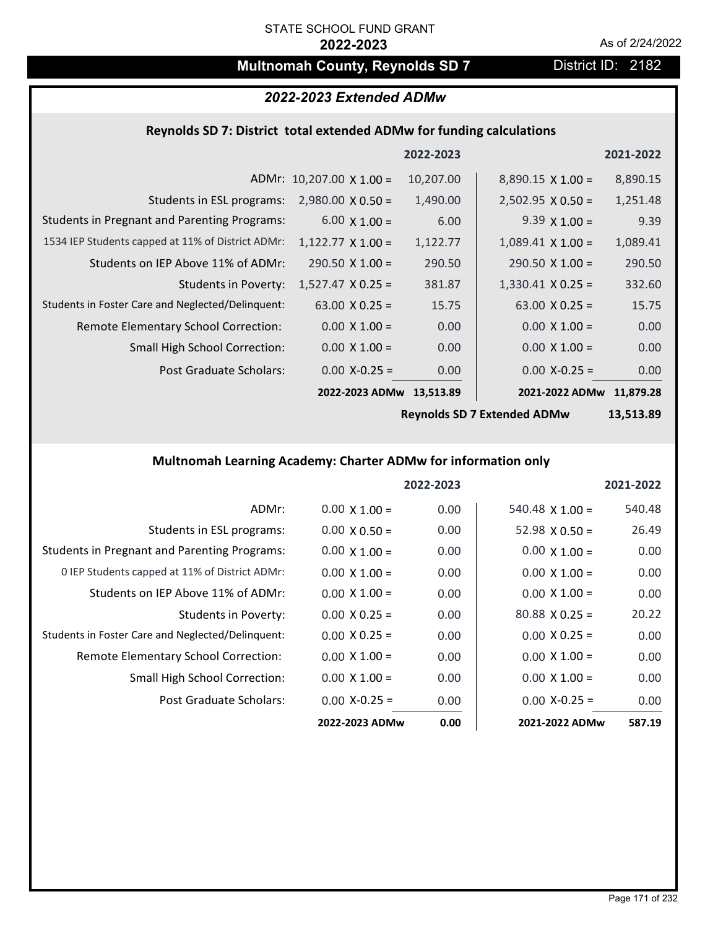## **Multnomah County, Reynolds SD 7** District ID: 2182

## *2022-2023 Extended ADMw*

#### **Reynolds SD 7: District total extended ADMw for funding calculations**

|                                                     |                                 | 2022-2023 |                          | 2021-2022 |
|-----------------------------------------------------|---------------------------------|-----------|--------------------------|-----------|
|                                                     | ADMr: $10,207.00 \times 1.00 =$ | 10,207.00 | $8,890.15 \times 1.00 =$ | 8,890.15  |
| Students in ESL programs:                           | $2,980.00 \times 0.50 =$        | 1,490.00  | $2,502.95 \times 0.50 =$ | 1,251.48  |
| <b>Students in Pregnant and Parenting Programs:</b> | $6.00 \times 1.00 =$            | 6.00      | $9.39 \times 1.00 =$     | 9.39      |
| 1534 IEP Students capped at 11% of District ADMr:   | $1,122.77 \times 1.00 =$        | 1,122.77  | $1,089.41 \times 1.00 =$ | 1,089.41  |
| Students on IEP Above 11% of ADMr:                  | $290.50 \times 1.00 =$          | 290.50    | $290.50 \times 1.00 =$   | 290.50    |
| <b>Students in Poverty:</b>                         | $1,527.47 \times 0.25 =$        | 381.87    | $1,330.41$ X 0.25 =      | 332.60    |
| Students in Foster Care and Neglected/Delinguent:   | $63.00 \times 0.25 =$           | 15.75     | $63.00 \times 0.25 =$    | 15.75     |
| Remote Elementary School Correction:                | $0.00 \times 1.00 =$            | 0.00      | $0.00 \times 1.00 =$     | 0.00      |
| <b>Small High School Correction:</b>                | $0.00 \times 1.00 =$            | 0.00      | $0.00 \times 1.00 =$     | 0.00      |
| Post Graduate Scholars:                             | $0.00$ X-0.25 =                 | 0.00      | $0.00$ X-0.25 =          | 0.00      |
|                                                     | 2022-2023 ADMw                  | 13,513.89 | 2021-2022 ADMw           | 11,879.28 |

**Reynolds SD 7 Extended ADMw**

**13,513.89**

## **Multnomah Learning Academy: Charter ADMw for information only**

|                                                     |                      | 2022-2023 |                        | 2021-2022 |
|-----------------------------------------------------|----------------------|-----------|------------------------|-----------|
| ADMr:                                               | $0.00 \times 1.00 =$ | 0.00      | $540.48 \times 1.00 =$ | 540.48    |
| Students in ESL programs:                           | $0.00 \times 0.50 =$ | 0.00      | $52.98 \times 0.50 =$  | 26.49     |
| <b>Students in Pregnant and Parenting Programs:</b> | $0.00 \times 1.00 =$ | 0.00      | $0.00 \times 1.00 =$   | 0.00      |
| 0 IEP Students capped at 11% of District ADMr:      | $0.00 \times 1.00 =$ | 0.00      | $0.00 \times 1.00 =$   | 0.00      |
| Students on IEP Above 11% of ADMr:                  | $0.00 \times 1.00 =$ | 0.00      | $0.00 \times 1.00 =$   | 0.00      |
| Students in Poverty:                                | $0.00 \times 0.25 =$ | 0.00      | $80.88 \times 0.25 =$  | 20.22     |
| Students in Foster Care and Neglected/Delinquent:   | $0.00 \times 0.25 =$ | 0.00      | $0.00 \times 0.25 =$   | 0.00      |
| Remote Elementary School Correction:                | $0.00 \times 1.00 =$ | 0.00      | $0.00 \times 1.00 =$   | 0.00      |
| <b>Small High School Correction:</b>                | $0.00 \times 1.00 =$ | 0.00      | $0.00 \times 1.00 =$   | 0.00      |
| Post Graduate Scholars:                             | $0.00 X-0.25 =$      | 0.00      | $0.00 X-0.25 =$        | 0.00      |
|                                                     | 2022-2023 ADMw       | 0.00      | 2021-2022 ADMw         | 587.19    |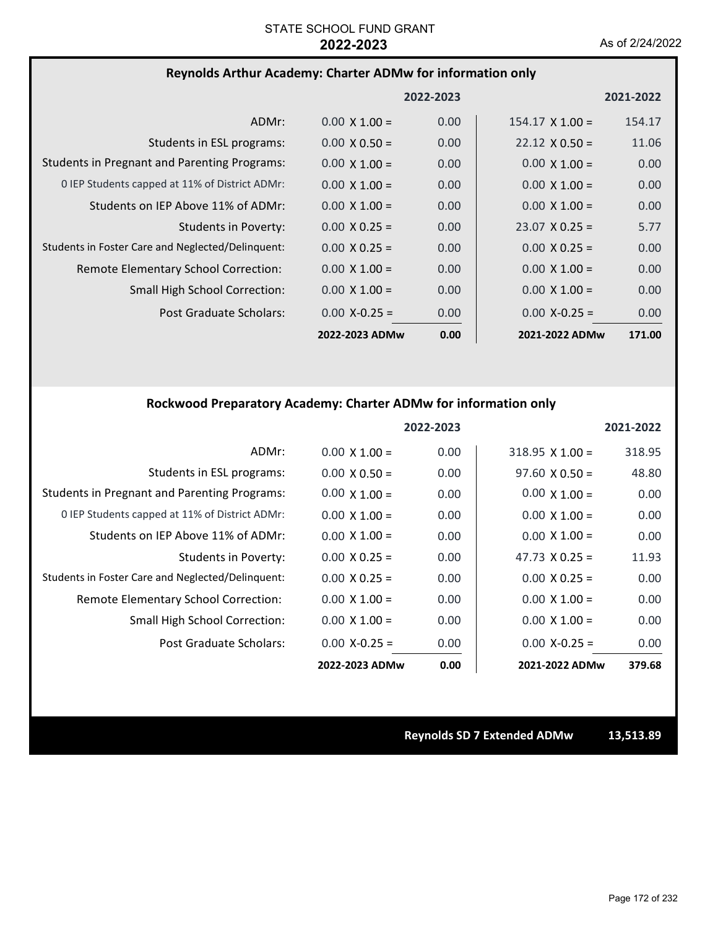#### **Reynolds Arthur Academy: Charter ADMw for information only**

|                                                     |                      | 2022-2023         |                        | 2021-2022 |
|-----------------------------------------------------|----------------------|-------------------|------------------------|-----------|
| ADMr:                                               | $0.00 \times 1.00 =$ | 0.00              | $154.17 \times 1.00 =$ | 154.17    |
| Students in ESL programs:                           | $0.00 \times 0.50 =$ | 0.00              | $22.12 \times 0.50 =$  | 11.06     |
| <b>Students in Pregnant and Parenting Programs:</b> | $0.00 \times 1.00 =$ | 0.00              | $0.00 \times 1.00 =$   | 0.00      |
| 0 IEP Students capped at 11% of District ADMr:      | $0.00 \times 1.00 =$ | 0.00              | $0.00 \times 1.00 =$   | 0.00      |
| Students on IEP Above 11% of ADMr:                  | $0.00 \times 1.00 =$ | 0.00              | $0.00 \times 1.00 =$   | 0.00      |
| <b>Students in Poverty:</b>                         | $0.00 \times 0.25 =$ | 0.00              | $23.07 \times 0.25 =$  | 5.77      |
| Students in Foster Care and Neglected/Delinquent:   | $0.00 \times 0.25 =$ | 0.00              | $0.00 \times 0.25 =$   | 0.00      |
| Remote Elementary School Correction:                | $0.00 \times 1.00 =$ | 0.00              | $0.00 \times 1.00 =$   | 0.00      |
| <b>Small High School Correction:</b>                | $0.00 \times 1.00 =$ | 0.00              | $0.00 \times 1.00 =$   | 0.00      |
| Post Graduate Scholars:                             | $0.00$ X-0.25 =      | 0.00 <sub>1</sub> | $0.00$ X-0.25 =        | 0.00      |
|                                                     | 2022-2023 ADMw       | 0.00              | 2021-2022 ADMw         | 171.00    |

### **Rockwood Preparatory Academy: Charter ADMw for information only**

|                                                     |                      | 2022-2023 |                        | 2021-2022 |
|-----------------------------------------------------|----------------------|-----------|------------------------|-----------|
| ADMr:                                               | $0.00 \times 1.00 =$ | 0.00      | $318.95 \times 1.00 =$ | 318.95    |
| Students in ESL programs:                           | $0.00 \times 0.50 =$ | 0.00      | $97.60 \times 0.50 =$  | 48.80     |
| <b>Students in Pregnant and Parenting Programs:</b> | $0.00 \times 1.00 =$ | 0.00      | $0.00 \times 1.00 =$   | 0.00      |
| 0 IEP Students capped at 11% of District ADMr:      | $0.00 \times 1.00 =$ | 0.00      | $0.00 \times 1.00 =$   | 0.00      |
| Students on IEP Above 11% of ADMr:                  | $0.00 \times 1.00 =$ | 0.00      | $0.00 \times 1.00 =$   | 0.00      |
| Students in Poverty:                                | $0.00 \times 0.25 =$ | 0.00      | 47.73 $\times$ 0.25 =  | 11.93     |
| Students in Foster Care and Neglected/Delinquent:   | $0.00 \times 0.25 =$ | 0.00      | $0.00 \times 0.25 =$   | 0.00      |
| Remote Elementary School Correction:                | $0.00 \times 1.00 =$ | 0.00      | $0.00 \times 1.00 =$   | 0.00      |
| <b>Small High School Correction:</b>                | $0.00 \times 1.00 =$ | 0.00      | $0.00 \times 1.00 =$   | 0.00      |
| Post Graduate Scholars:                             | $0.00$ X-0.25 =      | 0.00      | $0.00 X - 0.25 =$      | 0.00      |
|                                                     | 2022-2023 ADMw       | 0.00      | 2021-2022 ADMw         | 379.68    |

**Reynolds SD 7 Extended ADMw 13,513.89**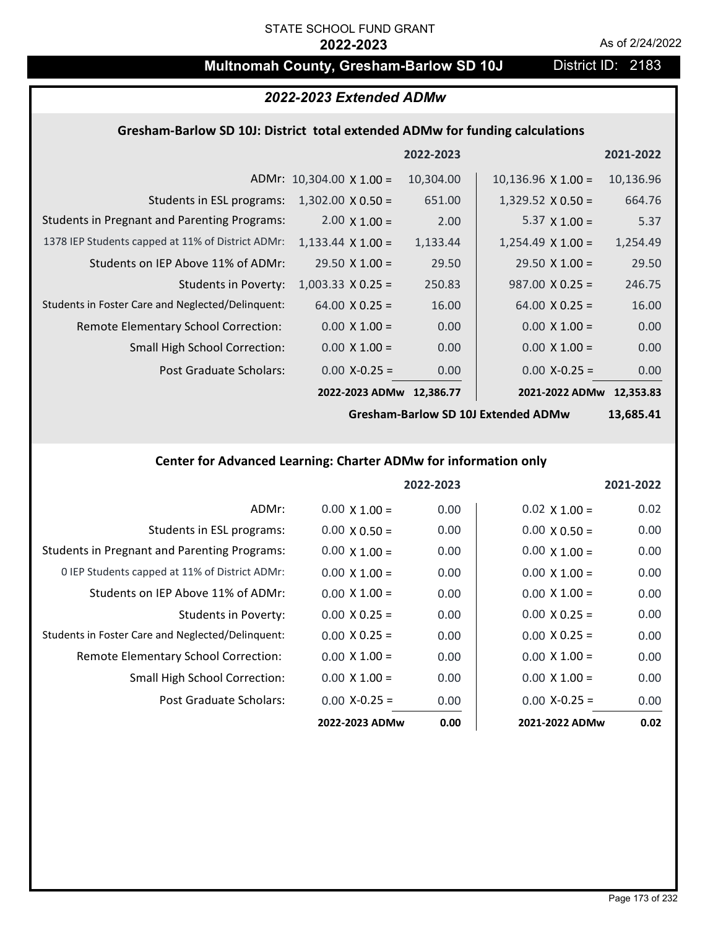# **Multnomah County, Gresham-Barlow SD 10J** District ID: 2183

## *2022-2023 Extended ADMw*

## **Gresham‐Barlow SD 10J: District total extended ADMw for funding calculations**

|                                                     |                                 | 2022-2023 |                           | 2021-2022 |
|-----------------------------------------------------|---------------------------------|-----------|---------------------------|-----------|
|                                                     | ADMr: $10,304.00 \times 1.00 =$ | 10,304.00 | $10,136.96 \times 1.00 =$ | 10,136.96 |
| Students in ESL programs:                           | $1,302.00 \times 0.50 =$        | 651.00    | $1,329.52 \times 0.50 =$  | 664.76    |
| <b>Students in Pregnant and Parenting Programs:</b> | $2.00 \times 1.00 =$            | 2.00      | 5.37 $\times$ 1.00 =      | 5.37      |
| 1378 IEP Students capped at 11% of District ADMr:   | $1,133.44 \times 1.00 =$        | 1,133.44  | $1,254.49 \times 1.00 =$  | 1,254.49  |
| Students on IEP Above 11% of ADMr:                  | $29.50 \times 1.00 =$           | 29.50     | $29.50 \times 1.00 =$     | 29.50     |
| <b>Students in Poverty:</b>                         | $1,003.33 \times 0.25 =$        | 250.83    | $987.00 \times 0.25 =$    | 246.75    |
| Students in Foster Care and Neglected/Delinquent:   | $64.00 \times 0.25 =$           | 16.00     | $64.00 \times 0.25 =$     | 16.00     |
| Remote Elementary School Correction:                | $0.00 \times 1.00 =$            | 0.00      | $0.00 \times 1.00 =$      | 0.00      |
| Small High School Correction:                       | $0.00 \times 1.00 =$            | 0.00      | $0.00 \times 1.00 =$      | 0.00      |
| Post Graduate Scholars:                             | $0.00$ X-0.25 =                 | 0.00      | $0.00$ X-0.25 =           | 0.00      |
|                                                     | 2022-2023 ADMw                  | 12,386.77 | 2021-2022 ADMw            | 12.353.83 |

**Gresham‐Barlow SD 10J Extended ADMw**

**13,685.41**

## **Center for Advanced Learning: Charter ADMw for information only**

|                                                     |                      | 2022-2023 |                      | 2021-2022 |
|-----------------------------------------------------|----------------------|-----------|----------------------|-----------|
| ADMr:                                               | $0.00 \times 1.00 =$ | 0.00      | $0.02 \times 1.00 =$ | 0.02      |
| Students in ESL programs:                           | $0.00 \times 0.50 =$ | 0.00      | $0.00 \times 0.50 =$ | 0.00      |
| <b>Students in Pregnant and Parenting Programs:</b> | $0.00 \times 1.00 =$ | 0.00      | $0.00 \times 1.00 =$ | 0.00      |
| 0 IEP Students capped at 11% of District ADMr:      | $0.00 \times 1.00 =$ | 0.00      | $0.00 \times 1.00 =$ | 0.00      |
| Students on IEP Above 11% of ADMr:                  | $0.00 \times 1.00 =$ | 0.00      | $0.00 \times 1.00 =$ | 0.00      |
| Students in Poverty:                                | $0.00 \times 0.25 =$ | 0.00      | $0.00 \times 0.25 =$ | 0.00      |
| Students in Foster Care and Neglected/Delinquent:   | $0.00 \times 0.25 =$ | 0.00      | $0.00 \times 0.25 =$ | 0.00      |
| Remote Elementary School Correction:                | $0.00 \times 1.00 =$ | 0.00      | $0.00 \times 1.00 =$ | 0.00      |
| <b>Small High School Correction:</b>                | $0.00 \times 1.00 =$ | 0.00      | $0.00 \times 1.00 =$ | 0.00      |
| Post Graduate Scholars:                             | $0.00 X-0.25 =$      | 0.00      | $0.00 X-0.25 =$      | 0.00      |
|                                                     | 2022-2023 ADMw       | 0.00      | 2021-2022 ADMw       | 0.02      |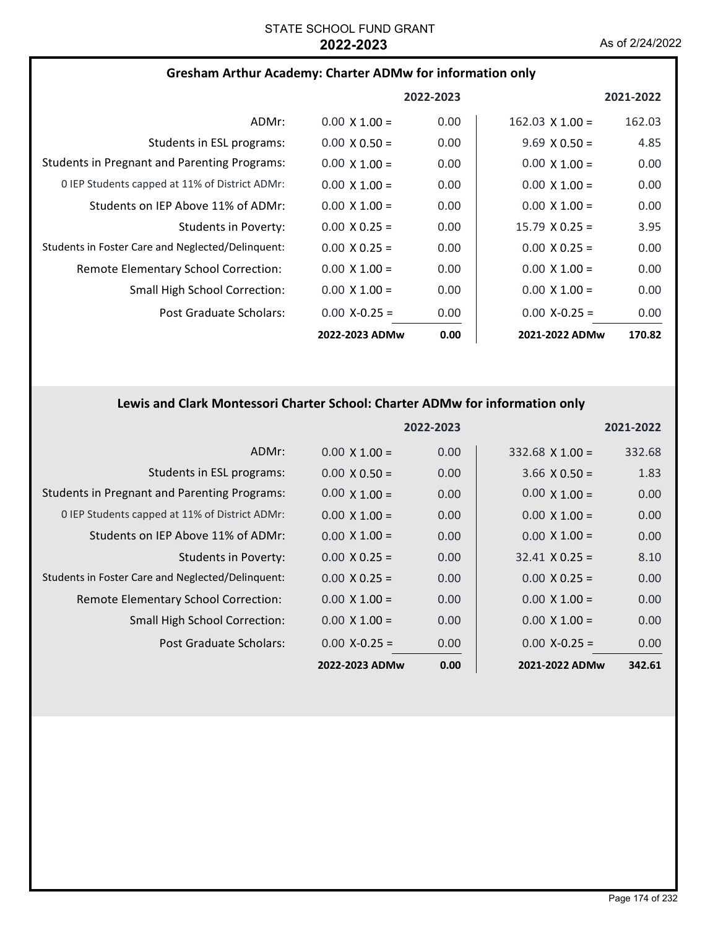## **Gresham Arthur Academy: Charter ADMw for information only**

|                                                     |                      | 2022-2023 |                        | 2021-2022 |
|-----------------------------------------------------|----------------------|-----------|------------------------|-----------|
| ADMr:                                               | $0.00 \times 1.00 =$ | 0.00      | $162.03 \times 1.00 =$ | 162.03    |
| Students in ESL programs:                           | $0.00 \times 0.50 =$ | 0.00      | $9.69 \times 0.50 =$   | 4.85      |
| <b>Students in Pregnant and Parenting Programs:</b> | $0.00 \times 1.00 =$ | 0.00      | $0.00 \times 1.00 =$   | 0.00      |
| 0 IEP Students capped at 11% of District ADMr:      | $0.00 \times 1.00 =$ | 0.00      | $0.00 \times 1.00 =$   | 0.00      |
| Students on IEP Above 11% of ADMr:                  | $0.00 \times 1.00 =$ | 0.00      | $0.00 \times 1.00 =$   | 0.00      |
| Students in Poverty:                                | $0.00 \times 0.25 =$ | 0.00      | $15.79 \times 0.25 =$  | 3.95      |
| Students in Foster Care and Neglected/Delinquent:   | $0.00 \times 0.25 =$ | 0.00      | $0.00 \times 0.25 =$   | 0.00      |
| Remote Elementary School Correction:                | $0.00 \times 1.00 =$ | 0.00      | $0.00 \times 1.00 =$   | 0.00      |
| <b>Small High School Correction:</b>                | $0.00 \times 1.00 =$ | 0.00      | $0.00 \times 1.00 =$   | 0.00      |
| Post Graduate Scholars:                             | $0.00 X - 0.25 =$    | 0.00      | $0.00 X - 0.25 =$      | 0.00      |
|                                                     | 2022-2023 ADMw       | 0.00      | 2021-2022 ADMw         | 170.82    |

## **Lewis and Clark Montessori Charter School: Charter ADMw for information only**

|                                                     |                      | 2022-2023 |                        | 2021-2022 |
|-----------------------------------------------------|----------------------|-----------|------------------------|-----------|
| ADMr:                                               | $0.00 \times 1.00 =$ | 0.00      | $332.68 \times 1.00 =$ | 332.68    |
| Students in ESL programs:                           | $0.00 \times 0.50 =$ | 0.00      | $3.66 \times 0.50 =$   | 1.83      |
| <b>Students in Pregnant and Parenting Programs:</b> | $0.00 \times 1.00 =$ | 0.00      | $0.00 \times 1.00 =$   | 0.00      |
| 0 IEP Students capped at 11% of District ADMr:      | $0.00 \times 1.00 =$ | 0.00      | $0.00 \times 1.00 =$   | 0.00      |
| Students on IEP Above 11% of ADMr:                  | $0.00 \times 1.00 =$ | 0.00      | $0.00 \times 1.00 =$   | 0.00      |
| <b>Students in Poverty:</b>                         | $0.00 \times 0.25 =$ | 0.00      | $32.41 \times 0.25 =$  | 8.10      |
| Students in Foster Care and Neglected/Delinquent:   | $0.00 \times 0.25 =$ | 0.00      | $0.00 \times 0.25 =$   | 0.00      |
| Remote Elementary School Correction:                | $0.00 \times 1.00 =$ | 0.00      | $0.00 \times 1.00 =$   | 0.00      |
| <b>Small High School Correction:</b>                | $0.00 \times 1.00 =$ | 0.00      | $0.00 \times 1.00 =$   | 0.00      |
| Post Graduate Scholars:                             | $0.00$ X-0.25 =      | 0.00      | $0.00 X - 0.25 =$      | 0.00      |
|                                                     | 2022-2023 ADMw       | 0.00      | 2021-2022 ADMw         | 342.61    |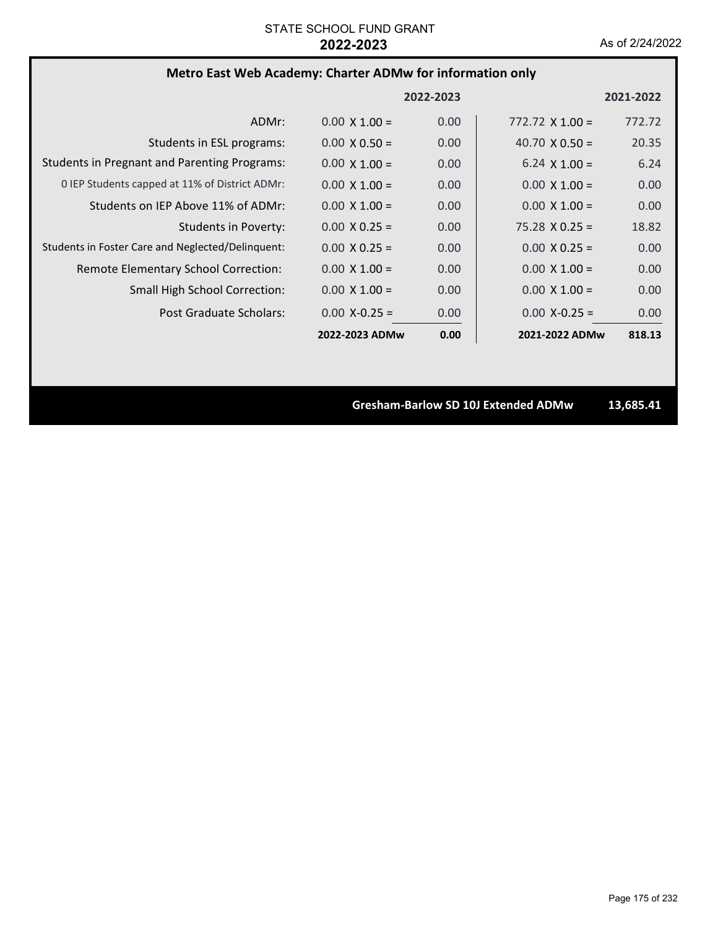## **Metro East Web Academy: Charter ADMw for information only**

|                                                     |                      | 2022-2023 |                        | 2021-2022 |
|-----------------------------------------------------|----------------------|-----------|------------------------|-----------|
| ADMr:                                               | $0.00 \times 1.00 =$ | 0.00      | 772.72 $\times$ 1.00 = | 772.72    |
| Students in ESL programs:                           | $0.00 \times 0.50 =$ | 0.00      | 40.70 $\times$ 0.50 =  | 20.35     |
| <b>Students in Pregnant and Parenting Programs:</b> | $0.00 \times 1.00 =$ | 0.00      | $6.24 \times 1.00 =$   | 6.24      |
| 0 IEP Students capped at 11% of District ADMr:      | $0.00 \times 1.00 =$ | 0.00      | $0.00 \times 1.00 =$   | 0.00      |
| Students on IEP Above 11% of ADMr:                  | $0.00 \times 1.00 =$ | 0.00      | $0.00 \times 1.00 =$   | 0.00      |
| Students in Poverty:                                | $0.00 \times 0.25 =$ | 0.00      | $75.28 \times 0.25 =$  | 18.82     |
| Students in Foster Care and Neglected/Delinquent:   | $0.00 \times 0.25 =$ | 0.00      | $0.00 \times 0.25 =$   | 0.00      |
| Remote Elementary School Correction:                | $0.00 \times 1.00 =$ | 0.00      | $0.00 \times 1.00 =$   | 0.00      |
| <b>Small High School Correction:</b>                | $0.00 \times 1.00 =$ | 0.00      | $0.00 \times 1.00 =$   | 0.00      |
| Post Graduate Scholars:                             | $0.00 X - 0.25 =$    | 0.00      | $0.00 X - 0.25 =$      | 0.00      |
|                                                     | 2022-2023 ADMw       | 0.00      | 2021-2022 ADMw         | 818.13    |

**Gresham‐Barlow SD 10J Extended ADMw 13,685.41**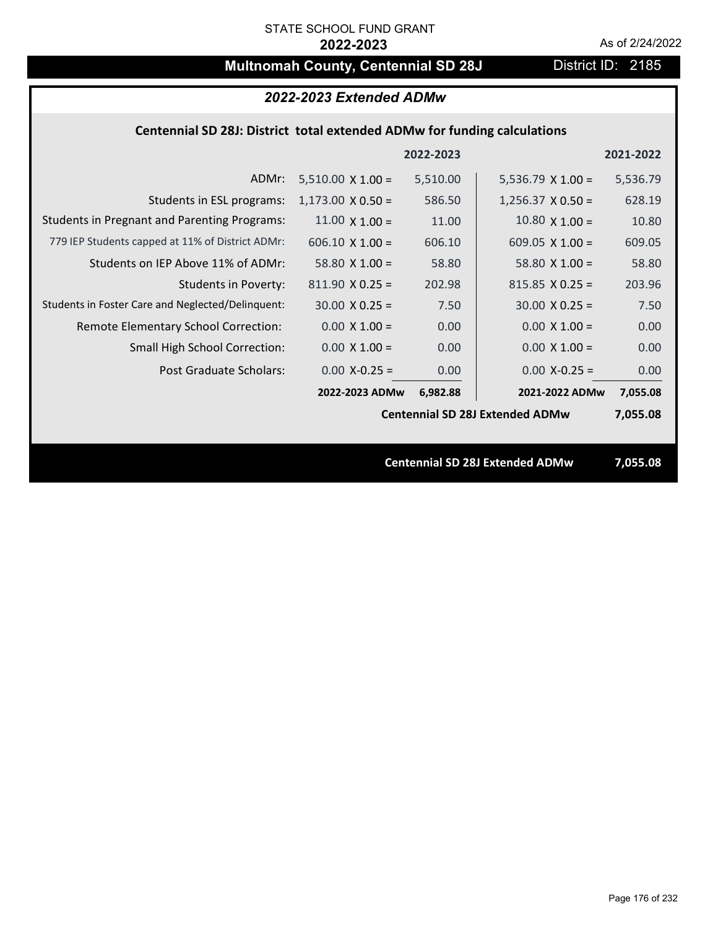## **Multnomah County, Centennial SD 28J** District ID: 2185

## *2022-2023 Extended ADMw*

### **Centennial SD 28J: District total extended ADMw for funding calculations**

|                                                     |                          | 2022-2023 |                                        | 2021-2022 |
|-----------------------------------------------------|--------------------------|-----------|----------------------------------------|-----------|
| ADMr:                                               | $5,510.00 \times 1.00 =$ | 5,510.00  | $5,536.79 \times 1.00 =$               | 5,536.79  |
| Students in ESL programs:                           | $1,173.00 \times 0.50 =$ | 586.50    | $1,256.37 \times 0.50 =$               | 628.19    |
| <b>Students in Pregnant and Parenting Programs:</b> | $11.00 \times 1.00 =$    | 11.00     | $10.80 \times 1.00 =$                  | 10.80     |
| 779 IEP Students capped at 11% of District ADMr:    | $606.10 \times 1.00 =$   | 606.10    | 609.05 $X$ 1.00 =                      | 609.05    |
| Students on IEP Above 11% of ADMr:                  | 58.80 $X$ 1.00 =         | 58.80     | $58.80$ X 1.00 =                       | 58.80     |
| <b>Students in Poverty:</b>                         | $811.90 \times 0.25 =$   | 202.98    | $815.85 \times 0.25 =$                 | 203.96    |
| Students in Foster Care and Neglected/Delinquent:   | $30.00 \times 0.25 =$    | 7.50      | $30.00 \times 0.25 =$                  | 7.50      |
| Remote Elementary School Correction:                | $0.00 \times 1.00 =$     | 0.00      | $0.00 \times 1.00 =$                   | 0.00      |
| <b>Small High School Correction:</b>                | $0.00 \times 1.00 =$     | 0.00      | $0.00 \times 1.00 =$                   | 0.00      |
| Post Graduate Scholars:                             | $0.00$ X-0.25 =          | 0.00      | $0.00$ X-0.25 =                        | 0.00      |
|                                                     | 2022-2023 ADMw           | 6,982.88  | 2021-2022 ADMw                         | 7,055.08  |
|                                                     |                          |           | <b>Centennial SD 28J Extended ADMw</b> | 7,055.08  |
|                                                     |                          |           |                                        |           |
|                                                     |                          |           | <b>Centennial SD 28J Extended ADMw</b> | 7,055.08  |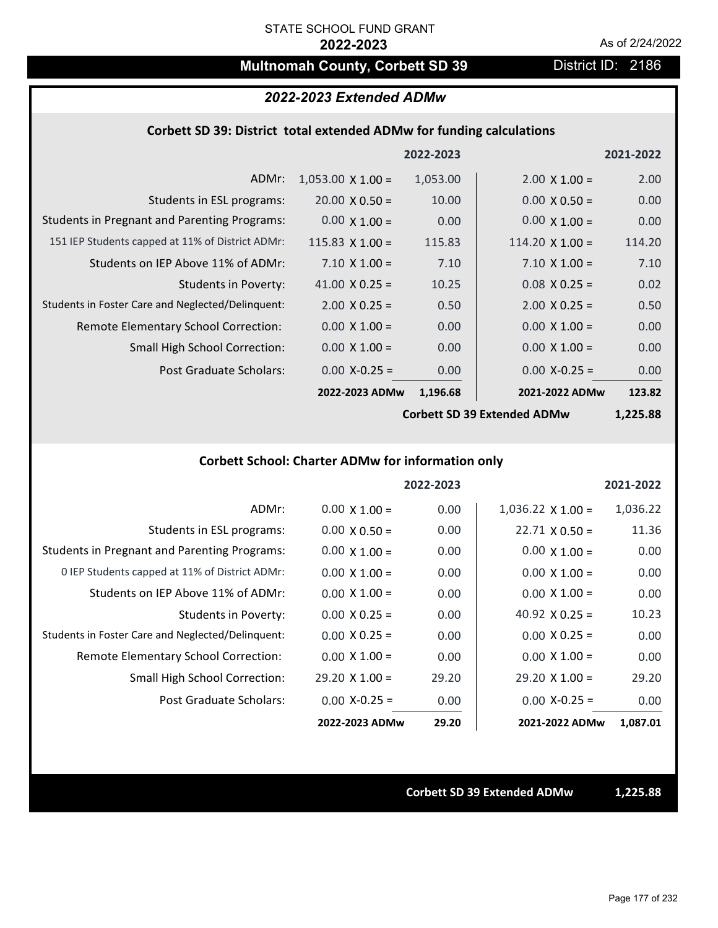## **Multnomah County, Corbett SD 39 District ID: 2186**

## *2022-2023 Extended ADMw*

#### **Corbett SD 39: District total extended ADMw for funding calculations**

|                                                     |                          | 2022-2023 |                        | 2021-2022                         |
|-----------------------------------------------------|--------------------------|-----------|------------------------|-----------------------------------|
| ADMr:                                               | $1,053.00 \times 1.00 =$ | 1,053.00  | $2.00 \times 1.00 =$   | 2.00                              |
| Students in ESL programs:                           | $20.00 \times 0.50 =$    | 10.00     | $0.00 \times 0.50 =$   | 0.00                              |
| <b>Students in Pregnant and Parenting Programs:</b> | $0.00 \times 1.00 =$     | 0.00      | $0.00 \times 1.00 =$   | 0.00                              |
| 151 IEP Students capped at 11% of District ADMr:    | 115.83 $X$ 1.00 =        | 115.83    | $114.20 \times 1.00 =$ | 114.20                            |
| Students on IEP Above 11% of ADMr:                  | $7.10 \times 1.00 =$     | 7.10      | $7.10 \times 1.00 =$   | 7.10                              |
| <b>Students in Poverty:</b>                         | 41.00 $X$ 0.25 =         | 10.25     | $0.08$ X 0.25 =        | 0.02                              |
| Students in Foster Care and Neglected/Delinquent:   | $2.00 \times 0.25 =$     | 0.50      | $2.00 \times 0.25 =$   | 0.50                              |
| Remote Elementary School Correction:                | $0.00 \times 1.00 =$     | 0.00      | $0.00 \times 1.00 =$   | 0.00                              |
| <b>Small High School Correction:</b>                | $0.00 \times 1.00 =$     | 0.00      | $0.00 \times 1.00 =$   | 0.00                              |
| Post Graduate Scholars:                             | $0.00$ X-0.25 =          | 0.00      | $0.00$ X-0.25 =        | 0.00                              |
|                                                     | 2022-2023 ADMw           | 1,196.68  | 2021-2022 ADMw         | 123.82                            |
|                                                     |                          |           |                        | $\overline{a}$ and $\overline{a}$ |

**Corbett SD 39 Extended ADMw**

**1,225.88**

## **Corbett School: Charter ADMw for information only**

|                                                     |                       | 2022-2023 |                          | 2021-2022 |
|-----------------------------------------------------|-----------------------|-----------|--------------------------|-----------|
| ADMr:                                               | $0.00 \times 1.00 =$  | 0.00      | $1,036.22 \times 1.00 =$ | 1,036.22  |
| Students in ESL programs:                           | $0.00 \times 0.50 =$  | 0.00      | $22.71 \times 0.50 =$    | 11.36     |
| <b>Students in Pregnant and Parenting Programs:</b> | $0.00 \times 1.00 =$  | 0.00      | $0.00 \times 1.00 =$     | 0.00      |
| 0 IEP Students capped at 11% of District ADMr:      | $0.00 \times 1.00 =$  | 0.00      | $0.00 \times 1.00 =$     | 0.00      |
| Students on IEP Above 11% of ADMr:                  | $0.00 \times 1.00 =$  | 0.00      | $0.00 \times 1.00 =$     | 0.00      |
| Students in Poverty:                                | $0.00 \times 0.25 =$  | 0.00      | 40.92 $\times$ 0.25 =    | 10.23     |
| Students in Foster Care and Neglected/Delinquent:   | $0.00 \times 0.25 =$  | 0.00      | $0.00 \times 0.25 =$     | 0.00      |
| Remote Elementary School Correction:                | $0.00 \times 1.00 =$  | 0.00      | $0.00 \times 1.00 =$     | 0.00      |
| <b>Small High School Correction:</b>                | $29.20 \times 1.00 =$ | 29.20     | $29.20 \times 1.00 =$    | 29.20     |
| Post Graduate Scholars:                             | $0.00$ X-0.25 =       | 0.00      | $0.00 X-0.25 =$          | 0.00      |
|                                                     | 2022-2023 ADMw        | 29.20     | 2021-2022 ADMw           | 1,087.01  |

**Corbett SD 39 Extended ADMw 1,225.88**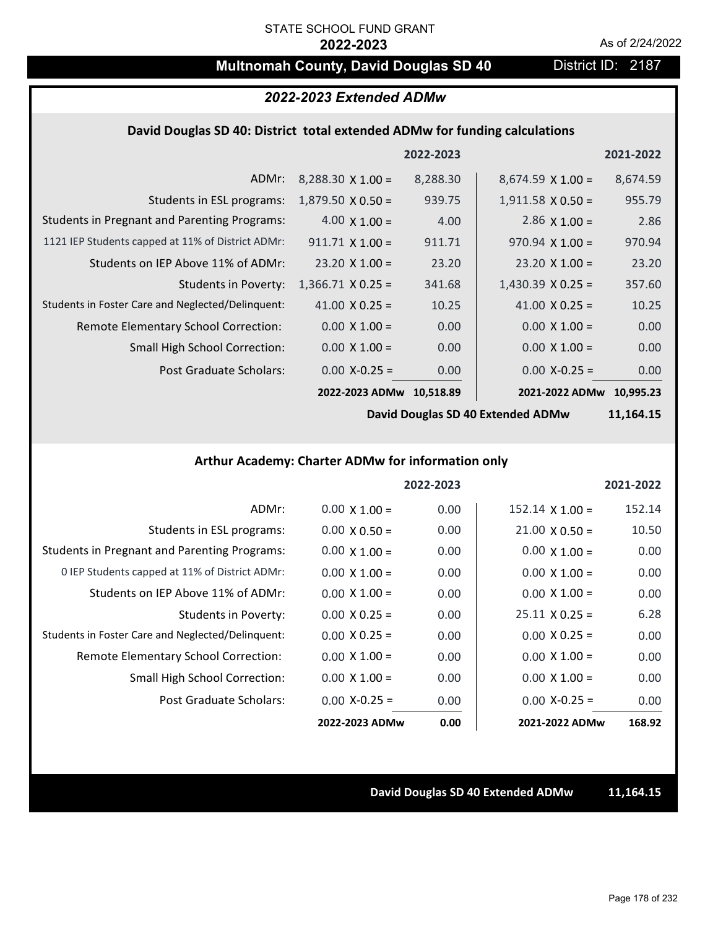## **Multnomah County, David Douglas SD 40** District ID: 2187

## *2022-2023 Extended ADMw*

#### **David Douglas SD 40: District total extended ADMw for funding calculations**

|                                                     |                          | 2022-2023 |                          | 2021-2022 |
|-----------------------------------------------------|--------------------------|-----------|--------------------------|-----------|
| ADMr:                                               | $8,288.30 \times 1.00 =$ | 8,288.30  | $8,674.59 \times 1.00 =$ | 8,674.59  |
| Students in ESL programs:                           | $1,879.50 \times 0.50 =$ | 939.75    | $1,911.58 \times 0.50 =$ | 955.79    |
| <b>Students in Pregnant and Parenting Programs:</b> | 4.00 $\times$ 1.00 =     | 4.00      | 2.86 $\times$ 1.00 =     | 2.86      |
| 1121 IEP Students capped at 11% of District ADMr:   | $911.71 \times 1.00 =$   | 911.71    | $970.94 \times 1.00 =$   | 970.94    |
| Students on IEP Above 11% of ADMr:                  | $23.20 \times 1.00 =$    | 23.20     | $23.20 \times 1.00 =$    | 23.20     |
| <b>Students in Poverty:</b>                         | $1,366.71$ X 0.25 =      | 341.68    | $1,430.39 \times 0.25 =$ | 357.60    |
| Students in Foster Care and Neglected/Delinquent:   | 41.00 $X$ 0.25 =         | 10.25     | 41.00 $X$ 0.25 =         | 10.25     |
| Remote Elementary School Correction:                | $0.00 \times 1.00 =$     | 0.00      | $0.00 \times 1.00 =$     | 0.00      |
| <b>Small High School Correction:</b>                | $0.00 \times 1.00 =$     | 0.00      | $0.00 \times 1.00 =$     | 0.00      |
| Post Graduate Scholars:                             | $0.00 X - 0.25 =$        | 0.00      | $0.00$ X-0.25 =          | 0.00      |
|                                                     | 2022-2023 ADMw           | 10,518.89 | 2021-2022 ADMw           | 10.995.23 |

**David Douglas SD 40 Extended ADMw**

**11,164.15**

#### **Arthur Academy: Charter ADMw for information only**

|                                                     |                      | 2022-2023 |                        | 2021-2022 |
|-----------------------------------------------------|----------------------|-----------|------------------------|-----------|
| ADMr:                                               | $0.00 \times 1.00 =$ | 0.00      | $152.14 \times 1.00 =$ | 152.14    |
| Students in ESL programs:                           | $0.00 \times 0.50 =$ | 0.00      | $21.00 \times 0.50 =$  | 10.50     |
| <b>Students in Pregnant and Parenting Programs:</b> | $0.00 \times 1.00 =$ | 0.00      | $0.00 \times 1.00 =$   | 0.00      |
| 0 IEP Students capped at 11% of District ADMr:      | $0.00 \times 1.00 =$ | 0.00      | $0.00 \times 1.00 =$   | 0.00      |
| Students on IEP Above 11% of ADMr:                  | $0.00 \times 1.00 =$ | 0.00      | $0.00 \times 1.00 =$   | 0.00      |
| Students in Poverty:                                | $0.00 \times 0.25 =$ | 0.00      | $25.11 \times 0.25 =$  | 6.28      |
| Students in Foster Care and Neglected/Delinquent:   | $0.00 \times 0.25 =$ | 0.00      | $0.00 \times 0.25 =$   | 0.00      |
| Remote Elementary School Correction:                | $0.00 \times 1.00 =$ | 0.00      | $0.00 \times 1.00 =$   | 0.00      |
| <b>Small High School Correction:</b>                | $0.00 \times 1.00 =$ | 0.00      | $0.00 \times 1.00 =$   | 0.00      |
| Post Graduate Scholars:                             | $0.00 X-0.25 =$      | 0.00      | $0.00 X-0.25 =$        | 0.00      |
|                                                     | 2022-2023 ADMw       | 0.00      | 2021-2022 ADMw         | 168.92    |

**David Douglas SD 40 Extended ADMw 11,164.15**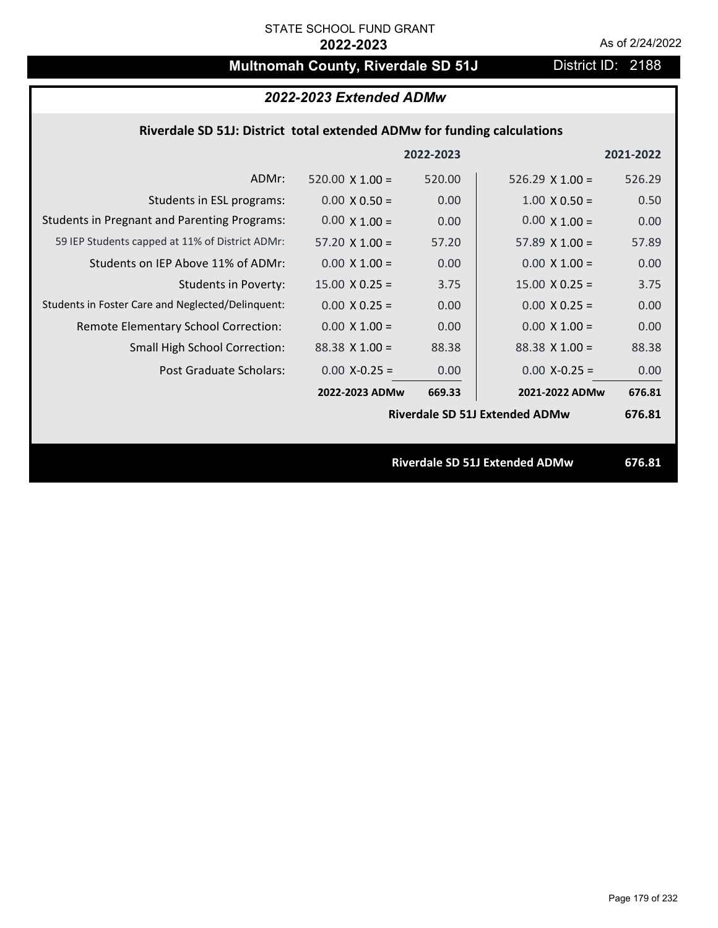# **Multnomah County, Riverdale SD 51J** District ID: 2188

## *2022-2023 Extended ADMw*

## **Riverdale SD 51J: District total extended ADMw for funding calculations**

|                                                     |                        | 2022-2023 |                                       | 2021-2022 |
|-----------------------------------------------------|------------------------|-----------|---------------------------------------|-----------|
| ADMr:                                               | 520.00 $\times$ 1.00 = | 520.00    | $526.29 \times 1.00 =$                | 526.29    |
| Students in ESL programs:                           | $0.00 \times 0.50 =$   | 0.00      | $1.00 \times 0.50 =$                  | 0.50      |
| <b>Students in Pregnant and Parenting Programs:</b> | $0.00 \times 1.00 =$   | 0.00      | $0.00 \times 1.00 =$                  | 0.00      |
| 59 IEP Students capped at 11% of District ADMr:     | $57.20 \times 1.00 =$  | 57.20     | 57.89 $\times$ 1.00 =                 | 57.89     |
| Students on IEP Above 11% of ADMr:                  | $0.00 \times 1.00 =$   | 0.00      | $0.00 X 1.00 =$                       | 0.00      |
| <b>Students in Poverty:</b>                         | $15.00 \times 0.25 =$  | 3.75      | $15.00 \times 0.25 =$                 | 3.75      |
| Students in Foster Care and Neglected/Delinquent:   | $0.00 \times 0.25 =$   | 0.00      | $0.00 X 0.25 =$                       | 0.00      |
| Remote Elementary School Correction:                | $0.00 \times 1.00 =$   | 0.00      | $0.00 \times 1.00 =$                  | 0.00      |
| <b>Small High School Correction:</b>                | $88.38$ X 1.00 =       | 88.38     | $88.38 \times 1.00 =$                 | 88.38     |
| Post Graduate Scholars:                             | $0.00$ X-0.25 =        | 0.00      | $0.00$ X-0.25 =                       | 0.00      |
|                                                     | 2022-2023 ADMw         | 669.33    | 2021-2022 ADMw                        | 676.81    |
|                                                     |                        |           | <b>Riverdale SD 51J Extended ADMw</b> | 676.81    |
|                                                     |                        |           |                                       |           |
|                                                     |                        |           | <b>Riverdale SD 51J Extended ADMw</b> | 676.81    |
|                                                     |                        |           |                                       |           |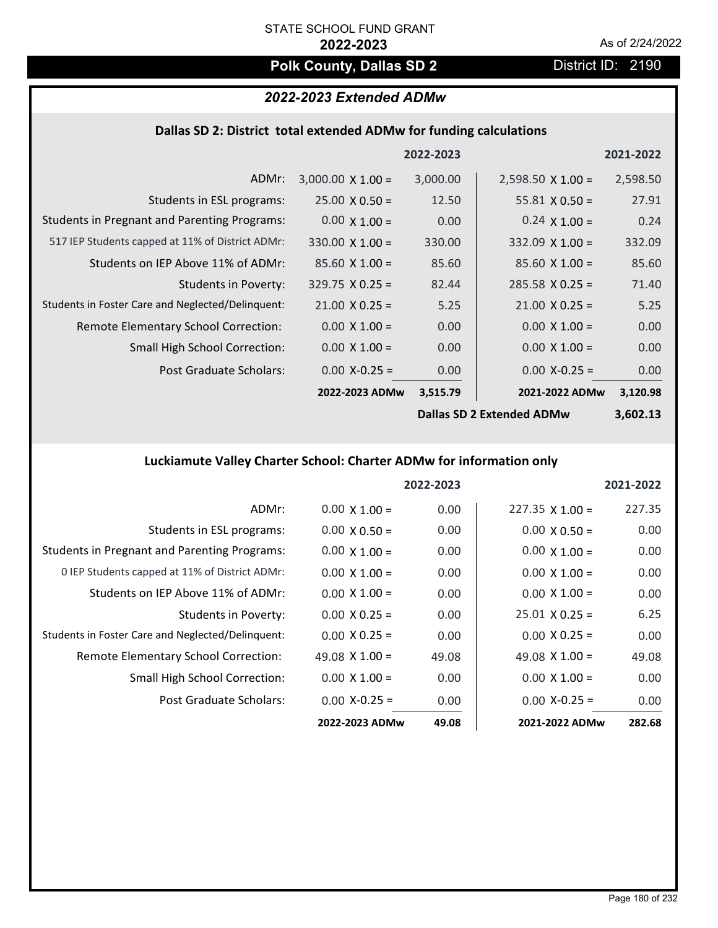## **Polk County, Dallas SD 2** District ID: 2190

## *2022-2023 Extended ADMw*

## **Dallas SD 2: District total extended ADMw for funding calculations**

|                                                     |                          | 2022-2023 |                           | 2021-2022 |
|-----------------------------------------------------|--------------------------|-----------|---------------------------|-----------|
| ADMr:                                               | $3,000.00 \times 1.00 =$ | 3,000.00  | $2,598.50 \times 1.00 =$  | 2,598.50  |
| Students in ESL programs:                           | $25.00 \times 0.50 =$    | 12.50     | $55.81 \times 0.50 =$     | 27.91     |
| <b>Students in Pregnant and Parenting Programs:</b> | $0.00 \times 1.00 =$     | 0.00      | $0.24 \times 1.00 =$      | 0.24      |
| 517 IEP Students capped at 11% of District ADMr:    | $330.00 \times 1.00 =$   | 330.00    | $332.09 \times 1.00 =$    | 332.09    |
| Students on IEP Above 11% of ADMr:                  | $85.60 \times 1.00 =$    | 85.60     | $85.60 \times 1.00 =$     | 85.60     |
| <b>Students in Poverty:</b>                         | $329.75 \times 0.25 =$   | 82.44     | $285.58 \times 0.25 =$    | 71.40     |
| Students in Foster Care and Neglected/Delinquent:   | $21.00 \times 0.25 =$    | 5.25      | $21.00 \times 0.25 =$     | 5.25      |
| Remote Elementary School Correction:                | $0.00 \times 1.00 =$     | 0.00      | $0.00 \times 1.00 =$      | 0.00      |
| <b>Small High School Correction:</b>                | $0.00 \times 1.00 =$     | 0.00      | $0.00 \times 1.00 =$      | 0.00      |
| Post Graduate Scholars:                             | $0.00$ X-0.25 =          | 0.00      | $0.00$ X-0.25 =           | 0.00      |
|                                                     | 2022-2023 ADMw           | 3,515.79  | 2021-2022 ADMw            | 3,120.98  |
|                                                     |                          |           | Dallac CD 2 Extended ADMu | 2 GN 12   |

**Dallas SD 2 Extended ADMw**

**3,602.13**

## **Luckiamute Valley Charter School: Charter ADMw for information only**

|                                                     |                       | 2022-2023 |                        | 2021-2022 |
|-----------------------------------------------------|-----------------------|-----------|------------------------|-----------|
| ADMr:                                               | $0.00 \times 1.00 =$  | 0.00      | $227.35 \times 1.00 =$ | 227.35    |
| Students in ESL programs:                           | $0.00 \times 0.50 =$  | 0.00      | $0.00 \times 0.50 =$   | 0.00      |
| <b>Students in Pregnant and Parenting Programs:</b> | $0.00 \times 1.00 =$  | 0.00      | $0.00 \times 1.00 =$   | 0.00      |
| 0 IEP Students capped at 11% of District ADMr:      | $0.00 \times 1.00 =$  | 0.00      | $0.00 \times 1.00 =$   | 0.00      |
| Students on IEP Above 11% of ADMr:                  | $0.00 \times 1.00 =$  | 0.00      | $0.00 \times 1.00 =$   | 0.00      |
| Students in Poverty:                                | $0.00 \times 0.25 =$  | 0.00      | $25.01 \times 0.25 =$  | 6.25      |
| Students in Foster Care and Neglected/Delinquent:   | $0.00 \times 0.25 =$  | 0.00      | $0.00 \times 0.25 =$   | 0.00      |
| Remote Elementary School Correction:                | 49.08 $\times$ 1.00 = | 49.08     | 49.08 $\times$ 1.00 =  | 49.08     |
| Small High School Correction:                       | $0.00 \times 1.00 =$  | 0.00      | $0.00 \times 1.00 =$   | 0.00      |
| Post Graduate Scholars:                             | $0.00$ X-0.25 =       | 0.00      | $0.00 X-0.25 =$        | 0.00      |
|                                                     | 2022-2023 ADMw        | 49.08     | 2021-2022 ADMw         | 282.68    |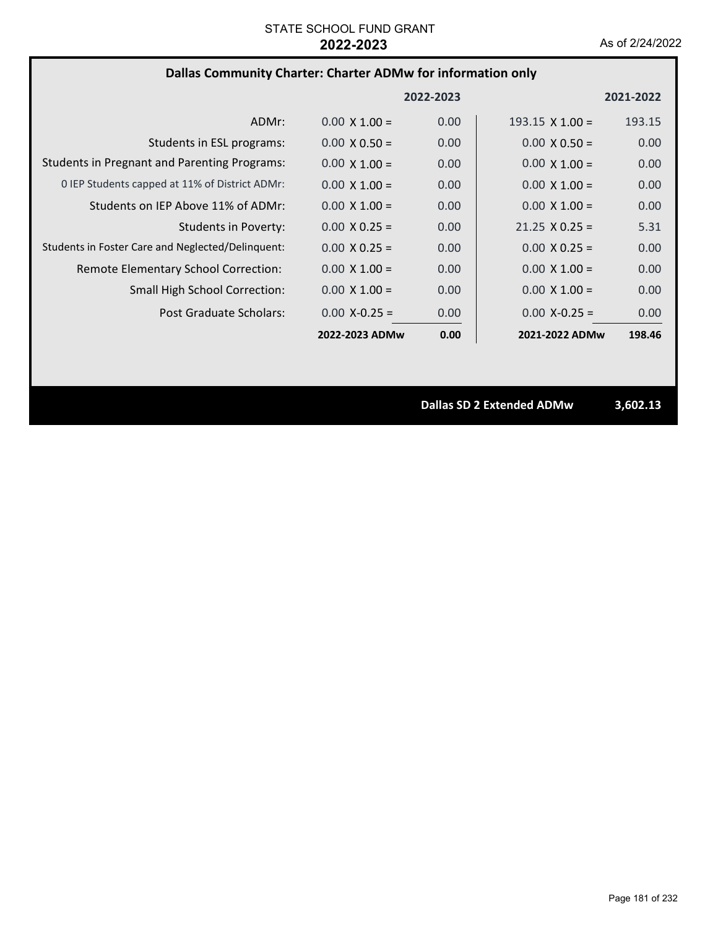## **Dallas Community Charter: Charter ADMw for information only**

|                                                     |                      | 2022-2023         |                        | 2021-2022 |
|-----------------------------------------------------|----------------------|-------------------|------------------------|-----------|
| ADMr:                                               | $0.00 \times 1.00 =$ | 0.00 <sub>1</sub> | $193.15 \times 1.00 =$ | 193.15    |
| Students in ESL programs:                           | $0.00 \times 0.50 =$ | 0.00 <sub>1</sub> | $0.00 \times 0.50 =$   | 0.00      |
| <b>Students in Pregnant and Parenting Programs:</b> | $0.00 \times 1.00 =$ | 0.00              | $0.00 \times 1.00 =$   | 0.00      |
| 0 IEP Students capped at 11% of District ADMr:      | $0.00 \times 1.00 =$ | 0.00              | $0.00 \times 1.00 =$   | 0.00      |
| Students on IEP Above 11% of ADMr:                  | $0.00 \times 1.00 =$ | 0.00 <sub>1</sub> | $0.00 \times 1.00 =$   | 0.00      |
| Students in Poverty:                                | $0.00 \times 0.25 =$ | 0.00 <sub>1</sub> | $21.25 \times 0.25 =$  | 5.31      |
| Students in Foster Care and Neglected/Delinguent:   | $0.00 \times 0.25 =$ | 0.00 <sub>1</sub> | $0.00 \times 0.25 =$   | 0.00      |
| Remote Elementary School Correction:                | $0.00 \times 1.00 =$ | 0.00              | $0.00 \times 1.00 =$   | 0.00      |
| <b>Small High School Correction:</b>                | $0.00 \times 1.00 =$ | 0.00              | $0.00 \times 1.00 =$   | 0.00      |
| Post Graduate Scholars:                             | $0.00 X - 0.25 =$    | 0.00 <sub>1</sub> | $0.00 X - 0.25 =$      | 0.00      |
|                                                     | 2022-2023 ADMw       | 0.00              | 2021-2022 ADMw         | 198.46    |

**Dallas SD 2 Extended ADMw 3,602.13**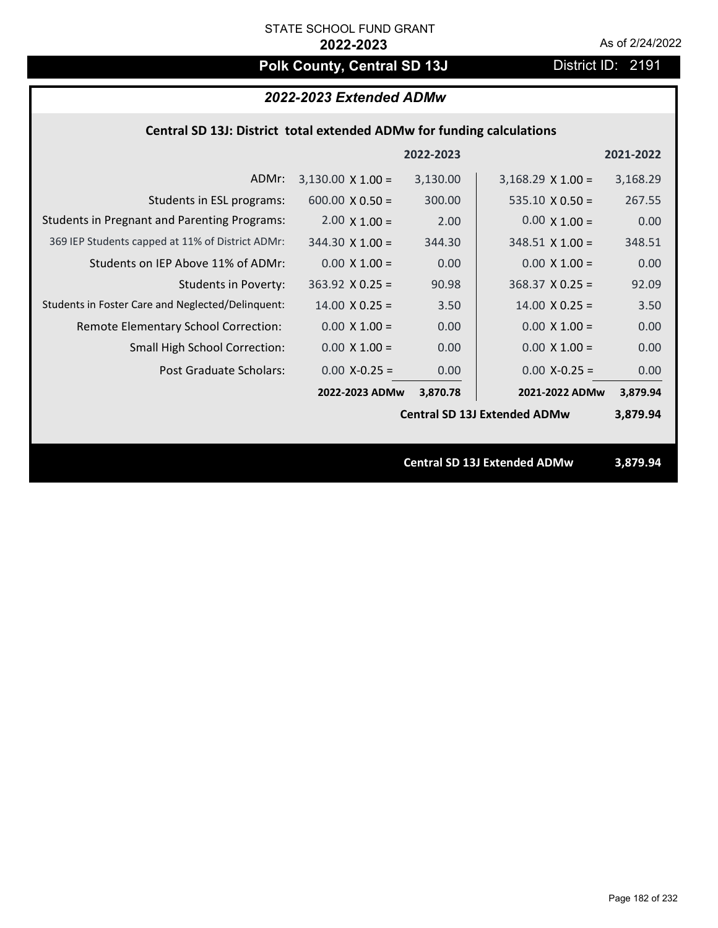# Polk County, Central SD 13J District ID: 2191

## *2022-2023 Extended ADMw*

## **Central SD 13J: District total extended ADMw for funding calculations**

|                                                     |                                     | 2022-2023 |                          | 2021-2022 |
|-----------------------------------------------------|-------------------------------------|-----------|--------------------------|-----------|
| ADMr:                                               | $3,130.00 \times 1.00 =$            | 3,130.00  | $3,168.29 \times 1.00 =$ | 3,168.29  |
| Students in ESL programs:                           | $600.00 \times 0.50 =$              | 300.00    | $535.10 \times 0.50 =$   | 267.55    |
| <b>Students in Pregnant and Parenting Programs:</b> | $2.00 \times 1.00 =$                | 2.00      | $0.00 \times 1.00 =$     | 0.00      |
| 369 IEP Students capped at 11% of District ADMr:    | $344.30 \times 1.00 =$              | 344.30    | $348.51$ X 1.00 =        | 348.51    |
| Students on IEP Above 11% of ADMr:                  | $0.00 \times 1.00 =$                | 0.00      | $0.00 \times 1.00 =$     | 0.00      |
| <b>Students in Poverty:</b>                         | $363.92$ X 0.25 =                   | 90.98     | $368.37$ X 0.25 =        | 92.09     |
| Students in Foster Care and Neglected/Delinquent:   | $14.00 \times 0.25 =$               | 3.50      | $14.00 \times 0.25 =$    | 3.50      |
| Remote Elementary School Correction:                | $0.00 \times 1.00 =$                | 0.00      | $0.00 \times 1.00 =$     | 0.00      |
| <b>Small High School Correction:</b>                | $0.00 \times 1.00 =$                | 0.00      | $0.00 \times 1.00 =$     | 0.00      |
| Post Graduate Scholars:                             | $0.00$ X-0.25 =                     | 0.00      | $0.00$ X-0.25 =          | 0.00      |
|                                                     | 2022-2023 ADMw                      | 3,870.78  | 2021-2022 ADMw           | 3,879.94  |
|                                                     | <b>Central SD 13J Extended ADMw</b> |           |                          | 3,879.94  |
|                                                     |                                     |           |                          |           |
|                                                     | <b>Central SD 13J Extended ADMw</b> |           |                          | 3,879.94  |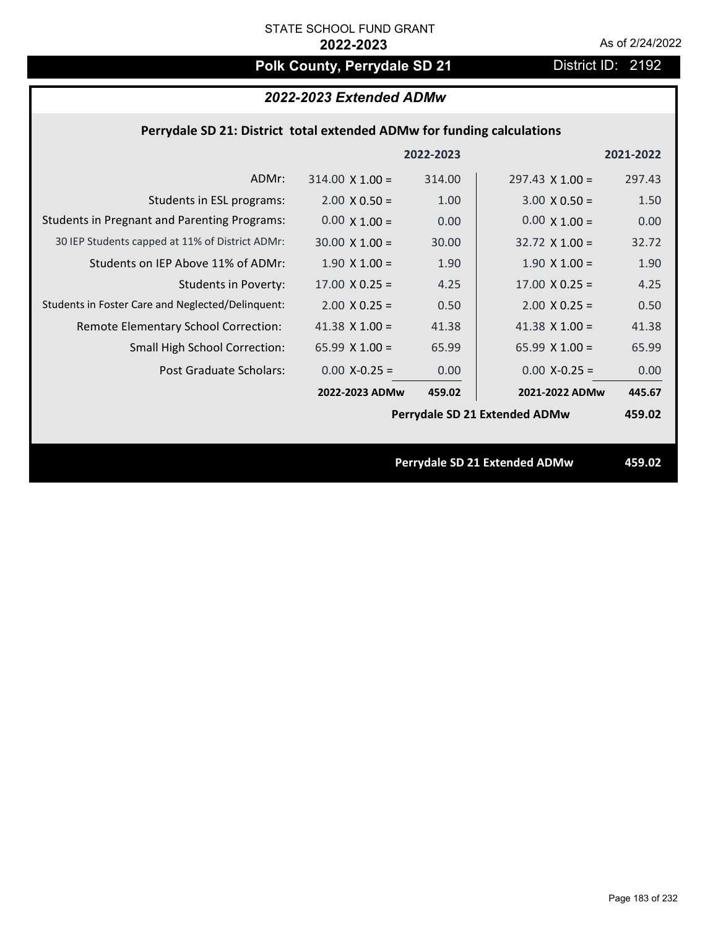# Polk County, Perrydale SD 21 **District ID: 2192**

# *2022-2023 Extended ADMw*

### **Perrydale SD 21: District total extended ADMw for funding calculations**

|                                                     |                               | 2022-2023 |                               | 2021-2022 |
|-----------------------------------------------------|-------------------------------|-----------|-------------------------------|-----------|
| ADMr:                                               | $314.00 \times 1.00 =$        | 314.00    | $297.43 \times 1.00 =$        | 297.43    |
| Students in ESL programs:                           | $2.00 \times 0.50 =$          | 1.00      | $3.00 \times 0.50 =$          | 1.50      |
| <b>Students in Pregnant and Parenting Programs:</b> | $0.00 \times 1.00 =$          | 0.00      | $0.00 \times 1.00 =$          | 0.00      |
| 30 IEP Students capped at 11% of District ADMr:     | $30.00 \times 1.00 =$         | 30.00     | $32.72 \times 1.00 =$         | 32.72     |
| Students on IEP Above 11% of ADMr:                  | $1.90 \times 1.00 =$          | 1.90      | $1.90 \times 1.00 =$          | 1.90      |
| <b>Students in Poverty:</b>                         | $17.00 \times 0.25 =$         | 4.25      | $17.00 \times 0.25 =$         | 4.25      |
| Students in Foster Care and Neglected/Delinquent:   | $2.00 \times 0.25 =$          | 0.50      | $2.00 \times 0.25 =$          | 0.50      |
| Remote Elementary School Correction:                | 41.38 $X$ 1.00 =              | 41.38     | 41.38 $\times$ 1.00 =         | 41.38     |
| <b>Small High School Correction:</b>                | 65.99 $X$ 1.00 =              | 65.99     | 65.99 $X$ 1.00 =              | 65.99     |
| Post Graduate Scholars:                             | $0.00 X - 0.25 =$             | 0.00      | $0.00 X - 0.25 =$             | 0.00      |
|                                                     | 2022-2023 ADMw                | 459.02    | 2021-2022 ADMw                | 445.67    |
|                                                     | Perrydale SD 21 Extended ADMw |           |                               |           |
|                                                     |                               |           |                               |           |
|                                                     |                               |           | Perrydale SD 21 Extended ADMw | 459.02    |
|                                                     |                               |           |                               |           |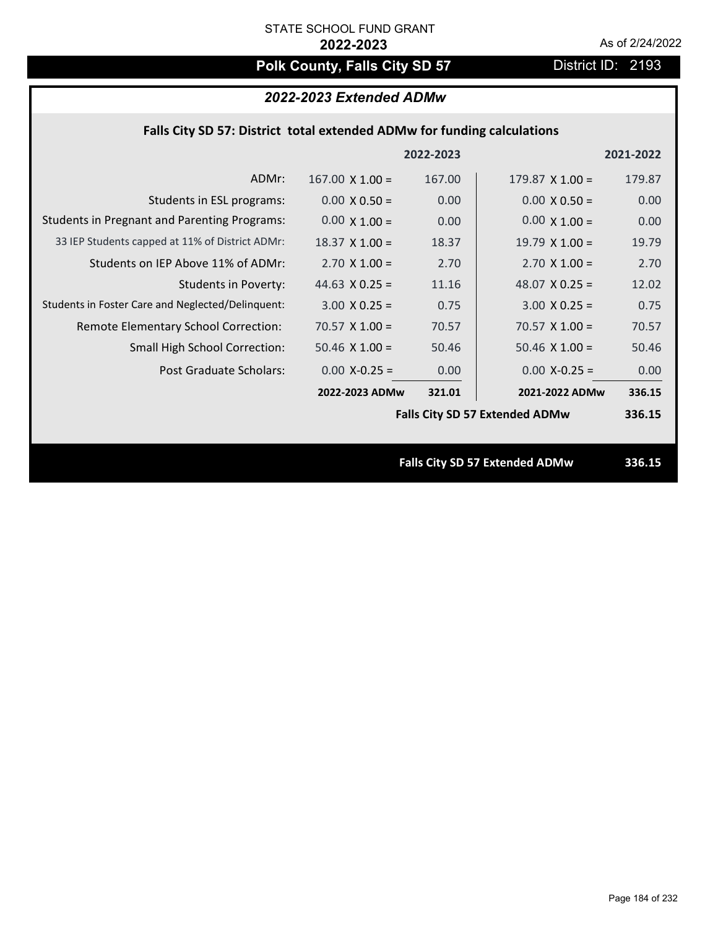## Polk County, Falls City SD 57 **District ID: 2193**

## *2022-2023 Extended ADMw*

## **Falls City SD 57: District total extended ADMw for funding calculations**

|                                                     |                                       | 2022-2023 |                       | 2021-2022 |
|-----------------------------------------------------|---------------------------------------|-----------|-----------------------|-----------|
| ADMr:                                               | $167.00 \times 1.00 =$                | 167.00    | $179.87$ X $1.00 =$   | 179.87    |
| Students in ESL programs:                           | $0.00 \times 0.50 =$                  | 0.00      | $0.00 \times 0.50 =$  | 0.00      |
| <b>Students in Pregnant and Parenting Programs:</b> | $0.00 \times 1.00 =$                  | 0.00      | $0.00 \times 1.00 =$  | 0.00      |
| 33 IEP Students capped at 11% of District ADMr:     | $18.37 \times 1.00 =$                 | 18.37     | 19.79 $\times$ 1.00 = | 19.79     |
| Students on IEP Above 11% of ADMr:                  | $2.70$ X $1.00 =$                     | 2.70      | $2.70 \times 1.00 =$  | 2.70      |
| <b>Students in Poverty:</b>                         | 44.63 $X$ 0.25 =                      | 11.16     | 48.07 $X$ 0.25 =      | 12.02     |
| Students in Foster Care and Neglected/Delinquent:   | $3.00 \times 0.25 =$                  | 0.75      | $3.00 X 0.25 =$       | 0.75      |
| Remote Elementary School Correction:                | $70.57 \times 1.00 =$                 | 70.57     | $70.57$ X 1.00 =      | 70.57     |
| <b>Small High School Correction:</b>                | $50.46$ X $1.00 =$                    | 50.46     | $50.46$ X $1.00 =$    | 50.46     |
| Post Graduate Scholars:                             | $0.00$ X-0.25 =                       | 0.00      | $0.00 X - 0.25 =$     | 0.00      |
|                                                     | 2022-2023 ADMw                        | 321.01    | 2021-2022 ADMw        | 336.15    |
|                                                     | <b>Falls City SD 57 Extended ADMw</b> |           |                       |           |
|                                                     |                                       |           |                       |           |
|                                                     | <b>Falls City SD 57 Extended ADMw</b> |           |                       |           |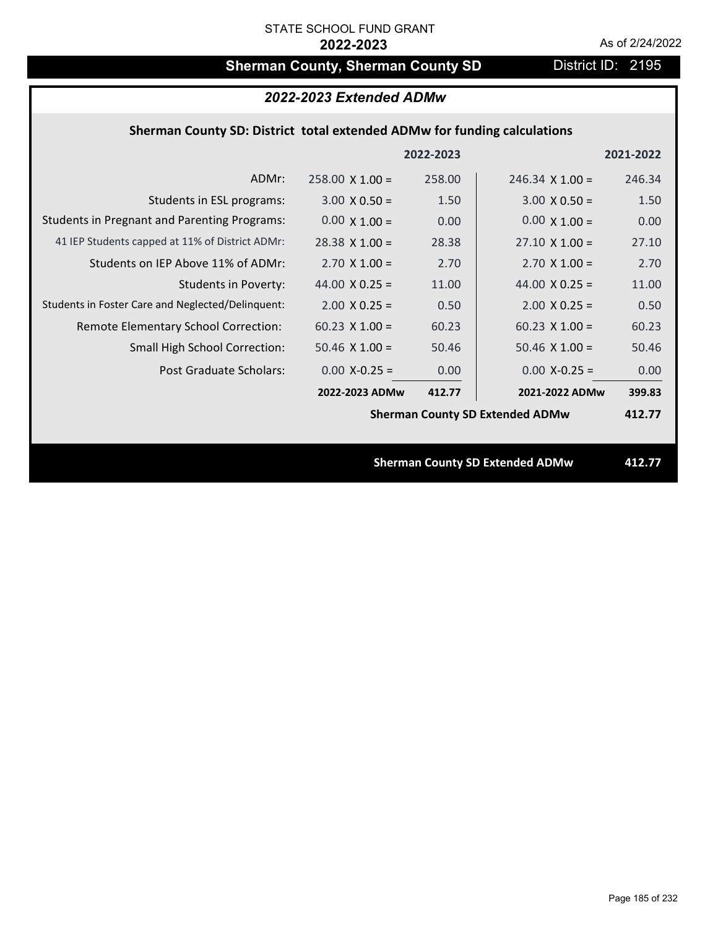# **Sherman County, Sherman County SD** District ID: 2195

## *2022-2023 Extended ADMw*

## **Sherman County SD: District total extended ADMw for funding calculations**

|                                        |        |                        | 2021-2022                              |
|----------------------------------------|--------|------------------------|----------------------------------------|
| $258.00 \times 1.00 =$                 | 258.00 | $246.34 \times 1.00 =$ | 246.34                                 |
| $3.00 \times 0.50 =$                   | 1.50   | $3.00 \times 0.50 =$   | 1.50                                   |
| $0.00 \times 1.00 =$                   | 0.00   | $0.00 \times 1.00 =$   | 0.00                                   |
| $28.38 \times 1.00 =$                  | 28.38  | $27.10 \times 1.00 =$  | 27.10                                  |
| $2.70 \times 1.00 =$                   | 2.70   | $2.70 \times 1.00 =$   | 2.70                                   |
| 44.00 $X$ 0.25 =                       | 11.00  | 44.00 $X$ 0.25 =       | 11.00                                  |
| $2.00 \times 0.25 =$                   | 0.50   | $2.00 \times 0.25 =$   | 0.50                                   |
| $60.23$ X 1.00 =                       | 60.23  | $60.23$ X 1.00 =       | 60.23                                  |
| $50.46$ X $1.00 =$                     | 50.46  | $50.46$ X $1.00 =$     | 50.46                                  |
| $0.00$ X-0.25 =                        | 0.00   | $0.00$ X-0.25 =        | 0.00                                   |
| 2022-2023 ADMw                         | 412.77 | 2021-2022 ADMw         | 399.83                                 |
| <b>Sherman County SD Extended ADMw</b> |        |                        |                                        |
|                                        |        |                        |                                        |
|                                        |        |                        | 412.77                                 |
|                                        |        | 2022-2023              | <b>Sherman County SD Extended ADMw</b> |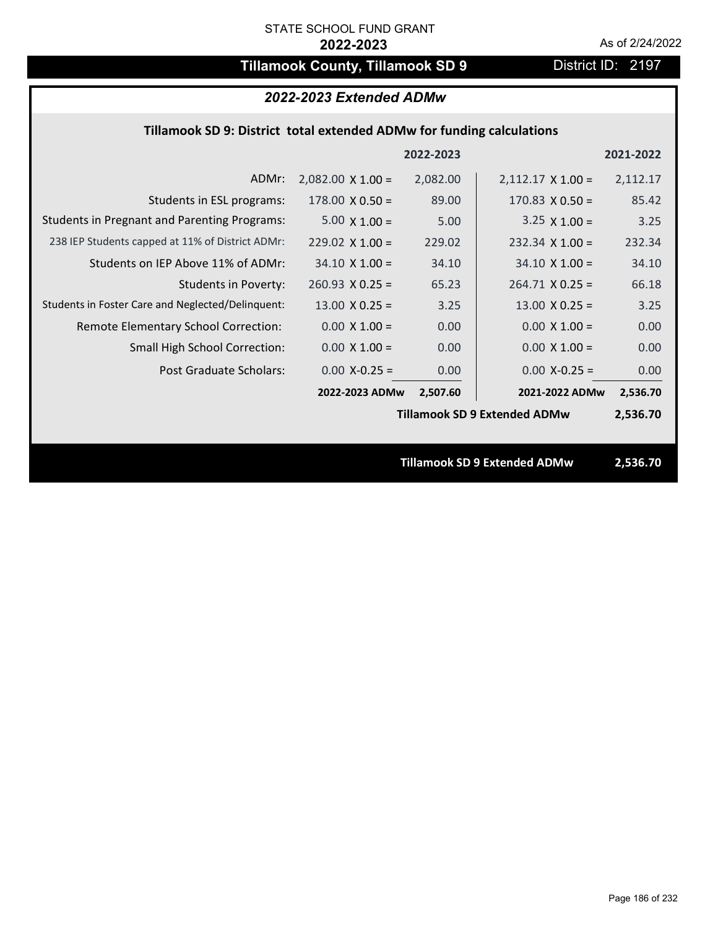# **Tillamook County, Tillamook SD 9** District ID: 2197

## *2022-2023 Extended ADMw*

## **Tillamook SD 9: District total extended ADMw for funding calculations**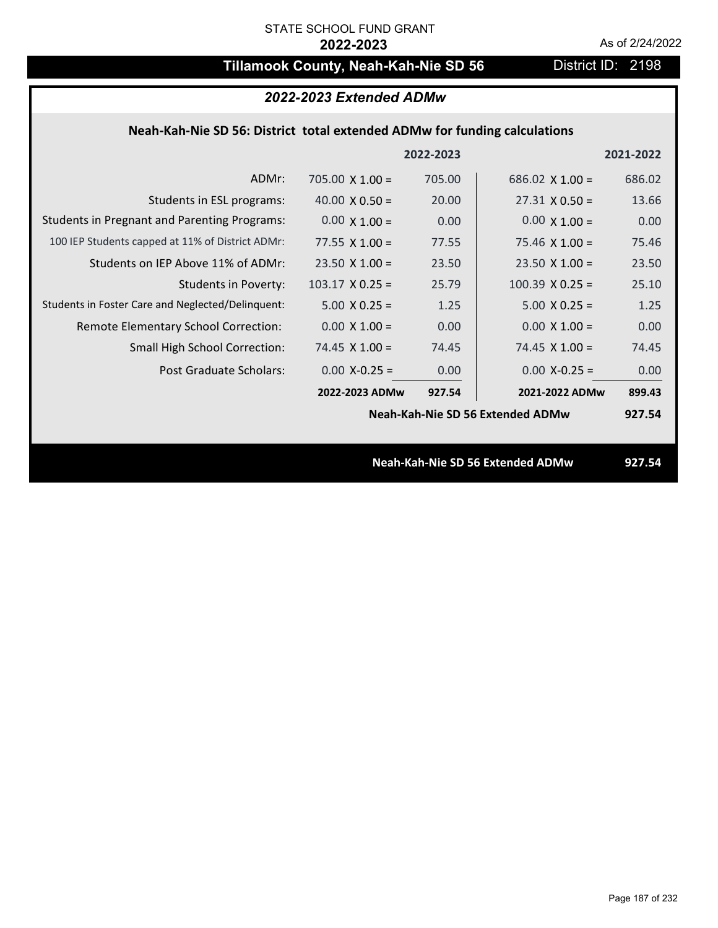## **Tillamook County, Neah-Kah-Nie SD 56** District ID: 2198

### *2022-2023 Extended ADMw*

## **Neah‐Kah‐Nie SD 56: District total extended ADMw for funding calculations**

|                                                     |                                  | 2022-2023 |                        | 2021-2022 |
|-----------------------------------------------------|----------------------------------|-----------|------------------------|-----------|
| ADMr:                                               | $705.00 \times 1.00 =$           | 705.00    | $686.02 \times 1.00 =$ | 686.02    |
| Students in ESL programs:                           | 40.00 $\times$ 0.50 =            | 20.00     | $27.31 \times 0.50 =$  | 13.66     |
| <b>Students in Pregnant and Parenting Programs:</b> | $0.00 \times 1.00 =$             | 0.00      | $0.00 \times 1.00 =$   | 0.00      |
| 100 IEP Students capped at 11% of District ADMr:    | 77.55 $X$ 1.00 =                 | 77.55     | $75.46 \times 1.00 =$  | 75.46     |
| Students on IEP Above 11% of ADMr:                  | $23.50 \times 1.00 =$            | 23.50     | $23.50 \times 1.00 =$  | 23.50     |
| <b>Students in Poverty:</b>                         | $103.17 \times 0.25 =$           | 25.79     | $100.39$ X 0.25 =      | 25.10     |
| Students in Foster Care and Neglected/Delinquent:   | $5.00 \times 0.25 =$             | 1.25      | $5.00 \times 0.25 =$   | 1.25      |
| Remote Elementary School Correction:                | $0.00 \times 1.00 =$             | 0.00      | $0.00 \times 1.00 =$   | 0.00      |
| <b>Small High School Correction:</b>                | 74.45 $\times$ 1.00 =            | 74.45     | 74.45 $\times$ 1.00 =  | 74.45     |
| Post Graduate Scholars:                             | $0.00$ X-0.25 =                  | 0.00      | $0.00$ X-0.25 =        | 0.00      |
|                                                     | 2022-2023 ADMw                   | 927.54    | 2021-2022 ADMw         | 899.43    |
|                                                     | Neah-Kah-Nie SD 56 Extended ADMw |           |                        |           |
|                                                     |                                  |           |                        |           |
|                                                     | Neah-Kah-Nie SD 56 Extended ADMw |           |                        | 927.54    |
|                                                     |                                  |           |                        |           |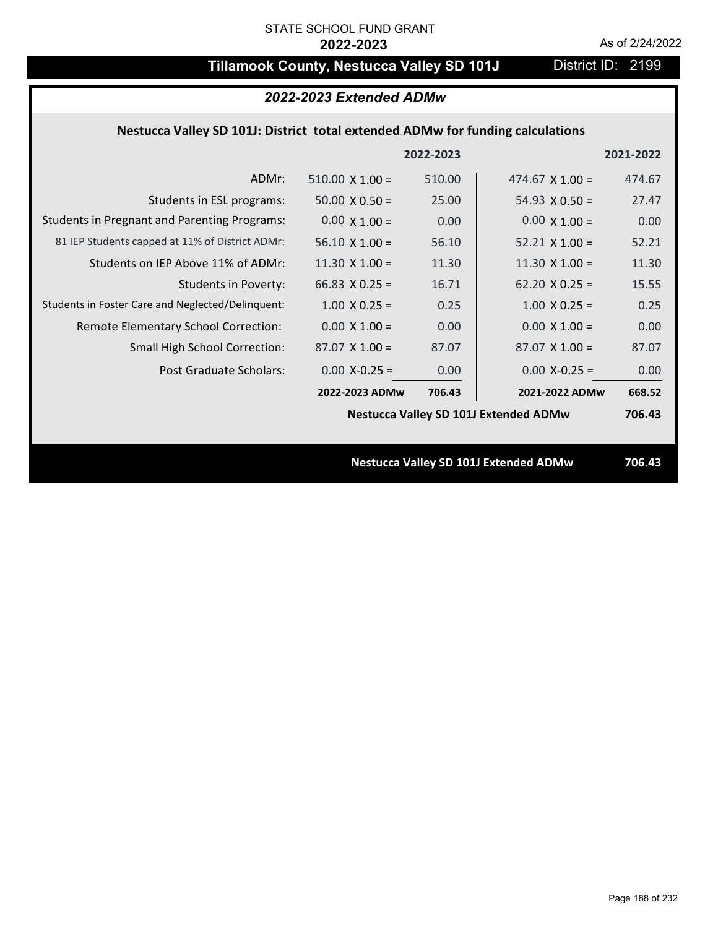## **Tillamook County, Nestucca Valley SD 101J** District ID: 2199

## *2022-2023 Extended ADMw*

## **Nestucca Valley SD 101J: District total extended ADMw for funding calculations**

|                                                     |                                              | 2022-2023 |                       | 2021-2022 |
|-----------------------------------------------------|----------------------------------------------|-----------|-----------------------|-----------|
| ADMr:                                               | $510.00 \times 1.00 =$                       | 510.00    | $474.67$ X 1.00 =     | 474.67    |
| Students in ESL programs:                           | $50.00 \times 0.50 =$                        | 25.00     | $54.93 \times 0.50 =$ | 27.47     |
| <b>Students in Pregnant and Parenting Programs:</b> | $0.00 \times 1.00 =$                         | 0.00      | $0.00 \times 1.00 =$  | 0.00      |
| 81 IEP Students capped at 11% of District ADMr:     | $56.10 \times 1.00 =$                        | 56.10     | $52.21$ X 1.00 =      | 52.21     |
| Students on IEP Above 11% of ADMr:                  | $11.30$ X $1.00 =$                           | 11.30     | $11.30 \times 1.00 =$ | 11.30     |
| <b>Students in Poverty:</b>                         | 66.83 $X$ 0.25 =                             | 16.71     | $62.20 \times 0.25 =$ | 15.55     |
| Students in Foster Care and Neglected/Delinquent:   | $1.00 \times 0.25 =$                         | 0.25      | $1.00 \times 0.25 =$  | 0.25      |
| Remote Elementary School Correction:                | $0.00 \times 1.00 =$                         | 0.00      | $0.00 \times 1.00 =$  | 0.00      |
| <b>Small High School Correction:</b>                | $87.07$ X 1.00 =                             | 87.07     | $87.07 \times 1.00 =$ | 87.07     |
| Post Graduate Scholars:                             | $0.00$ X-0.25 =                              | 0.00      | $0.00 X - 0.25 =$     | 0.00      |
|                                                     | 2022-2023 ADMw                               | 706.43    | 2021-2022 ADMw        | 668.52    |
|                                                     | <b>Nestucca Valley SD 101J Extended ADMw</b> |           |                       |           |
|                                                     |                                              |           |                       |           |
|                                                     | <b>Nestucca Valley SD 101J Extended ADMw</b> |           |                       |           |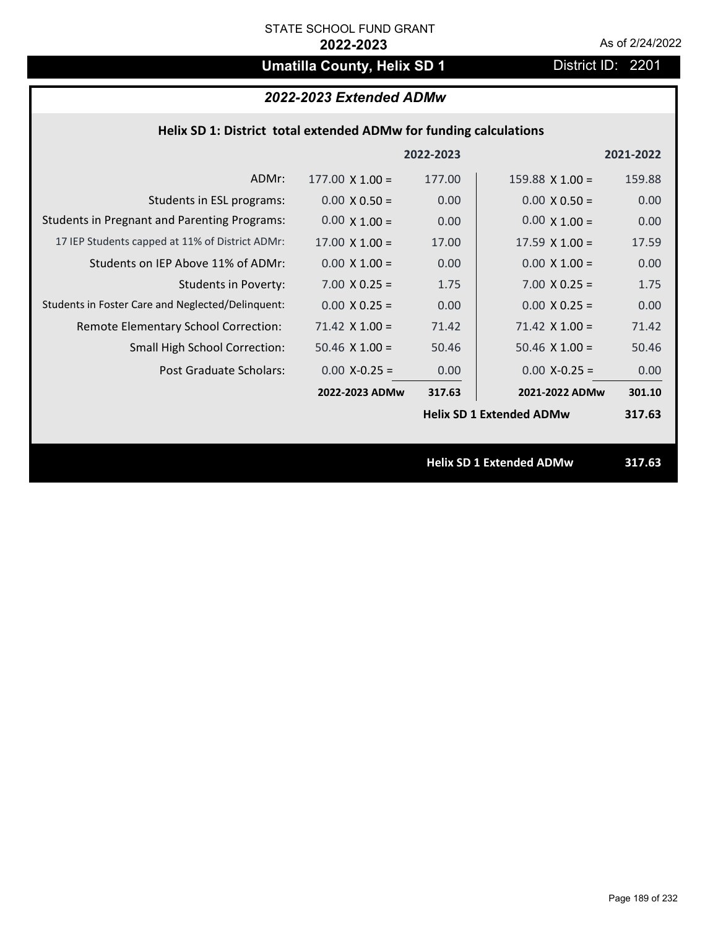## **Umatilla County, Helix SD 1** District ID: 2201

## *2022-2023 Extended ADMw*

### **Helix SD 1: District total extended ADMw for funding calculations**

|                                                     |                                 | 2022-2023                       |                        | 2021-2022 |
|-----------------------------------------------------|---------------------------------|---------------------------------|------------------------|-----------|
| ADMr:                                               | $177.00 \times 1.00 =$          | 177.00                          | $159.88 \times 1.00 =$ | 159.88    |
| Students in ESL programs:                           | $0.00 \times 0.50 =$            | 0.00                            | $0.00 \times 0.50 =$   | 0.00      |
| <b>Students in Pregnant and Parenting Programs:</b> | $0.00 \times 1.00 =$            | 0.00                            | $0.00 \times 1.00 =$   | 0.00      |
| 17 IEP Students capped at 11% of District ADMr:     | $17.00 \times 1.00 =$           | 17.00                           | $17.59 \times 1.00 =$  | 17.59     |
| Students on IEP Above 11% of ADMr:                  | $0.00 \times 1.00 =$            | 0.00                            | $0.00 \times 1.00 =$   | 0.00      |
| <b>Students in Poverty:</b>                         | $7.00 \times 0.25 =$            | 1.75                            | $7.00 \times 0.25 =$   | 1.75      |
| Students in Foster Care and Neglected/Delinquent:   | $0.00 \times 0.25 =$            | 0.00                            | $0.00 \times 0.25 =$   | 0.00      |
| Remote Elementary School Correction:                | $71.42$ X $1.00 =$              | 71.42                           | $71.42 \times 1.00 =$  | 71.42     |
| <b>Small High School Correction:</b>                | $50.46 \times 1.00 =$           | 50.46                           | $50.46 \times 1.00 =$  | 50.46     |
| Post Graduate Scholars:                             | $0.00 X - 0.25 =$               | 0.00                            | $0.00 X - 0.25 =$      | 0.00      |
|                                                     | 2022-2023 ADMw                  | 317.63                          | 2021-2022 ADMw         | 301.10    |
|                                                     | <b>Helix SD 1 Extended ADMw</b> |                                 | 317.63                 |           |
|                                                     |                                 |                                 |                        |           |
|                                                     |                                 | <b>Helix SD 1 Extended ADMw</b> |                        | 317.63    |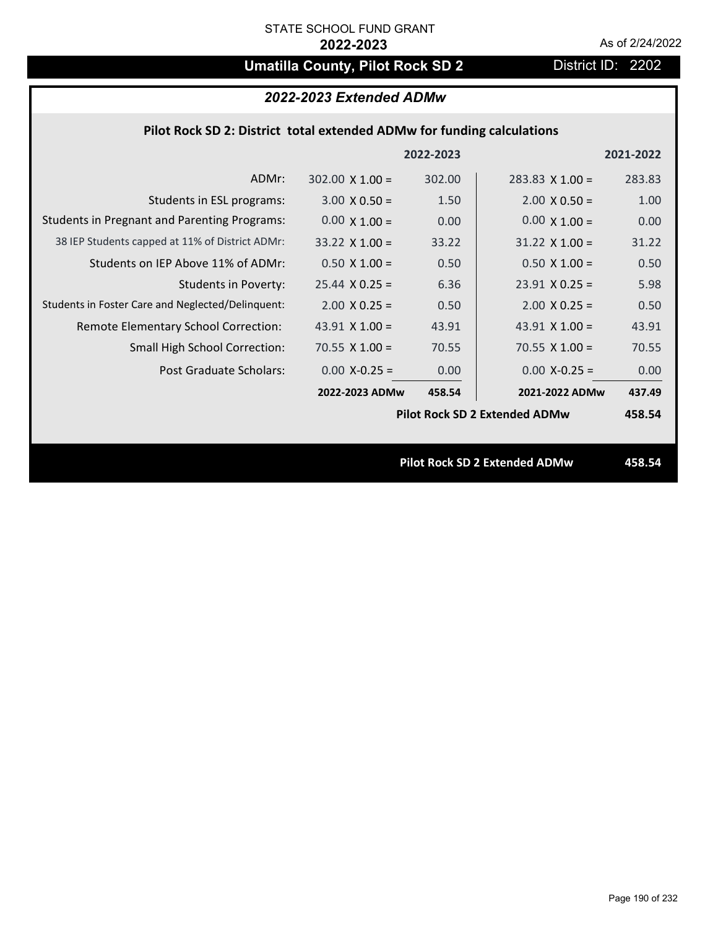# **Umatilla County, Pilot Rock SD 2** District ID: 2202

## *2022-2023 Extended ADMw*

## **Pilot Rock SD 2: District total extended ADMw for funding calculations**

|                                      | 2022-2023 |                        | 2021-2022                            |
|--------------------------------------|-----------|------------------------|--------------------------------------|
| $302.00 \times 1.00 =$               | 302.00    | $283.83 \times 1.00 =$ | 283.83                               |
| $3.00 \times 0.50 =$                 | 1.50      | $2.00 \times 0.50 =$   | 1.00                                 |
| $0.00 \times 1.00 =$                 | 0.00      | $0.00 \times 1.00 =$   | 0.00                                 |
| $33.22 \times 1.00 =$                | 33.22     | $31.22 \times 1.00 =$  | 31.22                                |
| $0.50 \times 1.00 =$                 | 0.50      | $0.50$ X 1.00 =        | 0.50                                 |
| $25.44 \times 0.25 =$                | 6.36      | $23.91$ X 0.25 =       | 5.98                                 |
| $2.00 \times 0.25 =$                 | 0.50      | $2.00 \times 0.25 =$   | 0.50                                 |
| 43.91 $X$ 1.00 =                     | 43.91     | 43.91 $\times$ 1.00 =  | 43.91                                |
| $70.55 \times 1.00 =$                | 70.55     | $70.55 \times 1.00 =$  | 70.55                                |
| $0.00$ X-0.25 =                      | 0.00      | $0.00 X - 0.25 =$      | 0.00                                 |
| 2022-2023 ADMw                       | 458.54    | 2021-2022 ADMw         | 437.49                               |
| <b>Pilot Rock SD 2 Extended ADMw</b> |           |                        |                                      |
|                                      |           |                        |                                      |
|                                      |           |                        | 458.54                               |
|                                      |           |                        | <b>Pilot Rock SD 2 Extended ADMw</b> |

Page 190 of 232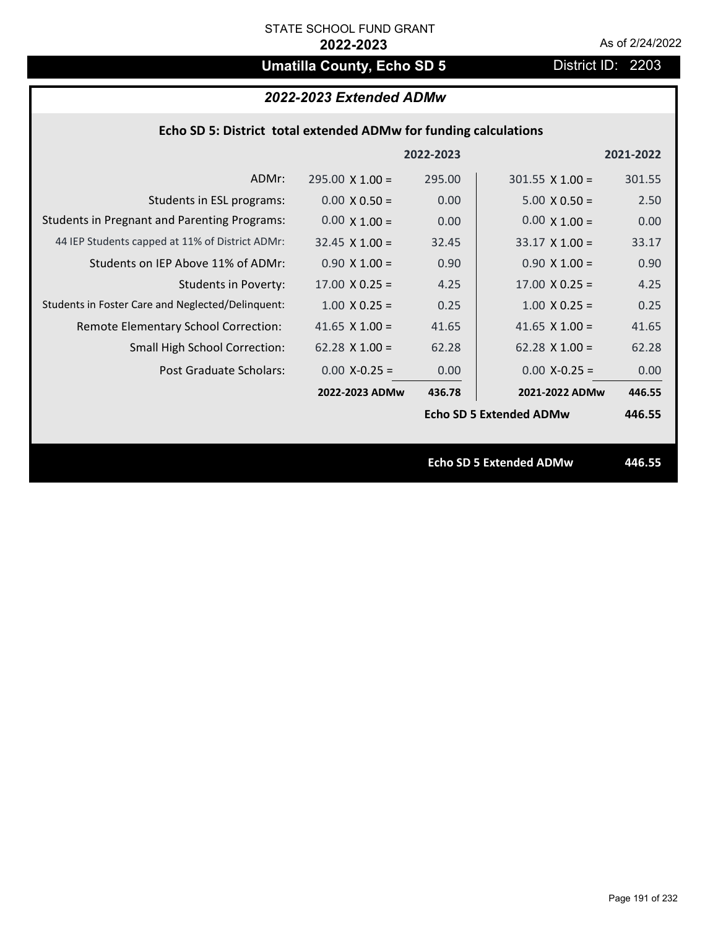## **Umatilla County, Echo SD 5** District ID: 2203

## *2022-2023 Extended ADMw*

## **Echo SD 5: District total extended ADMw for funding calculations**

|                                                     |                                | 2022-2023 |                                | 2021-2022 |
|-----------------------------------------------------|--------------------------------|-----------|--------------------------------|-----------|
| ADMr:                                               | $295.00 \times 1.00 =$         | 295.00    | $301.55 \times 1.00 =$         | 301.55    |
| Students in ESL programs:                           | $0.00 \times 0.50 =$           | 0.00      | $5.00 \times 0.50 =$           | 2.50      |
| <b>Students in Pregnant and Parenting Programs:</b> | $0.00 \times 1.00 =$           | 0.00      | $0.00 \times 1.00 =$           | 0.00      |
| 44 IEP Students capped at 11% of District ADMr:     | $32.45 \times 1.00 =$          | 32.45     | $33.17 \times 1.00 =$          | 33.17     |
| Students on IEP Above 11% of ADMr:                  | $0.90 \times 1.00 =$           | 0.90      | $0.90 \times 1.00 =$           | 0.90      |
| <b>Students in Poverty:</b>                         | $17.00 \times 0.25 =$          | 4.25      | $17.00 \times 0.25 =$          | 4.25      |
| Students in Foster Care and Neglected/Delinquent:   | $1.00 \times 0.25 =$           | 0.25      | $1.00 \times 0.25 =$           | 0.25      |
| Remote Elementary School Correction:                | 41.65 $X$ 1.00 =               | 41.65     | 41.65 $X$ 1.00 =               | 41.65     |
| <b>Small High School Correction:</b>                | $62.28 \times 1.00 =$          | 62.28     | $62.28 \times 1.00 =$          | 62.28     |
| Post Graduate Scholars:                             | $0.00$ X-0.25 =                | 0.00      | $0.00 X - 0.25 =$              | 0.00      |
|                                                     | 2022-2023 ADMw                 | 436.78    | 2021-2022 ADMw                 | 446.55    |
|                                                     |                                |           | <b>Echo SD 5 Extended ADMw</b> | 446.55    |
|                                                     |                                |           |                                |           |
|                                                     | <b>Echo SD 5 Extended ADMw</b> |           |                                | 446.55    |
|                                                     |                                |           |                                |           |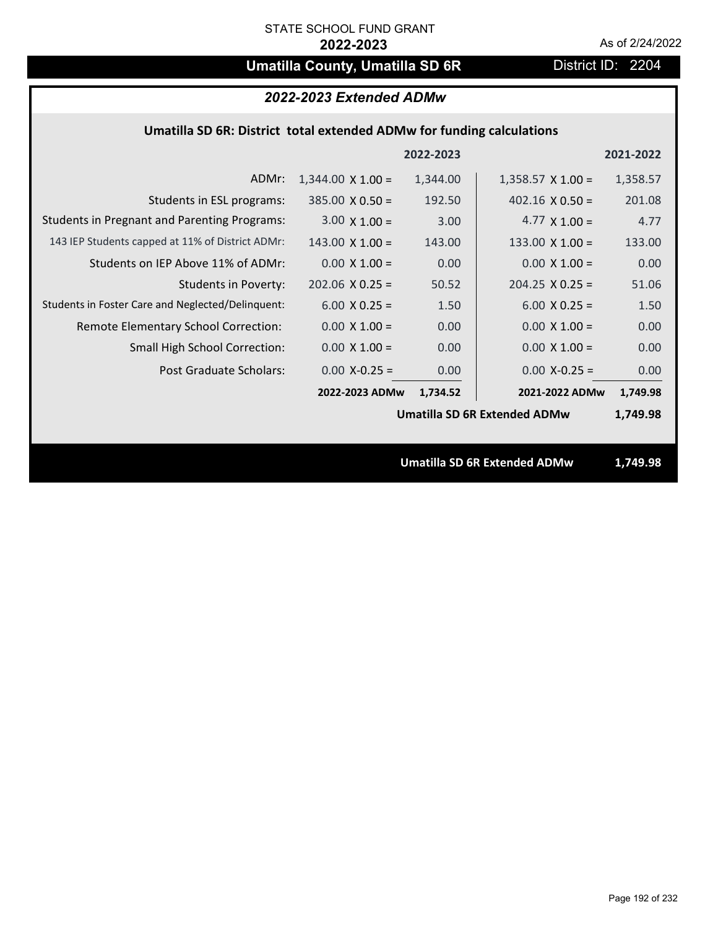## **Umatilla County, Umatilla SD 6R** District ID: 2204

## *2022-2023 Extended ADMw*

## **Umatilla SD 6R: District total extended ADMw for funding calculations**

|                                                     |                                     | 2022-2023 |                          | 2021-2022 |  |
|-----------------------------------------------------|-------------------------------------|-----------|--------------------------|-----------|--|
| ADMr:                                               | $1,344.00 \times 1.00 =$            | 1,344.00  | $1,358.57 \times 1.00 =$ | 1,358.57  |  |
| Students in ESL programs:                           | $385.00 \times 0.50 =$              | 192.50    | $402.16 \times 0.50 =$   | 201.08    |  |
| <b>Students in Pregnant and Parenting Programs:</b> | $3.00 \times 1.00 =$                | 3.00      | 4.77 $\times$ 1.00 =     | 4.77      |  |
| 143 IEP Students capped at 11% of District ADMr:    | $143.00 \times 1.00 =$              | 143.00    | 133.00 $\times$ 1.00 =   | 133.00    |  |
| Students on IEP Above 11% of ADMr:                  | $0.00 \times 1.00 =$                | 0.00      | $0.00 \times 1.00 =$     | 0.00      |  |
| <b>Students in Poverty:</b>                         | $202.06$ X 0.25 =                   | 50.52     | $204.25 \times 0.25 =$   | 51.06     |  |
| Students in Foster Care and Neglected/Delinquent:   | $6.00 \times 0.25 =$                | 1.50      | $6.00 \times 0.25 =$     | 1.50      |  |
| Remote Elementary School Correction:                | $0.00 \times 1.00 =$                | 0.00      | $0.00 \times 1.00 =$     | 0.00      |  |
| <b>Small High School Correction:</b>                | $0.00 \times 1.00 =$                | 0.00      | $0.00 \times 1.00 =$     | 0.00      |  |
| Post Graduate Scholars:                             | $0.00 X - 0.25 =$                   | 0.00      | $0.00 X - 0.25 =$        | 0.00      |  |
|                                                     | 2022-2023 ADMw                      | 1,734.52  | 2021-2022 ADMw           | 1,749.98  |  |
|                                                     | <b>Umatilla SD 6R Extended ADMw</b> | 1,749.98  |                          |           |  |
|                                                     |                                     |           |                          |           |  |
|                                                     |                                     | 1,749.98  |                          |           |  |
|                                                     | <b>Umatilla SD 6R Extended ADMw</b> |           |                          |           |  |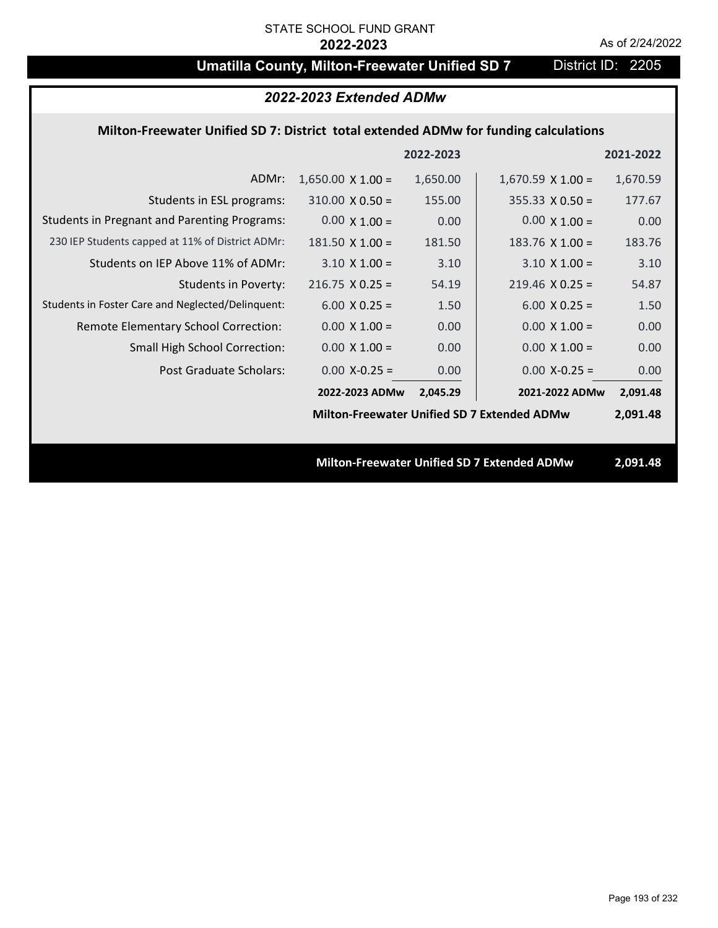## **Umatilla County, Milton-Freewater Unified SD 7** District ID: 2205

## *2022-2023 Extended ADMw*

### **Milton‐Freewater Unified SD 7: District total extended ADMw for funding calculations**

|                                                     |                                                    | 2022-2023 |                                                    | 2021-2022 |
|-----------------------------------------------------|----------------------------------------------------|-----------|----------------------------------------------------|-----------|
| ADMr:                                               | $1,650.00 \times 1.00 =$                           | 1,650.00  | $1,670.59$ X $1.00 =$                              | 1,670.59  |
| Students in ESL programs:                           | $310.00 \times 0.50 =$                             | 155.00    | $355.33 \times 0.50 =$                             | 177.67    |
| <b>Students in Pregnant and Parenting Programs:</b> | $0.00 \times 1.00 =$                               | 0.00      | $0.00 \times 1.00 =$                               | 0.00      |
| 230 IEP Students capped at 11% of District ADMr:    | $181.50 \times 1.00 =$                             | 181.50    | $183.76 \times 1.00 =$                             | 183.76    |
| Students on IEP Above 11% of ADMr:                  | $3.10 \times 1.00 =$                               | 3.10      | $3.10 \times 1.00 =$                               | 3.10      |
| <b>Students in Poverty:</b>                         | $216.75 \times 0.25 =$                             | 54.19     | $219.46 \times 0.25 =$                             | 54.87     |
| Students in Foster Care and Neglected/Delinquent:   | $6.00 \times 0.25 =$                               | 1.50      | $6.00 \times 0.25 =$                               | 1.50      |
| Remote Elementary School Correction:                | $0.00 \times 1.00 =$                               | 0.00      | $0.00 \times 1.00 =$                               | 0.00      |
| <b>Small High School Correction:</b>                | $0.00 \times 1.00 =$                               | 0.00      | $0.00 \times 1.00 =$                               | 0.00      |
| Post Graduate Scholars:                             | $0.00$ X-0.25 =                                    | 0.00      | $0.00$ X-0.25 =                                    | 0.00      |
|                                                     | 2022-2023 ADMw                                     | 2,045.29  | 2021-2022 ADMw                                     | 2,091.48  |
|                                                     | <b>Milton-Freewater Unified SD 7 Extended ADMw</b> |           |                                                    | 2,091.48  |
|                                                     |                                                    |           |                                                    |           |
|                                                     |                                                    |           | <b>Milton-Freewater Unified SD 7 Extended ADMw</b> | 2,091.48  |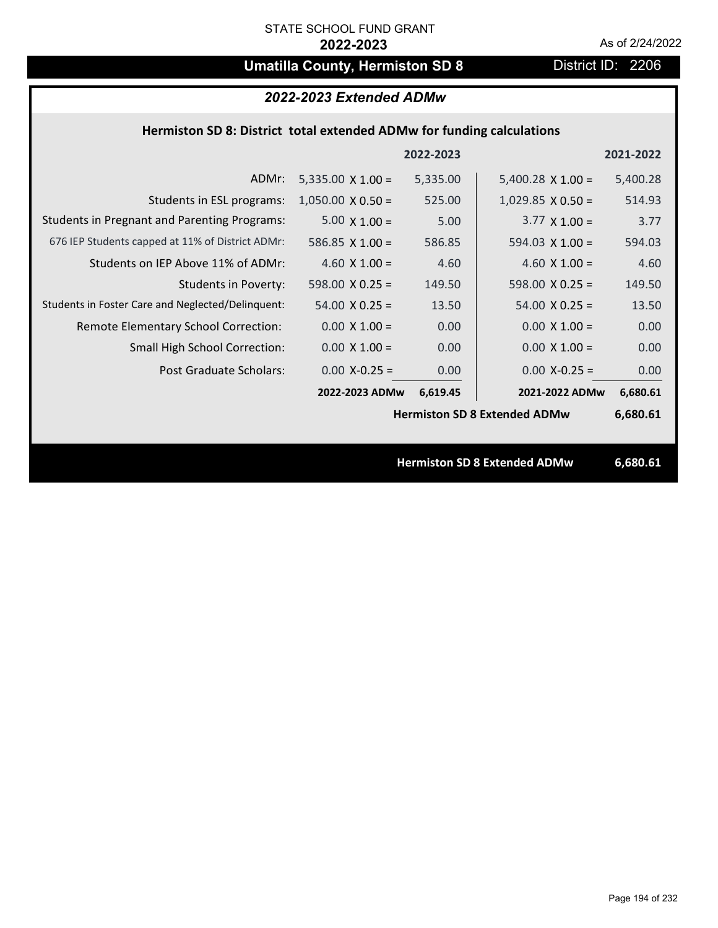## **Umatilla County, Hermiston SD 8** District ID: 2206

## *2022-2023 Extended ADMw*

## **Hermiston SD 8: District total extended ADMw for funding calculations**

|                                                     |                          | 2022-2023 |                                     | 2021-2022 |
|-----------------------------------------------------|--------------------------|-----------|-------------------------------------|-----------|
| ADMr:                                               | $5,335.00 \times 1.00 =$ | 5,335.00  | $5,400.28 \times 1.00 =$            | 5,400.28  |
| Students in ESL programs:                           | $1,050.00 \times 0.50 =$ | 525.00    | $1,029.85 \times 0.50 =$            | 514.93    |
| <b>Students in Pregnant and Parenting Programs:</b> | $5.00 \times 1.00 =$     | 5.00      | $3.77 \times 1.00 =$                | 3.77      |
| 676 IEP Students capped at 11% of District ADMr:    | 586.85 $X$ 1.00 =        | 586.85    | 594.03 $\times$ 1.00 =              | 594.03    |
| Students on IEP Above 11% of ADMr:                  | 4.60 $X$ 1.00 =          | 4.60      | 4.60 $X$ 1.00 =                     | 4.60      |
| <b>Students in Poverty:</b>                         | 598.00 $X$ 0.25 =        | 149.50    | 598.00 $X$ 0.25 =                   | 149.50    |
| Students in Foster Care and Neglected/Delinquent:   | $54.00 \times 0.25 =$    | 13.50     | $54.00 \times 0.25 =$               | 13.50     |
| Remote Elementary School Correction:                | $0.00 \times 1.00 =$     | 0.00      | $0.00 \times 1.00 =$                | 0.00      |
| <b>Small High School Correction:</b>                | $0.00 \times 1.00 =$     | 0.00      | $0.00 \times 1.00 =$                | 0.00      |
| Post Graduate Scholars:                             | $0.00$ X-0.25 =          | 0.00      | $0.00 X - 0.25 =$                   | 0.00      |
|                                                     | 2022-2023 ADMw           | 6,619.45  | 2021-2022 ADMw                      | 6,680.61  |
|                                                     |                          |           | <b>Hermiston SD 8 Extended ADMw</b> | 6,680.61  |
|                                                     |                          |           |                                     |           |
|                                                     |                          |           | <b>Hermiston SD 8 Extended ADMw</b> | 6,680.61  |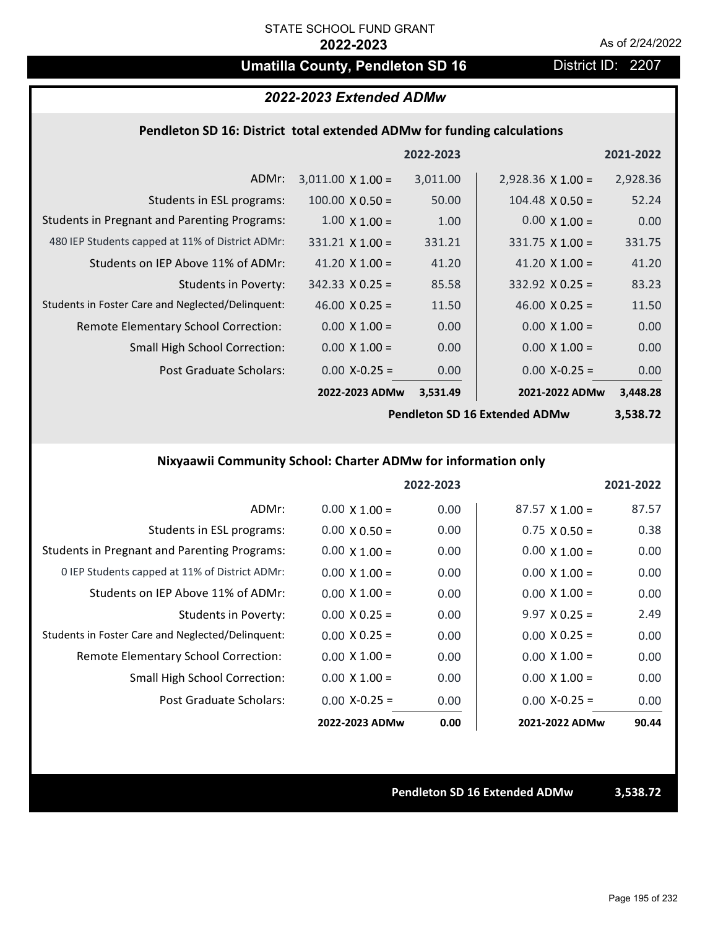## **Umatilla County, Pendleton SD 16** District ID: 2207

## *2022-2023 Extended ADMw*

### **Pendleton SD 16: District total extended ADMw for funding calculations**

| $2,928.36 \times 1.00 =$<br>$3,011.00 \times 1.00 =$<br>3,011.00<br>2,928.36<br>ADMr:<br>Students in ESL programs:<br>52.24<br>$100.00 \times 0.50 =$<br>50.00<br>$104.48 \times 0.50 =$<br><b>Students in Pregnant and Parenting Programs:</b><br>$0.00 \times 1.00 =$<br>$1.00 \times 1.00 =$<br>0.00<br>1.00<br>480 IEP Students capped at 11% of District ADMr:<br>331.21<br>$331.75 \times 1.00 =$<br>331.75<br>$331.21 \times 1.00 =$<br>Students on IEP Above 11% of ADMr:<br>41.20 $\times$ 1.00 =<br>41.20 $\times$ 1.00 =<br>41.20<br>41.20<br><b>Students in Poverty:</b><br>$332.92 \times 0.25 =$<br>$342.33 \times 0.25 =$<br>85.58<br>83.23<br>Students in Foster Care and Neglected/Delinquent:<br>46.00 $X$ 0.25 =<br>46.00 $X$ 0.25 =<br>11.50<br>11.50<br>0.00<br>Remote Elementary School Correction:<br>$0.00 \times 1.00 =$<br>0.00<br>$0.00 \times 1.00 =$<br><b>Small High School Correction:</b><br>$0.00 \times 1.00 =$<br>0.00<br>$0.00 \times 1.00 =$<br>0.00<br>Post Graduate Scholars:<br>$0.00$ X-0.25 =<br>$0.00$ X-0.25 =<br>0.00<br>0.00 |  | 2022-2023 | 2021-2022 |
|----------------------------------------------------------------------------------------------------------------------------------------------------------------------------------------------------------------------------------------------------------------------------------------------------------------------------------------------------------------------------------------------------------------------------------------------------------------------------------------------------------------------------------------------------------------------------------------------------------------------------------------------------------------------------------------------------------------------------------------------------------------------------------------------------------------------------------------------------------------------------------------------------------------------------------------------------------------------------------------------------------------------------------------------------------------------------|--|-----------|-----------|
|                                                                                                                                                                                                                                                                                                                                                                                                                                                                                                                                                                                                                                                                                                                                                                                                                                                                                                                                                                                                                                                                            |  |           |           |
|                                                                                                                                                                                                                                                                                                                                                                                                                                                                                                                                                                                                                                                                                                                                                                                                                                                                                                                                                                                                                                                                            |  |           |           |
|                                                                                                                                                                                                                                                                                                                                                                                                                                                                                                                                                                                                                                                                                                                                                                                                                                                                                                                                                                                                                                                                            |  |           |           |
|                                                                                                                                                                                                                                                                                                                                                                                                                                                                                                                                                                                                                                                                                                                                                                                                                                                                                                                                                                                                                                                                            |  |           |           |
|                                                                                                                                                                                                                                                                                                                                                                                                                                                                                                                                                                                                                                                                                                                                                                                                                                                                                                                                                                                                                                                                            |  |           |           |
|                                                                                                                                                                                                                                                                                                                                                                                                                                                                                                                                                                                                                                                                                                                                                                                                                                                                                                                                                                                                                                                                            |  |           |           |
|                                                                                                                                                                                                                                                                                                                                                                                                                                                                                                                                                                                                                                                                                                                                                                                                                                                                                                                                                                                                                                                                            |  |           |           |
|                                                                                                                                                                                                                                                                                                                                                                                                                                                                                                                                                                                                                                                                                                                                                                                                                                                                                                                                                                                                                                                                            |  |           |           |
|                                                                                                                                                                                                                                                                                                                                                                                                                                                                                                                                                                                                                                                                                                                                                                                                                                                                                                                                                                                                                                                                            |  |           |           |
|                                                                                                                                                                                                                                                                                                                                                                                                                                                                                                                                                                                                                                                                                                                                                                                                                                                                                                                                                                                                                                                                            |  |           |           |
| 2022-2023 ADMw<br>2021-2022 ADMw<br>3,531.49<br>3,448.28                                                                                                                                                                                                                                                                                                                                                                                                                                                                                                                                                                                                                                                                                                                                                                                                                                                                                                                                                                                                                   |  |           |           |

**Pendleton SD 16 Extended ADMw**

**3,538.72**

### **Nixyaawii Community School: Charter ADMw for information only**

|                                                     |                      | 2022-2023 |                       | 2021-2022 |
|-----------------------------------------------------|----------------------|-----------|-----------------------|-----------|
| ADMr:                                               | $0.00 \times 1.00 =$ | 0.00      | $87.57 \times 1.00 =$ | 87.57     |
| Students in ESL programs:                           | $0.00 \times 0.50 =$ | 0.00      | $0.75 \times 0.50 =$  | 0.38      |
| <b>Students in Pregnant and Parenting Programs:</b> | $0.00 \times 1.00 =$ | 0.00      | $0.00 \times 1.00 =$  | 0.00      |
| 0 IEP Students capped at 11% of District ADMr:      | $0.00 \times 1.00 =$ | 0.00      | $0.00 \times 1.00 =$  | 0.00      |
| Students on IEP Above 11% of ADMr:                  | $0.00 \times 1.00 =$ | 0.00      | $0.00 \times 1.00 =$  | 0.00      |
| Students in Poverty:                                | $0.00 \times 0.25 =$ | 0.00      | $9.97 \times 0.25 =$  | 2.49      |
| Students in Foster Care and Neglected/Delinquent:   | $0.00 \times 0.25 =$ | 0.00      | $0.00 \times 0.25 =$  | 0.00      |
| Remote Elementary School Correction:                | $0.00 \times 1.00 =$ | 0.00      | $0.00 \times 1.00 =$  | 0.00      |
| <b>Small High School Correction:</b>                | $0.00 \times 1.00 =$ | 0.00      | $0.00 \times 1.00 =$  | 0.00      |
| Post Graduate Scholars:                             | $0.00 X-0.25 =$      | 0.00      | $0.00 X - 0.25 =$     | 0.00      |
|                                                     | 2022-2023 ADMw       | 0.00      | 2021-2022 ADMw        | 90.44     |

**Pendleton SD 16 Extended ADMw 3,538.72**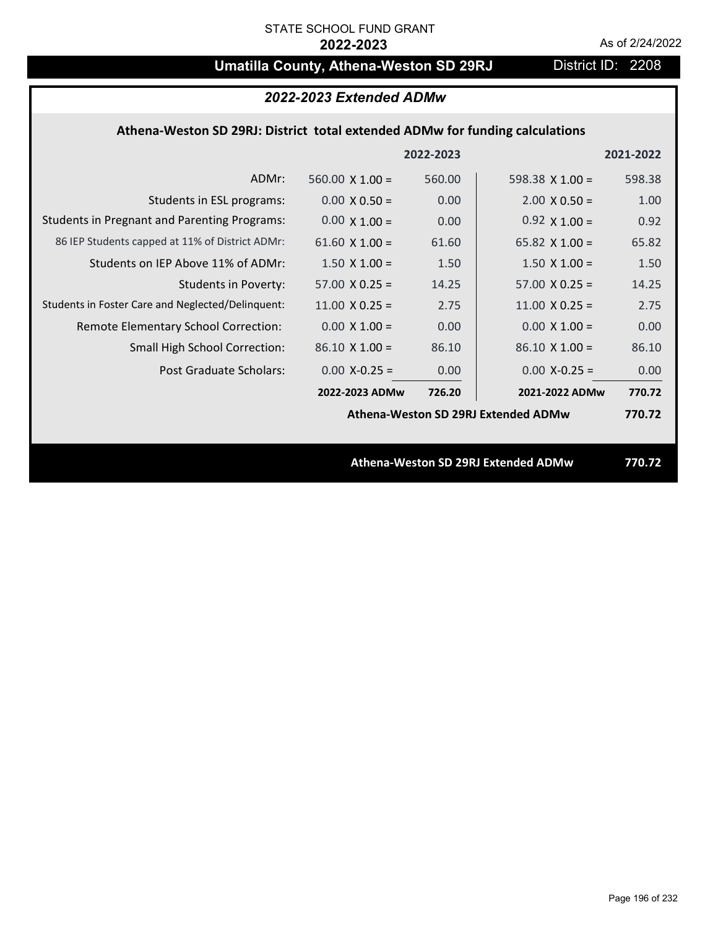# **Umatilla County, Athena-Weston SD 29RJ** District ID: 2208

## *2022-2023 Extended ADMw*

## **Athena‐Weston SD 29RJ: District total extended ADMw for funding calculations**

|                                                     |                                     | 2022-2023 |                                     | 2021-2022 |
|-----------------------------------------------------|-------------------------------------|-----------|-------------------------------------|-----------|
| ADMr:                                               | 560.00 $\times$ 1.00 =              | 560.00    | 598.38 $\times$ 1.00 =              | 598.38    |
| Students in ESL programs:                           | $0.00 \times 0.50 =$                | 0.00      | $2.00 \times 0.50 =$                | 1.00      |
| <b>Students in Pregnant and Parenting Programs:</b> | $0.00 \times 1.00 =$                | 0.00      | $0.92 \times 1.00 =$                | 0.92      |
| 86 IEP Students capped at 11% of District ADMr:     | 61.60 $\times$ 1.00 =               | 61.60     | 65.82 $\times$ 1.00 =               | 65.82     |
| Students on IEP Above 11% of ADMr:                  | $1.50 \times 1.00 =$                | 1.50      | $1.50 \times 1.00 =$                | 1.50      |
| <b>Students in Poverty:</b>                         | $57.00 \times 0.25 =$               | 14.25     | $57.00 \times 0.25 =$               | 14.25     |
| Students in Foster Care and Neglected/Delinquent:   | 11.00 $X$ 0.25 =                    | 2.75      | $11.00 \times 0.25 =$               | 2.75      |
| Remote Elementary School Correction:                | $0.00 \times 1.00 =$                | 0.00      | $0.00 \times 1.00 =$                | 0.00      |
| <b>Small High School Correction:</b>                | $86.10 \times 1.00 =$               | 86.10     | $86.10 \times 1.00 =$               | 86.10     |
| Post Graduate Scholars:                             | $0.00 X - 0.25 =$                   | 0.00      | $0.00$ X-0.25 =                     | 0.00      |
|                                                     | 2022-2023 ADMw                      | 726.20    | 2021-2022 ADMw                      | 770.72    |
|                                                     |                                     |           | Athena-Weston SD 29RJ Extended ADMw | 770.72    |
|                                                     |                                     |           |                                     |           |
|                                                     | Athena-Weston SD 29RJ Extended ADMw |           |                                     |           |
|                                                     |                                     |           |                                     |           |

Page 196 of 232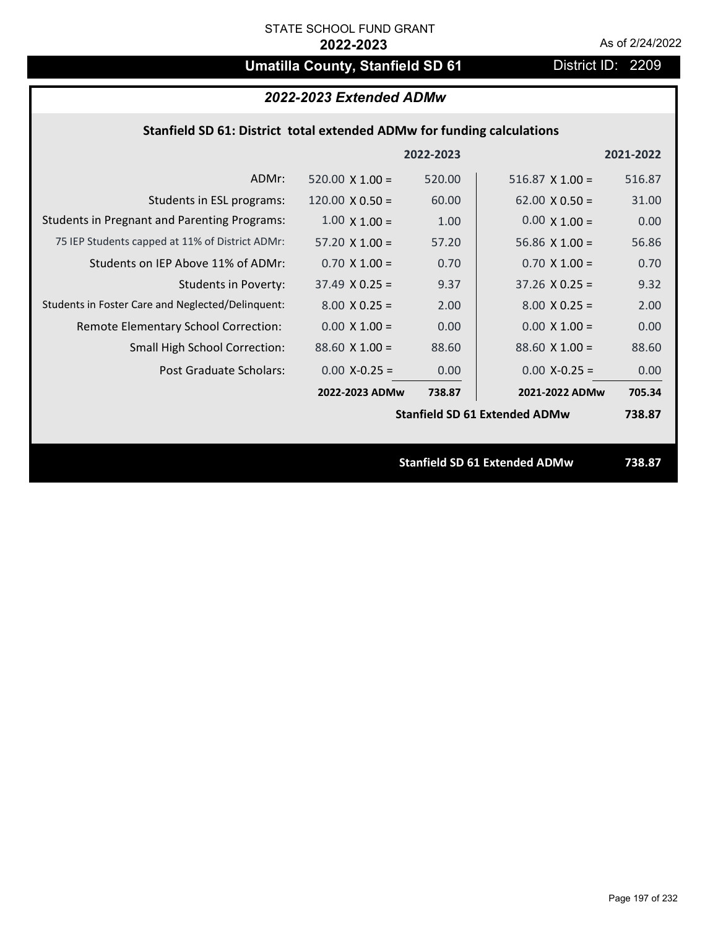# **Umatilla County, Stanfield SD 61** District ID: 2209

## *2022-2023 Extended ADMw*

## **Stanfield SD 61: District total extended ADMw for funding calculations**

|                                                     |                        | 2022-2023 |                                      | 2021-2022 |
|-----------------------------------------------------|------------------------|-----------|--------------------------------------|-----------|
| ADMr:                                               | $520.00 \times 1.00 =$ | 520.00    | $516.87$ X $1.00 =$                  | 516.87    |
| Students in ESL programs:                           | 120.00 $\times$ 0.50 = | 60.00     | $62.00 \times 0.50 =$                | 31.00     |
| <b>Students in Pregnant and Parenting Programs:</b> | $1.00 \times 1.00 =$   | 1.00      | $0.00 \times 1.00 =$                 | 0.00      |
| 75 IEP Students capped at 11% of District ADMr:     | $57.20 \times 1.00 =$  | 57.20     | 56.86 $\times$ 1.00 =                | 56.86     |
| Students on IEP Above 11% of ADMr:                  | $0.70 \times 1.00 =$   | 0.70      | $0.70$ X $1.00 =$                    | 0.70      |
| <b>Students in Poverty:</b>                         | $37.49 \times 0.25 =$  | 9.37      | $37.26$ X 0.25 =                     | 9.32      |
| Students in Foster Care and Neglected/Delinquent:   | $8.00 \times 0.25 =$   | 2.00      | $8.00 \times 0.25 =$                 | 2.00      |
| Remote Elementary School Correction:                | $0.00 \times 1.00 =$   | 0.00      | $0.00 \times 1.00 =$                 | 0.00      |
| <b>Small High School Correction:</b>                | $88.60$ X 1.00 =       | 88.60     | $88.60 \times 1.00 =$                | 88.60     |
| Post Graduate Scholars:                             | $0.00 X - 0.25 =$      | 0.00      | $0.00$ X-0.25 =                      | 0.00      |
|                                                     | 2022-2023 ADMw         | 738.87    | 2021-2022 ADMw                       | 705.34    |
|                                                     |                        |           | <b>Stanfield SD 61 Extended ADMw</b> | 738.87    |
|                                                     |                        |           |                                      |           |
|                                                     |                        |           | <b>Stanfield SD 61 Extended ADMw</b> | 738.87    |
|                                                     |                        |           |                                      |           |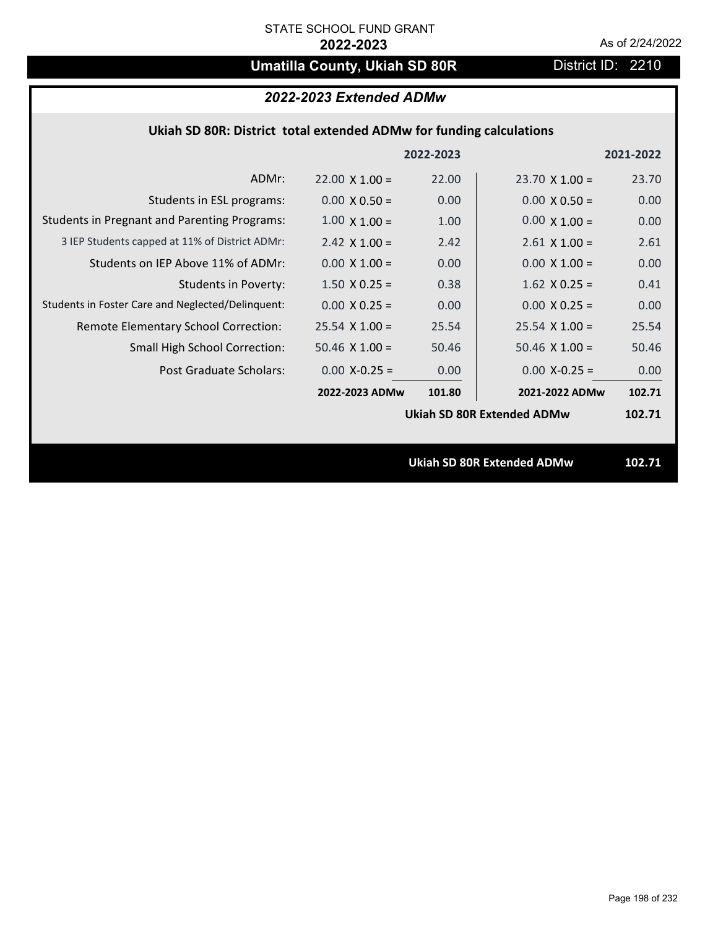# **Umatilla County, Ukiah SD 80R** District ID: 2210

## *2022-2023 Extended ADMw*

## **Ukiah SD 80R: District total extended ADMw for funding calculations**

|                                                     |                       | 2022-2023 |                                   | 2021-2022 |
|-----------------------------------------------------|-----------------------|-----------|-----------------------------------|-----------|
| ADMr:                                               | $22.00 \times 1.00 =$ | 22.00     | $23.70 \times 1.00 =$             | 23.70     |
| Students in ESL programs:                           | $0.00 \times 0.50 =$  | 0.00      | $0.00 \times 0.50 =$              | 0.00      |
| <b>Students in Pregnant and Parenting Programs:</b> | $1.00 \times 1.00 =$  | 1.00      | $0.00 \times 1.00 =$              | 0.00      |
| 3 IEP Students capped at 11% of District ADMr:      | $2.42 \times 1.00 =$  | 2.42      | $2.61$ X $1.00 =$                 | 2.61      |
| Students on IEP Above 11% of ADMr:                  | $0.00 \times 1.00 =$  | 0.00      | $0.00 \times 1.00 =$              | 0.00      |
| <b>Students in Poverty:</b>                         | $1.50 \times 0.25 =$  | 0.38      | $1.62$ X 0.25 =                   | 0.41      |
| Students in Foster Care and Neglected/Delinquent:   | $0.00 \times 0.25 =$  | 0.00      | $0.00 X 0.25 =$                   | 0.00      |
| Remote Elementary School Correction:                | $25.54$ X 1.00 =      | 25.54     | $25.54$ X 1.00 =                  | 25.54     |
| <b>Small High School Correction:</b>                | $50.46$ X 1.00 =      | 50.46     | $50.46$ X $1.00 =$                | 50.46     |
| Post Graduate Scholars:                             | $0.00$ X-0.25 =       | 0.00      | $0.00$ X-0.25 =                   | 0.00      |
|                                                     | 2022-2023 ADMw        | 101.80    | 2021-2022 ADMw                    | 102.71    |
|                                                     |                       |           | <b>Ukiah SD 80R Extended ADMw</b> | 102.71    |
|                                                     |                       |           |                                   |           |
|                                                     |                       |           | <b>Ukiah SD 80R Extended ADMw</b> | 102.71    |
|                                                     |                       |           |                                   |           |

Page 198 of 232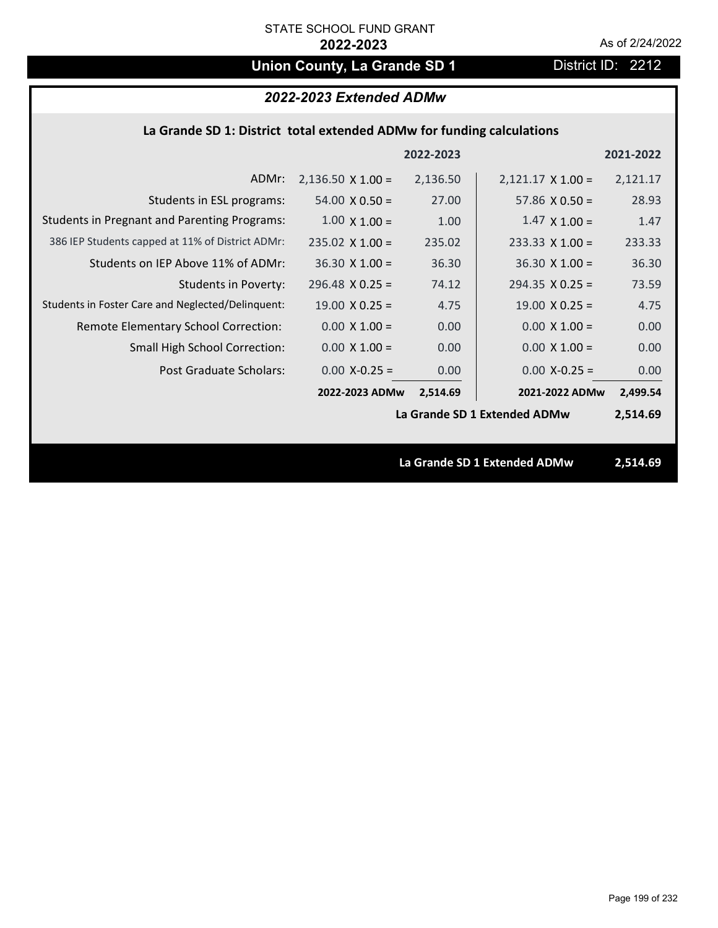## **Union County, La Grande SD 1** District ID: 2212

## *2022-2023 Extended ADMw*

## **La Grande SD 1: District total extended ADMw for funding calculations**

|                                                     |                          | 2022-2023 |                              | 2021-2022 |
|-----------------------------------------------------|--------------------------|-----------|------------------------------|-----------|
| ADMr:                                               | $2,136.50 \times 1.00 =$ | 2,136.50  | $2,121.17 \times 1.00 =$     | 2,121.17  |
| Students in ESL programs:                           | $54.00 \times 0.50 =$    | 27.00     | 57.86 $\times$ 0.50 =        | 28.93     |
| <b>Students in Pregnant and Parenting Programs:</b> | $1.00 \times 1.00 =$     | 1.00      | $1.47 \times 1.00 =$         | 1.47      |
| 386 IEP Students capped at 11% of District ADMr:    | $235.02 \times 1.00 =$   | 235.02    | $233.33 \times 1.00 =$       | 233.33    |
| Students on IEP Above 11% of ADMr:                  | $36.30 \times 1.00 =$    | 36.30     | $36.30 \times 1.00 =$        | 36.30     |
| <b>Students in Poverty:</b>                         | $296.48$ X 0.25 =        | 74.12     | $294.35 \times 0.25 =$       | 73.59     |
| Students in Foster Care and Neglected/Delinquent:   | $19.00 \times 0.25 =$    | 4.75      | $19.00 \times 0.25 =$        | 4.75      |
| Remote Elementary School Correction:                | $0.00 \times 1.00 =$     | 0.00      | $0.00 \times 1.00 =$         | 0.00      |
| <b>Small High School Correction:</b>                | $0.00 \times 1.00 =$     | 0.00      | $0.00 \times 1.00 =$         | 0.00      |
| Post Graduate Scholars:                             | $0.00$ X-0.25 =          | 0.00      | $0.00$ X-0.25 =              | 0.00      |
|                                                     | 2022-2023 ADMw           | 2,514.69  | 2021-2022 ADMw               | 2,499.54  |
|                                                     |                          |           | La Grande SD 1 Extended ADMw | 2,514.69  |
|                                                     |                          |           |                              |           |
|                                                     |                          |           | La Grande SD 1 Extended ADMw | 2,514.69  |
|                                                     |                          |           |                              |           |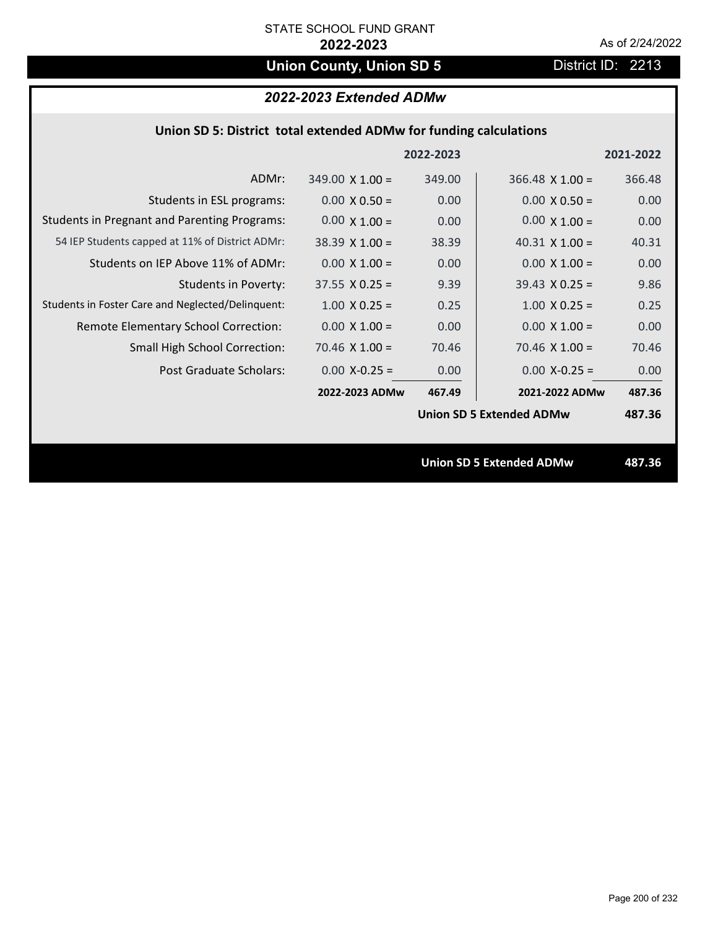# **Union County, Union SD 5** District ID: 2213

## *2022-2023 Extended ADMw*

| Union SD 5: District total extended ADMw for funding calculations |  |  |  |
|-------------------------------------------------------------------|--|--|--|
|-------------------------------------------------------------------|--|--|--|

|                                                     |                        | 2022-2023 |                                 | 2021-2022 |
|-----------------------------------------------------|------------------------|-----------|---------------------------------|-----------|
| ADMr:                                               | $349.00 \times 1.00 =$ | 349.00    | $366.48 \times 1.00 =$          | 366.48    |
| Students in ESL programs:                           | $0.00 \times 0.50 =$   | 0.00      | $0.00 \times 0.50 =$            | 0.00      |
| <b>Students in Pregnant and Parenting Programs:</b> | $0.00 \times 1.00 =$   | 0.00      | $0.00 \times 1.00 =$            | 0.00      |
| 54 IEP Students capped at 11% of District ADMr:     | $38.39 \times 1.00 =$  | 38.39     | 40.31 $\times$ 1.00 =           | 40.31     |
| Students on IEP Above 11% of ADMr:                  | $0.00 \times 1.00 =$   | 0.00      | $0.00 \times 1.00 =$            | 0.00      |
| <b>Students in Poverty:</b>                         | $37.55 \times 0.25 =$  | 9.39      | $39.43 \times 0.25 =$           | 9.86      |
| Students in Foster Care and Neglected/Delinquent:   | $1.00 \times 0.25 =$   | 0.25      | $1.00 \times 0.25 =$            | 0.25      |
| Remote Elementary School Correction:                | $0.00 \times 1.00 =$   | 0.00      | $0.00 \times 1.00 =$            | 0.00      |
| <b>Small High School Correction:</b>                | $70.46 \times 1.00 =$  | 70.46     | $70.46 \times 1.00 =$           | 70.46     |
| Post Graduate Scholars:                             | $0.00 X - 0.25 =$      | 0.00      | $0.00 X - 0.25 =$               | 0.00      |
|                                                     | 2022-2023 ADMw         | 467.49    | 2021-2022 ADMw                  | 487.36    |
|                                                     |                        |           | <b>Union SD 5 Extended ADMw</b> | 487.36    |
|                                                     |                        |           |                                 |           |
|                                                     |                        |           | <b>Union SD 5 Extended ADMw</b> | 487.36    |
|                                                     |                        |           |                                 |           |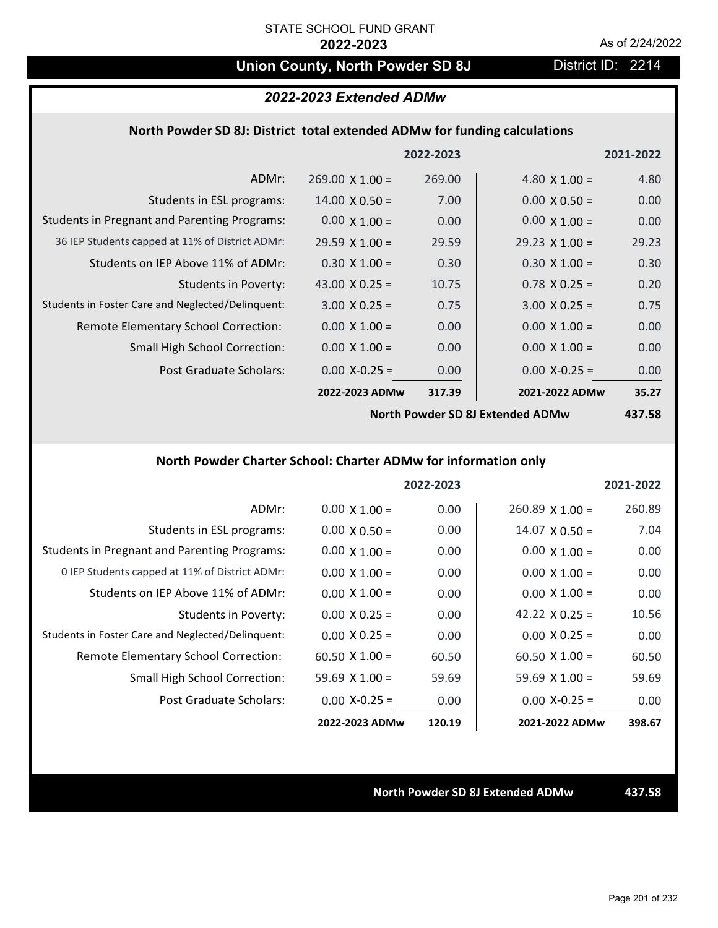## **Union County, North Powder SD 8J** District ID: 2214

### *2022-2023 Extended ADMw*

#### **North Powder SD 8J: District total extended ADMw for funding calculations**

|                                                     |                        | 2022-2023 |                       | 2021-2022 |
|-----------------------------------------------------|------------------------|-----------|-----------------------|-----------|
| ADMr:                                               | $269.00 \times 1.00 =$ | 269.00    | 4.80 $\times$ 1.00 =  | 4.80      |
| Students in ESL programs:                           | $14.00 \times 0.50 =$  | 7.00      | $0.00 \times 0.50 =$  | 0.00      |
| <b>Students in Pregnant and Parenting Programs:</b> | $0.00 \times 1.00 =$   | 0.00      | $0.00 \times 1.00 =$  | 0.00      |
| 36 IEP Students capped at 11% of District ADMr:     | $29.59 \times 1.00 =$  | 29.59     | $29.23 \times 1.00 =$ | 29.23     |
| Students on IEP Above 11% of ADMr:                  | $0.30 \times 1.00 =$   | 0.30      | $0.30 \times 1.00 =$  | 0.30      |
| <b>Students in Poverty:</b>                         | 43.00 $X$ 0.25 =       | 10.75     | $0.78$ X 0.25 =       | 0.20      |
| Students in Foster Care and Neglected/Delinquent:   | $3.00 \times 0.25 =$   | 0.75      | $3.00 X 0.25 =$       | 0.75      |
| Remote Elementary School Correction:                | $0.00 \times 1.00 =$   | 0.00      | $0.00 \times 1.00 =$  | 0.00      |
| <b>Small High School Correction:</b>                | $0.00 \times 1.00 =$   | 0.00      | $0.00 \times 1.00 =$  | 0.00      |
| Post Graduate Scholars:                             | $0.00$ X-0.25 =        | 0.00      | $0.00 X - 0.25 =$     | 0.00      |
|                                                     | 2022-2023 ADMw         | 317.39    | 2021-2022 ADMw        | 35.27     |
|                                                     |                        |           |                       |           |

**North Powder SD 8J Extended ADMw**

**437.58**

#### **North Powder Charter School: Charter ADMw for information only**

|                                                     |                       | 2022-2023 |                       | 2021-2022 |
|-----------------------------------------------------|-----------------------|-----------|-----------------------|-----------|
| ADMr:                                               | $0.00 \times 1.00 =$  | 0.00      | $260.89$ X 1.00 =     | 260.89    |
| Students in ESL programs:                           | $0.00 \times 0.50 =$  | 0.00      | $14.07 \times 0.50 =$ | 7.04      |
| <b>Students in Pregnant and Parenting Programs:</b> | $0.00 \times 1.00 =$  | 0.00      | $0.00 \times 1.00 =$  | 0.00      |
| 0 IEP Students capped at 11% of District ADMr:      | $0.00 \times 1.00 =$  | 0.00      | $0.00 \times 1.00 =$  | 0.00      |
| Students on IEP Above 11% of ADMr:                  | $0.00 \times 1.00 =$  | 0.00      | $0.00 \times 1.00 =$  | 0.00      |
| Students in Poverty:                                | $0.00 \times 0.25 =$  | 0.00      | 42.22 $X$ 0.25 =      | 10.56     |
| Students in Foster Care and Neglected/Delinquent:   | $0.00 \times 0.25 =$  | 0.00      | $0.00 \times 0.25 =$  | 0.00      |
| Remote Elementary School Correction:                | $60.50 \times 1.00 =$ | 60.50     | $60.50 \times 1.00 =$ | 60.50     |
| <b>Small High School Correction:</b>                | $59.69 \times 1.00 =$ | 59.69     | $59.69 \times 1.00 =$ | 59.69     |
| Post Graduate Scholars:                             | $0.00$ X-0.25 =       | 0.00      | $0.00$ X-0.25 =       | 0.00      |
|                                                     | 2022-2023 ADMw        | 120.19    | 2021-2022 ADMw        | 398.67    |

**North Powder SD 8J Extended ADMw 437.58**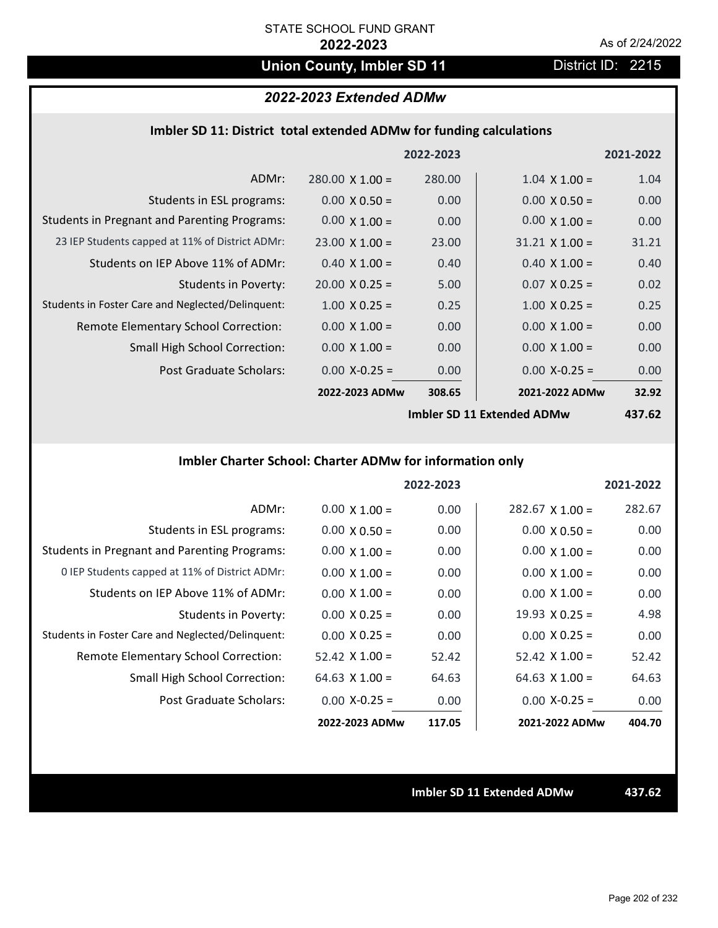## **Union County, Imbler SD 11** District ID: 2215

## *2022-2023 Extended ADMw*

#### **Imbler SD 11: District total extended ADMw for funding calculations**

|                                                     |                        | 2022-2023 |                       | 2021-2022 |
|-----------------------------------------------------|------------------------|-----------|-----------------------|-----------|
| ADMr:                                               | $280.00 \times 1.00 =$ | 280.00    | $1.04 \times 1.00 =$  | 1.04      |
| Students in ESL programs:                           | $0.00 \times 0.50 =$   | 0.00      | $0.00 \times 0.50 =$  | 0.00      |
| <b>Students in Pregnant and Parenting Programs:</b> | $0.00 \times 1.00 =$   | 0.00      | $0.00 \times 1.00 =$  | 0.00      |
| 23 IEP Students capped at 11% of District ADMr:     | $23.00 \times 1.00 =$  | 23.00     | $31.21 \times 1.00 =$ | 31.21     |
| Students on IEP Above 11% of ADMr:                  | $0.40 \times 1.00 =$   | 0.40      | $0.40 \times 1.00 =$  | 0.40      |
| <b>Students in Poverty:</b>                         | $20.00 \times 0.25 =$  | 5.00      | $0.07$ X 0.25 =       | 0.02      |
| Students in Foster Care and Neglected/Delinquent:   | $1.00 \times 0.25 =$   | 0.25      | $1.00 \times 0.25 =$  | 0.25      |
| Remote Elementary School Correction:                | $0.00 \times 1.00 =$   | 0.00      | $0.00 \times 1.00 =$  | 0.00      |
| <b>Small High School Correction:</b>                | $0.00 \times 1.00 =$   | 0.00      | $0.00 \times 1.00 =$  | 0.00      |
| Post Graduate Scholars:                             | $0.00$ X-0.25 =        | 0.00      | $0.00$ X-0.25 =       | 0.00      |
|                                                     | 2022-2023 ADMw         | 308.65    | 2021-2022 ADMw        | 32.92     |
|                                                     |                        |           |                       | $\sim$    |

**Imbler SD 11 Extended ADMw**

**437.62**

## **Imbler Charter School: Charter ADMw for information only**

|                                                     |                       | 2022-2023 |                       | 2021-2022 |
|-----------------------------------------------------|-----------------------|-----------|-----------------------|-----------|
| ADMr:                                               | $0.00 \times 1.00 =$  | 0.00      | $282.67$ X 1.00 =     | 282.67    |
| Students in ESL programs:                           | $0.00 \times 0.50 =$  | 0.00      | $0.00 \times 0.50 =$  | 0.00      |
| <b>Students in Pregnant and Parenting Programs:</b> | $0.00 \times 1.00 =$  | 0.00      | $0.00 \times 1.00 =$  | 0.00      |
| 0 IEP Students capped at 11% of District ADMr:      | $0.00 \times 1.00 =$  | 0.00      | $0.00 \times 1.00 =$  | 0.00      |
| Students on IEP Above 11% of ADMr:                  | $0.00 \times 1.00 =$  | 0.00      | $0.00 \times 1.00 =$  | 0.00      |
| Students in Poverty:                                | $0.00 \times 0.25 =$  | 0.00      | $19.93 \times 0.25 =$ | 4.98      |
| Students in Foster Care and Neglected/Delinquent:   | $0.00 \times 0.25 =$  | 0.00      | $0.00 \times 0.25 =$  | 0.00      |
| Remote Elementary School Correction:                | $52.42 \times 1.00 =$ | 52.42     | $52.42 \times 1.00 =$ | 52.42     |
| <b>Small High School Correction:</b>                | 64.63 $X$ 1.00 =      | 64.63     | $64.63 \times 1.00 =$ | 64.63     |
| Post Graduate Scholars:                             | $0.00$ X-0.25 =       | 0.00      | $0.00 X-0.25 =$       | 0.00      |
|                                                     | 2022-2023 ADMw        | 117.05    | 2021-2022 ADMw        | 404.70    |

**Imbler SD 11 Extended ADMw 437.62**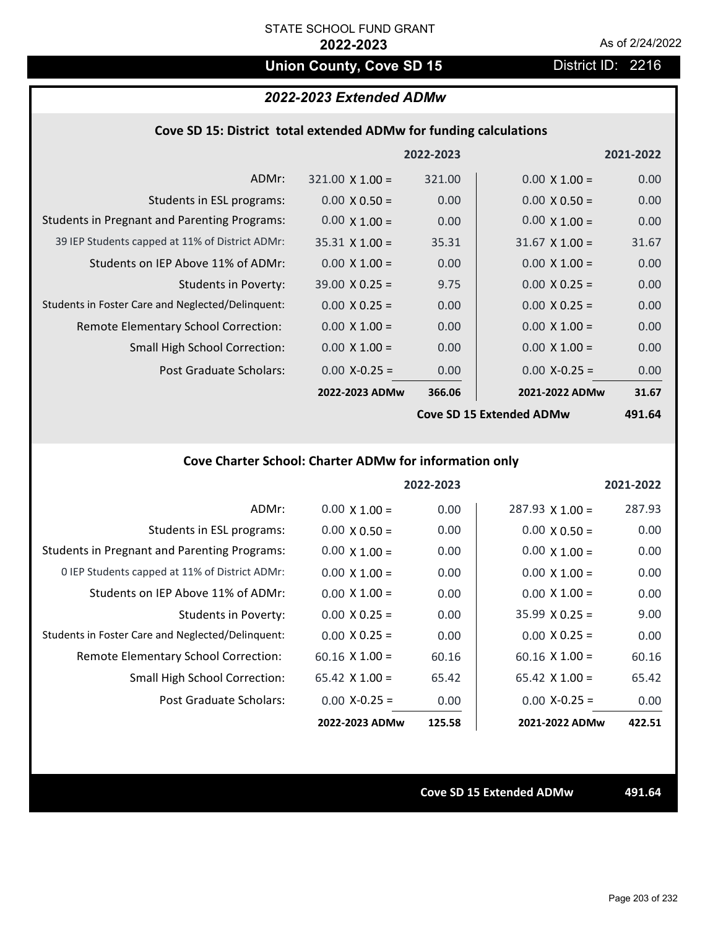## **Union County, Cove SD 15** District ID: 2216

## *2022-2023 Extended ADMw*

### **Cove SD 15: District total extended ADMw for funding calculations**

|                                                     |                        | 2022-2023 |                          | 2021-2022        |
|-----------------------------------------------------|------------------------|-----------|--------------------------|------------------|
| ADMr:                                               | $321.00 \times 1.00 =$ | 321.00    | $0.00 \times 1.00 =$     | 0.00             |
| Students in ESL programs:                           | $0.00 \times 0.50 =$   | 0.00      | $0.00 \times 0.50 =$     | 0.00             |
| <b>Students in Pregnant and Parenting Programs:</b> | $0.00 \times 1.00 =$   | 0.00      | $0.00 \times 1.00 =$     | 0.00             |
| 39 IEP Students capped at 11% of District ADMr:     | $35.31 \times 1.00 =$  | 35.31     | $31.67 \times 1.00 =$    | 31.67            |
| Students on IEP Above 11% of ADMr:                  | $0.00 \times 1.00 =$   | 0.00      | $0.00 \times 1.00 =$     | 0.00             |
| <b>Students in Poverty:</b>                         | $39.00 \times 0.25 =$  | 9.75      | $0.00 \times 0.25 =$     | 0.00             |
| Students in Foster Care and Neglected/Delinquent:   | $0.00 \times 0.25 =$   | 0.00      | $0.00 \times 0.25 =$     | 0.00             |
| Remote Elementary School Correction:                | $0.00 \times 1.00 =$   | 0.00      | $0.00 \times 1.00 =$     | 0.00             |
| <b>Small High School Correction:</b>                | $0.00 \times 1.00 =$   | 0.00      | $0.00 \times 1.00 =$     | 0.00             |
| Post Graduate Scholars:                             | $0.00$ X-0.25 =        | 0.00      | $0.00 X - 0.25 =$        | 0.00             |
|                                                     | 2022-2023 ADMw         | 366.06    | 2021-2022 ADMw           | 31.67            |
|                                                     |                        |           | Coun CD 15 Extended ADMu | 101 <sub>5</sub> |

**Cove SD 15 Extended ADMw**

**491.64**

## **Cove Charter School: Charter ADMw for information only**

|                                                     |                       | 2022-2023 |                        | 2021-2022 |
|-----------------------------------------------------|-----------------------|-----------|------------------------|-----------|
| ADMr:                                               | $0.00 \times 1.00 =$  | 0.00      | $287.93 \times 1.00 =$ | 287.93    |
| Students in ESL programs:                           | $0.00 \times 0.50 =$  | 0.00      | $0.00 \times 0.50 =$   | 0.00      |
| <b>Students in Pregnant and Parenting Programs:</b> | $0.00 \times 1.00 =$  | 0.00      | $0.00 \times 1.00 =$   | 0.00      |
| 0 IEP Students capped at 11% of District ADMr:      | $0.00 \times 1.00 =$  | 0.00      | $0.00 \times 1.00 =$   | 0.00      |
| Students on IEP Above 11% of ADMr:                  | $0.00 \times 1.00 =$  | 0.00      | $0.00 \times 1.00 =$   | 0.00      |
| Students in Poverty:                                | $0.00 \times 0.25 =$  | 0.00      | $35.99 \times 0.25 =$  | 9.00      |
| Students in Foster Care and Neglected/Delinquent:   | $0.00 \times 0.25 =$  | 0.00      | $0.00 \times 0.25 =$   | 0.00      |
| Remote Elementary School Correction:                | $60.16 \times 1.00 =$ | 60.16     | $60.16 \times 1.00 =$  | 60.16     |
| <b>Small High School Correction:</b>                | 65.42 $X$ 1.00 =      | 65.42     | $65.42 \times 1.00 =$  | 65.42     |
| Post Graduate Scholars:                             | $0.00$ X-0.25 =       | 0.00      | $0.00$ X-0.25 =        | 0.00      |
|                                                     | 2022-2023 ADMw        | 125.58    | 2021-2022 ADMw         | 422.51    |

**Cove SD 15 Extended ADMw 491.64**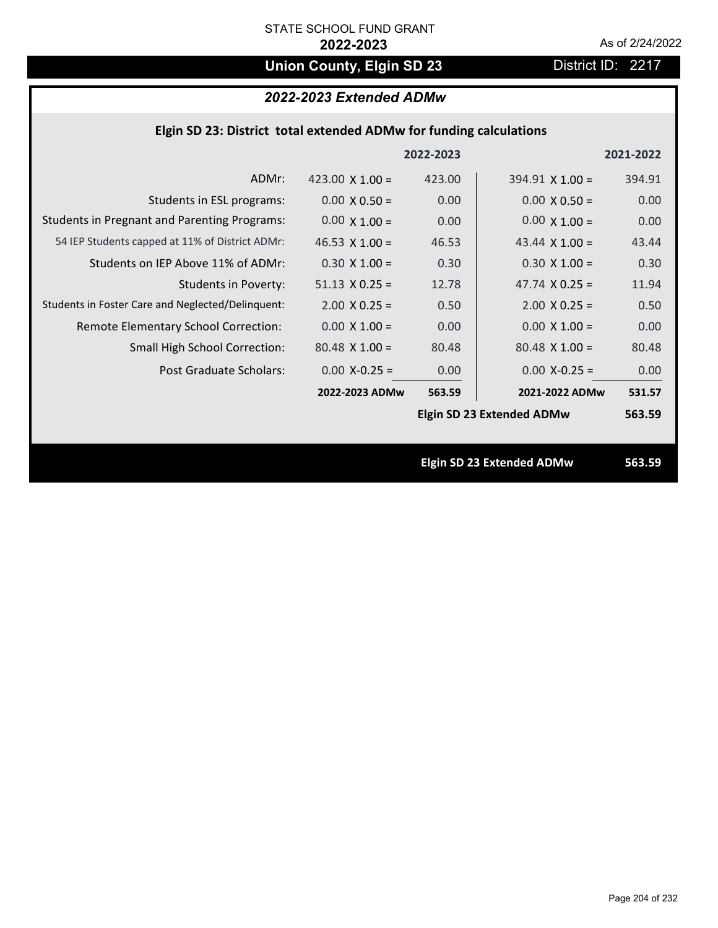# **Union County, Elgin SD 23** District ID: 2217

## *2022-2023 Extended ADMw*

| Elgin SD 23: District total extended ADMw for funding calculations |  |  |  |
|--------------------------------------------------------------------|--|--|--|
|--------------------------------------------------------------------|--|--|--|

|                                                     |                        | 2022-2023 |                                  | 2021-2022 |
|-----------------------------------------------------|------------------------|-----------|----------------------------------|-----------|
| ADMr:                                               | 423.00 $\times$ 1.00 = | 423.00    | $394.91 \times 1.00 =$           | 394.91    |
| Students in ESL programs:                           | $0.00 \times 0.50 =$   | 0.00      | $0.00 \times 0.50 =$             | 0.00      |
| <b>Students in Pregnant and Parenting Programs:</b> | $0.00 \times 1.00 =$   | 0.00      | $0.00 \times 1.00 =$             | 0.00      |
| 54 IEP Students capped at 11% of District ADMr:     | 46.53 $\times$ 1.00 =  | 46.53     | 43.44 $\times$ 1.00 =            | 43.44     |
| Students on IEP Above 11% of ADMr:                  | $0.30 \times 1.00 =$   | 0.30      | $0.30 X 1.00 =$                  | 0.30      |
| <b>Students in Poverty:</b>                         | $51.13 \times 0.25 =$  | 12.78     | 47.74 $X$ 0.25 =                 | 11.94     |
| Students in Foster Care and Neglected/Delinquent:   | $2.00 \times 0.25 =$   | 0.50      | $2.00 \times 0.25 =$             | 0.50      |
| Remote Elementary School Correction:                | $0.00 \times 1.00 =$   | 0.00      | $0.00 \times 1.00 =$             | 0.00      |
| <b>Small High School Correction:</b>                | $80.48 \times 1.00 =$  | 80.48     | $80.48$ X 1.00 =                 | 80.48     |
| <b>Post Graduate Scholars:</b>                      | $0.00$ X-0.25 =        | 0.00      | $0.00 X - 0.25 =$                | 0.00      |
|                                                     | 2022-2023 ADMw         | 563.59    | 2021-2022 ADMw                   | 531.57    |
|                                                     |                        |           | <b>Elgin SD 23 Extended ADMw</b> | 563.59    |
|                                                     |                        |           |                                  |           |
|                                                     |                        |           | <b>Elgin SD 23 Extended ADMw</b> | 563.59    |
|                                                     |                        |           |                                  |           |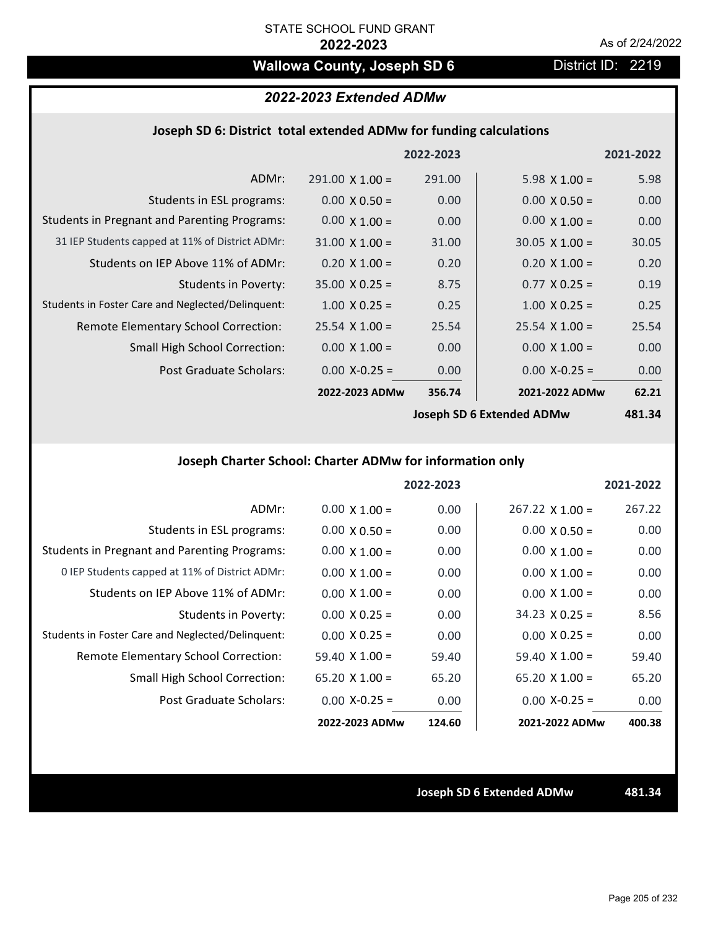## **Wallowa County, Joseph SD 6** District ID: 2219

## *2022-2023 Extended ADMw*

#### **Joseph SD 6: District total extended ADMw for funding calculations**

|                                                     |                        | 2022-2023 |                       | 2021-2022 |
|-----------------------------------------------------|------------------------|-----------|-----------------------|-----------|
| ADMr:                                               | $291.00 \times 1.00 =$ | 291.00    | 5.98 $\times$ 1.00 =  | 5.98      |
| Students in ESL programs:                           | $0.00 \times 0.50 =$   | 0.00      | $0.00 \times 0.50 =$  | 0.00      |
| <b>Students in Pregnant and Parenting Programs:</b> | $0.00 \times 1.00 =$   | 0.00      | $0.00 \times 1.00 =$  | 0.00      |
| 31 IEP Students capped at 11% of District ADMr:     | $31.00 \times 1.00 =$  | 31.00     | $30.05 \times 1.00 =$ | 30.05     |
| Students on IEP Above 11% of ADMr:                  | $0.20 \times 1.00 =$   | 0.20      | $0.20 \times 1.00 =$  | 0.20      |
| <b>Students in Poverty:</b>                         | $35.00 \times 0.25 =$  | 8.75      | $0.77 \times 0.25 =$  | 0.19      |
| Students in Foster Care and Neglected/Delinquent:   | $1.00 \times 0.25 =$   | 0.25      | $1.00 \times 0.25 =$  | 0.25      |
| Remote Elementary School Correction:                | $25.54 \times 1.00 =$  | 25.54     | $25.54 \times 1.00 =$ | 25.54     |
| <b>Small High School Correction:</b>                | $0.00 \times 1.00 =$   | 0.00      | $0.00 \times 1.00 =$  | 0.00      |
| Post Graduate Scholars:                             | $0.00 X - 0.25 =$      | 0.00      | $0.00$ X-0.25 =       | 0.00      |
|                                                     | 2022-2023 ADMw         | 356.74    | 2021-2022 ADMw        | 62.21     |
|                                                     |                        |           |                       |           |

**Joseph SD 6 Extended ADMw**

**481.34**

## **Joseph Charter School: Charter ADMw for information only**

|                                                     |                       | 2022-2023 |                        | 2021-2022 |
|-----------------------------------------------------|-----------------------|-----------|------------------------|-----------|
| ADMr:                                               | $0.00 \times 1.00 =$  | 0.00      | $267.22 \times 1.00 =$ | 267.22    |
| Students in ESL programs:                           | $0.00 \times 0.50 =$  | 0.00      | $0.00 \times 0.50 =$   | 0.00      |
| <b>Students in Pregnant and Parenting Programs:</b> | $0.00 \times 1.00 =$  | 0.00      | $0.00 \times 1.00 =$   | 0.00      |
| 0 IEP Students capped at 11% of District ADMr:      | $0.00 \times 1.00 =$  | 0.00      | $0.00 \times 1.00 =$   | 0.00      |
| Students on IEP Above 11% of ADMr:                  | $0.00 \times 1.00 =$  | 0.00      | $0.00 \times 1.00 =$   | 0.00      |
| Students in Poverty:                                | $0.00 \times 0.25 =$  | 0.00      | $34.23 \times 0.25 =$  | 8.56      |
| Students in Foster Care and Neglected/Delinquent:   | $0.00 \times 0.25 =$  | 0.00      | $0.00 \times 0.25 =$   | 0.00      |
| Remote Elementary School Correction:                | $59.40 \times 1.00 =$ | 59.40     | $59.40 \times 1.00 =$  | 59.40     |
| Small High School Correction:                       | 65.20 $X$ 1.00 =      | 65.20     | $65.20 \times 1.00 =$  | 65.20     |
| Post Graduate Scholars:                             | $0.00$ X-0.25 =       | 0.00      | $0.00 X-0.25 =$        | 0.00      |
|                                                     | 2022-2023 ADMw        | 124.60    | 2021-2022 ADMw         | 400.38    |

**Joseph SD 6 Extended ADMw 481.34**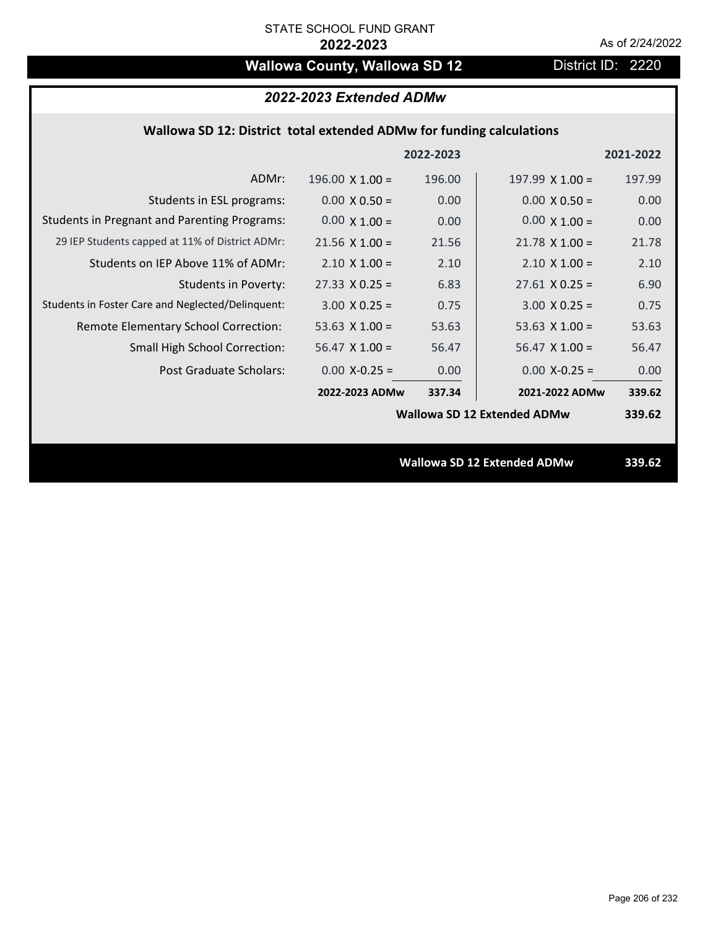## **Wallowa County, Wallowa SD 12** District ID: 2220

## *2022-2023 Extended ADMw*

## **Wallowa SD 12: District total extended ADMw for funding calculations**

|                                                     |                        | 2022-2023 |                                    | 2021-2022 |
|-----------------------------------------------------|------------------------|-----------|------------------------------------|-----------|
| ADMr:                                               | $196.00 \times 1.00 =$ | 196.00    | $197.99 \times 1.00 =$             | 197.99    |
| Students in ESL programs:                           | $0.00 \times 0.50 =$   | 0.00      | $0.00 \times 0.50 =$               | 0.00      |
| <b>Students in Pregnant and Parenting Programs:</b> | $0.00 \times 1.00 =$   | 0.00      | $0.00 \times 1.00 =$               | 0.00      |
| 29 IEP Students capped at 11% of District ADMr:     | $21.56 \times 1.00 =$  | 21.56     | $21.78 \times 1.00 =$              | 21.78     |
| Students on IEP Above 11% of ADMr:                  | $2.10 \times 1.00 =$   | 2.10      | $2.10 \times 1.00 =$               | 2.10      |
| Students in Poverty:                                | $27.33 \times 0.25 =$  | 6.83      | $27.61$ X 0.25 =                   | 6.90      |
| Students in Foster Care and Neglected/Delinquent:   | $3.00 \times 0.25 =$   | 0.75      | $3.00 \times 0.25 =$               | 0.75      |
| Remote Elementary School Correction:                | 53.63 $X$ 1.00 =       | 53.63     | 53.63 $X$ 1.00 =                   | 53.63     |
| <b>Small High School Correction:</b>                | $56.47$ X 1.00 =       | 56.47     | $56.47 \times 1.00 =$              | 56.47     |
| Post Graduate Scholars:                             | $0.00$ X-0.25 =        | 0.00      | $0.00$ X-0.25 =                    | 0.00      |
|                                                     | 2022-2023 ADMw         | 337.34    | 2021-2022 ADMw                     | 339.62    |
|                                                     |                        |           | <b>Wallowa SD 12 Extended ADMw</b> | 339.62    |
|                                                     |                        |           |                                    |           |
|                                                     |                        |           | <b>Wallowa SD 12 Extended ADMw</b> | 339.62    |
|                                                     |                        |           |                                    |           |

Page 206 of 232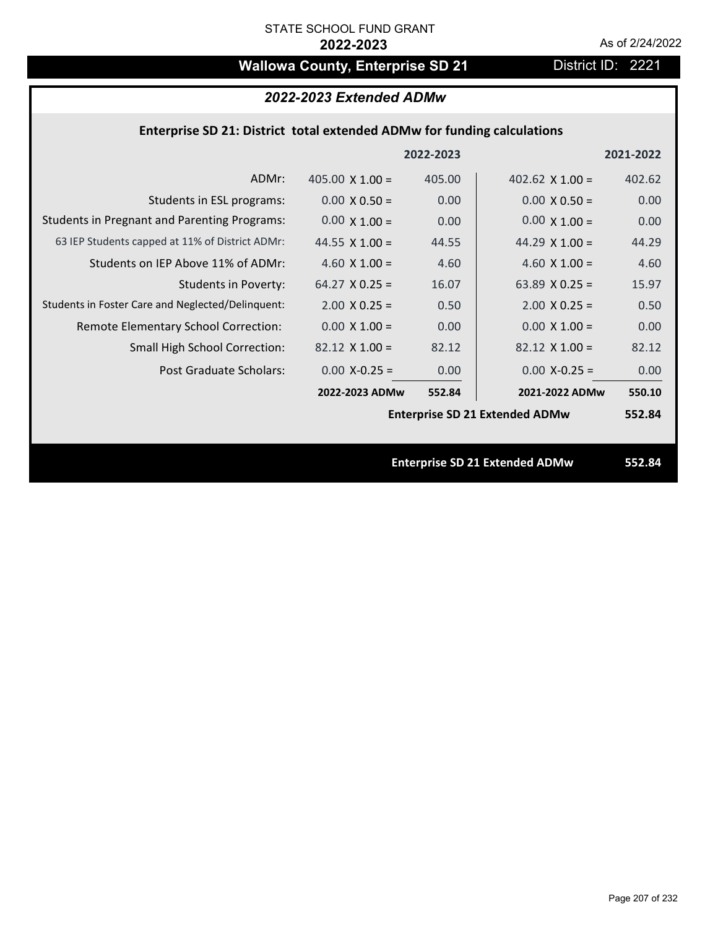## **Wallowa County, Enterprise SD 21** District ID: 2221

## *2022-2023 Extended ADMw*

## **Enterprise SD 21: District total extended ADMw for funding calculations**

|                                                     |                        | 2022-2023 |                                       | 2021-2022 |
|-----------------------------------------------------|------------------------|-----------|---------------------------------------|-----------|
| ADMr:                                               | 405.00 $\times$ 1.00 = | 405.00    | 402.62 $\times$ 1.00 =                | 402.62    |
| Students in ESL programs:                           | $0.00 \times 0.50 =$   | 0.00      | $0.00 \times 0.50 =$                  | 0.00      |
| <b>Students in Pregnant and Parenting Programs:</b> | $0.00 \times 1.00 =$   | 0.00      | $0.00 \times 1.00 =$                  | 0.00      |
| 63 IEP Students capped at 11% of District ADMr:     | 44.55 $\times$ 1.00 =  | 44.55     | 44.29 $\times$ 1.00 =                 | 44.29     |
| Students on IEP Above 11% of ADMr:                  | 4.60 $X$ 1.00 =        | 4.60      | 4.60 $X$ 1.00 =                       | 4.60      |
| <b>Students in Poverty:</b>                         | $64.27$ X 0.25 =       | 16.07     | 63.89 $X$ 0.25 =                      | 15.97     |
| Students in Foster Care and Neglected/Delinquent:   | $2.00 \times 0.25 =$   | 0.50      | $2.00 \times 0.25 =$                  | 0.50      |
| Remote Elementary School Correction:                | $0.00 \times 1.00 =$   | 0.00      | $0.00 \times 1.00 =$                  | 0.00      |
| <b>Small High School Correction:</b>                | $82.12$ X 1.00 =       | 82.12     | $82.12 \times 1.00 =$                 | 82.12     |
| Post Graduate Scholars:                             | $0.00$ X-0.25 =        | 0.00      | $0.00$ X-0.25 =                       | 0.00      |
|                                                     | 2022-2023 ADMw         | 552.84    | 2021-2022 ADMw                        | 550.10    |
|                                                     |                        |           | <b>Enterprise SD 21 Extended ADMw</b> | 552.84    |
|                                                     |                        |           |                                       |           |
|                                                     |                        |           | <b>Enterprise SD 21 Extended ADMw</b> | 552.84    |
|                                                     |                        |           |                                       |           |

Page 207 of 232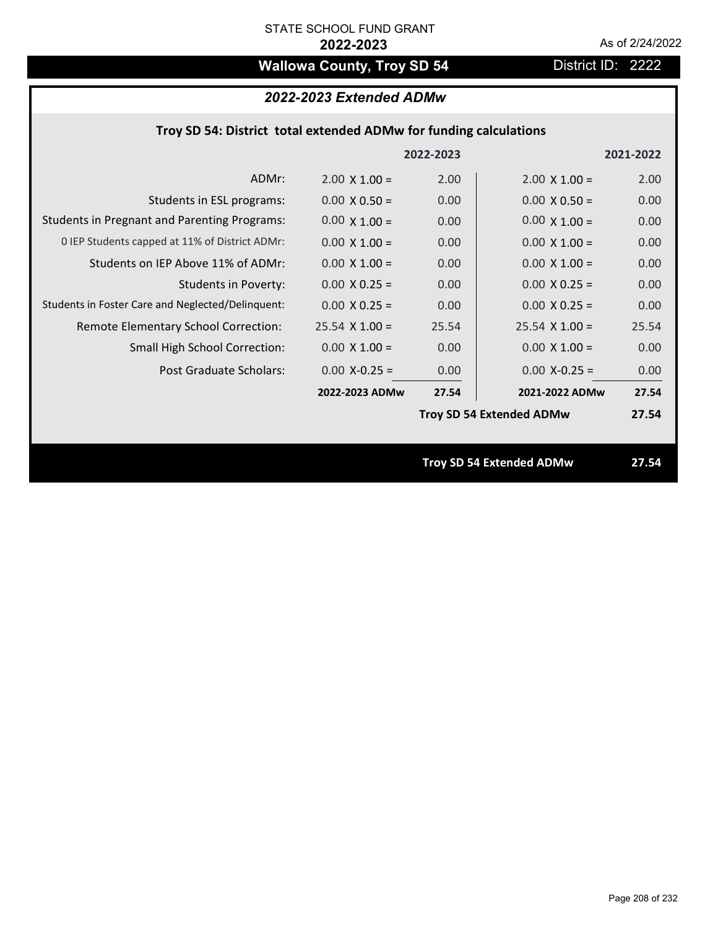# **Wallowa County, Troy SD 54** District ID: 2222

## *2022-2023 Extended ADMw*

|                                                     |                      | 2022-2023         |                                 | 2021-2022 |
|-----------------------------------------------------|----------------------|-------------------|---------------------------------|-----------|
| ADMr:                                               | $2.00 \times 1.00 =$ | 2.00              | $2.00 \times 1.00 =$            | 2.00      |
| Students in ESL programs:                           | $0.00 \times 0.50 =$ | 0.00              | $0.00 \times 0.50 =$            | 0.00      |
| <b>Students in Pregnant and Parenting Programs:</b> | $0.00 \times 1.00 =$ | 0.00              | $0.00 \times 1.00 =$            | 0.00      |
| 0 IEP Students capped at 11% of District ADMr:      | $0.00 \times 1.00 =$ | 0.00              | $0.00 \times 1.00 =$            | 0.00      |
| Students on IEP Above 11% of ADMr:                  | $0.00 \times 1.00 =$ | 0.00              | $0.00 X 1.00 =$                 | 0.00      |
| Students in Poverty:                                | $0.00 \times 0.25 =$ | 0.00              | $0.00 X 0.25 =$                 | 0.00      |
| Students in Foster Care and Neglected/Delinquent:   | $0.00 \times 0.25 =$ | 0.00              | $0.00 X 0.25 =$                 | 0.00      |
| Remote Elementary School Correction:                | $25.54$ X 1.00 =     | 25.54             | $25.54 \times 1.00 =$           | 25.54     |
| <b>Small High School Correction:</b>                | $0.00 \times 1.00 =$ | 0.00 <sub>1</sub> | $0.00 \times 1.00 =$            | 0.00      |
| Post Graduate Scholars:                             | $0.00 X - 0.25 =$    | 0.00              | $0.00$ X-0.25 =                 | 0.00      |
|                                                     | 2022-2023 ADMw       | 27.54             | 2021-2022 ADMw                  | 27.54     |
|                                                     |                      |                   | <b>Troy SD 54 Extended ADMw</b> | 27.54     |
|                                                     |                      |                   |                                 |           |
|                                                     |                      |                   | <b>Troy SD 54 Extended ADMw</b> | 27.54     |
|                                                     |                      |                   |                                 |           |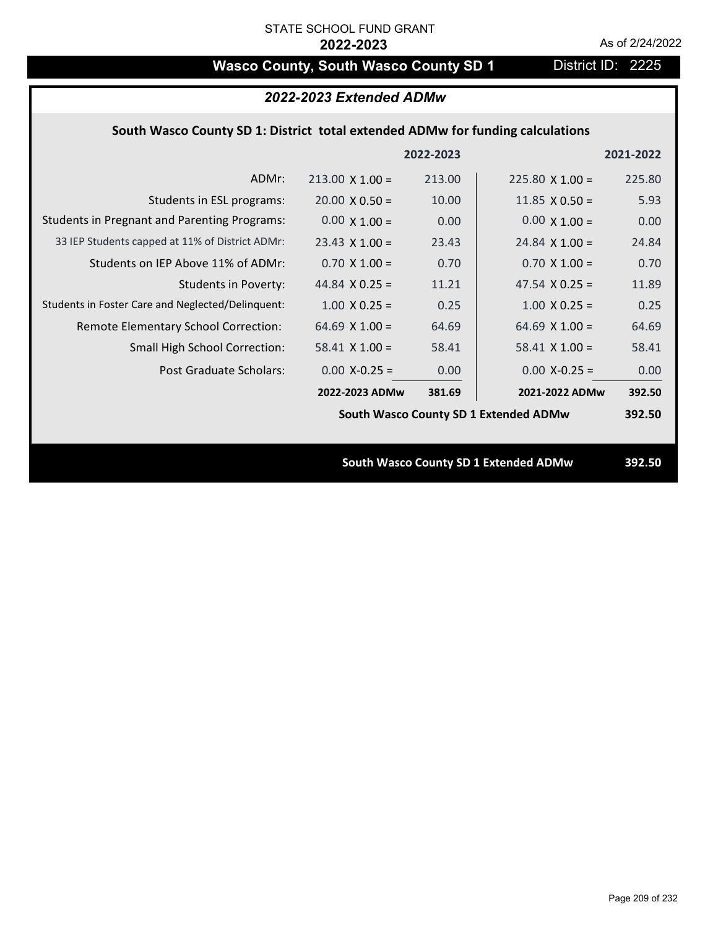# Wasco County, South Wasco County SD 1 District ID: 2225

| 2022-2023 Extended ADMw                                                        |                        |           |                                       |           |  |
|--------------------------------------------------------------------------------|------------------------|-----------|---------------------------------------|-----------|--|
| South Wasco County SD 1: District total extended ADMw for funding calculations |                        |           |                                       |           |  |
|                                                                                |                        | 2022-2023 |                                       | 2021-2022 |  |
| ADMr:                                                                          | $213.00 \times 1.00 =$ | 213.00    | $225.80 \times 1.00 =$                | 225.80    |  |
| Students in ESL programs:                                                      | $20.00 \times 0.50 =$  | 10.00     | 11.85 $\times$ 0.50 =                 | 5.93      |  |
| <b>Students in Pregnant and Parenting Programs:</b>                            | $0.00 \times 1.00 =$   | 0.00      | $0.00 \times 1.00 =$                  | 0.00      |  |
| 33 IEP Students capped at 11% of District ADMr:                                | $23.43 \times 1.00 =$  | 23.43     | $24.84 \times 1.00 =$                 | 24.84     |  |
| Students on IEP Above 11% of ADMr:                                             | $0.70$ X $1.00 =$      | 0.70      | $0.70 \times 1.00 =$                  | 0.70      |  |
| <b>Students in Poverty:</b>                                                    | 44.84 $X$ 0.25 =       | 11.21     | 47.54 $X$ 0.25 =                      | 11.89     |  |
| Students in Foster Care and Neglected/Delinquent:                              | $1.00$ X 0.25 =        | 0.25      | $1.00$ X 0.25 =                       | 0.25      |  |
| Remote Elementary School Correction:                                           | 64.69 $X$ 1.00 =       | 64.69     | 64.69 $X$ 1.00 =                      | 64.69     |  |
| Small High School Correction:                                                  | $58.41$ X 1.00 =       | 58.41     | $58.41$ X 1.00 =                      | 58.41     |  |
| <b>Post Graduate Scholars:</b>                                                 | $0.00$ X-0.25 =        | 0.00      | $0.00$ X-0.25 =                       | 0.00      |  |
|                                                                                | 2022-2023 ADMw         | 381.69    | 2021-2022 ADMw                        | 392.50    |  |
|                                                                                |                        |           | South Wasco County SD 1 Extended ADMw | 392.50    |  |
|                                                                                |                        |           |                                       |           |  |
|                                                                                |                        |           | South Wasco County SD 1 Extended ADMw | 392.50    |  |
|                                                                                |                        |           |                                       |           |  |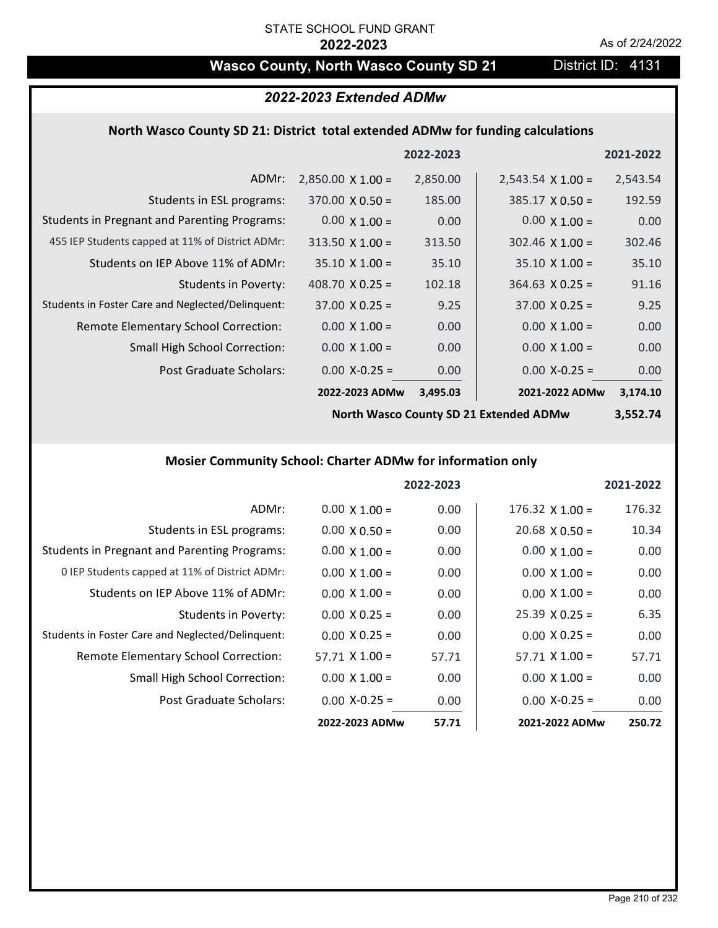## Wasco County, North Wasco County SD 21 District ID: 4131

### *2022-2023 Extended ADMw*

#### **North Wasco County SD 21: District total extended ADMw for funding calculations**

|                                                     |                          | 2022-2023 |                          | 2021-2022 |
|-----------------------------------------------------|--------------------------|-----------|--------------------------|-----------|
| ADMr:                                               | $2,850.00 \times 1.00 =$ | 2,850.00  | $2,543.54 \times 1.00 =$ | 2,543.54  |
| Students in ESL programs:                           | $370.00 \times 0.50 =$   | 185.00    | $385.17 \times 0.50 =$   | 192.59    |
| <b>Students in Pregnant and Parenting Programs:</b> | $0.00 \times 1.00 =$     | 0.00      | $0.00 \times 1.00 =$     | 0.00      |
| 455 IEP Students capped at 11% of District ADMr:    | $313.50 \times 1.00 =$   | 313.50    | $302.46 \times 1.00 =$   | 302.46    |
| Students on IEP Above 11% of ADMr:                  | $35.10 \times 1.00 =$    | 35.10     | $35.10 \times 1.00 =$    | 35.10     |
| Students in Poverty:                                | 408.70 $X$ 0.25 =        | 102.18    | $364.63 \times 0.25 =$   | 91.16     |
| Students in Foster Care and Neglected/Delinquent:   | $37.00 \times 0.25 =$    | 9.25      | $37.00 \times 0.25 =$    | 9.25      |
| Remote Elementary School Correction:                | $0.00 \times 1.00 =$     | 0.00      | $0.00 \times 1.00 =$     | 0.00      |
| <b>Small High School Correction:</b>                | $0.00 \times 1.00 =$     | 0.00      | $0.00 \times 1.00 =$     | 0.00      |
| Post Graduate Scholars:                             | $0.00$ X-0.25 =          | 0.00      | $0.00$ X-0.25 =          | 0.00      |
|                                                     | 2022-2023 ADMw           | 3,495.03  | 2021-2022 ADMw           | 3,174.10  |
|                                                     |                          |           |                          |           |

**North Wasco County SD 21 Extended ADMw**

# **3,552.74**

## **Mosier Community School: Charter ADMw for information only**

|                                                     |                       | 2022-2023 |                        | 2021-2022 |
|-----------------------------------------------------|-----------------------|-----------|------------------------|-----------|
| ADMr:                                               | $0.00 \times 1.00 =$  | 0.00      | $176.32 \times 1.00 =$ | 176.32    |
| Students in ESL programs:                           | $0.00 \times 0.50 =$  | 0.00      | $20.68 \times 0.50 =$  | 10.34     |
| <b>Students in Pregnant and Parenting Programs:</b> | $0.00 \times 1.00 =$  | 0.00      | $0.00 \times 1.00 =$   | 0.00      |
| 0 IEP Students capped at 11% of District ADMr:      | $0.00 \times 1.00 =$  | 0.00      | $0.00 \times 1.00 =$   | 0.00      |
| Students on IEP Above 11% of ADMr:                  | $0.00 \times 1.00 =$  | 0.00      | $0.00 \times 1.00 =$   | 0.00      |
| <b>Students in Poverty:</b>                         | $0.00 \times 0.25 =$  | 0.00      | $25.39 \times 0.25 =$  | 6.35      |
| Students in Foster Care and Neglected/Delinquent:   | $0.00 \times 0.25 =$  | 0.00      | $0.00 \times 0.25 =$   | 0.00      |
| Remote Elementary School Correction:                | $57.71 \times 1.00 =$ | 57.71     | $57.71 \times 1.00 =$  | 57.71     |
| <b>Small High School Correction:</b>                | $0.00 \times 1.00 =$  | 0.00      | $0.00 \times 1.00 =$   | 0.00      |
| Post Graduate Scholars:                             | $0.00$ X-0.25 =       | 0.00      | $0.00 X-0.25 =$        | 0.00      |
|                                                     | 2022-2023 ADMw        | 57.71     | 2021-2022 ADMw         | 250.72    |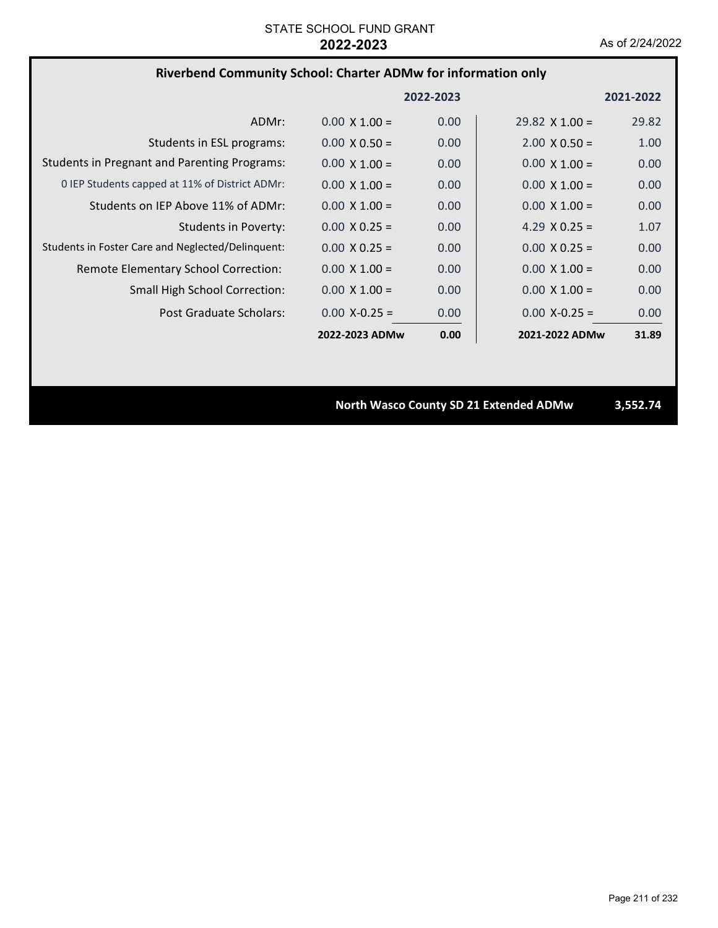## **Riverbend Community School: Charter ADMw for information only**

|                                                     |                      | 2022-2023         |                       | 2021-2022 |
|-----------------------------------------------------|----------------------|-------------------|-----------------------|-----------|
| ADMr:                                               | $0.00 \times 1.00 =$ | 0.00              | $29.82 \times 1.00 =$ | 29.82     |
| Students in ESL programs:                           | $0.00 \times 0.50 =$ | 0.00              | $2.00 \times 0.50 =$  | 1.00      |
| <b>Students in Pregnant and Parenting Programs:</b> | $0.00 \times 1.00 =$ | 0.00              | $0.00 \times 1.00 =$  | 0.00      |
| 0 IEP Students capped at 11% of District ADMr:      | $0.00 \times 1.00 =$ | 0.00              | $0.00 \times 1.00 =$  | 0.00      |
| Students on IEP Above 11% of ADMr:                  | $0.00 \times 1.00 =$ | 0.00              | $0.00 \times 1.00 =$  | 0.00      |
| Students in Poverty:                                | $0.00 \times 0.25 =$ | 0.00              | 4.29 $X$ 0.25 =       | 1.07      |
| Students in Foster Care and Neglected/Delinquent:   | $0.00 \times 0.25 =$ | 0.00              | $0.00 \times 0.25 =$  | 0.00      |
| Remote Elementary School Correction:                | $0.00 \times 1.00 =$ | 0.00              | $0.00 \times 1.00 =$  | 0.00      |
| <b>Small High School Correction:</b>                | $0.00 \times 1.00 =$ | 0.00              | $0.00 \times 1.00 =$  | 0.00      |
| Post Graduate Scholars:                             | $0.00$ X-0.25 =      | 0.00 <sub>1</sub> | $0.00$ X-0.25 =       | 0.00      |
|                                                     | 2022-2023 ADMw       | 0.00              | 2021-2022 ADMw        | 31.89     |

**North Wasco County SD 21 Extended ADMw 3,552.74**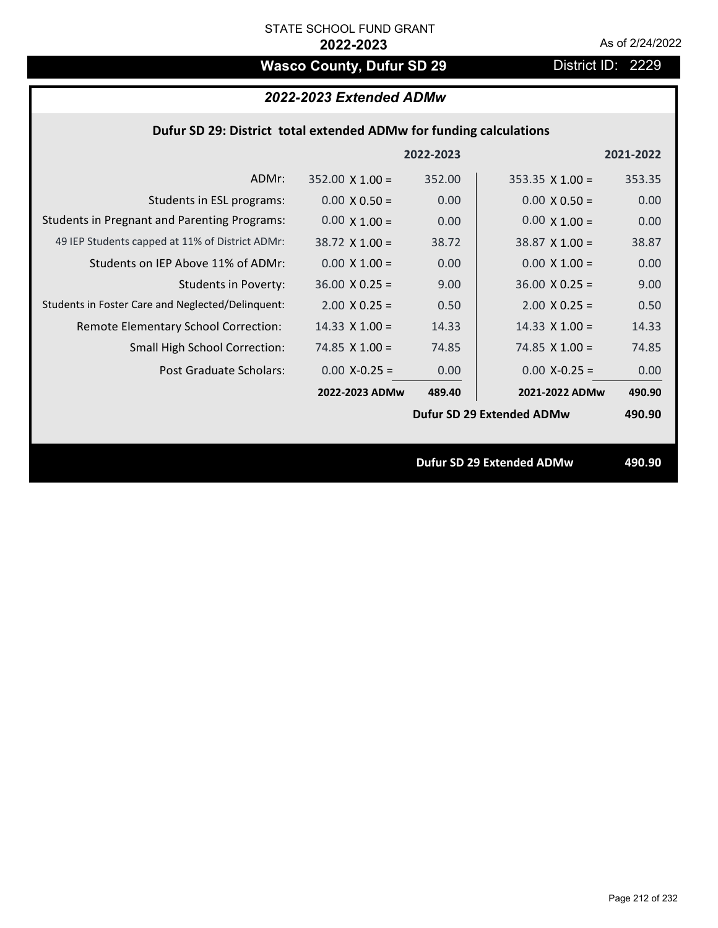## **Wasco County, Dufur SD 29** District ID: 2229

## *2022-2023 Extended ADMw*

## **Dufur SD 29: District total extended ADMw for funding calculations**

|                                                     |                        | 2022-2023 |                                  | 2021-2022 |
|-----------------------------------------------------|------------------------|-----------|----------------------------------|-----------|
| ADMr:                                               | $352.00 \times 1.00 =$ | 352.00    | $353.35 \times 1.00 =$           | 353.35    |
| Students in ESL programs:                           | $0.00 \times 0.50 =$   | 0.00      | $0.00 \times 0.50 =$             | 0.00      |
| <b>Students in Pregnant and Parenting Programs:</b> | $0.00 \times 1.00 =$   | 0.00      | $0.00 \times 1.00 =$             | 0.00      |
| 49 IEP Students capped at 11% of District ADMr:     | $38.72 \times 1.00 =$  | 38.72     | $38.87$ X 1.00 =                 | 38.87     |
| Students on IEP Above 11% of ADMr:                  | $0.00 \times 1.00 =$   | 0.00      | $0.00 \times 1.00 =$             | 0.00      |
| <b>Students in Poverty:</b>                         | $36.00 \times 0.25 =$  | 9.00      | $36.00 \times 0.25 =$            | 9.00      |
| Students in Foster Care and Neglected/Delinquent:   | $2.00 \times 0.25 =$   | 0.50      | $2.00 \times 0.25 =$             | 0.50      |
| Remote Elementary School Correction:                | $14.33 \times 1.00 =$  | 14.33     | $14.33 \times 1.00 =$            | 14.33     |
| <b>Small High School Correction:</b>                | 74.85 $X$ 1.00 =       | 74.85     | 74.85 $\times$ 1.00 =            | 74.85     |
| Post Graduate Scholars:                             | $0.00 X-0.25 =$        | 0.00      | $0.00 X - 0.25 =$                | 0.00      |
|                                                     | 2022-2023 ADMw         | 489.40    | 2021-2022 ADMw                   | 490.90    |
|                                                     |                        |           | Dufur SD 29 Extended ADMw        | 490.90    |
|                                                     |                        |           |                                  |           |
|                                                     |                        |           | <b>Dufur SD 29 Extended ADMw</b> | 490.90    |
|                                                     |                        |           |                                  |           |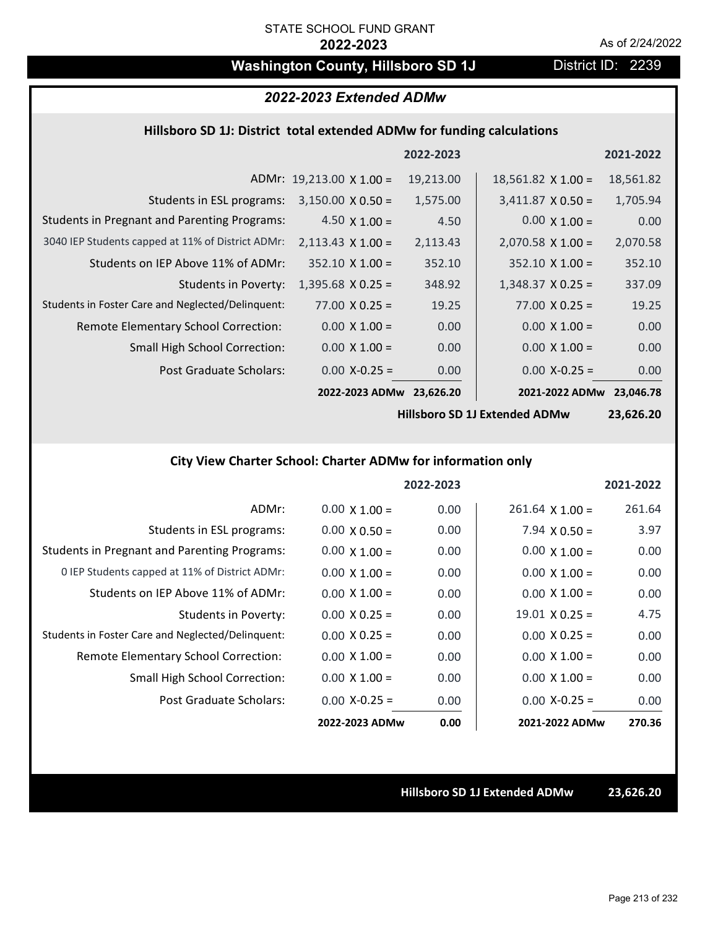## **Washington County, Hillsboro SD 1J** District ID: 2239

## *2022-2023 Extended ADMw*

#### **Hillsboro SD 1J: District total extended ADMw for funding calculations**

|                                                     |                                 | 2022-2023 |                           | 2021-2022 |
|-----------------------------------------------------|---------------------------------|-----------|---------------------------|-----------|
|                                                     | ADMr: $19,213.00 \times 1.00 =$ | 19,213.00 | $18,561.82 \times 1.00 =$ | 18,561.82 |
| Students in ESL programs:                           | $3,150.00 \times 0.50 =$        | 1,575.00  | $3,411.87 \times 0.50 =$  | 1,705.94  |
| <b>Students in Pregnant and Parenting Programs:</b> | $4.50 \times 1.00 =$            | 4.50      | $0.00 \times 1.00 =$      | 0.00      |
| 3040 IEP Students capped at 11% of District ADMr:   | $2,113.43 \times 1.00 =$        | 2,113.43  | $2,070.58 \times 1.00 =$  | 2,070.58  |
| Students on IEP Above 11% of ADMr:                  | $352.10 \times 1.00 =$          | 352.10    | $352.10 \times 1.00 =$    | 352.10    |
| <b>Students in Poverty:</b>                         | $1,395.68$ X 0.25 =             | 348.92    | $1,348.37 \times 0.25 =$  | 337.09    |
| Students in Foster Care and Neglected/Delinquent:   | $77.00 \times 0.25 =$           | 19.25     | $77.00 \times 0.25 =$     | 19.25     |
| Remote Elementary School Correction:                | $0.00 \times 1.00 =$            | 0.00      | $0.00 \times 1.00 =$      | 0.00      |
| <b>Small High School Correction:</b>                | $0.00 \times 1.00 =$            | 0.00      | $0.00 \times 1.00 =$      | 0.00      |
| Post Graduate Scholars:                             | $0.00$ X-0.25 =                 | 0.00      | $0.00$ X-0.25 =           | 0.00      |
|                                                     | 2022-2023 ADMw                  | 23,626.20 | 2021-2022 ADMw            | 23,046.78 |

**Hillsboro SD 1J Extended ADMw**

**23,626.20**

### **City View Charter School: Charter ADMw for information only**

|                                                     |                      | 2022-2023 |                        | 2021-2022 |
|-----------------------------------------------------|----------------------|-----------|------------------------|-----------|
| ADMr:                                               | $0.00 \times 1.00 =$ | 0.00      | $261.64 \times 1.00 =$ | 261.64    |
| Students in ESL programs:                           | $0.00 \times 0.50 =$ | 0.00      | 7.94 $\times$ 0.50 =   | 3.97      |
| <b>Students in Pregnant and Parenting Programs:</b> | $0.00 \times 1.00 =$ | 0.00      | $0.00 \times 1.00 =$   | 0.00      |
| 0 IEP Students capped at 11% of District ADMr:      | $0.00 \times 1.00 =$ | 0.00      | $0.00 \times 1.00 =$   | 0.00      |
| Students on IEP Above 11% of ADMr:                  | $0.00 \times 1.00 =$ | 0.00      | $0.00 \times 1.00 =$   | 0.00      |
| Students in Poverty:                                | $0.00 \times 0.25 =$ | 0.00      | $19.01 \times 0.25 =$  | 4.75      |
| Students in Foster Care and Neglected/Delinquent:   | $0.00 \times 0.25 =$ | 0.00      | $0.00 \times 0.25 =$   | 0.00      |
| Remote Elementary School Correction:                | $0.00 \times 1.00 =$ | 0.00      | $0.00 \times 1.00 =$   | 0.00      |
| <b>Small High School Correction:</b>                | $0.00 \times 1.00 =$ | 0.00      | $0.00 \times 1.00 =$   | 0.00      |
| Post Graduate Scholars:                             | $0.00$ X-0.25 =      | 0.00      | $0.00$ X-0.25 =        | 0.00      |
|                                                     | 2022-2023 ADMw       | 0.00      | 2021-2022 ADMw         | 270.36    |

#### **Hillsboro SD 1J Extended ADMw 23,626.20**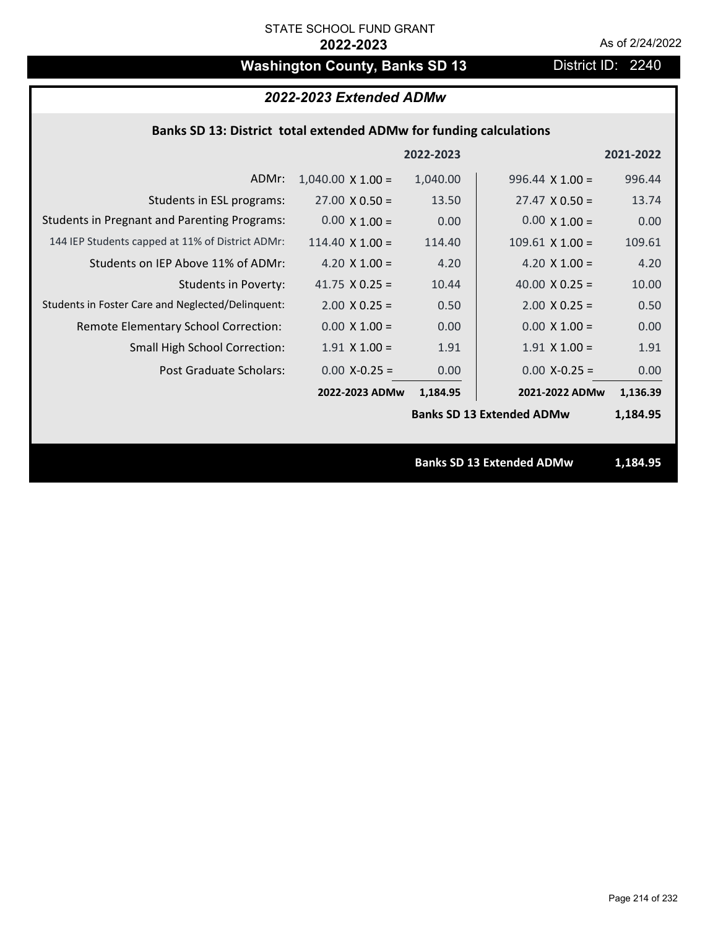## **Washington County, Banks SD 13** District ID: 2240

## *2022-2023 Extended ADMw*

### **Banks SD 13: District total extended ADMw for funding calculations**

|                                                     |                          | 2022-2023 |                                  | 2021-2022 |
|-----------------------------------------------------|--------------------------|-----------|----------------------------------|-----------|
| ADMr:                                               | $1,040.00 \times 1.00 =$ | 1,040.00  | $996.44 \times 1.00 =$           | 996.44    |
| Students in ESL programs:                           | $27.00 \times 0.50 =$    | 13.50     | $27.47 \times 0.50 =$            | 13.74     |
| <b>Students in Pregnant and Parenting Programs:</b> | $0.00 \times 1.00 =$     | 0.00      | $0.00 \times 1.00 =$             | 0.00      |
| 144 IEP Students capped at 11% of District ADMr:    | $114.40 \times 1.00 =$   | 114.40    | $109.61$ X $1.00 =$              | 109.61    |
| Students on IEP Above 11% of ADMr:                  | 4.20 $X$ 1.00 =          | 4.20      | 4.20 $X$ 1.00 =                  | 4.20      |
| <b>Students in Poverty:</b>                         | 41.75 $X$ 0.25 =         | 10.44     | 40.00 $X$ 0.25 =                 | 10.00     |
| Students in Foster Care and Neglected/Delinquent:   | $2.00 \times 0.25 =$     | 0.50      | $2.00 \times 0.25 =$             | 0.50      |
| Remote Elementary School Correction:                | $0.00 \times 1.00 =$     | 0.00      | $0.00 \times 1.00 =$             | 0.00      |
| <b>Small High School Correction:</b>                | $1.91$ X $1.00 =$        | 1.91      | $1.91$ X $1.00 =$                | 1.91      |
| Post Graduate Scholars:                             | $0.00$ X-0.25 =          | 0.00      | $0.00$ X-0.25 =                  | 0.00      |
|                                                     | 2022-2023 ADMw           | 1,184.95  | 2021-2022 ADMw                   | 1,136.39  |
|                                                     |                          |           | <b>Banks SD 13 Extended ADMw</b> | 1,184.95  |
|                                                     |                          |           |                                  |           |
|                                                     |                          |           | <b>Banks SD 13 Extended ADMw</b> | 1,184.95  |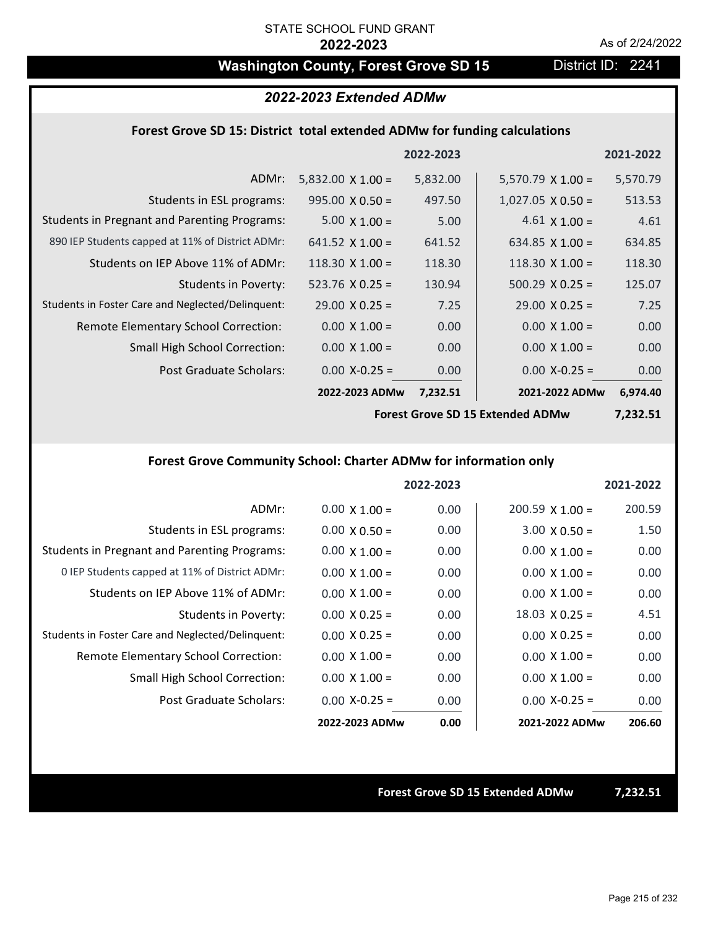## Washington County, Forest Grove SD 15 District ID: 2241

## *2022-2023 Extended ADMw*

#### **Forest Grove SD 15: District total extended ADMw for funding calculations**

|                                                     |                          | 2022-2023 |                          | 2021-2022 |
|-----------------------------------------------------|--------------------------|-----------|--------------------------|-----------|
| ADMr:                                               | $5,832.00 \times 1.00 =$ | 5,832.00  | $5,570.79 \times 1.00 =$ | 5,570.79  |
| Students in ESL programs:                           | $995.00 \times 0.50 =$   | 497.50    | $1,027.05 \times 0.50 =$ | 513.53    |
| <b>Students in Pregnant and Parenting Programs:</b> | $5.00 \times 1.00 =$     | 5.00      | 4.61 $\times$ 1.00 =     | 4.61      |
| 890 IEP Students capped at 11% of District ADMr:    | 641.52 $\times$ 1.00 =   | 641.52    | 634.85 $\times$ 1.00 =   | 634.85    |
| Students on IEP Above 11% of ADMr:                  | $118.30 \times 1.00 =$   | 118.30    | $118.30 \times 1.00 =$   | 118.30    |
| Students in Poverty:                                | $523.76 \times 0.25 =$   | 130.94    | $500.29 \times 0.25 =$   | 125.07    |
| Students in Foster Care and Neglected/Delinquent:   | $29.00 \times 0.25 =$    | 7.25      | $29.00 \times 0.25 =$    | 7.25      |
| Remote Elementary School Correction:                | $0.00 \times 1.00 =$     | 0.00      | $0.00 \times 1.00 =$     | 0.00      |
| <b>Small High School Correction:</b>                | $0.00 \times 1.00 =$     | 0.00      | $0.00 \times 1.00 =$     | 0.00      |
| Post Graduate Scholars:                             | $0.00 X - 0.25 =$        | 0.00      | $0.00$ X-0.25 =          | 0.00      |
|                                                     | 2022-2023 ADMw           | 7,232.51  | 2021-2022 ADMw           | 6,974.40  |

**Forest Grove SD 15 Extended ADMw**

**7,232.51**

### **Forest Grove Community School: Charter ADMw for information only**

|                                                     |                      | 2022-2023 |                        | 2021-2022 |
|-----------------------------------------------------|----------------------|-----------|------------------------|-----------|
| ADMr:                                               | $0.00 \times 1.00 =$ | 0.00      | $200.59 \times 1.00 =$ | 200.59    |
| Students in ESL programs:                           | $0.00 \times 0.50 =$ | 0.00      | $3.00 \times 0.50 =$   | 1.50      |
| <b>Students in Pregnant and Parenting Programs:</b> | $0.00 \times 1.00 =$ | 0.00      | $0.00 \times 1.00 =$   | 0.00      |
| 0 IEP Students capped at 11% of District ADMr:      | $0.00 \times 1.00 =$ | 0.00      | $0.00 \times 1.00 =$   | 0.00      |
| Students on IEP Above 11% of ADMr:                  | $0.00 \times 1.00 =$ | 0.00      | $0.00 \times 1.00 =$   | 0.00      |
| Students in Poverty:                                | $0.00 \times 0.25 =$ | 0.00      | $18.03 \times 0.25 =$  | 4.51      |
| Students in Foster Care and Neglected/Delinquent:   | $0.00 \times 0.25 =$ | 0.00      | $0.00 \times 0.25 =$   | 0.00      |
| Remote Elementary School Correction:                | $0.00 \times 1.00 =$ | 0.00      | $0.00 \times 1.00 =$   | 0.00      |
| <b>Small High School Correction:</b>                | $0.00 \times 1.00 =$ | 0.00      | $0.00 \times 1.00 =$   | 0.00      |
| Post Graduate Scholars:                             | $0.00$ X-0.25 =      | 0.00      | $0.00 X - 0.25 =$      | 0.00      |
|                                                     | 2022-2023 ADMw       | 0.00      | 2021-2022 ADMw         | 206.60    |

**Forest Grove SD 15 Extended ADMw 7,232.51**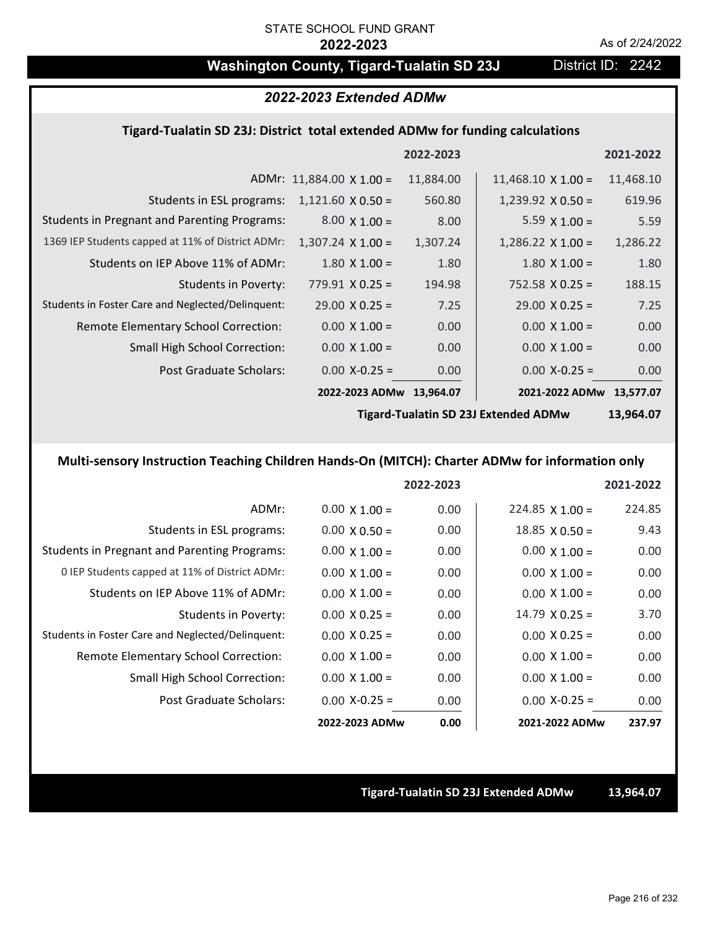## Washington County, Tigard-Tualatin SD 23J District ID: 2242

### *2022-2023 Extended ADMw*

#### **Tigard‐Tualatin SD 23J: District total extended ADMw for funding calculations**

|                                                     |                                 | 2022-2023 |                           | 2021-2022 |
|-----------------------------------------------------|---------------------------------|-----------|---------------------------|-----------|
|                                                     | ADMr: $11,884.00 \times 1.00 =$ | 11,884.00 | $11,468.10 \times 1.00 =$ | 11,468.10 |
| Students in ESL programs:                           | $1,121.60 \times 0.50 =$        | 560.80    | $1,239.92 \times 0.50 =$  | 619.96    |
| <b>Students in Pregnant and Parenting Programs:</b> | $8.00 \times 1.00 =$            | 8.00      | $5.59 \times 1.00 =$      | 5.59      |
| 1369 IEP Students capped at 11% of District ADMr:   | $1,307.24 \times 1.00 =$        | 1,307.24  | $1,286.22 \times 1.00 =$  | 1,286.22  |
| Students on IEP Above 11% of ADMr:                  | $1.80 \times 1.00 =$            | 1.80      | $1.80 \times 1.00 =$      | 1.80      |
| <b>Students in Poverty:</b>                         | $779.91 \times 0.25 =$          | 194.98    | $752.58$ X 0.25 =         | 188.15    |
| Students in Foster Care and Neglected/Delinquent:   | $29.00 \times 0.25 =$           | 7.25      | $29.00 \times 0.25 =$     | 7.25      |
| Remote Elementary School Correction:                | $0.00 \times 1.00 =$            | 0.00      | $0.00 \times 1.00 =$      | 0.00      |
| <b>Small High School Correction:</b>                | $0.00 \times 1.00 =$            | 0.00      | $0.00 \times 1.00 =$      | 0.00      |
| Post Graduate Scholars:                             | $0.00 X - 0.25 =$               | 0.00      | $0.00$ X-0.25 =           | 0.00      |
|                                                     | 2022-2023 ADMw                  | 13,964.07 | 2021-2022 ADMw 13,577.07  |           |
|                                                     |                                 |           |                           |           |

**Tigard‐Tualatin SD 23J Extended ADMw**

**13,964.07**

## **Multi‐sensory Instruction Teaching Children Hands‐On (MITCH): Charter ADMw for information only**

|                                                     |                      | 2022-2023 |                        | 2021-2022 |
|-----------------------------------------------------|----------------------|-----------|------------------------|-----------|
| ADMr:                                               | $0.00 \times 1.00 =$ | 0.00      | $224.85 \times 1.00 =$ | 224.85    |
| Students in ESL programs:                           | $0.00 \times 0.50 =$ | 0.00      | $18.85 \times 0.50 =$  | 9.43      |
| <b>Students in Pregnant and Parenting Programs:</b> | $0.00 \times 1.00 =$ | 0.00      | $0.00 \times 1.00 =$   | 0.00      |
| 0 IEP Students capped at 11% of District ADMr:      | $0.00 \times 1.00 =$ | 0.00      | $0.00 \times 1.00 =$   | 0.00      |
| Students on IEP Above 11% of ADMr:                  | $0.00 \times 1.00 =$ | 0.00      | $0.00 \times 1.00 =$   | 0.00      |
| Students in Poverty:                                | $0.00 \times 0.25 =$ | 0.00      | $14.79 \times 0.25 =$  | 3.70      |
| Students in Foster Care and Neglected/Delinquent:   | $0.00 \times 0.25 =$ | 0.00      | $0.00 \times 0.25 =$   | 0.00      |
| <b>Remote Elementary School Correction:</b>         | $0.00 \times 1.00 =$ | 0.00      | $0.00 \times 1.00 =$   | 0.00      |
| Small High School Correction:                       | $0.00 \times 1.00 =$ | 0.00      | $0.00 \times 1.00 =$   | 0.00      |
| Post Graduate Scholars:                             | $0.00 X - 0.25 =$    | 0.00      | $0.00$ X-0.25 =        | 0.00      |
|                                                     | 2022-2023 ADMw       | 0.00      | 2021-2022 ADMw         | 237.97    |

**Tigard‐Tualatin SD 23J Extended ADMw 13,964.07**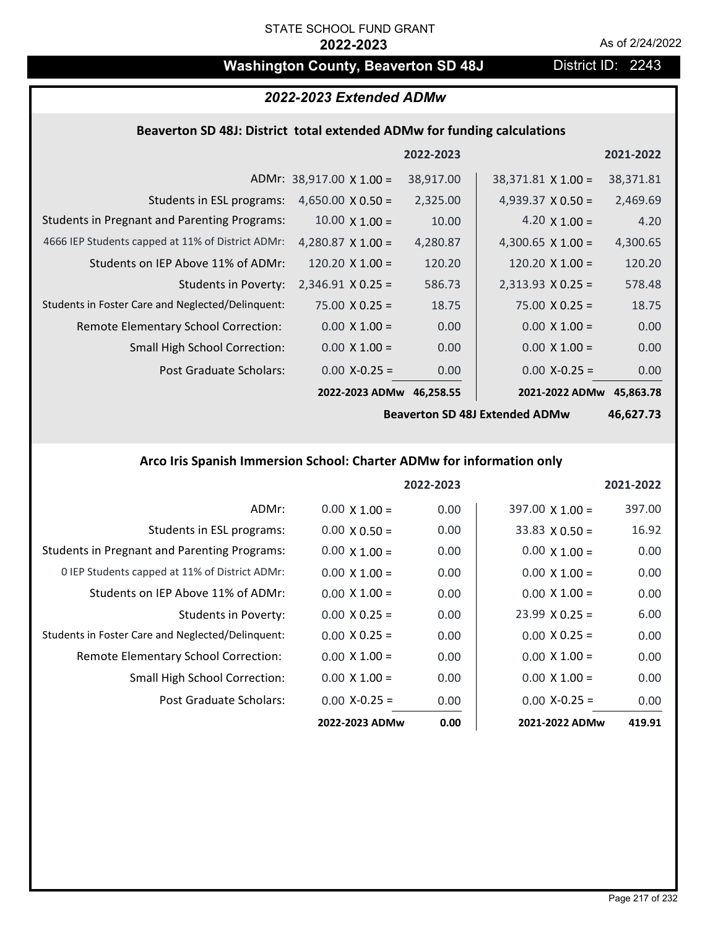# **Washington County, Beaverton SD 48J** District ID: 2243

## *2022-2023 Extended ADMw*

#### **Beaverton SD 48J: District total extended ADMw for funding calculations**

|                                                     |                                 | 2022-2023 |                           | 2021-2022 |
|-----------------------------------------------------|---------------------------------|-----------|---------------------------|-----------|
|                                                     | ADMr: $38,917.00 \times 1.00 =$ | 38,917.00 | $38,371.81 \times 1.00 =$ | 38,371.81 |
| Students in ESL programs:                           | 4,650.00 $\times$ 0.50 =        | 2,325.00  | 4,939.37 $\times$ 0.50 =  | 2,469.69  |
| <b>Students in Pregnant and Parenting Programs:</b> | $10.00 \times 1.00 =$           | 10.00     | 4.20 $\times$ 1.00 =      | 4.20      |
| 4666 IEP Students capped at 11% of District ADMr:   | 4,280.87 $\times$ 1.00 =        | 4,280.87  | 4,300.65 $\times$ 1.00 =  | 4,300.65  |
| Students on IEP Above 11% of ADMr:                  | $120.20 \times 1.00 =$          | 120.20    | $120.20 \times 1.00 =$    | 120.20    |
| <b>Students in Poverty:</b>                         | $2,346.91$ X 0.25 =             | 586.73    | $2,313.93$ X 0.25 =       | 578.48    |
| Students in Foster Care and Neglected/Delinquent:   | $75.00 \times 0.25 =$           | 18.75     | $75.00 \times 0.25 =$     | 18.75     |
| Remote Elementary School Correction:                | $0.00 \times 1.00 =$            | 0.00      | $0.00 \times 1.00 =$      | 0.00      |
| Small High School Correction:                       | $0.00 \times 1.00 =$            | 0.00      | $0.00 \times 1.00 =$      | 0.00      |
| Post Graduate Scholars:                             | $0.00$ X-0.25 =                 | 0.00      | $0.00$ X-0.25 =           | 0.00      |
|                                                     | 2022-2023 ADMw                  | 46.258.55 | 2021-2022 ADMw            | 45.863.78 |

**Beaverton SD 48J Extended ADMw**

**46,627.73**

## **Arco Iris Spanish Immersion School: Charter ADMw for information only**

|                                                     |                      | 2022-2023 |                        | 2021-2022 |
|-----------------------------------------------------|----------------------|-----------|------------------------|-----------|
| ADMr:                                               | $0.00 \times 1.00 =$ | 0.00      | $397.00 \times 1.00 =$ | 397.00    |
| Students in ESL programs:                           | $0.00 \times 0.50 =$ | 0.00      | $33.83 \times 0.50 =$  | 16.92     |
| <b>Students in Pregnant and Parenting Programs:</b> | $0.00 \times 1.00 =$ | 0.00      | $0.00 \times 1.00 =$   | 0.00      |
| 0 IEP Students capped at 11% of District ADMr:      | $0.00 \times 1.00 =$ | 0.00      | $0.00 \times 1.00 =$   | 0.00      |
| Students on IEP Above 11% of ADMr:                  | $0.00 \times 1.00 =$ | 0.00      | $0.00 \times 1.00 =$   | 0.00      |
| Students in Poverty:                                | $0.00 \times 0.25 =$ | 0.00      | $23.99 \times 0.25 =$  | 6.00      |
| Students in Foster Care and Neglected/Delinquent:   | $0.00 \times 0.25 =$ | 0.00      | $0.00 \times 0.25 =$   | 0.00      |
| Remote Elementary School Correction:                | $0.00 \times 1.00 =$ | 0.00      | $0.00 \times 1.00 =$   | 0.00      |
| <b>Small High School Correction:</b>                | $0.00 \times 1.00 =$ | 0.00      | $0.00 \times 1.00 =$   | 0.00      |
| Post Graduate Scholars:                             | $0.00 X-0.25 =$      | 0.00      | $0.00 X-0.25 =$        | 0.00      |
|                                                     | 2022-2023 ADMw       | 0.00      | 2021-2022 ADMw         | 419.91    |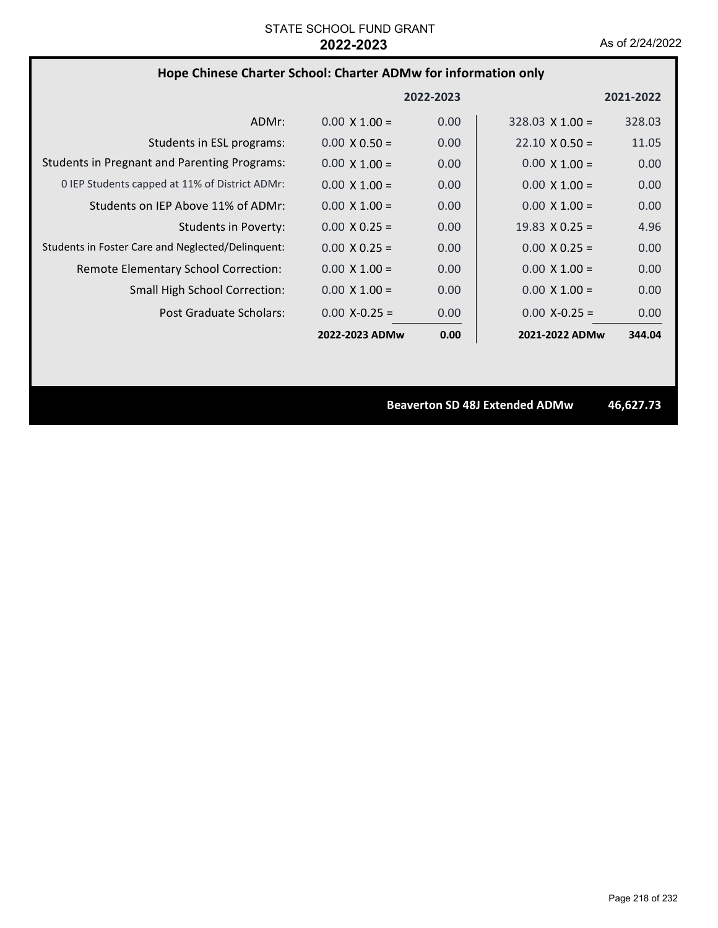## **Hope Chinese Charter School: Charter ADMw for information only**

|                                                     |                      | 2022-2023         |                        | 2021-2022 |
|-----------------------------------------------------|----------------------|-------------------|------------------------|-----------|
| ADMr:                                               | $0.00 \times 1.00 =$ | 0.00              | $328.03 \times 1.00 =$ | 328.03    |
| Students in ESL programs:                           | $0.00 \times 0.50 =$ | 0.00              | $22.10 \times 0.50 =$  | 11.05     |
| <b>Students in Pregnant and Parenting Programs:</b> | $0.00 \times 1.00 =$ | 0.00              | $0.00 \times 1.00 =$   | 0.00      |
| 0 IEP Students capped at 11% of District ADMr:      | $0.00 \times 1.00 =$ | 0.00              | $0.00 \times 1.00 =$   | 0.00      |
| Students on IEP Above 11% of ADMr:                  | $0.00 \times 1.00 =$ | 0.00              | $0.00 \times 1.00 =$   | 0.00      |
| Students in Poverty:                                | $0.00 \times 0.25 =$ | 0.00              | $19.83 \times 0.25 =$  | 4.96      |
| Students in Foster Care and Neglected/Delinguent:   | $0.00 \times 0.25 =$ | 0.00              | $0.00 \times 0.25 =$   | 0.00      |
| Remote Elementary School Correction:                | $0.00 \times 1.00 =$ | 0.00              | $0.00 \times 1.00 =$   | 0.00      |
| <b>Small High School Correction:</b>                | $0.00 \times 1.00 =$ | 0.00              | $0.00 \times 1.00 =$   | 0.00      |
| Post Graduate Scholars:                             | $0.00 X - 0.25 =$    | 0.00 <sub>1</sub> | $0.00 X - 0.25 =$      | 0.00      |
|                                                     | 2022-2023 ADMw       | 0.00              | 2021-2022 ADMw         | 344.04    |

**Beaverton SD 48J Extended ADMw 46,627.73**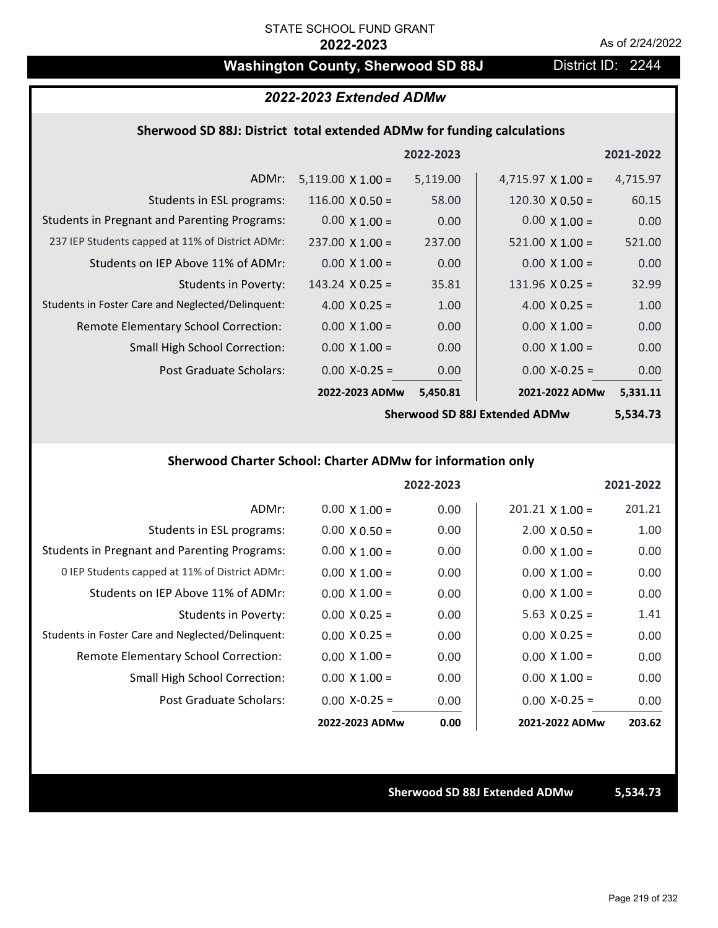# Washington County, Sherwood SD 88J District ID: 2244

## *2022-2023 Extended ADMw*

#### **Sherwood SD 88J: District total extended ADMw for funding calculations**

|                                                     |                          | 2022-2023 |                          | 2021-2022 |
|-----------------------------------------------------|--------------------------|-----------|--------------------------|-----------|
| ADMr:                                               | $5,119.00 \times 1.00 =$ | 5,119.00  | 4,715.97 $\times$ 1.00 = | 4,715.97  |
| Students in ESL programs:                           | $116.00 \times 0.50 =$   | 58.00     | $120.30 \times 0.50 =$   | 60.15     |
| <b>Students in Pregnant and Parenting Programs:</b> | $0.00 \times 1.00 =$     | 0.00      | $0.00 \times 1.00 =$     | 0.00      |
| 237 IEP Students capped at 11% of District ADMr:    | $237.00 \times 1.00 =$   | 237.00    | $521.00 \times 1.00 =$   | 521.00    |
| Students on IEP Above 11% of ADMr:                  | $0.00 \times 1.00 =$     | 0.00      | $0.00 \times 1.00 =$     | 0.00      |
| <b>Students in Poverty:</b>                         | $143.24 \times 0.25 =$   | 35.81     | $131.96 \times 0.25 =$   | 32.99     |
| Students in Foster Care and Neglected/Delinquent:   | 4.00 $X$ 0.25 =          | 1.00      | 4.00 $X$ 0.25 =          | 1.00      |
| Remote Elementary School Correction:                | $0.00 \times 1.00 =$     | 0.00      | $0.00 \times 1.00 =$     | 0.00      |
| <b>Small High School Correction:</b>                | $0.00 \times 1.00 =$     | 0.00      | $0.00 \times 1.00 =$     | 0.00      |
| Post Graduate Scholars:                             | $0.00 X - 0.25 =$        | 0.00      | $0.00$ X-0.25 =          | 0.00      |
|                                                     | 2022-2023 ADMw           | 5,450.81  | 2021-2022 ADMw           | 5,331.11  |

**Sherwood SD 88J Extended ADMw**

**5,534.73**

## **Sherwood Charter School: Charter ADMw for information only**

|                                                     |                      | 2022-2023 |                      | 2021-2022 |
|-----------------------------------------------------|----------------------|-----------|----------------------|-----------|
| ADMr:                                               | $0.00 \times 1.00 =$ | 0.00      | $201.21$ X $1.00 =$  | 201.21    |
| Students in ESL programs:                           | $0.00 \times 0.50 =$ | 0.00      | $2.00 \times 0.50 =$ | 1.00      |
| <b>Students in Pregnant and Parenting Programs:</b> | $0.00 \times 1.00 =$ | 0.00      | $0.00 \times 1.00 =$ | 0.00      |
| 0 IEP Students capped at 11% of District ADMr:      | $0.00 \times 1.00 =$ | 0.00      | $0.00 \times 1.00 =$ | 0.00      |
| Students on IEP Above 11% of ADMr:                  | $0.00 \times 1.00 =$ | 0.00      | $0.00 \times 1.00 =$ | 0.00      |
| Students in Poverty:                                | $0.00 \times 0.25 =$ | 0.00      | $5.63 \times 0.25 =$ | 1.41      |
| Students in Foster Care and Neglected/Delinquent:   | $0.00 \times 0.25 =$ | 0.00      | $0.00 \times 0.25 =$ | 0.00      |
| Remote Elementary School Correction:                | $0.00 \times 1.00 =$ | 0.00      | $0.00 \times 1.00 =$ | 0.00      |
| <b>Small High School Correction:</b>                | $0.00 \times 1.00 =$ | 0.00      | $0.00 \times 1.00 =$ | 0.00      |
| Post Graduate Scholars:                             | $0.00 X-0.25 =$      | 0.00      | $0.00 X-0.25 =$      | 0.00      |
|                                                     | 2022-2023 ADMw       | 0.00      | 2021-2022 ADMw       | 203.62    |

**Sherwood SD 88J Extended ADMw 5,534.73**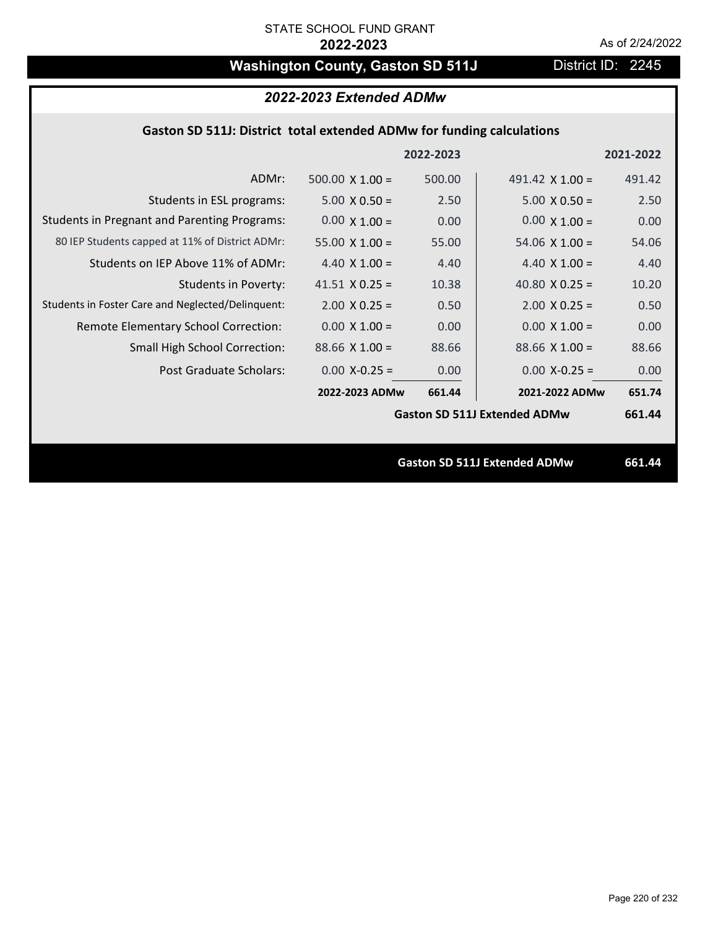# Washington County, Gaston SD 511J District ID: 2245

# *2022-2023 Extended ADMw*

## **Gaston SD 511J: District total extended ADMw for funding calculations**

|                                                     |                        | 2022-2023 |                                     | 2021-2022 |
|-----------------------------------------------------|------------------------|-----------|-------------------------------------|-----------|
| ADMr:                                               | 500.00 $\times$ 1.00 = | 500.00    | 491.42 $\times$ 1.00 =              | 491.42    |
| Students in ESL programs:                           | $5.00 \times 0.50 =$   | 2.50      | $5.00 \times 0.50 =$                | 2.50      |
| <b>Students in Pregnant and Parenting Programs:</b> | $0.00 \times 1.00 =$   | 0.00      | $0.00 \times 1.00 =$                | 0.00      |
| 80 IEP Students capped at 11% of District ADMr:     | $55.00 \times 1.00 =$  | 55.00     | $54.06 \times 1.00 =$               | 54.06     |
| Students on IEP Above 11% of ADMr:                  | 4.40 $X$ 1.00 =        | 4.40      | 4.40 $X$ 1.00 =                     | 4.40      |
| <b>Students in Poverty:</b>                         | $41.51$ X 0.25 =       | 10.38     | 40.80 $X$ 0.25 =                    | 10.20     |
| Students in Foster Care and Neglected/Delinquent:   | $2.00 \times 0.25 =$   | 0.50      | $2.00 \times 0.25 =$                | 0.50      |
| Remote Elementary School Correction:                | $0.00 \times 1.00 =$   | 0.00      | $0.00 \times 1.00 =$                | 0.00      |
| <b>Small High School Correction:</b>                | $88.66$ X 1.00 =       | 88.66     | $88.66$ X 1.00 =                    | 88.66     |
| Post Graduate Scholars:                             | $0.00$ X-0.25 =        | 0.00      | $0.00$ X-0.25 =                     | 0.00      |
|                                                     | 2022-2023 ADMw         | 661.44    | 2021-2022 ADMw                      | 651.74    |
|                                                     |                        |           | <b>Gaston SD 511J Extended ADMw</b> | 661.44    |
|                                                     |                        |           |                                     |           |
|                                                     |                        |           | <b>Gaston SD 511J Extended ADMw</b> | 661.44    |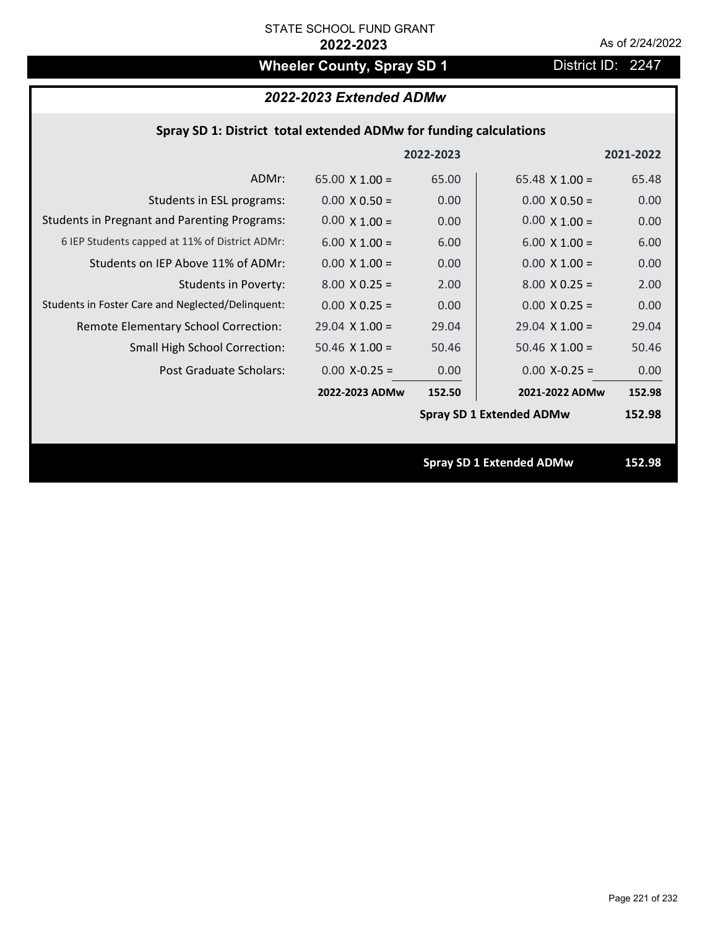# **Wheeler County, Spray SD 1** District ID: 2247

## *2022-2023 Extended ADMw*

|  |  |  | Spray SD 1: District total extended ADMw for funding calculations |
|--|--|--|-------------------------------------------------------------------|
|--|--|--|-------------------------------------------------------------------|

|                                                     |                       | 2022-2023         |                                 | 2021-2022 |
|-----------------------------------------------------|-----------------------|-------------------|---------------------------------|-----------|
| ADMr:                                               | 65.00 $\times$ 1.00 = | 65.00             | 65.48 $X$ 1.00 =                | 65.48     |
| Students in ESL programs:                           | $0.00 \times 0.50 =$  | 0.00 <sub>1</sub> | $0.00 \times 0.50 =$            | 0.00      |
| <b>Students in Pregnant and Parenting Programs:</b> | $0.00 \times 1.00 =$  | 0.00              | $0.00 \times 1.00 =$            | 0.00      |
| 6 IEP Students capped at 11% of District ADMr:      | $6.00 \times 1.00 =$  | 6.00              | $6.00 \times 1.00 =$            | 6.00      |
| Students on IEP Above 11% of ADMr:                  | $0.00 \times 1.00 =$  | 0.00 <sub>1</sub> | $0.00 \times 1.00 =$            | 0.00      |
| <b>Students in Poverty:</b>                         | $8.00 \times 0.25 =$  | 2.00              | $8.00 \times 0.25 =$            | 2.00      |
| Students in Foster Care and Neglected/Delinquent:   | $0.00 \times 0.25 =$  | 0.00 <sub>1</sub> | $0.00 \times 0.25 =$            | 0.00      |
| Remote Elementary School Correction:                | $29.04 \times 1.00 =$ | 29.04             | $29.04$ X 1.00 =                | 29.04     |
| <b>Small High School Correction:</b>                | $50.46$ X $1.00 =$    | 50.46             | $50.46 \times 1.00 =$           | 50.46     |
| Post Graduate Scholars:                             | $0.00 X - 0.25 =$     | 0.00 <sub>1</sub> | $0.00$ X-0.25 =                 | 0.00      |
|                                                     | 2022-2023 ADMw        | 152.50            | 2021-2022 ADMw                  | 152.98    |
|                                                     |                       |                   | <b>Spray SD 1 Extended ADMw</b> | 152.98    |
|                                                     |                       |                   |                                 |           |
|                                                     |                       |                   | <b>Spray SD 1 Extended ADMw</b> | 152.98    |
|                                                     |                       |                   |                                 |           |

Page 221 of 232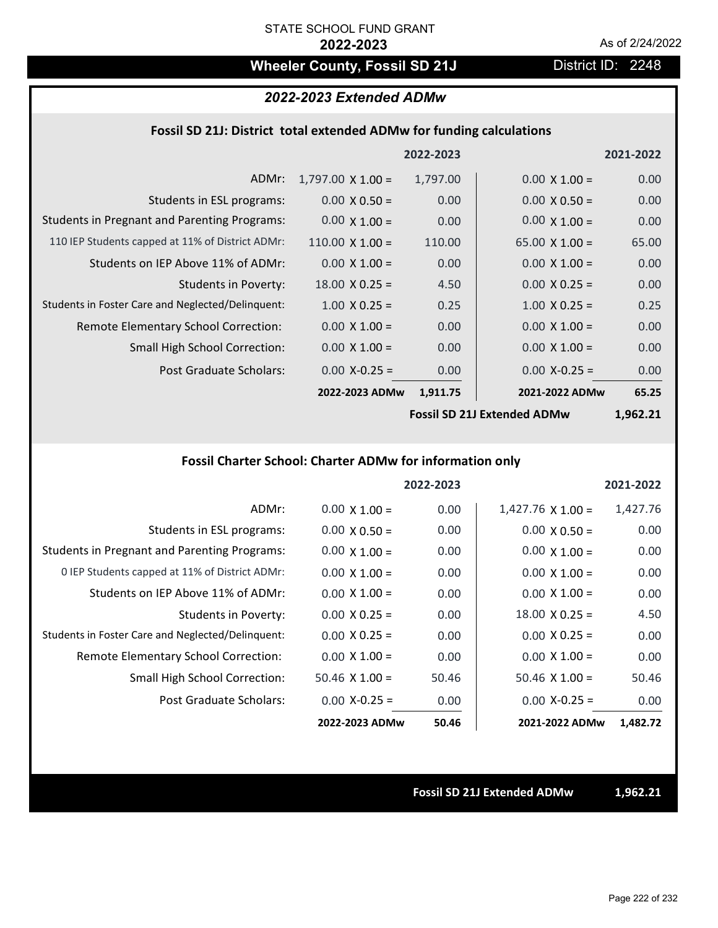# Wheeler County, Fossil SD 21J **District ID: 2248**

## *2022-2023 Extended ADMw*

#### **Fossil SD 21J: District total extended ADMw for funding calculations**

| 0.00  |
|-------|
| 0.00  |
| 0.00  |
| 65.00 |
| 0.00  |
| 0.00  |
| 0.25  |
| 0.00  |
| 0.00  |
| 0.00  |
| 65.25 |
|       |

**Fossil SD 21J Extended ADMw**

**1,962.21**

## **Fossil Charter School: Charter ADMw for information only**

|                                                     |                      | 2022-2023 |                          | 2021-2022 |
|-----------------------------------------------------|----------------------|-----------|--------------------------|-----------|
| ADMr:                                               | $0.00 \times 1.00 =$ | 0.00      | $1,427.76 \times 1.00 =$ | 1,427.76  |
| Students in ESL programs:                           | $0.00 \times 0.50 =$ | 0.00      | $0.00 \times 0.50 =$     | 0.00      |
| <b>Students in Pregnant and Parenting Programs:</b> | $0.00 \times 1.00 =$ | 0.00      | $0.00 \times 1.00 =$     | 0.00      |
| 0 IEP Students capped at 11% of District ADMr:      | $0.00 \times 1.00 =$ | 0.00      | $0.00 \times 1.00 =$     | 0.00      |
| Students on IEP Above 11% of ADMr:                  | $0.00 \times 1.00 =$ | 0.00      | $0.00 \times 1.00 =$     | 0.00      |
| <b>Students in Poverty:</b>                         | $0.00 \times 0.25 =$ | 0.00      | $18.00 \times 0.25 =$    | 4.50      |
| Students in Foster Care and Neglected/Delinquent:   | $0.00 \times 0.25 =$ | 0.00      | $0.00 \times 0.25 =$     | 0.00      |
| Remote Elementary School Correction:                | $0.00 \times 1.00 =$ | 0.00      | $0.00 \times 1.00 =$     | 0.00      |
| <b>Small High School Correction:</b>                | $50.46$ X 1.00 =     | 50.46     | $50.46 \times 1.00 =$    | 50.46     |
| Post Graduate Scholars:                             | $0.00$ X-0.25 =      | 0.00      | $0.00 X-0.25 =$          | 0.00      |
|                                                     | 2022-2023 ADMw       | 50.46     | 2021-2022 ADMw           | 1,482.72  |

#### **Fossil SD 21J Extended ADMw 1,962.21**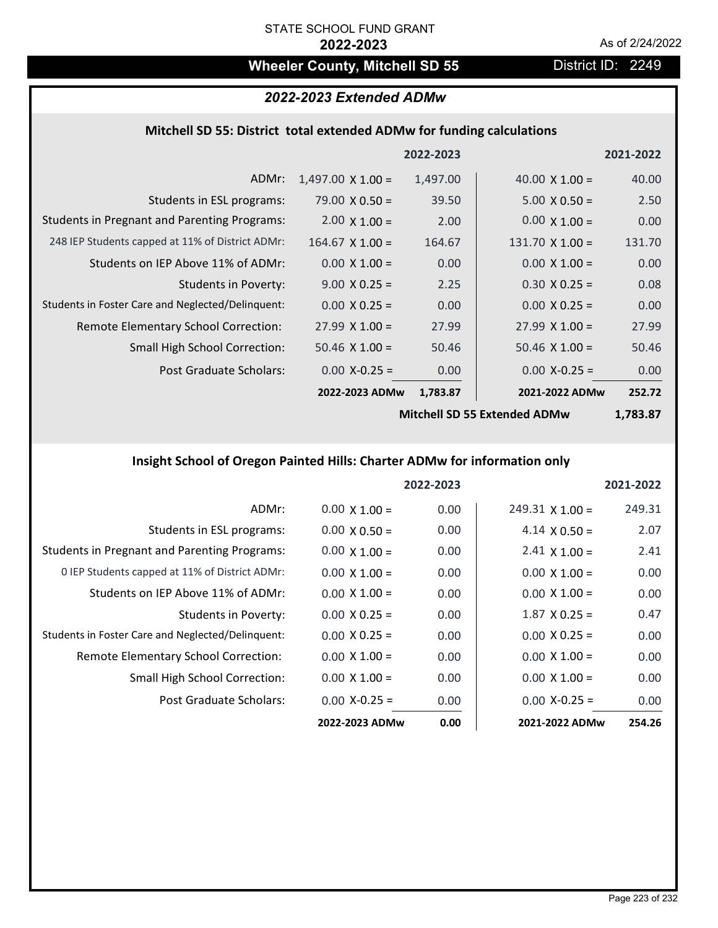# Wheeler County, Mitchell SD 55 **District ID: 2249**

## *2022-2023 Extended ADMw*

## **Mitchell SD 55: District total extended ADMw for funding calculations**

|                                                     |                          | 2022-2023         |                        | 2021-2022 |
|-----------------------------------------------------|--------------------------|-------------------|------------------------|-----------|
| ADMr:                                               | $1,497.00 \times 1.00 =$ | 1,497.00          | 40.00 $\times$ 1.00 =  | 40.00     |
| Students in ESL programs:                           | 79.00 $\times$ 0.50 =    | 39.50             | $5.00 \times 0.50 =$   | 2.50      |
| <b>Students in Pregnant and Parenting Programs:</b> | 2.00 $\times$ 1.00 =     | 2.00              | $0.00 \times 1.00 =$   | 0.00      |
| 248 IEP Students capped at 11% of District ADMr:    | $164.67 \times 1.00 =$   | 164.67            | $131.70 \times 1.00 =$ | 131.70    |
| Students on IEP Above 11% of ADMr:                  | $0.00 \times 1.00 =$     | 0.00 <sub>1</sub> | $0.00 \times 1.00 =$   | 0.00      |
| <b>Students in Poverty:</b>                         | $9.00 \times 0.25 =$     | 2.25              | $0.30 \times 0.25 =$   | 0.08      |
| Students in Foster Care and Neglected/Delinquent:   | $0.00 \times 0.25 =$     | 0.00 <sub>1</sub> | $0.00 \times 0.25 =$   | 0.00      |
| Remote Elementary School Correction:                | $27.99 \times 1.00 =$    | 27.99             | $27.99 \times 1.00 =$  | 27.99     |
| <b>Small High School Correction:</b>                | $50.46 \times 1.00 =$    | 50.46             | $50.46 \times 1.00 =$  | 50.46     |
| Post Graduate Scholars:                             | $0.00$ X-0.25 =          | 0.00 <sub>1</sub> | $0.00$ X-0.25 =        | 0.00      |
|                                                     | 2022-2023 ADMw           | 1,783.87          | 2021-2022 ADMw         | 252.72    |
|                                                     |                          |                   |                        |           |

**Mitchell SD 55 Extended ADMw**

**1,783.87**

# **Insight School of Oregon Painted Hills: Charter ADMw for information only**

|                                                     |                      | 2022-2023 |                        | 2021-2022 |
|-----------------------------------------------------|----------------------|-----------|------------------------|-----------|
| ADMr:                                               | $0.00 \times 1.00 =$ | 0.00      | $249.31 \times 1.00 =$ | 249.31    |
| Students in ESL programs:                           | $0.00 \times 0.50 =$ | 0.00      | $4.14 \times 0.50 =$   | 2.07      |
| <b>Students in Pregnant and Parenting Programs:</b> | $0.00 \times 1.00 =$ | 0.00      | $2.41 \times 1.00 =$   | 2.41      |
| 0 IEP Students capped at 11% of District ADMr:      | $0.00 \times 1.00 =$ | 0.00      | $0.00 \times 1.00 =$   | 0.00      |
| Students on IEP Above 11% of ADMr:                  | $0.00 \times 1.00 =$ | 0.00      | $0.00 \times 1.00 =$   | 0.00      |
| Students in Poverty:                                | $0.00 \times 0.25 =$ | 0.00      | $1.87 \times 0.25 =$   | 0.47      |
| Students in Foster Care and Neglected/Delinquent:   | $0.00 \times 0.25 =$ | 0.00      | $0.00 \times 0.25 =$   | 0.00      |
| Remote Elementary School Correction:                | $0.00 \times 1.00 =$ | 0.00      | $0.00 \times 1.00 =$   | 0.00      |
| <b>Small High School Correction:</b>                | $0.00 \times 1.00 =$ | 0.00      | $0.00 \times 1.00 =$   | 0.00      |
| Post Graduate Scholars:                             | $0.00$ X-0.25 =      | 0.00      | $0.00 X-0.25 =$        | 0.00      |
|                                                     | 2022-2023 ADMw       | 0.00      | 2021-2022 ADMw         | 254.26    |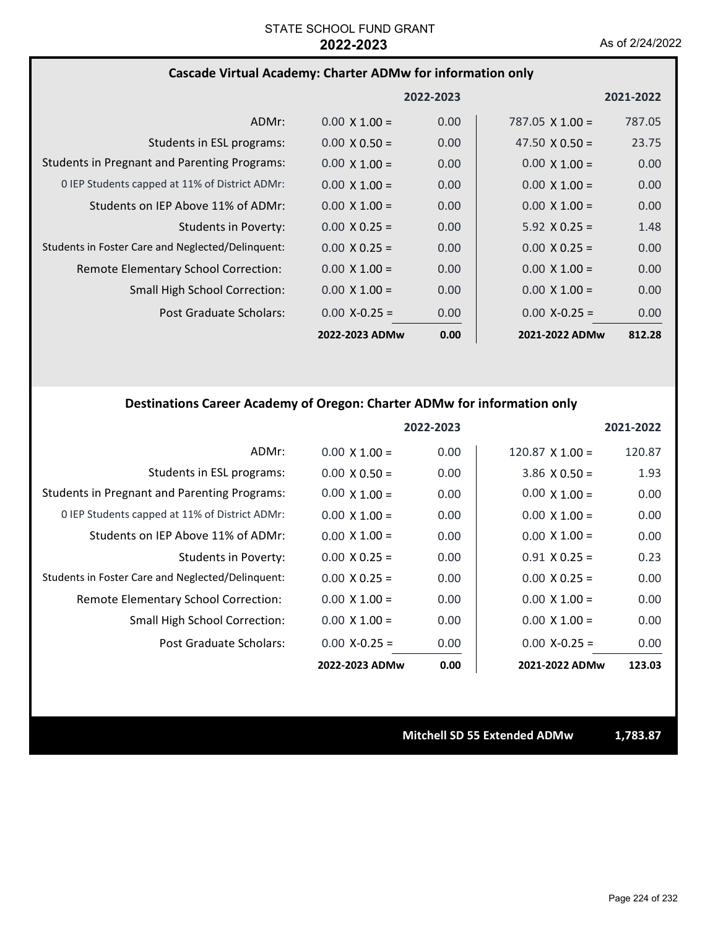### **Cascade Virtual Academy: Charter ADMw for information only**

|                                                     |                      | 2022-2023         |                        | 2021-2022 |
|-----------------------------------------------------|----------------------|-------------------|------------------------|-----------|
| ADMr:                                               | $0.00 \times 1.00 =$ | 0.00              | $787.05 \times 1.00 =$ | 787.05    |
| Students in ESL programs:                           | $0.00 \times 0.50 =$ | 0.00              | 47.50 $\times$ 0.50 =  | 23.75     |
| <b>Students in Pregnant and Parenting Programs:</b> | $0.00 \times 1.00 =$ | 0.00              | $0.00 \times 1.00 =$   | 0.00      |
| 0 IEP Students capped at 11% of District ADMr:      | $0.00 \times 1.00 =$ | 0.00              | $0.00 \times 1.00 =$   | 0.00      |
| Students on IEP Above 11% of ADMr:                  | $0.00 \times 1.00 =$ | 0.00              | $0.00 \times 1.00 =$   | 0.00      |
| <b>Students in Poverty:</b>                         | $0.00 \times 0.25 =$ | 0.00              | $5.92 \times 0.25 =$   | 1.48      |
| Students in Foster Care and Neglected/Delinquent:   | $0.00 \times 0.25 =$ | 0.00              | $0.00 \times 0.25 =$   | 0.00      |
| Remote Elementary School Correction:                | $0.00 \times 1.00 =$ | 0.00              | $0.00 \times 1.00 =$   | 0.00      |
| <b>Small High School Correction:</b>                | $0.00 \times 1.00 =$ | 0.00              | $0.00 \times 1.00 =$   | 0.00      |
| Post Graduate Scholars:                             | $0.00 X - 0.25 =$    | 0.00 <sub>1</sub> | $0.00$ X-0.25 =        | 0.00      |
|                                                     | 2022-2023 ADMw       | 0.00              | 2021-2022 ADMw         | 812.28    |

## **Destinations Career Academy of Oregon: Charter ADMw for information only**

|                                                     |                      | 2022-2023 |                        | 2021-2022 |
|-----------------------------------------------------|----------------------|-----------|------------------------|-----------|
| ADMr:                                               | $0.00 \times 1.00 =$ | 0.00      | $120.87 \times 1.00 =$ | 120.87    |
| Students in ESL programs:                           | $0.00 \times 0.50 =$ | 0.00      | $3.86 \times 0.50 =$   | 1.93      |
| <b>Students in Pregnant and Parenting Programs:</b> | $0.00 \times 1.00 =$ | 0.00      | $0.00 \times 1.00 =$   | 0.00      |
| 0 IEP Students capped at 11% of District ADMr:      | $0.00 \times 1.00 =$ | 0.00      | $0.00 \times 1.00 =$   | 0.00      |
| Students on IFP Above 11% of ADMr:                  | $0.00 \times 1.00 =$ | 0.00      | $0.00 \times 1.00 =$   | 0.00      |
| Students in Poverty:                                | $0.00 \times 0.25 =$ | 0.00      | $0.91 X 0.25 =$        | 0.23      |
| Students in Foster Care and Neglected/Delinquent:   | $0.00 \times 0.25 =$ | 0.00      | $0.00 \times 0.25 =$   | 0.00      |
| Remote Elementary School Correction:                | $0.00 \times 1.00 =$ | 0.00      | $0.00 \times 1.00 =$   | 0.00      |
| Small High School Correction:                       | $0.00 \times 1.00 =$ | 0.00      | $0.00 \times 1.00 =$   | 0.00      |
| Post Graduate Scholars:                             | $0.00 X - 0.25 =$    | 0.00      | $0.00$ X-0.25 =        | 0.00      |
|                                                     | 2022-2023 ADMw       | 0.00      | 2021-2022 ADMw         | 123.03    |

**Mitchell SD 55 Extended ADMw 1,783.87**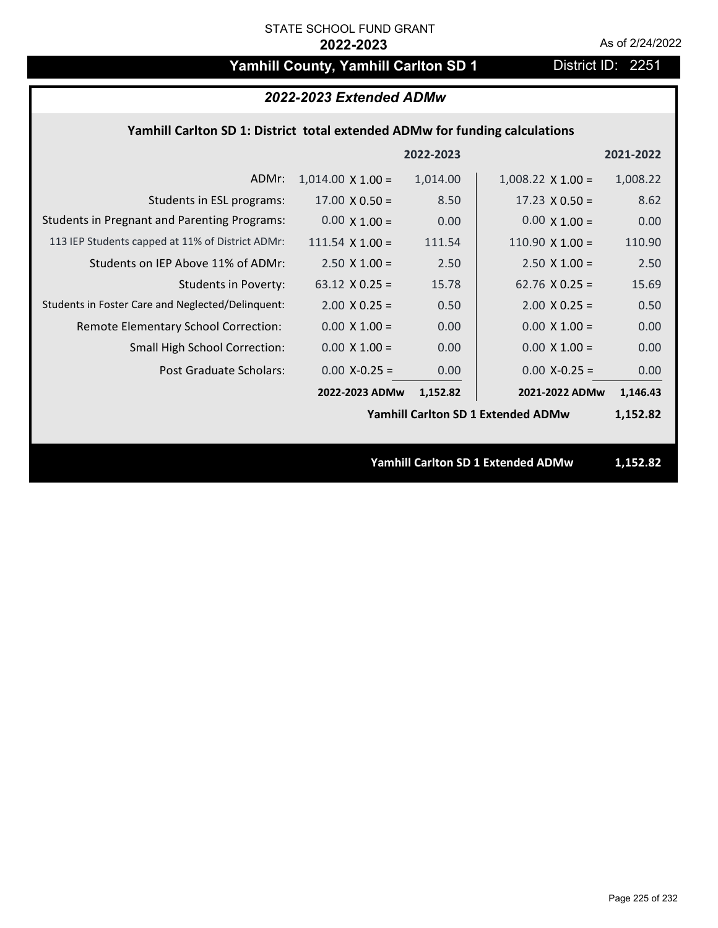# Yamhill County, Yamhill Carlton SD 1 District ID: 2251

## *2022-2023 Extended ADMw*

## **Yamhill Carlton SD 1: District total extended ADMw for funding calculations**

|                                                     |                          | 2022-2023 |                                           | 2021-2022 |
|-----------------------------------------------------|--------------------------|-----------|-------------------------------------------|-----------|
| ADMr:                                               | $1,014.00 \times 1.00 =$ | 1,014.00  | $1,008.22 \times 1.00 =$                  | 1,008.22  |
| Students in ESL programs:                           | $17.00 \times 0.50 =$    | 8.50      | $17.23 \times 0.50 =$                     | 8.62      |
| <b>Students in Pregnant and Parenting Programs:</b> | $0.00 \times 1.00 =$     | 0.00      | $0.00 \times 1.00 =$                      | 0.00      |
| 113 IEP Students capped at 11% of District ADMr:    | 111.54 $\times$ 1.00 =   | 111.54    | $110.90 \times 1.00 =$                    | 110.90    |
| Students on IEP Above 11% of ADMr:                  | $2.50 \times 1.00 =$     | 2.50      | $2.50 \times 1.00 =$                      | 2.50      |
| <b>Students in Poverty:</b>                         | 63.12 $X$ 0.25 =         | 15.78     | $62.76$ X 0.25 =                          | 15.69     |
| Students in Foster Care and Neglected/Delinquent:   | $2.00 \times 0.25 =$     | 0.50      | $2.00 \times 0.25 =$                      | 0.50      |
| Remote Elementary School Correction:                | $0.00 \times 1.00 =$     | 0.00      | $0.00 \times 1.00 =$                      | 0.00      |
| <b>Small High School Correction:</b>                | $0.00 \times 1.00 =$     | 0.00      | $0.00 \times 1.00 =$                      | 0.00      |
| Post Graduate Scholars:                             | $0.00$ X-0.25 =          | 0.00      | $0.00$ X-0.25 =                           | 0.00      |
|                                                     | 2022-2023 ADMw           | 1,152.82  | 2021-2022 ADMw                            | 1,146.43  |
|                                                     |                          |           | <b>Yamhill Carlton SD 1 Extended ADMw</b> | 1,152.82  |
|                                                     |                          |           |                                           |           |
|                                                     |                          |           | <b>Yamhill Carlton SD 1 Extended ADMw</b> | 1,152.82  |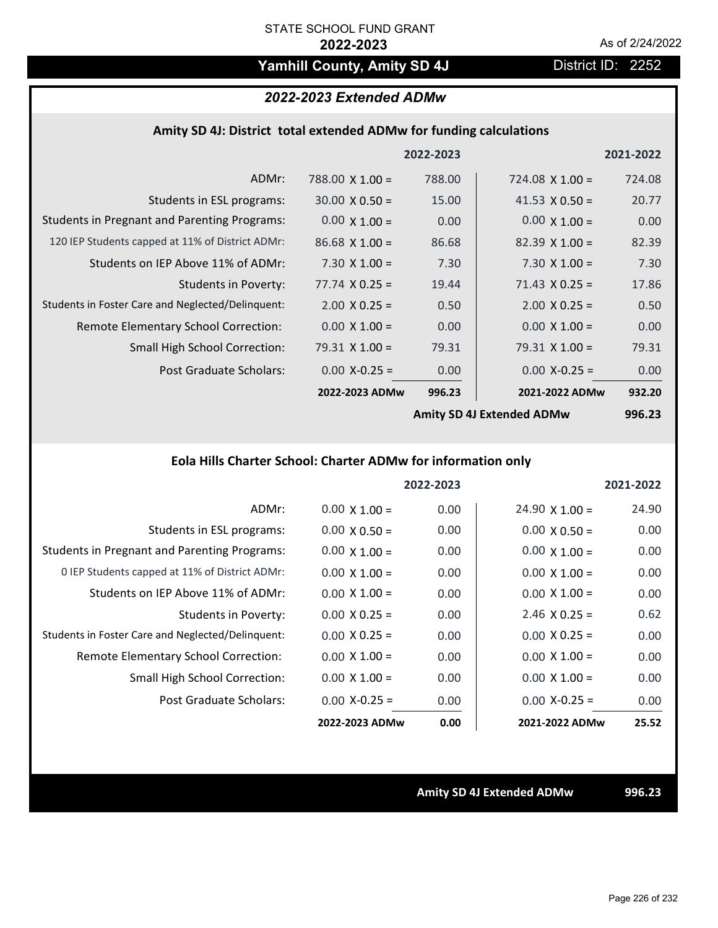# Yamhill County, Amity SD 4J District ID: 2252

## *2022-2023 Extended ADMw*

#### **Amity SD 4J: District total extended ADMw for funding calculations**

|                                                     |                        | 2022-2023 |                              | 2021-2022 |
|-----------------------------------------------------|------------------------|-----------|------------------------------|-----------|
| ADMr:                                               | $788.00 \times 1.00 =$ | 788.00    | $724.08 \times 1.00 =$       | 724.08    |
| Students in ESL programs:                           | $30.00 \times 0.50 =$  | 15.00     | 41.53 $\times$ 0.50 =        | 20.77     |
| <b>Students in Pregnant and Parenting Programs:</b> | $0.00 \times 1.00 =$   | 0.00      | $0.00 \times 1.00 =$         | 0.00      |
| 120 IEP Students capped at 11% of District ADMr:    | $86.68$ X 1.00 =       | 86.68     | $82.39 \times 1.00 =$        | 82.39     |
| Students on IEP Above 11% of ADMr:                  | $7.30 \times 1.00 =$   | 7.30      | $7.30 \times 1.00 =$         | 7.30      |
| <b>Students in Poverty:</b>                         | $77.74 \times 0.25 =$  | 19.44     | $71.43 \times 0.25 =$        | 17.86     |
| Students in Foster Care and Neglected/Delinquent:   | $2.00 \times 0.25 =$   | 0.50      | $2.00 \times 0.25 =$         | 0.50      |
| Remote Elementary School Correction:                | $0.00 \times 1.00 =$   | 0.00      | $0.00 \times 1.00 =$         | 0.00      |
| <b>Small High School Correction:</b>                | $79.31 \times 1.00 =$  | 79.31     | $79.31 \times 1.00 =$        | 79.31     |
| Post Graduate Scholars:                             | $0.00 X-0.25 =$        | 0.00      | $0.00 X - 0.25 =$            | 0.00      |
|                                                     | 2022-2023 ADMw         | 996.23    | 2021-2022 ADMw               | 932.20    |
|                                                     |                        |           | Amity CD 41 Fytopolool ADMAU | nne aa    |

**Amity SD 4J Extended ADMw**

**996.23**

# **Eola Hills Charter School: Charter ADMw for information only**

|                                                     |                      | 2022-2023 |                       | 2021-2022         |
|-----------------------------------------------------|----------------------|-----------|-----------------------|-------------------|
| ADMr:                                               | $0.00 \times 1.00 =$ | 0.00      | $24.90 \times 1.00 =$ | 24.90             |
| Students in ESL programs:                           | $0.00 \times 0.50 =$ | 0.00      | $0.00 \times 0.50 =$  | 0.00              |
| <b>Students in Pregnant and Parenting Programs:</b> | $0.00 \times 1.00 =$ | 0.00      | $0.00 \times 1.00 =$  | 0.00              |
| 0 IEP Students capped at 11% of District ADMr:      | $0.00 \times 1.00 =$ | 0.00      | $0.00 \times 1.00 =$  | 0.00              |
| Students on IEP Above 11% of ADMr:                  | $0.00 \times 1.00 =$ | 0.00      | $0.00 \times 1.00 =$  | 0.00 <sub>1</sub> |
| Students in Poverty:                                | $0.00 \times 0.25 =$ | 0.00      | $2.46 \times 0.25 =$  | 0.62              |
| Students in Foster Care and Neglected/Delinquent:   | $0.00 \times 0.25 =$ | 0.00      | $0.00 \times 0.25 =$  | 0.00              |
| Remote Elementary School Correction:                | $0.00 \times 1.00 =$ | 0.00      | $0.00 \times 1.00 =$  | 0.00              |
| <b>Small High School Correction:</b>                | $0.00 \times 1.00 =$ | 0.00      | $0.00 \times 1.00 =$  | 0.00              |
| Post Graduate Scholars:                             | $0.00 X-0.25 =$      | 0.00      | $0.00 X-0.25 =$       | 0.00              |
|                                                     | 2022-2023 ADMw       | 0.00      | 2021-2022 ADMw        | 25.52             |

**Amity SD 4J Extended ADMw 996.23**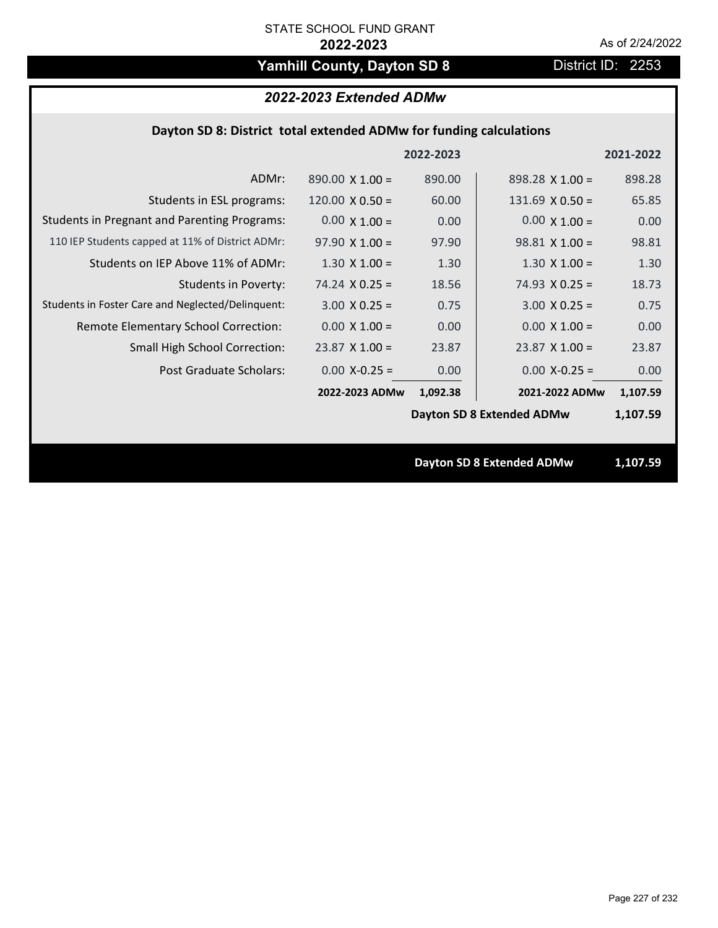# Yamhill County, Dayton SD 8 **District ID: 2253**

# *2022-2023 Extended ADMw*

## **Dayton SD 8: District total extended ADMw for funding calculations**

|                                                     |                        | 2022-2023 |                                  | 2021-2022 |  |
|-----------------------------------------------------|------------------------|-----------|----------------------------------|-----------|--|
| ADMr:                                               | $890.00 \times 1.00 =$ | 890.00    | $898.28$ X 1.00 =                | 898.28    |  |
| Students in ESL programs:                           | $120.00 \times 0.50 =$ | 60.00     | $131.69 \times 0.50 =$           | 65.85     |  |
| <b>Students in Pregnant and Parenting Programs:</b> | $0.00 \times 1.00 =$   | 0.00      | $0.00 \times 1.00 =$             | 0.00      |  |
| 110 IEP Students capped at 11% of District ADMr:    | $97.90 \times 1.00 =$  | 97.90     | $98.81$ X 1.00 =                 | 98.81     |  |
| Students on IEP Above 11% of ADMr:                  | $1.30 \times 1.00 =$   | 1.30      | $1.30 \times 1.00 =$             | 1.30      |  |
| <b>Students in Poverty:</b>                         | $74.24 \times 0.25 =$  | 18.56     | $74.93 \times 0.25 =$            | 18.73     |  |
| Students in Foster Care and Neglected/Delinquent:   | $3.00 \times 0.25 =$   | 0.75      | $3.00 \times 0.25 =$             | 0.75      |  |
| Remote Elementary School Correction:                | $0.00 \times 1.00 =$   | 0.00      | $0.00 \times 1.00 =$             | 0.00      |  |
| <b>Small High School Correction:</b>                | $23.87$ X 1.00 =       | 23.87     | $23.87 \times 1.00 =$            | 23.87     |  |
| Post Graduate Scholars:                             | $0.00$ X-0.25 =        | 0.00      | $0.00$ X-0.25 =                  | 0.00      |  |
|                                                     | 2022-2023 ADMw         | 1,092.38  | 2021-2022 ADMw                   | 1,107.59  |  |
|                                                     |                        |           | <b>Dayton SD 8 Extended ADMw</b> | 1,107.59  |  |
|                                                     |                        |           |                                  |           |  |
|                                                     |                        |           | <b>Dayton SD 8 Extended ADMw</b> | 1,107.59  |  |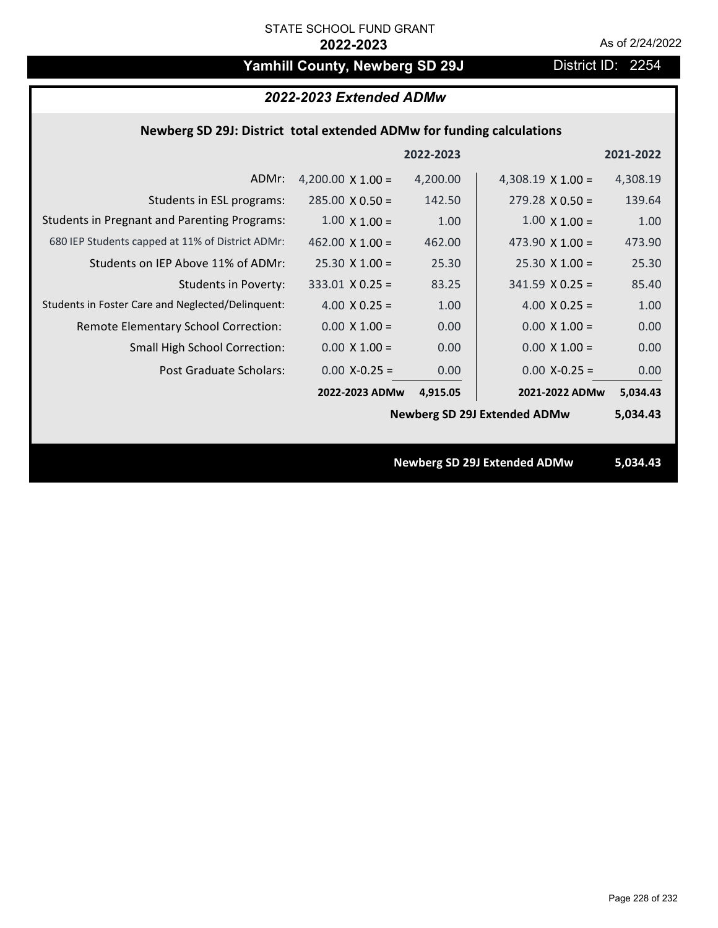# Yamhill County, Newberg SD 29J District ID: 2254

# *2022-2023 Extended ADMw*

## **Newberg SD 29J: District total extended ADMw for funding calculations**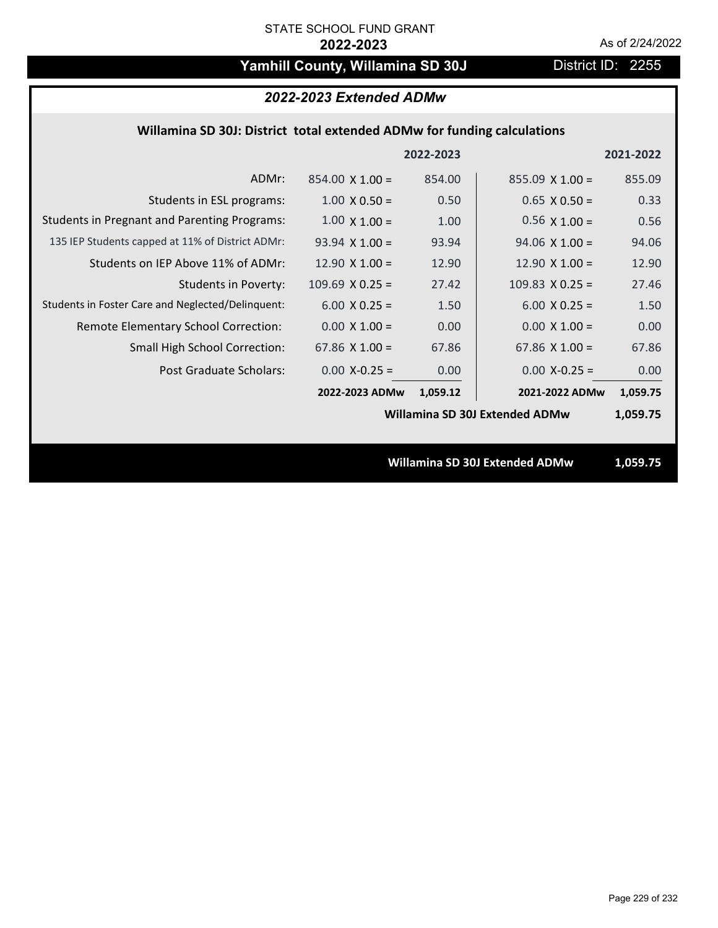# Yamhill County, Willamina SD 30J District ID: 2255

# *2022-2023 Extended ADMw*

## **Willamina SD 30J: District total extended ADMw for funding calculations**

|                                                     |                        | 2022-2023 |                                | 2021-2022 |
|-----------------------------------------------------|------------------------|-----------|--------------------------------|-----------|
| ADMr:                                               | $854.00 \times 1.00 =$ | 854.00    | $855.09$ X 1.00 =              | 855.09    |
| Students in ESL programs:                           | $1.00 \times 0.50 =$   | 0.50      | $0.65 \times 0.50 =$           | 0.33      |
| <b>Students in Pregnant and Parenting Programs:</b> | $1.00 \times 1.00 =$   | 1.00      | $0.56 \times 1.00 =$           | 0.56      |
| 135 IEP Students capped at 11% of District ADMr:    | $93.94 \times 1.00 =$  | 93.94     | $94.06 \times 1.00 =$          | 94.06     |
| Students on IEP Above 11% of ADMr:                  | 12.90 $X$ 1.00 =       | 12.90     | 12.90 $X$ 1.00 =               | 12.90     |
| <b>Students in Poverty:</b>                         | $109.69$ X 0.25 =      | 27.42     | 109.83 $X$ 0.25 =              | 27.46     |
| Students in Foster Care and Neglected/Delinquent:   | $6.00 \times 0.25 =$   | 1.50      | $6.00 \times 0.25 =$           | 1.50      |
| Remote Elementary School Correction:                | $0.00 \times 1.00 =$   | 0.00      | $0.00 \times 1.00 =$           | 0.00      |
| <b>Small High School Correction:</b>                | 67.86 $X$ 1.00 =       | 67.86     | $67.86 \times 1.00 =$          | 67.86     |
| Post Graduate Scholars:                             | $0.00$ X-0.25 =        | 0.00      | $0.00$ X-0.25 =                | 0.00      |
|                                                     | 2022-2023 ADMw         | 1,059.12  | 2021-2022 ADMw                 | 1,059.75  |
|                                                     |                        |           | Willamina SD 30J Extended ADMw | 1,059.75  |
|                                                     |                        |           |                                |           |
|                                                     |                        |           | Willamina SD 30J Extended ADMw | 1,059.75  |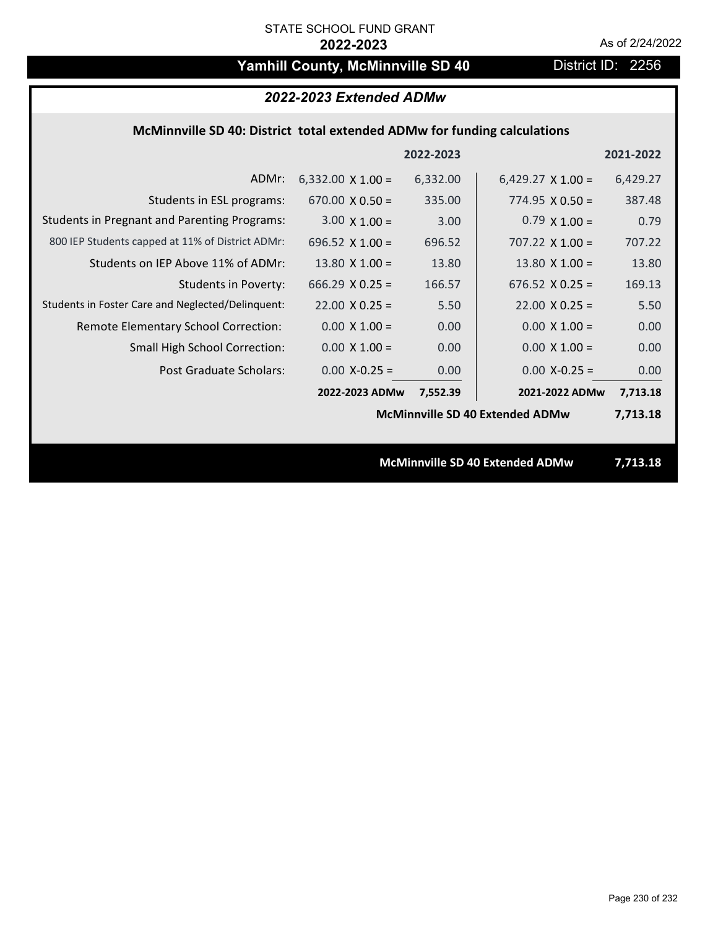# Yamhill County, McMinnville SD 40 District ID: 2256

# *2022-2023 Extended ADMw*

## **McMinnville SD 40: District total extended ADMw for funding calculations**

|                                                     |                          | 2022-2023 |                                        | 2021-2022 |  |
|-----------------------------------------------------|--------------------------|-----------|----------------------------------------|-----------|--|
| ADMr:                                               | $6,332.00 \times 1.00 =$ | 6,332.00  | $6,429.27 \times 1.00 =$               | 6,429.27  |  |
| Students in ESL programs:                           | $670.00 \times 0.50 =$   | 335.00    | $774.95 \times 0.50 =$                 | 387.48    |  |
| <b>Students in Pregnant and Parenting Programs:</b> | $3.00 \times 1.00 =$     | 3.00      | $0.79 \times 1.00 =$                   | 0.79      |  |
| 800 IEP Students capped at 11% of District ADMr:    | 696.52 $\times$ 1.00 =   | 696.52    | 707.22 $\times$ 1.00 =                 | 707.22    |  |
| Students on IEP Above 11% of ADMr:                  | $13.80 \times 1.00 =$    | 13.80     | 13.80 $X$ 1.00 =                       | 13.80     |  |
| <b>Students in Poverty:</b>                         | 666.29 $X$ 0.25 =        | 166.57    | 676.52 $X$ 0.25 =                      | 169.13    |  |
| Students in Foster Care and Neglected/Delinquent:   | $22.00 \times 0.25 =$    | 5.50      | $22.00 \times 0.25 =$                  | 5.50      |  |
| Remote Elementary School Correction:                | $0.00 \times 1.00 =$     | 0.00      | $0.00 \times 1.00 =$                   | 0.00      |  |
| <b>Small High School Correction:</b>                | $0.00 \times 1.00 =$     | 0.00      | $0.00 \times 1.00 =$                   | 0.00      |  |
| Post Graduate Scholars:                             | $0.00$ X-0.25 =          | 0.00      | $0.00$ X-0.25 =                        | 0.00      |  |
|                                                     | 2022-2023 ADMw           | 7,552.39  | 2021-2022 ADMw                         | 7,713.18  |  |
|                                                     |                          |           | <b>McMinnville SD 40 Extended ADMw</b> | 7,713.18  |  |
|                                                     |                          |           |                                        |           |  |
|                                                     |                          |           | <b>McMinnville SD 40 Extended ADMw</b> | 7,713.18  |  |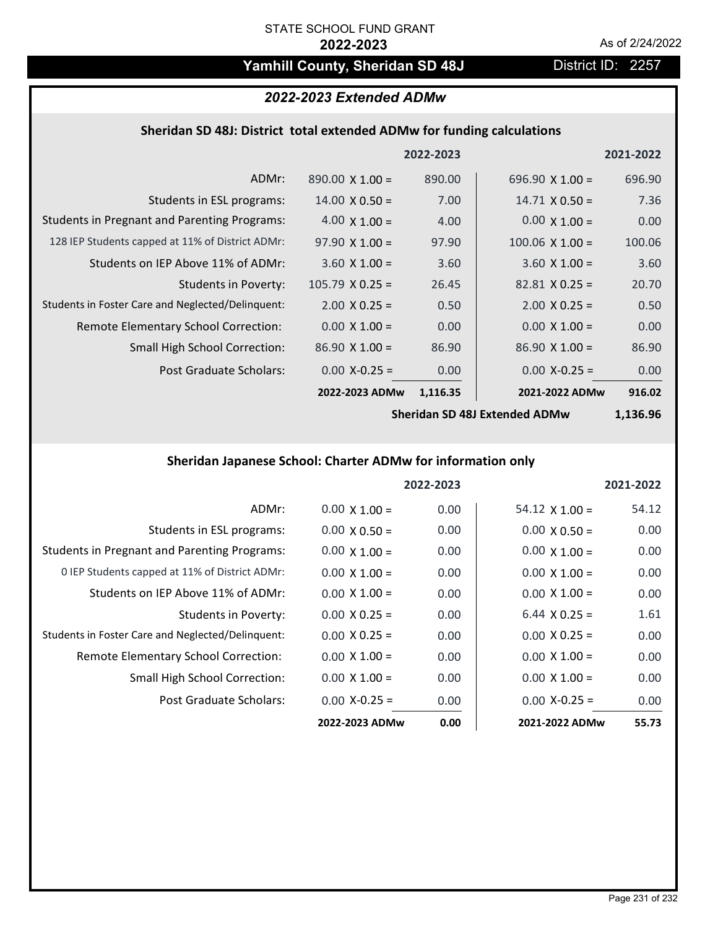# Yamhill County, Sheridan SD 48J District ID: 2257

# *2022-2023 Extended ADMw*

#### **Sheridan SD 48J: District total extended ADMw for funding calculations**

|                                                     |                        | 2022-2023 |                        | 2021-2022 |
|-----------------------------------------------------|------------------------|-----------|------------------------|-----------|
| ADMr:                                               | $890.00 \times 1.00 =$ | 890.00    | 696.90 $\times$ 1.00 = | 696.90    |
| Students in ESL programs:                           | $14.00 \times 0.50 =$  | 7.00      | $14.71 \times 0.50 =$  | 7.36      |
| <b>Students in Pregnant and Parenting Programs:</b> | $4.00 \times 1.00 =$   | 4.00      | $0.00 \times 1.00 =$   | 0.00      |
| 128 IEP Students capped at 11% of District ADMr:    | $97.90 \times 1.00 =$  | 97.90     | $100.06$ X $1.00 =$    | 100.06    |
| Students on IEP Above 11% of ADMr:                  | $3.60 \times 1.00 =$   | 3.60      | $3.60 \times 1.00 =$   | 3.60      |
| Students in Poverty:                                | $105.79 \times 0.25 =$ | 26.45     | $82.81 \times 0.25 =$  | 20.70     |
| Students in Foster Care and Neglected/Delinquent:   | $2.00 \times 0.25 =$   | 0.50      | $2.00 \times 0.25 =$   | 0.50      |
| Remote Elementary School Correction:                | $0.00 \times 1.00 =$   | 0.00      | $0.00 \times 1.00 =$   | 0.00      |
| <b>Small High School Correction:</b>                | $86.90 \times 1.00 =$  | 86.90     | $86.90 \times 1.00 =$  | 86.90     |
| Post Graduate Scholars:                             | $0.00$ X-0.25 =        | 0.00      | $0.00$ X-0.25 =        | 0.00      |
|                                                     | 2022-2023 ADMw         | 1,116.35  | 2021-2022 ADMw         | 916.02    |

**Sheridan SD 48J Extended ADMw**

**1,136.96**

## **Sheridan Japanese School: Charter ADMw for information only**

|                                                     |                      | 2022-2023 |                       | 2021-2022 |
|-----------------------------------------------------|----------------------|-----------|-----------------------|-----------|
| ADMr:                                               | $0.00 \times 1.00 =$ | 0.00      | $54.12 \times 1.00 =$ | 54.12     |
| Students in ESL programs:                           | $0.00 \times 0.50 =$ | 0.00      | $0.00 \times 0.50 =$  | 0.00      |
| <b>Students in Pregnant and Parenting Programs:</b> | $0.00 \times 1.00 =$ | 0.00      | $0.00 \times 1.00 =$  | 0.00      |
| 0 IEP Students capped at 11% of District ADMr:      | $0.00 \times 1.00 =$ | 0.00      | $0.00 \times 1.00 =$  | 0.00      |
| Students on IEP Above 11% of ADMr:                  | $0.00 \times 1.00 =$ | 0.00      | $0.00 \times 1.00 =$  | 0.00      |
| Students in Poverty:                                | $0.00 \times 0.25 =$ | 0.00      | 6.44 $X$ 0.25 =       | 1.61      |
| Students in Foster Care and Neglected/Delinquent:   | $0.00 \times 0.25 =$ | 0.00      | $0.00 \times 0.25 =$  | 0.00      |
| Remote Elementary School Correction:                | $0.00 \times 1.00 =$ | 0.00      | $0.00 \times 1.00 =$  | 0.00      |
| <b>Small High School Correction:</b>                | $0.00 \times 1.00 =$ | 0.00      | $0.00 \times 1.00 =$  | 0.00      |
| Post Graduate Scholars:                             | $0.00 X-0.25 =$      | 0.00      | $0.00 X-0.25 =$       | 0.00      |
|                                                     | 2022-2023 ADMw       | 0.00      | 2021-2022 ADMw        | 55.73     |